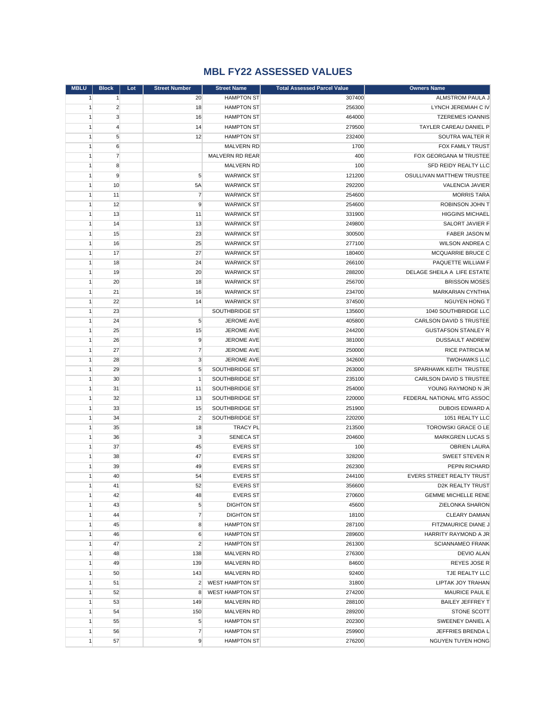## **MBL FY22 ASSESSED VALUES**

| <b>MBLU</b>  | <b>Block</b>   | Lot | <b>Street Number</b> | <b>Street Name</b>     | <b>Total Assessed Parcel Value</b> | <b>Owners Name</b>             |
|--------------|----------------|-----|----------------------|------------------------|------------------------------------|--------------------------------|
| 1            | 1              |     | 20                   | <b>HAMPTON ST</b>      | 307400                             | ALMSTROM PAULA J               |
| $\mathbf{1}$ | $\overline{2}$ |     | 18                   | <b>HAMPTON ST</b>      | 256300                             | LYNCH JEREMIAH C IV            |
| $\mathbf{1}$ | 3              |     | 16                   | <b>HAMPTON ST</b>      | 464000                             | <b>TZEREMES IOANNIS</b>        |
| $\mathbf{1}$ | $\overline{4}$ |     | 14                   | <b>HAMPTON ST</b>      | 279500                             | TAYLER CAREAU DANIEL P         |
| $\mathbf{1}$ | 5              |     | 12                   | <b>HAMPTON ST</b>      | 232400                             | SOUTRA WALTER R                |
| $\mathbf{1}$ | 6              |     |                      | <b>MALVERN RD</b>      | 1700                               | FOX FAMILY TRUST               |
| $\mathbf{1}$ | $\overline{7}$ |     |                      | MALVERN RD REAR        | 400                                | FOX GEORGANA M TRUSTEE         |
| $\mathbf{1}$ | 8              |     |                      | <b>MALVERN RD</b>      | 100                                | SFD REIDY REALTY LLC           |
| $\mathbf{1}$ | 9              |     | $\sqrt{5}$           | <b>WARWICK ST</b>      | 121200                             | OSULLIVAN MATTHEW TRUSTEE      |
| $\mathbf{1}$ | 10             |     | 5A                   | <b>WARWICK ST</b>      | 292200                             | VALENCIA JAVIER                |
| $\mathbf{1}$ | 11             |     | $\overline{7}$       | <b>WARWICK ST</b>      | 254600                             | <b>MORRIS TARA</b>             |
| $\mathbf{1}$ | 12             |     | 9                    | <b>WARWICK ST</b>      | 254600                             | ROBINSON JOHN T                |
| $\mathbf{1}$ | 13             |     | 11                   | <b>WARWICK ST</b>      | 331900                             | <b>HIGGINS MICHAEL</b>         |
| $\mathbf{1}$ | 14             |     | 13                   | <b>WARWICK ST</b>      | 249800                             | SALORT JAVIER F                |
| $\mathbf{1}$ | 15             |     | 23                   | <b>WARWICK ST</b>      | 300500                             | <b>FABER JASON M</b>           |
| $\mathbf{1}$ | 16             |     | 25                   | <b>WARWICK ST</b>      | 277100                             | <b>WILSON ANDREA C</b>         |
| $\mathbf{1}$ | 17             |     | 27                   | <b>WARWICK ST</b>      | 180400                             | MCQUARRIE BRUCE C              |
| $\mathbf{1}$ | 18             |     | 24                   | <b>WARWICK ST</b>      | 266100                             | PAQUETTE WILLIAM F             |
| $\mathbf{1}$ | 19             |     | 20                   | <b>WARWICK ST</b>      | 288200                             | DELAGE SHEILA A LIFE ESTATE    |
| $\mathbf{1}$ | 20             |     | 18                   | <b>WARWICK ST</b>      | 256700                             | <b>BRISSON MOSES</b>           |
| $\mathbf{1}$ | 21             |     | 16                   | <b>WARWICK ST</b>      | 234700                             | MARKARIAN CYNTHIA              |
| $\mathbf{1}$ | 22             |     | 14                   | <b>WARWICK ST</b>      | 374500                             | <b>NGUYEN HONG T</b>           |
| $\mathbf{1}$ | 23             |     |                      | SOUTHBRIDGE ST         | 135600                             | 1040 SOUTHBRIDGE LLC           |
| $\mathbf{1}$ | 24             |     | 5                    | <b>JEROME AVE</b>      | 405800                             | <b>CARLSON DAVID S TRUSTEE</b> |
| $\mathbf{1}$ | 25             |     | 15                   | JEROME AVE             | 244200                             | <b>GUSTAFSON STANLEY R</b>     |
| $\mathbf{1}$ | 26             |     | 9                    | JEROME AVE             | 381000                             | <b>DUSSAULT ANDREW</b>         |
| $\mathbf{1}$ | 27             |     | $\overline{7}$       | JEROME AVE             | 250000                             | RICE PATRICIA M                |
| $\mathbf{1}$ | 28             |     | 3                    | <b>JEROME AVE</b>      | 342600                             | <b>TWOHAWKS LLC</b>            |
| $\mathbf{1}$ | 29             |     | 5                    | SOUTHBRIDGE ST         | 263000                             | SPARHAWK KEITH TRUSTEE         |
| $\mathbf{1}$ | 30             |     | $\mathbf{1}$         | SOUTHBRIDGE ST         | 235100                             | CARLSON DAVID S TRUSTEE        |
| $\mathbf{1}$ | 31             |     | 11                   | SOUTHBRIDGE ST         | 254000                             | YOUNG RAYMOND N JR             |
| $\mathbf{1}$ | 32             |     | 13                   | SOUTHBRIDGE ST         | 220000                             | FEDERAL NATIONAL MTG ASSOC     |
| $\mathbf{1}$ | 33             |     | 15                   | SOUTHBRIDGE ST         | 251900                             | <b>DUBOIS EDWARD A</b>         |
| $\mathbf{1}$ | 34             |     | $\overline{2}$       | SOUTHBRIDGE ST         | 220200                             | 1051 REALTY LLC                |
| $\mathbf{1}$ | 35             |     | 18                   | <b>TRACY PL</b>        | 213500                             | <b>TOROWSKI GRACE O LE</b>     |
| $\mathbf{1}$ | 36             |     | 3                    | <b>SENECA ST</b>       | 204600                             | <b>MARKGREN LUCAS S</b>        |
| $\mathbf{1}$ | 37             |     | 45                   | <b>EVERS ST</b>        | 100                                | <b>OBRIEN LAURA</b>            |
| $\mathbf{1}$ | 38             |     | 47                   | <b>EVERS ST</b>        | 328200                             | <b>SWEET STEVEN R</b>          |
| $\mathbf{1}$ | 39             |     | 49                   | <b>EVERS ST</b>        | 262300                             | PEPIN RICHARD                  |
| 1            | 40             |     | 54                   | <b>EVERS ST</b>        | 244100                             | EVERS STREET REALTY TRUST      |
| $\mathbf{1}$ | 41             |     | 52                   | <b>EVERS ST</b>        | 356600                             | D2K REALTY TRUST               |
| $\mathbf{1}$ | 42             |     | 48                   | <b>EVERS ST</b>        | 270600                             | <b>GEMME MICHELLE RENE</b>     |
| 1            | 43             |     | 5                    | <b>DIGHTON ST</b>      | 45600                              | ZIELONKA SHARON                |
| $\mathbf{1}$ | 44             |     | $\overline{7}$       | <b>DIGHTON ST</b>      | 18100                              | <b>CLEARY DAMIAN</b>           |
| $\mathbf{1}$ | 45             |     | 8                    | <b>HAMPTON ST</b>      | 287100                             | FITZMAURICE DIANE J            |
| $\mathbf{1}$ | 46             |     | 6                    | <b>HAMPTON ST</b>      | 289600                             | HARRITY RAYMOND A JR           |
| $\mathbf{1}$ | 47             |     | $\overline{2}$       | <b>HAMPTON ST</b>      | 261300                             | <b>SCIANNAMEO FRANK</b>        |
| $\mathbf{1}$ | 48             |     | 138                  | <b>MALVERN RD</b>      | 276300                             | <b>DEVIO ALAN</b>              |
| $\mathbf{1}$ | 49             |     | 139                  | MALVERN RD             | 84600                              | REYES JOSE R                   |
| $\mathbf{1}$ | 50             |     | 143                  | <b>MALVERN RD</b>      | 92400                              | TJE REALTY LLC                 |
| $\mathbf{1}$ | 51             |     | $\overline{2}$       | <b>WEST HAMPTON ST</b> | 31800                              | LIPTAK JOY TRAHAN              |
| 1            | 52             |     | 8                    | <b>WEST HAMPTON ST</b> | 274200                             | MAURICE PAUL E                 |
| $\mathbf{1}$ | 53             |     | 149                  | <b>MALVERN RD</b>      | 288100                             | <b>BAILEY JEFFREY T</b>        |
| $\mathbf{1}$ | 54             |     | 150                  | <b>MALVERN RD</b>      | 289200                             | STONE SCOTT                    |
| $\mathbf{1}$ | 55             |     | 5                    | <b>HAMPTON ST</b>      | 202300                             | SWEENEY DANIEL A               |
| $\mathbf{1}$ | 56             |     | $\overline{7}$       | <b>HAMPTON ST</b>      | 259900                             | JEFFRIES BRENDA L              |
| $\mathbf{1}$ | 57             |     | 9                    | <b>HAMPTON ST</b>      | 276200                             | <b>NGUYEN TUYEN HONG</b>       |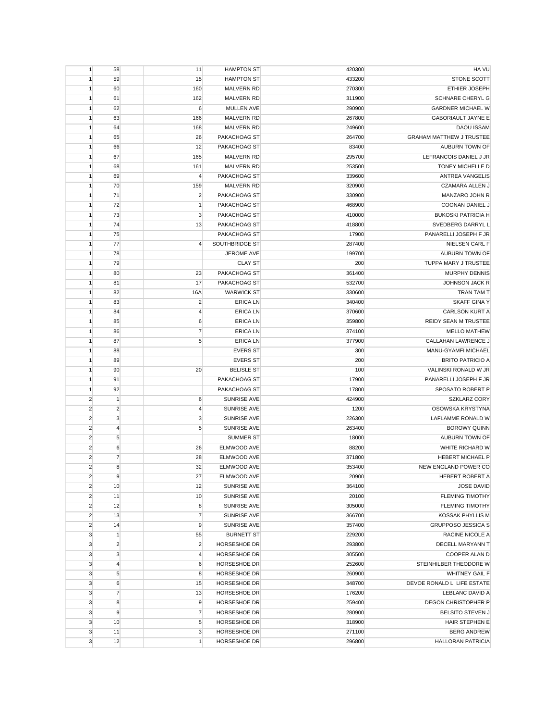| 1              | 58             | 11             | <b>HAMPTON ST</b>  | 420300 | HA VU                           |
|----------------|----------------|----------------|--------------------|--------|---------------------------------|
| 1              | 59             | 15             | <b>HAMPTON ST</b>  | 433200 | STONE SCOTT                     |
| 1              | 60             | 160            | MALVERN RD         | 270300 | ETHIER JOSEPH                   |
| $\mathbf{1}$   | 61             | 162            | MALVERN RD         | 311900 | SCHNARE CHERYL G                |
| $\mathbf{1}$   | 62             | 6              | <b>MULLEN AVE</b>  | 290900 | <b>GARDNER MICHAEL W</b>        |
| 1              | 63             | 166            | <b>MALVERN RD</b>  | 267800 | <b>GABORIAULT JAYNE E</b>       |
| 1              | 64             | 168            | <b>MALVERN RD</b>  | 249600 | <b>DAOU ISSAM</b>               |
| $\mathbf{1}$   | 65             | 26             | PAKACHOAG ST       | 264700 | <b>GRAHAM MATTHEW J TRUSTEE</b> |
| $\mathbf{1}$   | 66             | 12             | PAKACHOAG ST       | 83400  | AUBURN TOWN OF                  |
| 1              | 67             | 165            | <b>MALVERN RD</b>  | 295700 | LEFRANCOIS DANIEL J JR          |
| 1              | 68             | 161            | MALVERN RD         | 253500 | <b>TONEY MICHELLE D</b>         |
| 1              | 69             | 4              | PAKACHOAG ST       | 339600 | <b>ANTREA VANGELIS</b>          |
| $\mathbf{1}$   | 70             | 159            | MALVERN RD         | 320900 | <b>CZAMARA ALLEN J</b>          |
| 1              | 71             | $\overline{c}$ | PAKACHOAG ST       | 330900 | MANZARO JOHN R                  |
| 1              | 72             | $\mathbf{1}$   | PAKACHOAG ST       | 468900 | COONAN DANIEL J                 |
| 1              | 73             | 3              | PAKACHOAG ST       | 410000 | <b>BUKOSKI PATRICIA H</b>       |
| $\mathbf{1}$   | 74             | 13             | PAKACHOAG ST       | 418800 | SVEDBERG DARRYL L               |
| $\mathbf{1}$   | 75             |                | PAKACHOAG ST       | 17900  | PANARELLI JOSEPH F JR           |
| 1              | 77             | $\overline{4}$ | SOUTHBRIDGE ST     | 287400 | NIELSEN CARL F                  |
| 1              | 78             |                | JEROME AVE         | 199700 | AUBURN TOWN OF                  |
| $\mathbf{1}$   | 79             |                | <b>CLAY ST</b>     | 200    | TUPPA MARY J TRUSTEE            |
| 1              | 80             | 23             | PAKACHOAG ST       | 361400 | <b>MURPHY DENNIS</b>            |
| 1              | 81             | 17             | PAKACHOAG ST       | 532700 | JOHNSON JACK R                  |
| 1              | 82             | 16A            | <b>WARWICK ST</b>  | 330600 | TRAN TAM T                      |
| $\mathbf{1}$   | 83             | $\overline{2}$ | <b>ERICA LN</b>    | 340400 | <b>SKAFF GINA Y</b>             |
| $\mathbf{1}$   | 84             | $\overline{4}$ | <b>ERICA LN</b>    | 370600 | <b>CARLSON KURT A</b>           |
| 1              | 85             | 6              | <b>ERICA LN</b>    | 359800 | REIDY SEAN M TRUSTEE            |
|                |                |                |                    |        |                                 |
| $\mathbf{1}$   | 86             | $\overline{7}$ | <b>ERICA LN</b>    | 374100 | <b>MELLO MATHEW</b>             |
| $\mathbf{1}$   | 87             | 5              | <b>ERICA LN</b>    | 377900 | CALLAHAN LAWRENCE J             |
| $\mathbf{1}$   | 88             |                | <b>EVERS ST</b>    | 300    | MANU-GYAMFI MICHAEL             |
| 1              | 89             |                | <b>EVERS ST</b>    | 200    | <b>BRITO PATRICIO A</b>         |
| 1              | 90             | 20             | <b>BELISLE ST</b>  | 100    | VALINSKI RONALD W JR            |
| $\mathbf{1}$   | 91             |                | PAKACHOAG ST       | 17900  | PANARELLI JOSEPH F JR           |
| $\mathbf{1}$   | 92             |                | PAKACHOAG ST       | 17800  | SPOSATO ROBERT P                |
| $\overline{c}$ | $\mathbf{1}$   | 6              | <b>SUNRISE AVE</b> | 424900 | <b>SZKLARZ CORY</b>             |
| $\overline{2}$ | $\overline{2}$ | 4              | SUNRISE AVE        | 1200   | OSOWSKA KRYSTYNA                |
| $\overline{2}$ | $\mathbf{3}$   | $\mathsf 3$    | SUNRISE AVE        | 226300 | <b>LAFLAMME RONALD W</b>        |
| $\overline{c}$ | $\overline{4}$ | 5              | <b>SUNRISE AVE</b> | 263400 | <b>BOROWY QUINN</b>             |
| $\sqrt{2}$     | 5              |                | <b>SUMMER ST</b>   | 18000  | AUBURN TOWN OF                  |
| $\overline{c}$ | 6              | 26             | ELMWOOD AVE        | 88200  | WHITE RICHARD W                 |
| $\overline{c}$ | $\overline{7}$ | 28             | ELMWOOD AVE        | 371800 | <b>HEBERT MICHAEL P</b>         |
| $\overline{c}$ | 8              | 32             | ELMWOOD AVE        | 353400 | NEW ENGLAND POWER CO            |
| $\overline{2}$ | 9              | 27             | ELMWOOD AVE        | 20900  | <b>HEBERT ROBERT A</b>          |
| $\overline{2}$ | 10             | 12             | SUNRISE AVE        | 364100 | <b>JOSE DAVID</b>               |
| $\overline{2}$ | 11             | 10             | <b>SUNRISE AVE</b> | 20100  | <b>FLEMING TIMOTHY</b>          |
| $\overline{c}$ | 12             | 8              | SUNRISE AVE        | 305000 | <b>FLEMING TIMOTHY</b>          |
| $\overline{2}$ | 13             | $\overline{7}$ | SUNRISE AVE        | 366700 | KOSSAK PHYLLIS M                |
| $\overline{2}$ | 14             | 9              | SUNRISE AVE        | 357400 | <b>GRUPPOSO JESSICA S</b>       |
| 3              | $\mathbf{1}$   | 55             | <b>BURNETT ST</b>  | 229200 | RACINE NICOLE A                 |
| 3              | $\overline{2}$ | $\overline{c}$ | HORSESHOE DR       | 293800 | DECELL MARYANN T                |
| 3              | 3              | $\overline{4}$ | HORSESHOE DR       | 305500 | COOPER ALAN D                   |
| 3              | $\overline{4}$ | 6              | HORSESHOE DR       | 252600 | STEINHILBER THEODORE W          |
| 3              | $\sqrt{5}$     | 8              | HORSESHOE DR       | 260900 | <b>WHITNEY GAIL F</b>           |
| 3              | 6              | 15             | HORSESHOE DR       | 348700 | DEVOE RONALD L LIFE ESTATE      |
| 3              | $\overline{7}$ | 13             | HORSESHOE DR       | 176200 | LEBLANC DAVID A                 |
| 3              | 8              | 9              | HORSESHOE DR       | 259400 | DEGON CHRISTOPHER P             |
| 3              | 9              | $\overline{7}$ | HORSESHOE DR       | 280900 | <b>BELSITO STEVEN J</b>         |
| 3              | 10             | 5              | HORSESHOE DR       | 318900 | <b>HAIR STEPHEN E</b>           |
| 3              | 11             | $\mathsf 3$    | HORSESHOE DR       | 271100 | <b>BERG ANDREW</b>              |
| 3              | 12             | 1              | HORSESHOE DR       | 296800 | <b>HALLORAN PATRICIA</b>        |
|                |                |                |                    |        |                                 |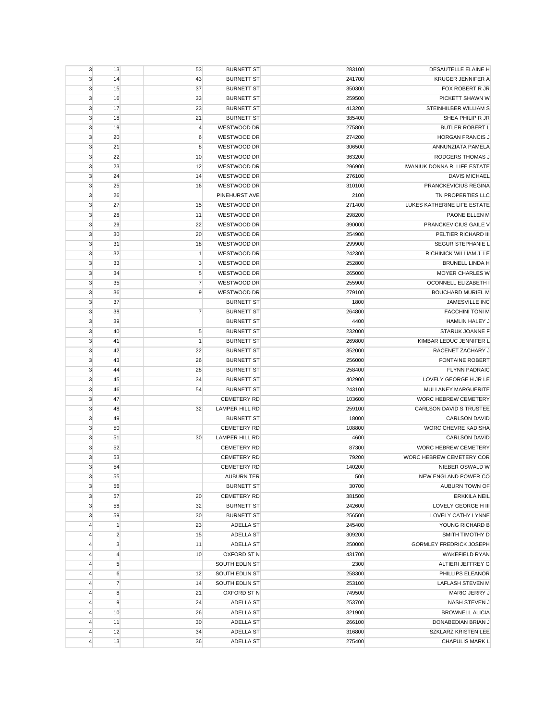| 3              | 13             | 53             | <b>BURNETT ST</b>     | 283100 | DESAUTELLE ELAINE H                |
|----------------|----------------|----------------|-----------------------|--------|------------------------------------|
| 3              | 14             | 43             | <b>BURNETT ST</b>     | 241700 | <b>KRUGER JENNIFER A</b>           |
| 3              | 15             | 37             | <b>BURNETT ST</b>     | 350300 | FOX ROBERT R JR                    |
| 3              | 16             | 33             | <b>BURNETT ST</b>     | 259500 | PICKETT SHAWN W                    |
| 3              | 17             | 23             | <b>BURNETT ST</b>     | 413200 | STEINHILBER WILLIAM S              |
| 3              | 18             | 21             | <b>BURNETT ST</b>     | 385400 | SHEA PHILIP R JR                   |
| 3              | 19             | 4              | WESTWOOD DR           | 275800 | <b>BUTLER ROBERT L</b>             |
| 3              | 20             | 6              | WESTWOOD DR           | 274200 | <b>HORGAN FRANCIS J</b>            |
| 3              | 21             | 8              | WESTWOOD DR           | 306500 | ANNUNZIATA PAMELA                  |
| 3              | 22             | 10             | WESTWOOD DR           | 363200 | RODGERS THOMAS J                   |
| 3              | 23             | 12             | WESTWOOD DR           | 296900 | <b>IWANIUK DONNA R LIFE ESTATE</b> |
| 3              | 24             | 14             | WESTWOOD DR           | 276100 | <b>DAVIS MICHAEL</b>               |
| 3              | 25             | 16             | WESTWOOD DR           | 310100 | PRANCKEVICIUS REGINA               |
| 3              | 26             |                | PINEHURST AVE         | 2100   | TN PROPERTIES LLC                  |
| 3              | 27             | 15             | WESTWOOD DR           | 271400 | LUKES KATHERINE LIFE ESTATE        |
| 3              | 28             | 11             | WESTWOOD DR           | 298200 | PAONE ELLEN M                      |
| 3              | 29             | 22             | WESTWOOD DR           | 390000 | PRANCKEVICIUS GAILE V              |
| 3              | 30             | 20             | WESTWOOD DR           | 254900 | PELTIER RICHARD III                |
| 3              | 31             | 18             | WESTWOOD DR           | 299900 | SEGUR STEPHANIE L                  |
| 3              | 32             | $\mathbf{1}$   | WESTWOOD DR           | 242300 | RICHINICK WILLIAM J LE             |
| 3              | 33             | 3              | WESTWOOD DR           | 252800 | <b>BRUNELL LINDA H</b>             |
|                |                |                |                       |        | <b>MOYER CHARLES W</b>             |
| 3              | 34             | 5              | WESTWOOD DR           | 265000 |                                    |
| 3              | 35             | 7              | WESTWOOD DR           | 255900 | OCONNELL ELIZABETH I               |
| 3              | 36             | 9              | WESTWOOD DR           | 279100 | <b>BOUCHARD MURIEL M</b>           |
| 3              | 37             |                | <b>BURNETT ST</b>     | 1800   | JAMESVILLE INC                     |
| 3              | 38             | $\overline{7}$ | <b>BURNETT ST</b>     | 264800 | <b>FACCHINI TONI M</b>             |
| 3              | 39             |                | <b>BURNETT ST</b>     | 4400   | HAMLIN HALEY J                     |
| 3              | 40             | 5              | <b>BURNETT ST</b>     | 232000 | STARUK JOANNE F                    |
| 3              | 41             | 1              | <b>BURNETT ST</b>     | 269800 | KIMBAR LEDUC JENNIFER L            |
| 3              | 42             | 22             | <b>BURNETT ST</b>     | 352000 | RACENET ZACHARY J                  |
| 3              | 43             | 26             | <b>BURNETT ST</b>     | 256000 | <b>FONTAINE ROBERT</b>             |
| 3              | 44             | 28             | <b>BURNETT ST</b>     | 258400 | <b>FLYNN PADRAIC</b>               |
| 3              | 45             | 34             | <b>BURNETT ST</b>     | 402900 | LOVELY GEORGE H JR LE              |
| 3              | 46             | 54             | <b>BURNETT ST</b>     | 243100 | MULLANEY MARGUERITE                |
| 3              | 47             |                | <b>CEMETERY RD</b>    | 103600 | WORC HEBREW CEMETERY               |
| 3              | 48             | 32             | <b>LAMPER HILL RD</b> | 259100 | CARLSON DAVID S TRUSTEE            |
| 3              | 49             |                | <b>BURNETT ST</b>     | 18000  | <b>CARLSON DAVID</b>               |
| 3              | 50             |                | <b>CEMETERY RD</b>    | 108800 | <b>WORC CHEVRE KADISHA</b>         |
| 3              | 51             | 30             | <b>LAMPER HILL RD</b> | 4600   | <b>CARLSON DAVID</b>               |
| 3              | 52             |                | <b>CEMETERY RD</b>    | 87300  | WORC HEBREW CEMETERY               |
| 3              | 53             |                | <b>CEMETERY RD</b>    | 79200  | WORC HEBREW CEMETERY COR           |
| 3              | 54             |                | <b>CEMETERY RD</b>    | 140200 | NIEBER OSWALD W                    |
| 3              | 55             |                | <b>AUBURN TER</b>     | 500    | NEW ENGLAND POWER CO               |
| $\mathbf{3}$   | 56             |                | <b>BURNETT ST</b>     | 30700  | AUBURN TOWN OF                     |
| $\mathbf{3}$   | 57             | 20             | <b>CEMETERY RD</b>    | 381500 | <b>ERKKILA NEIL</b>                |
| $\mathbf{3}$   | 58             | 32             | <b>BURNETT ST</b>     | 242600 | LOVELY GEORGE H III                |
| $\mathbf{3}$   | 59             | 30             | <b>BURNETT ST</b>     | 256500 | LOVELY CATHY LYNNE                 |
| $\overline{4}$ | $\mathbf{1}$   | 23             | ADELLA ST             | 245400 | YOUNG RICHARD B                    |
| $\overline{4}$ | $\overline{2}$ | 15             | ADELLA ST             | 309200 | SMITH TIMOTHY D                    |
| $\overline{4}$ | $\mathbf{3}$   | 11             | ADELLA ST             | 250000 | <b>GORMLEY FREDRICK JOSEPH</b>     |
| $\overline{4}$ | $\overline{4}$ | 10             | OXFORD ST N           | 431700 | <b>WAKEFIELD RYAN</b>              |
| $\overline{4}$ | $\sqrt{5}$     |                | SOUTH EDLIN ST        | 2300   | ALTIERI JEFFREY G                  |
| $\overline{4}$ | 6              | 12             | SOUTH EDLIN ST        | 258300 | PHILLIPS ELEANOR                   |
| $\overline{4}$ | $\overline{7}$ | 14             | SOUTH EDLIN ST        | 253100 | LAFLASH STEVEN M                   |
| $\overline{4}$ | 8              | 21             | OXFORD ST N           | 749500 | MARIO JERRY J                      |
| $\overline{4}$ | 9              | 24             | ADELLA ST             | 253700 | NASH STEVEN J                      |
| $\overline{4}$ | 10             | 26             | ADELLA ST             | 321900 | <b>BROWNELL ALICIA</b>             |
| $\overline{4}$ | 11             | 30             | ADELLA ST             | 266100 | DONABEDIAN BRIAN J                 |
| $\overline{4}$ | 12             | 34             | ADELLA ST             | 316800 | SZKLARZ KRISTEN LEE                |
| $\overline{4}$ | 13             | 36             | <b>ADELLA ST</b>      | 275400 | CHAPULIS MARK L                    |
|                |                |                |                       |        |                                    |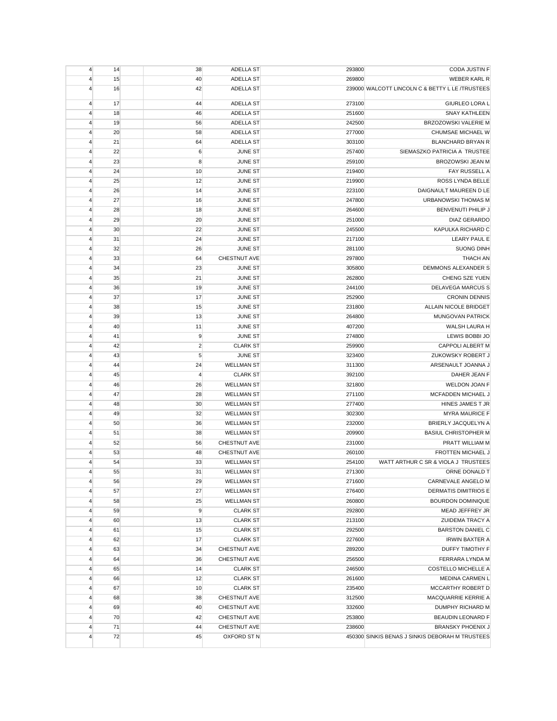| 4                                | 14       | 38             | ADELLA ST                              | 293800           | CODA JUSTIN F                                    |
|----------------------------------|----------|----------------|----------------------------------------|------------------|--------------------------------------------------|
| 4                                | 15       | 40             | <b>ADELLA ST</b>                       | 269800           | <b>WEBER KARL R</b>                              |
| 4                                | 16       | 42             | <b>ADELLA ST</b>                       |                  | 239000 WALCOTT LINCOLN C & BETTY L LE /TRUSTEES  |
| 4                                | 17       | 44             | <b>ADELLA ST</b>                       | 273100           | GIURLEO LORA L                                   |
| 4                                | 18       | 46             | ADELLA ST                              | 251600           | <b>SNAY KATHLEEN</b>                             |
| 4                                | 19       | 56             | <b>ADELLA ST</b>                       | 242500           | BRZOZOWSKI VALERIE M                             |
| $\overline{4}$                   | 20       | 58             | ADELLA ST                              | 277000           | CHUMSAE MICHAEL W                                |
| $\overline{4}$                   | 21       | 64             | ADELLA ST                              | 303100           | <b>BLANCHARD BRYAN R</b>                         |
| 4                                | 22       | 6              | <b>JUNE ST</b>                         | 257400           | SIEMASZKO PATRICIA A TRUSTEE                     |
| 4                                | 23       | 8              | <b>JUNE ST</b>                         | 259100           | <b>BROZOWSKI JEAN M</b>                          |
| 4                                | 24       | 10             | JUNE ST                                | 219400           | FAY RUSSELL A                                    |
| 4                                | 25       | 12             | <b>JUNE ST</b>                         | 219900           | ROSS LYNDA BELLE                                 |
| 4                                | 26       | 14             | <b>JUNE ST</b>                         | 223100           | DAIGNAULT MAUREEN D LE                           |
| 4                                | 27       | 16             | <b>JUNE ST</b>                         | 247800           | URBANOWSKI THOMAS M                              |
| 4                                | 28       | 18             | <b>JUNE ST</b>                         | 264600           | BENVENUTI PHILIP J                               |
| $\overline{4}$                   | 29       | 20             | JUNE ST                                | 251000           | DIAZ GERARDO                                     |
| $\overline{4}$                   | 30       | 22             | JUNE ST                                | 245500           | KAPULKA RICHARD C                                |
| 4                                | 31       | 24             | <b>JUNE ST</b>                         | 217100           | <b>LEARY PAUL E</b>                              |
| 4                                | 32       | 26             | JUNE ST                                | 281100           | <b>SUONG DINH</b>                                |
| 4                                | 33       | 64             | CHESTNUT AVE                           | 297800           | <b>THACH AN</b>                                  |
| 4                                | 34       | 23             | <b>JUNE ST</b>                         | 305800           | DEMMONS ALEXANDER S                              |
| 4                                | 35       | 21             | <b>JUNE ST</b>                         | 262800           | CHENG SZE YUEN                                   |
| 4                                | 36       | 19             | <b>JUNE ST</b>                         | 244100           | <b>DELAVEGA MARCUS S</b>                         |
| 4                                | 37       | 17             | <b>JUNE ST</b>                         | 252900           | <b>CRONIN DENNIS</b>                             |
| $\overline{4}$                   | 38       | 15             | JUNE ST                                | 231800           | ALLAIN NICOLE BRIDGET                            |
| $\overline{4}$                   | 39       | 13             | JUNE ST                                | 264800           | MUNGOVAN PATRICK                                 |
| 4                                | 40       | 11             | <b>JUNE ST</b>                         | 407200           | WALSH LAURA H                                    |
| 4                                | 41       | 9              | JUNE ST                                | 274800           | LEWIS BOBBI JO                                   |
| 4                                | 42       | $\overline{c}$ | <b>CLARK ST</b>                        | 259900           | CAPPOLI ALBERT M                                 |
| 4                                | 43       | 5              | <b>JUNE ST</b>                         | 323400           | ZUKOWSKY ROBERT J                                |
| 4                                | 44       | 24             | <b>WELLMAN ST</b>                      | 311300           | ARSENAULT JOANNA J                               |
| 4                                | 45       | 4              | <b>CLARK ST</b>                        | 392100           | DAHER JEAN F                                     |
| 4                                | 46       | 26             | <b>WELLMAN ST</b>                      | 321800           | WELDON JOAN F                                    |
| $\overline{4}$                   | 47       | 28             | <b>WELLMAN ST</b>                      | 271100           | MCFADDEN MICHAEL J                               |
| 4                                | 48       | 30             | <b>WELLMAN ST</b>                      | 277400           | HINES JAMES T JR                                 |
| 4                                | 49       | 32             | <b>WELLMAN ST</b>                      | 302300           | <b>MYRA MAURICE F</b>                            |
| 4                                | 50       | 36             | <b>WELLMAN ST</b>                      | 232000           | BRIERLY JACQUELYN A                              |
| 4                                | 51       | 38             | <b>WELLMAN ST</b>                      | 209900           | <b>BASIUL CHRISTOPHER M</b>                      |
| 4                                | 52       | 56             | CHESTNUT AVE                           | 231000           | PRATT WILLIAM M                                  |
| 4                                | 53       | 48             | CHESTNUT AVE                           | 260100           | <b>FROTTEN MICHAEL J</b>                         |
| 4                                | 54       | 33             | <b>WELLMAN ST</b>                      | 254100           | WATT ARTHUR C SR & VIOLA J TRUSTEES              |
| $\overline{4}$                   | 55<br>56 | 31<br>29       | <b>WELLMAN ST</b><br><b>WELLMAN ST</b> | 271300<br>271600 | ORNE DONALD T<br>CARNEVALE ANGELO M              |
|                                  |          |                |                                        |                  |                                                  |
| $\overline{4}$<br>$\overline{4}$ | 57<br>58 | 27<br>25       | <b>WELLMAN ST</b><br><b>WELLMAN ST</b> | 276400<br>260800 | DERMATIS DIMITRIOS E<br><b>BOURDON DOMINIQUE</b> |
| $\overline{4}$                   | 59       | 9              | <b>CLARK ST</b>                        | 292800           | MEAD JEFFREY JR                                  |
| $\overline{4}$                   | 60       | 13             | <b>CLARK ST</b>                        | 213100           | <b>ZUIDEMA TRACY A</b>                           |
| $\overline{4}$                   | 61       | 15             | <b>CLARK ST</b>                        | 292500           | <b>BARSTON DANIEL C</b>                          |
| $\overline{4}$                   | 62       | 17             | <b>CLARK ST</b>                        | 227600           | <b>IRWIN BAXTER A</b>                            |
| $\overline{4}$                   | 63       | 34             | CHESTNUT AVE                           | 289200           | DUFFY TIMOTHY F                                  |
| 4                                | 64       | 36             | CHESTNUT AVE                           | 256500           | FERRARA LYNDA M                                  |
| $\overline{4}$                   | 65       | 14             | <b>CLARK ST</b>                        | 246500           | COSTELLO MICHELLE A                              |
| 4                                | 66       | 12             | <b>CLARK ST</b>                        | 261600           | MEDINA CARMEN L                                  |
| $\overline{4}$                   | 67       | 10             | <b>CLARK ST</b>                        | 235400           | MCCARTHY ROBERT D                                |
| $\overline{4}$                   | 68       | 38             | CHESTNUT AVE                           | 312500           | MACQUARRIE KERRIE A                              |
| $\overline{4}$                   | 69       | 40             | CHESTNUT AVE                           | 332600           | DUMPHY RICHARD M                                 |
| $\overline{4}$                   | 70       | 42             | CHESTNUT AVE                           | 253800           | <b>BEAUDIN LEONARD F</b>                         |
| 4                                | 71       | 44             | CHESTNUT AVE                           | 238600           | <b>BRANSKY PHOENIX J</b>                         |
| $\overline{4}$                   | 72       | 45             | OXFORD ST N                            |                  | 450300 SINKIS BENAS J SINKIS DEBORAH M TRUSTEES  |
|                                  |          |                |                                        |                  |                                                  |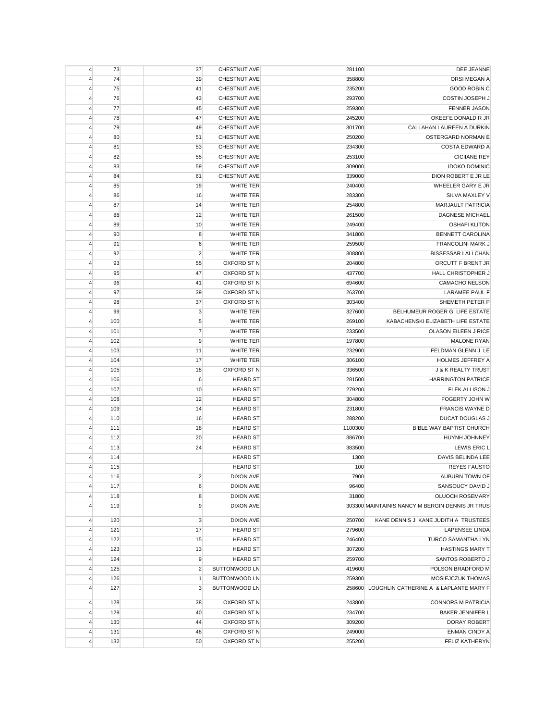| DEE JEANNE                                       | 281100           | CHESTNUT AVE                         | 37             | 73  | 4              |
|--------------------------------------------------|------------------|--------------------------------------|----------------|-----|----------------|
| ORSI MEGAN A                                     | 358800           | CHESTNUT AVE                         | 39             | 74  | $\overline{4}$ |
| <b>GOOD ROBIN C</b>                              | 235200           | CHESTNUT AVE                         | 41             | 75  | $\overline{4}$ |
| COSTIN JOSEPH J                                  | 293700           | <b>CHESTNUT AVE</b>                  | 43             | 76  | $\overline{4}$ |
| <b>FENNER JASON</b>                              | 259300           | CHESTNUT AVE                         | 45             | 77  | $\overline{4}$ |
| OKEEFE DONALD R JR                               | 245200           | <b>CHESTNUT AVE</b>                  | 47             | 78  | $\overline{4}$ |
| CALLAHAN LAUREEN A DURKIN                        | 301700           | <b>CHESTNUT AVE</b>                  | 49             | 79  | $\overline{4}$ |
| OSTERGARD NORMAN E                               | 250200           | CHESTNUT AVE                         | 51             | 80  | $\overline{4}$ |
| <b>COSTA EDWARD A</b>                            | 234300           | <b>CHESTNUT AVE</b>                  | 53             | 81  | 4              |
| <b>CICIIANE REY</b>                              | 253100           | <b>CHESTNUT AVE</b>                  | 55             | 82  | $\overline{4}$ |
| <b>IDOKO DOMINIC</b>                             | 309000           | <b>CHESTNUT AVE</b>                  | 59             | 83  | 4              |
| DION ROBERT E JR LE                              | 339000           | CHESTNUT AVE                         | 61             | 84  | $\overline{4}$ |
| WHEELER GARY E JR                                | 240400           | WHITE TER                            | 19             | 85  | $\overline{4}$ |
| SILVA MAXLEY V                                   | 283300           | WHITE TER                            | 16             | 86  | $\overline{4}$ |
| <b>MARJAULT PATRICIA</b>                         | 254800           | WHITE TER                            | 14             | 87  | $\overline{4}$ |
| <b>DAGNESE MICHAEL</b>                           | 261500           | <b>WHITE TER</b>                     | 12             | 88  | $\overline{4}$ |
| <b>OSHAFI KLITON</b>                             | 249400           | <b>WHITE TER</b>                     | 10             | 89  | $\overline{4}$ |
| <b>BENNETT CAROLINA</b>                          | 341800           | <b>WHITE TER</b>                     | 8              | 90  | 4              |
| <b>FRANCOLINI MARK J</b>                         | 259500           | <b>WHITE TER</b>                     | 6              | 91  | 4              |
| <b>BISSESSAR LALLCHAN</b>                        | 308800           | <b>WHITE TER</b>                     | $\overline{2}$ | 92  | $\overline{4}$ |
| ORCUTT F BRENT JR                                | 204800           | OXFORD ST N                          | 55             | 93  | $\overline{4}$ |
| HALL CHRISTOPHER J                               | 437700           | OXFORD ST N                          | 47             | 95  | $\overline{4}$ |
|                                                  | 694600           | OXFORD ST N                          | 41             | 96  | $\overline{4}$ |
| <b>CAMACHO NELSON</b>                            | 263700           |                                      | 39             | 97  |                |
| LARAMEE PAUL F                                   |                  | OXFORD ST N                          |                |     | $\overline{4}$ |
| SHEMETH PETER P<br>BELHUMEUR ROGER G LIFE ESTATE | 303400<br>327600 | OXFORD ST N                          | 37             | 98  | $\overline{4}$ |
|                                                  |                  | <b>WHITE TER</b><br><b>WHITE TER</b> | 3              | 99  | $\overline{4}$ |
| KABACHENSKI ELIZABETH LIFE ESTATE                | 269100           |                                      | 5              | 100 | $\overline{4}$ |
| OLASON EILEEN J RICE                             | 233500           | <b>WHITE TER</b>                     | $\overline{7}$ | 101 | $\overline{4}$ |
| <b>MALONE RYAN</b>                               | 197800           | <b>WHITE TER</b>                     | 9              | 102 | 4              |
| FELDMAN GLENN J LE                               | 232900           | <b>WHITE TER</b>                     | 11             | 103 | $\overline{4}$ |
| HOLMES JEFFREY A                                 | 306100           | WHITE TER                            | 17             | 104 | $\overline{4}$ |
| <b>J &amp; K REALTY TRUST</b>                    | 336500           | OXFORD ST N                          | 18             | 105 | 4              |
| <b>HARRINGTON PATRICE</b>                        | 281500           | <b>HEARD ST</b>                      | 6              | 106 | $\overline{4}$ |
| FLEK ALLISON J                                   | 279200           | <b>HEARD ST</b>                      | 10             | 107 | $\overline{4}$ |
| FOGERTY JOHN W                                   | 304800           | <b>HEARD ST</b>                      | 12             | 108 | $\overline{4}$ |
| <b>FRANCIS WAYNE D</b>                           | 231800           | <b>HEARD ST</b>                      | 14             | 109 | 4              |
| <b>DUCAT DOUGLAS J</b>                           | 288200           | <b>HEARD ST</b>                      | 16             | 110 | $\overline{4}$ |
| BIBLE WAY BAPTIST CHURCH                         | 1100300          | <b>HEARD ST</b>                      | 18             | 111 | $\overline{4}$ |
| HUYNH JOHNNEY                                    | 386700           | <b>HEARD ST</b>                      | 20             | 112 | $\overline{4}$ |
| LEWIS ERIC L                                     | 383500           | <b>HEARD ST</b>                      | 24             | 113 | $\overline{4}$ |
| DAVIS BELINDA LEE                                | 1300             | <b>HEARD ST</b>                      |                | 114 | 4              |
| <b>REYES FAUSTO</b>                              | 100              | <b>HEARD ST</b>                      |                | 115 | 4              |
| AUBURN TOWN OF                                   | 7900             | DIXON AVE                            | $\overline{c}$ | 116 | $\overline{4}$ |
| SANSOUCY DAVID J                                 | 96400            | DIXON AVE                            | $6\phantom{1}$ | 117 | $\overline{4}$ |
| OLUOCH ROSEMARY                                  | 31800            | DIXON AVE                            | 8              | 118 | $\overline{4}$ |
| 303300 MAINTAINIS NANCY M BERGIN DENNIS JR TRUS  |                  | DIXON AVE                            | 9              | 119 | $\overline{4}$ |
| KANE DENNIS J KANE JUDITH A TRUSTEES             | 250700           | <b>DIXON AVE</b>                     | 3              | 120 | $\overline{4}$ |
| <b>LAPENSEE LINDA</b>                            | 279600           | <b>HEARD ST</b>                      | 17             | 121 | $\overline{4}$ |
| TURCO SAMANTHA LYN                               | 246400           | <b>HEARD ST</b>                      | 15             | 122 | $\overline{4}$ |
| <b>HASTINGS MARY T</b>                           | 307200           | <b>HEARD ST</b>                      | 13             | 123 | $\overline{4}$ |
| SANTOS ROBERTO J                                 | 259700           | <b>HEARD ST</b>                      | 9              | 124 | $\overline{4}$ |
| POLSON BRADFORD M                                | 419600           | <b>BUTTONWOOD LN</b>                 | $\overline{2}$ | 125 | $\overline{4}$ |
| MOSIEJCZUK THOMAS                                | 259300           | <b>BUTTONWOOD LN</b>                 | $\mathbf{1}$   | 126 | $\overline{4}$ |
| 258600 LOUGHLIN CATHERINE A & LAPLANTE MARY F    |                  | BUTTONWOOD LN                        | 3              | 127 | $\overline{4}$ |
|                                                  |                  |                                      |                |     |                |
| <b>CONNORS M PATRICIA</b>                        | 243800           | OXFORD ST N                          | 38             | 128 | $\overline{4}$ |
| <b>BAKER JENNIFER L</b>                          | 234700           | OXFORD ST N                          | 40             | 129 | $\overline{4}$ |
| <b>DORAY ROBERT</b>                              | 309200           | OXFORD ST N                          | 44             | 130 | $\overline{4}$ |
| <b>ENMAN CINDY A</b>                             | 249000           | OXFORD ST N                          | 48             | 131 | $\overline{4}$ |
| <b>FELIZ KATHERYN</b>                            | 255200           | OXFORD ST N                          | 50             | 132 | $\overline{4}$ |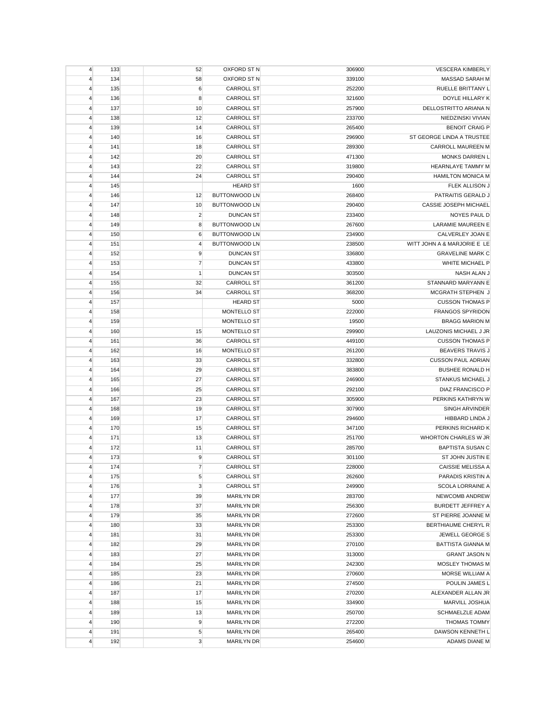| $\overline{4}$          | 133 | 52             | OXFORD ST N                          | 306900 | <b>VESCERA KIMBERLY</b>     |
|-------------------------|-----|----------------|--------------------------------------|--------|-----------------------------|
| 4                       | 134 | 58             | OXFORD ST N                          | 339100 | <b>MASSAD SARAH M</b>       |
| $\overline{4}$          | 135 | 6              | <b>CARROLL ST</b>                    | 252200 | <b>RUELLE BRITTANY L</b>    |
| $\overline{4}$          | 136 | 8              | CARROLL ST                           | 321600 | DOYLE HILLARY K             |
| $\overline{4}$          | 137 | 10             | <b>CARROLL ST</b>                    | 257900 | DELLOSTRITTO ARIANA N       |
| $\overline{4}$          | 138 | 12             | CARROLL ST                           | 233700 | NIEDZINSKI VIVIAN           |
| $\overline{4}$          | 139 | 14             | <b>CARROLL ST</b>                    | 265400 | <b>BENOIT CRAIG P</b>       |
| $\overline{4}$          | 140 | 16             | <b>CARROLL ST</b>                    | 296900 | ST GEORGE LINDA A TRUSTEE   |
| 4                       | 141 | 18             | <b>CARROLL ST</b>                    | 289300 | CARROLL MAUREEN M           |
| $\overline{4}$          | 142 | 20             | <b>CARROLL ST</b>                    | 471300 | <b>MONKS DARREN L</b>       |
| 4                       | 143 | 22             | <b>CARROLL ST</b>                    | 319800 | <b>HEARNLAYE TAMMY M</b>    |
| $\overline{4}$          | 144 | 24             | <b>CARROLL ST</b>                    | 290400 | <b>HAMILTON MONICA M</b>    |
| $\overline{4}$          | 145 |                | <b>HEARD ST</b>                      | 1600   | FLEK ALLISON J              |
| 4                       | 146 | 12             | <b>BUTTONWOOD LN</b>                 | 268400 | PATRAITIS GERALD J          |
| $\overline{4}$          | 147 | 10             | <b>BUTTONWOOD LN</b>                 | 290400 | CASSIE JOSEPH MICHAEL       |
| $\overline{4}$          | 148 | $\overline{2}$ | <b>DUNCAN ST</b>                     | 233400 | NOYES PAUL D                |
| $\overline{4}$          | 149 | 8              | <b>BUTTONWOOD LN</b>                 | 267600 | LARAMIE MAUREEN E           |
| $\overline{4}$          | 150 | 6              | <b>BUTTONWOOD LN</b>                 | 234900 | CALVERLEY JOAN E            |
| $\overline{4}$          | 151 | $\overline{4}$ | <b>BUTTONWOOD LN</b>                 | 238500 | WITT JOHN A & MARJORIE E LE |
| $\overline{4}$          | 152 | 9              | <b>DUNCAN ST</b>                     | 336800 | <b>GRAVELINE MARK C</b>     |
| $\overline{4}$          | 153 | $\overline{7}$ | <b>DUNCAN ST</b>                     | 433800 | WHITE MICHAEL P             |
| $\overline{4}$          | 154 | 1              | <b>DUNCAN ST</b>                     | 303500 | NASH ALAN J                 |
| 4                       | 155 | 32             |                                      | 361200 | STANNARD MARYANN E          |
|                         | 156 | 34             | <b>CARROLL ST</b>                    | 368200 | MCGRATH STEPHEN J           |
| $\overline{4}$          |     |                | <b>CARROLL ST</b><br><b>HEARD ST</b> |        | <b>CUSSON THOMAS P</b>      |
| $\overline{4}$          | 157 |                |                                      | 5000   |                             |
| $\overline{4}$          | 158 |                | MONTELLO ST                          | 222000 | <b>FRANGOS SPYRIDON</b>     |
| 4                       | 159 |                | MONTELLO ST                          | 19500  | <b>BRAGG MARION M</b>       |
| $\overline{4}$          | 160 | 15             | MONTELLO ST                          | 299900 | LAUZONIS MICHAEL J JR       |
| $\overline{4}$          | 161 | 36             | <b>CARROLL ST</b>                    | 449100 | <b>CUSSON THOMAS P</b>      |
| $\overline{4}$          | 162 | 16             | <b>MONTELLO ST</b>                   | 261200 | <b>BEAVERS TRAVIS J</b>     |
| $\overline{4}$          | 163 | 33             | <b>CARROLL ST</b>                    | 332800 | <b>CUSSON PAUL ADRIAN</b>   |
| $\overline{4}$          | 164 | 29             | <b>CARROLL ST</b>                    | 383800 | <b>BUSHEE RONALD H</b>      |
| $\overline{4}$          | 165 | 27             | <b>CARROLL ST</b>                    | 246900 | <b>STANKUS MICHAEL J</b>    |
| $\overline{4}$          | 166 | 25             | <b>CARROLL ST</b>                    | 292100 | DIAZ FRANCISCO P            |
| $\overline{4}$          | 167 | 23             | <b>CARROLL ST</b>                    | 305900 | PERKINS KATHRYN W           |
| 4                       | 168 | 19             | <b>CARROLL ST</b>                    | 307900 | SINGH ARVINDER              |
| $\overline{4}$          | 169 | 17             | <b>CARROLL ST</b>                    | 294600 | HIBBARD LINDA J             |
| $\overline{4}$          | 170 | 15             | <b>CARROLL ST</b>                    | 347100 | PERKINS RICHARD K           |
| $\overline{4}$          | 171 | 13             | <b>CARROLL ST</b>                    | 251700 | WHORTON CHARLES W JR        |
| $\overline{4}$          | 172 | 11             | <b>CARROLL ST</b>                    | 285700 | <b>BAPTISTA SUSAN C</b>     |
| 4                       | 173 | 9              | <b>CARROLL ST</b>                    | 301100 | ST JOHN JUSTIN E            |
| 4                       | 174 | $\overline{7}$ | <b>CARROLL ST</b>                    | 228000 | <b>CAISSIE MELISSA A</b>    |
| $\overline{\mathbf{4}}$ | 175 | 5              | <b>CARROLL ST</b>                    | 262600 | PARADIS KRISTIN A           |
| $\overline{\mathbf{4}}$ | 176 | 3              | <b>CARROLL ST</b>                    | 249900 | <b>SCOLA LORRAINE A</b>     |
| 4                       | 177 | 39             | <b>MARILYN DR</b>                    | 283700 | NEWCOMB ANDREW              |
| $\overline{4}$          | 178 | 37             | <b>MARILYN DR</b>                    | 256300 | BURDETT JEFFREY A           |
| $\overline{4}$          | 179 | 35             | <b>MARILYN DR</b>                    | 272600 | ST PIERRE JOANNE M          |
| $\overline{4}$          | 180 | 33             | <b>MARILYN DR</b>                    | 253300 | BERTHIAUME CHERYL R         |
| $\overline{4}$          | 181 | 31             | <b>MARILYN DR</b>                    | 253300 | JEWELL GEORGE S             |
| $\overline{4}$          | 182 | 29             | <b>MARILYN DR</b>                    | 270100 | <b>BATTISTA GIANNA M</b>    |
| $\overline{4}$          | 183 | 27             | <b>MARILYN DR</b>                    | 313000 | <b>GRANT JASON N</b>        |
| $\overline{4}$          | 184 | 25             | <b>MARILYN DR</b>                    | 242300 | MOSLEY THOMAS M             |
| $\overline{4}$          | 185 | 23             | <b>MARILYN DR</b>                    | 270600 | MORSE WILLIAM A             |
| $\overline{4}$          | 186 | 21             | <b>MARILYN DR</b>                    | 274500 | POULIN JAMES L              |
| $\overline{4}$          | 187 | 17             | <b>MARILYN DR</b>                    | 270200 | ALEXANDER ALLAN JR          |
| $\overline{4}$          | 188 | 15             | <b>MARILYN DR</b>                    | 334900 | MARVILL JOSHUA              |
| $\overline{4}$          | 189 | 13             | <b>MARILYN DR</b>                    | 250700 | SCHMAELZLE ADAM             |
| $\overline{4}$          | 190 | 9              | <b>MARILYN DR</b>                    | 272200 | <b>THOMAS TOMMY</b>         |
| $\overline{4}$          | 191 | 5              | <b>MARILYN DR</b>                    | 265400 | DAWSON KENNETH L            |
| $\overline{4}$          | 192 | 3              | <b>MARILYN DR</b>                    | 254600 | ADAMS DIANE M               |
|                         |     |                |                                      |        |                             |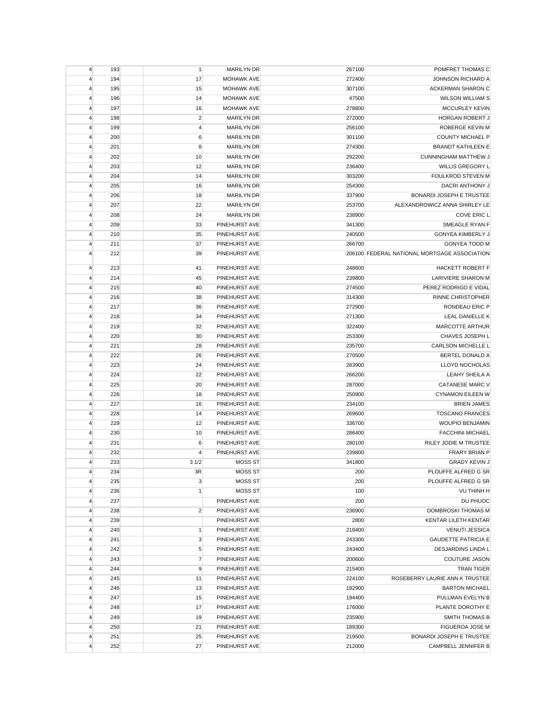| $\overline{4}$          | 193 | $\mathbf{1}$   | <b>MARILYN DR</b>    | 267100 | POMFRET THOMAS C                             |
|-------------------------|-----|----------------|----------------------|--------|----------------------------------------------|
| 4                       | 194 | 17             | <b>MOHAWK AVE</b>    | 272400 | <b>JOHNSON RICHARD A</b>                     |
| 4                       | 195 | 15             | <b>MOHAWK AVE</b>    | 307100 | <b>ACKERMAN SHARON C</b>                     |
| 4                       | 196 | 14             | <b>MOHAWK AVE</b>    | 47500  | <b>WILSON WILLIAM S</b>                      |
| 4                       | 197 | 16             | <b>MOHAWK AVE</b>    | 278800 | MCCURLEY KEVIN                               |
| 4                       | 198 | $\overline{2}$ | <b>MARILYN DR</b>    | 272000 | <b>HORGAN ROBERT J</b>                       |
| $\overline{4}$          | 199 | $\overline{4}$ | <b>MARILYN DR</b>    | 256100 | ROBERGE KEVIN M                              |
| 4                       | 200 | 6              | <b>MARILYN DR</b>    | 301100 | <b>COUNTY MICHAEL P</b>                      |
| 4                       | 201 | 8              | <b>MARILYN DR</b>    | 274300 | <b>BRANDT KATHLEEN E</b>                     |
| 4                       | 202 | 10             | <b>MARILYN DR</b>    | 292200 | <b>CUNNINGHAM MATTHEW J</b>                  |
| $\overline{4}$          | 203 | 12             | <b>MARILYN DR</b>    | 236400 | WILLIS GREGORY L                             |
| $\overline{4}$          | 204 | 14             | <b>MARILYN DR</b>    | 303200 | <b>FOULKROD STEVEN M</b>                     |
| 4                       | 205 | 16             | <b>MARILYN DR</b>    | 254300 | DACRI ANTHONY J                              |
| 4                       | 206 | 18             | <b>MARILYN DR</b>    | 337900 | <b>BONARDI JOSEPH E TRUSTEE</b>              |
| 4                       | 207 | 22             | <b>MARILYN DR</b>    | 253700 | ALEXANDROWICZ ANNA SHIRLEY LE                |
| $\overline{4}$          | 208 | 24             | <b>MARILYN DR</b>    | 238900 | COVE ERIC L                                  |
| 4                       | 209 | 33             | PINEHURST AVE        | 341300 | SMEAGLE RYAN F                               |
| 4                       | 210 | 35             | PINEHURST AVE        | 240500 | <b>GONYEA KIMBERLY J</b>                     |
| 4                       | 211 | 37             | <b>PINEHURST AVE</b> | 266700 | <b>GONYEA TODD M</b>                         |
| $\overline{4}$          | 212 | 39             | PINEHURST AVE        |        | 206100 FEDERAL NATIONAL MORTGAGE ASSOCIATION |
| $\overline{4}$          | 213 | 41             | PINEHURST AVE        | 248600 | <b>HACKETT ROBERT F</b>                      |
| 4                       | 214 | 45             | PINEHURST AVE        | 239800 | <b>LARIVIERE SHARON M</b>                    |
| 4                       | 215 | 40             | PINEHURST AVE        | 274500 | PEREZ RODRIGO E VIDAL                        |
| 4                       | 216 | 38             | PINEHURST AVE        | 314300 | <b>RINNE CHRISTOPHER</b>                     |
| $\overline{4}$          | 217 | 36             | PINEHURST AVE        | 272900 | RONDEAU ERIC P                               |
| $\overline{4}$          | 218 | 34             | PINEHURST AVE        | 271300 | LEAL DANIELLE K                              |
| 4                       | 219 | 32             | PINEHURST AVE        | 322400 | MARCOTTE ARTHUR                              |
| 4                       | 220 | 30             | PINEHURST AVE        | 253300 | CHAVES JOSEPH L                              |
| 4                       | 221 | 28             | PINEHURST AVE        | 235700 | CARLSON MICHELLE L                           |
| 4                       | 222 | 26             | PINEHURST AVE        | 270500 | BERTEL DONALD A                              |
| 4                       | 223 | 24             | PINEHURST AVE        | 283900 | LLOYD NOCHOLAS                               |
| 4                       | 224 | 22             | PINEHURST AVE        | 266200 | <b>LEAHY SHEILA A</b>                        |
| $\overline{\mathbf{4}}$ | 225 | 20             | PINEHURST AVE        | 287000 | CATANESE MARC V                              |
| $\overline{4}$          | 226 | 18             | PINEHURST AVE        | 250900 | <b>CYNAMON EILEEN W</b>                      |
| $\overline{4}$          | 227 | 16             | PINEHURST AVE        | 234100 | <b>BRIEN JAMES</b>                           |
| 4                       | 228 | 14             | PINEHURST AVE        | 269600 | <b>TOSCANO FRANCES</b>                       |
| 4                       | 229 | 12             | PINEHURST AVE        | 336700 | <b>WOUPIO BENJAMIN</b>                       |
| 4                       | 230 | 10             | PINEHURST AVE        | 286400 | <b>FACCHINI MICHAEL</b>                      |
| 4                       | 231 | 6              | PINEHURST AVE        | 280100 | RILEY JODIE M TRUSTEE                        |
| 4                       | 232 | 4              | PINEHURST AVE        | 239800 | <b>FRARY BRIAN P</b>                         |
| 4                       | 233 | 31/2           | <b>MOSS ST</b>       | 341800 | <b>GRADY KEVIN J</b>                         |
| 4                       | 234 | 3R             | MOSS ST              | 200    | PLOUFFE ALFRED G SR                          |
| 4                       | 235 | 3              | MOSS ST              | 200    | PLOUFFE ALFRED G SR                          |
| $\overline{4}$          | 236 | $\mathbf{1}$   | <b>MOSS ST</b>       | 100    | VU THINH H                                   |
| $\overline{4}$          | 237 |                | PINEHURST AVE        | 200    | DU PHUOC                                     |
| $\overline{4}$          | 238 | $\overline{2}$ | PINEHURST AVE        | 238900 | <b>DOMBROSKI THOMAS M</b>                    |
| $\overline{4}$          | 239 |                | PINEHURST AVE        | 2800   | KENTAR LILETH KENTAR                         |
| $\overline{4}$          | 240 | $\mathbf{1}$   | PINEHURST AVE        | 218400 | <b>VENUTI JESSICA</b>                        |
| 4                       | 241 | 3              | PINEHURST AVE        | 243300 | <b>GAUDETTE PATRICIA E</b>                   |
| 4                       | 242 | 5              | PINEHURST AVE        | 243400 | DESJARDINS LINDA L                           |
| $\overline{4}$          | 243 | $\overline{7}$ | PINEHURST AVE        | 200600 | <b>COUTURE JASON</b>                         |
| $\overline{4}$          | 244 | 9              | PINEHURST AVE        | 215400 | <b>TRAN TIGER</b>                            |
| $\overline{4}$          | 245 | 11             | PINEHURST AVE        | 224100 | ROSEBERRY LAURIE ANN K TRUSTEE               |
| $\overline{4}$          | 246 | 13             | PINEHURST AVE        | 192900 | <b>BARTON MICHAEL</b>                        |
| $\overline{4}$          | 247 | 15             | PINEHURST AVE        | 194400 | PULLMAN EVELYN B                             |
| $\overline{4}$          | 248 | 17             | PINEHURST AVE        | 176000 | PLANTE DOROTHY E                             |
| $\overline{4}$          | 249 | 19             | PINEHURST AVE        | 235900 | SMITH THOMAS B                               |
| 4                       | 250 | 21             | PINEHURST AVE        | 189300 | FIGUEROA JOSE M                              |
| 4                       | 251 | 25             | PINEHURST AVE        | 219500 | <b>BONARDI JOSEPH E TRUSTEE</b>              |
| 4                       | 252 | 27             | PINEHURST AVE        | 212000 | CAMPBELL JENNIFER B                          |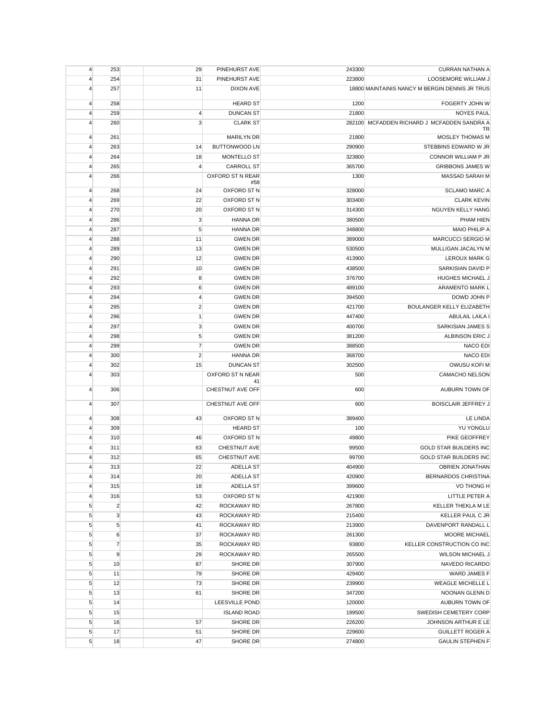| $\overline{4}$ | 253              | 29             | PINEHURST AVE          | 243300 | <b>CURRAN NATHAN A</b>                         |
|----------------|------------------|----------------|------------------------|--------|------------------------------------------------|
| $\overline{4}$ | 254              | 31             | PINEHURST AVE          | 223800 | <b>LOOSEMORE WILLIAM J</b>                     |
| $\overline{4}$ | 257              | 11             | <b>DIXON AVE</b>       |        | 18800 MAINTAINIS NANCY M BERGIN DENNIS JR TRUS |
| $\overline{4}$ | 258              |                | <b>HEARD ST</b>        | 1200   | FOGERTY JOHN W                                 |
| $\overline{4}$ | 259              | 4              | <b>DUNCAN ST</b>       | 21800  | <b>NOYES PAUL</b>                              |
| $\overline{4}$ | 260              | 3              | <b>CLARK ST</b>        |        | 282100 MCFADDEN RICHARD J MCFADDEN SANDRA A    |
| $\overline{4}$ | 261              |                | <b>MARILYN DR</b>      | 21800  | TR<br>MOSLEY THOMAS M                          |
| $\overline{4}$ | 263              | 14             | BUTTONWOOD LN          | 290900 | STEBBINS EDWARD W JR                           |
| $\overline{4}$ | 264              | 18             | MONTELLO ST            | 323800 | CONNOR WILLIAM P JR                            |
| $\overline{4}$ | 265              | 4              | <b>CARROLL ST</b>      | 365700 | <b>GRIBBONS JAMES W</b>                        |
| 4              | 266              |                | OXFORD ST N REAR       | 1300   | MASSAD SARAH M                                 |
|                |                  |                | #58                    |        |                                                |
| $\overline{4}$ | 268              | 24             | OXFORD ST N            | 328000 | <b>SCLAMO MARC A</b>                           |
| $\overline{4}$ | 269              | 22             | OXFORD ST N            | 303400 | <b>CLARK KEVIN</b>                             |
| $\overline{4}$ | 270              | 20             | OXFORD ST N            | 314300 | NGUYEN KELLY HANG                              |
| $\overline{4}$ | 286              | $\mathsf 3$    | <b>HANNA DR</b>        | 380500 | PHAM HIEN                                      |
| $\overline{4}$ | 287              | 5              | <b>HANNA DR</b>        | 348800 | <b>MAIO PHILIP A</b>                           |
| $\overline{4}$ | 288              | 11             | <b>GWEN DR</b>         | 389000 | <b>MARCUCCI SERGIO M</b>                       |
| 4              | 289              | 13             | <b>GWEN DR</b>         | 530500 | MULLIGAN JACALYN M                             |
| $\overline{4}$ | 290              | 12             | <b>GWEN DR</b>         | 413900 | LEROUX MARK G                                  |
| $\overline{4}$ | 291              | 10             | <b>GWEN DR</b>         | 438500 | SARKISIAN DAVID P                              |
| $\overline{4}$ | 292              | 8              | <b>GWEN DR</b>         | 376700 | HUGHES MICHAEL J                               |
| $\overline{4}$ | 293              | 6              | <b>GWEN DR</b>         | 489100 | ARAMENTO MARK L                                |
| $\overline{4}$ | 294              | $\overline{4}$ | <b>GWEN DR</b>         | 394500 | DOWD JOHN P                                    |
| $\overline{4}$ | 295              | $\overline{2}$ | <b>GWEN DR</b>         | 421700 | BOULANGER KELLY ELIZABETH                      |
| $\overline{4}$ | 296              | $\mathbf{1}$   | <b>GWEN DR</b>         | 447400 | ABULAIL LAILA I                                |
| $\overline{4}$ | 297              | 3              | <b>GWEN DR</b>         | 400700 | SARKISIAN JAMES S                              |
| 4              | 298              | $\sqrt{5}$     | <b>GWEN DR</b>         | 381200 | ALBINSON ERIC J                                |
| $\overline{4}$ | 299              | $\overline{7}$ | <b>GWEN DR</b>         | 388500 | NACO EDI                                       |
| $\overline{4}$ | 300              | $\overline{2}$ | <b>HANNA DR</b>        | 368700 | NACO EDI                                       |
| 4              | 302              | 15             | <b>DUNCAN ST</b>       | 302500 | OWUSU KOFI M                                   |
| $\overline{4}$ | 303              |                | OXFORD ST N NEAR<br>41 | 500    | CAMACHO NELSON                                 |
| $\overline{4}$ | 306              |                | CHESTNUT AVE OFF       | 600    | AUBURN TOWN OF                                 |
| $\overline{4}$ | 307              |                | CHESTNUT AVE OFF       | 600    | <b>BOISCLAIR JEFFREY J</b>                     |
| $\overline{4}$ | 308              | 43             | OXFORD ST N            | 389400 | LE LINDA                                       |
| $\overline{4}$ | 309              |                | <b>HEARD ST</b>        | 100    | YU YONGLU                                      |
| $\overline{4}$ | 310              | 46             | OXFORD ST N            | 49800  | PIKE GEOFFREY                                  |
| 4              | 311              | 63             | <b>CHESTNUT AVE</b>    | 99500  | <b>GOLD STAR BUILDERS INC</b>                  |
| 4              | 312              | 65             | <b>CHESTNUT AVE</b>    | 99700  | <b>GOLD STAR BUILDERS INC</b>                  |
| 4              | 313              | 22             | ADELLA ST              | 404900 | <b>OBRIEN JONATHAN</b>                         |
| $\overline{4}$ | 314              | 20             | ADELLA ST              | 420900 | <b>BERNARDOS CHRISTINA</b>                     |
| $\overline{4}$ | 315              | 18             | ADELLA ST              | 399600 | VO THONG H                                     |
| $\overline{4}$ | 316              | 53             | OXFORD ST N            | 421900 | LITTLE PETER A                                 |
| $\sqrt{5}$     | $\overline{2}$   | 42             | ROCKAWAY RD            | 267800 | KELLER THEKLA M LE                             |
| $\sqrt{5}$     | $\mathbf{3}$     | 43             | ROCKAWAY RD            | 215400 | <b>KELLER PAUL C JR</b>                        |
| $\sqrt{5}$     | $\sqrt{5}$       | 41             | ROCKAWAY RD            | 213900 | DAVENPORT RANDALL L                            |
| $\sqrt{5}$     | $\boldsymbol{6}$ | 37             | ROCKAWAY RD            | 261300 | <b>MOORE MICHAEL</b>                           |
| $\sqrt{5}$     | $\overline{7}$   | 35             | <b>ROCKAWAY RD</b>     | 93800  | KELLER CONSTRUCTION CO INC                     |
| $\sqrt{5}$     | 9                | 29             | ROCKAWAY RD            | 265500 | <b>WILSON MICHAEL J</b>                        |
| $\sqrt{5}$     | 10               | 87             | <b>SHORE DR</b>        | 307900 | NAVEDO RICARDO                                 |
| $\sqrt{5}$     | 11               | 79             | SHORE DR               | 429400 | <b>WARD JAMES F</b>                            |
| 5              | 12               | 73             | SHORE DR               | 239900 | <b>WEAGLE MICHELLE L</b>                       |
| $\sqrt{5}$     | 13               | 61             | SHORE DR               | 347200 | NOONAN GLENN D                                 |
| 5              | 14               |                | LEESVILLE POND         | 120000 | AUBURN TOWN OF                                 |
| $\sqrt{5}$     | 15               |                | <b>ISLAND ROAD</b>     | 199500 | SWEDISH CEMETERY CORP                          |
| $\sqrt{5}$     | 16               | 57             | SHORE DR               | 226200 | JOHNSON ARTHUR E LE                            |
| 5              | 17               | 51             | SHORE DR               | 229600 | <b>GUILLETT ROGER A</b>                        |
| $\sqrt{5}$     | 18               | 47             | SHORE DR               | 274800 | <b>GAULIN STEPHEN F</b>                        |
|                |                  |                |                        |        |                                                |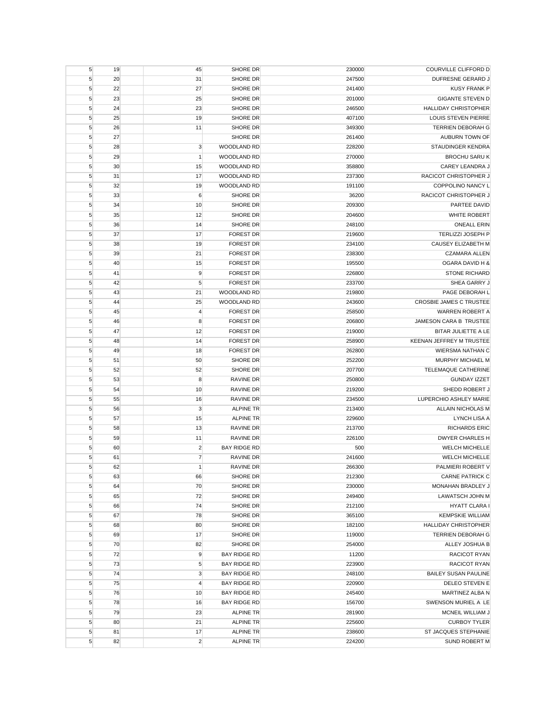| $\sqrt{5}$ | 19 | 45             | SHORE DR            | 230000 | COURVILLE CLIFFORD D        |
|------------|----|----------------|---------------------|--------|-----------------------------|
| 5          | 20 | 31             | SHORE DR            | 247500 | DUFRESNE GERARD J           |
| 5          | 22 | 27             | SHORE DR            | 241400 | <b>KUSY FRANK P</b>         |
| 5          | 23 | 25             | SHORE DR            | 201000 | <b>GIGANTE STEVEN D</b>     |
| $\sqrt{5}$ | 24 | 23             | SHORE DR            | 246500 | <b>HALLIDAY CHRISTOPHER</b> |
| 5          | 25 | 19             | SHORE DR            | 407100 | <b>LOUIS STEVEN PIERRE</b>  |
| 5          | 26 | 11             | <b>SHORE DR</b>     | 349300 | <b>TERRIEN DEBORAH G</b>    |
| $\sqrt{5}$ | 27 |                | SHORE DR            | 261400 | AUBURN TOWN OF              |
| $\sqrt{5}$ | 28 | 3              | WOODLAND RD         | 228200 | STAUDINGER KENDRA           |
| $\sqrt{5}$ | 29 | $\mathbf{1}$   | WOODLAND RD         | 270000 | <b>BROCHU SARU K</b>        |
| 5          | 30 | 15             | WOODLAND RD         | 358800 | <b>CAREY LEANDRA J</b>      |
| $\sqrt{5}$ | 31 | 17             | WOODLAND RD         | 237300 | RACICOT CHRISTOPHER J       |
| 5          | 32 | 19             | WOODLAND RD         | 191100 | <b>COPPOLINO NANCY L</b>    |
| $\sqrt{5}$ | 33 | 6              | SHORE DR            | 36200  | RACICOT CHRISTOPHER J       |
| 5          | 34 | 10             | SHORE DR            | 209300 | PARTEE DAVID                |
| 5          | 35 | 12             | <b>SHORE DR</b>     | 204600 | <b>WHITE ROBERT</b>         |
| 5          | 36 | 14             | SHORE DR            | 248100 | <b>ONEALL ERIN</b>          |
| 5          | 37 | 17             | <b>FOREST DR</b>    | 219600 | TERLIZZI JOSEPH P           |
| $\sqrt{5}$ | 38 | 19             | <b>FOREST DR</b>    | 234100 | CAUSEY ELIZABETH M          |
| 5          | 39 | 21             | <b>FOREST DR</b>    | 238300 | <b>CZAMARA ALLEN</b>        |
| $\sqrt{5}$ | 40 | 15             | <b>FOREST DR</b>    | 195500 | OGARA DAVID H &             |
| 5          | 41 | 9              | <b>FOREST DR</b>    | 226800 | <b>STONE RICHARD</b>        |
| $\sqrt{5}$ | 42 | 5              | <b>FOREST DR</b>    | 233700 | SHEA GARRY J                |
| 5          | 43 | 21             | <b>WOODLAND RD</b>  | 219800 | PAGE DEBORAH L              |
|            |    |                |                     |        |                             |
| 5          | 44 | 25             | WOODLAND RD         | 243600 | CROSBIE JAMES C TRUSTEE     |
| 5          | 45 | $\overline{4}$ | <b>FOREST DR</b>    | 258500 | WARREN ROBERT A             |
| 5          | 46 | 8              | <b>FOREST DR</b>    | 206800 | JAMESON CARA B TRUSTEE      |
| $\sqrt{5}$ | 47 | 12             | <b>FOREST DR</b>    | 219000 | BITAR JULIETTE A LE         |
| $\sqrt{5}$ | 48 | 14             | <b>FOREST DR</b>    | 258900 | KEENAN JEFFREY M TRUSTEE    |
| $\sqrt{5}$ | 49 | 18             | <b>FOREST DR</b>    | 262800 | <b>WIERSMA NATHAN C</b>     |
| 5          | 51 | 50             | SHORE DR            | 252200 | MURPHY MICHAEL M            |
| $\sqrt{5}$ | 52 | 52             | SHORE DR            | 207700 | TELEMAQUE CATHERINE         |
| 5          | 53 | 8              | <b>RAVINE DR</b>    | 250800 | <b>GUNDAY IZZET</b>         |
| 5          | 54 | 10             | <b>RAVINE DR</b>    | 219200 | SHEDD ROBERT J              |
| 5          | 55 | 16             | <b>RAVINE DR</b>    | 234500 | LUPERCHIO ASHLEY MARIE      |
| 5          | 56 | 3              | <b>ALPINE TR</b>    | 213400 | ALLAIN NICHOLAS M           |
| $\sqrt{5}$ | 57 | 15             | <b>ALPINE TR</b>    | 229600 | LYNCH LISA A                |
| $\sqrt{5}$ | 58 | 13             | <b>RAVINE DR</b>    | 213700 | <b>RICHARDS ERIC</b>        |
| $\sqrt{5}$ | 59 | 11             | <b>RAVINE DR</b>    | 226100 | <b>DWYER CHARLES H</b>      |
| 5          | 60 | $\overline{c}$ | <b>BAY RIDGE RD</b> | 500    | <b>WELCH MICHELLE</b>       |
| $\sqrt{5}$ | 61 | $\overline{7}$ | <b>RAVINE DR</b>    | 241600 | <b>WELCH MICHELLE</b>       |
| 5          | 62 | $\mathbf{1}$   | RAVINE DR           | 266300 | PALMIERI ROBERT V           |
| 5          | 63 | 66             | SHORE DR            | 212300 | <b>CARNE PATRICK C</b>      |
| $\sqrt{5}$ | 64 | 70             | SHORE DR            | 230000 | MONAHAN BRADLEY J           |
| 5          | 65 | 72             | SHORE DR            | 249400 | LAWATSCH JOHN M             |
| $\sqrt{5}$ | 66 | 74             | SHORE DR            | 212100 | <b>HYATT CLARA I</b>        |
| $\sqrt{5}$ | 67 | 78             | SHORE DR            | 365100 | <b>KEMPSKIE WILLIAM</b>     |
| $\sqrt{5}$ | 68 | 80             | SHORE DR            | 182100 | HALLIDAY CHRISTOPHER        |
| $\sqrt{5}$ | 69 | 17             | SHORE DR            | 119000 | TERRIEN DEBORAH G           |
| $\sqrt{5}$ | 70 | 82             | SHORE DR            | 254000 | ALLEY JOSHUA B              |
| $\sqrt{5}$ | 72 | 9              | <b>BAY RIDGE RD</b> | 11200  | RACICOT RYAN                |
| 5          | 73 | 5              | <b>BAY RIDGE RD</b> | 223900 | RACICOT RYAN                |
| $\sqrt{5}$ | 74 | 3              | <b>BAY RIDGE RD</b> | 248100 | <b>BAILEY SUSAN PAULINE</b> |
| 5          | 75 | 4              | <b>BAY RIDGE RD</b> | 220900 | DELEO STEVEN E              |
| 5          | 76 | 10             | <b>BAY RIDGE RD</b> | 245400 | MARTINEZ ALBA N             |
| 5          | 78 | 16             | <b>BAY RIDGE RD</b> | 156700 | SWENSON MURIEL A LE         |
| $\sqrt{5}$ | 79 | 23             | <b>ALPINE TR</b>    | 281900 | MCNEIL WILLIAM J            |
| $\sqrt{5}$ | 80 | 21             | <b>ALPINE TR</b>    | 225600 | <b>CURBOY TYLER</b>         |
| 5          | 81 | 17             | <b>ALPINE TR</b>    | 238600 | ST JACQUES STEPHANIE        |
| $\sqrt{5}$ | 82 | $\overline{2}$ | <b>ALPINE TR</b>    | 224200 | SUND ROBERT M               |
|            |    |                |                     |        |                             |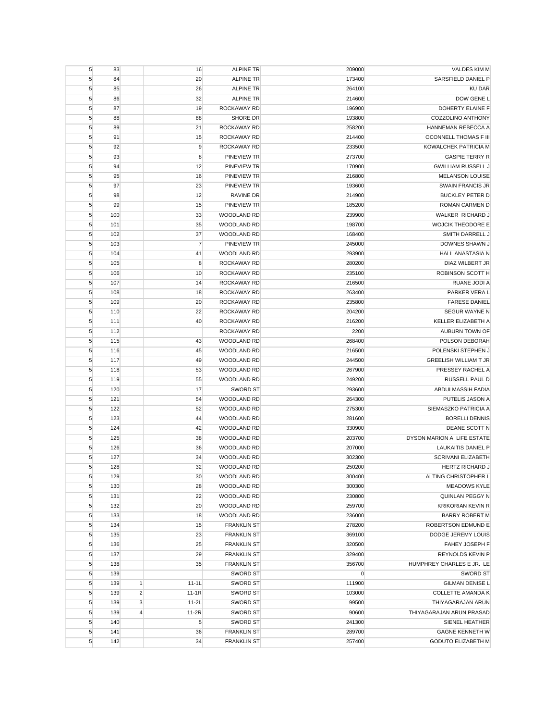| 5          | 83  |                | 16             | <b>ALPINE TR</b>           | 209000         | VALDES KIM M                     |
|------------|-----|----------------|----------------|----------------------------|----------------|----------------------------------|
| 5          | 84  |                | 20             | <b>ALPINE TR</b>           | 173400         | SARSFIELD DANIEL P               |
| 5          | 85  |                | 26             | <b>ALPINE TR</b>           | 264100         | <b>KU DAR</b>                    |
| 5          | 86  |                | 32             | <b>ALPINE TR</b>           | 214600         | DOW GENE L                       |
| $\sqrt{5}$ | 87  |                | 19             | ROCKAWAY RD                | 196900         | DOHERTY ELAINE F                 |
| $\sqrt{5}$ | 88  |                | 88             | SHORE DR                   | 193800         | COZZOLINO ANTHONY                |
| 5          | 89  |                | 21             | ROCKAWAY RD                | 258200         | HANNEMAN REBECCA A               |
| $\sqrt{5}$ | 91  |                | 15             | ROCKAWAY RD                | 214400         | OCONNELL THOMAS F III            |
| 5          | 92  |                | 9              | ROCKAWAY RD                | 233500         | KOWALCHEK PATRICIA M             |
| 5          | 93  |                | 8              | <b>PINEVIEW TR</b>         | 273700         | <b>GASPIE TERRY R</b>            |
| 5          | 94  |                | 12             | <b>PINEVIEW TR</b>         | 170900         | <b>GWILLIAM RUSSELL J</b>        |
| 5          | 95  |                | 16             | PINEVIEW TR                | 216800         | <b>MELANSON LOUISE</b>           |
| 5          | 97  |                | 23             | <b>PINEVIEW TR</b>         | 193600         | <b>SWAIN FRANCIS JR</b>          |
| 5          | 98  |                | 12             | <b>RAVINE DR</b>           | 214900         | <b>BUCKLEY PETER D</b>           |
| $\sqrt{5}$ | 99  |                | 15             | <b>PINEVIEW TR</b>         | 185200         | ROMAN CARMEN D                   |
| $\sqrt{5}$ | 100 |                | 33             | WOODLAND RD                | 239900         | WALKER RICHARD J                 |
| 5          | 101 |                | 35             | WOODLAND RD                | 198700         | <b>WOJCIK THEODORE E</b>         |
| $\sqrt{5}$ | 102 |                | 37             | WOODLAND RD                | 168400         | SMITH DARRELL J                  |
| $\sqrt{5}$ | 103 |                | $\overline{7}$ | PINEVIEW TR                | 245000         | DOWNES SHAWN J                   |
| $\sqrt{5}$ | 104 |                | 41             | WOODLAND RD                | 293900         | <b>HALL ANASTASIA N</b>          |
| 5          | 105 |                | 8              | <b>ROCKAWAY RD</b>         | 280200         | <b>DIAZ WILBERT JR</b>           |
| 5          | 106 |                | 10             | ROCKAWAY RD                | 235100         | ROBINSON SCOTT H                 |
| 5          | 107 |                | 14             | ROCKAWAY RD                | 216500         | RUANE JODI A                     |
| 5          | 108 |                | 18             | ROCKAWAY RD                | 263400         | PARKER VERA L                    |
| $\sqrt{5}$ | 109 |                | 20             | <b>ROCKAWAY RD</b>         | 235800         | <b>FARESE DANIEL</b>             |
| 5          | 110 |                | 22             | <b>ROCKAWAY RD</b>         | 204200         | SEGUR WAYNE N                    |
|            |     |                |                |                            |                | KELLER ELIZABETH A               |
| $\sqrt{5}$ | 111 |                | 40             | ROCKAWAY RD                | 216200         |                                  |
| $\sqrt{5}$ | 112 |                | 43             | ROCKAWAY RD<br>WOODLAND RD | 2200<br>268400 | AUBURN TOWN OF<br>POLSON DEBORAH |
| 5          | 115 |                |                |                            |                |                                  |
| $\sqrt{5}$ | 116 |                | 45             | WOODLAND RD                | 216500         | POLENSKI STEPHEN J               |
| 5          | 117 |                | 49             | WOODLAND RD                | 244500         | <b>GREELISH WILLIAM T JR</b>     |
| $\sqrt{5}$ | 118 |                | 53             | WOODLAND RD                | 267900         | PRESSEY RACHEL A                 |
| 5          | 119 |                | 55             | WOODLAND RD                | 249200         | RUSSELL PAUL D                   |
| 5          | 120 |                | 17             | <b>SWORD ST</b>            | 293600         | ABDULMASSIH FADIA                |
| $\sqrt{5}$ | 121 |                | 54             | WOODLAND RD                | 264300         | PUTELIS JASON A                  |
| $\sqrt{5}$ | 122 |                | 52             | WOODLAND RD                | 275300         | SIEMASZKO PATRICIA A             |
| $\sqrt{5}$ | 123 |                | 44             | WOODLAND RD                | 281600         | <b>BORELLI DENNIS</b>            |
| 5          | 124 |                | 42             | WOODLAND RD                | 330900         | DEANE SCOTT N                    |
| $\sqrt{5}$ | 125 |                | 38             | <b>WOODLAND RD</b>         | 203700         | DYSON MARION A LIFE ESTATE       |
| 5          | 126 |                | 36             | <b>WOODLAND RD</b>         | 207000         | <b>LAUKAITIS DANIEL P</b>        |
| 5          | 127 |                | 34             | WOODLAND RD                | 302300         | <b>SCRIVANI ELIZABETH</b>        |
| 5          | 128 |                | 32             | WOODLAND RD                | 250200         | HERTZ RICHARD J                  |
| 5          | 129 |                | 30             | WOODLAND RD                | 300400         | ALTING CHRISTOPHER L             |
| $\sqrt{5}$ | 130 |                | 28             | WOODLAND RD                | 300300         | <b>MEADOWS KYLE</b>              |
| $\sqrt{5}$ | 131 |                | 22             | <b>WOODLAND RD</b>         | 230800         | QUINLAN PEGGY N                  |
| $\sqrt{5}$ | 132 |                | 20             | WOODLAND RD                | 259700         | <b>KRIKORIAN KEVIN R</b>         |
| $\sqrt{5}$ | 133 |                | 18             | WOODLAND RD                | 236000         | <b>BARRY ROBERT M</b>            |
| $\sqrt{5}$ | 134 |                | 15             | <b>FRANKLIN ST</b>         | 278200         | ROBERTSON EDMUND E               |
| $\sqrt{5}$ | 135 |                | 23             | <b>FRANKLIN ST</b>         | 369100         | DODGE JEREMY LOUIS               |
| $\sqrt{5}$ | 136 |                | 25             | <b>FRANKLIN ST</b>         | 320500         | FAHEY JOSEPH F                   |
| $\sqrt{5}$ | 137 |                | 29             | <b>FRANKLIN ST</b>         | 329400         | <b>REYNOLDS KEVIN P</b>          |
| 5          | 138 |                | 35             | <b>FRANKLIN ST</b>         | 356700         | HUMPHREY CHARLES E JR. LE        |
| $\sqrt{5}$ | 139 |                |                | <b>SWORD ST</b>            | $\mathbf 0$    | <b>SWORD ST</b>                  |
| $\sqrt{5}$ | 139 | $\mathbf{1}$   | $11-1L$        | <b>SWORD ST</b>            | 111900         | <b>GILMAN DENISE L</b>           |
| $\sqrt{5}$ | 139 | $\overline{2}$ | $11-1R$        | SWORD ST                   | 103000         | <b>COLLETTE AMANDA K</b>         |
| $\sqrt{5}$ | 139 | 3              | $11-2L$        | SWORD ST                   | 99500          | THIYAGARAJAN ARUN                |
| $\sqrt{5}$ | 139 | $\overline{4}$ | 11-2R          | <b>SWORD ST</b>            | 90600          | THIYAGARAJAN ARUN PRASAD         |
| $\sqrt{5}$ | 140 |                | $\sqrt{5}$     | <b>SWORD ST</b>            | 241300         | SIENEL HEATHER                   |
| $\sqrt{5}$ | 141 |                | 36             | <b>FRANKLIN ST</b>         | 289700         | GAGNE KENNETH W                  |
| $\sqrt{5}$ | 142 |                | 34             | <b>FRANKLIN ST</b>         | 257400         | <b>GODUTO ELIZABETH M</b>        |
|            |     |                |                |                            |                |                                  |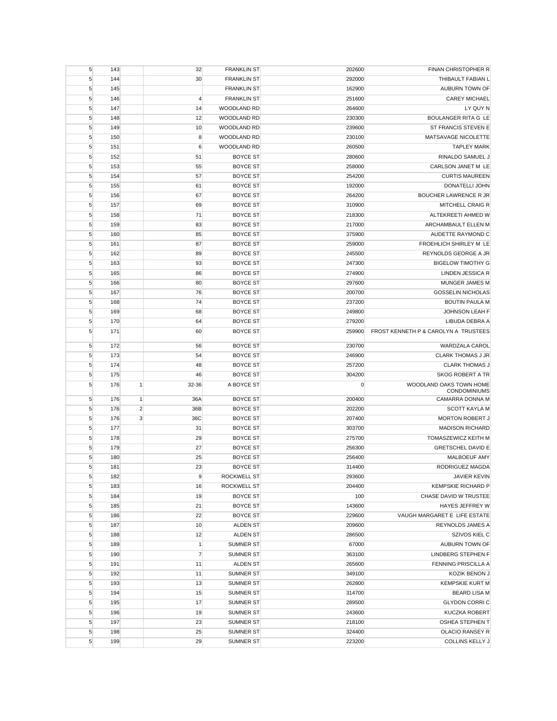| 5          | 143 |                | 32               | <b>FRANKLIN ST</b> | 202600    | FINAN CHRISTOPHER R                            |
|------------|-----|----------------|------------------|--------------------|-----------|------------------------------------------------|
| 5          | 144 |                | 30               | <b>FRANKLIN ST</b> | 292000    | THIBAULT FABIAN L                              |
| $\sqrt{5}$ | 145 |                |                  | <b>FRANKLIN ST</b> | 162900    | AUBURN TOWN OF                                 |
| 5          | 146 |                | 4                | <b>FRANKLIN ST</b> | 251600    | <b>CAREY MICHAEL</b>                           |
| $\sqrt{5}$ | 147 |                | 14               | WOODLAND RD        | 264600    | LY QUY N                                       |
| 5          | 148 |                | 12               | <b>WOODLAND RD</b> | 230300    | BOULANGER RITA G LE                            |
| 5          | 149 |                | 10               | <b>WOODLAND RD</b> | 239600    | <b>ST FRANCIS STEVEN E</b>                     |
| 5          | 150 |                | 8                | WOODLAND RD        | 230100    | MATSAVAGE NICOLETTE                            |
| 5          | 151 |                | 6                | WOODLAND RD        | 260500    | <b>TAPLEY MARK</b>                             |
| $\sqrt{5}$ | 152 |                | 51               | <b>BOYCE ST</b>    | 280600    | RINALDO SAMUEL J                               |
| $\sqrt{5}$ | 153 |                | 55               | <b>BOYCE ST</b>    | 258000    | CARLSON JANET M LE                             |
| $\sqrt{5}$ | 154 |                | 57               | <b>BOYCE ST</b>    | 254200    | <b>CURTIS MAUREEN</b>                          |
| 5          | 155 |                | 61               | <b>BOYCE ST</b>    | 192000    | DONATELLI JOHN                                 |
| $\sqrt{5}$ | 156 |                | 67               | <b>BOYCE ST</b>    | 264200    | <b>BOUCHER LAWRENCE R JR</b>                   |
| $\sqrt{5}$ | 157 |                | 69               | <b>BOYCE ST</b>    | 310900    | MITCHELL CRAIG R                               |
| 5          | 158 |                | 71               | <b>BOYCE ST</b>    | 218300    | ALTEKREETI AHMED W                             |
| 5          | 159 |                | 83               | <b>BOYCE ST</b>    | 217000    | ARCHAMBAULT ELLEN M                            |
| 5          | 160 |                | 85               | <b>BOYCE ST</b>    | 375900    | AUDETTE RAYMOND C                              |
| 5          | 161 |                | 87               | <b>BOYCE ST</b>    | 259000    | FROEHLICH SHIRLEY M LE                         |
| $\sqrt{5}$ | 162 |                | 89               | <b>BOYCE ST</b>    | 245500    | REYNOLDS GEORGE A JR                           |
| $\sqrt{5}$ | 163 |                | 93               | <b>BOYCE ST</b>    | 247300    | <b>BIGELOW TIMOTHY G</b>                       |
| $\sqrt{5}$ | 165 |                | 86               | <b>BOYCE ST</b>    | 274900    | LINDEN JESSICA R                               |
| $\sqrt{5}$ | 166 |                | 80               | <b>BOYCE ST</b>    | 297600    | MUNGER JAMES M                                 |
| $\sqrt{5}$ | 167 |                | 76               | <b>BOYCE ST</b>    | 200700    | <b>GOSSELIN NICHOLAS</b>                       |
| 5          | 168 |                | 74               | <b>BOYCE ST</b>    | 237200    | <b>BOUTIN PAULA M</b>                          |
| 5          | 169 |                | 68               | <b>BOYCE ST</b>    | 249800    | JOHNSON LEAH F                                 |
| 5          | 170 |                | 64               | <b>BOYCE ST</b>    | 279200    | LIBUDA DEBRA A                                 |
| 5          | 171 |                | 60               | <b>BOYCE ST</b>    | 259900    | FROST KENNETH P & CAROLYN A TRUSTEES           |
| 5          | 172 |                | 56               | <b>BOYCE ST</b>    | 230700    | <b>WARDZALA CAROL</b>                          |
| 5          | 173 |                | 54               | <b>BOYCE ST</b>    | 246900    | <b>CLARK THOMAS J JR</b>                       |
| $\sqrt{5}$ | 174 |                | 48               | <b>BOYCE ST</b>    | 257200    | <b>CLARK THOMAS J</b>                          |
| 5          | 175 |                | 46               | <b>BOYCE ST</b>    | 304200    | <b>SKOG ROBERT A TR</b>                        |
| 5          | 176 | 1              | 32-36            | A BOYCE ST         | $\pmb{0}$ | WOODLAND OAKS TOWN HOME<br><b>CONDOMINIUMS</b> |
| 5          | 176 | $\mathbf{1}$   | 36A              | <b>BOYCE ST</b>    | 200400    | CAMARRA DONNA M                                |
| 5          | 176 | $\overline{2}$ | 36B              | <b>BOYCE ST</b>    | 202200    | <b>SCOTT KAYLA M</b>                           |
| 5          | 176 | 3              | 36C              | <b>BOYCE ST</b>    | 207400    | <b>MORTON ROBERT J</b>                         |
| 5          | 177 |                | 31               | <b>BOYCE ST</b>    | 303700    | <b>MADISON RICHARD</b>                         |
| 5          | 178 |                | 29               | <b>BOYCE ST</b>    | 275700    | TOMASZEWICZ KEITH M                            |
| $\sqrt{5}$ | 179 |                | 27               | <b>BOYCE ST</b>    | 256300    | <b>GRETSCHEL DAVID E</b>                       |
| 5          | 180 |                | 25               | <b>BOYCE ST</b>    | 256400    | MALBOEUF AMY                                   |
| 5          | 181 |                | 23               | <b>BOYCE ST</b>    | 314400    | RODRIGUEZ MAGDA                                |
| 5          | 182 |                | $\boldsymbol{9}$ | ROCKWELL ST        | 293600    | JAVIER KEVIN                                   |
| $\sqrt{5}$ | 183 |                | 16               | <b>ROCKWELL ST</b> | 204400    | <b>KEMPSKIE RICHARD P</b>                      |
| 5          | 184 |                | 19               | <b>BOYCE ST</b>    | 100       | CHASE DAVID W TRUSTEE                          |
| 5          | 185 |                | 21               | <b>BOYCE ST</b>    | 143600    | HAYES JEFFREY W                                |
| 5          | 186 |                | 22               | <b>BOYCE ST</b>    | 229600    | VAUGH MARGARET E LIFE ESTATE                   |
| 5          | 187 |                | 10               | <b>ALDEN ST</b>    | 209600    | REYNOLDS JAMES A                               |
| $\sqrt{5}$ | 188 |                | 12               | <b>ALDEN ST</b>    | 286500    | SZIVOS KIEL C                                  |
| 5          | 189 |                | $\mathbf{1}$     | SUMNER ST          | 67000     | AUBURN TOWN OF                                 |
| $\sqrt{5}$ | 190 |                | $\overline{7}$   | <b>SUMNER ST</b>   | 363100    | LINDBERG STEPHEN F                             |
| $\sqrt{5}$ | 191 |                | 11               | <b>ALDEN ST</b>    | 265600    | FENNING PRISCILLA A                            |
| $\sqrt{5}$ | 192 |                | 11               | <b>SUMNER ST</b>   | 349100    | KOZIK BENON J                                  |
| 5          | 193 |                | 13               | SUMNER ST          | 262800    | <b>KEMPSKIE KURT M</b>                         |
| 5          | 194 |                | 15               | <b>SUMNER ST</b>   | 314700    | <b>BEARD LISA M</b>                            |
| 5          | 195 |                | 17               | <b>SUMNER ST</b>   | 289500    | <b>GLYDON CORRI C</b>                          |
| 5          | 196 |                | 19               | <b>SUMNER ST</b>   | 243600    | <b>KUCZKA ROBERT</b>                           |
| $\sqrt{5}$ | 197 |                | 23               | <b>SUMNER ST</b>   | 218100    | OSHEA STEPHEN T                                |
| 5          | 198 |                | 25               | <b>SUMNER ST</b>   | 324400    | OLACIO RANSEY R                                |
| $\sqrt{5}$ | 199 |                | 29               | <b>SUMNER ST</b>   | 223200    | <b>COLLINS KELLY J</b>                         |
|            |     |                |                  |                    |           |                                                |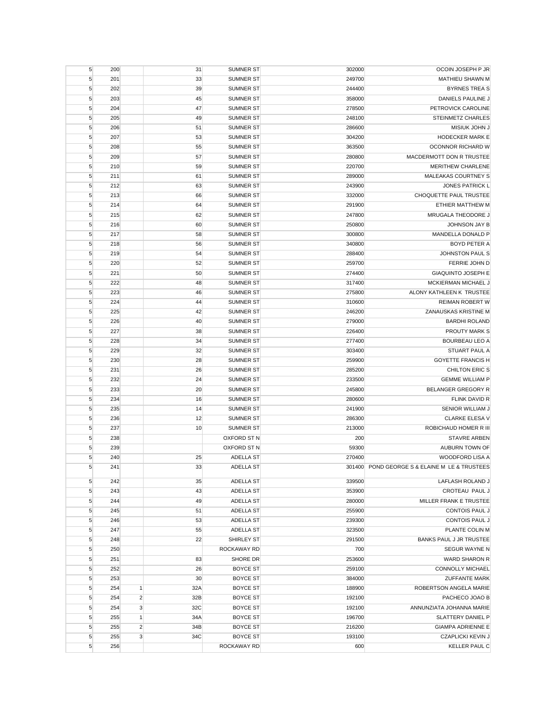| 5               | 200        |                | 31       | <b>SUMNER ST</b>                     | 302000           | OCOIN JOSEPH P JR                             |
|-----------------|------------|----------------|----------|--------------------------------------|------------------|-----------------------------------------------|
| 5               | 201        |                | 33       | <b>SUMNER ST</b>                     | 249700           | <b>MATHIEU SHAWN M</b>                        |
| 5               | 202        |                | 39       | <b>SUMNER ST</b>                     | 244400           | <b>BYRNES TREA S</b>                          |
| 5               | 203        |                | 45       | <b>SUMNER ST</b>                     | 358000           | DANIELS PAULINE J                             |
| 5               | 204        |                | 47       | <b>SUMNER ST</b>                     | 278500           | PETROVICK CAROLINE                            |
| 5               | 205        |                | 49       | <b>SUMNER ST</b>                     | 248100           | <b>STEINMETZ CHARLES</b>                      |
| 5               | 206        |                | 51       | <b>SUMNER ST</b>                     | 286600           | MISIUK JOHN J                                 |
| $\sqrt{5}$      | 207        |                | 53       | <b>SUMNER ST</b>                     | 304200           | <b>HODECKER MARK E</b>                        |
| 5               | 208        |                | 55       | <b>SUMNER ST</b>                     | 363500           | OCONNOR RICHARD W                             |
| $\sqrt{5}$      | 209        |                | 57       | SUMNER ST                            | 280800           | MACDERMOTT DON R TRUSTEE                      |
| 5               | 210        |                | 59       | <b>SUMNER ST</b>                     | 220700           | <b>MERITHEW CHARLENE</b>                      |
| 5               | 211        |                | 61       | <b>SUMNER ST</b>                     | 289000           | MALEAKAS COURTNEY S                           |
| $\sqrt{5}$      | 212        |                | 63       | <b>SUMNER ST</b>                     | 243900           | JONES PATRICK L                               |
| $\sqrt{5}$      | 213        |                | 66       | <b>SUMNER ST</b>                     | 332000           | CHOQUETTE PAUL TRUSTEE                        |
| 5               | 214        |                | 64       | <b>SUMNER ST</b>                     | 291900           | ETHIER MATTHEW M                              |
| 5               | 215        |                | 62       | <b>SUMNER ST</b>                     | 247800           | MRUGALA THEODORE J                            |
| 5               | 216        |                | 60       | <b>SUMNER ST</b>                     | 250800           | JOHNSON JAY B                                 |
| 5               | 217        |                | 58       | <b>SUMNER ST</b>                     | 300800           | MANDELLA DONALD P                             |
| 5               | 218        |                | 56       | <b>SUMNER ST</b>                     | 340800           | <b>BOYD PETER A</b>                           |
| 5               | 219        |                | 54       | <b>SUMNER ST</b>                     | 288400           | JOHNSTON PAUL S                               |
| $\sqrt{5}$      | 220        |                | 52       | <b>SUMNER ST</b>                     | 259700           | FERRIE JOHN D                                 |
| 5               | 221        |                | 50       | <b>SUMNER ST</b>                     | 274400           | <b>GIAQUINTO JOSEPH E</b>                     |
| 5               | 222        |                | 48       | <b>SUMNER ST</b>                     | 317400           | MCKIERMAN MICHAEL J                           |
| 5               | 223        |                | 46       | <b>SUMNER ST</b>                     | 275800           | ALONY KATHLEEN K TRUSTEE                      |
| $\sqrt{5}$      | 224        |                | 44       | <b>SUMNER ST</b>                     | 310600           | <b>REIMAN ROBERT W</b>                        |
| 5               | 225        |                | 42       | <b>SUMNER ST</b>                     | 246200           | ZANAUSKAS KRISTINE M                          |
|                 |            |                |          |                                      |                  | <b>BARDHI ROLAND</b>                          |
| 5<br>$\sqrt{5}$ | 226<br>227 |                | 40<br>38 | <b>SUMNER ST</b><br><b>SUMNER ST</b> | 279000<br>226400 | PROUTY MARK S                                 |
|                 |            |                | 34       |                                      |                  | <b>BOURBEAU LEO A</b>                         |
| 5               | 228        |                |          | <b>SUMNER ST</b>                     | 277400           |                                               |
| $\sqrt{5}$      | 229        |                | 32       | <b>SUMNER ST</b>                     | 303400           | STUART PAUL A                                 |
| 5               | 230        |                | 28       | <b>SUMNER ST</b>                     | 259900           | <b>GOYETTE FRANCIS H</b>                      |
| $\sqrt{5}$      | 231<br>232 |                | 26       | <b>SUMNER ST</b><br><b>SUMNER ST</b> | 285200<br>233500 | CHILTON ERIC S<br><b>GEMME WILLIAM P</b>      |
| $\sqrt{5}$      |            |                | 24       |                                      |                  |                                               |
| 5               | 233        |                | 20       | <b>SUMNER ST</b>                     | 245800           | BELANGER GREGORY R                            |
| 5               | 234        |                | 16       | <b>SUMNER ST</b>                     | 280600           | FLINK DAVID R                                 |
| 5               | 235        |                | 14       | <b>SUMNER ST</b>                     | 241900           | SENIOR WILLIAM J                              |
| $\sqrt{5}$      | 236        |                | 12       | <b>SUMNER ST</b>                     | 286300           | <b>CLARKE ELESA V</b>                         |
| 5               | 237        |                | 10       | <b>SUMNER ST</b><br>OXFORD ST N      | 213000           | ROBICHAUD HOMER R III<br><b>STAVRE ARBEN</b>  |
| $\sqrt{5}$      | 238        |                |          |                                      | 200              |                                               |
| 5               | 239        |                |          | <b>OXFORD ST N</b>                   | 59300            | AUBURN TOWN OF                                |
| 5               | 240        |                | 25       | <b>ADELLA ST</b>                     | 270400           | WOODFORD LISA A                               |
| 5               | 241        |                | 33       | <b>ADELLA ST</b>                     |                  | 301400 POND GEORGE S & ELAINE M LE & TRUSTEES |
| $\sqrt{5}$      | 242        |                | 35       | <b>ADELLA ST</b>                     | 339500           | LAFLASH ROLAND J                              |
| 5               | 243        |                | 43       | ADELLA ST                            | 353900           | CROTEAU PAUL J                                |
| 5               | 244        |                | 49       | <b>ADELLA ST</b>                     | 280000           | MILLER FRANK E TRUSTEE                        |
| 5               | 245        |                | 51       | <b>ADELLA ST</b>                     | 255900           | <b>CONTOIS PAUL J</b>                         |
| 5               | 246        |                | 53       | ADELLA ST                            | 239300           | <b>CONTOIS PAUL J</b>                         |
| 5               | 247        |                | 55       | <b>ADELLA ST</b>                     | 323500           | PLANTE COLIN M                                |
| $\sqrt{5}$      | 248        |                | 22       | SHIRLEY ST                           | 291500           | BANKS PAUL J JR TRUSTEE                       |
| $\sqrt{5}$      | 250        |                |          | ROCKAWAY RD                          | 700              | <b>SEGUR WAYNE N</b>                          |
| $\sqrt{5}$      | 251        |                | 83       | SHORE DR                             | 253600           | WARD SHARON R                                 |
| $\sqrt{5}$      | 252        |                | 26       | <b>BOYCE ST</b>                      | 259100           | <b>CONNOLLY MICHAEL</b>                       |
| 5               | 253        |                | 30       | <b>BOYCE ST</b>                      | 384000           | <b>ZUFFANTE MARK</b>                          |
| $\sqrt{5}$      | 254        | $\mathbf{1}$   | 32A      | <b>BOYCE ST</b>                      | 188900           | ROBERTSON ANGELA MARIE                        |
| 5               | 254        | $\overline{2}$ | 32B      | <b>BOYCE ST</b>                      | 192100           | PACHECO JOAO B                                |
| 5               | 254        | 3              | 32C      | <b>BOYCE ST</b>                      | 192100           | ANNUNZIATA JOHANNA MARIE                      |
| 5               | 255        | 1              | 34A      | <b>BOYCE ST</b>                      | 196700           | SLATTERY DANIEL P                             |
| $\sqrt{5}$      | 255        | $\overline{2}$ | 34B      | <b>BOYCE ST</b>                      | 216200           | <b>GIAMPA ADRIENNE E</b>                      |
| $\sqrt{5}$      | 255        | $\mathbf{3}$   | 34C      | <b>BOYCE ST</b>                      | 193100           | <b>CZAPLICKI KEVIN J</b>                      |
| $\sqrt{5}$      | 256        |                |          | ROCKAWAY RD                          | 600              | <b>KELLER PAUL C</b>                          |
|                 |            |                |          |                                      |                  |                                               |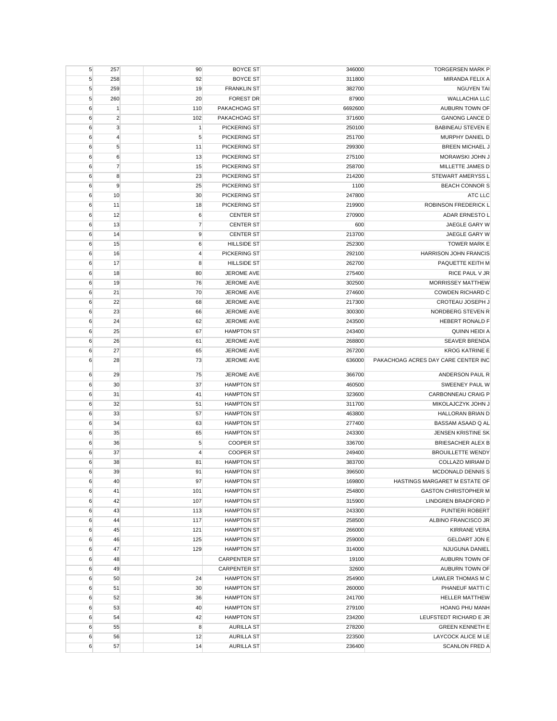| 5      | 257            | 90             | <b>BOYCE ST</b>          | 346000           | <b>TORGERSEN MARK P</b>                                      |
|--------|----------------|----------------|--------------------------|------------------|--------------------------------------------------------------|
| 5      | 258            | 92             | <b>BOYCE ST</b>          | 311800           | MIRANDA FELIX A                                              |
| 5      | 259            | 19             | <b>FRANKLIN ST</b>       | 382700           | <b>NGUYEN TAI</b>                                            |
| 5      | 260            | 20             | <b>FOREST DR</b>         | 87900            | <b>WALLACHIA LLC</b>                                         |
| 6      | $\mathbf{1}$   | 110            | PAKACHOAG ST             | 6692600          | AUBURN TOWN OF                                               |
| 6      | $\overline{c}$ | 102            | PAKACHOAG ST             | 371600           | <b>GANONG LANCE D</b>                                        |
| 6      | 3              | $\mathbf{1}$   | PICKERING ST             | 250100           | <b>BABINEAU STEVEN E</b>                                     |
| 6      | $\overline{4}$ | 5              | PICKERING ST             | 251700           | MURPHY DANIEL D                                              |
| 6      | 5              | 11             | PICKERING ST             | 299300           | <b>BREEN MICHAEL J</b>                                       |
| 6      | 6              | 13             | PICKERING ST             | 275100           | MORAWSKI JOHN J                                              |
| 6      | $\overline{7}$ | 15             | PICKERING ST             | 258700           | MILLETTE JAMES D                                             |
| 6      | 8              | 23             | PICKERING ST             | 214200           | STEWART AMERYSS L                                            |
| 6      | 9              | 25             | PICKERING ST             | 1100             | <b>BEACH CONNOR S</b>                                        |
| 6      | 10             | 30             | PICKERING ST             | 247800           | ATC LLC                                                      |
| 6      | 11             | 18             | PICKERING ST             | 219900           | ROBINSON FREDERICK L                                         |
| 6      | 12             | 6              | <b>CENTER ST</b>         | 270900           | ADAR ERNESTO L                                               |
| 6      | 13             | $\overline{7}$ | <b>CENTER ST</b>         | 600              | JAEGLE GARY W                                                |
| 6      | 14             | 9              | <b>CENTER ST</b>         | 213700           | JAEGLE GARY W                                                |
| 6      | 15             | 6              | <b>HILLSIDE ST</b>       | 252300           | <b>TOWER MARK E</b>                                          |
| 6      | 16             | $\overline{4}$ | PICKERING ST             | 292100           | HARRISON JOHN FRANCIS                                        |
| 6      | 17             | 8              | <b>HILLSIDE ST</b>       | 262700           | PAQUETTE KEITH M                                             |
| 6      | 18             | 80             | <b>JEROME AVE</b>        | 275400           | RICE PAUL V JR                                               |
| 6      | 19             | 76             | JEROME AVE               | 302500           | <b>MORRISSEY MATTHEW</b>                                     |
| 6      | 21             | 70             | JEROME AVE               | 274600           | COWDEN RICHARD C                                             |
| 6      | 22             | 68             | JEROME AVE               | 217300           | CROTEAU JOSEPH J                                             |
| 6      | 23             | 66             | JEROME AVE               | 300300           | NORDBERG STEVEN R                                            |
| 6      | 24             | 62             | <b>JEROME AVE</b>        | 243500           | HEBERT RONALD F                                              |
| 6      | 25             | 67             | <b>HAMPTON ST</b>        | 243400           | <b>QUINN HEIDI A</b>                                         |
| 6      | 26             | 61             | JEROME AVE               | 268800           | <b>SEAVER BRENDA</b>                                         |
|        | 27             |                |                          |                  |                                                              |
| 6<br>6 | 28             | 65             | JEROME AVE<br>JEROME AVE | 267200<br>636000 | <b>KROG KATRINE E</b><br>PAKACHOAG ACRES DAY CARE CENTER INC |
|        |                | 73             |                          |                  |                                                              |
| 6      | 29             | 75             | JEROME AVE               | 366700           | ANDERSON PAUL R                                              |
| 6      | 30             | 37             | <b>HAMPTON ST</b>        | 460500           | SWEENEY PAUL W                                               |
| 6      | 31             | 41             | <b>HAMPTON ST</b>        | 323600           | CARBONNEAU CRAIG P                                           |
| 6      | 32             | 51             | <b>HAMPTON ST</b>        | 311700           | MIKOLAJCZYK JOHN J                                           |
| 6      | 33             | 57             | <b>HAMPTON ST</b>        | 463800           | HALLORAN BRIAN D                                             |
| 6      | 34             | 63             | <b>HAMPTON ST</b>        | 277400           | BASSAM ASAAD Q AL                                            |
| 6      | 35             | 65             | <b>HAMPTON ST</b>        | 243300           | JENSEN KRISTINE SK                                           |
| 6      | 36             | 5              | <b>COOPER ST</b>         | 336700           | BRIESACHER ALEX B                                            |
| 6      | 37             | 4              | <b>COOPER ST</b>         | 249400           | <b>BROUILLETTE WENDY</b>                                     |
| 6      | 38             | 81             | <b>HAMPTON ST</b>        | 383700           | COLLAZO MIRIAM D                                             |
| 6      | 39             | 91             | <b>HAMPTON ST</b>        | 396500           | MCDONALD DENNIS S                                            |
| 6      | 40             | 97             | <b>HAMPTON ST</b>        | 169800           | HASTINGS MARGARET M ESTATE OF                                |
| 6      |                |                |                          |                  |                                                              |
| 6      | 41             | 101            | <b>HAMPTON ST</b>        | 254800           | <b>GASTON CHRISTOPHER M</b>                                  |
|        | 42             | 107            | <b>HAMPTON ST</b>        | 315900           | LINDGREN BRADFORD P                                          |
| 6      | 43             | 113            | <b>HAMPTON ST</b>        | 243300           | PUNTIERI ROBERT                                              |
| 6      | 44             | 117            | <b>HAMPTON ST</b>        | 258500           | ALBINO FRANCISCO JR                                          |
| 6      | 45             | 121            | <b>HAMPTON ST</b>        | 266000           | <b>KIRRANE VERA</b>                                          |
| 6      | 46             | 125            | <b>HAMPTON ST</b>        | 259000           | <b>GELDART JON E</b>                                         |
| 6      | 47             | 129            | <b>HAMPTON ST</b>        | 314000           | NJUGUNA DANIEL                                               |
| 6      | 48             |                | <b>CARPENTER ST</b>      | 19100            | AUBURN TOWN OF                                               |
| 6      | 49             |                | <b>CARPENTER ST</b>      | 32600            | AUBURN TOWN OF                                               |
| 6      | 50             | 24             | <b>HAMPTON ST</b>        | 254900           | LAWLER THOMAS M C                                            |
| 6      | 51             | 30             | <b>HAMPTON ST</b>        | 260000           | PHANEUF MATTI C                                              |
| 6      | 52             | 36             | <b>HAMPTON ST</b>        | 241700           | <b>HELLER MATTHEW</b>                                        |
| 6      | 53             | 40             | <b>HAMPTON ST</b>        | 279100           | HOANG PHU MANH                                               |
| 6      | 54             | 42             | <b>HAMPTON ST</b>        | 234200           | LEUFSTEDT RICHARD E JR                                       |
| 6      | 55             | 8              | <b>AURILLA ST</b>        | 278200           | <b>GREEN KENNETH E</b>                                       |
| 6      | 56             | 12             | <b>AURILLA ST</b>        | 223500           | LAYCOCK ALICE M LE                                           |
| 6      | 57             | 14             | <b>AURILLA ST</b>        | 236400           | <b>SCANLON FRED A</b>                                        |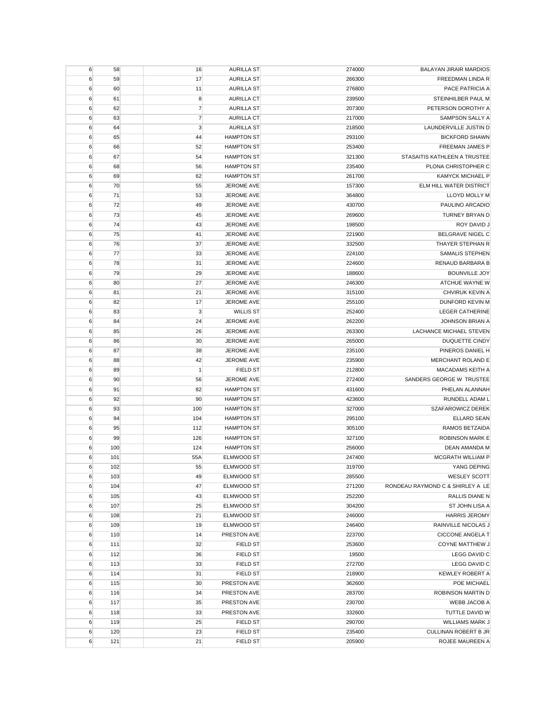| 266300<br>6<br>59<br>17<br><b>AURILLA ST</b><br>6<br>60<br>11<br><b>AURILLA ST</b><br>276800<br>6<br>61<br>8<br><b>AURILLA CT</b><br>239500<br>$\overline{7}$<br>6<br>62<br><b>AURILLA ST</b><br>207300<br>$\overline{7}$<br><b>AURILLA CT</b><br>217000<br>6<br>63<br>3<br>218500<br>6<br>64<br><b>AURILLA ST</b><br><b>HAMPTON ST</b><br>293100<br>6<br>65<br>44<br>253400<br>6<br>66<br>52<br><b>HAMPTON ST</b><br>$\boldsymbol{6}$<br>54<br>STASAITIS KATHLEEN A TRUSTEE<br>67<br><b>HAMPTON ST</b><br>321300<br>235400<br>6<br>56<br><b>HAMPTON ST</b><br>68<br>$\boldsymbol{6}$<br>69<br>62<br><b>HAMPTON ST</b><br>261700<br>6<br>70<br>55<br>JEROME AVE<br>157300<br>71<br>6<br>53<br>JEROME AVE<br>364800<br>49<br>430700<br>6<br>72<br>JEROME AVE<br>6<br>73<br>45<br>JEROME AVE<br>269600<br>74<br>198500<br>6<br>43<br>JEROME AVE<br>75<br>221900<br>6<br>41<br>JEROME AVE<br>76<br>37<br>332500<br>6<br>JEROME AVE<br>224100<br>6<br>77<br>33<br>JEROME AVE<br>$\boldsymbol{6}$<br>31<br>78<br>JEROME AVE<br>224600 | <b>FREEDMAN LINDA R</b><br>PACE PATRICIA A<br>STEINHILBER PAUL M<br>PETERSON DOROTHY A<br><b>SAMPSON SALLY A</b><br>LAUNDERVILLE JUSTIN D<br><b>BICKFORD SHAWN</b><br>FREEMAN JAMES P<br>PLONA CHRISTOPHER C<br>KAMYCK MICHAEL P<br>ELM HILL WATER DISTRICT<br>LLOYD MOLLY M<br>PAULINO ARCADIO<br>TURNEY BRYAN D |
|----------------------------------------------------------------------------------------------------------------------------------------------------------------------------------------------------------------------------------------------------------------------------------------------------------------------------------------------------------------------------------------------------------------------------------------------------------------------------------------------------------------------------------------------------------------------------------------------------------------------------------------------------------------------------------------------------------------------------------------------------------------------------------------------------------------------------------------------------------------------------------------------------------------------------------------------------------------------------------------------------------------------------------|-------------------------------------------------------------------------------------------------------------------------------------------------------------------------------------------------------------------------------------------------------------------------------------------------------------------|
|                                                                                                                                                                                                                                                                                                                                                                                                                                                                                                                                                                                                                                                                                                                                                                                                                                                                                                                                                                                                                                  |                                                                                                                                                                                                                                                                                                                   |
|                                                                                                                                                                                                                                                                                                                                                                                                                                                                                                                                                                                                                                                                                                                                                                                                                                                                                                                                                                                                                                  |                                                                                                                                                                                                                                                                                                                   |
|                                                                                                                                                                                                                                                                                                                                                                                                                                                                                                                                                                                                                                                                                                                                                                                                                                                                                                                                                                                                                                  |                                                                                                                                                                                                                                                                                                                   |
|                                                                                                                                                                                                                                                                                                                                                                                                                                                                                                                                                                                                                                                                                                                                                                                                                                                                                                                                                                                                                                  |                                                                                                                                                                                                                                                                                                                   |
|                                                                                                                                                                                                                                                                                                                                                                                                                                                                                                                                                                                                                                                                                                                                                                                                                                                                                                                                                                                                                                  |                                                                                                                                                                                                                                                                                                                   |
|                                                                                                                                                                                                                                                                                                                                                                                                                                                                                                                                                                                                                                                                                                                                                                                                                                                                                                                                                                                                                                  |                                                                                                                                                                                                                                                                                                                   |
|                                                                                                                                                                                                                                                                                                                                                                                                                                                                                                                                                                                                                                                                                                                                                                                                                                                                                                                                                                                                                                  |                                                                                                                                                                                                                                                                                                                   |
|                                                                                                                                                                                                                                                                                                                                                                                                                                                                                                                                                                                                                                                                                                                                                                                                                                                                                                                                                                                                                                  |                                                                                                                                                                                                                                                                                                                   |
|                                                                                                                                                                                                                                                                                                                                                                                                                                                                                                                                                                                                                                                                                                                                                                                                                                                                                                                                                                                                                                  |                                                                                                                                                                                                                                                                                                                   |
|                                                                                                                                                                                                                                                                                                                                                                                                                                                                                                                                                                                                                                                                                                                                                                                                                                                                                                                                                                                                                                  |                                                                                                                                                                                                                                                                                                                   |
|                                                                                                                                                                                                                                                                                                                                                                                                                                                                                                                                                                                                                                                                                                                                                                                                                                                                                                                                                                                                                                  |                                                                                                                                                                                                                                                                                                                   |
|                                                                                                                                                                                                                                                                                                                                                                                                                                                                                                                                                                                                                                                                                                                                                                                                                                                                                                                                                                                                                                  |                                                                                                                                                                                                                                                                                                                   |
|                                                                                                                                                                                                                                                                                                                                                                                                                                                                                                                                                                                                                                                                                                                                                                                                                                                                                                                                                                                                                                  |                                                                                                                                                                                                                                                                                                                   |
|                                                                                                                                                                                                                                                                                                                                                                                                                                                                                                                                                                                                                                                                                                                                                                                                                                                                                                                                                                                                                                  |                                                                                                                                                                                                                                                                                                                   |
|                                                                                                                                                                                                                                                                                                                                                                                                                                                                                                                                                                                                                                                                                                                                                                                                                                                                                                                                                                                                                                  |                                                                                                                                                                                                                                                                                                                   |
|                                                                                                                                                                                                                                                                                                                                                                                                                                                                                                                                                                                                                                                                                                                                                                                                                                                                                                                                                                                                                                  | ROY DAVID J                                                                                                                                                                                                                                                                                                       |
|                                                                                                                                                                                                                                                                                                                                                                                                                                                                                                                                                                                                                                                                                                                                                                                                                                                                                                                                                                                                                                  | BELGRAVE NIGEL C                                                                                                                                                                                                                                                                                                  |
|                                                                                                                                                                                                                                                                                                                                                                                                                                                                                                                                                                                                                                                                                                                                                                                                                                                                                                                                                                                                                                  | THAYER STEPHAN R                                                                                                                                                                                                                                                                                                  |
|                                                                                                                                                                                                                                                                                                                                                                                                                                                                                                                                                                                                                                                                                                                                                                                                                                                                                                                                                                                                                                  |                                                                                                                                                                                                                                                                                                                   |
|                                                                                                                                                                                                                                                                                                                                                                                                                                                                                                                                                                                                                                                                                                                                                                                                                                                                                                                                                                                                                                  | <b>SAMALIS STEPHEN</b>                                                                                                                                                                                                                                                                                            |
|                                                                                                                                                                                                                                                                                                                                                                                                                                                                                                                                                                                                                                                                                                                                                                                                                                                                                                                                                                                                                                  | <b>RENAUD BARBARA B</b>                                                                                                                                                                                                                                                                                           |
| 6<br>79<br>29<br><b>JEROME AVE</b><br>188600                                                                                                                                                                                                                                                                                                                                                                                                                                                                                                                                                                                                                                                                                                                                                                                                                                                                                                                                                                                     | <b>BOUNVILLE JOY</b>                                                                                                                                                                                                                                                                                              |
| 6<br>80<br>27<br>JEROME AVE<br>246300                                                                                                                                                                                                                                                                                                                                                                                                                                                                                                                                                                                                                                                                                                                                                                                                                                                                                                                                                                                            | ATCHUE WAYNE W                                                                                                                                                                                                                                                                                                    |
| 21<br>6<br>81<br>JEROME AVE<br>315100                                                                                                                                                                                                                                                                                                                                                                                                                                                                                                                                                                                                                                                                                                                                                                                                                                                                                                                                                                                            | CHVIRUK KEVIN A                                                                                                                                                                                                                                                                                                   |
| 255100<br>6<br>82<br>17<br>JEROME AVE                                                                                                                                                                                                                                                                                                                                                                                                                                                                                                                                                                                                                                                                                                                                                                                                                                                                                                                                                                                            | DUNFORD KEVIN M                                                                                                                                                                                                                                                                                                   |
| <b>WILLIS ST</b><br>252400<br>6<br>83<br>3                                                                                                                                                                                                                                                                                                                                                                                                                                                                                                                                                                                                                                                                                                                                                                                                                                                                                                                                                                                       | <b>LEGER CATHERINE</b>                                                                                                                                                                                                                                                                                            |
| 24<br>262200<br>6<br>84<br>JEROME AVE                                                                                                                                                                                                                                                                                                                                                                                                                                                                                                                                                                                                                                                                                                                                                                                                                                                                                                                                                                                            | JOHNSON BRIAN A                                                                                                                                                                                                                                                                                                   |
| 26<br>263300<br>LACHANCE MICHAEL STEVEN<br>6<br>85<br>JEROME AVE                                                                                                                                                                                                                                                                                                                                                                                                                                                                                                                                                                                                                                                                                                                                                                                                                                                                                                                                                                 |                                                                                                                                                                                                                                                                                                                   |
| 265000<br>6<br>86<br>30<br>JEROME AVE                                                                                                                                                                                                                                                                                                                                                                                                                                                                                                                                                                                                                                                                                                                                                                                                                                                                                                                                                                                            | DUQUETTE CINDY                                                                                                                                                                                                                                                                                                    |
| $\boldsymbol{6}$<br>38<br>87<br>JEROME AVE<br>235100                                                                                                                                                                                                                                                                                                                                                                                                                                                                                                                                                                                                                                                                                                                                                                                                                                                                                                                                                                             | PINEROS DANIEL H                                                                                                                                                                                                                                                                                                  |
| 42<br>235900<br>6<br>JEROME AVE<br>88                                                                                                                                                                                                                                                                                                                                                                                                                                                                                                                                                                                                                                                                                                                                                                                                                                                                                                                                                                                            | MERCHANT ROLAND E                                                                                                                                                                                                                                                                                                 |
| $\mathbf{1}$<br>6<br>89<br><b>FIELD ST</b><br>212800                                                                                                                                                                                                                                                                                                                                                                                                                                                                                                                                                                                                                                                                                                                                                                                                                                                                                                                                                                             | MACADAMS KEITH A                                                                                                                                                                                                                                                                                                  |
| SANDERS GEORGE W TRUSTEE<br>6<br>90<br>56<br>JEROME AVE<br>272400                                                                                                                                                                                                                                                                                                                                                                                                                                                                                                                                                                                                                                                                                                                                                                                                                                                                                                                                                                |                                                                                                                                                                                                                                                                                                                   |
| 6<br>91<br>82<br><b>HAMPTON ST</b><br>431600                                                                                                                                                                                                                                                                                                                                                                                                                                                                                                                                                                                                                                                                                                                                                                                                                                                                                                                                                                                     | PHELAN ALANNAH                                                                                                                                                                                                                                                                                                    |
| 6<br>92<br>90<br><b>HAMPTON ST</b><br>423600                                                                                                                                                                                                                                                                                                                                                                                                                                                                                                                                                                                                                                                                                                                                                                                                                                                                                                                                                                                     | RUNDELL ADAM L                                                                                                                                                                                                                                                                                                    |
| 6<br>93<br>100<br><b>HAMPTON ST</b><br>327000                                                                                                                                                                                                                                                                                                                                                                                                                                                                                                                                                                                                                                                                                                                                                                                                                                                                                                                                                                                    | SZAFAROWICZ DEREK                                                                                                                                                                                                                                                                                                 |
| 94<br><b>HAMPTON ST</b><br>295100<br>6<br>104                                                                                                                                                                                                                                                                                                                                                                                                                                                                                                                                                                                                                                                                                                                                                                                                                                                                                                                                                                                    | <b>ELLARD SEAN</b>                                                                                                                                                                                                                                                                                                |
| 305100<br>6<br>95<br>112<br><b>HAMPTON ST</b>                                                                                                                                                                                                                                                                                                                                                                                                                                                                                                                                                                                                                                                                                                                                                                                                                                                                                                                                                                                    | RAMOS BETZAIDA                                                                                                                                                                                                                                                                                                    |
| 99<br>327100<br>6<br>126<br><b>HAMPTON ST</b>                                                                                                                                                                                                                                                                                                                                                                                                                                                                                                                                                                                                                                                                                                                                                                                                                                                                                                                                                                                    | <b>ROBINSON MARK E</b>                                                                                                                                                                                                                                                                                            |
| 6<br>100<br><b>HAMPTON ST</b><br>256000<br>124                                                                                                                                                                                                                                                                                                                                                                                                                                                                                                                                                                                                                                                                                                                                                                                                                                                                                                                                                                                   | <b>DEAN AMANDA M</b>                                                                                                                                                                                                                                                                                              |
| 6<br>101<br>55A<br>ELMWOOD ST<br>247400                                                                                                                                                                                                                                                                                                                                                                                                                                                                                                                                                                                                                                                                                                                                                                                                                                                                                                                                                                                          | MCGRATH WILLIAM P                                                                                                                                                                                                                                                                                                 |
| ELMWOOD ST<br>319700<br>6<br>102<br>55                                                                                                                                                                                                                                                                                                                                                                                                                                                                                                                                                                                                                                                                                                                                                                                                                                                                                                                                                                                           | YANG DEPING                                                                                                                                                                                                                                                                                                       |
| 49<br>6<br>103<br>285500<br>ELMWOOD ST                                                                                                                                                                                                                                                                                                                                                                                                                                                                                                                                                                                                                                                                                                                                                                                                                                                                                                                                                                                           | <b>WESLEY SCOTT</b>                                                                                                                                                                                                                                                                                               |
| $\boldsymbol{6}$<br>104<br>271200<br>47<br>ELMWOOD ST<br>RONDEAU RAYMOND C & SHIRLEY A LE                                                                                                                                                                                                                                                                                                                                                                                                                                                                                                                                                                                                                                                                                                                                                                                                                                                                                                                                        |                                                                                                                                                                                                                                                                                                                   |
| 105<br>252200<br>6<br>43<br>ELMWOOD ST                                                                                                                                                                                                                                                                                                                                                                                                                                                                                                                                                                                                                                                                                                                                                                                                                                                                                                                                                                                           | RALLIS DIANE N                                                                                                                                                                                                                                                                                                    |
| 107<br>25<br>ELMWOOD ST<br>304200<br>6                                                                                                                                                                                                                                                                                                                                                                                                                                                                                                                                                                                                                                                                                                                                                                                                                                                                                                                                                                                           | ST JOHN LISA A                                                                                                                                                                                                                                                                                                    |
| 21<br>246000<br>6<br>108<br>ELMWOOD ST                                                                                                                                                                                                                                                                                                                                                                                                                                                                                                                                                                                                                                                                                                                                                                                                                                                                                                                                                                                           | <b>HARRIS JEROMY</b>                                                                                                                                                                                                                                                                                              |
| 109<br>246400<br>6<br>19<br>ELMWOOD ST                                                                                                                                                                                                                                                                                                                                                                                                                                                                                                                                                                                                                                                                                                                                                                                                                                                                                                                                                                                           | RAINVILLE NICOLAS J                                                                                                                                                                                                                                                                                               |
| $\boldsymbol{6}$<br>110<br>223700<br>14<br>PRESTON AVE                                                                                                                                                                                                                                                                                                                                                                                                                                                                                                                                                                                                                                                                                                                                                                                                                                                                                                                                                                           | <b>CICCONE ANGELA T</b>                                                                                                                                                                                                                                                                                           |
| 32<br>253600<br>6<br>111<br><b>FIELD ST</b>                                                                                                                                                                                                                                                                                                                                                                                                                                                                                                                                                                                                                                                                                                                                                                                                                                                                                                                                                                                      | <b>COYNE MATTHEW J</b>                                                                                                                                                                                                                                                                                            |
| 6<br>36<br>19500<br>112<br><b>FIELD ST</b>                                                                                                                                                                                                                                                                                                                                                                                                                                                                                                                                                                                                                                                                                                                                                                                                                                                                                                                                                                                       | LEGG DAVID C                                                                                                                                                                                                                                                                                                      |
| 272700<br>6<br>113<br>33<br><b>FIELD ST</b>                                                                                                                                                                                                                                                                                                                                                                                                                                                                                                                                                                                                                                                                                                                                                                                                                                                                                                                                                                                      | LEGG DAVID C                                                                                                                                                                                                                                                                                                      |
| 6<br>114<br>31<br><b>FIELD ST</b><br>218900                                                                                                                                                                                                                                                                                                                                                                                                                                                                                                                                                                                                                                                                                                                                                                                                                                                                                                                                                                                      | KEWLEY ROBERT A                                                                                                                                                                                                                                                                                                   |
| 6<br>115<br>30<br>PRESTON AVE<br>362600                                                                                                                                                                                                                                                                                                                                                                                                                                                                                                                                                                                                                                                                                                                                                                                                                                                                                                                                                                                          | POE MICHAEL                                                                                                                                                                                                                                                                                                       |
| 283700<br>6<br>116<br>34<br>PRESTON AVE                                                                                                                                                                                                                                                                                                                                                                                                                                                                                                                                                                                                                                                                                                                                                                                                                                                                                                                                                                                          | ROBINSON MARTIN D                                                                                                                                                                                                                                                                                                 |
| 230700<br>6<br>117<br>35<br>PRESTON AVE                                                                                                                                                                                                                                                                                                                                                                                                                                                                                                                                                                                                                                                                                                                                                                                                                                                                                                                                                                                          | WEBB JACOB A                                                                                                                                                                                                                                                                                                      |
| 33<br>332600<br>118                                                                                                                                                                                                                                                                                                                                                                                                                                                                                                                                                                                                                                                                                                                                                                                                                                                                                                                                                                                                              |                                                                                                                                                                                                                                                                                                                   |
| 6<br>PRESTON AVE<br>$\boldsymbol{6}$<br>119<br>25<br>290700                                                                                                                                                                                                                                                                                                                                                                                                                                                                                                                                                                                                                                                                                                                                                                                                                                                                                                                                                                      | TUTTLE DAVID W                                                                                                                                                                                                                                                                                                    |
| <b>FIELD ST</b><br>120                                                                                                                                                                                                                                                                                                                                                                                                                                                                                                                                                                                                                                                                                                                                                                                                                                                                                                                                                                                                           | WILLIAMS MARK J                                                                                                                                                                                                                                                                                                   |
| 23<br>235400<br>6<br><b>FIELD ST</b>                                                                                                                                                                                                                                                                                                                                                                                                                                                                                                                                                                                                                                                                                                                                                                                                                                                                                                                                                                                             | CULLINAN ROBERT B JR                                                                                                                                                                                                                                                                                              |
| 6<br>21<br>205900<br>121<br><b>FIELD ST</b>                                                                                                                                                                                                                                                                                                                                                                                                                                                                                                                                                                                                                                                                                                                                                                                                                                                                                                                                                                                      | ROJEE MAUREEN A                                                                                                                                                                                                                                                                                                   |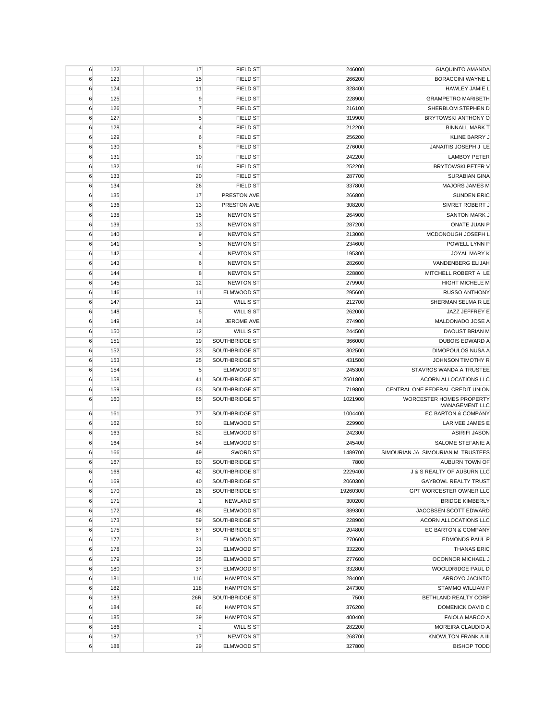| 6                | 122        | 17             | <b>FIELD ST</b>                  | 246000           | <b>GIAQUINTO AMANDA</b>                           |
|------------------|------------|----------------|----------------------------------|------------------|---------------------------------------------------|
| 6                | 123        | 15             | <b>FIELD ST</b>                  | 266200           | <b>BORACCINI WAYNE L</b>                          |
| 6                | 124        | 11             | <b>FIELD ST</b>                  | 328400           | HAWLEY JAMIE L                                    |
| 6                | 125        | 9              | <b>FIELD ST</b>                  | 228900           | <b>GRAMPETRO MARIBETH</b>                         |
| 6                | 126        | $\overline{7}$ | <b>FIELD ST</b>                  | 216100           | SHERBLOM STEPHEN D                                |
| 6                | 127        | 5              | <b>FIELD ST</b>                  | 319900           | BRYTOWSKI ANTHONY O                               |
| 6                | 128        | $\overline{4}$ | <b>FIELD ST</b>                  | 212200           | <b>BINNALL MARK T</b>                             |
| 6                | 129        | 6              | <b>FIELD ST</b>                  | 256200           | KLINE BARRY J                                     |
| 6                | 130        | 8              | <b>FIELD ST</b>                  | 276000           | JANAITIS JOSEPH J LE                              |
| 6                | 131        | 10             | <b>FIELD ST</b>                  | 242200           | <b>LAMBOY PETER</b>                               |
| 6                | 132        | 16             | <b>FIELD ST</b>                  | 252200           | <b>BRYTOWSKI PETER V</b>                          |
| 6                | 133        | 20             | <b>FIELD ST</b>                  | 287700           | <b>SURABIAN GINA</b>                              |
| 6                | 134        | 26             | <b>FIELD ST</b>                  | 337800           | <b>MAJORS JAMES M</b>                             |
| 6                | 135        | 17             | PRESTON AVE                      | 266800           | <b>SUNDEN ERIC</b>                                |
| 6                | 136        | 13             | PRESTON AVE                      | 308200           | SIVRET ROBERT J                                   |
| 6                | 138        | 15             | <b>NEWTON ST</b>                 | 264900           | <b>SANTON MARK J</b>                              |
| 6                | 139        | 13             | <b>NEWTON ST</b>                 | 287200           | ONATE JUAN P                                      |
| 6                | 140        | 9              | <b>NEWTON ST</b>                 | 213000           | MCDONOUGH JOSEPH L                                |
| 6                | 141        | 5              | <b>NEWTON ST</b>                 | 234600           | POWELL LYNN P                                     |
| 6                | 142        | $\overline{4}$ | <b>NEWTON ST</b>                 | 195300           | JOYAL MARY K                                      |
| 6                | 143        | 6              | <b>NEWTON ST</b>                 | 282600           | VANDENBERG ELIJAH                                 |
| 6                | 144        | 8              | <b>NEWTON ST</b>                 | 228800           | MITCHELL ROBERT A LE                              |
| 6                | 145        | 12             | <b>NEWTON ST</b>                 | 279900           | <b>HIGHT MICHELE M</b>                            |
| 6                | 146        | 11             | ELMWOOD ST                       | 295600           | <b>RUSSO ANTHONY</b>                              |
| 6                | 147        | 11             | <b>WILLIS ST</b>                 | 212700           | SHERMAN SELMA R LE                                |
| 6                | 148        | 5              | <b>WILLIS ST</b>                 | 262000           | JAZZ JEFFREY E                                    |
| 6                | 149        | 14             | JEROME AVE                       | 274900           | MALDONADO JOSE A                                  |
| 6                | 150        | 12             | <b>WILLIS ST</b>                 | 244500           | DAOUST BRIAN M                                    |
| 6                | 151        | 19             | SOUTHBRIDGE ST                   | 366000           | <b>DUBOIS EDWARD A</b>                            |
|                  |            | 23             |                                  |                  | DIMOPOULOS NUSA A                                 |
| 6                | 152        |                | SOUTHBRIDGE ST<br>SOUTHBRIDGE ST | 302500           | JOHNSON TIMOTHY R                                 |
| 6<br>6           | 153<br>154 | 25<br>5        | ELMWOOD ST                       | 431500<br>245300 | STAVROS WANDA A TRUSTEE                           |
|                  | 158        | 41             | SOUTHBRIDGE ST                   | 2501800          | ACORN ALLOCATIONS LLC                             |
| 6                | 159        | 63             | SOUTHBRIDGE ST                   | 719800           |                                                   |
| 6                |            |                |                                  |                  | CENTRAL ONE FEDERAL CREDIT UNION                  |
| 6                | 160        | 65             | SOUTHBRIDGE ST                   | 1021900          | <b>WORCESTER HOMES PROPERTY</b><br>MANAGEMENT LLC |
| 6                | 161        | 77             | SOUTHBRIDGE ST                   | 1004400          | EC BARTON & COMPANY                               |
| 6                | 162        | 50             | ELMWOOD ST                       | 229900           | LARIVEE JAMES E                                   |
| 6                | 163        | 52             | ELMWOOD ST                       | 242300           | <b>ASIRIFI JASON</b>                              |
| 6                | 164        | 54             | ELMWOOD ST                       | 245400           | SALOME STEFANIE A                                 |
| 6                | 166        | 49             | <b>SWORD ST</b>                  | 1489700          | SIMOURIAN JA SIMOURIAN M TRUSTEES                 |
| 6                | 167        | 60             | SOUTHBRIDGE ST                   | 7800             | <b>AUBURN TOWN OF</b>                             |
| 6                | 168        | 42             | SOUTHBRIDGE ST                   | 2229400          | J & S REALTY OF AUBURN LLC                        |
| 6                | 169        | 40             | SOUTHBRIDGE ST                   | 2060300          | <b>GAYBOWL REALTY TRUST</b>                       |
| 6                | 170        | 26             | SOUTHBRIDGE ST                   | 19260300         | GPT WORCESTER OWNER LLC                           |
| 6                | 171        | $\mathbf{1}$   | <b>NEWLAND ST</b>                | 300200           | <b>BRIDGE KIMBERLY</b>                            |
| $\boldsymbol{6}$ | 172        | 48             | ELMWOOD ST                       | 389300           | JACOBSEN SCOTT EDWARD                             |
| 6                | 173        | 59             | SOUTHBRIDGE ST                   | 228900           | ACORN ALLOCATIONS LLC                             |
| 6                | 175        | 67             | SOUTHBRIDGE ST                   | 204800           | EC BARTON & COMPANY                               |
| 6                | 177        | 31             | ELMWOOD ST                       | 270600           | <b>EDMONDS PAUL P</b>                             |
| 6                | 178        | 33             | ELMWOOD ST                       | 332200           | <b>THANAS ERIC</b>                                |
| 6                | 179        | 35             | ELMWOOD ST                       | 277600           | OCONNOR MICHAEL J                                 |
| 6                | 180        | 37             | ELMWOOD ST                       | 332800           | WOOLDRIDGE PAUL D                                 |
| 6                | 181        | 116            | <b>HAMPTON ST</b>                | 284000           | ARROYO JACINTO                                    |
| 6                | 182        | 118            | <b>HAMPTON ST</b>                | 247300           | STAMMO WILLIAM P                                  |
| $\boldsymbol{6}$ | 183        | 26R            | SOUTHBRIDGE ST                   | 7500             | BETHLAND REALTY CORP                              |
| 6                | 184        | 96             | <b>HAMPTON ST</b>                | 376200           | DOMENICK DAVID C                                  |
| 6                | 185        | 39             | <b>HAMPTON ST</b>                | 400400           | <b>FAIOLA MARCO A</b>                             |
| 6                | 186        | $\overline{2}$ | <b>WILLIS ST</b>                 | 282200           | MOREIRA CLAUDIO A                                 |
| 6                | 187        | 17             | <b>NEWTON ST</b>                 | 268700           | KNOWLTON FRANK A III                              |
| 6                | 188        | 29             | ELMWOOD ST                       | 327800           | <b>BISHOP TODD</b>                                |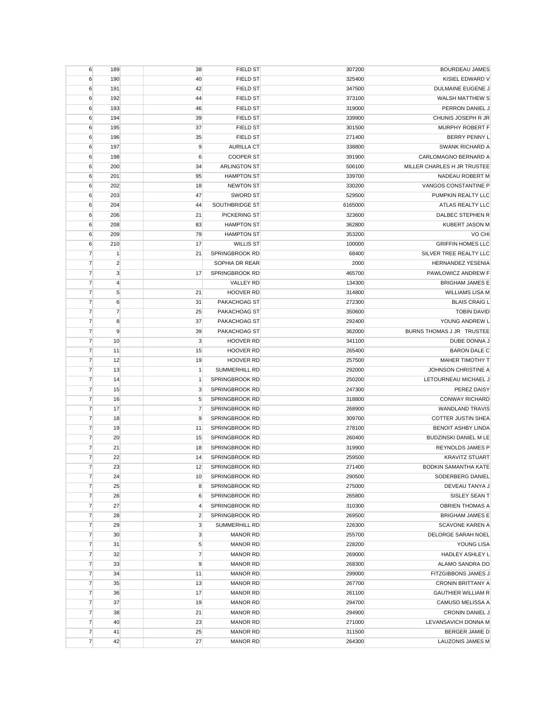| 6              | 189            | 38             | <b>FIELD ST</b>      | 307200  | <b>BOURDEAU JAMES</b>       |
|----------------|----------------|----------------|----------------------|---------|-----------------------------|
| 6              | 190            | 40             | <b>FIELD ST</b>      | 325400  | KISIEL EDWARD V             |
| 6              | 191            | 42             | <b>FIELD ST</b>      | 347500  | DULMAINE EUGENE J           |
| 6              | 192            | 44             | <b>FIELD ST</b>      | 373100  | <b>WALSH MATTHEW S</b>      |
| 6              | 193            | 46             | <b>FIELD ST</b>      | 319000  | PERRON DANIEL J             |
| 6              | 194            | 39             | <b>FIELD ST</b>      | 339900  | CHUNIS JOSEPH R JR          |
| 6              | 195            | 37             | <b>FIELD ST</b>      | 301500  | MURPHY ROBERT F             |
| 6              | 196            | 35             | <b>FIELD ST</b>      | 271400  | BERRY PENNY L               |
| 6              | 197            | 9              | <b>AURILLA CT</b>    | 338800  | <b>SWANK RICHARD A</b>      |
| 6              | 198            | 6              | <b>COOPER ST</b>     | 391900  | CARLOMAGNO BERNARD A        |
| 6              | 200            | 34             | <b>ARLINGTON ST</b>  | 506100  | MILLER CHARLES H JR TRUSTEE |
| 6              | 201            | 95             | <b>HAMPTON ST</b>    | 339700  | NADEAU ROBERT M             |
|                |                |                | <b>NEWTON ST</b>     |         | VANGOS CONSTANTINE P        |
| 6              | 202            | 18             |                      | 330200  |                             |
| 6              | 203            | 47             | <b>SWORD ST</b>      | 529500  | PUMPKIN REALTY LLC          |
| 6              | 204            | 44             | SOUTHBRIDGE ST       | 6165000 | ATLAS REALTY LLC            |
| 6              | 206            | 21             | <b>PICKERING ST</b>  | 323600  | DALBEC STEPHEN R            |
| 6              | 208            | 83             | <b>HAMPTON ST</b>    | 362800  | KUBERT JASON M              |
| 6              | 209            | 79             | <b>HAMPTON ST</b>    | 353200  | VO CHI                      |
| 6              | 210            | 17             | <b>WILLIS ST</b>     | 100000  | <b>GRIFFIN HOMES LLC</b>    |
| $\overline{7}$ | $\mathbf{1}$   | 21             | SPRINGBROOK RD       | 68400   | SILVER TREE REALTY LLC      |
| $\overline{7}$ | $\overline{2}$ |                | SOPHIA DR REAR       | 2000    | <b>HERNANDEZ YESENIA</b>    |
| $\overline{7}$ | 3              | 17             | SPRINGBROOK RD       | 465700  | PAWLOWICZ ANDREW F          |
| $\overline{7}$ | $\overline{4}$ |                | VALLEY RD            | 134300  | <b>BRIGHAM JAMES E</b>      |
| $\overline{7}$ | 5              | 21             | <b>HOOVER RD</b>     | 314800  | <b>WILLIAMS LISA M</b>      |
| $\overline{7}$ | 6              | 31             | PAKACHOAG ST         | 272300  | <b>BLAIS CRAIG L</b>        |
| $\overline{7}$ | $\overline{7}$ | 25             | PAKACHOAG ST         | 350600  | <b>TOBIN DAVID</b>          |
| $\overline{7}$ | 8              | 37             | PAKACHOAG ST         | 292400  | YOUNG ANDREW L              |
| $\overline{7}$ | 9              | 39             | PAKACHOAG ST         | 362000  | BURNS THOMAS J JR TRUSTEE   |
| $\overline{7}$ | 10             | 3              | <b>HOOVER RD</b>     | 341100  | DUBE DONNA J                |
| $\overline{7}$ | 11             | 15             | <b>HOOVER RD</b>     | 265400  | <b>BARON DALE C</b>         |
| $\overline{7}$ | 12             | 19             | <b>HOOVER RD</b>     | 257500  | <b>MAHER TIMOTHY T</b>      |
|                |                | $\mathbf{1}$   |                      |         | JOHNSON CHRISTINE A         |
| $\overline{7}$ | 13             |                | <b>SUMMERHILL RD</b> | 292000  |                             |
| $\overline{7}$ | 14             | $\mathbf{1}$   | SPRINGBROOK RD       | 250200  | LETOURNEAU MICHAEL J        |
| $\overline{7}$ | 15             | 3              | SPRINGBROOK RD       | 247300  | PEREZ DAISY                 |
| 7              | 16             | 5              | SPRINGBROOK RD       | 318800  | <b>CONWAY RICHARD</b>       |
| $\overline{7}$ | 17             | 7              | SPRINGBROOK RD       | 268900  | <b>WANDLAND TRAVIS</b>      |
| $\overline{7}$ | 18             | 9              | SPRINGBROOK RD       | 309700  | <b>COTTER JUSTIN SHEA</b>   |
| $\overline{7}$ | 19             | 11             | SPRINGBROOK RD       | 278100  | <b>BENOIT ASHBY LINDA</b>   |
| $\overline{7}$ | 20             | 15             | SPRINGBROOK RD       | 260400  | BUDZINSKI DANIEL M LE       |
| $\overline{7}$ | 21             | 18             | SPRINGBROOK RD       | 319900  | <b>REYNOLDS JAMES P</b>     |
| 7              | 22             | 14             | SPRINGBROOK RD       | 259500  | <b>KRAVITZ STUART</b>       |
| 7              | 23             | 12             | SPRINGBROOK RD       | 271400  | <b>BODKIN SAMANTHA KATE</b> |
| $\overline{7}$ | 24             | 10             | SPRINGBROOK RD       | 290500  | SODERBERG DANIEL            |
| $\overline{7}$ | 25             | 8              | SPRINGBROOK RD       | 275000  | DEVEAU TANYA J              |
| 7              | 26             | 6              | SPRINGBROOK RD       | 265800  | SISLEY SEAN T               |
| 7              | 27             | 4              | SPRINGBROOK RD       | 310300  | <b>OBRIEN THOMAS A</b>      |
| 7              | 28             | $\overline{2}$ | SPRINGBROOK RD       | 269500  | <b>BRIGHAM JAMES E</b>      |
| $\overline{7}$ | 29             | 3              | SUMMERHILL RD        | 226300  | <b>SCAVONE KAREN A</b>      |
| $\overline{7}$ | 30             | 3              | <b>MANOR RD</b>      | 255700  | DELORGE SARAH NOEL          |
| $\overline{7}$ | 31             | 5              | <b>MANOR RD</b>      | 228200  | YOUNG LISA                  |
| $\overline{7}$ | 32             | $\overline{7}$ | <b>MANOR RD</b>      | 269000  | HADLEY ASHLEY L             |
| $\overline{7}$ | 33             | 9              | <b>MANOR RD</b>      | 268300  | ALAMO SANDRA DO             |
| $\overline{7}$ | 34             | 11             | <b>MANOR RD</b>      | 299000  | <b>FITZGIBBONS JAMES J</b>  |
|                |                |                | <b>MANOR RD</b>      |         |                             |
| 7              | 35             | 13             |                      | 267700  | <b>CRONIN BRITTANY A</b>    |
| 7              | 36             | 17             | <b>MANOR RD</b>      | 261100  | <b>GAUTHIER WILLIAM R</b>   |
| $\overline{7}$ | 37             | 19             | <b>MANOR RD</b>      | 294700  | CAMUSO MELISSA A            |
| $\overline{7}$ | 38             | 21             | <b>MANOR RD</b>      | 294900  | CRONIN DANIEL J             |
| $\overline{7}$ | 40             | 23             | <b>MANOR RD</b>      | 271000  | LEVANSAVICH DONNA M         |
| 7              | 41             | 25             | <b>MANOR RD</b>      | 311500  | BERGER JAMIE D              |
| $\overline{7}$ | 42             | 27             | <b>MANOR RD</b>      | 264300  | <b>LAUZONIS JAMES M</b>     |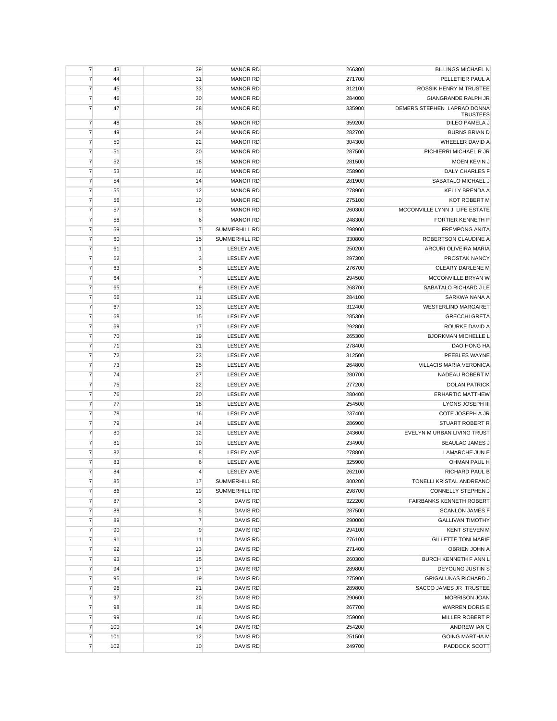| 31<br>PELLETIER PAUL A<br>7<br>44<br><b>MANOR RD</b><br>271700<br>$\overline{7}$<br>33<br><b>MANOR RD</b><br>ROSSIK HENRY M TRUSTEE<br>45<br>312100<br>$\overline{7}$<br>30<br>284000<br><b>GIANGRANDE RALPH JR</b><br>46<br><b>MANOR RD</b><br>$\overline{7}$<br>47<br>28<br>DEMERS STEPHEN LAPRAD DONNA<br><b>MANOR RD</b><br>335900<br><b>TRUSTEES</b><br>$\overline{7}$<br>DILEO PAMELA J<br>48<br>26<br><b>MANOR RD</b><br>359200<br>$\overline{7}$<br>24<br><b>BURNS BRIAN D</b><br>49<br><b>MANOR RD</b><br>282700<br>$\overline{7}$<br>22<br>WHEELER DAVID A<br>50<br><b>MANOR RD</b><br>304300<br>$\overline{7}$<br>20<br>51<br><b>MANOR RD</b><br>287500<br>PICHIERRI MICHAEL R JR<br>$\overline{7}$<br>18<br>52<br><b>MANOR RD</b><br>281500<br>MOEN KEVIN J<br>$\overline{7}$<br>16<br><b>MANOR RD</b><br><b>DALY CHARLES F</b><br>258900<br>53<br>$\overline{7}$<br>54<br>14<br><b>MANOR RD</b><br>281900<br>SABATALO MICHAEL J<br>7<br>55<br>12<br><b>MANOR RD</b><br>278900<br><b>KELLY BRENDA A</b><br>$\overline{7}$<br>10<br>56<br><b>MANOR RD</b><br>275100<br><b>KOT ROBERT M</b><br>$\overline{7}$<br>8<br>MCCONVILLE LYNN J LIFE ESTATE<br>57<br><b>MANOR RD</b><br>260300<br>$\overline{7}$<br>FORTIER KENNETH P<br>58<br>6<br><b>MANOR RD</b><br>248300<br>$\overline{7}$<br>$\overline{7}$<br><b>FREMPONG ANITA</b><br>59<br><b>SUMMERHILL RD</b><br>298900<br>$\overline{7}$<br>15<br>ROBERTSON CLAUDINE A<br>60<br><b>SUMMERHILL RD</b><br>330800<br>$\overline{7}$<br>$\mathbf{1}$<br>61<br><b>LESLEY AVE</b><br>250200<br>ARCURI OLIVEIRA MARIA<br>$\overline{7}$<br>3<br><b>LESLEY AVE</b><br>297300<br>PROSTAK NANCY<br>62<br>$\overline{7}$<br>5<br>63<br><b>LESLEY AVE</b><br>276700<br><b>OLEARY DARLENE M</b><br>$\overline{7}$<br>$\overline{7}$<br>MCCONVILLE BRYAN W<br>64<br><b>LESLEY AVE</b><br>294500<br>$\overline{7}$<br>9<br>65<br><b>LESLEY AVE</b><br>268700<br>SABATALO RICHARD J LE<br>7<br>11<br><b>LESLEY AVE</b><br>284100<br>SARKWA NANA A<br>66<br>$\overline{7}$<br><b>WESTERLIND MARGARET</b><br>67<br>13<br><b>LESLEY AVE</b><br>312400<br>$\overline{7}$<br><b>LESLEY AVE</b><br>285300<br><b>GRECCHI GRETA</b><br>68<br>15<br>$\overline{7}$<br>292800<br>ROURKE DAVID A<br>69<br>17<br><b>LESLEY AVE</b><br>$\overline{7}$<br>70<br><b>BJORKMAN MICHELLE L</b><br>19<br><b>LESLEY AVE</b><br>265300<br>$\overline{7}$<br>21<br><b>LESLEY AVE</b><br>DAO HONG HA<br>71<br>278400<br>$\overline{7}$<br>23<br>72<br><b>LESLEY AVE</b><br>312500<br>PEEBLES WAYNE<br>$\overline{7}$<br>73<br>25<br><b>LESLEY AVE</b><br>264800<br>VILLACIS MARIA VERONICA<br>$\overline{7}$<br>74<br>27<br><b>LESLEY AVE</b><br>280700<br>NADEAU ROBERT M<br>$\overline{7}$<br><b>DOLAN PATRICK</b><br>75<br>22<br><b>LESLEY AVE</b><br>277200<br>$\overline{7}$<br>20<br>76<br><b>LESLEY AVE</b><br>280400<br><b>ERHARTIC MATTHEW</b><br>$\overline{7}$<br>LYONS JOSEPH III<br>77<br>18<br><b>LESLEY AVE</b><br>254500<br>$\overline{7}$<br>78<br>16<br><b>LESLEY AVE</b><br>237400<br>COTE JOSEPH A JR<br>$\overline{7}$<br>79<br><b>STUART ROBERT R</b><br>14<br><b>LESLEY AVE</b><br>286900<br>$\overline{7}$<br>12<br><b>LESLEY AVE</b><br>EVELYN M URBAN LIVING TRUST<br>80<br>243600<br>$\overline{7}$<br>81<br>10<br><b>LESLEY AVE</b><br>234900<br><b>BEAULAC JAMES J</b><br>7<br>8<br><b>LESLEY AVE</b><br>278800<br>LAMARCHE JUN E<br>82<br>$\overline{7}$<br>6<br>83<br><b>LESLEY AVE</b><br>325900<br>OHMAN PAUL H<br>7<br><b>LESLEY AVE</b><br>262100<br>RICHARD PAUL B<br>84<br>4<br>$\overline{7}$<br>85<br>17<br>SUMMERHILL RD<br>300200<br>TONELLI KRISTAL ANDREANO<br>$\overline{7}$<br>86<br>19<br>SUMMERHILL RD<br>298700<br>CONNELLY STEPHEN J<br>$\overline{7}$<br>87<br>3<br>322200<br>FAIRBANKS KENNETH ROBERT<br>DAVIS RD<br>$\overline{7}$<br>88<br>5<br>DAVIS RD<br>287500<br><b>SCANLON JAMES F</b><br>$\overline{7}$<br>89<br>$\overline{7}$<br>DAVIS RD<br>290000<br><b>GALLIVAN TIMOTHY</b><br>$\overline{7}$<br>90<br>9<br>DAVIS RD<br>294100<br><b>KENT STEVEN M</b><br>$\overline{7}$<br>91<br>11<br>DAVIS RD<br>276100<br><b>GILLETTE TONI MARIE</b><br>$\overline{7}$<br>13<br>92<br>DAVIS RD<br>271400<br>OBRIEN JOHN A<br>$\overline{7}$<br>15<br>DAVIS RD<br>260300<br>93<br>BURCH KENNETH F ANN L<br>$\overline{7}$<br>94<br>17<br>DAVIS RD<br>289800<br>DEYOUNG JUSTIN S<br>$\overline{7}$<br>95<br>19<br>DAVIS RD<br>275900<br><b>GRIGALUNAS RICHARD J</b><br>$\overline{7}$<br>96<br>21<br>DAVIS RD<br>289800<br>SACCO JAMES JR TRUSTEE<br>20<br>DAVIS RD<br>290600<br>7<br>97<br><b>MORRISON JOAN</b><br>$\overline{7}$<br>DAVIS RD<br>98<br>18<br>267700<br><b>WARREN DORIS E</b><br>$\overline{7}$<br>99<br>259000<br>16<br>DAVIS RD<br>MILLER ROBERT P<br>$\overline{7}$<br>100<br>14<br>254200<br>DAVIS RD<br>ANDREW IAN C<br>12<br>DAVIS RD<br>251500<br>$\overline{7}$<br>101<br><b>GOING MARTHA M</b><br>$\overline{7}$<br>10<br>DAVIS RD<br>249700<br>PADDOCK SCOTT<br>102 | $\overline{7}$ | 43 | 29 | <b>MANOR RD</b> | 266300 | <b>BILLINGS MICHAEL N</b> |
|-------------------------------------------------------------------------------------------------------------------------------------------------------------------------------------------------------------------------------------------------------------------------------------------------------------------------------------------------------------------------------------------------------------------------------------------------------------------------------------------------------------------------------------------------------------------------------------------------------------------------------------------------------------------------------------------------------------------------------------------------------------------------------------------------------------------------------------------------------------------------------------------------------------------------------------------------------------------------------------------------------------------------------------------------------------------------------------------------------------------------------------------------------------------------------------------------------------------------------------------------------------------------------------------------------------------------------------------------------------------------------------------------------------------------------------------------------------------------------------------------------------------------------------------------------------------------------------------------------------------------------------------------------------------------------------------------------------------------------------------------------------------------------------------------------------------------------------------------------------------------------------------------------------------------------------------------------------------------------------------------------------------------------------------------------------------------------------------------------------------------------------------------------------------------------------------------------------------------------------------------------------------------------------------------------------------------------------------------------------------------------------------------------------------------------------------------------------------------------------------------------------------------------------------------------------------------------------------------------------------------------------------------------------------------------------------------------------------------------------------------------------------------------------------------------------------------------------------------------------------------------------------------------------------------------------------------------------------------------------------------------------------------------------------------------------------------------------------------------------------------------------------------------------------------------------------------------------------------------------------------------------------------------------------------------------------------------------------------------------------------------------------------------------------------------------------------------------------------------------------------------------------------------------------------------------------------------------------------------------------------------------------------------------------------------------------------------------------------------------------------------------------------------------------------------------------------------------------------------------------------------------------------------------------------------------------------------------------------------------------------------------------------------------------------------------------------------------------------------------------------------------------------------------------------------------------------------------------------------------------------------------------------------------------------------------------------------------------------------------------------------------------------------------------------------------------------------------------------------------------------------------------------------------------------------------------------------------------------------------------------------------------------------------------------------------------------------------------------------------------------------------------------------------------------------------------------------------------------------------------------------------------------------------------------------------------------------------------------|----------------|----|----|-----------------|--------|---------------------------|
|                                                                                                                                                                                                                                                                                                                                                                                                                                                                                                                                                                                                                                                                                                                                                                                                                                                                                                                                                                                                                                                                                                                                                                                                                                                                                                                                                                                                                                                                                                                                                                                                                                                                                                                                                                                                                                                                                                                                                                                                                                                                                                                                                                                                                                                                                                                                                                                                                                                                                                                                                                                                                                                                                                                                                                                                                                                                                                                                                                                                                                                                                                                                                                                                                                                                                                                                                                                                                                                                                                                                                                                                                                                                                                                                                                                                                                                                                                                                                                                                                                                                                                                                                                                                                                                                                                                                                                                                                                                                                                                                                                                                                                                                                                                                                                                                                                                                                                                                                                         |                |    |    |                 |        |                           |
|                                                                                                                                                                                                                                                                                                                                                                                                                                                                                                                                                                                                                                                                                                                                                                                                                                                                                                                                                                                                                                                                                                                                                                                                                                                                                                                                                                                                                                                                                                                                                                                                                                                                                                                                                                                                                                                                                                                                                                                                                                                                                                                                                                                                                                                                                                                                                                                                                                                                                                                                                                                                                                                                                                                                                                                                                                                                                                                                                                                                                                                                                                                                                                                                                                                                                                                                                                                                                                                                                                                                                                                                                                                                                                                                                                                                                                                                                                                                                                                                                                                                                                                                                                                                                                                                                                                                                                                                                                                                                                                                                                                                                                                                                                                                                                                                                                                                                                                                                                         |                |    |    |                 |        |                           |
|                                                                                                                                                                                                                                                                                                                                                                                                                                                                                                                                                                                                                                                                                                                                                                                                                                                                                                                                                                                                                                                                                                                                                                                                                                                                                                                                                                                                                                                                                                                                                                                                                                                                                                                                                                                                                                                                                                                                                                                                                                                                                                                                                                                                                                                                                                                                                                                                                                                                                                                                                                                                                                                                                                                                                                                                                                                                                                                                                                                                                                                                                                                                                                                                                                                                                                                                                                                                                                                                                                                                                                                                                                                                                                                                                                                                                                                                                                                                                                                                                                                                                                                                                                                                                                                                                                                                                                                                                                                                                                                                                                                                                                                                                                                                                                                                                                                                                                                                                                         |                |    |    |                 |        |                           |
|                                                                                                                                                                                                                                                                                                                                                                                                                                                                                                                                                                                                                                                                                                                                                                                                                                                                                                                                                                                                                                                                                                                                                                                                                                                                                                                                                                                                                                                                                                                                                                                                                                                                                                                                                                                                                                                                                                                                                                                                                                                                                                                                                                                                                                                                                                                                                                                                                                                                                                                                                                                                                                                                                                                                                                                                                                                                                                                                                                                                                                                                                                                                                                                                                                                                                                                                                                                                                                                                                                                                                                                                                                                                                                                                                                                                                                                                                                                                                                                                                                                                                                                                                                                                                                                                                                                                                                                                                                                                                                                                                                                                                                                                                                                                                                                                                                                                                                                                                                         |                |    |    |                 |        |                           |
|                                                                                                                                                                                                                                                                                                                                                                                                                                                                                                                                                                                                                                                                                                                                                                                                                                                                                                                                                                                                                                                                                                                                                                                                                                                                                                                                                                                                                                                                                                                                                                                                                                                                                                                                                                                                                                                                                                                                                                                                                                                                                                                                                                                                                                                                                                                                                                                                                                                                                                                                                                                                                                                                                                                                                                                                                                                                                                                                                                                                                                                                                                                                                                                                                                                                                                                                                                                                                                                                                                                                                                                                                                                                                                                                                                                                                                                                                                                                                                                                                                                                                                                                                                                                                                                                                                                                                                                                                                                                                                                                                                                                                                                                                                                                                                                                                                                                                                                                                                         |                |    |    |                 |        |                           |
|                                                                                                                                                                                                                                                                                                                                                                                                                                                                                                                                                                                                                                                                                                                                                                                                                                                                                                                                                                                                                                                                                                                                                                                                                                                                                                                                                                                                                                                                                                                                                                                                                                                                                                                                                                                                                                                                                                                                                                                                                                                                                                                                                                                                                                                                                                                                                                                                                                                                                                                                                                                                                                                                                                                                                                                                                                                                                                                                                                                                                                                                                                                                                                                                                                                                                                                                                                                                                                                                                                                                                                                                                                                                                                                                                                                                                                                                                                                                                                                                                                                                                                                                                                                                                                                                                                                                                                                                                                                                                                                                                                                                                                                                                                                                                                                                                                                                                                                                                                         |                |    |    |                 |        |                           |
|                                                                                                                                                                                                                                                                                                                                                                                                                                                                                                                                                                                                                                                                                                                                                                                                                                                                                                                                                                                                                                                                                                                                                                                                                                                                                                                                                                                                                                                                                                                                                                                                                                                                                                                                                                                                                                                                                                                                                                                                                                                                                                                                                                                                                                                                                                                                                                                                                                                                                                                                                                                                                                                                                                                                                                                                                                                                                                                                                                                                                                                                                                                                                                                                                                                                                                                                                                                                                                                                                                                                                                                                                                                                                                                                                                                                                                                                                                                                                                                                                                                                                                                                                                                                                                                                                                                                                                                                                                                                                                                                                                                                                                                                                                                                                                                                                                                                                                                                                                         |                |    |    |                 |        |                           |
|                                                                                                                                                                                                                                                                                                                                                                                                                                                                                                                                                                                                                                                                                                                                                                                                                                                                                                                                                                                                                                                                                                                                                                                                                                                                                                                                                                                                                                                                                                                                                                                                                                                                                                                                                                                                                                                                                                                                                                                                                                                                                                                                                                                                                                                                                                                                                                                                                                                                                                                                                                                                                                                                                                                                                                                                                                                                                                                                                                                                                                                                                                                                                                                                                                                                                                                                                                                                                                                                                                                                                                                                                                                                                                                                                                                                                                                                                                                                                                                                                                                                                                                                                                                                                                                                                                                                                                                                                                                                                                                                                                                                                                                                                                                                                                                                                                                                                                                                                                         |                |    |    |                 |        |                           |
|                                                                                                                                                                                                                                                                                                                                                                                                                                                                                                                                                                                                                                                                                                                                                                                                                                                                                                                                                                                                                                                                                                                                                                                                                                                                                                                                                                                                                                                                                                                                                                                                                                                                                                                                                                                                                                                                                                                                                                                                                                                                                                                                                                                                                                                                                                                                                                                                                                                                                                                                                                                                                                                                                                                                                                                                                                                                                                                                                                                                                                                                                                                                                                                                                                                                                                                                                                                                                                                                                                                                                                                                                                                                                                                                                                                                                                                                                                                                                                                                                                                                                                                                                                                                                                                                                                                                                                                                                                                                                                                                                                                                                                                                                                                                                                                                                                                                                                                                                                         |                |    |    |                 |        |                           |
|                                                                                                                                                                                                                                                                                                                                                                                                                                                                                                                                                                                                                                                                                                                                                                                                                                                                                                                                                                                                                                                                                                                                                                                                                                                                                                                                                                                                                                                                                                                                                                                                                                                                                                                                                                                                                                                                                                                                                                                                                                                                                                                                                                                                                                                                                                                                                                                                                                                                                                                                                                                                                                                                                                                                                                                                                                                                                                                                                                                                                                                                                                                                                                                                                                                                                                                                                                                                                                                                                                                                                                                                                                                                                                                                                                                                                                                                                                                                                                                                                                                                                                                                                                                                                                                                                                                                                                                                                                                                                                                                                                                                                                                                                                                                                                                                                                                                                                                                                                         |                |    |    |                 |        |                           |
|                                                                                                                                                                                                                                                                                                                                                                                                                                                                                                                                                                                                                                                                                                                                                                                                                                                                                                                                                                                                                                                                                                                                                                                                                                                                                                                                                                                                                                                                                                                                                                                                                                                                                                                                                                                                                                                                                                                                                                                                                                                                                                                                                                                                                                                                                                                                                                                                                                                                                                                                                                                                                                                                                                                                                                                                                                                                                                                                                                                                                                                                                                                                                                                                                                                                                                                                                                                                                                                                                                                                                                                                                                                                                                                                                                                                                                                                                                                                                                                                                                                                                                                                                                                                                                                                                                                                                                                                                                                                                                                                                                                                                                                                                                                                                                                                                                                                                                                                                                         |                |    |    |                 |        |                           |
|                                                                                                                                                                                                                                                                                                                                                                                                                                                                                                                                                                                                                                                                                                                                                                                                                                                                                                                                                                                                                                                                                                                                                                                                                                                                                                                                                                                                                                                                                                                                                                                                                                                                                                                                                                                                                                                                                                                                                                                                                                                                                                                                                                                                                                                                                                                                                                                                                                                                                                                                                                                                                                                                                                                                                                                                                                                                                                                                                                                                                                                                                                                                                                                                                                                                                                                                                                                                                                                                                                                                                                                                                                                                                                                                                                                                                                                                                                                                                                                                                                                                                                                                                                                                                                                                                                                                                                                                                                                                                                                                                                                                                                                                                                                                                                                                                                                                                                                                                                         |                |    |    |                 |        |                           |
|                                                                                                                                                                                                                                                                                                                                                                                                                                                                                                                                                                                                                                                                                                                                                                                                                                                                                                                                                                                                                                                                                                                                                                                                                                                                                                                                                                                                                                                                                                                                                                                                                                                                                                                                                                                                                                                                                                                                                                                                                                                                                                                                                                                                                                                                                                                                                                                                                                                                                                                                                                                                                                                                                                                                                                                                                                                                                                                                                                                                                                                                                                                                                                                                                                                                                                                                                                                                                                                                                                                                                                                                                                                                                                                                                                                                                                                                                                                                                                                                                                                                                                                                                                                                                                                                                                                                                                                                                                                                                                                                                                                                                                                                                                                                                                                                                                                                                                                                                                         |                |    |    |                 |        |                           |
|                                                                                                                                                                                                                                                                                                                                                                                                                                                                                                                                                                                                                                                                                                                                                                                                                                                                                                                                                                                                                                                                                                                                                                                                                                                                                                                                                                                                                                                                                                                                                                                                                                                                                                                                                                                                                                                                                                                                                                                                                                                                                                                                                                                                                                                                                                                                                                                                                                                                                                                                                                                                                                                                                                                                                                                                                                                                                                                                                                                                                                                                                                                                                                                                                                                                                                                                                                                                                                                                                                                                                                                                                                                                                                                                                                                                                                                                                                                                                                                                                                                                                                                                                                                                                                                                                                                                                                                                                                                                                                                                                                                                                                                                                                                                                                                                                                                                                                                                                                         |                |    |    |                 |        |                           |
|                                                                                                                                                                                                                                                                                                                                                                                                                                                                                                                                                                                                                                                                                                                                                                                                                                                                                                                                                                                                                                                                                                                                                                                                                                                                                                                                                                                                                                                                                                                                                                                                                                                                                                                                                                                                                                                                                                                                                                                                                                                                                                                                                                                                                                                                                                                                                                                                                                                                                                                                                                                                                                                                                                                                                                                                                                                                                                                                                                                                                                                                                                                                                                                                                                                                                                                                                                                                                                                                                                                                                                                                                                                                                                                                                                                                                                                                                                                                                                                                                                                                                                                                                                                                                                                                                                                                                                                                                                                                                                                                                                                                                                                                                                                                                                                                                                                                                                                                                                         |                |    |    |                 |        |                           |
|                                                                                                                                                                                                                                                                                                                                                                                                                                                                                                                                                                                                                                                                                                                                                                                                                                                                                                                                                                                                                                                                                                                                                                                                                                                                                                                                                                                                                                                                                                                                                                                                                                                                                                                                                                                                                                                                                                                                                                                                                                                                                                                                                                                                                                                                                                                                                                                                                                                                                                                                                                                                                                                                                                                                                                                                                                                                                                                                                                                                                                                                                                                                                                                                                                                                                                                                                                                                                                                                                                                                                                                                                                                                                                                                                                                                                                                                                                                                                                                                                                                                                                                                                                                                                                                                                                                                                                                                                                                                                                                                                                                                                                                                                                                                                                                                                                                                                                                                                                         |                |    |    |                 |        |                           |
|                                                                                                                                                                                                                                                                                                                                                                                                                                                                                                                                                                                                                                                                                                                                                                                                                                                                                                                                                                                                                                                                                                                                                                                                                                                                                                                                                                                                                                                                                                                                                                                                                                                                                                                                                                                                                                                                                                                                                                                                                                                                                                                                                                                                                                                                                                                                                                                                                                                                                                                                                                                                                                                                                                                                                                                                                                                                                                                                                                                                                                                                                                                                                                                                                                                                                                                                                                                                                                                                                                                                                                                                                                                                                                                                                                                                                                                                                                                                                                                                                                                                                                                                                                                                                                                                                                                                                                                                                                                                                                                                                                                                                                                                                                                                                                                                                                                                                                                                                                         |                |    |    |                 |        |                           |
|                                                                                                                                                                                                                                                                                                                                                                                                                                                                                                                                                                                                                                                                                                                                                                                                                                                                                                                                                                                                                                                                                                                                                                                                                                                                                                                                                                                                                                                                                                                                                                                                                                                                                                                                                                                                                                                                                                                                                                                                                                                                                                                                                                                                                                                                                                                                                                                                                                                                                                                                                                                                                                                                                                                                                                                                                                                                                                                                                                                                                                                                                                                                                                                                                                                                                                                                                                                                                                                                                                                                                                                                                                                                                                                                                                                                                                                                                                                                                                                                                                                                                                                                                                                                                                                                                                                                                                                                                                                                                                                                                                                                                                                                                                                                                                                                                                                                                                                                                                         |                |    |    |                 |        |                           |
|                                                                                                                                                                                                                                                                                                                                                                                                                                                                                                                                                                                                                                                                                                                                                                                                                                                                                                                                                                                                                                                                                                                                                                                                                                                                                                                                                                                                                                                                                                                                                                                                                                                                                                                                                                                                                                                                                                                                                                                                                                                                                                                                                                                                                                                                                                                                                                                                                                                                                                                                                                                                                                                                                                                                                                                                                                                                                                                                                                                                                                                                                                                                                                                                                                                                                                                                                                                                                                                                                                                                                                                                                                                                                                                                                                                                                                                                                                                                                                                                                                                                                                                                                                                                                                                                                                                                                                                                                                                                                                                                                                                                                                                                                                                                                                                                                                                                                                                                                                         |                |    |    |                 |        |                           |
|                                                                                                                                                                                                                                                                                                                                                                                                                                                                                                                                                                                                                                                                                                                                                                                                                                                                                                                                                                                                                                                                                                                                                                                                                                                                                                                                                                                                                                                                                                                                                                                                                                                                                                                                                                                                                                                                                                                                                                                                                                                                                                                                                                                                                                                                                                                                                                                                                                                                                                                                                                                                                                                                                                                                                                                                                                                                                                                                                                                                                                                                                                                                                                                                                                                                                                                                                                                                                                                                                                                                                                                                                                                                                                                                                                                                                                                                                                                                                                                                                                                                                                                                                                                                                                                                                                                                                                                                                                                                                                                                                                                                                                                                                                                                                                                                                                                                                                                                                                         |                |    |    |                 |        |                           |
|                                                                                                                                                                                                                                                                                                                                                                                                                                                                                                                                                                                                                                                                                                                                                                                                                                                                                                                                                                                                                                                                                                                                                                                                                                                                                                                                                                                                                                                                                                                                                                                                                                                                                                                                                                                                                                                                                                                                                                                                                                                                                                                                                                                                                                                                                                                                                                                                                                                                                                                                                                                                                                                                                                                                                                                                                                                                                                                                                                                                                                                                                                                                                                                                                                                                                                                                                                                                                                                                                                                                                                                                                                                                                                                                                                                                                                                                                                                                                                                                                                                                                                                                                                                                                                                                                                                                                                                                                                                                                                                                                                                                                                                                                                                                                                                                                                                                                                                                                                         |                |    |    |                 |        |                           |
|                                                                                                                                                                                                                                                                                                                                                                                                                                                                                                                                                                                                                                                                                                                                                                                                                                                                                                                                                                                                                                                                                                                                                                                                                                                                                                                                                                                                                                                                                                                                                                                                                                                                                                                                                                                                                                                                                                                                                                                                                                                                                                                                                                                                                                                                                                                                                                                                                                                                                                                                                                                                                                                                                                                                                                                                                                                                                                                                                                                                                                                                                                                                                                                                                                                                                                                                                                                                                                                                                                                                                                                                                                                                                                                                                                                                                                                                                                                                                                                                                                                                                                                                                                                                                                                                                                                                                                                                                                                                                                                                                                                                                                                                                                                                                                                                                                                                                                                                                                         |                |    |    |                 |        |                           |
|                                                                                                                                                                                                                                                                                                                                                                                                                                                                                                                                                                                                                                                                                                                                                                                                                                                                                                                                                                                                                                                                                                                                                                                                                                                                                                                                                                                                                                                                                                                                                                                                                                                                                                                                                                                                                                                                                                                                                                                                                                                                                                                                                                                                                                                                                                                                                                                                                                                                                                                                                                                                                                                                                                                                                                                                                                                                                                                                                                                                                                                                                                                                                                                                                                                                                                                                                                                                                                                                                                                                                                                                                                                                                                                                                                                                                                                                                                                                                                                                                                                                                                                                                                                                                                                                                                                                                                                                                                                                                                                                                                                                                                                                                                                                                                                                                                                                                                                                                                         |                |    |    |                 |        |                           |
|                                                                                                                                                                                                                                                                                                                                                                                                                                                                                                                                                                                                                                                                                                                                                                                                                                                                                                                                                                                                                                                                                                                                                                                                                                                                                                                                                                                                                                                                                                                                                                                                                                                                                                                                                                                                                                                                                                                                                                                                                                                                                                                                                                                                                                                                                                                                                                                                                                                                                                                                                                                                                                                                                                                                                                                                                                                                                                                                                                                                                                                                                                                                                                                                                                                                                                                                                                                                                                                                                                                                                                                                                                                                                                                                                                                                                                                                                                                                                                                                                                                                                                                                                                                                                                                                                                                                                                                                                                                                                                                                                                                                                                                                                                                                                                                                                                                                                                                                                                         |                |    |    |                 |        |                           |
|                                                                                                                                                                                                                                                                                                                                                                                                                                                                                                                                                                                                                                                                                                                                                                                                                                                                                                                                                                                                                                                                                                                                                                                                                                                                                                                                                                                                                                                                                                                                                                                                                                                                                                                                                                                                                                                                                                                                                                                                                                                                                                                                                                                                                                                                                                                                                                                                                                                                                                                                                                                                                                                                                                                                                                                                                                                                                                                                                                                                                                                                                                                                                                                                                                                                                                                                                                                                                                                                                                                                                                                                                                                                                                                                                                                                                                                                                                                                                                                                                                                                                                                                                                                                                                                                                                                                                                                                                                                                                                                                                                                                                                                                                                                                                                                                                                                                                                                                                                         |                |    |    |                 |        |                           |
|                                                                                                                                                                                                                                                                                                                                                                                                                                                                                                                                                                                                                                                                                                                                                                                                                                                                                                                                                                                                                                                                                                                                                                                                                                                                                                                                                                                                                                                                                                                                                                                                                                                                                                                                                                                                                                                                                                                                                                                                                                                                                                                                                                                                                                                                                                                                                                                                                                                                                                                                                                                                                                                                                                                                                                                                                                                                                                                                                                                                                                                                                                                                                                                                                                                                                                                                                                                                                                                                                                                                                                                                                                                                                                                                                                                                                                                                                                                                                                                                                                                                                                                                                                                                                                                                                                                                                                                                                                                                                                                                                                                                                                                                                                                                                                                                                                                                                                                                                                         |                |    |    |                 |        |                           |
|                                                                                                                                                                                                                                                                                                                                                                                                                                                                                                                                                                                                                                                                                                                                                                                                                                                                                                                                                                                                                                                                                                                                                                                                                                                                                                                                                                                                                                                                                                                                                                                                                                                                                                                                                                                                                                                                                                                                                                                                                                                                                                                                                                                                                                                                                                                                                                                                                                                                                                                                                                                                                                                                                                                                                                                                                                                                                                                                                                                                                                                                                                                                                                                                                                                                                                                                                                                                                                                                                                                                                                                                                                                                                                                                                                                                                                                                                                                                                                                                                                                                                                                                                                                                                                                                                                                                                                                                                                                                                                                                                                                                                                                                                                                                                                                                                                                                                                                                                                         |                |    |    |                 |        |                           |
|                                                                                                                                                                                                                                                                                                                                                                                                                                                                                                                                                                                                                                                                                                                                                                                                                                                                                                                                                                                                                                                                                                                                                                                                                                                                                                                                                                                                                                                                                                                                                                                                                                                                                                                                                                                                                                                                                                                                                                                                                                                                                                                                                                                                                                                                                                                                                                                                                                                                                                                                                                                                                                                                                                                                                                                                                                                                                                                                                                                                                                                                                                                                                                                                                                                                                                                                                                                                                                                                                                                                                                                                                                                                                                                                                                                                                                                                                                                                                                                                                                                                                                                                                                                                                                                                                                                                                                                                                                                                                                                                                                                                                                                                                                                                                                                                                                                                                                                                                                         |                |    |    |                 |        |                           |
|                                                                                                                                                                                                                                                                                                                                                                                                                                                                                                                                                                                                                                                                                                                                                                                                                                                                                                                                                                                                                                                                                                                                                                                                                                                                                                                                                                                                                                                                                                                                                                                                                                                                                                                                                                                                                                                                                                                                                                                                                                                                                                                                                                                                                                                                                                                                                                                                                                                                                                                                                                                                                                                                                                                                                                                                                                                                                                                                                                                                                                                                                                                                                                                                                                                                                                                                                                                                                                                                                                                                                                                                                                                                                                                                                                                                                                                                                                                                                                                                                                                                                                                                                                                                                                                                                                                                                                                                                                                                                                                                                                                                                                                                                                                                                                                                                                                                                                                                                                         |                |    |    |                 |        |                           |
|                                                                                                                                                                                                                                                                                                                                                                                                                                                                                                                                                                                                                                                                                                                                                                                                                                                                                                                                                                                                                                                                                                                                                                                                                                                                                                                                                                                                                                                                                                                                                                                                                                                                                                                                                                                                                                                                                                                                                                                                                                                                                                                                                                                                                                                                                                                                                                                                                                                                                                                                                                                                                                                                                                                                                                                                                                                                                                                                                                                                                                                                                                                                                                                                                                                                                                                                                                                                                                                                                                                                                                                                                                                                                                                                                                                                                                                                                                                                                                                                                                                                                                                                                                                                                                                                                                                                                                                                                                                                                                                                                                                                                                                                                                                                                                                                                                                                                                                                                                         |                |    |    |                 |        |                           |
|                                                                                                                                                                                                                                                                                                                                                                                                                                                                                                                                                                                                                                                                                                                                                                                                                                                                                                                                                                                                                                                                                                                                                                                                                                                                                                                                                                                                                                                                                                                                                                                                                                                                                                                                                                                                                                                                                                                                                                                                                                                                                                                                                                                                                                                                                                                                                                                                                                                                                                                                                                                                                                                                                                                                                                                                                                                                                                                                                                                                                                                                                                                                                                                                                                                                                                                                                                                                                                                                                                                                                                                                                                                                                                                                                                                                                                                                                                                                                                                                                                                                                                                                                                                                                                                                                                                                                                                                                                                                                                                                                                                                                                                                                                                                                                                                                                                                                                                                                                         |                |    |    |                 |        |                           |
|                                                                                                                                                                                                                                                                                                                                                                                                                                                                                                                                                                                                                                                                                                                                                                                                                                                                                                                                                                                                                                                                                                                                                                                                                                                                                                                                                                                                                                                                                                                                                                                                                                                                                                                                                                                                                                                                                                                                                                                                                                                                                                                                                                                                                                                                                                                                                                                                                                                                                                                                                                                                                                                                                                                                                                                                                                                                                                                                                                                                                                                                                                                                                                                                                                                                                                                                                                                                                                                                                                                                                                                                                                                                                                                                                                                                                                                                                                                                                                                                                                                                                                                                                                                                                                                                                                                                                                                                                                                                                                                                                                                                                                                                                                                                                                                                                                                                                                                                                                         |                |    |    |                 |        |                           |
|                                                                                                                                                                                                                                                                                                                                                                                                                                                                                                                                                                                                                                                                                                                                                                                                                                                                                                                                                                                                                                                                                                                                                                                                                                                                                                                                                                                                                                                                                                                                                                                                                                                                                                                                                                                                                                                                                                                                                                                                                                                                                                                                                                                                                                                                                                                                                                                                                                                                                                                                                                                                                                                                                                                                                                                                                                                                                                                                                                                                                                                                                                                                                                                                                                                                                                                                                                                                                                                                                                                                                                                                                                                                                                                                                                                                                                                                                                                                                                                                                                                                                                                                                                                                                                                                                                                                                                                                                                                                                                                                                                                                                                                                                                                                                                                                                                                                                                                                                                         |                |    |    |                 |        |                           |
|                                                                                                                                                                                                                                                                                                                                                                                                                                                                                                                                                                                                                                                                                                                                                                                                                                                                                                                                                                                                                                                                                                                                                                                                                                                                                                                                                                                                                                                                                                                                                                                                                                                                                                                                                                                                                                                                                                                                                                                                                                                                                                                                                                                                                                                                                                                                                                                                                                                                                                                                                                                                                                                                                                                                                                                                                                                                                                                                                                                                                                                                                                                                                                                                                                                                                                                                                                                                                                                                                                                                                                                                                                                                                                                                                                                                                                                                                                                                                                                                                                                                                                                                                                                                                                                                                                                                                                                                                                                                                                                                                                                                                                                                                                                                                                                                                                                                                                                                                                         |                |    |    |                 |        |                           |
|                                                                                                                                                                                                                                                                                                                                                                                                                                                                                                                                                                                                                                                                                                                                                                                                                                                                                                                                                                                                                                                                                                                                                                                                                                                                                                                                                                                                                                                                                                                                                                                                                                                                                                                                                                                                                                                                                                                                                                                                                                                                                                                                                                                                                                                                                                                                                                                                                                                                                                                                                                                                                                                                                                                                                                                                                                                                                                                                                                                                                                                                                                                                                                                                                                                                                                                                                                                                                                                                                                                                                                                                                                                                                                                                                                                                                                                                                                                                                                                                                                                                                                                                                                                                                                                                                                                                                                                                                                                                                                                                                                                                                                                                                                                                                                                                                                                                                                                                                                         |                |    |    |                 |        |                           |
|                                                                                                                                                                                                                                                                                                                                                                                                                                                                                                                                                                                                                                                                                                                                                                                                                                                                                                                                                                                                                                                                                                                                                                                                                                                                                                                                                                                                                                                                                                                                                                                                                                                                                                                                                                                                                                                                                                                                                                                                                                                                                                                                                                                                                                                                                                                                                                                                                                                                                                                                                                                                                                                                                                                                                                                                                                                                                                                                                                                                                                                                                                                                                                                                                                                                                                                                                                                                                                                                                                                                                                                                                                                                                                                                                                                                                                                                                                                                                                                                                                                                                                                                                                                                                                                                                                                                                                                                                                                                                                                                                                                                                                                                                                                                                                                                                                                                                                                                                                         |                |    |    |                 |        |                           |
|                                                                                                                                                                                                                                                                                                                                                                                                                                                                                                                                                                                                                                                                                                                                                                                                                                                                                                                                                                                                                                                                                                                                                                                                                                                                                                                                                                                                                                                                                                                                                                                                                                                                                                                                                                                                                                                                                                                                                                                                                                                                                                                                                                                                                                                                                                                                                                                                                                                                                                                                                                                                                                                                                                                                                                                                                                                                                                                                                                                                                                                                                                                                                                                                                                                                                                                                                                                                                                                                                                                                                                                                                                                                                                                                                                                                                                                                                                                                                                                                                                                                                                                                                                                                                                                                                                                                                                                                                                                                                                                                                                                                                                                                                                                                                                                                                                                                                                                                                                         |                |    |    |                 |        |                           |
|                                                                                                                                                                                                                                                                                                                                                                                                                                                                                                                                                                                                                                                                                                                                                                                                                                                                                                                                                                                                                                                                                                                                                                                                                                                                                                                                                                                                                                                                                                                                                                                                                                                                                                                                                                                                                                                                                                                                                                                                                                                                                                                                                                                                                                                                                                                                                                                                                                                                                                                                                                                                                                                                                                                                                                                                                                                                                                                                                                                                                                                                                                                                                                                                                                                                                                                                                                                                                                                                                                                                                                                                                                                                                                                                                                                                                                                                                                                                                                                                                                                                                                                                                                                                                                                                                                                                                                                                                                                                                                                                                                                                                                                                                                                                                                                                                                                                                                                                                                         |                |    |    |                 |        |                           |
|                                                                                                                                                                                                                                                                                                                                                                                                                                                                                                                                                                                                                                                                                                                                                                                                                                                                                                                                                                                                                                                                                                                                                                                                                                                                                                                                                                                                                                                                                                                                                                                                                                                                                                                                                                                                                                                                                                                                                                                                                                                                                                                                                                                                                                                                                                                                                                                                                                                                                                                                                                                                                                                                                                                                                                                                                                                                                                                                                                                                                                                                                                                                                                                                                                                                                                                                                                                                                                                                                                                                                                                                                                                                                                                                                                                                                                                                                                                                                                                                                                                                                                                                                                                                                                                                                                                                                                                                                                                                                                                                                                                                                                                                                                                                                                                                                                                                                                                                                                         |                |    |    |                 |        |                           |
|                                                                                                                                                                                                                                                                                                                                                                                                                                                                                                                                                                                                                                                                                                                                                                                                                                                                                                                                                                                                                                                                                                                                                                                                                                                                                                                                                                                                                                                                                                                                                                                                                                                                                                                                                                                                                                                                                                                                                                                                                                                                                                                                                                                                                                                                                                                                                                                                                                                                                                                                                                                                                                                                                                                                                                                                                                                                                                                                                                                                                                                                                                                                                                                                                                                                                                                                                                                                                                                                                                                                                                                                                                                                                                                                                                                                                                                                                                                                                                                                                                                                                                                                                                                                                                                                                                                                                                                                                                                                                                                                                                                                                                                                                                                                                                                                                                                                                                                                                                         |                |    |    |                 |        |                           |
|                                                                                                                                                                                                                                                                                                                                                                                                                                                                                                                                                                                                                                                                                                                                                                                                                                                                                                                                                                                                                                                                                                                                                                                                                                                                                                                                                                                                                                                                                                                                                                                                                                                                                                                                                                                                                                                                                                                                                                                                                                                                                                                                                                                                                                                                                                                                                                                                                                                                                                                                                                                                                                                                                                                                                                                                                                                                                                                                                                                                                                                                                                                                                                                                                                                                                                                                                                                                                                                                                                                                                                                                                                                                                                                                                                                                                                                                                                                                                                                                                                                                                                                                                                                                                                                                                                                                                                                                                                                                                                                                                                                                                                                                                                                                                                                                                                                                                                                                                                         |                |    |    |                 |        |                           |
|                                                                                                                                                                                                                                                                                                                                                                                                                                                                                                                                                                                                                                                                                                                                                                                                                                                                                                                                                                                                                                                                                                                                                                                                                                                                                                                                                                                                                                                                                                                                                                                                                                                                                                                                                                                                                                                                                                                                                                                                                                                                                                                                                                                                                                                                                                                                                                                                                                                                                                                                                                                                                                                                                                                                                                                                                                                                                                                                                                                                                                                                                                                                                                                                                                                                                                                                                                                                                                                                                                                                                                                                                                                                                                                                                                                                                                                                                                                                                                                                                                                                                                                                                                                                                                                                                                                                                                                                                                                                                                                                                                                                                                                                                                                                                                                                                                                                                                                                                                         |                |    |    |                 |        |                           |
|                                                                                                                                                                                                                                                                                                                                                                                                                                                                                                                                                                                                                                                                                                                                                                                                                                                                                                                                                                                                                                                                                                                                                                                                                                                                                                                                                                                                                                                                                                                                                                                                                                                                                                                                                                                                                                                                                                                                                                                                                                                                                                                                                                                                                                                                                                                                                                                                                                                                                                                                                                                                                                                                                                                                                                                                                                                                                                                                                                                                                                                                                                                                                                                                                                                                                                                                                                                                                                                                                                                                                                                                                                                                                                                                                                                                                                                                                                                                                                                                                                                                                                                                                                                                                                                                                                                                                                                                                                                                                                                                                                                                                                                                                                                                                                                                                                                                                                                                                                         |                |    |    |                 |        |                           |
|                                                                                                                                                                                                                                                                                                                                                                                                                                                                                                                                                                                                                                                                                                                                                                                                                                                                                                                                                                                                                                                                                                                                                                                                                                                                                                                                                                                                                                                                                                                                                                                                                                                                                                                                                                                                                                                                                                                                                                                                                                                                                                                                                                                                                                                                                                                                                                                                                                                                                                                                                                                                                                                                                                                                                                                                                                                                                                                                                                                                                                                                                                                                                                                                                                                                                                                                                                                                                                                                                                                                                                                                                                                                                                                                                                                                                                                                                                                                                                                                                                                                                                                                                                                                                                                                                                                                                                                                                                                                                                                                                                                                                                                                                                                                                                                                                                                                                                                                                                         |                |    |    |                 |        |                           |
|                                                                                                                                                                                                                                                                                                                                                                                                                                                                                                                                                                                                                                                                                                                                                                                                                                                                                                                                                                                                                                                                                                                                                                                                                                                                                                                                                                                                                                                                                                                                                                                                                                                                                                                                                                                                                                                                                                                                                                                                                                                                                                                                                                                                                                                                                                                                                                                                                                                                                                                                                                                                                                                                                                                                                                                                                                                                                                                                                                                                                                                                                                                                                                                                                                                                                                                                                                                                                                                                                                                                                                                                                                                                                                                                                                                                                                                                                                                                                                                                                                                                                                                                                                                                                                                                                                                                                                                                                                                                                                                                                                                                                                                                                                                                                                                                                                                                                                                                                                         |                |    |    |                 |        |                           |
|                                                                                                                                                                                                                                                                                                                                                                                                                                                                                                                                                                                                                                                                                                                                                                                                                                                                                                                                                                                                                                                                                                                                                                                                                                                                                                                                                                                                                                                                                                                                                                                                                                                                                                                                                                                                                                                                                                                                                                                                                                                                                                                                                                                                                                                                                                                                                                                                                                                                                                                                                                                                                                                                                                                                                                                                                                                                                                                                                                                                                                                                                                                                                                                                                                                                                                                                                                                                                                                                                                                                                                                                                                                                                                                                                                                                                                                                                                                                                                                                                                                                                                                                                                                                                                                                                                                                                                                                                                                                                                                                                                                                                                                                                                                                                                                                                                                                                                                                                                         |                |    |    |                 |        |                           |
|                                                                                                                                                                                                                                                                                                                                                                                                                                                                                                                                                                                                                                                                                                                                                                                                                                                                                                                                                                                                                                                                                                                                                                                                                                                                                                                                                                                                                                                                                                                                                                                                                                                                                                                                                                                                                                                                                                                                                                                                                                                                                                                                                                                                                                                                                                                                                                                                                                                                                                                                                                                                                                                                                                                                                                                                                                                                                                                                                                                                                                                                                                                                                                                                                                                                                                                                                                                                                                                                                                                                                                                                                                                                                                                                                                                                                                                                                                                                                                                                                                                                                                                                                                                                                                                                                                                                                                                                                                                                                                                                                                                                                                                                                                                                                                                                                                                                                                                                                                         |                |    |    |                 |        |                           |
|                                                                                                                                                                                                                                                                                                                                                                                                                                                                                                                                                                                                                                                                                                                                                                                                                                                                                                                                                                                                                                                                                                                                                                                                                                                                                                                                                                                                                                                                                                                                                                                                                                                                                                                                                                                                                                                                                                                                                                                                                                                                                                                                                                                                                                                                                                                                                                                                                                                                                                                                                                                                                                                                                                                                                                                                                                                                                                                                                                                                                                                                                                                                                                                                                                                                                                                                                                                                                                                                                                                                                                                                                                                                                                                                                                                                                                                                                                                                                                                                                                                                                                                                                                                                                                                                                                                                                                                                                                                                                                                                                                                                                                                                                                                                                                                                                                                                                                                                                                         |                |    |    |                 |        |                           |
|                                                                                                                                                                                                                                                                                                                                                                                                                                                                                                                                                                                                                                                                                                                                                                                                                                                                                                                                                                                                                                                                                                                                                                                                                                                                                                                                                                                                                                                                                                                                                                                                                                                                                                                                                                                                                                                                                                                                                                                                                                                                                                                                                                                                                                                                                                                                                                                                                                                                                                                                                                                                                                                                                                                                                                                                                                                                                                                                                                                                                                                                                                                                                                                                                                                                                                                                                                                                                                                                                                                                                                                                                                                                                                                                                                                                                                                                                                                                                                                                                                                                                                                                                                                                                                                                                                                                                                                                                                                                                                                                                                                                                                                                                                                                                                                                                                                                                                                                                                         |                |    |    |                 |        |                           |
|                                                                                                                                                                                                                                                                                                                                                                                                                                                                                                                                                                                                                                                                                                                                                                                                                                                                                                                                                                                                                                                                                                                                                                                                                                                                                                                                                                                                                                                                                                                                                                                                                                                                                                                                                                                                                                                                                                                                                                                                                                                                                                                                                                                                                                                                                                                                                                                                                                                                                                                                                                                                                                                                                                                                                                                                                                                                                                                                                                                                                                                                                                                                                                                                                                                                                                                                                                                                                                                                                                                                                                                                                                                                                                                                                                                                                                                                                                                                                                                                                                                                                                                                                                                                                                                                                                                                                                                                                                                                                                                                                                                                                                                                                                                                                                                                                                                                                                                                                                         |                |    |    |                 |        |                           |
|                                                                                                                                                                                                                                                                                                                                                                                                                                                                                                                                                                                                                                                                                                                                                                                                                                                                                                                                                                                                                                                                                                                                                                                                                                                                                                                                                                                                                                                                                                                                                                                                                                                                                                                                                                                                                                                                                                                                                                                                                                                                                                                                                                                                                                                                                                                                                                                                                                                                                                                                                                                                                                                                                                                                                                                                                                                                                                                                                                                                                                                                                                                                                                                                                                                                                                                                                                                                                                                                                                                                                                                                                                                                                                                                                                                                                                                                                                                                                                                                                                                                                                                                                                                                                                                                                                                                                                                                                                                                                                                                                                                                                                                                                                                                                                                                                                                                                                                                                                         |                |    |    |                 |        |                           |
|                                                                                                                                                                                                                                                                                                                                                                                                                                                                                                                                                                                                                                                                                                                                                                                                                                                                                                                                                                                                                                                                                                                                                                                                                                                                                                                                                                                                                                                                                                                                                                                                                                                                                                                                                                                                                                                                                                                                                                                                                                                                                                                                                                                                                                                                                                                                                                                                                                                                                                                                                                                                                                                                                                                                                                                                                                                                                                                                                                                                                                                                                                                                                                                                                                                                                                                                                                                                                                                                                                                                                                                                                                                                                                                                                                                                                                                                                                                                                                                                                                                                                                                                                                                                                                                                                                                                                                                                                                                                                                                                                                                                                                                                                                                                                                                                                                                                                                                                                                         |                |    |    |                 |        |                           |
|                                                                                                                                                                                                                                                                                                                                                                                                                                                                                                                                                                                                                                                                                                                                                                                                                                                                                                                                                                                                                                                                                                                                                                                                                                                                                                                                                                                                                                                                                                                                                                                                                                                                                                                                                                                                                                                                                                                                                                                                                                                                                                                                                                                                                                                                                                                                                                                                                                                                                                                                                                                                                                                                                                                                                                                                                                                                                                                                                                                                                                                                                                                                                                                                                                                                                                                                                                                                                                                                                                                                                                                                                                                                                                                                                                                                                                                                                                                                                                                                                                                                                                                                                                                                                                                                                                                                                                                                                                                                                                                                                                                                                                                                                                                                                                                                                                                                                                                                                                         |                |    |    |                 |        |                           |
|                                                                                                                                                                                                                                                                                                                                                                                                                                                                                                                                                                                                                                                                                                                                                                                                                                                                                                                                                                                                                                                                                                                                                                                                                                                                                                                                                                                                                                                                                                                                                                                                                                                                                                                                                                                                                                                                                                                                                                                                                                                                                                                                                                                                                                                                                                                                                                                                                                                                                                                                                                                                                                                                                                                                                                                                                                                                                                                                                                                                                                                                                                                                                                                                                                                                                                                                                                                                                                                                                                                                                                                                                                                                                                                                                                                                                                                                                                                                                                                                                                                                                                                                                                                                                                                                                                                                                                                                                                                                                                                                                                                                                                                                                                                                                                                                                                                                                                                                                                         |                |    |    |                 |        |                           |
|                                                                                                                                                                                                                                                                                                                                                                                                                                                                                                                                                                                                                                                                                                                                                                                                                                                                                                                                                                                                                                                                                                                                                                                                                                                                                                                                                                                                                                                                                                                                                                                                                                                                                                                                                                                                                                                                                                                                                                                                                                                                                                                                                                                                                                                                                                                                                                                                                                                                                                                                                                                                                                                                                                                                                                                                                                                                                                                                                                                                                                                                                                                                                                                                                                                                                                                                                                                                                                                                                                                                                                                                                                                                                                                                                                                                                                                                                                                                                                                                                                                                                                                                                                                                                                                                                                                                                                                                                                                                                                                                                                                                                                                                                                                                                                                                                                                                                                                                                                         |                |    |    |                 |        |                           |
|                                                                                                                                                                                                                                                                                                                                                                                                                                                                                                                                                                                                                                                                                                                                                                                                                                                                                                                                                                                                                                                                                                                                                                                                                                                                                                                                                                                                                                                                                                                                                                                                                                                                                                                                                                                                                                                                                                                                                                                                                                                                                                                                                                                                                                                                                                                                                                                                                                                                                                                                                                                                                                                                                                                                                                                                                                                                                                                                                                                                                                                                                                                                                                                                                                                                                                                                                                                                                                                                                                                                                                                                                                                                                                                                                                                                                                                                                                                                                                                                                                                                                                                                                                                                                                                                                                                                                                                                                                                                                                                                                                                                                                                                                                                                                                                                                                                                                                                                                                         |                |    |    |                 |        |                           |
|                                                                                                                                                                                                                                                                                                                                                                                                                                                                                                                                                                                                                                                                                                                                                                                                                                                                                                                                                                                                                                                                                                                                                                                                                                                                                                                                                                                                                                                                                                                                                                                                                                                                                                                                                                                                                                                                                                                                                                                                                                                                                                                                                                                                                                                                                                                                                                                                                                                                                                                                                                                                                                                                                                                                                                                                                                                                                                                                                                                                                                                                                                                                                                                                                                                                                                                                                                                                                                                                                                                                                                                                                                                                                                                                                                                                                                                                                                                                                                                                                                                                                                                                                                                                                                                                                                                                                                                                                                                                                                                                                                                                                                                                                                                                                                                                                                                                                                                                                                         |                |    |    |                 |        |                           |
|                                                                                                                                                                                                                                                                                                                                                                                                                                                                                                                                                                                                                                                                                                                                                                                                                                                                                                                                                                                                                                                                                                                                                                                                                                                                                                                                                                                                                                                                                                                                                                                                                                                                                                                                                                                                                                                                                                                                                                                                                                                                                                                                                                                                                                                                                                                                                                                                                                                                                                                                                                                                                                                                                                                                                                                                                                                                                                                                                                                                                                                                                                                                                                                                                                                                                                                                                                                                                                                                                                                                                                                                                                                                                                                                                                                                                                                                                                                                                                                                                                                                                                                                                                                                                                                                                                                                                                                                                                                                                                                                                                                                                                                                                                                                                                                                                                                                                                                                                                         |                |    |    |                 |        |                           |
|                                                                                                                                                                                                                                                                                                                                                                                                                                                                                                                                                                                                                                                                                                                                                                                                                                                                                                                                                                                                                                                                                                                                                                                                                                                                                                                                                                                                                                                                                                                                                                                                                                                                                                                                                                                                                                                                                                                                                                                                                                                                                                                                                                                                                                                                                                                                                                                                                                                                                                                                                                                                                                                                                                                                                                                                                                                                                                                                                                                                                                                                                                                                                                                                                                                                                                                                                                                                                                                                                                                                                                                                                                                                                                                                                                                                                                                                                                                                                                                                                                                                                                                                                                                                                                                                                                                                                                                                                                                                                                                                                                                                                                                                                                                                                                                                                                                                                                                                                                         |                |    |    |                 |        |                           |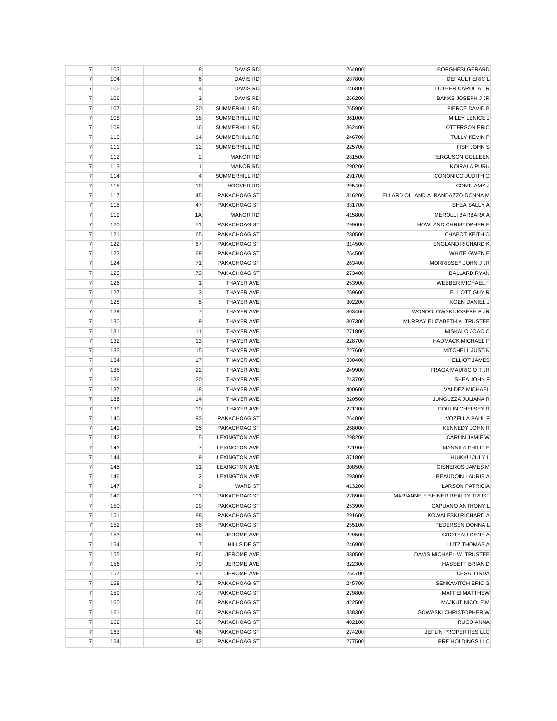| $\overline{7}$ | 103 | 8                       | <b>DAVIS RD</b>      | 264000 | <b>BORGHESI GERARD</b>           |
|----------------|-----|-------------------------|----------------------|--------|----------------------------------|
| $\overline{7}$ | 104 | 6                       | <b>DAVIS RD</b>      | 287800 | DEFAULT ERIC L                   |
| $\overline{7}$ | 105 | $\overline{4}$          | DAVIS RD             | 246800 | LUTHER CAROL A TR                |
| $\overline{7}$ | 106 | $\overline{2}$          | <b>DAVIS RD</b>      | 266200 | <b>BANKS JOSEPH J JR</b>         |
| $\overline{7}$ | 107 | 20                      | SUMMERHILL RD        | 265900 | PIERCE DAVID B                   |
| $\overline{7}$ | 108 | 18                      | SUMMERHILL RD        | 361000 | MILEY LENICE J                   |
| $\overline{7}$ | 109 | 16                      | <b>SUMMERHILL RD</b> | 362400 | <b>OTTERSON ERIC</b>             |
| $\overline{7}$ | 110 | 14                      | <b>SUMMERHILL RD</b> | 246700 | TULLY KEVIN P                    |
| $\overline{7}$ | 111 | 12                      | <b>SUMMERHILL RD</b> | 225700 | FISH JOHN S                      |
| $\overline{7}$ | 112 | $\overline{\mathbf{c}}$ | <b>MANOR RD</b>      | 281500 | <b>FERGUSON COLLEEN</b>          |
| $\overline{7}$ | 113 | 1                       | <b>MANOR RD</b>      | 290200 | KOIRALA PURU                     |
| $\overline{7}$ | 114 | $\overline{4}$          | <b>SUMMERHILL RD</b> | 291700 | <b>CONONICO JUDITH G</b>         |
|                |     |                         | <b>HOOVER RD</b>     |        | CONTI AMY J                      |
| $\overline{7}$ | 115 | 10                      |                      | 295400 | ELLARD OLLAND A RANDAZZO DONNA M |
| $\overline{7}$ | 117 | 45                      | PAKACHOAG ST         | 316200 |                                  |
| $\overline{7}$ | 118 | 47                      | PAKACHOAG ST         | 331700 | SHEA SALLY A                     |
| $\overline{7}$ | 119 | 1A                      | <b>MANOR RD</b>      | 415800 | MEROLLI BARBARA A                |
| $\overline{7}$ | 120 | 51                      | PAKACHOAG ST         | 299600 | HOWLAND CHRISTOPHER E            |
| $\overline{7}$ | 121 | 65                      | PAKACHOAG ST         | 280500 | CHABOT KEITH O                   |
| $\overline{7}$ | 122 | 67                      | PAKACHOAG ST         | 314500 | <b>ENGLAND RICHARD K</b>         |
| $\overline{7}$ | 123 | 69                      | PAKACHOAG ST         | 254500 | WHITE GWEN E                     |
| $\overline{7}$ | 124 | 71                      | PAKACHOAG ST         | 263400 | MORRISSEY JOHN J JR              |
| $\overline{7}$ | 125 | 73                      | PAKACHOAG ST         | 273400 | <b>BALLARD RYAN</b>              |
| $\overline{7}$ | 126 | $\mathbf{1}$            | THAYER AVE           | 253900 | WEBBER MICHAEL F                 |
| $\overline{7}$ | 127 | 3                       | <b>THAYER AVE</b>    | 259600 | <b>ELLIOTT GUY R</b>             |
| $\overline{7}$ | 128 | 5                       | <b>THAYER AVE</b>    | 302200 | <b>KOEN DANIEL J</b>             |
| $\overline{7}$ | 129 | $\overline{7}$          | THAYER AVE           | 303400 | WONDOLOWSKI JOSEPH P JR          |
| $\overline{7}$ | 130 | 9                       | THAYER AVE           | 307300 | MURRAY ELIZABETH A TRUSTEE       |
| $\overline{7}$ | 131 | 11                      | THAYER AVE           | 271800 | MISKALO JOAO C                   |
| $\overline{7}$ | 132 | 13                      | THAYER AVE           | 228700 | <b>HADMACK MICHAEL P</b>         |
| $\overline{7}$ | 133 | 15                      | THAYER AVE           | 227600 | MITCHELL JUSTIN                  |
| $\overline{7}$ | 134 | 17                      | THAYER AVE           | 330400 | <b>ELLIOT JAMES</b>              |
| $\overline{7}$ | 135 | 22                      | THAYER AVE           | 249900 | <b>FRAGA MAURICIO T JR</b>       |
| $\overline{7}$ | 136 | 20                      | THAYER AVE           | 243700 | SHEA JOHN F                      |
| $\overline{7}$ |     |                         |                      |        | VALDEZ MICHAEL                   |
|                | 137 | 18                      | THAYER AVE           | 400600 |                                  |
| $\overline{7}$ | 138 | 14                      | THAYER AVE           | 320500 | JUNGUZZA JULIANA R               |
| $\overline{7}$ | 139 | 10                      | THAYER AVE           | 271300 | POULIN CHELSEY R                 |
| $\overline{7}$ | 140 | 93                      | PAKACHOAG ST         | 264000 | <b>VOZELLA PAUL F</b>            |
| $\overline{7}$ | 141 | 95                      | PAKACHOAG ST         | 268000 | <b>KENNEDY JOHN R</b>            |
| $\overline{7}$ | 142 | 5                       | <b>LEXINGTON AVE</b> | 298200 | <b>CARLIN JAMIE W</b>            |
| $\overline{7}$ | 143 | $\overline{7}$          | <b>LEXINGTON AVE</b> | 271900 | MANNILA PHILIP E                 |
| 7              | 144 | 9                       | <b>LEXINGTON AVE</b> | 371800 | HUIKKU JULY L                    |
| $\overline{7}$ | 145 | 11                      | <b>LEXINGTON AVE</b> | 308500 | <b>CISNEROS JAMES M</b>          |
| $\overline{7}$ | 146 | $\overline{\mathbf{c}}$ | <b>LEXINGTON AVE</b> | 293000 | BEAUDOIN LAURIE A                |
| $\overline{7}$ | 147 | 9                       | <b>WARD ST</b>       | 413200 | <b>LARSON PATRICIA</b>           |
| $\overline{7}$ | 149 | 101                     | PAKACHOAG ST         | 278900 | MARIANNE E SHINER REALTY TRUST   |
| $\overline{7}$ | 150 | 99                      | PAKACHOAG ST         | 253900 | CAPUANO ANTHONY L                |
| $\overline{7}$ | 151 | 88                      | PAKACHOAG ST         | 291600 | KOWALESKI RICHARD A              |
| $\overline{7}$ | 152 | 86                      | PAKACHOAG ST         | 255100 | PEDERSEN DONNA L                 |
| $\overline{7}$ | 153 | 88                      | JEROME AVE           | 229500 | <b>CROTEAU GENE A</b>            |
| $\overline{7}$ | 154 | $\overline{7}$          | <b>HILLSIDE ST</b>   | 246900 | <b>LUTZ THOMAS A</b>             |
| $\overline{7}$ | 155 | 86                      | JEROME AVE           | 330500 | DAVIS MICHAEL W TRUSTEE          |
| $\overline{7}$ | 156 | 79                      | JEROME AVE           | 322300 | <b>HASSETT BRIAN D</b>           |
| $\overline{7}$ | 157 | 81                      | JEROME AVE           | 254700 | <b>DESAI LINDA</b>               |
| $\overline{7}$ | 158 | 72                      | PAKACHOAG ST         | 245700 | SENKAVITCH ERIC G                |
| $\overline{7}$ | 159 | 70                      | PAKACHOAG ST         | 279800 | <b>MAFFEI MATTHEW</b>            |
| $\overline{7}$ | 160 | 68                      | PAKACHOAG ST         | 422500 | MAJKUT NICOLE M                  |
| $\overline{7}$ | 161 | 66                      | PAKACHOAG ST         | 338300 | <b>GOWASKI CHRISTOPHER W</b>     |
|                |     |                         |                      |        |                                  |
| $\overline{7}$ | 162 | 56                      | PAKACHOAG ST         | 402100 | <b>RUCO ANNA</b>                 |
| $\overline{7}$ | 163 | 46                      | PAKACHOAG ST         | 274200 | JEFLIN PROPERTIES LLC            |
| $\overline{7}$ | 164 | 42                      | PAKACHOAG ST         | 277500 | PRE HOLDINGS LLC                 |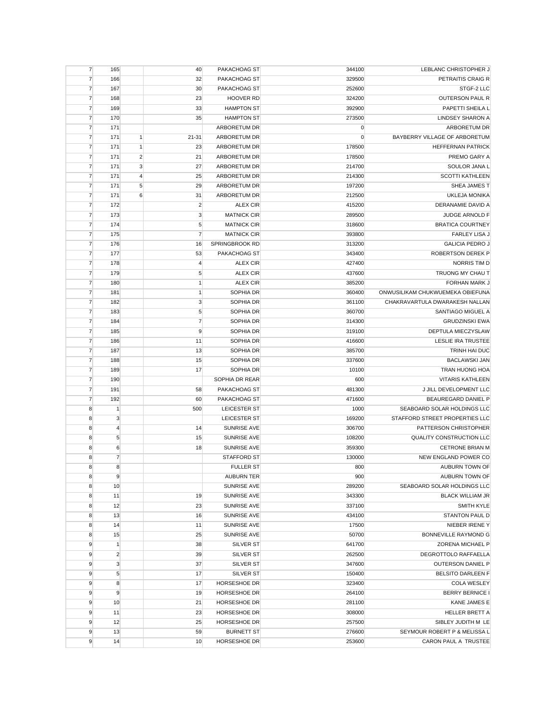| $\overline{7}$ | 165              |                | 40             | PAKACHOAG ST        | 344100 | LEBLANC CHRISTOPHER J            |
|----------------|------------------|----------------|----------------|---------------------|--------|----------------------------------|
| $\overline{7}$ | 166              |                | 32             | PAKACHOAG ST        | 329500 | PETRAITIS CRAIG R                |
| $\overline{7}$ | 167              |                | 30             | PAKACHOAG ST        | 252600 | STGF-2 LLC                       |
| $\overline{7}$ | 168              |                | 23             | <b>HOOVER RD</b>    | 324200 | <b>OUTERSON PAUL R</b>           |
| $\overline{7}$ | 169              |                | 33             | <b>HAMPTON ST</b>   | 392900 | PAPETTI SHEILA L                 |
| $\overline{7}$ | 170              |                | 35             | <b>HAMPTON ST</b>   | 273500 | <b>LINDSEY SHARON A</b>          |
| $\overline{7}$ | 171              |                |                | ARBORETUM DR        | 0      | ARBORETUM DR                     |
| $\overline{7}$ | 171              | $\mathbf{1}$   | $21 - 31$      | ARBORETUM DR        | 0      | BAYBERRY VILLAGE OF ARBORETUM    |
| $\overline{7}$ | 171              | 1              | 23             | ARBORETUM DR        | 178500 | <b>HEFFERNAN PATRICK</b>         |
| $\overline{7}$ | 171              | $\overline{2}$ | 21             | ARBORETUM DR        | 178500 | PREMO GARY A                     |
| $\overline{7}$ | 171              | 3              | 27             | ARBORETUM DR        | 214700 | SOULOR JANA L                    |
| $\overline{7}$ | 171              | $\overline{4}$ | 25             | ARBORETUM DR        | 214300 | <b>SCOTTI KATHLEEN</b>           |
| $\overline{7}$ |                  | 5              |                |                     |        |                                  |
|                | 171              | $6\phantom{1}$ | 29             | ARBORETUM DR        | 197200 | SHEA JAMES T                     |
| $\overline{7}$ | 171              |                | 31             | ARBORETUM DR        | 212500 | UKLEJA MONIKA                    |
| $\overline{7}$ | 172              |                | $\overline{2}$ | <b>ALEX CIR</b>     | 415200 | DERANAMIE DAVID A                |
| $\overline{7}$ | 173              |                | 3              | <b>MATNICK CIR</b>  | 289500 | JUDGE ARNOLD F                   |
| $\overline{7}$ | 174              |                | 5              | <b>MATNICK CIR</b>  | 318600 | <b>BRATICA COURTNEY</b>          |
| $\overline{7}$ | 175              |                | $\overline{7}$ | <b>MATNICK CIR</b>  | 393800 | <b>FARLEY LISA J</b>             |
| $\overline{7}$ | 176              |                | 16             | SPRINGBROOK RD      | 313200 | <b>GALICIA PEDRO J</b>           |
| $\overline{7}$ | 177              |                | 53             | PAKACHOAG ST        | 343400 | ROBERTSON DEREK P                |
| $\overline{7}$ | 178              |                | $\overline{4}$ | <b>ALEX CIR</b>     | 427400 | NORRIS TIM D                     |
| $\overline{7}$ | 179              |                | 5              | <b>ALEX CIR</b>     | 437600 | TRUONG MY CHAU T                 |
| $\overline{7}$ | 180              |                | $\mathbf{1}$   | <b>ALEX CIR</b>     | 385200 | FORHAN MARK J                    |
| $\overline{7}$ | 181              |                | 1              | SOPHIA DR           | 360400 | ONWUSILIKAM CHUKWUEMEKA OBIEFUNA |
| $\overline{7}$ | 182              |                | 3              | SOPHIA DR           | 361100 | CHAKRAVARTULA DWARAKESH NALLAN   |
| 7              | 183              |                | 5              | SOPHIA DR           | 360700 | SANTIAGO MIGUEL A                |
| 7              | 184              |                | $\overline{7}$ | SOPHIA DR           | 314300 | <b>GRUDZINSKI EWA</b>            |
| $\overline{7}$ | 185              |                | 9              | SOPHIA DR           | 319100 | DEPTULA MIECZYSLAW               |
| $\overline{7}$ | 186              |                | 11             | SOPHIA DR           | 416600 | LESLIE IRA TRUSTEE               |
| $\overline{7}$ | 187              |                | 13             | SOPHIA DR           | 385700 | TRINH HAI DUC                    |
| $\overline{7}$ | 188              |                | 15             | SOPHIA DR           | 337600 | <b>BACLAWSKI JAN</b>             |
|                |                  |                |                | SOPHIA DR           |        |                                  |
| $\overline{7}$ | 189              |                | 17             |                     | 10100  | <b>TRAN HUONG HOA</b>            |
| $\overline{7}$ | 190              |                |                | SOPHIA DR REAR      | 600    | <b>VITARIS KATHLEEN</b>          |
| $\overline{7}$ | 191              |                | 58             | PAKACHOAG ST        | 481300 | J JILL DEVELOPMENT LLC           |
| 7              | 192              |                | 60             | PAKACHOAG ST        | 471600 | BEAUREGARD DANIEL P              |
| 8              | $\mathbf{1}$     |                | 500            | LEICESTER ST        | 1000   | SEABOARD SOLAR HOLDINGS LLC      |
| 8              | 3                |                |                | LEICESTER ST        | 169200 | STAFFORD STREET PROPERTIES LLC   |
| 8              | $\overline{4}$   |                | 14             | <b>SUNRISE AVE</b>  | 306700 | PATTERSON CHRISTOPHER            |
| 8              | $\sqrt{5}$       |                | 15             | SUNRISE AVE         | 108200 | QUALITY CONSTRUCTION LLC         |
| 8              | $\boldsymbol{6}$ |                | 18             | SUNRISE AVE         | 359300 | <b>CETRONE BRIAN M</b>           |
| 8              | $\overline{7}$   |                |                | STAFFORD ST         | 130000 | NEW ENGLAND POWER CO             |
| 8              | 8                |                |                | <b>FULLER ST</b>    | 800    | AUBURN TOWN OF                   |
| 8              | 9                |                |                | <b>AUBURN TER</b>   | 900    | AUBURN TOWN OF                   |
| 8              | 10               |                |                | SUNRISE AVE         | 289200 | SEABOARD SOLAR HOLDINGS LLC      |
| 8              | 11               |                | 19             | SUNRISE AVE         | 343300 | <b>BLACK WILLIAM JR</b>          |
| 8              | 12               |                | 23             | SUNRISE AVE         | 337100 | <b>SMITH KYLE</b>                |
| 8              | 13               |                | 16             | SUNRISE AVE         | 434100 | STANTON PAUL D                   |
| 8              | 14               |                | 11             | SUNRISE AVE         | 17500  | NIEBER IRENE Y                   |
| 8              | 15               |                | 25             | SUNRISE AVE         | 50700  | BONNEVILLE RAYMOND G             |
| 9              | $\mathbf{1}$     |                | 38             | SILVER ST           | 641700 | ZORENA MICHAEL P                 |
| 9              | $\overline{2}$   |                | 39             | SILVER ST           | 262500 | DEGROTTOLO RAFFAELLA             |
| 9              | 3                |                | 37             | SILVER ST           | 347600 | OUTERSON DANIEL P                |
|                | 5                |                |                | <b>SILVER ST</b>    | 150400 | <b>BELSITO DARLEEN F</b>         |
| 9              |                  |                | 17             | <b>HORSESHOE DR</b> |        |                                  |
| 9              | 8                |                | 17             |                     | 323400 | <b>COLA WESLEY</b>               |
| 9              | 9                |                | 19             | HORSESHOE DR        | 264100 | <b>BERRY BERNICE I</b>           |
| 9              | 10               |                | 21             | HORSESHOE DR        | 281100 | KANE JAMES E                     |
| 9              | 11               |                | 23             | HORSESHOE DR        | 308000 | HELLER BRETT A                   |
| 9              | 12               |                | 25             | HORSESHOE DR        | 257500 | SIBLEY JUDITH M LE               |
| 9              | 13               |                | 59             | <b>BURNETT ST</b>   | 276600 | SEYMOUR ROBERT P & MELISSA L     |
| 9              | 14               |                | 10             | HORSESHOE DR        | 253600 | CARON PAUL A TRUSTEE             |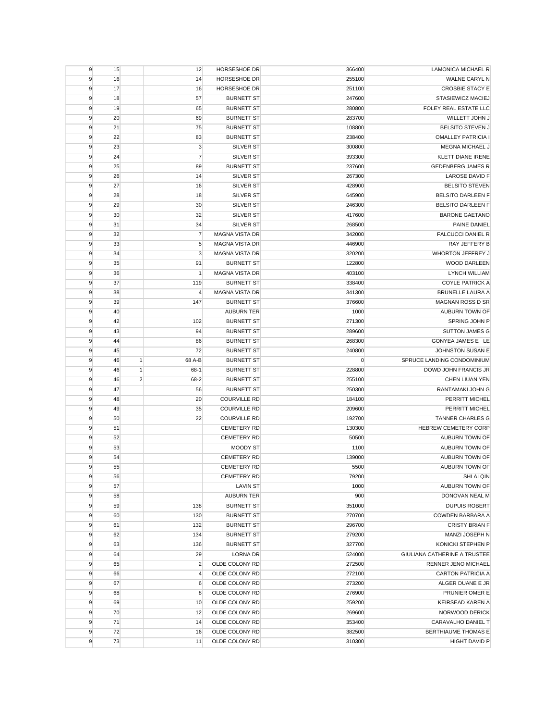| 9      | 15       |                | 12             | HORSESHOE DR                     | 366400           | LAMONICA MICHAEL R                          |
|--------|----------|----------------|----------------|----------------------------------|------------------|---------------------------------------------|
| 9      | 16       |                | 14             | <b>HORSESHOE DR</b>              | 255100           | WALNE CARYL N                               |
| 9      | 17       |                | 16             | HORSESHOE DR                     | 251100           | <b>CROSBIE STACY E</b>                      |
| 9      | 18       |                | 57             | <b>BURNETT ST</b>                | 247600           | STASIEWICZ MACIEJ                           |
| 9      | 19       |                | 65             | <b>BURNETT ST</b>                | 280800           | FOLEY REAL ESTATE LLC                       |
| 9      | 20       |                | 69             | <b>BURNETT ST</b>                | 283700           | WILLETT JOHN J                              |
| 9      | 21       |                | 75             | <b>BURNETT ST</b>                | 108800           | <b>BELSITO STEVEN J</b>                     |
| 9      | 22       |                | 83             | <b>BURNETT ST</b>                | 238400           | <b>OMALLEY PATRICIA I</b>                   |
| 9      | 23       |                | 3              | <b>SILVER ST</b>                 | 300800           | MEGNA MICHAEL J                             |
| 9      | 24       |                | $\overline{7}$ | <b>SILVER ST</b>                 | 393300           | <b>KLETT DIANE IRENE</b>                    |
| 9      | 25       |                | 89             | <b>BURNETT ST</b>                | 237600           | GEDENBERG JAMES R                           |
| 9      | 26       |                | 14             | SILVER ST                        | 267300           | <b>LAROSE DAVID F</b>                       |
| 9      | 27       |                | 16             | <b>SILVER ST</b>                 | 428900           | <b>BELSITO STEVEN</b>                       |
| 9      | 28       |                | 18             | <b>SILVER ST</b>                 | 645900           | <b>BELSITO DARLEEN F</b>                    |
| 9      | 29       |                | 30             | <b>SILVER ST</b>                 | 246300           | <b>BELSITO DARLEEN F</b>                    |
| 9      | 30       |                | 32             | SILVER ST                        | 417600           | <b>BARONE GAETANO</b>                       |
| 9      | 31       |                | 34             | <b>SILVER ST</b>                 | 268500           | PAINE DANIEL                                |
| 9      | 32       |                | $\overline{7}$ | <b>MAGNA VISTA DR</b>            | 342000           | <b>FALCUCCI DANIEL R</b>                    |
| 9      | 33       |                | 5              | <b>MAGNA VISTA DR</b>            | 446900           | RAY JEFFERY B                               |
| 9      | 34       |                | 3              | <b>MAGNA VISTA DR</b>            | 320200           | WHORTON JEFFREY J                           |
| 9      | 35       |                | 91             | <b>BURNETT ST</b>                | 122800           | <b>WOOD DARLEEN</b>                         |
| 9      | 36       |                | $\mathbf{1}$   | MAGNA VISTA DR                   | 403100           | <b>LYNCH WILLIAM</b>                        |
| 9      | 37       |                | 119            | <b>BURNETT ST</b>                | 338400           | <b>COYLE PATRICK A</b>                      |
| 9      | 38       |                | 4              | <b>MAGNA VISTA DR</b>            | 341300           | <b>BRUNELLE LAURA A</b>                     |
| 9      | 39       |                | 147            | <b>BURNETT ST</b>                | 376600           | MAGNAN ROSS D SR                            |
| 9      | 40       |                |                | <b>AUBURN TER</b>                | 1000             | AUBURN TOWN OF                              |
| 9      | 42       |                | 102            | <b>BURNETT ST</b>                | 271300           | SPRING JOHN P                               |
| 9      | 43       |                | 94             | <b>BURNETT ST</b>                | 289600           | <b>SUTTON JAMES G</b>                       |
| 9      | 44       |                | 86             | <b>BURNETT ST</b>                | 268300           | GONYEA JAMES E LE                           |
| 9      | 45       |                | 72             | <b>BURNETT ST</b>                | 240800           | JOHNSTON SUSAN E                            |
| 9      | 46       | $\mathbf{1}$   | 68 A-B         | <b>BURNETT ST</b>                | 0                | SPRUCE LANDING CONDOMINIUM                  |
|        |          |                |                |                                  |                  |                                             |
|        |          |                |                |                                  |                  |                                             |
| 9      | 46       | $\mathbf{1}$   | 68-1           | <b>BURNETT ST</b>                | 228800           | DOWD JOHN FRANCIS JR                        |
| 9      | 46       | $\overline{c}$ | 68-2           | <b>BURNETT ST</b>                | 255100           | CHEN LIUAN YEN                              |
| 9      | 47       |                | 56             | <b>BURNETT ST</b>                | 250300           | RANTAMAKI JOHN G                            |
| 9      | 48       |                | 20             | <b>COURVILLE RD</b>              | 184100           | PERRITT MICHEL                              |
| 9      | 49       |                | 35             | <b>COURVILLE RD</b>              | 209600           | PERRITT MICHEL                              |
| 9      | 50       |                | 22             | <b>COURVILLE RD</b>              | 192700           | <b>TANNER CHARLES G</b>                     |
| 9      | 51       |                |                | <b>CEMETERY RD</b>               | 130300           | <b>HEBREW CEMETERY CORP</b>                 |
| 9      | 52       |                |                | <b>CEMETERY RD</b>               | 50500            | AUBURN TOWN OF                              |
| 9      | 53       |                |                | <b>MOODY ST</b>                  | 1100             | AUBURN TOWN OF                              |
| 9      | 54       |                |                | <b>CEMETERY RD</b>               | 139000           | AUBURN TOWN OF                              |
| 9      | 55       |                |                | <b>CEMETERY RD</b>               | 5500             | AUBURN TOWN OF                              |
| 9      | 56       |                |                | <b>CEMETERY RD</b>               | 79200            | SHI AI QIN                                  |
| 9      | 57       |                |                | <b>LAVIN ST</b>                  | 1000             | AUBURN TOWN OF                              |
| 9      | 58       |                |                | <b>AUBURN TER</b>                | 900              | DONOVAN NEAL M                              |
| 9      | 59       |                | 138            | <b>BURNETT ST</b>                | 351000           | <b>DUPUIS ROBERT</b>                        |
| 9      | 60       |                | 130            | <b>BURNETT ST</b>                | 270700           | COWDEN BARBARA A                            |
| 9      | 61       |                | 132            | <b>BURNETT ST</b>                | 296700           | <b>CRISTY BRIAN F</b>                       |
| 9      | 62       |                | 134            | <b>BURNETT ST</b>                | 279200           | MANZI JOSEPH N                              |
| 9      | 63       |                | 136            | <b>BURNETT ST</b>                | 327700           | KONICKI STEPHEN P                           |
| 9      | 64       |                | 29             | LORNA DR                         | 524000           | GIULIANA CATHERINE A TRUSTEE                |
| 9      | 65       |                | $\overline{2}$ | OLDE COLONY RD                   | 272500           | RENNER JENO MICHAEL                         |
| 9      | 66       |                | $\overline{4}$ | OLDE COLONY RD                   | 272100           | <b>CARTON PATRICIA A</b>                    |
| 9      | 67       |                | 6              | OLDE COLONY RD                   | 273200           | ALGER DUANE E JR                            |
| 9      | 68       |                | 8              | OLDE COLONY RD                   | 276900           | PRUNIER OMER E                              |
| 9      | 69       |                | 10             | OLDE COLONY RD                   | 259200           | <b>KEIRSEAD KAREN A</b>                     |
| 9      | 70       |                | 12             | OLDE COLONY RD                   | 269600           | NORWOOD DERICK                              |
| 9      | 71       |                | 14             | OLDE COLONY RD                   | 353400           | CARAVALHO DANIEL T                          |
| 9<br>9 | 72<br>73 |                | 16<br>11       | OLDE COLONY RD<br>OLDE COLONY RD | 382500<br>310300 | BERTHIAUME THOMAS E<br><b>HIGHT DAVID P</b> |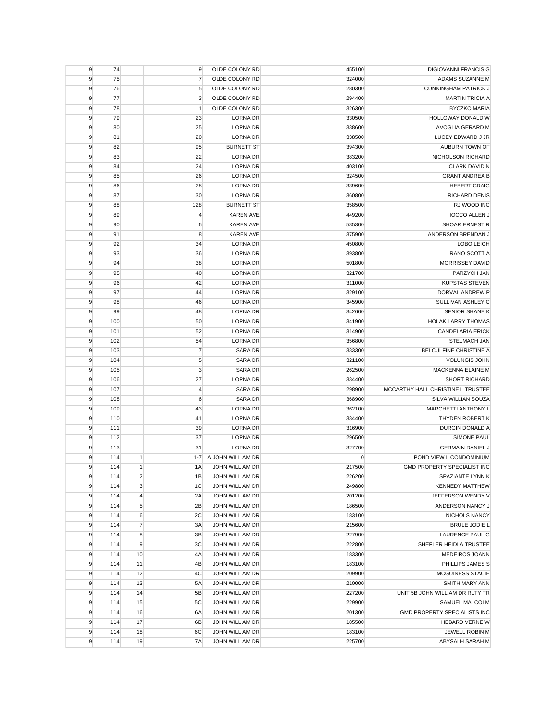| 9 | 74  |                | 9                       | OLDE COLONY RD         | 455100 | DIGIOVANNI FRANCIS G              |
|---|-----|----------------|-------------------------|------------------------|--------|-----------------------------------|
| 9 | 75  |                | 7                       | OLDE COLONY RD         | 324000 | ADAMS SUZANNE M                   |
| 9 | 76  |                | 5                       | OLDE COLONY RD         | 280300 | <b>CUNNINGHAM PATRICK J</b>       |
| 9 | 77  |                | 3                       | OLDE COLONY RD         | 294400 | <b>MARTIN TRICIA A</b>            |
| 9 | 78  |                | $\mathbf{1}$            | OLDE COLONY RD         | 326300 | <b>BYCZKO MARIA</b>               |
| 9 | 79  |                | 23                      | <b>LORNA DR</b>        | 330500 | HOLLOWAY DONALD W                 |
| 9 | 80  |                | 25                      | <b>LORNA DR</b>        | 338600 | AVOGLIA GERARD M                  |
| 9 | 81  |                | 20                      | <b>LORNA DR</b>        | 338500 | LUCEY EDWARD J JR                 |
| 9 | 82  |                | 95                      | <b>BURNETT ST</b>      | 394300 | AUBURN TOWN OF                    |
| 9 | 83  |                | 22                      | <b>LORNA DR</b>        | 383200 | NICHOLSON RICHARD                 |
| 9 | 84  |                | 24                      | LORNA DR               | 403100 | CLARK DAVID N                     |
| 9 | 85  |                | 26                      | <b>LORNA DR</b>        | 324500 | <b>GRANT ANDREA B</b>             |
| 9 | 86  |                | 28                      | LORNA DR               | 339600 | <b>HEBERT CRAIG</b>               |
| 9 | 87  |                | 30                      | <b>LORNA DR</b>        | 360800 | RICHARD DENIS                     |
| 9 | 88  |                | 128                     | <b>BURNETT ST</b>      | 358500 | RJ WOOD INC                       |
|   |     |                |                         | <b>KAREN AVE</b>       | 449200 | <b>IOCCO ALLEN J</b>              |
| 9 | 89  |                | $\overline{\mathbf{4}}$ |                        |        |                                   |
| 9 | 90  |                | 6                       | <b>KAREN AVE</b>       | 535300 | SHOAR ERNEST R                    |
| 9 | 91  |                | 8                       | <b>KAREN AVE</b>       | 375900 | ANDERSON BRENDAN J                |
| 9 | 92  |                | 34                      | <b>LORNA DR</b>        | 450800 | LOBO LEIGH                        |
| 9 | 93  |                | 36                      | <b>LORNA DR</b>        | 393800 | RANO SCOTT A                      |
| 9 | 94  |                | 38                      | LORNA DR               | 501800 | MORRISSEY DAVID                   |
| 9 | 95  |                | 40                      | <b>LORNA DR</b>        | 321700 | PARZYCH JAN                       |
| 9 | 96  |                | 42                      | <b>LORNA DR</b>        | 311000 | <b>KUPSTAS STEVEN</b>             |
| 9 | 97  |                | 44                      | LORNA DR               | 329100 | DORVAL ANDREW P                   |
| 9 | 98  |                | 46                      | <b>LORNA DR</b>        | 345900 | SULLIVAN ASHLEY C                 |
| 9 | 99  |                | 48                      | <b>LORNA DR</b>        | 342600 | <b>SENIOR SHANE K</b>             |
| 9 | 100 |                | 50                      | LORNA DR               | 341900 | <b>HOLAK LARRY THOMAS</b>         |
| 9 | 101 |                | 52                      | <b>LORNA DR</b>        | 314900 | <b>CANDELARIA ERICK</b>           |
| 9 | 102 |                | 54                      | LORNA DR               | 356800 | STELMACH JAN                      |
| 9 | 103 |                | $\overline{7}$          | SARA DR                | 333300 | BELCULFINE CHRISTINE A            |
| 9 | 104 |                | 5                       | SARA DR                | 321100 | <b>VOLUNGIS JOHN</b>              |
| 9 | 105 |                | 3                       | SARA DR                | 262500 | MACKENNA ELAINE M                 |
| 9 | 106 |                | 27                      | <b>LORNA DR</b>        | 334400 | <b>SHORT RICHARD</b>              |
| 9 | 107 |                | $\overline{4}$          | SARA DR                | 298900 | MCCARTHY HALL CHRISTINE L TRUSTEE |
| 9 | 108 |                | $\boldsymbol{6}$        | SARA DR                | 368900 | SILVA WILLIAN SOUZA               |
| 9 | 109 |                | 43                      | LORNA DR               | 362100 | MARCHETTI ANTHONY L               |
| 9 | 110 |                | 41                      | <b>LORNA DR</b>        | 334400 | THYDEN ROBERT K                   |
| 9 | 111 |                | 39                      | LORNA DR               | 316900 | <b>DURGIN DONALD A</b>            |
| 9 | 112 |                | 37                      | <b>LORNA DR</b>        | 296500 | <b>SIMONE PAUL</b>                |
| 9 | 113 |                | 31                      | <b>LORNA DR</b>        | 327700 | <b>GERMAIN DANIEL J</b>           |
| 9 | 114 | $\mathbf{1}$   | $1 - 7$                 | A JOHN WILLIAM DR      | 0      | POND VIEW II CONDOMINIUM          |
| 9 | 114 | $\mathbf{1}$   | 1A                      | JOHN WILLIAM DR        | 217500 | GMD PROPERTY SPECIALIST INC       |
| 9 | 114 | $\overline{2}$ | 1B                      | JOHN WILLIAM DR        | 226200 | SPAZIANTE LYNN K                  |
| 9 | 114 | 3              | 1C                      | JOHN WILLIAM DR        | 249800 | <b>KENNEDY MATTHEW</b>            |
| 9 | 114 | $\overline{4}$ | 2A                      | <b>JOHN WILLIAM DR</b> | 201200 | JEFFERSON WENDY V                 |
| 9 | 114 | $\sqrt{5}$     | 2B                      | JOHN WILLIAM DR        | 186500 | ANDERSON NANCY J                  |
| 9 | 114 | 6              | 2C                      | JOHN WILLIAM DR        | 183100 | NICHOLS NANCY                     |
| 9 | 114 | $\overline{7}$ | 3A                      | JOHN WILLIAM DR        | 215600 | <b>BRULE JODIE L</b>              |
| 9 | 114 | 8              | 3B                      | JOHN WILLIAM DR        | 227900 | LAURENCE PAUL G                   |
| 9 | 114 | 9              | 3C                      | JOHN WILLIAM DR        | 222800 | SHEFLER HEIDI A TRUSTEE           |
| 9 | 114 | 10             | 4A                      | JOHN WILLIAM DR        | 183300 | MEDEIROS JOANN                    |
| 9 | 114 | 11             | 4B                      | JOHN WILLIAM DR        | 183100 | PHILLIPS JAMES S                  |
| 9 | 114 | 12             | 4C                      | JOHN WILLIAM DR        | 209900 | MCGUINESS STACIE                  |
| 9 | 114 | 13             | 5A                      | JOHN WILLIAM DR        | 210000 | SMITH MARY ANN                    |
| 9 | 114 | 14             | 5B                      | JOHN WILLIAM DR        | 227200 | UNIT 5B JOHN WILLIAM DR RLTY TR   |
| 9 | 114 | 15             | 5C                      | JOHN WILLIAM DR        | 229900 | SAMUEL MALCOLM                    |
| 9 | 114 | 16             | 6A                      | JOHN WILLIAM DR        | 201300 | GMD PROPERTY SPECIALISTS INC      |
|   | 114 |                |                         |                        |        |                                   |
| 9 |     | 17             | 6B                      | JOHN WILLIAM DR        | 185500 | <b>HEBARD VERNE W</b>             |
| 9 | 114 | 18             | 6C                      | JOHN WILLIAM DR        | 183100 | <b>JEWELL ROBIN M</b>             |
| 9 | 114 | 19             | 7A                      | JOHN WILLIAM DR        | 225700 | ABYSALH SARAH M                   |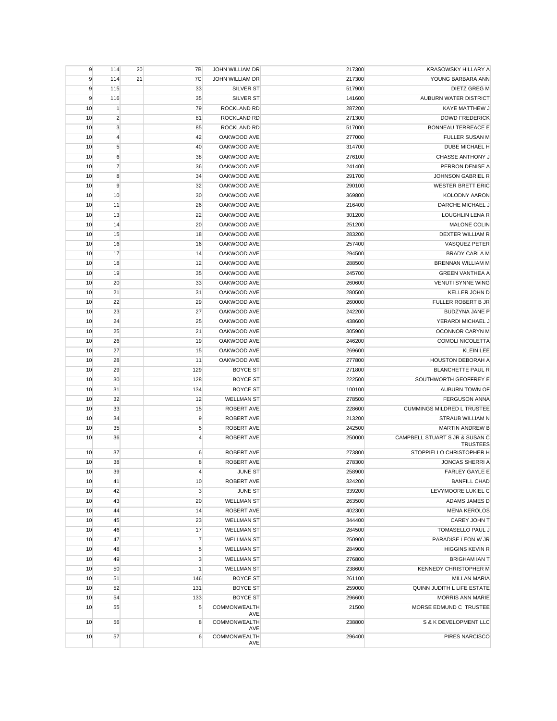| 21<br>7C<br><b>JOHN WILLIAM DR</b><br>YOUNG BARBARA ANN<br>9<br>114<br>217300<br>33<br>9<br>115<br>SILVER ST<br>517900<br>DIETZ GREG M<br>9<br><b>SILVER ST</b><br>AUBURN WATER DISTRICT<br>116<br>35<br>141600<br>79<br>ROCKLAND RD<br>KAYE MATTHEW J<br>10<br>$\mathbf{1}$<br>287200<br>$\overline{2}$<br><b>DOWD FREDERICK</b><br>10<br>81<br>ROCKLAND RD<br>271300<br>3<br>10<br>85<br>ROCKLAND RD<br>517000<br><b>BONNEAU TERREACE E</b><br>OAKWOOD AVE<br>FULLER SUSAN M<br>10<br>$\overline{4}$<br>42<br>277000<br>40<br>OAKWOOD AVE<br>DUBE MICHAEL H<br>10<br>5<br>314700<br>6<br>38<br>OAKWOOD AVE<br>CHASSE ANTHONY J<br>10<br>276100<br>$\overline{7}$<br>OAKWOOD AVE<br>PERRON DENISE A<br>10<br>36<br>241400<br>8<br>OAKWOOD AVE<br>JOHNSON GABRIEL R<br>10<br>34<br>291700<br>9<br>32<br><b>WESTER BRETT ERIC</b><br>10<br>OAKWOOD AVE<br>290100<br>10<br>30<br>10<br>OAKWOOD AVE<br>369800<br><b>KOLODNY AARON</b><br>DARCHE MICHAEL J<br>10<br>11<br>26<br>OAKWOOD AVE<br>216400<br>22<br>10<br>13<br>OAKWOOD AVE<br>301200<br>LOUGHLIN LENA R<br><b>MALONE COLIN</b><br>10<br>14<br>20<br>OAKWOOD AVE<br>251200<br>18<br>DEXTER WILLIAM R<br>10<br>15<br>OAKWOOD AVE<br>283200<br>OAKWOOD AVE<br>VASQUEZ PETER<br>10<br>16<br>16<br>257400<br>OAKWOOD AVE<br><b>BRADY CARLA M</b><br>10<br>17<br>14<br>294500<br>12<br>OAKWOOD AVE<br>288500<br>BRENNAN WILLIAM M<br>10<br>18<br>19<br>35<br>OAKWOOD AVE<br><b>GREEN VANTHEA A</b><br>10<br>245700<br>33<br>10<br>20<br>OAKWOOD AVE<br>260600<br><b>VENUTI SYNNE WING</b><br>OAKWOOD AVE<br>KELLER JOHN D<br>10<br>21<br>31<br>280500<br>10<br>22<br>29<br>OAKWOOD AVE<br>260000<br><b>FULLER ROBERT B JR</b><br>10<br>23<br>27<br>OAKWOOD AVE<br>242200<br><b>BUDZYNA JANE P</b><br>10<br>24<br>25<br>OAKWOOD AVE<br>438600<br>YERARDI MICHAEL J<br>21<br>OAKWOOD AVE<br>OCONNOR CARYN M<br>10<br>25<br>305900<br>19<br>OAKWOOD AVE<br>246200<br>COMOLI NICOLETTA<br>10<br>26<br>27<br>15<br>OAKWOOD AVE<br>269600<br><b>KLEIN LEE</b><br>10<br>OAKWOOD AVE<br>HOUSTON DEBORAH A<br>10<br>28<br>11<br>277800<br>29<br>129<br><b>BLANCHETTE PAUL R</b><br>10<br><b>BOYCE ST</b><br>271800<br>128<br><b>BOYCE ST</b><br>SOUTHWORTH GEOFFREY E<br>10<br>30<br>222500<br>AUBURN TOWN OF<br>10<br>31<br>134<br><b>BOYCE ST</b><br>100100<br>10<br>32<br>12<br><b>WELLMAN ST</b><br>278500<br><b>FERGUSON ANNA</b><br>33<br>10<br>15<br>ROBERT AVE<br>228600<br><b>CUMMINGS MILDRED L TRUSTEE</b><br>9<br>10<br>34<br>ROBERT AVE<br>213200<br>STRAUB WILLIAM N<br>5<br>ROBERT AVE<br>242500<br>MARTIN ANDREW B<br>10<br>35<br>ROBERT AVE<br>250000<br>CAMPBELL STUART S JR & SUSAN C<br>10<br>36<br>4<br><b>TRUSTEES</b><br>10<br>37<br>6<br>ROBERT AVE<br>273800<br>STOPPIELLO CHRISTOPHER H<br><b>JONCAS SHERRI A</b><br>10<br>38<br>8<br>ROBERT AVE<br>278300<br>JUNE ST<br>258900<br>10<br>39<br>4<br><b>FARLEY GAYLE E</b><br>10<br>10<br>324200<br><b>BANFILL CHAD</b><br>41<br>ROBERT AVE<br>3<br>LEVYMOORE LUKIEL C<br>10<br>42<br><b>JUNE ST</b><br>339200<br>43<br>20<br><b>WELLMAN ST</b><br>263500<br>10<br>ADAMS JAMES D<br>44<br>14<br><b>ROBERT AVE</b><br>402300<br><b>MENA KEROLOS</b><br>10<br>23<br>10<br>45<br><b>WELLMAN ST</b><br>344400<br>CAREY JOHN T<br>17<br>284500<br>TOMASELLO PAUL J<br>10<br>46<br><b>WELLMAN ST</b><br>$\overline{7}$<br>47<br>10<br><b>WELLMAN ST</b><br>250900<br>PARADISE LEON W JR<br>5<br>10<br>48<br><b>WELLMAN ST</b><br>284900<br><b>HIGGINS KEVIN R</b><br>3<br>10<br>49<br><b>WELLMAN ST</b><br>276800<br><b>BRIGHAM IAN T</b><br>238600<br>KENNEDY CHRISTOPHER M<br>10<br>50<br>1<br><b>WELLMAN ST</b><br>146<br>10<br>51<br><b>BOYCE ST</b><br>261100<br><b>MILLAN MARIA</b><br>131<br>259000<br>QUINN JUDITH L LIFE ESTATE<br>10<br>52<br><b>BOYCE ST</b><br><b>BOYCE ST</b><br>296600<br>MORRIS ANN MARIE<br>10<br>54<br>133<br>5<br>COMMONWEALTH<br>MORSE EDMUND C TRUSTEE<br>10<br>55<br>21500<br>AVE<br>COMMONWEALTH<br>10<br>56<br>8<br>238800<br>S & K DEVELOPMENT LLC<br>AVE<br>COMMONWEALTH<br>10<br>57<br>6<br>296400<br>PIRES NARCISCO | 9 | 114 | 20 | 7B | JOHN WILLIAM DR | 217300 | KRASOWSKY HILLARY A |
|----------------------------------------------------------------------------------------------------------------------------------------------------------------------------------------------------------------------------------------------------------------------------------------------------------------------------------------------------------------------------------------------------------------------------------------------------------------------------------------------------------------------------------------------------------------------------------------------------------------------------------------------------------------------------------------------------------------------------------------------------------------------------------------------------------------------------------------------------------------------------------------------------------------------------------------------------------------------------------------------------------------------------------------------------------------------------------------------------------------------------------------------------------------------------------------------------------------------------------------------------------------------------------------------------------------------------------------------------------------------------------------------------------------------------------------------------------------------------------------------------------------------------------------------------------------------------------------------------------------------------------------------------------------------------------------------------------------------------------------------------------------------------------------------------------------------------------------------------------------------------------------------------------------------------------------------------------------------------------------------------------------------------------------------------------------------------------------------------------------------------------------------------------------------------------------------------------------------------------------------------------------------------------------------------------------------------------------------------------------------------------------------------------------------------------------------------------------------------------------------------------------------------------------------------------------------------------------------------------------------------------------------------------------------------------------------------------------------------------------------------------------------------------------------------------------------------------------------------------------------------------------------------------------------------------------------------------------------------------------------------------------------------------------------------------------------------------------------------------------------------------------------------------------------------------------------------------------------------------------------------------------------------------------------------------------------------------------------------------------------------------------------------------------------------------------------------------------------------------------------------------------------------------------------------------------------------------------------------------------------------------------------------------------------------------------------------------------------------------------------------------------------------------------------------------------------------------------------------------------------------------------------------------------------------------------------------------------------------------------------------------------------------------------------------------------------------|---|-----|----|----|-----------------|--------|---------------------|
|                                                                                                                                                                                                                                                                                                                                                                                                                                                                                                                                                                                                                                                                                                                                                                                                                                                                                                                                                                                                                                                                                                                                                                                                                                                                                                                                                                                                                                                                                                                                                                                                                                                                                                                                                                                                                                                                                                                                                                                                                                                                                                                                                                                                                                                                                                                                                                                                                                                                                                                                                                                                                                                                                                                                                                                                                                                                                                                                                                                                                                                                                                                                                                                                                                                                                                                                                                                                                                                                                                                                                                                                                                                                                                                                                                                                                                                                                                                                                                                                                                                                            |   |     |    |    |                 |        |                     |
|                                                                                                                                                                                                                                                                                                                                                                                                                                                                                                                                                                                                                                                                                                                                                                                                                                                                                                                                                                                                                                                                                                                                                                                                                                                                                                                                                                                                                                                                                                                                                                                                                                                                                                                                                                                                                                                                                                                                                                                                                                                                                                                                                                                                                                                                                                                                                                                                                                                                                                                                                                                                                                                                                                                                                                                                                                                                                                                                                                                                                                                                                                                                                                                                                                                                                                                                                                                                                                                                                                                                                                                                                                                                                                                                                                                                                                                                                                                                                                                                                                                                            |   |     |    |    |                 |        |                     |
|                                                                                                                                                                                                                                                                                                                                                                                                                                                                                                                                                                                                                                                                                                                                                                                                                                                                                                                                                                                                                                                                                                                                                                                                                                                                                                                                                                                                                                                                                                                                                                                                                                                                                                                                                                                                                                                                                                                                                                                                                                                                                                                                                                                                                                                                                                                                                                                                                                                                                                                                                                                                                                                                                                                                                                                                                                                                                                                                                                                                                                                                                                                                                                                                                                                                                                                                                                                                                                                                                                                                                                                                                                                                                                                                                                                                                                                                                                                                                                                                                                                                            |   |     |    |    |                 |        |                     |
|                                                                                                                                                                                                                                                                                                                                                                                                                                                                                                                                                                                                                                                                                                                                                                                                                                                                                                                                                                                                                                                                                                                                                                                                                                                                                                                                                                                                                                                                                                                                                                                                                                                                                                                                                                                                                                                                                                                                                                                                                                                                                                                                                                                                                                                                                                                                                                                                                                                                                                                                                                                                                                                                                                                                                                                                                                                                                                                                                                                                                                                                                                                                                                                                                                                                                                                                                                                                                                                                                                                                                                                                                                                                                                                                                                                                                                                                                                                                                                                                                                                                            |   |     |    |    |                 |        |                     |
|                                                                                                                                                                                                                                                                                                                                                                                                                                                                                                                                                                                                                                                                                                                                                                                                                                                                                                                                                                                                                                                                                                                                                                                                                                                                                                                                                                                                                                                                                                                                                                                                                                                                                                                                                                                                                                                                                                                                                                                                                                                                                                                                                                                                                                                                                                                                                                                                                                                                                                                                                                                                                                                                                                                                                                                                                                                                                                                                                                                                                                                                                                                                                                                                                                                                                                                                                                                                                                                                                                                                                                                                                                                                                                                                                                                                                                                                                                                                                                                                                                                                            |   |     |    |    |                 |        |                     |
|                                                                                                                                                                                                                                                                                                                                                                                                                                                                                                                                                                                                                                                                                                                                                                                                                                                                                                                                                                                                                                                                                                                                                                                                                                                                                                                                                                                                                                                                                                                                                                                                                                                                                                                                                                                                                                                                                                                                                                                                                                                                                                                                                                                                                                                                                                                                                                                                                                                                                                                                                                                                                                                                                                                                                                                                                                                                                                                                                                                                                                                                                                                                                                                                                                                                                                                                                                                                                                                                                                                                                                                                                                                                                                                                                                                                                                                                                                                                                                                                                                                                            |   |     |    |    |                 |        |                     |
|                                                                                                                                                                                                                                                                                                                                                                                                                                                                                                                                                                                                                                                                                                                                                                                                                                                                                                                                                                                                                                                                                                                                                                                                                                                                                                                                                                                                                                                                                                                                                                                                                                                                                                                                                                                                                                                                                                                                                                                                                                                                                                                                                                                                                                                                                                                                                                                                                                                                                                                                                                                                                                                                                                                                                                                                                                                                                                                                                                                                                                                                                                                                                                                                                                                                                                                                                                                                                                                                                                                                                                                                                                                                                                                                                                                                                                                                                                                                                                                                                                                                            |   |     |    |    |                 |        |                     |
|                                                                                                                                                                                                                                                                                                                                                                                                                                                                                                                                                                                                                                                                                                                                                                                                                                                                                                                                                                                                                                                                                                                                                                                                                                                                                                                                                                                                                                                                                                                                                                                                                                                                                                                                                                                                                                                                                                                                                                                                                                                                                                                                                                                                                                                                                                                                                                                                                                                                                                                                                                                                                                                                                                                                                                                                                                                                                                                                                                                                                                                                                                                                                                                                                                                                                                                                                                                                                                                                                                                                                                                                                                                                                                                                                                                                                                                                                                                                                                                                                                                                            |   |     |    |    |                 |        |                     |
|                                                                                                                                                                                                                                                                                                                                                                                                                                                                                                                                                                                                                                                                                                                                                                                                                                                                                                                                                                                                                                                                                                                                                                                                                                                                                                                                                                                                                                                                                                                                                                                                                                                                                                                                                                                                                                                                                                                                                                                                                                                                                                                                                                                                                                                                                                                                                                                                                                                                                                                                                                                                                                                                                                                                                                                                                                                                                                                                                                                                                                                                                                                                                                                                                                                                                                                                                                                                                                                                                                                                                                                                                                                                                                                                                                                                                                                                                                                                                                                                                                                                            |   |     |    |    |                 |        |                     |
|                                                                                                                                                                                                                                                                                                                                                                                                                                                                                                                                                                                                                                                                                                                                                                                                                                                                                                                                                                                                                                                                                                                                                                                                                                                                                                                                                                                                                                                                                                                                                                                                                                                                                                                                                                                                                                                                                                                                                                                                                                                                                                                                                                                                                                                                                                                                                                                                                                                                                                                                                                                                                                                                                                                                                                                                                                                                                                                                                                                                                                                                                                                                                                                                                                                                                                                                                                                                                                                                                                                                                                                                                                                                                                                                                                                                                                                                                                                                                                                                                                                                            |   |     |    |    |                 |        |                     |
|                                                                                                                                                                                                                                                                                                                                                                                                                                                                                                                                                                                                                                                                                                                                                                                                                                                                                                                                                                                                                                                                                                                                                                                                                                                                                                                                                                                                                                                                                                                                                                                                                                                                                                                                                                                                                                                                                                                                                                                                                                                                                                                                                                                                                                                                                                                                                                                                                                                                                                                                                                                                                                                                                                                                                                                                                                                                                                                                                                                                                                                                                                                                                                                                                                                                                                                                                                                                                                                                                                                                                                                                                                                                                                                                                                                                                                                                                                                                                                                                                                                                            |   |     |    |    |                 |        |                     |
|                                                                                                                                                                                                                                                                                                                                                                                                                                                                                                                                                                                                                                                                                                                                                                                                                                                                                                                                                                                                                                                                                                                                                                                                                                                                                                                                                                                                                                                                                                                                                                                                                                                                                                                                                                                                                                                                                                                                                                                                                                                                                                                                                                                                                                                                                                                                                                                                                                                                                                                                                                                                                                                                                                                                                                                                                                                                                                                                                                                                                                                                                                                                                                                                                                                                                                                                                                                                                                                                                                                                                                                                                                                                                                                                                                                                                                                                                                                                                                                                                                                                            |   |     |    |    |                 |        |                     |
|                                                                                                                                                                                                                                                                                                                                                                                                                                                                                                                                                                                                                                                                                                                                                                                                                                                                                                                                                                                                                                                                                                                                                                                                                                                                                                                                                                                                                                                                                                                                                                                                                                                                                                                                                                                                                                                                                                                                                                                                                                                                                                                                                                                                                                                                                                                                                                                                                                                                                                                                                                                                                                                                                                                                                                                                                                                                                                                                                                                                                                                                                                                                                                                                                                                                                                                                                                                                                                                                                                                                                                                                                                                                                                                                                                                                                                                                                                                                                                                                                                                                            |   |     |    |    |                 |        |                     |
|                                                                                                                                                                                                                                                                                                                                                                                                                                                                                                                                                                                                                                                                                                                                                                                                                                                                                                                                                                                                                                                                                                                                                                                                                                                                                                                                                                                                                                                                                                                                                                                                                                                                                                                                                                                                                                                                                                                                                                                                                                                                                                                                                                                                                                                                                                                                                                                                                                                                                                                                                                                                                                                                                                                                                                                                                                                                                                                                                                                                                                                                                                                                                                                                                                                                                                                                                                                                                                                                                                                                                                                                                                                                                                                                                                                                                                                                                                                                                                                                                                                                            |   |     |    |    |                 |        |                     |
|                                                                                                                                                                                                                                                                                                                                                                                                                                                                                                                                                                                                                                                                                                                                                                                                                                                                                                                                                                                                                                                                                                                                                                                                                                                                                                                                                                                                                                                                                                                                                                                                                                                                                                                                                                                                                                                                                                                                                                                                                                                                                                                                                                                                                                                                                                                                                                                                                                                                                                                                                                                                                                                                                                                                                                                                                                                                                                                                                                                                                                                                                                                                                                                                                                                                                                                                                                                                                                                                                                                                                                                                                                                                                                                                                                                                                                                                                                                                                                                                                                                                            |   |     |    |    |                 |        |                     |
|                                                                                                                                                                                                                                                                                                                                                                                                                                                                                                                                                                                                                                                                                                                                                                                                                                                                                                                                                                                                                                                                                                                                                                                                                                                                                                                                                                                                                                                                                                                                                                                                                                                                                                                                                                                                                                                                                                                                                                                                                                                                                                                                                                                                                                                                                                                                                                                                                                                                                                                                                                                                                                                                                                                                                                                                                                                                                                                                                                                                                                                                                                                                                                                                                                                                                                                                                                                                                                                                                                                                                                                                                                                                                                                                                                                                                                                                                                                                                                                                                                                                            |   |     |    |    |                 |        |                     |
|                                                                                                                                                                                                                                                                                                                                                                                                                                                                                                                                                                                                                                                                                                                                                                                                                                                                                                                                                                                                                                                                                                                                                                                                                                                                                                                                                                                                                                                                                                                                                                                                                                                                                                                                                                                                                                                                                                                                                                                                                                                                                                                                                                                                                                                                                                                                                                                                                                                                                                                                                                                                                                                                                                                                                                                                                                                                                                                                                                                                                                                                                                                                                                                                                                                                                                                                                                                                                                                                                                                                                                                                                                                                                                                                                                                                                                                                                                                                                                                                                                                                            |   |     |    |    |                 |        |                     |
|                                                                                                                                                                                                                                                                                                                                                                                                                                                                                                                                                                                                                                                                                                                                                                                                                                                                                                                                                                                                                                                                                                                                                                                                                                                                                                                                                                                                                                                                                                                                                                                                                                                                                                                                                                                                                                                                                                                                                                                                                                                                                                                                                                                                                                                                                                                                                                                                                                                                                                                                                                                                                                                                                                                                                                                                                                                                                                                                                                                                                                                                                                                                                                                                                                                                                                                                                                                                                                                                                                                                                                                                                                                                                                                                                                                                                                                                                                                                                                                                                                                                            |   |     |    |    |                 |        |                     |
|                                                                                                                                                                                                                                                                                                                                                                                                                                                                                                                                                                                                                                                                                                                                                                                                                                                                                                                                                                                                                                                                                                                                                                                                                                                                                                                                                                                                                                                                                                                                                                                                                                                                                                                                                                                                                                                                                                                                                                                                                                                                                                                                                                                                                                                                                                                                                                                                                                                                                                                                                                                                                                                                                                                                                                                                                                                                                                                                                                                                                                                                                                                                                                                                                                                                                                                                                                                                                                                                                                                                                                                                                                                                                                                                                                                                                                                                                                                                                                                                                                                                            |   |     |    |    |                 |        |                     |
|                                                                                                                                                                                                                                                                                                                                                                                                                                                                                                                                                                                                                                                                                                                                                                                                                                                                                                                                                                                                                                                                                                                                                                                                                                                                                                                                                                                                                                                                                                                                                                                                                                                                                                                                                                                                                                                                                                                                                                                                                                                                                                                                                                                                                                                                                                                                                                                                                                                                                                                                                                                                                                                                                                                                                                                                                                                                                                                                                                                                                                                                                                                                                                                                                                                                                                                                                                                                                                                                                                                                                                                                                                                                                                                                                                                                                                                                                                                                                                                                                                                                            |   |     |    |    |                 |        |                     |
|                                                                                                                                                                                                                                                                                                                                                                                                                                                                                                                                                                                                                                                                                                                                                                                                                                                                                                                                                                                                                                                                                                                                                                                                                                                                                                                                                                                                                                                                                                                                                                                                                                                                                                                                                                                                                                                                                                                                                                                                                                                                                                                                                                                                                                                                                                                                                                                                                                                                                                                                                                                                                                                                                                                                                                                                                                                                                                                                                                                                                                                                                                                                                                                                                                                                                                                                                                                                                                                                                                                                                                                                                                                                                                                                                                                                                                                                                                                                                                                                                                                                            |   |     |    |    |                 |        |                     |
|                                                                                                                                                                                                                                                                                                                                                                                                                                                                                                                                                                                                                                                                                                                                                                                                                                                                                                                                                                                                                                                                                                                                                                                                                                                                                                                                                                                                                                                                                                                                                                                                                                                                                                                                                                                                                                                                                                                                                                                                                                                                                                                                                                                                                                                                                                                                                                                                                                                                                                                                                                                                                                                                                                                                                                                                                                                                                                                                                                                                                                                                                                                                                                                                                                                                                                                                                                                                                                                                                                                                                                                                                                                                                                                                                                                                                                                                                                                                                                                                                                                                            |   |     |    |    |                 |        |                     |
|                                                                                                                                                                                                                                                                                                                                                                                                                                                                                                                                                                                                                                                                                                                                                                                                                                                                                                                                                                                                                                                                                                                                                                                                                                                                                                                                                                                                                                                                                                                                                                                                                                                                                                                                                                                                                                                                                                                                                                                                                                                                                                                                                                                                                                                                                                                                                                                                                                                                                                                                                                                                                                                                                                                                                                                                                                                                                                                                                                                                                                                                                                                                                                                                                                                                                                                                                                                                                                                                                                                                                                                                                                                                                                                                                                                                                                                                                                                                                                                                                                                                            |   |     |    |    |                 |        |                     |
|                                                                                                                                                                                                                                                                                                                                                                                                                                                                                                                                                                                                                                                                                                                                                                                                                                                                                                                                                                                                                                                                                                                                                                                                                                                                                                                                                                                                                                                                                                                                                                                                                                                                                                                                                                                                                                                                                                                                                                                                                                                                                                                                                                                                                                                                                                                                                                                                                                                                                                                                                                                                                                                                                                                                                                                                                                                                                                                                                                                                                                                                                                                                                                                                                                                                                                                                                                                                                                                                                                                                                                                                                                                                                                                                                                                                                                                                                                                                                                                                                                                                            |   |     |    |    |                 |        |                     |
|                                                                                                                                                                                                                                                                                                                                                                                                                                                                                                                                                                                                                                                                                                                                                                                                                                                                                                                                                                                                                                                                                                                                                                                                                                                                                                                                                                                                                                                                                                                                                                                                                                                                                                                                                                                                                                                                                                                                                                                                                                                                                                                                                                                                                                                                                                                                                                                                                                                                                                                                                                                                                                                                                                                                                                                                                                                                                                                                                                                                                                                                                                                                                                                                                                                                                                                                                                                                                                                                                                                                                                                                                                                                                                                                                                                                                                                                                                                                                                                                                                                                            |   |     |    |    |                 |        |                     |
|                                                                                                                                                                                                                                                                                                                                                                                                                                                                                                                                                                                                                                                                                                                                                                                                                                                                                                                                                                                                                                                                                                                                                                                                                                                                                                                                                                                                                                                                                                                                                                                                                                                                                                                                                                                                                                                                                                                                                                                                                                                                                                                                                                                                                                                                                                                                                                                                                                                                                                                                                                                                                                                                                                                                                                                                                                                                                                                                                                                                                                                                                                                                                                                                                                                                                                                                                                                                                                                                                                                                                                                                                                                                                                                                                                                                                                                                                                                                                                                                                                                                            |   |     |    |    |                 |        |                     |
|                                                                                                                                                                                                                                                                                                                                                                                                                                                                                                                                                                                                                                                                                                                                                                                                                                                                                                                                                                                                                                                                                                                                                                                                                                                                                                                                                                                                                                                                                                                                                                                                                                                                                                                                                                                                                                                                                                                                                                                                                                                                                                                                                                                                                                                                                                                                                                                                                                                                                                                                                                                                                                                                                                                                                                                                                                                                                                                                                                                                                                                                                                                                                                                                                                                                                                                                                                                                                                                                                                                                                                                                                                                                                                                                                                                                                                                                                                                                                                                                                                                                            |   |     |    |    |                 |        |                     |
|                                                                                                                                                                                                                                                                                                                                                                                                                                                                                                                                                                                                                                                                                                                                                                                                                                                                                                                                                                                                                                                                                                                                                                                                                                                                                                                                                                                                                                                                                                                                                                                                                                                                                                                                                                                                                                                                                                                                                                                                                                                                                                                                                                                                                                                                                                                                                                                                                                                                                                                                                                                                                                                                                                                                                                                                                                                                                                                                                                                                                                                                                                                                                                                                                                                                                                                                                                                                                                                                                                                                                                                                                                                                                                                                                                                                                                                                                                                                                                                                                                                                            |   |     |    |    |                 |        |                     |
|                                                                                                                                                                                                                                                                                                                                                                                                                                                                                                                                                                                                                                                                                                                                                                                                                                                                                                                                                                                                                                                                                                                                                                                                                                                                                                                                                                                                                                                                                                                                                                                                                                                                                                                                                                                                                                                                                                                                                                                                                                                                                                                                                                                                                                                                                                                                                                                                                                                                                                                                                                                                                                                                                                                                                                                                                                                                                                                                                                                                                                                                                                                                                                                                                                                                                                                                                                                                                                                                                                                                                                                                                                                                                                                                                                                                                                                                                                                                                                                                                                                                            |   |     |    |    |                 |        |                     |
|                                                                                                                                                                                                                                                                                                                                                                                                                                                                                                                                                                                                                                                                                                                                                                                                                                                                                                                                                                                                                                                                                                                                                                                                                                                                                                                                                                                                                                                                                                                                                                                                                                                                                                                                                                                                                                                                                                                                                                                                                                                                                                                                                                                                                                                                                                                                                                                                                                                                                                                                                                                                                                                                                                                                                                                                                                                                                                                                                                                                                                                                                                                                                                                                                                                                                                                                                                                                                                                                                                                                                                                                                                                                                                                                                                                                                                                                                                                                                                                                                                                                            |   |     |    |    |                 |        |                     |
|                                                                                                                                                                                                                                                                                                                                                                                                                                                                                                                                                                                                                                                                                                                                                                                                                                                                                                                                                                                                                                                                                                                                                                                                                                                                                                                                                                                                                                                                                                                                                                                                                                                                                                                                                                                                                                                                                                                                                                                                                                                                                                                                                                                                                                                                                                                                                                                                                                                                                                                                                                                                                                                                                                                                                                                                                                                                                                                                                                                                                                                                                                                                                                                                                                                                                                                                                                                                                                                                                                                                                                                                                                                                                                                                                                                                                                                                                                                                                                                                                                                                            |   |     |    |    |                 |        |                     |
|                                                                                                                                                                                                                                                                                                                                                                                                                                                                                                                                                                                                                                                                                                                                                                                                                                                                                                                                                                                                                                                                                                                                                                                                                                                                                                                                                                                                                                                                                                                                                                                                                                                                                                                                                                                                                                                                                                                                                                                                                                                                                                                                                                                                                                                                                                                                                                                                                                                                                                                                                                                                                                                                                                                                                                                                                                                                                                                                                                                                                                                                                                                                                                                                                                                                                                                                                                                                                                                                                                                                                                                                                                                                                                                                                                                                                                                                                                                                                                                                                                                                            |   |     |    |    |                 |        |                     |
|                                                                                                                                                                                                                                                                                                                                                                                                                                                                                                                                                                                                                                                                                                                                                                                                                                                                                                                                                                                                                                                                                                                                                                                                                                                                                                                                                                                                                                                                                                                                                                                                                                                                                                                                                                                                                                                                                                                                                                                                                                                                                                                                                                                                                                                                                                                                                                                                                                                                                                                                                                                                                                                                                                                                                                                                                                                                                                                                                                                                                                                                                                                                                                                                                                                                                                                                                                                                                                                                                                                                                                                                                                                                                                                                                                                                                                                                                                                                                                                                                                                                            |   |     |    |    |                 |        |                     |
|                                                                                                                                                                                                                                                                                                                                                                                                                                                                                                                                                                                                                                                                                                                                                                                                                                                                                                                                                                                                                                                                                                                                                                                                                                                                                                                                                                                                                                                                                                                                                                                                                                                                                                                                                                                                                                                                                                                                                                                                                                                                                                                                                                                                                                                                                                                                                                                                                                                                                                                                                                                                                                                                                                                                                                                                                                                                                                                                                                                                                                                                                                                                                                                                                                                                                                                                                                                                                                                                                                                                                                                                                                                                                                                                                                                                                                                                                                                                                                                                                                                                            |   |     |    |    |                 |        |                     |
|                                                                                                                                                                                                                                                                                                                                                                                                                                                                                                                                                                                                                                                                                                                                                                                                                                                                                                                                                                                                                                                                                                                                                                                                                                                                                                                                                                                                                                                                                                                                                                                                                                                                                                                                                                                                                                                                                                                                                                                                                                                                                                                                                                                                                                                                                                                                                                                                                                                                                                                                                                                                                                                                                                                                                                                                                                                                                                                                                                                                                                                                                                                                                                                                                                                                                                                                                                                                                                                                                                                                                                                                                                                                                                                                                                                                                                                                                                                                                                                                                                                                            |   |     |    |    |                 |        |                     |
|                                                                                                                                                                                                                                                                                                                                                                                                                                                                                                                                                                                                                                                                                                                                                                                                                                                                                                                                                                                                                                                                                                                                                                                                                                                                                                                                                                                                                                                                                                                                                                                                                                                                                                                                                                                                                                                                                                                                                                                                                                                                                                                                                                                                                                                                                                                                                                                                                                                                                                                                                                                                                                                                                                                                                                                                                                                                                                                                                                                                                                                                                                                                                                                                                                                                                                                                                                                                                                                                                                                                                                                                                                                                                                                                                                                                                                                                                                                                                                                                                                                                            |   |     |    |    |                 |        |                     |
|                                                                                                                                                                                                                                                                                                                                                                                                                                                                                                                                                                                                                                                                                                                                                                                                                                                                                                                                                                                                                                                                                                                                                                                                                                                                                                                                                                                                                                                                                                                                                                                                                                                                                                                                                                                                                                                                                                                                                                                                                                                                                                                                                                                                                                                                                                                                                                                                                                                                                                                                                                                                                                                                                                                                                                                                                                                                                                                                                                                                                                                                                                                                                                                                                                                                                                                                                                                                                                                                                                                                                                                                                                                                                                                                                                                                                                                                                                                                                                                                                                                                            |   |     |    |    |                 |        |                     |
|                                                                                                                                                                                                                                                                                                                                                                                                                                                                                                                                                                                                                                                                                                                                                                                                                                                                                                                                                                                                                                                                                                                                                                                                                                                                                                                                                                                                                                                                                                                                                                                                                                                                                                                                                                                                                                                                                                                                                                                                                                                                                                                                                                                                                                                                                                                                                                                                                                                                                                                                                                                                                                                                                                                                                                                                                                                                                                                                                                                                                                                                                                                                                                                                                                                                                                                                                                                                                                                                                                                                                                                                                                                                                                                                                                                                                                                                                                                                                                                                                                                                            |   |     |    |    |                 |        |                     |
|                                                                                                                                                                                                                                                                                                                                                                                                                                                                                                                                                                                                                                                                                                                                                                                                                                                                                                                                                                                                                                                                                                                                                                                                                                                                                                                                                                                                                                                                                                                                                                                                                                                                                                                                                                                                                                                                                                                                                                                                                                                                                                                                                                                                                                                                                                                                                                                                                                                                                                                                                                                                                                                                                                                                                                                                                                                                                                                                                                                                                                                                                                                                                                                                                                                                                                                                                                                                                                                                                                                                                                                                                                                                                                                                                                                                                                                                                                                                                                                                                                                                            |   |     |    |    |                 |        |                     |
|                                                                                                                                                                                                                                                                                                                                                                                                                                                                                                                                                                                                                                                                                                                                                                                                                                                                                                                                                                                                                                                                                                                                                                                                                                                                                                                                                                                                                                                                                                                                                                                                                                                                                                                                                                                                                                                                                                                                                                                                                                                                                                                                                                                                                                                                                                                                                                                                                                                                                                                                                                                                                                                                                                                                                                                                                                                                                                                                                                                                                                                                                                                                                                                                                                                                                                                                                                                                                                                                                                                                                                                                                                                                                                                                                                                                                                                                                                                                                                                                                                                                            |   |     |    |    |                 |        |                     |
|                                                                                                                                                                                                                                                                                                                                                                                                                                                                                                                                                                                                                                                                                                                                                                                                                                                                                                                                                                                                                                                                                                                                                                                                                                                                                                                                                                                                                                                                                                                                                                                                                                                                                                                                                                                                                                                                                                                                                                                                                                                                                                                                                                                                                                                                                                                                                                                                                                                                                                                                                                                                                                                                                                                                                                                                                                                                                                                                                                                                                                                                                                                                                                                                                                                                                                                                                                                                                                                                                                                                                                                                                                                                                                                                                                                                                                                                                                                                                                                                                                                                            |   |     |    |    |                 |        |                     |
|                                                                                                                                                                                                                                                                                                                                                                                                                                                                                                                                                                                                                                                                                                                                                                                                                                                                                                                                                                                                                                                                                                                                                                                                                                                                                                                                                                                                                                                                                                                                                                                                                                                                                                                                                                                                                                                                                                                                                                                                                                                                                                                                                                                                                                                                                                                                                                                                                                                                                                                                                                                                                                                                                                                                                                                                                                                                                                                                                                                                                                                                                                                                                                                                                                                                                                                                                                                                                                                                                                                                                                                                                                                                                                                                                                                                                                                                                                                                                                                                                                                                            |   |     |    |    |                 |        |                     |
|                                                                                                                                                                                                                                                                                                                                                                                                                                                                                                                                                                                                                                                                                                                                                                                                                                                                                                                                                                                                                                                                                                                                                                                                                                                                                                                                                                                                                                                                                                                                                                                                                                                                                                                                                                                                                                                                                                                                                                                                                                                                                                                                                                                                                                                                                                                                                                                                                                                                                                                                                                                                                                                                                                                                                                                                                                                                                                                                                                                                                                                                                                                                                                                                                                                                                                                                                                                                                                                                                                                                                                                                                                                                                                                                                                                                                                                                                                                                                                                                                                                                            |   |     |    |    |                 |        |                     |
|                                                                                                                                                                                                                                                                                                                                                                                                                                                                                                                                                                                                                                                                                                                                                                                                                                                                                                                                                                                                                                                                                                                                                                                                                                                                                                                                                                                                                                                                                                                                                                                                                                                                                                                                                                                                                                                                                                                                                                                                                                                                                                                                                                                                                                                                                                                                                                                                                                                                                                                                                                                                                                                                                                                                                                                                                                                                                                                                                                                                                                                                                                                                                                                                                                                                                                                                                                                                                                                                                                                                                                                                                                                                                                                                                                                                                                                                                                                                                                                                                                                                            |   |     |    |    |                 |        |                     |
|                                                                                                                                                                                                                                                                                                                                                                                                                                                                                                                                                                                                                                                                                                                                                                                                                                                                                                                                                                                                                                                                                                                                                                                                                                                                                                                                                                                                                                                                                                                                                                                                                                                                                                                                                                                                                                                                                                                                                                                                                                                                                                                                                                                                                                                                                                                                                                                                                                                                                                                                                                                                                                                                                                                                                                                                                                                                                                                                                                                                                                                                                                                                                                                                                                                                                                                                                                                                                                                                                                                                                                                                                                                                                                                                                                                                                                                                                                                                                                                                                                                                            |   |     |    |    |                 |        |                     |
|                                                                                                                                                                                                                                                                                                                                                                                                                                                                                                                                                                                                                                                                                                                                                                                                                                                                                                                                                                                                                                                                                                                                                                                                                                                                                                                                                                                                                                                                                                                                                                                                                                                                                                                                                                                                                                                                                                                                                                                                                                                                                                                                                                                                                                                                                                                                                                                                                                                                                                                                                                                                                                                                                                                                                                                                                                                                                                                                                                                                                                                                                                                                                                                                                                                                                                                                                                                                                                                                                                                                                                                                                                                                                                                                                                                                                                                                                                                                                                                                                                                                            |   |     |    |    |                 |        |                     |
|                                                                                                                                                                                                                                                                                                                                                                                                                                                                                                                                                                                                                                                                                                                                                                                                                                                                                                                                                                                                                                                                                                                                                                                                                                                                                                                                                                                                                                                                                                                                                                                                                                                                                                                                                                                                                                                                                                                                                                                                                                                                                                                                                                                                                                                                                                                                                                                                                                                                                                                                                                                                                                                                                                                                                                                                                                                                                                                                                                                                                                                                                                                                                                                                                                                                                                                                                                                                                                                                                                                                                                                                                                                                                                                                                                                                                                                                                                                                                                                                                                                                            |   |     |    |    |                 |        |                     |
|                                                                                                                                                                                                                                                                                                                                                                                                                                                                                                                                                                                                                                                                                                                                                                                                                                                                                                                                                                                                                                                                                                                                                                                                                                                                                                                                                                                                                                                                                                                                                                                                                                                                                                                                                                                                                                                                                                                                                                                                                                                                                                                                                                                                                                                                                                                                                                                                                                                                                                                                                                                                                                                                                                                                                                                                                                                                                                                                                                                                                                                                                                                                                                                                                                                                                                                                                                                                                                                                                                                                                                                                                                                                                                                                                                                                                                                                                                                                                                                                                                                                            |   |     |    |    |                 |        |                     |
|                                                                                                                                                                                                                                                                                                                                                                                                                                                                                                                                                                                                                                                                                                                                                                                                                                                                                                                                                                                                                                                                                                                                                                                                                                                                                                                                                                                                                                                                                                                                                                                                                                                                                                                                                                                                                                                                                                                                                                                                                                                                                                                                                                                                                                                                                                                                                                                                                                                                                                                                                                                                                                                                                                                                                                                                                                                                                                                                                                                                                                                                                                                                                                                                                                                                                                                                                                                                                                                                                                                                                                                                                                                                                                                                                                                                                                                                                                                                                                                                                                                                            |   |     |    |    |                 |        |                     |
|                                                                                                                                                                                                                                                                                                                                                                                                                                                                                                                                                                                                                                                                                                                                                                                                                                                                                                                                                                                                                                                                                                                                                                                                                                                                                                                                                                                                                                                                                                                                                                                                                                                                                                                                                                                                                                                                                                                                                                                                                                                                                                                                                                                                                                                                                                                                                                                                                                                                                                                                                                                                                                                                                                                                                                                                                                                                                                                                                                                                                                                                                                                                                                                                                                                                                                                                                                                                                                                                                                                                                                                                                                                                                                                                                                                                                                                                                                                                                                                                                                                                            |   |     |    |    |                 |        |                     |
|                                                                                                                                                                                                                                                                                                                                                                                                                                                                                                                                                                                                                                                                                                                                                                                                                                                                                                                                                                                                                                                                                                                                                                                                                                                                                                                                                                                                                                                                                                                                                                                                                                                                                                                                                                                                                                                                                                                                                                                                                                                                                                                                                                                                                                                                                                                                                                                                                                                                                                                                                                                                                                                                                                                                                                                                                                                                                                                                                                                                                                                                                                                                                                                                                                                                                                                                                                                                                                                                                                                                                                                                                                                                                                                                                                                                                                                                                                                                                                                                                                                                            |   |     |    |    |                 |        |                     |
|                                                                                                                                                                                                                                                                                                                                                                                                                                                                                                                                                                                                                                                                                                                                                                                                                                                                                                                                                                                                                                                                                                                                                                                                                                                                                                                                                                                                                                                                                                                                                                                                                                                                                                                                                                                                                                                                                                                                                                                                                                                                                                                                                                                                                                                                                                                                                                                                                                                                                                                                                                                                                                                                                                                                                                                                                                                                                                                                                                                                                                                                                                                                                                                                                                                                                                                                                                                                                                                                                                                                                                                                                                                                                                                                                                                                                                                                                                                                                                                                                                                                            |   |     |    |    |                 |        |                     |
|                                                                                                                                                                                                                                                                                                                                                                                                                                                                                                                                                                                                                                                                                                                                                                                                                                                                                                                                                                                                                                                                                                                                                                                                                                                                                                                                                                                                                                                                                                                                                                                                                                                                                                                                                                                                                                                                                                                                                                                                                                                                                                                                                                                                                                                                                                                                                                                                                                                                                                                                                                                                                                                                                                                                                                                                                                                                                                                                                                                                                                                                                                                                                                                                                                                                                                                                                                                                                                                                                                                                                                                                                                                                                                                                                                                                                                                                                                                                                                                                                                                                            |   |     |    |    |                 |        |                     |
|                                                                                                                                                                                                                                                                                                                                                                                                                                                                                                                                                                                                                                                                                                                                                                                                                                                                                                                                                                                                                                                                                                                                                                                                                                                                                                                                                                                                                                                                                                                                                                                                                                                                                                                                                                                                                                                                                                                                                                                                                                                                                                                                                                                                                                                                                                                                                                                                                                                                                                                                                                                                                                                                                                                                                                                                                                                                                                                                                                                                                                                                                                                                                                                                                                                                                                                                                                                                                                                                                                                                                                                                                                                                                                                                                                                                                                                                                                                                                                                                                                                                            |   |     |    |    |                 |        |                     |
|                                                                                                                                                                                                                                                                                                                                                                                                                                                                                                                                                                                                                                                                                                                                                                                                                                                                                                                                                                                                                                                                                                                                                                                                                                                                                                                                                                                                                                                                                                                                                                                                                                                                                                                                                                                                                                                                                                                                                                                                                                                                                                                                                                                                                                                                                                                                                                                                                                                                                                                                                                                                                                                                                                                                                                                                                                                                                                                                                                                                                                                                                                                                                                                                                                                                                                                                                                                                                                                                                                                                                                                                                                                                                                                                                                                                                                                                                                                                                                                                                                                                            |   |     |    |    |                 |        |                     |
|                                                                                                                                                                                                                                                                                                                                                                                                                                                                                                                                                                                                                                                                                                                                                                                                                                                                                                                                                                                                                                                                                                                                                                                                                                                                                                                                                                                                                                                                                                                                                                                                                                                                                                                                                                                                                                                                                                                                                                                                                                                                                                                                                                                                                                                                                                                                                                                                                                                                                                                                                                                                                                                                                                                                                                                                                                                                                                                                                                                                                                                                                                                                                                                                                                                                                                                                                                                                                                                                                                                                                                                                                                                                                                                                                                                                                                                                                                                                                                                                                                                                            |   |     |    |    |                 |        |                     |
|                                                                                                                                                                                                                                                                                                                                                                                                                                                                                                                                                                                                                                                                                                                                                                                                                                                                                                                                                                                                                                                                                                                                                                                                                                                                                                                                                                                                                                                                                                                                                                                                                                                                                                                                                                                                                                                                                                                                                                                                                                                                                                                                                                                                                                                                                                                                                                                                                                                                                                                                                                                                                                                                                                                                                                                                                                                                                                                                                                                                                                                                                                                                                                                                                                                                                                                                                                                                                                                                                                                                                                                                                                                                                                                                                                                                                                                                                                                                                                                                                                                                            |   |     |    |    |                 |        |                     |
|                                                                                                                                                                                                                                                                                                                                                                                                                                                                                                                                                                                                                                                                                                                                                                                                                                                                                                                                                                                                                                                                                                                                                                                                                                                                                                                                                                                                                                                                                                                                                                                                                                                                                                                                                                                                                                                                                                                                                                                                                                                                                                                                                                                                                                                                                                                                                                                                                                                                                                                                                                                                                                                                                                                                                                                                                                                                                                                                                                                                                                                                                                                                                                                                                                                                                                                                                                                                                                                                                                                                                                                                                                                                                                                                                                                                                                                                                                                                                                                                                                                                            |   |     |    |    |                 |        |                     |
|                                                                                                                                                                                                                                                                                                                                                                                                                                                                                                                                                                                                                                                                                                                                                                                                                                                                                                                                                                                                                                                                                                                                                                                                                                                                                                                                                                                                                                                                                                                                                                                                                                                                                                                                                                                                                                                                                                                                                                                                                                                                                                                                                                                                                                                                                                                                                                                                                                                                                                                                                                                                                                                                                                                                                                                                                                                                                                                                                                                                                                                                                                                                                                                                                                                                                                                                                                                                                                                                                                                                                                                                                                                                                                                                                                                                                                                                                                                                                                                                                                                                            |   |     |    |    |                 |        |                     |
|                                                                                                                                                                                                                                                                                                                                                                                                                                                                                                                                                                                                                                                                                                                                                                                                                                                                                                                                                                                                                                                                                                                                                                                                                                                                                                                                                                                                                                                                                                                                                                                                                                                                                                                                                                                                                                                                                                                                                                                                                                                                                                                                                                                                                                                                                                                                                                                                                                                                                                                                                                                                                                                                                                                                                                                                                                                                                                                                                                                                                                                                                                                                                                                                                                                                                                                                                                                                                                                                                                                                                                                                                                                                                                                                                                                                                                                                                                                                                                                                                                                                            |   |     |    |    | AVE             |        |                     |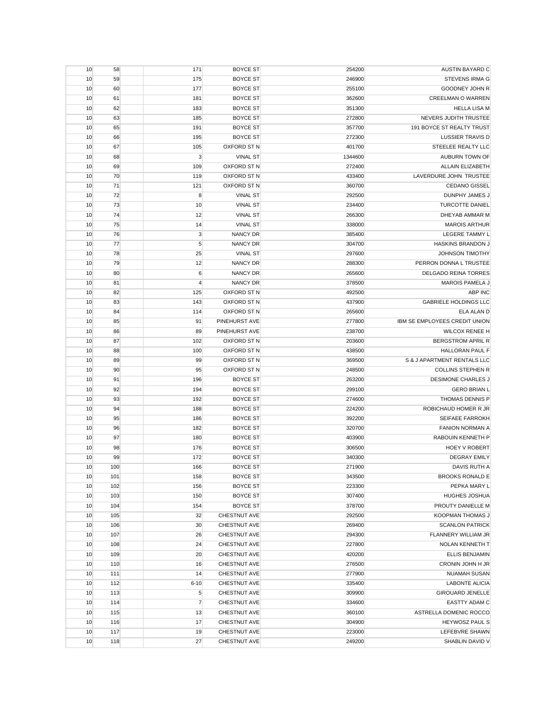| AUSTIN BAYARD C               | 254200  | <b>BOYCE ST</b>     | 171            | 58  | 10 |
|-------------------------------|---------|---------------------|----------------|-----|----|
| <b>STEVENS IRMA G</b>         | 246900  | <b>BOYCE ST</b>     | 175            | 59  | 10 |
| GOODNEY JOHN R                | 255100  | <b>BOYCE ST</b>     | 177            | 60  | 10 |
| <b>CREELMAN O WARREN</b>      | 362600  | <b>BOYCE ST</b>     | 181            | 61  | 10 |
| <b>HELLA LISA M</b>           | 351300  | <b>BOYCE ST</b>     | 183            | 62  | 10 |
| NEVERS JUDITH TRUSTEE         | 272800  | <b>BOYCE ST</b>     | 185            | 63  | 10 |
| 191 BOYCE ST REALTY TRUST     | 357700  | <b>BOYCE ST</b>     | 191            | 65  | 10 |
| <b>LUSSIER TRAVIS D</b>       | 272300  | <b>BOYCE ST</b>     | 195            | 66  | 10 |
| STEELEE REALTY LLC            | 401700  | OXFORD ST N         | 105            | 67  | 10 |
| AUBURN TOWN OF                | 1344600 | <b>VINAL ST</b>     | $\mathbf{3}$   | 68  | 10 |
| <b>ALLAIN ELIZABETH</b>       | 272400  | OXFORD ST N         | 109            | 69  | 10 |
| LAVERDURE JOHN TRUSTEE        | 433400  | OXFORD ST N         | 119            | 70  | 10 |
| <b>CEDANO GISSEL</b>          | 360700  | <b>OXFORD ST N</b>  | 121            | 71  | 10 |
| DUNPHY JAMES J                | 292500  | <b>VINAL ST</b>     | 8              | 72  | 10 |
|                               |         |                     |                |     |    |
| <b>TURCOTTE DANIEL</b>        | 234400  | <b>VINAL ST</b>     | 10             | 73  | 10 |
| DHEYAB AMMAR M                | 266300  | <b>VINAL ST</b>     | 12             | 74  | 10 |
| <b>MAROIS ARTHUR</b>          | 338000  | <b>VINAL ST</b>     | 14             | 75  | 10 |
| LEGERE TAMMY L                | 385400  | NANCY DR            | 3              | 76  | 10 |
| HASKINS BRANDON J             | 304700  | <b>NANCY DR</b>     | 5              | 77  | 10 |
| <b>JOHNSON TIMOTHY</b>        | 297600  | <b>VINAL ST</b>     | 25             | 78  | 10 |
| PERRON DONNA L TRUSTEE        | 288300  | <b>NANCY DR</b>     | 12             | 79  | 10 |
| <b>DELGADO REINA TORRES</b>   | 265600  | <b>NANCY DR</b>     | 6              | 80  | 10 |
| <b>MAROIS PAMELA J</b>        | 378500  | <b>NANCY DR</b>     | 4              | 81  | 10 |
| <b>ABP INC</b>                | 492500  | OXFORD ST N         | 125            | 82  | 10 |
| <b>GABRIELE HOLDINGS LLC</b>  | 437900  | OXFORD ST N         | 143            | 83  | 10 |
| ELA ALAN D                    | 265600  | OXFORD ST N         | 114            | 84  | 10 |
| IBM SE EMPLOYEES CREDIT UNION | 277800  | PINEHURST AVE       | 91             | 85  | 10 |
| <b>WILCOX RENEE H</b>         | 238700  | PINEHURST AVE       | 89             | 86  | 10 |
| <b>BERGSTROM APRIL R</b>      | 203600  | OXFORD ST N         | 102            | 87  | 10 |
| <b>HALLORAN PAUL F</b>        | 438500  | OXFORD ST N         | 100            | 88  | 10 |
| S & J APARTMENT RENTALS LLC   | 369500  | OXFORD ST N         | 99             | 89  | 10 |
| <b>COLLINS STEPHEN R</b>      | 248500  | OXFORD ST N         | 95             | 90  | 10 |
| <b>DESIMONE CHARLES J</b>     | 263200  | <b>BOYCE ST</b>     | 196            | 91  | 10 |
| <b>GERO BRIAN L</b>           | 299100  | <b>BOYCE ST</b>     | 194            | 92  | 10 |
| THOMAS DENNIS P               | 274600  | <b>BOYCE ST</b>     | 192            | 93  | 10 |
| ROBICHAUD HOMER R JR          | 224200  | <b>BOYCE ST</b>     | 188            | 94  | 10 |
| <b>SEIFAEE FARROKH</b>        | 392200  | <b>BOYCE ST</b>     | 186            | 95  | 10 |
| <b>FANION NORMAN A</b>        | 320700  | <b>BOYCE ST</b>     | 182            | 96  | 10 |
| RABOUIN KENNETH P             | 403900  | <b>BOYCE ST</b>     | 180            | 97  | 10 |
| <b>HOEY V ROBERT</b>          | 306500  | <b>BOYCE ST</b>     | 176            | 98  | 10 |
| <b>DEGRAY EMILY</b>           | 340300  | <b>BOYCE ST</b>     | 172            | 99  | 10 |
| DAVIS RUTH A                  | 271900  | <b>BOYCE ST</b>     | 166            | 100 | 10 |
|                               |         |                     |                |     |    |
| <b>BROOKS RONALD E</b>        | 343500  | <b>BOYCE ST</b>     | 158            | 101 | 10 |
| PEPKA MARY L                  | 223300  | <b>BOYCE ST</b>     | 156            | 102 | 10 |
| HUGHES JOSHUA                 | 307400  | <b>BOYCE ST</b>     | 150            | 103 | 10 |
| PROUTY DANIELLE M             | 378700  | <b>BOYCE ST</b>     | 154            | 104 | 10 |
| KOOPMAN THOMAS J              | 292500  | CHESTNUT AVE        | 32             | 105 | 10 |
| <b>SCANLON PATRICK</b>        | 269400  | CHESTNUT AVE        | 30             | 106 | 10 |
| FLANNERY WILLIAM JR           | 294300  | CHESTNUT AVE        | 26             | 107 | 10 |
| NOLAN KENNETH T               | 227800  | CHESTNUT AVE        | 24             | 108 | 10 |
| <b>ELLIS BENJAMIN</b>         | 420200  | <b>CHESTNUT AVE</b> | 20             | 109 | 10 |
| CRONIN JOHN H JR              | 276500  | CHESTNUT AVE        | 16             | 110 | 10 |
| <b>NUAMAH SUSAN</b>           | 277900  | <b>CHESTNUT AVE</b> | 14             | 111 | 10 |
| <b>LABONTE ALICIA</b>         | 335400  | CHESTNUT AVE        | $6 - 10$       | 112 | 10 |
| <b>GIROUARD JENELLE</b>       | 309900  | CHESTNUT AVE        | 5              | 113 | 10 |
| EASTTY ADAM C                 | 334600  | CHESTNUT AVE        | $\overline{7}$ | 114 | 10 |
| ASTRELLA DOMENIC ROCCO        | 360100  | CHESTNUT AVE        | 13             | 115 | 10 |
| HEYWOSZ PAUL S                | 304900  | CHESTNUT AVE        | 17             | 116 | 10 |
| LEFEBVRE SHAWN                | 223000  | CHESTNUT AVE        | 19             | 117 | 10 |
| SHABLIN DAVID V               | 249200  | <b>CHESTNUT AVE</b> | 27             | 118 | 10 |
|                               |         |                     |                |     |    |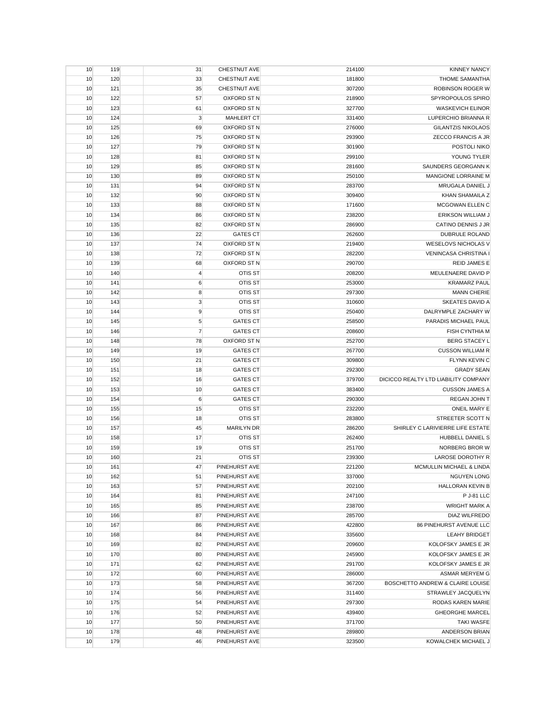| 10 | 119 | 31             | <b>CHESTNUT AVE</b> | 214100 | <b>KINNEY NANCY</b>                  |
|----|-----|----------------|---------------------|--------|--------------------------------------|
| 10 | 120 | 33             | CHESTNUT AVE        | 181800 | <b>THOME SAMANTHA</b>                |
| 10 | 121 | 35             | CHESTNUT AVE        | 307200 | ROBINSON ROGER W                     |
| 10 | 122 | 57             | OXFORD ST N         | 218900 | SPYROPOULOS SPIRO                    |
| 10 | 123 | 61             | OXFORD ST N         | 327700 | <b>WASKEVICH ELINOR</b>              |
| 10 | 124 | $\mathsf 3$    | <b>MAHLERT CT</b>   | 331400 | LUPERCHIO BRIANNA R                  |
| 10 | 125 | 69             | <b>OXFORD ST N</b>  | 276000 | <b>GILANTZIS NIKOLAOS</b>            |
| 10 | 126 | 75             | OXFORD ST N         | 293900 | ZECCO FRANCIS A JR                   |
| 10 | 127 | 79             | OXFORD ST N         | 301900 | POSTOLI NIKO                         |
| 10 | 128 | 81             | OXFORD ST N         | 299100 | YOUNG TYLER                          |
| 10 | 129 | 85             | OXFORD ST N         | 281600 | SAUNDERS GEORGANN K                  |
| 10 | 130 | 89             | OXFORD ST N         | 250100 | <b>MANGIONE LORRAINE M</b>           |
| 10 | 131 | 94             | OXFORD ST N         | 283700 | MRUGALA DANIEL J                     |
| 10 | 132 | 90             | <b>OXFORD ST N</b>  | 309400 | KHAN SHAMAILA Z                      |
| 10 | 133 | 88             | OXFORD ST N         | 171600 | MCGOWAN ELLEN C                      |
| 10 | 134 | 86             | OXFORD ST N         | 238200 | <b>ERIKSON WILLIAM J</b>             |
| 10 | 135 | 82             | <b>OXFORD ST N</b>  | 286900 | CATINO DENNIS J JR                   |
|    |     | 22             | <b>GATES CT</b>     |        |                                      |
| 10 | 136 |                | OXFORD ST N         | 262600 | <b>DUBRULE ROLAND</b>                |
| 10 | 137 | 74             |                     | 219400 | <b>WESELOVS NICHOLAS V</b>           |
| 10 | 138 | 72             | OXFORD ST N         | 282200 | <b>VENINCASA CHRISTINA I</b>         |
| 10 | 139 | 68             | OXFORD ST N         | 290700 | <b>REID JAMES E</b>                  |
| 10 | 140 | 4              | <b>OTIS ST</b>      | 208200 | MEULENAERE DAVID P                   |
| 10 | 141 | 6              | OTIS ST             | 253000 | <b>KRAMARZ PAUL</b>                  |
| 10 | 142 | 8              | OTIS ST             | 297300 | <b>MANN CHERIE</b>                   |
| 10 | 143 | $\mathsf 3$    | <b>OTIS ST</b>      | 310600 | <b>SKEATES DAVID A</b>               |
| 10 | 144 | 9              | OTIS ST             | 250400 | DALRYMPLE ZACHARY W                  |
| 10 | 145 | 5              | <b>GATES CT</b>     | 258500 | PARADIS MICHAEL PAUL                 |
| 10 | 146 | $\overline{7}$ | <b>GATES CT</b>     | 208600 | <b>FISH CYNTHIA M</b>                |
| 10 | 148 | 78             | OXFORD ST N         | 252700 | <b>BERG STACEY L</b>                 |
| 10 | 149 | 19             | <b>GATES CT</b>     | 267700 | <b>CUSSON WILLIAM R</b>              |
| 10 | 150 | 21             | <b>GATES CT</b>     | 309800 | FLYNN KEVIN C                        |
| 10 | 151 | 18             | <b>GATES CT</b>     | 292300 | <b>GRADY SEAN</b>                    |
| 10 | 152 | 16             | <b>GATES CT</b>     | 379700 | DICICCO REALTY LTD LIABILITY COMPANY |
| 10 | 153 | 10             | <b>GATES CT</b>     | 383400 | <b>CUSSON JAMES A</b>                |
| 10 | 154 | 6              | <b>GATES CT</b>     | 290300 | REGAN JOHN T                         |
| 10 | 155 | 15             | OTIS ST             | 232200 | <b>ONEIL MARY E</b>                  |
| 10 | 156 | 18             | OTIS ST             | 283800 | STREETER SCOTT N                     |
| 10 | 157 | 45             | <b>MARILYN DR</b>   | 286200 | SHIRLEY C LARIVIERRE LIFE ESTATE     |
| 10 | 158 | 17             | OTIS ST             | 262400 | HUBBELL DANIEL S                     |
| 10 | 159 | 19             | <b>OTIS ST</b>      | 251700 | NORBERG BROR W                       |
| 10 | 160 | 21             | OTIS ST             | 239300 | LAROSE DOROTHY R                     |
| 10 | 161 | 47             | PINEHURST AVE       | 221200 | MCMULLIN MICHAEL & LINDA             |
| 10 | 162 | 51             | PINEHURST AVE       | 337000 | <b>NGUYEN LONG</b>                   |
| 10 | 163 | 57             | PINEHURST AVE       | 202100 | HALLORAN KEVIN B                     |
| 10 | 164 | 81             | PINEHURST AVE       | 247100 | P J-81 LLC                           |
| 10 | 165 | 85             | PINEHURST AVE       | 238700 | <b>WRIGHT MARK A</b>                 |
| 10 | 166 | 87             | PINEHURST AVE       | 285700 | DIAZ WILFREDO                        |
| 10 | 167 | 86             | PINEHURST AVE       | 422800 | 86 PINEHURST AVENUE LLC              |
| 10 | 168 | 84             | PINEHURST AVE       | 335600 | <b>LEAHY BRIDGET</b>                 |
| 10 | 169 | 82             | PINEHURST AVE       | 209600 | KOLOFSKY JAMES E JR                  |
| 10 | 170 | 80             | PINEHURST AVE       | 245900 | <b>KOLOFSKY JAMES E JR</b>           |
| 10 | 171 | 62             | PINEHURST AVE       | 291700 | <b>KOLOFSKY JAMES E JR</b>           |
| 10 | 172 | 60             | PINEHURST AVE       | 286000 | ASMAR MERYEM G                       |
| 10 | 173 | 58             | PINEHURST AVE       | 367200 | BOSCHETTO ANDREW & CLAIRE LOUISE     |
| 10 | 174 |                |                     |        |                                      |
|    | 175 | 56             | PINEHURST AVE       | 311400 | STRAWLEY JACQUELYN                   |
| 10 |     | 54             | PINEHURST AVE       | 297300 | RODAS KAREN MARIE                    |
| 10 | 176 | 52             | PINEHURST AVE       | 439400 | <b>GHEORGHE MARCEL</b>               |
| 10 | 177 | 50             | PINEHURST AVE       | 371700 | <b>TAKI WASFE</b>                    |
| 10 | 178 | 48             | PINEHURST AVE       | 289800 | <b>ANDERSON BRIAN</b>                |
| 10 | 179 | 46             | PINEHURST AVE       | 323500 | KOWALCHEK MICHAEL J                  |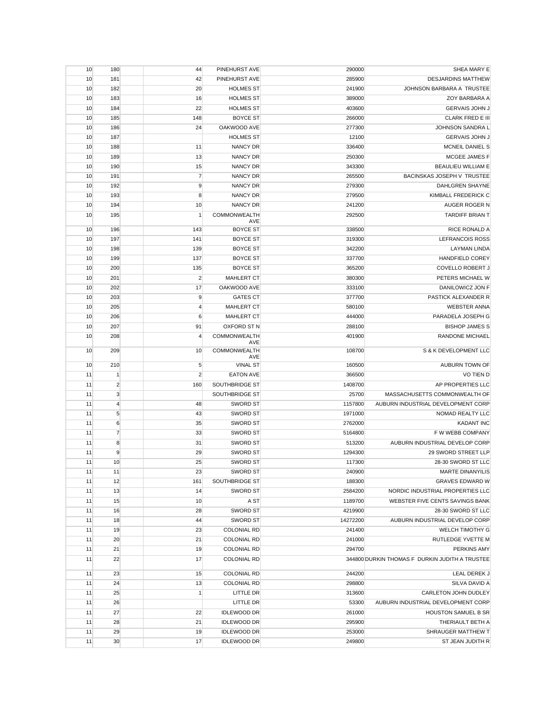| 10 | 180            | 44             | PINEHURST AVE          | 290000   | SHEA MARY E                                    |
|----|----------------|----------------|------------------------|----------|------------------------------------------------|
| 10 | 181            | 42             | PINEHURST AVE          | 285900   | <b>DESJARDINS MATTHEW</b>                      |
| 10 | 182            | 20             | <b>HOLMES ST</b>       | 241900   | JOHNSON BARBARA A TRUSTEE                      |
| 10 | 183            | 16             | <b>HOLMES ST</b>       | 389000   | ZOY BARBARA A                                  |
| 10 | 184            | 22             | <b>HOLMES ST</b>       | 403600   | <b>GERVAIS JOHN J</b>                          |
| 10 | 185            | 148            | <b>BOYCE ST</b>        | 266000   | <b>CLARK FRED E III</b>                        |
| 10 | 186            | 24             | OAKWOOD AVE            | 277300   | JOHNSON SANDRA L                               |
| 10 | 187            |                | <b>HOLMES ST</b>       | 12100    | <b>GERVAIS JOHN J</b>                          |
| 10 | 188            | 11             | <b>NANCY DR</b>        | 336400   | MCNEIL DANIEL S                                |
| 10 | 189            | 13             | <b>NANCY DR</b>        | 250300   | MCGEE JAMES F                                  |
| 10 | 190            | 15             | <b>NANCY DR</b>        | 343300   | <b>BEAULIEU WILLIAM E</b>                      |
| 10 | 191            | $\overline{7}$ | <b>NANCY DR</b>        | 265500   | BACINSKAS JOSEPH V TRUSTEE                     |
| 10 | 192            | 9              | <b>NANCY DR</b>        | 279300   | <b>DAHLGREN SHAYNE</b>                         |
| 10 | 193            | 8              | <b>NANCY DR</b>        | 279500   | KIMBALL FREDERICK C                            |
| 10 | 194            | 10             | <b>NANCY DR</b>        | 241200   | AUGER ROGER N                                  |
| 10 | 195            | $\mathbf{1}$   | COMMONWEALTH           | 292500   | <b>TARDIFF BRIAN T</b>                         |
|    |                |                | AVE                    |          |                                                |
| 10 | 196            | 143            | <b>BOYCE ST</b>        | 338500   | RICE RONALD A                                  |
| 10 | 197            | 141            | <b>BOYCE ST</b>        | 319300   | <b>LEFRANCOIS ROSS</b>                         |
| 10 | 198            | 139            | <b>BOYCE ST</b>        | 342200   | <b>LAYMAN LINDA</b>                            |
| 10 | 199            | 137            | <b>BOYCE ST</b>        | 337700   | <b>HANDFIELD COREY</b>                         |
| 10 | 200            | 135            | <b>BOYCE ST</b>        | 365200   | <b>COVELLO ROBERT J</b>                        |
| 10 | 201            | $\overline{2}$ | <b>MAHLERT CT</b>      | 380300   | PETERS MICHAEL W                               |
| 10 | 202            | 17             | OAKWOOD AVE            | 333100   | DANILOWICZ JON F                               |
| 10 | 203            | 9              | <b>GATES CT</b>        | 377700   | PASTICK ALEXANDER R                            |
| 10 | 205            | $\overline{4}$ | MAHLERT CT             | 580100   | <b>WEBSTER ANNA</b>                            |
| 10 | 206            | 6              | MAHLERT CT             | 444000   | PARADELA JOSEPH G                              |
| 10 | 207            | 91             | OXFORD ST N            | 288100   | <b>BISHOP JAMES S</b>                          |
| 10 | 208            | $\overline{4}$ | COMMONWEALTH<br>AVE    | 401900   | <b>RANDONE MICHAEL</b>                         |
| 10 | 209            | 10             | COMMONWEALTH           | 108700   | S & K DEVELOPMENT LLC                          |
| 10 | 210            | 5              | AVE<br><b>VINAL ST</b> | 160500   | AUBURN TOWN OF                                 |
| 11 | $\vert$ 1      | $\overline{2}$ | <b>EATON AVE</b>       | 366500   | <b>VO TIEN D</b>                               |
| 11 | $\overline{2}$ | 160            | SOUTHBRIDGE ST         | 1408700  | AP PROPERTIES LLC                              |
| 11 | $\mathbf 3$    |                | SOUTHBRIDGE ST         | 25700    | MASSACHUSETTS COMMONWEALTH OF                  |
| 11 | $\overline{4}$ | 48             | <b>SWORD ST</b>        | 1157800  | AUBURN INDUSTRIAL DEVELOPMENT CORP             |
| 11 | $\sqrt{5}$     | 43             | <b>SWORD ST</b>        | 1971000  | NOMAD REALTY LLC                               |
| 11 | 6              | 35             | <b>SWORD ST</b>        | 2762000  | <b>KADANT INC</b>                              |
| 11 | $\overline{7}$ | 33             | <b>SWORD ST</b>        | 5164800  | F W WEBB COMPANY                               |
| 11 | 8              | 31             | <b>SWORD ST</b>        | 513200   | AUBURN INDUSTRIAL DEVELOP CORP                 |
|    | 9              |                | <b>SWORD ST</b>        |          | 29 SWORD STREET LLP                            |
| 11 |                | 29             | <b>SWORD ST</b>        | 1294300  |                                                |
| 11 | 10             | 25             |                        | 117300   | 28-30 SWORD ST LLC                             |
| 11 | 11             | 23             | SWORD ST               | 240900   | <b>MARTE DINANYILIS</b>                        |
| 11 | 12             | 161            | SOUTHBRIDGE ST         | 188300   | <b>GRAVES EDWARD W</b>                         |
| 11 | 13             | 14             | <b>SWORD ST</b>        | 2584200  | NORDIC INDUSTRIAL PROPERTIES LLC               |
| 11 | 15             | 10             | A ST                   | 1189700  | WEBSTER FIVE CENTS SAVINGS BANK                |
| 11 | 16             | 28             | SWORD ST               | 4219900  | 28-30 SWORD ST LLC                             |
| 11 | 18             | 44             | <b>SWORD ST</b>        | 14272200 | AUBURN INDUSTRIAL DEVELOP CORP                 |
| 11 | 19             | 23             | <b>COLONIAL RD</b>     | 241400   | WELCH TIMOTHY G                                |
| 11 | 20             | 21             | <b>COLONIAL RD</b>     | 241000   | RUTLEDGE YVETTE M                              |
| 11 | 21             | 19             | <b>COLONIAL RD</b>     | 294700   | PERKINS AMY                                    |
| 11 | 22             | 17             | <b>COLONIAL RD</b>     |          | 344800 DURKIN THOMAS F DURKIN JUDITH A TRUSTEE |
| 11 | 23             | 15             | <b>COLONIAL RD</b>     | 244200   | LEAL DEREK J                                   |
| 11 | 24             | 13             | <b>COLONIAL RD</b>     | 298800   | SILVA DAVID A                                  |
| 11 | 25             | $\mathbf{1}$   | LITTLE DR              | 313600   | CARLETON JOHN DUDLEY                           |
| 11 | 26             |                | LITTLE DR              | 53300    | AUBURN INDUSTRIAL DEVELOPMENT CORP             |
| 11 | 27             | 22             | <b>IDLEWOOD DR</b>     | 261000   | <b>HOUSTON SAMUEL B SR</b>                     |
| 11 | 28             | 21             | <b>IDLEWOOD DR</b>     | 295900   | THERIAULT BETH A                               |
| 11 | 29             | 19             | <b>IDLEWOOD DR</b>     | 253000   | SHRAUGER MATTHEW T                             |
| 11 | 30             | 17             | <b>IDLEWOOD DR</b>     | 249800   | ST JEAN JUDITH R                               |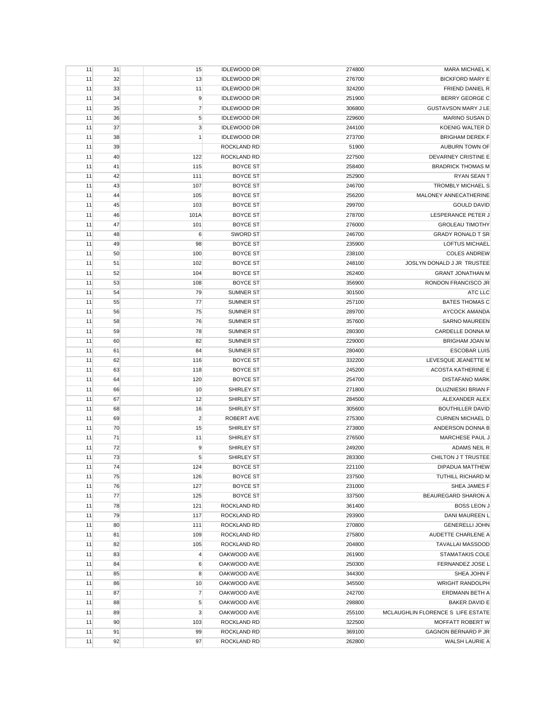| 11 | 31 | 15             | <b>IDLEWOOD DR</b> | 274800 | <b>MARA MICHAEL K</b>             |
|----|----|----------------|--------------------|--------|-----------------------------------|
| 11 | 32 | 13             | <b>IDLEWOOD DR</b> | 276700 | <b>BICKFORD MARY E</b>            |
| 11 | 33 | 11             | <b>IDLEWOOD DR</b> | 324200 | FRIEND DANIEL R                   |
| 11 | 34 | 9              | <b>IDLEWOOD DR</b> | 251900 | <b>BERRY GEORGE C</b>             |
| 11 | 35 | $\overline{7}$ | <b>IDLEWOOD DR</b> | 306800 | <b>GUSTAVSON MARY J LE</b>        |
| 11 | 36 | $\sqrt{5}$     | <b>IDLEWOOD DR</b> | 229600 | MARINO SUSAN D                    |
| 11 | 37 | 3              | <b>IDLEWOOD DR</b> | 244100 | KOENIG WALTER D                   |
| 11 | 38 | $\mathbf{1}$   | <b>IDLEWOOD DR</b> | 273700 | <b>BRIGHAM DEREK F</b>            |
| 11 | 39 |                | ROCKLAND RD        | 51900  | AUBURN TOWN OF                    |
| 11 | 40 | 122            | ROCKLAND RD        | 227500 | DEVARNEY CRISTINE E               |
| 11 | 41 | 115            | <b>BOYCE ST</b>    | 258400 | <b>BRADRICK THOMAS M</b>          |
|    |    |                | <b>BOYCE ST</b>    |        | <b>RYAN SEAN T</b>                |
| 11 | 42 | 111            |                    | 252900 | <b>TROMBLY MICHAEL S</b>          |
| 11 | 43 | 107            | <b>BOYCE ST</b>    | 246700 |                                   |
| 11 | 44 | 105            | <b>BOYCE ST</b>    | 256200 | MALONEY ANNECATHERINE             |
| 11 | 45 | 103            | <b>BOYCE ST</b>    | 299700 | <b>GOULD DAVID</b>                |
| 11 | 46 | 101A           | <b>BOYCE ST</b>    | 278700 | LESPERANCE PETER J                |
| 11 | 47 | 101            | <b>BOYCE ST</b>    | 276000 | <b>GROLEAU TIMOTHY</b>            |
| 11 | 48 | 6              | <b>SWORD ST</b>    | 246700 | <b>GRADY RONALD T SR</b>          |
| 11 | 49 | 98             | <b>BOYCE ST</b>    | 235900 | <b>LOFTUS MICHAEL</b>             |
| 11 | 50 | 100            | <b>BOYCE ST</b>    | 238100 | <b>COLES ANDREW</b>               |
| 11 | 51 | 102            | <b>BOYCE ST</b>    | 248100 | JOSLYN DONALD J JR TRUSTEE        |
| 11 | 52 | 104            | <b>BOYCE ST</b>    | 262400 | <b>GRANT JONATHAN M</b>           |
| 11 | 53 | 108            | <b>BOYCE ST</b>    | 356900 | RONDON FRANCISCO JR               |
| 11 | 54 | 79             | <b>SUMNER ST</b>   | 301500 | ATC LLC                           |
| 11 | 55 | 77             | <b>SUMNER ST</b>   | 257100 | <b>BATES THOMAS C</b>             |
| 11 | 56 | 75             | <b>SUMNER ST</b>   | 289700 | AYCOCK AMANDA                     |
| 11 | 58 | 76             | <b>SUMNER ST</b>   | 357600 | <b>SARNO MAUREEN</b>              |
| 11 | 59 | 78             | <b>SUMNER ST</b>   | 280300 | CARDELLE DONNA M                  |
| 11 | 60 | 82             | <b>SUMNER ST</b>   | 229000 | <b>BRIGHAM JOAN M</b>             |
| 11 | 61 | 84             | <b>SUMNER ST</b>   | 280400 | <b>ESCOBAR LUIS</b>               |
| 11 | 62 | 116            | <b>BOYCE ST</b>    | 332200 | LEVESQUE JEANETTE M               |
| 11 | 63 | 118            | <b>BOYCE ST</b>    | 245200 | <b>ACOSTA KATHERINE E</b>         |
| 11 | 64 | 120            | <b>BOYCE ST</b>    | 254700 | <b>DISTAFANO MARK</b>             |
|    |    | 10             | SHIRLEY ST         | 271800 | DLUZNIESKI BRIAN F                |
| 11 | 66 |                |                    |        |                                   |
| 11 | 67 | 12             | SHIRLEY ST         | 284500 | ALEXANDER ALEX                    |
| 11 | 68 | 16             | SHIRLEY ST         | 305600 | <b>BOUTHILLER DAVID</b>           |
| 11 | 69 | $\overline{2}$ | ROBERT AVE         | 275300 | <b>CURNEN MICHAEL D</b>           |
| 11 | 70 | 15             | SHIRLEY ST         | 273800 | ANDERSON DONNA B                  |
| 11 | 71 | 11             | SHIRLEY ST         | 276500 | MARCHESE PAUL J                   |
| 11 | 72 | 9              | SHIRLEY ST         | 249200 | <b>ADAMS NEIL R</b>               |
| 11 | 73 | 5              | SHIRLEY ST         | 283300 | CHILTON J T TRUSTEE               |
| 11 | 74 | 124            | <b>BOYCE ST</b>    | 221100 | <b>DIPADUA MATTHEW</b>            |
| 11 | 75 | 126            | <b>BOYCE ST</b>    | 237500 | TUTHILL RICHARD M                 |
| 11 | 76 | 127            | <b>BOYCE ST</b>    | 231000 | SHEA JAMES F                      |
| 11 | 77 | 125            | <b>BOYCE ST</b>    | 337500 | BEAUREGARD SHARON A               |
| 11 | 78 | 121            | ROCKLAND RD        | 361400 | <b>BOSS LEON J</b>                |
| 11 | 79 | 117            | <b>ROCKLAND RD</b> | 293900 | DANI MAUREEN L                    |
| 11 | 80 | 111            | <b>ROCKLAND RD</b> | 270800 | <b>GENERELLI JOHN</b>             |
| 11 | 81 | 109            | ROCKLAND RD        | 275800 | AUDETTE CHARLENE A                |
| 11 | 82 | 105            | ROCKLAND RD        | 204800 | <b>TAVALLAI MASSOOD</b>           |
| 11 | 83 | 4              | OAKWOOD AVE        | 261900 | STAMATAKIS COLE                   |
| 11 | 84 | 6              | OAKWOOD AVE        | 250300 | FERNANDEZ JOSE L                  |
| 11 | 85 | 8              | OAKWOOD AVE        | 344300 | SHEA JOHN F                       |
| 11 | 86 | 10             | OAKWOOD AVE        | 345500 | <b>WRIGHT RANDOLPH</b>            |
| 11 | 87 | $\overline{7}$ | OAKWOOD AVE        | 242700 | ERDMANN BETH A                    |
| 11 | 88 | 5              | OAKWOOD AVE        | 298800 | <b>BAKER DAVID E</b>              |
| 11 | 89 | $\mathsf 3$    | OAKWOOD AVE        | 255100 | MCLAUGHLIN FLORENCE S LIFE ESTATE |
|    |    |                |                    |        |                                   |
| 11 | 90 | 103            | ROCKLAND RD        | 322500 | MOFFATT ROBERT W                  |
| 11 | 91 | 99             | ROCKLAND RD        | 369100 | GAGNON BERNARD P JR               |
| 11 | 92 | 97             | ROCKLAND RD        | 262800 | WALSH LAURIE A                    |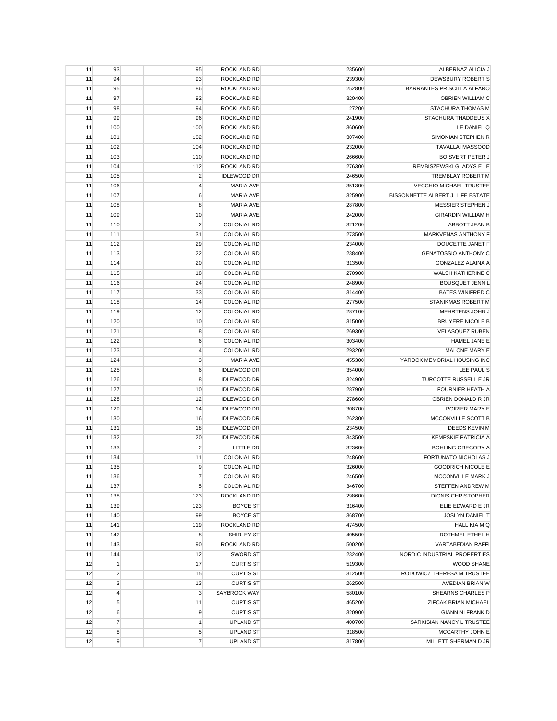| 11 | 93             | 95             | <b>ROCKLAND RD</b> | 235600 | ALBERNAZ ALICIA J                 |
|----|----------------|----------------|--------------------|--------|-----------------------------------|
| 11 | 94             | 93             | <b>ROCKLAND RD</b> | 239300 | DEWSBURY ROBERT S                 |
| 11 | 95             | 86             | <b>ROCKLAND RD</b> | 252800 | <b>BARRANTES PRISCILLA ALFARO</b> |
| 11 | 97             | 92             | ROCKLAND RD        | 320400 | OBRIEN WILLIAM C                  |
| 11 | 98             | 94             | ROCKLAND RD        | 27200  | STACHURA THOMAS M                 |
| 11 | 99             | 96             | ROCKLAND RD        | 241900 | STACHURA THADDEUS X               |
| 11 | 100            | 100            | ROCKLAND RD        | 360600 | LE DANIEL Q                       |
| 11 | 101            | 102            | ROCKLAND RD        | 307400 | SIMONIAN STEPHEN R                |
| 11 | 102            | 104            | ROCKLAND RD        | 232000 | <b>TAVALLAI MASSOOD</b>           |
| 11 | 103            | 110            | ROCKLAND RD        | 266600 | <b>BOISVERT PETER J</b>           |
| 11 | 104            | 112            | <b>ROCKLAND RD</b> | 276300 | REMBISZEWSKI GLADYS E LE          |
| 11 | 105            | $\overline{2}$ | <b>IDLEWOOD DR</b> | 246500 | <b>TREMBLAY ROBERT M</b>          |
| 11 | 106            | 4              | <b>MARIA AVE</b>   | 351300 | <b>VECCHIO MICHAEL TRUSTEE</b>    |
| 11 | 107            | 6              | <b>MARIA AVE</b>   | 325900 | BISSONNETTE ALBERT J LIFE ESTATE  |
| 11 | 108            | 8              | <b>MARIA AVE</b>   | 287800 | MESSIER STEPHEN J                 |
| 11 | 109            | 10             | <b>MARIA AVE</b>   | 242000 | <b>GIRARDIN WILLIAM H</b>         |
| 11 | 110            | $\overline{2}$ | <b>COLONIAL RD</b> | 321200 | ABBOTT JEAN B                     |
| 11 | 111            | 31             | <b>COLONIAL RD</b> | 273500 | MARKVENAS ANTHONY F               |
| 11 | 112            | 29             | <b>COLONIAL RD</b> |        | DOUCETTE JANET F                  |
|    |                |                |                    | 234000 |                                   |
| 11 | 113            | 22             | <b>COLONIAL RD</b> | 238400 | <b>GENATOSSIO ANTHONY C</b>       |
| 11 | 114            | 20             | <b>COLONIAL RD</b> | 313500 | <b>GONZALEZ ALAINA A</b>          |
| 11 | 115            | 18             | <b>COLONIAL RD</b> | 270900 | <b>WALSH KATHERINE C</b>          |
| 11 | 116            | 24             | <b>COLONIAL RD</b> | 248900 | <b>BOUSQUET JENN L</b>            |
| 11 | 117            | 33             | <b>COLONIAL RD</b> | 314400 | <b>BATES WINIFRED C</b>           |
| 11 | 118            | 14             | <b>COLONIAL RD</b> | 277500 | <b>STANIKMAS ROBERT M</b>         |
| 11 | 119            | 12             | <b>COLONIAL RD</b> | 287100 | MEHRTENS JOHN J                   |
| 11 | 120            | 10             | <b>COLONIAL RD</b> | 315000 | <b>BRUYERE NICOLE B</b>           |
| 11 | 121            | 8              | <b>COLONIAL RD</b> | 269300 | <b>VELASQUEZ RUBEN</b>            |
| 11 | 122            | $\,6$          | <b>COLONIAL RD</b> | 303400 | HAMEL JANE E                      |
| 11 | 123            | $\overline{4}$ | <b>COLONIAL RD</b> | 293200 | <b>MALONE MARY E</b>              |
| 11 | 124            | 3              | <b>MARIA AVE</b>   | 455300 | YAROCK MEMORIAL HOUSING INC       |
| 11 | 125            | 6              | <b>IDLEWOOD DR</b> | 354000 | LEE PAUL S                        |
| 11 | 126            | 8              | <b>IDLEWOOD DR</b> | 324900 | TURCOTTE RUSSELL E JR             |
| 11 | 127            | 10             | <b>IDLEWOOD DR</b> | 287900 | <b>FOURNIER HEATH A</b>           |
| 11 | 128            | 12             | <b>IDLEWOOD DR</b> | 278600 | OBRIEN DONALD R JR                |
| 11 | 129            | 14             | <b>IDLEWOOD DR</b> | 308700 | POIRIER MARY E                    |
| 11 | 130            | 16             | <b>IDLEWOOD DR</b> | 262300 | MCCONVILLE SCOTT B                |
| 11 | 131            | 18             | <b>IDLEWOOD DR</b> | 234500 | DEEDS KEVIN M                     |
| 11 | 132            | 20             | <b>IDLEWOOD DR</b> | 343500 | <b>KEMPSKIE PATRICIA A</b>        |
| 11 | 133            | $\overline{2}$ | LITTLE DR          | 323600 | <b>BOHLING GREGORY A</b>          |
| 11 | 134            | 11             | <b>COLONIAL RD</b> | 248600 | <b>FORTUNATO NICHOLAS J</b>       |
| 11 | 135            | 9              | <b>COLONIAL RD</b> | 326000 | <b>GOODRICH NICOLE E</b>          |
| 11 | 136            | $\overline{7}$ | <b>COLONIAL RD</b> | 246500 | MCCONVILLE MARK J                 |
| 11 | 137            | 5              | <b>COLONIAL RD</b> | 346700 | STEFFEN ANDREW M                  |
| 11 | 138            | 123            | ROCKLAND RD        | 298600 | <b>DIONIS CHRISTOPHER</b>         |
| 11 | 139            | 123            | <b>BOYCE ST</b>    | 316400 | ELIE EDWARD E JR                  |
| 11 | 140            | 99             | <b>BOYCE ST</b>    | 368700 | JOSLYN DANIEL T                   |
| 11 | 141            | 119            | ROCKLAND RD        | 474500 | HALL KIA M Q                      |
| 11 | 142            | 8              | SHIRLEY ST         | 405500 | ROTHMEL ETHEL H                   |
| 11 | 143            | 90             | ROCKLAND RD        | 500200 | <b>VARTABEDIAN RAFFI</b>          |
| 11 | 144            | 12             | <b>SWORD ST</b>    | 232400 | NORDIC INDUSTRIAL PROPERTIES      |
| 12 | $\mathbf{1}$   | 17             | <b>CURTIS ST</b>   | 519300 | <b>WOOD SHANE</b>                 |
| 12 | $\overline{2}$ | 15             | <b>CURTIS ST</b>   | 312500 | RODOWICZ THERESA M TRUSTEE        |
| 12 | $\mathbf{3}$   | 13             | <b>CURTIS ST</b>   | 262500 | AVEDIAN BRIAN W                   |
| 12 | $\overline{4}$ | 3              | SAYBROOK WAY       | 580100 | SHEARNS CHARLES P                 |
| 12 | 5              | 11             | <b>CURTIS ST</b>   | 465200 | ZIFCAK BRIAN MICHAEL              |
| 12 | 6              | 9              | <b>CURTIS ST</b>   | 320900 | <b>GIANNINI FRANK D</b>           |
| 12 | $\overline{7}$ | $\mathbf{1}$   | <b>UPLAND ST</b>   | 400700 | SARKISIAN NANCY L TRUSTEE         |
| 12 | $\bf 8$        | 5              | <b>UPLAND ST</b>   | 318500 | MCCARTHY JOHN E                   |
| 12 | $\overline{9}$ | $\overline{7}$ | <b>UPLAND ST</b>   | 317800 | MILLETT SHERMAN D JR              |
|    |                |                |                    |        |                                   |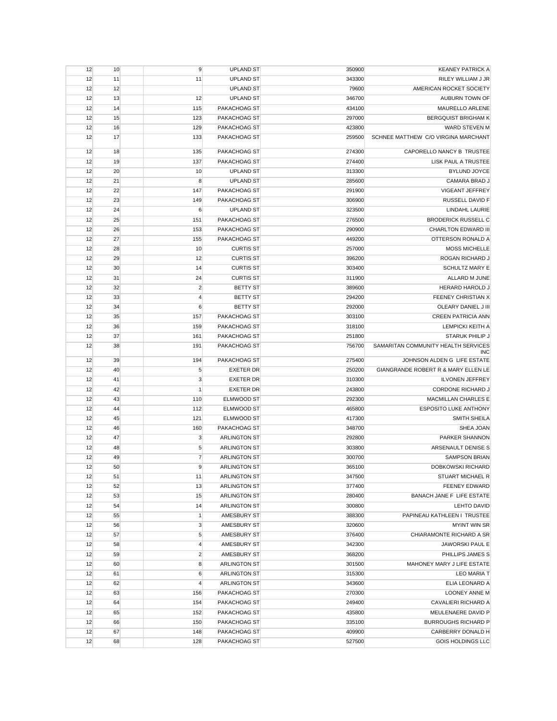| 12 | 10 | 9              | <b>UPLAND ST</b>    | 350900 | <b>KEANEY PATRICK A</b>                    |
|----|----|----------------|---------------------|--------|--------------------------------------------|
| 12 | 11 | 11             | <b>UPLAND ST</b>    | 343300 | RILEY WILLIAM J JR                         |
| 12 | 12 |                | <b>UPLAND ST</b>    | 79600  | AMERICAN ROCKET SOCIETY                    |
| 12 | 13 | 12             | <b>UPLAND ST</b>    | 346700 | AUBURN TOWN OF                             |
| 12 | 14 | 115            | PAKACHOAG ST        | 434100 | MAURELLO ARLENE                            |
| 12 | 15 | 123            | PAKACHOAG ST        | 297000 | <b>BERGQUIST BRIGHAM K</b>                 |
| 12 | 16 | 129            | PAKACHOAG ST        | 423800 | <b>WARD STEVEN M</b>                       |
| 12 | 17 | 133            | PAKACHOAG ST        | 259500 | SCHNEE MATTHEW C/O VIRGINA MARCHANT        |
| 12 | 18 | 135            | PAKACHOAG ST        | 274300 | CAPORELLO NANCY B TRUSTEE                  |
| 12 | 19 | 137            | PAKACHOAG ST        | 274400 | LISK PAUL A TRUSTEE                        |
| 12 | 20 | 10             | <b>UPLAND ST</b>    | 313300 | <b>BYLUND JOYCE</b>                        |
| 12 | 21 | 8              | <b>UPLAND ST</b>    | 285600 | CAMARA BRAD J                              |
| 12 | 22 | 147            | PAKACHOAG ST        | 291900 | <b>VIGEANT JEFFREY</b>                     |
| 12 | 23 | 149            | PAKACHOAG ST        | 306900 | RUSSELL DAVID F                            |
| 12 | 24 | $\,6$          | <b>UPLAND ST</b>    | 323500 | LINDAHL LAURIE                             |
| 12 | 25 | 151            | PAKACHOAG ST        | 276500 | <b>BRODERICK RUSSELL C</b>                 |
| 12 | 26 | 153            | PAKACHOAG ST        | 290900 | CHARLTON EDWARD III                        |
| 12 | 27 | 155            | PAKACHOAG ST        | 449200 | OTTERSON RONALD A                          |
| 12 | 28 | 10             | <b>CURTIS ST</b>    | 257000 | <b>MOSS MICHELLE</b>                       |
|    | 29 | 12             | <b>CURTIS ST</b>    |        | ROGAN RICHARD J                            |
| 12 |    |                | <b>CURTIS ST</b>    | 396200 |                                            |
| 12 | 30 | 14             |                     | 303400 | SCHULTZ MARY E                             |
| 12 | 31 | 24             | <b>CURTIS ST</b>    | 311900 | ALLARD M JUNE                              |
| 12 | 32 | $\overline{2}$ | <b>BETTY ST</b>     | 389600 | HERARD HAROLD J                            |
| 12 | 33 | $\overline{4}$ | <b>BETTY ST</b>     | 294200 | <b>FEENEY CHRISTIAN X</b>                  |
| 12 | 34 | $\,6$          | <b>BETTY ST</b>     | 292000 | OLEARY DANIEL J III                        |
| 12 | 35 | 157            | PAKACHOAG ST        | 303100 | <b>CREEN PATRICIA ANN</b>                  |
| 12 | 36 | 159            | PAKACHOAG ST        | 318100 | LEMPICKI KEITH A                           |
| 12 | 37 | 161            | PAKACHOAG ST        | 251800 | STARUK PHILIP J                            |
| 12 | 38 | 191            | PAKACHOAG ST        | 756700 | SAMARITAN COMMUNITY HEALTH SERVICES<br>INC |
| 12 | 39 | 194            | PAKACHOAG ST        | 275400 | JOHNSON ALDEN G LIFE ESTATE                |
| 12 | 40 | 5              | <b>EXETER DR</b>    | 250200 | GIANGRANDE ROBERT R & MARY ELLEN LE        |
| 12 | 41 | 3              | <b>EXETER DR</b>    | 310300 | <b>ILVONEN JEFFREY</b>                     |
| 12 | 42 | $\mathbf{1}$   | <b>EXETER DR</b>    | 243800 | <b>CORDONE RICHARD J</b>                   |
| 12 | 43 | 110            | ELMWOOD ST          | 292300 | MACMILLAN CHARLES E                        |
| 12 | 44 | 112            | ELMWOOD ST          | 465800 | ESPOSITO LUKE ANTHONY                      |
| 12 | 45 | 121            | ELMWOOD ST          | 417300 | <b>SMITH SHEILA</b>                        |
| 12 | 46 | 160            | PAKACHOAG ST        | 348700 | SHEA JOAN                                  |
| 12 | 47 | $\mathbf{3}$   | <b>ARLINGTON ST</b> | 292800 | PARKER SHANNON                             |
| 12 | 48 | 5              | <b>ARLINGTON ST</b> | 303800 | ARSENAULT DENISE S                         |
| 12 | 49 | $\overline{7}$ | ARLINGTON ST        | 300700 | <b>SAMPSON BRIAN</b>                       |
| 12 | 50 | 9              | <b>ARLINGTON ST</b> | 365100 | <b>DOBKOWSKI RICHARD</b>                   |
| 12 | 51 | 11             | <b>ARLINGTON ST</b> | 347500 | <b>STUART MICHAEL R</b>                    |
| 12 | 52 | 13             | <b>ARLINGTON ST</b> | 377400 | <b>FEENEY EDWARD</b>                       |
| 12 | 53 | 15             | <b>ARLINGTON ST</b> | 280400 | BANACH JANE F LIFE ESTATE                  |
| 12 | 54 | 14             | <b>ARLINGTON ST</b> | 300800 | LEHTO DAVID                                |
| 12 | 55 | $\mathbf{1}$   | AMESBURY ST         | 388300 | PAPINEAU KATHLEEN I TRUSTEE                |
| 12 | 56 | $\mathbf{3}$   | AMESBURY ST         | 320600 | <b>MYINT WIN SR</b>                        |
| 12 | 57 | 5              | AMESBURY ST         | 376400 | CHIARAMONTE RICHARD A SR                   |
| 12 | 58 | $\overline{4}$ | AMESBURY ST         | 342300 | <b>JAWORSKI PAUL E</b>                     |
| 12 | 59 | $\overline{c}$ | AMESBURY ST         | 368200 | PHILLIPS JAMES S                           |
| 12 | 60 | 8              | <b>ARLINGTON ST</b> | 301500 | MAHONEY MARY J LIFE ESTATE                 |
| 12 | 61 | 6              | <b>ARLINGTON ST</b> | 315300 | <b>LEO MARIA T</b>                         |
| 12 | 62 | $\overline{4}$ | <b>ARLINGTON ST</b> | 343600 | ELIA LEONARD A                             |
| 12 | 63 | 156            | PAKACHOAG ST        | 270300 | <b>LOONEY ANNE M</b>                       |
| 12 | 64 | 154            | PAKACHOAG ST        | 249400 | CAVALIERI RICHARD A                        |
| 12 | 65 | 152            | PAKACHOAG ST        | 435800 | MEULENAERE DAVID P                         |
| 12 | 66 | 150            | PAKACHOAG ST        | 335100 | <b>BURROUGHS RICHARD P</b>                 |
| 12 | 67 | 148            | PAKACHOAG ST        | 409900 | CARBERRY DONALD H                          |
| 12 | 68 | 128            | PAKACHOAG ST        | 527500 | <b>GOIS HOLDINGS LLC</b>                   |
|    |    |                |                     |        |                                            |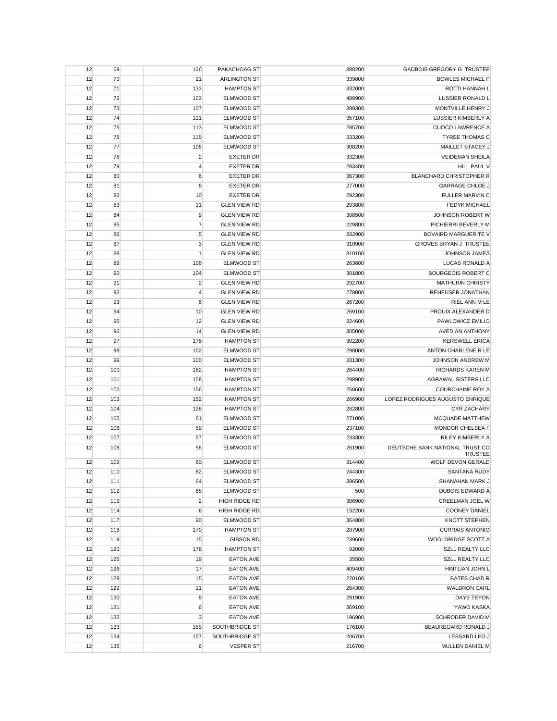| 12 | 69  | 126                     | PAKACHOAG ST        | 388200 | <b>GADBOIS GREGORY G TRUSTEE</b>        |
|----|-----|-------------------------|---------------------|--------|-----------------------------------------|
| 12 | 70  | 21                      | <b>ARLINGTON ST</b> | 339800 | <b>BOWLES MICHAEL P</b>                 |
| 12 | 71  | 133                     | <b>HAMPTON ST</b>   | 332000 | ROTTI HANNAH L                          |
| 12 | 72  | 103                     | ELMWOOD ST          | 488900 | LUSSIER RONALD L                        |
| 12 | 73  | 107                     | ELMWOOD ST          | 399300 | MONTVILLE HENRY J                       |
| 12 | 74  | 111                     | ELMWOOD ST          | 357100 | LUSSIER KIMBERLY A                      |
| 12 | 75  | 113                     | <b>ELMWOOD ST</b>   | 285700 | <b>CUOCO LAWRENCE A</b>                 |
| 12 | 76  | 115                     | ELMWOOD ST          | 333200 | <b>TYREE THOMAS C</b>                   |
| 12 | 77  | 108                     | ELMWOOD ST          | 308200 | MAILLET STACEY J                        |
| 12 | 78  | $\overline{\mathbf{c}}$ | <b>EXETER DR</b>    | 332300 | <b>VEIDEMAN SHEILA</b>                  |
| 12 | 79  | 4                       | <b>EXETER DR</b>    | 283400 | HILL PAUL V                             |
| 12 | 80  | 6                       | <b>EXETER DR</b>    | 367300 | <b>BLANCHARD CHRISTOPHER R</b>          |
| 12 | 81  | 8                       | <b>EXETER DR</b>    | 277000 | <b>GARRAGE CHLOE J</b>                  |
| 12 | 82  | 10                      | <b>EXETER DR</b>    | 292300 | <b>FULLER MARVIN C</b>                  |
| 12 | 83  | 11                      | <b>GLEN VIEW RD</b> | 293800 | <b>FEDYK MICHAEL</b>                    |
| 12 | 84  | 9                       | <b>GLEN VIEW RD</b> | 308500 | JOHNSON ROBERT W                        |
| 12 | 85  | $\overline{7}$          | <b>GLEN VIEW RD</b> | 229800 | PICHIERRI BEVERLY M                     |
| 12 | 86  | 5                       | <b>GLEN VIEW RD</b> | 332900 | BOVAIRD MARGUERITE V                    |
| 12 | 87  | 3                       | <b>GLEN VIEW RD</b> | 310900 | <b>GROVES BRYAN J TRUSTEE</b>           |
|    |     |                         |                     |        |                                         |
| 12 | 88  | $\mathbf{1}$            | <b>GLEN VIEW RD</b> | 310100 | <b>JOHNSON JAMES</b>                    |
| 12 | 89  | 106                     | ELMWOOD ST          | 263600 | LUCAS RONALD A                          |
| 12 | 90  | 104                     | <b>ELMWOOD ST</b>   | 301800 | <b>BOURGEOIS ROBERT C</b>               |
| 12 | 91  | $\overline{2}$          | <b>GLEN VIEW RD</b> | 292700 | MATHURIN CHRISTY                        |
| 12 | 92  | 4                       | <b>GLEN VIEW RD</b> | 278000 | REHEUSER JONATHAN                       |
| 12 | 93  | 6                       | <b>GLEN VIEW RD</b> | 267200 | RIEL ANN M LE                           |
| 12 | 94  | 10                      | <b>GLEN VIEW RD</b> | 269100 | PROUIX ALEXANDER D                      |
| 12 | 95  | 12                      | <b>GLEN VIEW RD</b> | 324600 | PAWLOWICZ EMILIO                        |
| 12 | 96  | 14                      | <b>GLEN VIEW RD</b> | 305000 | <b>AVEDIAN ANTHONY</b>                  |
| 12 | 97  | 175                     | <b>HAMPTON ST</b>   | 302200 | <b>KERSWELL ERICA</b>                   |
| 12 | 98  | 102                     | ELMWOOD ST          | 298000 | ANTON CHARLENE R LE                     |
| 12 | 99  | 100                     | ELMWOOD ST          | 331300 | JOHNSON ANDREW M                        |
| 12 | 100 | 162                     | <b>HAMPTON ST</b>   | 264400 | <b>RICHARDS KAREN M</b>                 |
| 12 | 101 | 158                     | <b>HAMPTON ST</b>   | 298900 | <b>AGRAWAL SISTERS LLC</b>              |
| 12 | 102 | 156                     | <b>HAMPTON ST</b>   | 258600 | <b>COURCHAINE ROY A</b>                 |
| 12 | 103 | 152                     | <b>HAMPTON ST</b>   | 266900 | LOPEZ RODRIGUES AUGUSTO ENRIQUE         |
| 12 | 104 | 128                     | <b>HAMPTON ST</b>   | 282800 | <b>CYR ZACHARY</b>                      |
| 12 | 105 | 61                      | ELMWOOD ST          | 271000 | <b>MCQUADE MATTHEW</b>                  |
| 12 | 106 | 59                      | ELMWOOD ST          | 237100 | MONDOR CHELSEA F                        |
| 12 | 107 | 57                      | ELMWOOD ST          | 233300 | RILEY KIMBERLY A                        |
| 12 | 108 | 58                      | ELMWOOD ST          | 261900 | DEUTSCHE BANK NATIONAL TRUST CO         |
| 12 | 109 | 60                      | ELMWOOD ST          | 314400 | <b>TRUSTEE</b><br>WOLF DEVON GERALD     |
| 12 | 110 | 62                      | ELMWOOD ST          | 244300 | SANTANA RUDY                            |
| 12 | 111 | 64                      | ELMWOOD ST          | 396500 | SHANAHAN MARK J                         |
| 12 | 112 | 68                      | ELMWOOD ST          | 500    | DUBOIS EDWARD A                         |
| 12 | 113 | $\overline{c}$          | HIGH RIDGE RD       | 306900 | CREELMAN JOEL W                         |
| 12 | 114 | 6                       | HIGH RIDGE RD       | 132200 | <b>COONEY DANIEL</b>                    |
|    |     | 90                      | ELMWOOD ST          | 364800 |                                         |
| 12 | 117 |                         | <b>HAMPTON ST</b>   | 287900 | KNOTT STEPHEN<br><b>CURRAIS ANTONIO</b> |
| 12 | 118 | 170                     |                     |        |                                         |
| 12 | 119 | 15                      | <b>GIBSON RD</b>    | 239600 | WOOLDRIDGE SCOTT A                      |
| 12 | 120 | 178                     | <b>HAMPTON ST</b>   | 92000  | <b>SZLL REALTY LLC</b>                  |
| 12 | 125 | 19                      | <b>EATON AVE</b>    | 35500  | <b>SZLL REALTY LLC</b>                  |
| 12 | 126 | 17                      | <b>EATON AVE</b>    | 409400 | HINTLIAN JOHN L                         |
| 12 | 128 | 15                      | <b>EATON AVE</b>    | 220100 | <b>BATES CHAD R</b>                     |
| 12 | 129 | 11                      | <b>EATON AVE</b>    | 264300 | <b>WALDRON CARL</b>                     |
| 12 | 130 | 9                       | <b>EATON AVE</b>    | 291900 | DAYE TEYON                              |
| 12 | 131 | 6                       | <b>EATON AVE</b>    | 369100 | YAWO KASKA                              |
| 12 | 132 | 3                       | <b>EATON AVE</b>    | 196900 | SCHRODER DAVID M                        |
| 12 | 133 | 159                     | SOUTHBRIDGE ST      | 176100 | BEAUREGARD RONALD J                     |
| 12 | 134 | 157                     | SOUTHBRIDGE ST      | 206700 | LESSARD LEO J                           |
| 12 | 135 | 6                       | <b>VESPER ST</b>    | 216700 | MULLEN DANIEL M                         |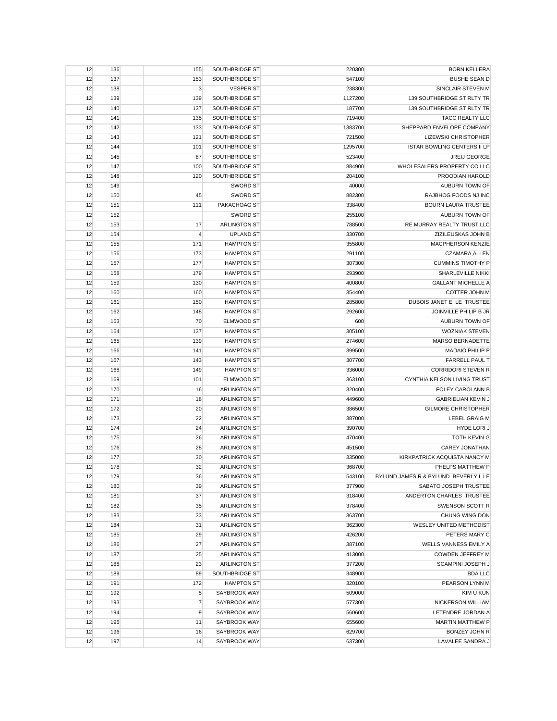| 12 | 136 | 155            | SOUTHBRIDGE ST        | 220300  | <b>BORN KELLERA</b>                  |
|----|-----|----------------|-----------------------|---------|--------------------------------------|
| 12 | 137 | 153            | SOUTHBRIDGE ST        | 547100  | <b>BUSHE SEAN D</b>                  |
| 12 | 138 | $\mathbf{3}$   | <b>VESPER ST</b>      | 238300  | SINCLAIR STEVEN M                    |
| 12 | 139 | 139            | <b>SOUTHBRIDGE ST</b> | 1127200 | 139 SOUTHBRIDGE ST RLTY TR           |
| 12 | 140 | 137            | SOUTHBRIDGE ST        | 187700  | 139 SOUTHBRIDGE ST RLTY TR           |
| 12 | 141 | 135            | SOUTHBRIDGE ST        | 719400  | <b>TACC REALTY LLC</b>               |
| 12 | 142 | 133            | SOUTHBRIDGE ST        | 1383700 | SHEPPARD ENVELOPE COMPANY            |
| 12 | 143 | 121            | SOUTHBRIDGE ST        | 721500  | <b>LIZEWSKI CHRISTOPHER</b>          |
| 12 | 144 | 101            | SOUTHBRIDGE ST        | 1295700 | <b>ISTAR BOWLING CENTERS II LP</b>   |
| 12 | 145 | 87             | SOUTHBRIDGE ST        | 523400  | <b>JREIJ GEORGE</b>                  |
| 12 | 147 | 100            | SOUTHBRIDGE ST        | 884900  | WHOLESALERS PROPERTY CO LLC          |
| 12 | 148 | 120            | SOUTHBRIDGE ST        | 204100  | PROODIAN HAROLD                      |
| 12 | 149 |                | <b>SWORD ST</b>       | 40000   | AUBURN TOWN OF                       |
| 12 | 150 | 45             | <b>SWORD ST</b>       | 882300  | RAJBHOG FOODS NJ INC                 |
|    |     |                |                       |         |                                      |
| 12 | 151 | 111            | PAKACHOAG ST          | 338400  | <b>BOURN LAURA TRUSTEE</b>           |
| 12 | 152 |                | <b>SWORD ST</b>       | 255100  | AUBURN TOWN OF                       |
| 12 | 153 | 17             | ARLINGTON ST          | 788500  | RE MURRAY REALTY TRUST LLC           |
| 12 | 154 | $\overline{4}$ | <b>UPLAND ST</b>      | 330700  | ZIZILEUSKAS JOHN B                   |
| 12 | 155 | 171            | <b>HAMPTON ST</b>     | 355800  | <b>MACPHERSON KENZIE</b>             |
| 12 | 156 | 173            | <b>HAMPTON ST</b>     | 291100  | CZAMARA, ALLEN                       |
| 12 | 157 | 177            | <b>HAMPTON ST</b>     | 307300  | <b>CUMMINS TIMOTHY P</b>             |
| 12 | 158 | 179            | <b>HAMPTON ST</b>     | 293900  | <b>SHARLEVILLE NIKKI</b>             |
| 12 | 159 | 130            | <b>HAMPTON ST</b>     | 400800  | <b>GALLANT MICHELLE A</b>            |
| 12 | 160 | 160            | <b>HAMPTON ST</b>     | 354400  | <b>COTTER JOHN M</b>                 |
| 12 | 161 | 150            | <b>HAMPTON ST</b>     | 285800  | DUBOIS JANET E LE TRUSTEE            |
| 12 | 162 | 148            | <b>HAMPTON ST</b>     | 292600  | JOINVILLE PHILIP B JR                |
| 12 | 163 | 70             | ELMWOOD ST            | 600     | AUBURN TOWN OF                       |
| 12 | 164 | 137            | <b>HAMPTON ST</b>     | 305100  | <b>WOZNIAK STEVEN</b>                |
| 12 | 165 | 139            | <b>HAMPTON ST</b>     | 274600  | MARSO BERNADETTE                     |
| 12 | 166 | 141            | <b>HAMPTON ST</b>     | 399500  | MADAIO PHILIP P                      |
| 12 | 167 | 143            | <b>HAMPTON ST</b>     | 307700  | <b>FARRELL PAUL T</b>                |
| 12 | 168 | 149            | <b>HAMPTON ST</b>     | 336000  | <b>CORRIDORI STEVEN R</b>            |
| 12 | 169 | 101            | ELMWOOD ST            | 363100  | CYNTHIA KELSON LIVING TRUST          |
| 12 | 170 | 16             | <b>ARLINGTON ST</b>   | 320400  | <b>FOLEY CAROLANN B</b>              |
| 12 | 171 | 18             | <b>ARLINGTON ST</b>   | 449600  | <b>GABRIELIAN KEVIN J</b>            |
| 12 | 172 | 20             | <b>ARLINGTON ST</b>   | 386500  | <b>GILMORE CHRISTOPHER</b>           |
| 12 | 173 | 22             | <b>ARLINGTON ST</b>   | 387000  | <b>LEBEL GRAIG M</b>                 |
| 12 | 174 | 24             | <b>ARLINGTON ST</b>   | 390700  | <b>HYDE LORI J</b>                   |
| 12 | 175 | 26             | <b>ARLINGTON ST</b>   | 470400  | TOTH KEVIN G                         |
| 12 | 176 | 28             | <b>ARLINGTON ST</b>   | 451500  | <b>CAREY JONATHAN</b>                |
| 12 | 177 | 30             | <b>ARLINGTON ST</b>   | 335000  | KIRKPATRICK ACQUISTA NANCY M         |
| 12 | 178 | 32             | <b>ARLINGTON ST</b>   | 368700  | PHELPS MATTHEW P                     |
| 12 | 179 | 36             | ARLINGTON ST          | 543100  | BYLUND JAMES R & BYLUND BEVERLY I LE |
| 12 | 180 | 39             | <b>ARLINGTON ST</b>   | 377900  | SABATO JOSEPH TRUSTEE                |
| 12 | 181 | 37             | ARLINGTON ST          | 318400  | ANDERTON CHARLES TRUSTEE             |
| 12 | 182 | 35             | <b>ARLINGTON ST</b>   | 378400  | SWENSON SCOTT R                      |
| 12 | 183 | 33             | <b>ARLINGTON ST</b>   | 363700  | CHUNG WING DON                       |
| 12 | 184 | 31             | <b>ARLINGTON ST</b>   | 362300  | WESLEY UNITED METHODIST              |
| 12 | 185 | 29             | <b>ARLINGTON ST</b>   | 426200  | PETERS MARY C                        |
|    |     |                |                       |         |                                      |
| 12 | 186 | 27             | <b>ARLINGTON ST</b>   | 387100  | WELLS VANNESS EMILY A                |
| 12 | 187 | 25             | ARLINGTON ST          | 413000  | COWDEN JEFFREY M                     |
| 12 | 188 | 23             | <b>ARLINGTON ST</b>   | 377200  | SCAMPINI JOSEPH J                    |
| 12 | 189 | 89             | SOUTHBRIDGE ST        | 348900  | <b>BDA LLC</b>                       |
| 12 | 191 | 172            | <b>HAMPTON ST</b>     | 320100  | PEARSON LYNN M                       |
| 12 | 192 | $\sqrt{5}$     | SAYBROOK WAY          | 509000  | KIM U KUN                            |
| 12 | 193 | $\overline{7}$ | SAYBROOK WAY          | 577300  | <b>NICKERSON WILLIAM</b>             |
| 12 | 194 | 9              | SAYBROOK WAY          | 560600  | LETENDRE JORDAN A                    |
| 12 | 195 | 11             | SAYBROOK WAY          | 655600  | <b>MARTIN MATTHEW P</b>              |
| 12 | 196 | 16             | SAYBROOK WAY          | 629700  | <b>BONZEY JOHN R</b>                 |
| 12 | 197 | 14             | SAYBROOK WAY          | 637300  | LAVALEE SANDRA J                     |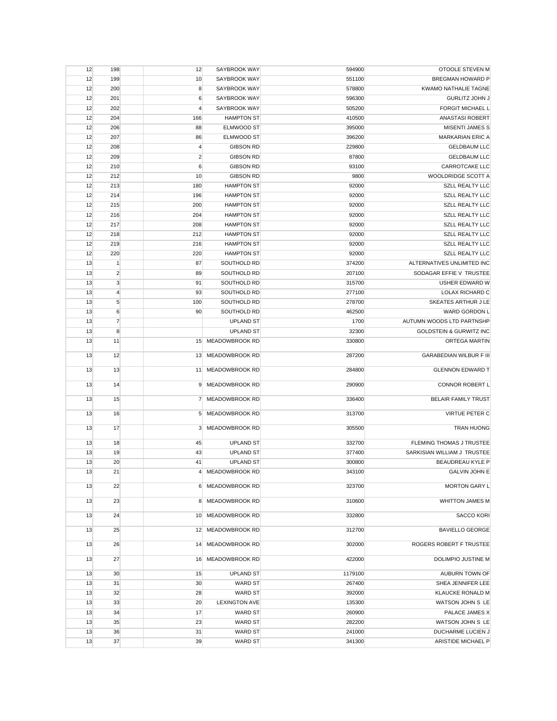| 12 | 198            | 12              | SAYBROOK WAY         | 594900  | OTOOLE STEVEN M                    |
|----|----------------|-----------------|----------------------|---------|------------------------------------|
| 12 | 199            | 10              | SAYBROOK WAY         | 551100  | <b>BREGMAN HOWARD P</b>            |
| 12 | 200            | 8               | SAYBROOK WAY         | 578800  | <b>KWAMO NATHALIE TAGNE</b>        |
| 12 | 201            | 6               | SAYBROOK WAY         | 596300  | <b>GURLITZ JOHN J</b>              |
| 12 | 202            | $\overline{4}$  | SAYBROOK WAY         | 505200  | <b>FORGIT MICHAEL L</b>            |
| 12 | 204            | 166             | <b>HAMPTON ST</b>    | 410500  | <b>ANASTASI ROBERT</b>             |
| 12 | 206            | 88              | ELMWOOD ST           | 395000  | <b>MISENTI JAMES S</b>             |
| 12 | 207            | 86              | ELMWOOD ST           | 396200  | <b>MARKARIAN ERIC A</b>            |
| 12 | 208            | 4               | <b>GIBSON RD</b>     | 229800  | <b>GELDBAUM LLC</b>                |
| 12 | 209            | $\overline{2}$  | <b>GIBSON RD</b>     | 87800   | <b>GELDBAUM LLC</b>                |
| 12 | 210            | 6               | <b>GIBSON RD</b>     | 93100   | CARROTCAKE LLC                     |
| 12 | 212            | 10              | <b>GIBSON RD</b>     | 9800    | WOOLDRIDGE SCOTT A                 |
| 12 | 213            | 180             | <b>HAMPTON ST</b>    | 92000   | <b>SZLL REALTY LLC</b>             |
| 12 | 214            | 196             | <b>HAMPTON ST</b>    | 92000   | <b>SZLL REALTY LLC</b>             |
| 12 | 215            | 200             | <b>HAMPTON ST</b>    | 92000   | <b>SZLL REALTY LLC</b>             |
| 12 | 216            | 204             | <b>HAMPTON ST</b>    | 92000   | <b>SZLL REALTY LLC</b>             |
| 12 | 217            | 208             | <b>HAMPTON ST</b>    | 92000   | <b>SZLL REALTY LLC</b>             |
| 12 | 218            | 212             | <b>HAMPTON ST</b>    | 92000   | <b>SZLL REALTY LLC</b>             |
| 12 | 219            | 216             | <b>HAMPTON ST</b>    | 92000   | <b>SZLL REALTY LLC</b>             |
| 12 | 220            | 220             | <b>HAMPTON ST</b>    | 92000   | <b>SZLL REALTY LLC</b>             |
| 13 | $\mathbf{1}$   | 87              | SOUTHOLD RD          | 374200  | ALTERNATIVES UNLIMITED INC         |
|    | $\overline{2}$ |                 | SOUTHOLD RD          | 207100  | SODAGAR EFFIE V TRUSTEE            |
| 13 |                | 89              |                      | 315700  |                                    |
| 13 | 3              | 91              | SOUTHOLD RD          |         | USHER EDWARD W                     |
| 13 | $\overline{4}$ | 93              | SOUTHOLD RD          | 277100  | LOLAX RICHARD C                    |
| 13 | 5              | 100             | SOUTHOLD RD          | 278700  | SKEATES ARTHUR J LE                |
| 13 | 6              | 90              | SOUTHOLD RD          | 462500  | WARD GORDON L                      |
| 13 | $\overline{7}$ |                 | <b>UPLAND ST</b>     | 1700    | AUTUMN WOODS LTD PARTNSHP          |
| 13 | 8              |                 | <b>UPLAND ST</b>     | 32300   | <b>GOLDSTEIN &amp; GURWITZ INC</b> |
| 13 | 11             |                 | 15 MEADOWBROOK RD    | 330800  | ORTEGA MARTIN                      |
| 13 | 12             | 13              | MEADOWBROOK RD       | 287200  | <b>GARABEDIAN WILBUR F III</b>     |
|    |                |                 |                      |         |                                    |
| 13 | 13             | 11              | MEADOWBROOK RD       | 284800  | <b>GLENNON EDWARD T</b>            |
| 13 | 14             | 9               | MEADOWBROOK RD       | 290900  | CONNOR ROBERT L                    |
|    |                |                 |                      |         |                                    |
| 13 | 15             | 7               | MEADOWBROOK RD       | 336400  | <b>BELAIR FAMILY TRUST</b>         |
| 13 | 16             | $5\overline{)}$ | MEADOWBROOK RD       | 313700  | VIRTUE PETER C                     |
|    |                |                 |                      |         |                                    |
| 13 | 17             |                 | 3 MEADOWBROOK RD     | 305500  | <b>TRAN HUONG</b>                  |
| 13 | 18             | 45              | <b>UPLAND ST</b>     | 332700  | FLEMING THOMAS J TRUSTEE           |
| 13 | 19             | 43              | <b>UPLAND ST</b>     | 377400  | SARKISIAN WILLIAM J TRUSTEE        |
| 13 | 20             | 41              | <b>UPLAND ST</b>     | 300800  | BEAUDREAU KYLE P                   |
| 13 | 21             |                 | 4 MEADOWBROOK RD     | 343100  | <b>GALVIN JOHN E</b>               |
|    |                |                 |                      |         |                                    |
| 13 | 22             |                 | 6 MEADOWBROOK RD     | 323700  | <b>MORTON GARY L</b>               |
| 13 | 23             |                 | 8 MEADOWBROOK RD     | 310600  | <b>WHITTON JAMES M</b>             |
|    |                |                 |                      |         |                                    |
| 13 | 24             |                 | 10 MEADOWBROOK RD    | 332800  | <b>SACCO KORI</b>                  |
| 13 | 25             |                 | 12 MEADOWBROOK RD    | 312700  | <b>BAVIELLO GEORGE</b>             |
|    |                |                 |                      |         |                                    |
| 13 | 26             |                 | 14 MEADOWBROOK RD    | 302000  | ROGERS ROBERT F TRUSTEE            |
|    |                |                 |                      | 422000  | DOLIMPIO JUSTINE M                 |
| 13 | 27             |                 | 16 MEADOWBROOK RD    |         |                                    |
| 13 | 30             | 15              | <b>UPLAND ST</b>     | 1179100 | AUBURN TOWN OF                     |
| 13 | 31             | 30              | <b>WARD ST</b>       | 267400  | SHEA JENNIFER LEE                  |
| 13 | 32             | 28              | <b>WARD ST</b>       | 392000  | KLAUCKE RONALD M                   |
| 13 | 33             | 20              | <b>LEXINGTON AVE</b> | 135300  | WATSON JOHN S LE                   |
| 13 | 34             | 17              | <b>WARD ST</b>       | 260900  | PALACE JAMES X                     |
| 13 | 35             | 23              | <b>WARD ST</b>       | 282200  | WATSON JOHN S LE                   |
| 13 | 36             | 31              | <b>WARD ST</b>       | 241000  | DUCHARME LUCIEN J                  |
| 13 | 37             | 39              | <b>WARD ST</b>       | 341300  | ARISTIDE MICHAEL P                 |
|    |                |                 |                      |         |                                    |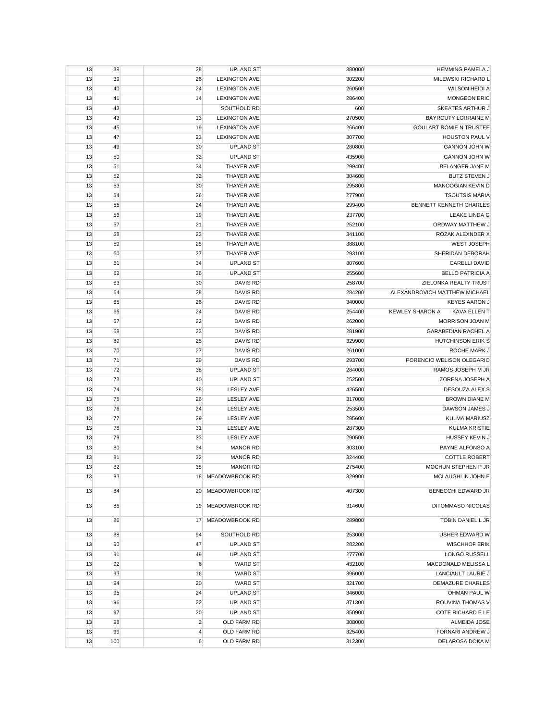| 13       | 38        | 28                  | <b>UPLAND ST</b>           | 380000           | <b>HEMMING PAMELA J</b>             |
|----------|-----------|---------------------|----------------------------|------------------|-------------------------------------|
| 13       | 39        | 26                  | <b>LEXINGTON AVE</b>       | 302200           | MILEWSKI RICHARD L                  |
| 13       | 40        | 24                  | <b>LEXINGTON AVE</b>       | 260500           | WILSON HEIDI A                      |
| 13       | 41        | 14                  | <b>LEXINGTON AVE</b>       | 286400           | <b>MONGEON ERIC</b>                 |
| 13       | 42        |                     | SOUTHOLD RD                | 600              | <b>SKEATES ARTHUR J</b>             |
| 13       | 43        | 13                  | <b>LEXINGTON AVE</b>       | 270500           | <b>BAYROUTY LORRAINE M</b>          |
| 13       | 45        | 19                  | <b>LEXINGTON AVE</b>       | 266400           | <b>GOULART ROMIE N TRUSTEE</b>      |
| 13       | 47        | 23                  | <b>LEXINGTON AVE</b>       | 307700           | <b>HOUSTON PAUL V</b>               |
| 13       | 49        | 30                  | <b>UPLAND ST</b>           | 280800           | <b>GANNON JOHN W</b>                |
| 13       | 50        | 32                  | <b>UPLAND ST</b>           | 435900           | <b>GANNON JOHN W</b>                |
|          |           |                     | THAYER AVE                 |                  |                                     |
| 13       | 51        | 34                  |                            | 299400           | BELANGER JANE M                     |
| 13       | 52        | 32                  | THAYER AVE                 | 304600           | <b>BUTZ STEVEN J</b>                |
| 13       | 53        | 30                  | <b>THAYER AVE</b>          | 295800           | MANOOGIAN KEVIN D                   |
| 13       | 54        | 26                  | <b>THAYER AVE</b>          | 277900           | <b>TSOUTSIS MARIA</b>               |
| 13       | 55        | 24                  | THAYER AVE                 | 299400           | BENNETT KENNETH CHARLES             |
| 13       | 56        | 19                  | THAYER AVE                 | 237700           | LEAKE LINDA G                       |
| 13       | 57        | 21                  | THAYER AVE                 | 252100           | ORDWAY MATTHEW J                    |
| 13       | 58        | 23                  | THAYER AVE                 | 341100           | ROZAK ALEXNDER X                    |
| 13       | 59        | 25                  | <b>THAYER AVE</b>          | 388100           | <b>WEST JOSEPH</b>                  |
| 13       | 60        | 27                  | THAYER AVE                 | 293100           | SHERIDAN DEBORAH                    |
| 13       | 61        | 34                  | <b>UPLAND ST</b>           | 307600           | <b>CARELLI DAVID</b>                |
| 13       | 62        | 36                  | <b>UPLAND ST</b>           | 255600           | <b>BELLO PATRICIA A</b>             |
| 13       | 63        | 30                  | DAVIS RD                   | 258700           | ZIELONKA REALTY TRUST               |
| 13       | 64        | 28                  | <b>DAVIS RD</b>            | 284200           | ALEXANDROVICH MATTHEW MICHAEL       |
| 13       | 65        | 26                  | <b>DAVIS RD</b>            | 340000           | <b>KEYES AARON J</b>                |
| 13       | 66        | 24                  | DAVIS RD                   | 254400           | KEWLEY SHARON A<br>KAVA ELLEN T     |
|          |           | 22                  |                            |                  |                                     |
| 13       | 67        |                     | DAVIS RD                   | 262000           | MORRISON JOAN M                     |
| 13       | 68        | 23                  | <b>DAVIS RD</b>            | 281900           | <b>GARABEDIAN RACHEL A</b>          |
| 13       | 69        | 25                  | <b>DAVIS RD</b>            | 329900           | <b>HUTCHINSON ERIK S</b>            |
| 13       | 70        | 27                  | <b>DAVIS RD</b>            | 261000           | ROCHE MARK J                        |
| 13       | 71        | 29                  | DAVIS RD                   | 293700           | PORENCIO WELISON OLEGARIO           |
| 13       | 72        | 38                  | <b>UPLAND ST</b>           | 284000           | RAMOS JOSEPH M JR                   |
| 13       | 73        | 40                  | <b>UPLAND ST</b>           | 252500           | ZORENA JOSEPH A                     |
| 13       | 74        | 28                  | <b>LESLEY AVE</b>          | 426500           | DESOUZA ALEX S                      |
| 13       | 75        | 26                  | <b>LESLEY AVE</b>          | 317000           | <b>BROWN DIANE M</b>                |
| 13       | 76        |                     |                            |                  |                                     |
|          |           | 24                  | <b>LESLEY AVE</b>          | 253500           | DAWSON JAMES J                      |
| 13       | 77        | 29                  | <b>LESLEY AVE</b>          |                  | KULMA MARIUSZ                       |
|          |           |                     |                            | 295600<br>287300 |                                     |
| 13       | 78        | 31                  | <b>LESLEY AVE</b>          |                  | <b>KULMA KRISTIE</b>                |
| 13       | 79        | 33                  | <b>LESLEY AVE</b>          | 290500           | HUSSEY KEVIN J                      |
| 13       | 80        | 34                  | <b>MANOR RD</b>            | 303100           | PAYNE ALFONSO A                     |
| 13       | 81        | 32                  | <b>MANOR RD</b>            | 324400           | <b>COTTLE ROBERT</b>                |
| 13       | 82        | 35                  | <b>MANOR RD</b>            | 275400           | MOCHUN STEPHEN P JR                 |
| 13       | 83        |                     | 18 MEADOWBROOK RD          | 329900           | MCLAUGHLIN JOHN E                   |
| 13       | 84        | 20                  | MEADOWBROOK RD             | 407300           | BENECCHI EDWARD JR                  |
|          |           |                     |                            |                  |                                     |
| 13       | 85        | 19                  | MEADOWBROOK RD             | 314600           | DITOMMASO NICOLAS                   |
|          |           |                     |                            |                  |                                     |
| 13       | 86        | 17                  | MEADOWBROOK RD             | 289800           | TOBIN DANIEL L JR                   |
| 13       | 88        | 94                  | SOUTHOLD RD                | 253000           | <b>USHER EDWARD W</b>               |
| 13       | 90        | 47                  | <b>UPLAND ST</b>           | 282200           | <b>WISCHHOF ERIK</b>                |
| 13       | 91        | 49                  | <b>UPLAND ST</b>           | 277700           | LONGO RUSSELL                       |
| 13       | 92        | 6                   | <b>WARD ST</b>             | 432100           | MACDONALD MELISSA L                 |
| 13       | 93        | 16                  | <b>WARD ST</b>             | 396000           | LANCIAULT LAURIE J                  |
| 13       | 94        | 20                  | <b>WARD ST</b>             | 321700           | <b>DEMAZURE CHARLES</b>             |
|          |           |                     |                            |                  |                                     |
| 13       | 95        | 24                  | <b>UPLAND ST</b>           | 346000           | OHMAN PAUL W                        |
| 13       | 96        | 22                  | <b>UPLAND ST</b>           | 371300           | ROUVINA THOMAS V                    |
| 13       | 97        | 20                  | <b>UPLAND ST</b>           | 350900           | COTE RICHARD E LE                   |
| 13       | 98        | $\overline{c}$      | OLD FARM RD                | 308000           | ALMEIDA JOSE                        |
| 13<br>13 | 99<br>100 | $\overline{4}$<br>6 | OLD FARM RD<br>OLD FARM RD | 325400<br>312300 | FORNARI ANDREW J<br>DELAROSA DOKA M |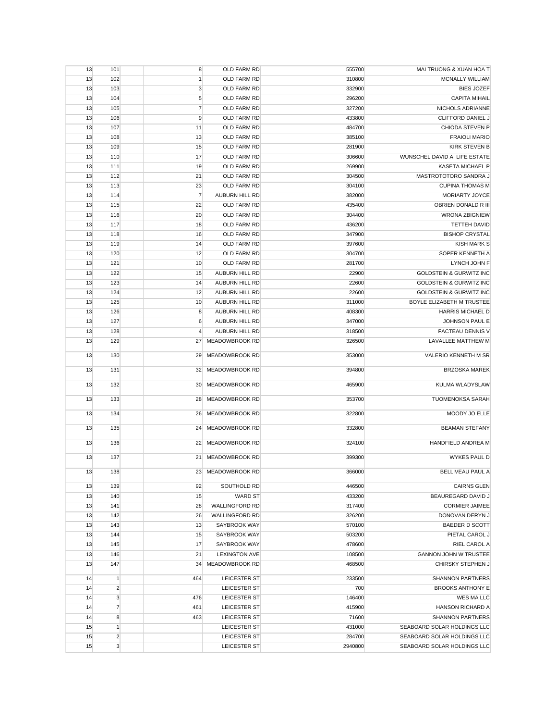| 13       | 101                            | 8              | OLD FARM RD                  | 555700           | MAI TRUONG & XUAN HOA T                             |
|----------|--------------------------------|----------------|------------------------------|------------------|-----------------------------------------------------|
| 13       | 102                            | $\mathbf{1}$   | OLD FARM RD                  | 310800           | <b>MCNALLY WILLIAM</b>                              |
| 13       | 103                            | $\mathbf 3$    | OLD FARM RD                  | 332900           | <b>BIES JOZEF</b>                                   |
| 13       | 104                            | 5              | OLD FARM RD                  | 296200           | <b>CAPITA MIHAIL</b>                                |
| 13       | 105                            | $\overline{7}$ | OLD FARM RD                  | 327200           | NICHOLS ADRIANNE                                    |
| 13       | 106                            | 9              | OLD FARM RD                  | 433800           | CLIFFORD DANIEL J                                   |
| 13       | 107                            | 11             | OLD FARM RD                  | 484700           | CHIODA STEVEN P                                     |
| 13       | 108                            | 13             | OLD FARM RD                  | 385100           | <b>FRAIOLI MARIO</b>                                |
| 13       | 109                            | 15             | OLD FARM RD                  | 281900           | <b>KIRK STEVEN B</b>                                |
| 13       | 110                            | 17             | OLD FARM RD                  | 306600           | WUNSCHEL DAVID A LIFE ESTATE                        |
| 13       | 111                            | 19             | OLD FARM RD                  | 269900           | <b>KASETA MICHAEL P</b>                             |
| 13       | 112                            | 21             | OLD FARM RD                  | 304500           | MASTROTOTORO SANDRA J                               |
| 13       | 113                            | 23             | OLD FARM RD                  | 304100           | <b>CUPINA THOMAS M</b>                              |
| 13       | 114                            | $\overline{7}$ | AUBURN HILL RD               | 382000           | MORIARTY JOYCE                                      |
| 13       | 115                            | 22             | OLD FARM RD                  | 435400           | OBRIEN DONALD R III                                 |
| 13       | 116                            | 20             | OLD FARM RD                  | 304400           | <b>WRONA ZBIGNIEW</b>                               |
| 13       | 117                            | 18             | OLD FARM RD                  | 436200           | <b>TETTEH DAVID</b>                                 |
| 13       | 118                            | 16             | OLD FARM RD                  | 347900           | <b>BISHOP CRYSTAL</b>                               |
| 13       | 119                            | 14             | OLD FARM RD                  | 397600           | <b>KISH MARK S</b>                                  |
| 13       | 120                            | 12             | OLD FARM RD                  | 304700           | SOPER KENNETH A                                     |
| 13       | 121                            | 10             | OLD FARM RD                  | 281700           | LYNCH JOHN F                                        |
| 13       | 122                            | 15             | AUBURN HILL RD               | 22900            | <b>GOLDSTEIN &amp; GURWITZ INC</b>                  |
| 13       | 123                            | 14             | AUBURN HILL RD               | 22600            | <b>GOLDSTEIN &amp; GURWITZ INC</b>                  |
| 13       | 124                            | 12             | AUBURN HILL RD               | 22600            | <b>GOLDSTEIN &amp; GURWITZ INC</b>                  |
| 13       | 125                            | 10             | AUBURN HILL RD               | 311000           | BOYLE ELIZABETH M TRUSTEE                           |
| 13       | 126                            | 8              | <b>AUBURN HILL RD</b>        | 408300           | <b>HARRIS MICHAEL D</b>                             |
| 13       | 127                            | 6              | AUBURN HILL RD               | 347000           | JOHNSON PAUL E                                      |
| 13       | 128                            | $\overline{4}$ | AUBURN HILL RD               | 318500           | <b>FACTEAU DENNIS V</b>                             |
| 13       | 129                            | 27             | MEADOWBROOK RD               | 326500           | LAVALLEE MATTHEW M                                  |
| 13       | 130                            | 29             | MEADOWBROOK RD               | 353000           | VALERIO KENNETH M SR                                |
| 13       | 131                            | 32             | MEADOWBROOK RD               | 394800           | <b>BRZOSKA MAREK</b>                                |
| 13       | 132                            | 30             | MEADOWBROOK RD               | 465900           | KULMA WLADYSLAW                                     |
| 13       | 133                            | 28             | MEADOWBROOK RD               | 353700           | <b>TUOMENOKSA SARAH</b>                             |
| 13       | 134                            | 26             | MEADOWBROOK RD               | 322800           | MOODY JO ELLE                                       |
| 13       | 135                            | 24             | MEADOWBROOK RD               | 332800           | <b>BEAMAN STEFANY</b>                               |
| 13       | 136                            | 22             | MEADOWBROOK RD               | 324100           | <b>HANDFIELD ANDREA M</b>                           |
| 13       | 137                            | 21             | MEADOWBROOK RD               | 399300           | <b>WYKES PAUL D</b>                                 |
| 13       | 138                            |                | 23 MEADOWBROOK RD            | 366000           | <b>BELLIVEAU PAUL A</b>                             |
| 13       | 139                            | 92             | SOUTHOLD RD                  | 446500           | <b>CAIRNS GLEN</b>                                  |
| 13       | 140                            | 15             | <b>WARD ST</b>               | 433200           | BEAUREGARD DAVID J                                  |
| 13       | 141                            | 28             | <b>WALLINGFORD RD</b>        | 317400           | <b>CORMIER JAIMEE</b>                               |
| 13       | 142                            | 26             | <b>WALLINGFORD RD</b>        | 326200           | DONOVAN DERYN J                                     |
| 13       | 143                            | 13             | SAYBROOK WAY                 | 570100           | <b>BAEDER D SCOTT</b>                               |
| 13       | 144                            | 15             | SAYBROOK WAY                 | 503200           | PIETAL CAROL J                                      |
| 13       | 145                            | 17             | SAYBROOK WAY                 | 478600           | RIEL CAROL A                                        |
| 13       | 146                            | 21             | <b>LEXINGTON AVE</b>         | 108500           | <b>GANNON JOHN W TRUSTEE</b>                        |
| 13<br>14 | 147                            | 34             | MEADOWBROOK RD               | 468500<br>233500 | <b>CHIRSKY STEPHEN J</b><br><b>SHANNON PARTNERS</b> |
| 14       | $\mathbf{1}$<br>$\overline{2}$ | 464            | LEICESTER ST<br>LEICESTER ST | 700              | <b>BROOKS ANTHONY E</b>                             |
| 14       | 3                              | 476            | LEICESTER ST                 | 146400           | WES MA LLC                                          |
| 14       | $\overline{7}$                 | 461            | LEICESTER ST                 | 415900           | <b>HANSON RICHARD A</b>                             |
| 14       | 8                              | 463            | LEICESTER ST                 | 71600            | <b>SHANNON PARTNERS</b>                             |
| 15       | $\mathbf{1}$                   |                | LEICESTER ST                 | 431000           | SEABOARD SOLAR HOLDINGS LLC                         |
| 15       | $\overline{2}$                 |                | LEICESTER ST                 | 284700           | SEABOARD SOLAR HOLDINGS LLC                         |
| 15       | 3                              |                | LEICESTER ST                 | 2940800          | SEABOARD SOLAR HOLDINGS LLC                         |
|          |                                |                |                              |                  |                                                     |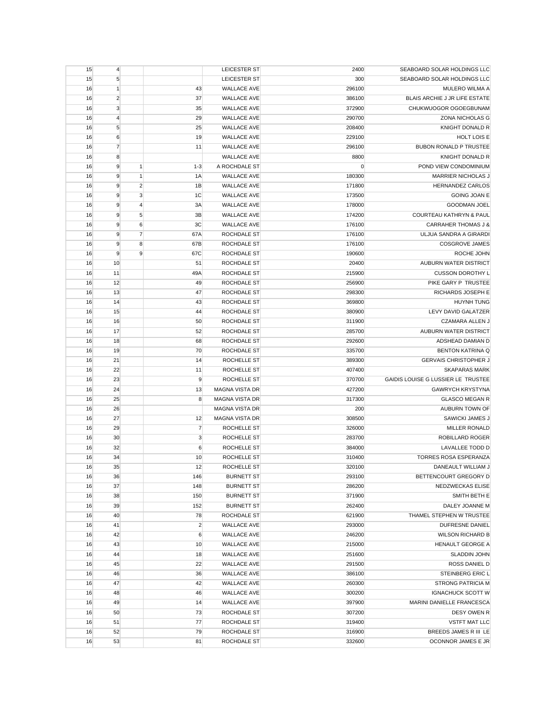| 15       | $\overline{4}$ |                |                  | LEICESTER ST          | 2400      | SEABOARD SOLAR HOLDINGS LLC        |
|----------|----------------|----------------|------------------|-----------------------|-----------|------------------------------------|
| 15       | $\sqrt{5}$     |                |                  | LEICESTER ST          | 300       | SEABOARD SOLAR HOLDINGS LLC        |
| 16       | $\mathbf{1}$   |                | 43               | <b>WALLACE AVE</b>    | 296100    | <b>MULERO WILMA A</b>              |
| 16       | $\overline{2}$ |                | 37               | <b>WALLACE AVE</b>    | 386100    | BLAIS ARCHIE J JR LIFE ESTATE      |
| 16       | 3              |                | 35               | <b>WALLACE AVE</b>    | 372900    | CHUKWUOGOR OGOEGBUNAM              |
| 16       | $\overline{4}$ |                | 29               | <b>WALLACE AVE</b>    | 290700    | <b>ZONA NICHOLAS G</b>             |
| 16       | 5              |                | 25               | <b>WALLACE AVE</b>    | 208400    | <b>KNIGHT DONALD R</b>             |
| 16       | 6              |                | 19               | <b>WALLACE AVE</b>    | 229100    | HOLT LOIS E                        |
| 16       | $\overline{7}$ |                | 11               | <b>WALLACE AVE</b>    | 296100    | <b>BUBON RONALD P TRUSTEE</b>      |
| 16       | 8              |                |                  | <b>WALLACE AVE</b>    | 8800      | <b>KNIGHT DONALD R</b>             |
| 16       | 9              | $\mathbf{1}$   | $1 - 3$          | A ROCHDALE ST         | $\pmb{0}$ | POND VIEW CONDOMINIUM              |
| 16       | 9              | $\mathbf{1}$   | 1A               | <b>WALLACE AVE</b>    | 180300    | <b>MARRIER NICHOLAS J</b>          |
| 16       | 9              | $\overline{2}$ | 1B               | <b>WALLACE AVE</b>    | 171800    | HERNANDEZ CARLOS                   |
| 16       | 9              | 3              | 1 <sup>C</sup>   | <b>WALLACE AVE</b>    | 173500    | <b>GOING JOAN E</b>                |
|          | 9              | $\overline{4}$ | 3A               |                       |           |                                    |
| 16       |                |                |                  | <b>WALLACE AVE</b>    | 178000    | <b>GOODMAN JOEL</b>                |
| 16       | 9              | 5              | 3B               | <b>WALLACE AVE</b>    | 174200    | <b>COURTEAU KATHRYN &amp; PAUL</b> |
| 16       | 9              | 6              | 3C               | <b>WALLACE AVE</b>    | 176100    | <b>CARRAHER THOMAS J &amp;</b>     |
| 16       | 9              | $\overline{7}$ | 67A              | ROCHDALE ST           | 176100    | ULJUA SANDRA A GIRARDI             |
| 16       | 9              | 8              | 67B              | <b>ROCHDALE ST</b>    | 176100    | <b>COSGROVE JAMES</b>              |
| 16       | 9              | 9              | 67C              | ROCHDALE ST           | 190600    | ROCHE JOHN                         |
| 16       | 10             |                | 51               | ROCHDALE ST           | 20400     | AUBURN WATER DISTRICT              |
| 16       | 11             |                | 49A              | ROCHDALE ST           | 215900    | <b>CUSSON DOROTHY L</b>            |
| 16       | 12             |                | 49               | ROCHDALE ST           | 256900    | PIKE GARY P TRUSTEE                |
| 16       | 13             |                | 47               | <b>ROCHDALE ST</b>    | 298300    | RICHARDS JOSEPH E                  |
| 16       | 14             |                | 43               | ROCHDALE ST           | 369800    | <b>HUYNH TUNG</b>                  |
| 16       | 15             |                | 44               | ROCHDALE ST           | 380900    | LEVY DAVID GALATZER                |
| 16       | 16             |                | 50               | ROCHDALE ST           | 311900    | <b>CZAMARA ALLEN J</b>             |
| 16       | 17             |                | 52               | ROCHDALE ST           | 285700    | AUBURN WATER DISTRICT              |
| 16       | 18             |                | 68               | ROCHDALE ST           | 292600    | ADSHEAD DAMIAN D                   |
| 16       | 19             |                | 70               | ROCHDALE ST           | 335700    | <b>BENTON KATRINA Q</b>            |
|          |                |                |                  |                       |           |                                    |
| 16       | 21             |                | 14               | ROCHELLE ST           | 389300    | <b>GERVAIS CHRISTOPHER J</b>       |
| 16       | 22             |                | 11               | ROCHELLE ST           | 407400    | <b>SKAPARAS MARK</b>               |
| 16       | 23             |                | 9                | ROCHELLE ST           | 370700    | GAIDIS LOUISE G LUSSIER LE TRUSTEE |
| 16       | 24             |                | 13               | <b>MAGNA VISTA DR</b> | 427200    | <b>GAWRYCH KRYSTYNA</b>            |
| 16       | 25             |                | 8                | <b>MAGNA VISTA DR</b> | 317300    | <b>GLASCO MEGAN R</b>              |
| 16       | 26             |                |                  | <b>MAGNA VISTA DR</b> | 200       | AUBURN TOWN OF                     |
| 16       | 27             |                | 12               | <b>MAGNA VISTA DR</b> | 308500    | SAWICKI JAMES J                    |
|          | 29             |                |                  | ROCHELLE ST           | 326000    | MILLER RONALD                      |
| 16<br>16 |                |                | $\overline{7}$   | ROCHELLE ST           | 283700    | ROBILLARD ROGER                    |
|          | 30             |                | 3                |                       |           |                                    |
| 16       | 32             |                | $\boldsymbol{6}$ | ROCHELLE ST           | 384000    | LAVALLEE TODD D                    |
| 16       | 34             |                | 10               | ROCHELLE ST           | 310400    | <b>TORRES ROSA ESPERANZA</b>       |
| 16       | 35             |                | 12               | ROCHELLE ST           | 320100    | DANEAULT WILLIAM J                 |
| 16       | 36             |                | 146              | <b>BURNETT ST</b>     | 293100    | BETTENCOURT GREGORY D              |
| 16       | 37             |                | 148              | <b>BURNETT ST</b>     | 286200    | NEDZWECKAS ELISE                   |
| 16       | 38             |                | 150              | <b>BURNETT ST</b>     | 371900    | SMITH BETH E                       |
| 16       | 39             |                | 152              | <b>BURNETT ST</b>     | 262400    | DALEY JOANNE M                     |
| 16       | 40             |                | 78               | ROCHDALE ST           | 621900    | THAMEL STEPHEN W TRUSTEE           |
| 16       | 41             |                | $\overline{c}$   | <b>WALLACE AVE</b>    | 293000    | <b>DUFRESNE DANIEL</b>             |
| 16       | 42             |                | 6                | <b>WALLACE AVE</b>    | 246200    | <b>WILSON RICHARD B</b>            |
| 16       | 43             |                | 10               | WALLACE AVE           | 215000    | HENAULT GEORGE A                   |
| 16       | 44             |                | 18               | <b>WALLACE AVE</b>    | 251600    | <b>SLADDIN JOHN</b>                |
| 16       | 45             |                | 22               | <b>WALLACE AVE</b>    | 291500    | ROSS DANIEL D                      |
| 16       | 46             |                | 36               | <b>WALLACE AVE</b>    | 386100    | STEINBERG ERIC L                   |
| 16       | 47             |                | 42               | WALLACE AVE           | 260300    | <b>STRONG PATRICIA M</b>           |
| 16       | 48             |                | 46               | <b>WALLACE AVE</b>    | 300200    | <b>IGNACHUCK SCOTT W</b>           |
| 16       | 49             |                | 14               | <b>WALLACE AVE</b>    | 397900    | MARINI DANIELLE FRANCESCA          |
| 16       | 50             |                | 73               | ROCHDALE ST           | 307200    | DESY OWEN R                        |
| 16       | 51             |                | 77               | ROCHDALE ST           | 319400    | <b>VSTFT MAT LLC</b>               |
| 16       | 52             |                | 79               | ROCHDALE ST           | 316900    | BREEDS JAMES R III LE              |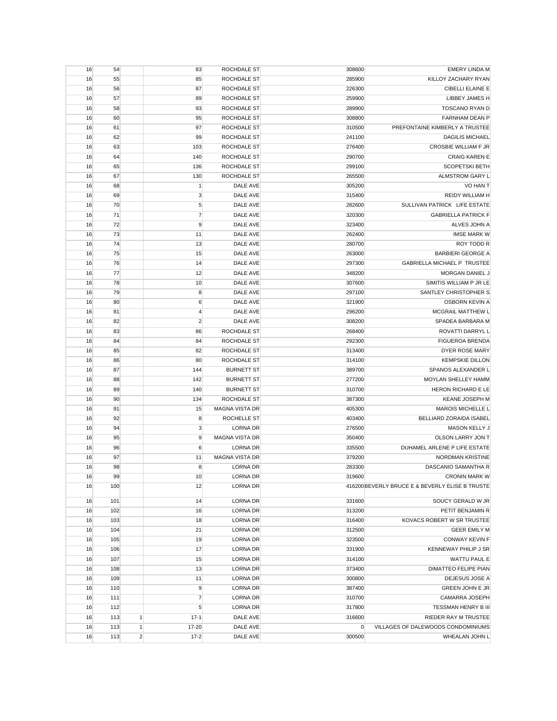| 16 | 54       |                | 83             | ROCHDALE ST                 | 308600           | <b>EMERY LINDA M</b>                             |
|----|----------|----------------|----------------|-----------------------------|------------------|--------------------------------------------------|
| 16 | 55       |                | 85             | ROCHDALE ST                 | 285900           | KILLOY ZACHARY RYAN                              |
| 16 | 56       |                | 87             | ROCHDALE ST                 | 226300           | CIBELLI ELAINE E                                 |
| 16 | 57       |                | 89             | ROCHDALE ST                 | 259900           | <b>LIBBEY JAMES H</b>                            |
| 16 | 58       |                | 93             | ROCHDALE ST                 | 289900           | TOSCANO RYAN D                                   |
| 16 | 60       |                | 95             | ROCHDALE ST                 | 308800           | <b>FARNHAM DEAN P</b>                            |
| 16 | 61       |                | 97             | <b>ROCHDALE ST</b>          | 310500           | PREFONTAINE KIMBERLY A TRUSTEE                   |
| 16 | 62       |                | 99             | ROCHDALE ST                 | 241100           | <b>DAGILIS MICHAEL</b>                           |
| 16 | 63       |                | 103            | ROCHDALE ST                 | 276400           | <b>CROSBIE WILLIAM F JR</b>                      |
| 16 | 64       |                | 140            | ROCHDALE ST                 | 290700           | <b>CRAIG KAREN E</b>                             |
| 16 | 65       |                | 136            | ROCHDALE ST                 | 299100           | <b>SCOPETSKI BETH</b>                            |
| 16 | 67       |                | 130            | ROCHDALE ST                 | 265500           | ALMSTROM GARY L                                  |
| 16 | 68       |                | $\mathbf{1}$   | DALE AVE                    | 305200           | VO HAN T                                         |
| 16 | 69       |                | $\mathbf{3}$   | DALE AVE                    | 315400           | REIDY WILLIAM H                                  |
| 16 | 70       |                | 5              | DALE AVE                    | 282600           | SULLIVAN PATRICK LIFE ESTATE                     |
| 16 | 71       |                | $\overline{7}$ | DALE AVE                    | 320300           | <b>GABRIELLA PATRICK F</b>                       |
| 16 | 72       |                | 9              | DALE AVE                    | 323400           | ALVES JOHN A                                     |
| 16 | 73       |                | 11             | DALE AVE                    | 262400           | <b>IMSE MARK W</b>                               |
| 16 | 74       |                | 13             | DALE AVE                    | 280700           | ROY TODD R                                       |
| 16 | 75       |                | 15             | DALE AVE                    | 263000           | <b>BARBIERI GEORGE A</b>                         |
| 16 | 76       |                | 14             | DALE AVE                    | 297300           | <b>GABRIELLA MICHAEL P TRUSTEE</b>               |
| 16 | 77       |                | 12             | DALE AVE                    | 348200           | MORGAN DANIEL J                                  |
|    |          |                |                |                             |                  |                                                  |
| 16 | 78<br>79 |                | 10             | DALE AVE<br>DALE AVE        | 307600<br>297100 | SIMITIS WILLIAM P JR LE<br>SANTLEY CHRISTOPHER S |
| 16 |          |                | 8              |                             |                  |                                                  |
| 16 | 80       |                | 6              | DALE AVE<br><b>DALE AVE</b> | 321900           | <b>OSBORN KEVIN A</b>                            |
| 16 | 81       |                | $\overline{4}$ | <b>DALE AVE</b>             | 296200           | MCGRAIL MATTHEW L                                |
| 16 | 82       |                | $\overline{c}$ |                             | 308200           | SPADEA BARBARA M                                 |
| 16 | 83       |                | 86             | ROCHDALE ST                 | 268400           | ROVATTI DARRYL L                                 |
| 16 | 84       |                | 84             | ROCHDALE ST                 | 292300           | <b>FIGUEROA BRENDA</b>                           |
| 16 | 85       |                | 82             | ROCHDALE ST                 | 313400           | DYER ROSE MARY                                   |
| 16 | 86       |                | 80             | ROCHDALE ST                 | 314100           | <b>KEMPSKIE DILLON</b>                           |
| 16 | 87       |                | 144            | <b>BURNETT ST</b>           | 389700           | SPANOS ALEXANDER L                               |
| 16 | 88       |                | 142            | <b>BURNETT ST</b>           | 277200           | MOYLAN SHELLEY HAMM                              |
| 16 | 89       |                | 140            | <b>BURNETT ST</b>           | 310700           | HERON RICHARD E LE                               |
| 16 | 90       |                | 134            | ROCHDALE ST                 | 387300           | KEANE JOSEPH M                                   |
| 16 | 91       |                | 15             | MAGNA VISTA DR              | 405300           | <b>MAROIS MICHELLE L</b>                         |
| 16 | 92       |                | 8              | ROCHELLE ST                 | 403400           | BELLIARD ZORAIDA ISABEL                          |
| 16 | 94       |                | $\mathbf{3}$   | <b>LORNA DR</b>             | 276500           | MASON KELLY J                                    |
| 16 | 95       |                | 9              | <b>MAGNA VISTA DR</b>       | 350400           | OLSON LARRY JON T                                |
| 16 | 96       |                | 6              | LORNA DR                    | 335500           | DUHAMEL ARLENE P LIFE ESTATE                     |
| 16 | 97       |                | 11             | <b>MAGNA VISTA DR</b>       | 379200           | <b>NORDMAN KRISTINE</b>                          |
| 16 | 98       |                | 8              | <b>LORNA DR</b>             | 283300           | DASCANIO SAMANTHA R                              |
| 16 | 99       |                | 10             | LORNA DR                    | 319600           | <b>CRONIN MARK W</b>                             |
| 16 | 100      |                | 12             | <b>LORNA DR</b>             |                  | 416200 BEVERLY BRUCE E & BEVERLY ELISE B TRUSTE  |
| 16 | 101      |                | 14             | LORNA DR                    | 331600           | SOUCY GERALD W JR                                |
| 16 | 102      |                | 16             | <b>LORNA DR</b>             | 313200           | PETIT BENJAMIN R                                 |
| 16 | 103      |                | 18             | <b>LORNA DR</b>             | 316400           | KOVACS ROBERT W SR TRUSTEE                       |
| 16 | 104      |                | 21             | <b>LORNA DR</b>             | 312500           | <b>GEER EMILY M</b>                              |
| 16 | 105      |                | 19             | <b>LORNA DR</b>             | 323500           | <b>CONWAY KEVIN F</b>                            |
| 16 | 106      |                | 17             | <b>LORNA DR</b>             | 331900           | KENNEWAY PHILIP J SR                             |
| 16 | 107      |                | 15             | <b>LORNA DR</b>             | 314100           | WATTU PAUL E                                     |
| 16 | 108      |                | 13             | LORNA DR                    | 373400           | DIMATTEO FELIPE PIAN                             |
| 16 | 109      |                | 11             | <b>LORNA DR</b>             | 300800           | DEJESUS JOSE A                                   |
| 16 | 110      |                | $9$            | <b>LORNA DR</b>             | 387400           | GREEN JOHN E JR                                  |
| 16 | 111      |                | $\overline{7}$ | <b>LORNA DR</b>             | 310700           | CAMARRA JOSEPH                                   |
| 16 | 112      |                | $\sqrt{5}$     | LORNA DR                    | 317800           | <b>TESSMAN HENRY B III</b>                       |
| 16 | 113      | $\mathbf{1}$   | $17-1$         | DALE AVE                    | 316600           | RIEDER RAY M TRUSTEE                             |
| 16 | 113      | $\vert$        | 17-20          | DALE AVE                    | 0                | VILLAGES OF DALEWOODS CONDOMINIUMS               |
| 16 | 113      | $\overline{c}$ | $17-2$         | DALE AVE                    | 300500           | WHEALAN JOHN L                                   |
|    |          |                |                |                             |                  |                                                  |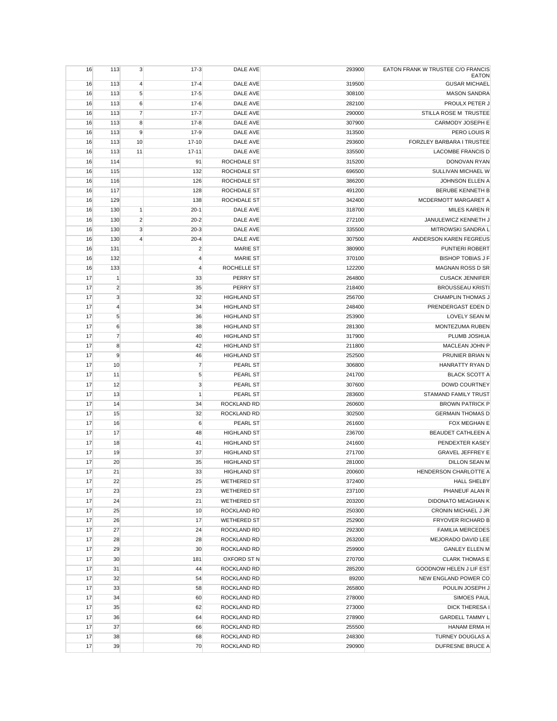| 16 | 113            | 3              | $17-3$           | DALE AVE           | 293900 | EATON FRANK W TRUSTEE C/O FRANCIS<br><b>EATON</b> |
|----|----------------|----------------|------------------|--------------------|--------|---------------------------------------------------|
| 16 | 113            | $\overline{4}$ | $17 - 4$         | DALE AVE           | 319500 | <b>GUSAR MICHAEL</b>                              |
| 16 | 113            | 5              | $17 - 5$         | DALE AVE           | 308100 | <b>MASON SANDRA</b>                               |
| 16 | 113            | 6              | $17-6$           | DALE AVE           | 282100 | PROULX PETER J                                    |
| 16 | 113            | $\overline{7}$ | $17 - 7$         | DALE AVE           | 290000 | STILLA ROSE M TRUSTEE                             |
| 16 | 113            | 8              | $17 - 8$         | DALE AVE           | 307900 | CARMODY JOSEPH E                                  |
| 16 | 113            | 9              | $17-9$           | DALE AVE           | 313500 | PERO LOUIS R                                      |
| 16 | 113            | 10             | $17 - 10$        | DALE AVE           | 293600 | FORZLEY BARBARA I TRUSTEE                         |
| 16 | 113            | 11             | $17 - 11$        | DALE AVE           | 335500 | <b>LACOMBE FRANCIS D</b>                          |
| 16 | 114            |                | 91               | <b>ROCHDALE ST</b> | 315200 | <b>DONOVAN RYAN</b>                               |
| 16 | 115            |                | 132              | ROCHDALE ST        | 696500 | SULLIVAN MICHAEL W                                |
| 16 | 116            |                | 126              | ROCHDALE ST        | 386200 | JOHNSON ELLEN A                                   |
| 16 | 117            |                | 128              | ROCHDALE ST        | 491200 | <b>BERUBE KENNETH B</b>                           |
| 16 | 129            |                | 138              | ROCHDALE ST        | 342400 | MCDERMOTT MARGARET A                              |
| 16 | 130            | $\mathbf{1}$   | $20-1$           | DALE AVE           | 318700 | <b>MILES KAREN R</b>                              |
| 16 | 130            | $\overline{2}$ | $20 - 2$         | DALE AVE           | 272100 | JANULEWICZ KENNETH J                              |
| 16 | 130            | 3              | $20 - 3$         | DALE AVE           | 335500 | MITROWSKI SANDRA L                                |
| 16 | 130            | $\overline{4}$ | $20 - 4$         | DALE AVE           | 307500 | ANDERSON KAREN FEGREUS                            |
| 16 | 131            |                | $\overline{c}$   | <b>MARIE ST</b>    | 380900 | PUNTIERI ROBERT                                   |
| 16 | 132            |                | $\overline{4}$   | <b>MARIE ST</b>    | 370100 | <b>BISHOP TOBIAS J F</b>                          |
| 16 | 133            |                | $\overline{4}$   | ROCHELLE ST        | 122200 | <b>MAGNAN ROSS D SR</b>                           |
| 17 | $\vert$ 1      |                | 33               | PERRY ST           | 264800 | <b>CUSACK JENNIFER</b>                            |
| 17 | $\overline{2}$ |                | 35               | PERRY ST           | 218400 | <b>BROUSSEAU KRISTI</b>                           |
| 17 | $\mathbf{3}$   |                | 32               | <b>HIGHLAND ST</b> | 256700 | <b>CHAMPLIN THOMAS J</b>                          |
| 17 | $\overline{4}$ |                | 34               | <b>HIGHLAND ST</b> | 248400 | PRENDERGAST EDEN D                                |
| 17 | $\sqrt{5}$     |                | 36               | <b>HIGHLAND ST</b> | 253900 | LOVELY SEAN M                                     |
| 17 | 6              |                | 38               | <b>HIGHLAND ST</b> | 281300 | MONTEZUMA RUBEN                                   |
| 17 | $\overline{7}$ |                | 40               | <b>HIGHLAND ST</b> | 317900 | PLUMB JOSHUA                                      |
| 17 | 8              |                | 42               | <b>HIGHLAND ST</b> | 211800 | MACLEAN JOHN P                                    |
| 17 | 9              |                | 46               | <b>HIGHLAND ST</b> | 252500 | PRUNIER BRIAN N                                   |
| 17 | 10             |                | $\overline{7}$   | PEARL ST           | 306800 | HANRATTY RYAN D                                   |
| 17 | 11             |                | 5                | PEARL ST           | 241700 | <b>BLACK SCOTT A</b>                              |
| 17 | 12             |                | 3                | PEARL ST           | 307600 | <b>DOWD COURTNEY</b>                              |
| 17 | 13             |                | $\mathbf{1}$     | PEARL ST           | 283600 | STAMAND FAMILY TRUST                              |
| 17 | 14             |                | 34               | ROCKLAND RD        | 260600 | <b>BROWN PATRICK P</b>                            |
| 17 | 15             |                | 32               | ROCKLAND RD        | 302500 | <b>GERMAIN THOMAS D</b>                           |
| 17 | 16             |                | $\boldsymbol{6}$ | PEARL ST           | 261600 | FOX MEGHAN E                                      |
| 17 | 17             |                | 48               | <b>HIGHLAND ST</b> | 236700 | <b>BEAUDET CATHLEEN A</b>                         |
| 17 | 18             |                | 41               | <b>HIGHLAND ST</b> | 241600 | PENDEXTER KASEY                                   |
| 17 | 19             |                | 37               | <b>HIGHLAND ST</b> | 271700 | <b>GRAVEL JEFFREY E</b>                           |
| 17 | 20             |                | 35               | <b>HIGHLAND ST</b> | 281000 | <b>DILLON SEAN M</b>                              |
| 17 | 21             |                | 33               | <b>HIGHLAND ST</b> | 200600 | HENDERSON CHARLOTTE A                             |
| 17 | 22             |                | 25               | <b>WETHERED ST</b> | 372400 | <b>HALL SHELBY</b>                                |
| 17 | 23             |                | 23               | <b>WETHERED ST</b> | 237100 | PHANEUF ALAN R                                    |
| 17 | 24             |                | 21               | <b>WETHERED ST</b> | 203200 | DIDONATO MEAGHAN K                                |
| 17 | 25             |                | 10               | ROCKLAND RD        | 250300 | CRONIN MICHAEL J JR                               |
| 17 | 26             |                | 17               | <b>WETHERED ST</b> | 252900 | <b>FRYOVER RICHARD B</b>                          |
| 17 | 27             |                | 24               | ROCKLAND RD        | 292300 | <b>FAMILIA MERCEDES</b>                           |
| 17 | 28             |                | 28               | ROCKLAND RD        | 263200 | MEJORADO DAVID LEE                                |
| 17 | 29             |                | 30               | ROCKLAND RD        | 259900 | <b>GANLEY ELLEN M</b>                             |
| 17 | 30             |                | 181              | OXFORD ST N        | 270700 | <b>CLARK THOMAS E</b>                             |
| 17 | 31             |                | 44               | ROCKLAND RD        | 285200 | GOODNOW HELEN J LIF EST                           |
| 17 | 32             |                | 54               | ROCKLAND RD        | 89200  | NEW ENGLAND POWER CO                              |
| 17 | 33             |                | 58               | ROCKLAND RD        | 265800 | POULIN JOSEPH J                                   |
| 17 | 34             |                | 60               | ROCKLAND RD        | 278000 | SIMOES PAUL                                       |
| 17 | 35             |                | 62               | ROCKLAND RD        | 273000 | DICK THERESA I                                    |
| 17 | 36             |                | 64               | ROCKLAND RD        | 278900 | <b>GARDELL TAMMY L</b>                            |
| 17 | 37             |                | 66               | ROCKLAND RD        | 255500 | HANAM ERMA H                                      |
| 17 | 38             |                | 68               | ROCKLAND RD        | 248300 | TURNEY DOUGLAS A                                  |
| 17 | 39             |                | 70               | ROCKLAND RD        | 290900 | DUFRESNE BRUCE A                                  |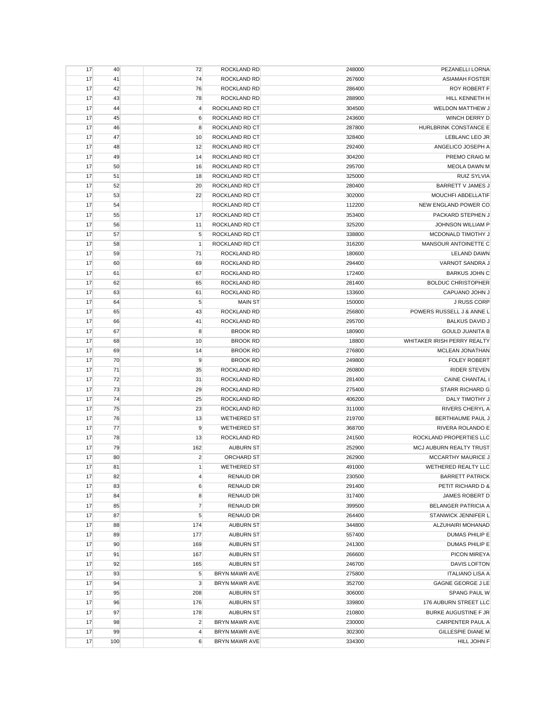| 17 | 40  | 72             | ROCKLAND RD        | 248000 | PEZANELLI LORNA             |
|----|-----|----------------|--------------------|--------|-----------------------------|
| 17 | 41  | 74             | <b>ROCKLAND RD</b> | 267600 | <b>ASIAMAH FOSTER</b>       |
| 17 | 42  | 76             | ROCKLAND RD        | 286400 | <b>ROY ROBERT F</b>         |
| 17 | 43  | 78             | ROCKLAND RD        | 288900 | HILL KENNETH H              |
| 17 | 44  | 4              | ROCKLAND RD CT     | 304500 | WELDON MATTHEW J            |
| 17 | 45  | 6              | ROCKLAND RD CT     | 243600 | WINCH DERRY D               |
| 17 | 46  | 8              | ROCKLAND RD CT     | 287800 | HURLBRINK CONSTANCE E       |
| 17 | 47  | 10             | ROCKLAND RD CT     | 328400 | LEBLANC LEO JR              |
| 17 | 48  | 12             | ROCKLAND RD CT     | 292400 | ANGELICO JOSEPH A           |
| 17 | 49  | 14             | ROCKLAND RD CT     | 304200 | PREMO CRAIG M               |
|    |     |                | ROCKLAND RD CT     | 295700 | <b>MEOLA DAWN M</b>         |
| 17 | 50  | 16             | ROCKLAND RD CT     |        | <b>RUIZ SYLVIA</b>          |
| 17 | 51  | 18             |                    | 325000 |                             |
| 17 | 52  | 20             | ROCKLAND RD CT     | 280400 | BARRETT V JAMES J           |
| 17 | 53  | 22             | ROCKLAND RD CT     | 302000 | MOUCHFI ABDELLATIF          |
| 17 | 54  |                | ROCKLAND RD CT     | 112200 | NEW ENGLAND POWER CO        |
| 17 | 55  | 17             | ROCKLAND RD CT     | 353400 | PACKARD STEPHEN J           |
| 17 | 56  | 11             | ROCKLAND RD CT     | 325200 | JOHNSON WILLIAM P           |
| 17 | 57  | 5              | ROCKLAND RD CT     | 338800 | MCDONALD TIMOTHY J          |
| 17 | 58  | $\mathbf{1}$   | ROCKLAND RD CT     | 316200 | MANSOUR ANTOINETTE C        |
| 17 | 59  | 71             | ROCKLAND RD        | 180600 | <b>LELAND DAWN</b>          |
| 17 | 60  | 69             | ROCKLAND RD        | 294400 | VARNOT SANDRA J             |
| 17 | 61  | 67             | ROCKLAND RD        | 172400 | <b>BARKUS JOHN C</b>        |
| 17 | 62  | 65             | ROCKLAND RD        | 281400 | <b>BOLDUC CHRISTOPHER</b>   |
| 17 | 63  | 61             | ROCKLAND RD        | 133600 | CAPUANO JOHN J              |
| 17 | 64  | 5              | <b>MAIN ST</b>     | 150000 | <b>J RUSS CORP</b>          |
| 17 | 65  | 43             | ROCKLAND RD        | 256800 | POWERS RUSSELL J & ANNE L   |
| 17 | 66  | 41             | ROCKLAND RD        | 295700 | <b>BALKUS DAVID J</b>       |
| 17 | 67  | 8              | <b>BROOK RD</b>    | 180900 | <b>GOULD JUANITA B</b>      |
| 17 | 68  | 10             | <b>BROOK RD</b>    | 18800  | WHITAKER IRISH PERRY REALTY |
| 17 | 69  | 14             | <b>BROOK RD</b>    | 276800 | MCLEAN JONATHAN             |
| 17 | 70  | 9              | <b>BROOK RD</b>    | 249800 | <b>FOLEY ROBERT</b>         |
| 17 | 71  | 35             | ROCKLAND RD        | 260800 | <b>RIDER STEVEN</b>         |
| 17 | 72  | 31             | ROCKLAND RD        | 281400 | <b>CAINE CHANTAL I</b>      |
|    |     | 29             | ROCKLAND RD        |        | <b>STARR RICHARD G</b>      |
| 17 | 73  |                |                    | 275400 |                             |
| 17 | 74  | 25             | ROCKLAND RD        | 406200 | DALY TIMOTHY J              |
| 17 | 75  | 23             | ROCKLAND RD        | 311000 | RIVERS CHERYL A             |
| 17 | 76  | 13             | <b>WETHERED ST</b> | 219700 | BERTHIAUME PAUL J           |
| 17 | 77  | 9              | <b>WETHERED ST</b> | 368700 | RIVERA ROLANDO E            |
| 17 | 78  | 13             | ROCKLAND RD        | 241500 | ROCKLAND PROPERTIES LLC     |
| 17 | 79  | 162            | <b>AUBURN ST</b>   | 252900 | MCJ AUBURN REALTY TRUST     |
| 17 | 80  | $\overline{2}$ | ORCHARD ST         | 262900 | MCCARTHY MAURICE J          |
| 17 | 81  | 1              | <b>WETHERED ST</b> | 491000 | WETHERED REALTY LLC         |
| 17 | 82  | $\overline{4}$ | <b>RENAUD DR</b>   | 230500 | <b>BARRETT PATRICK</b>      |
| 17 | 83  | 6              | <b>RENAUD DR</b>   | 291400 | PETIT RICHARD D &           |
| 17 | 84  | 8              | <b>RENAUD DR</b>   | 317400 | JAMES ROBERT D              |
| 17 | 85  | $\overline{7}$ | <b>RENAUD DR</b>   | 399500 | <b>BELANGER PATRICIA A</b>  |
| 17 | 87  | 5              | <b>RENAUD DR</b>   | 264400 | STANWICK JENNIFER L         |
| 17 | 88  | 174            | <b>AUBURN ST</b>   | 344800 | ALZUHAIRI MOHANAD           |
| 17 | 89  | 177            | <b>AUBURN ST</b>   | 557400 | DUMAS PHILIP E              |
| 17 | 90  | 169            | <b>AUBURN ST</b>   | 241300 | DUMAS PHILIP E              |
| 17 | 91  | 167            | <b>AUBURN ST</b>   | 266600 | PICON MIREYA                |
| 17 | 92  | 165            | <b>AUBURN ST</b>   | 246700 | <b>DAVIS LOFTON</b>         |
| 17 | 93  | 5              | BRYN MAWR AVE      | 275800 | <b>ITALIANO LISA A</b>      |
| 17 | 94  | 3              | BRYN MAWR AVE      | 352700 | GAGNE GEORGE J LE           |
| 17 | 95  | 208            | <b>AUBURN ST</b>   | 306000 | SPANG PAUL W                |
| 17 | 96  | 176            | <b>AUBURN ST</b>   | 339800 | 176 AUBURN STREET LLC       |
| 17 | 97  | 178            | <b>AUBURN ST</b>   | 210800 | BURKE AUGUSTINE F JR        |
|    |     |                |                    |        |                             |
| 17 | 98  | $\overline{c}$ | BRYN MAWR AVE      | 230000 | CARPENTER PAUL A            |
| 17 | 99  | 4              | BRYN MAWR AVE      | 302300 | GILLESPIE DIANE M           |
| 17 | 100 | 6              | BRYN MAWR AVE      | 334300 | HILL JOHN F                 |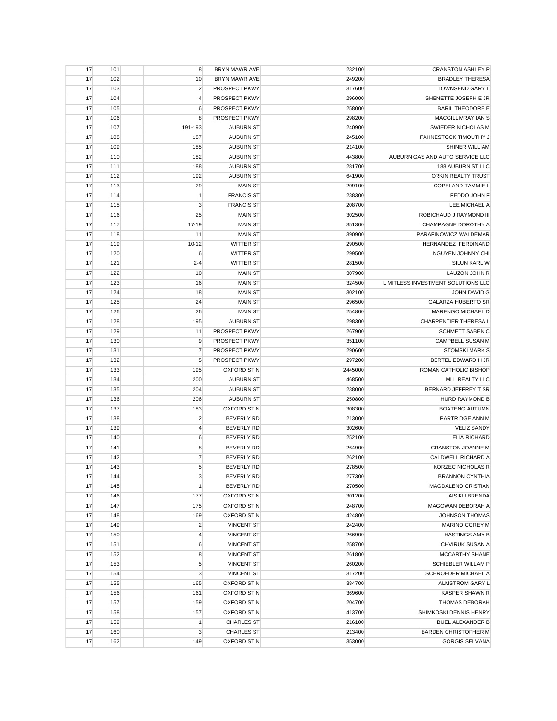| 17 | 101 | 8              | BRYN MAWR AVE        | 232100  | <b>CRANSTON ASHLEY P</b>           |
|----|-----|----------------|----------------------|---------|------------------------------------|
| 17 | 102 | 10             | <b>BRYN MAWR AVE</b> | 249200  | <b>BRADLEY THERESA</b>             |
| 17 | 103 | $\overline{c}$ | PROSPECT PKWY        | 317600  | <b>TOWNSEND GARY L</b>             |
| 17 | 104 | $\overline{4}$ | PROSPECT PKWY        | 296000  | SHENETTE JOSEPH E JR               |
| 17 | 105 | 6              | PROSPECT PKWY        | 258000  | <b>BARIL THEODORE E</b>            |
| 17 | 106 | 8              | PROSPECT PKWY        | 298200  | MACGILLIVRAY IAN S                 |
| 17 | 107 | 191-193        | <b>AUBURN ST</b>     | 240900  | SWIEDER NICHOLAS M                 |
| 17 | 108 | 187            | <b>AUBURN ST</b>     | 245100  | FAHNESTOCK TIMOUTHY J              |
| 17 | 109 | 185            | <b>AUBURN ST</b>     | 214100  | <b>SHINER WILLIAM</b>              |
| 17 | 110 | 182            | <b>AUBURN ST</b>     | 443800  | AUBURN GAS AND AUTO SERVICE LLC    |
| 17 | 111 | 188            | <b>AUBURN ST</b>     | 281700  | 188 AUBURN ST LLC                  |
| 17 | 112 | 192            | <b>AUBURN ST</b>     | 641900  | ORKIN REALTY TRUST                 |
| 17 | 113 | 29             | <b>MAIN ST</b>       | 209100  | <b>COPELAND TAMMIE L</b>           |
| 17 | 114 | $\mathbf{1}$   | <b>FRANCIS ST</b>    | 238300  | FEDDO JOHN F                       |
|    |     |                | <b>FRANCIS ST</b>    | 208700  | LEE MICHAEL A                      |
| 17 | 115 | 3              |                      |         | ROBICHAUD J RAYMOND III            |
| 17 | 116 | 25             | <b>MAIN ST</b>       | 302500  |                                    |
| 17 | 117 | 17-19          | <b>MAIN ST</b>       | 351300  | CHAMPAGNE DOROTHY A                |
| 17 | 118 | 11             | <b>MAIN ST</b>       | 390900  | PARAFINOWICZ WALDEMAR              |
| 17 | 119 | $10 - 12$      | <b>WITTER ST</b>     | 290500  | HERNANDEZ FERDINAND                |
| 17 | 120 | $\,6$          | <b>WITTER ST</b>     | 299500  | NGUYEN JOHNNY CHI                  |
| 17 | 121 | $2 - 4$        | <b>WITTER ST</b>     | 281500  | SILUN KARL W                       |
| 17 | 122 | 10             | <b>MAIN ST</b>       | 307900  | LAUZON JOHN R                      |
| 17 | 123 | 16             | <b>MAIN ST</b>       | 324500  | LIMITLESS INVESTMENT SOLUTIONS LLC |
| 17 | 124 | 18             | <b>MAIN ST</b>       | 302100  | <b>JOHN DAVID G</b>                |
| 17 | 125 | 24             | <b>MAIN ST</b>       | 296500  | <b>GALARZA HUBERTO SR</b>          |
| 17 | 126 | 26             | <b>MAIN ST</b>       | 254800  | MARENGO MICHAEL D                  |
| 17 | 128 | 195            | <b>AUBURN ST</b>     | 298300  | CHARPENTIER THERESA L              |
| 17 | 129 | 11             | PROSPECT PKWY        | 267900  | <b>SCHMETT SABEN C</b>             |
| 17 | 130 | 9              | PROSPECT PKWY        | 351100  | CAMPBELL SUSAN M                   |
| 17 | 131 | $\overline{7}$ | PROSPECT PKWY        | 290600  | <b>STOMSKI MARK S</b>              |
| 17 | 132 | 5              | PROSPECT PKWY        | 297200  | BERTEL EDWARD H JR                 |
| 17 | 133 | 195            | OXFORD ST N          | 2445000 | ROMAN CATHOLIC BISHOP              |
| 17 | 134 | 200            | <b>AUBURN ST</b>     | 468500  | MLL REALTY LLC                     |
| 17 | 135 | 204            | <b>AUBURN ST</b>     | 238000  | BERNARD JEFFREY T SR               |
| 17 | 136 | 206            | <b>AUBURN ST</b>     | 250800  | HURD RAYMOND B                     |
| 17 | 137 | 183            | OXFORD ST N          | 308300  | <b>BOATENG AUTUMN</b>              |
| 17 | 138 | $\overline{c}$ | <b>BEVERLY RD</b>    | 213000  | PARTRIDGE ANN M                    |
| 17 | 139 | $\overline{4}$ | <b>BEVERLY RD</b>    | 302600  | <b>VELIZ SANDY</b>                 |
| 17 | 140 | 6              | <b>BEVERLY RD</b>    | 252100  | <b>ELIA RICHARD</b>                |
|    | 141 | 8              | <b>BEVERLY RD</b>    | 264900  | <b>CRANSTON JOANNE M</b>           |
| 17 |     | $\overline{7}$ | <b>BEVERLY RD</b>    |         | CALDWELL RICHARD A                 |
| 17 | 142 |                |                      | 262100  |                                    |
| 17 | 143 | 5              | <b>BEVERLY RD</b>    | 278500  | <b>KORZEC NICHOLAS R</b>           |
| 17 | 144 | 3              | BEVERLY RD           | 277300  | <b>BRANNON CYNTHIA</b>             |
| 17 | 145 | $\mathbf{1}$   | <b>BEVERLY RD</b>    | 270500  | MAGDALENO CRISTIAN                 |
| 17 | 146 | 177            | OXFORD ST N          | 301200  | <b>AISIKU BRENDA</b>               |
| 17 | 147 | 175            | OXFORD ST N          | 248700  | MAGOWAN DEBORAH A                  |
| 17 | 148 | 169            | OXFORD ST N          | 424800  | JOHNSON THOMAS                     |
| 17 | 149 | $\overline{2}$ | <b>VINCENT ST</b>    | 242400  | MARINO COREY M                     |
| 17 | 150 | 4              | <b>VINCENT ST</b>    | 266900  | <b>HASTINGS AMY B</b>              |
| 17 | 151 | 6              | <b>VINCENT ST</b>    | 258700  | CHVIRUK SUSAN A                    |
| 17 | 152 | 8              | <b>VINCENT ST</b>    | 261800  | <b>MCCARTHY SHANE</b>              |
| 17 | 153 | 5              | <b>VINCENT ST</b>    | 260200  | <b>SCHIEBLER WILLAM P</b>          |
| 17 | 154 | 3              | <b>VINCENT ST</b>    | 317200  | <b>SCHROEDER MICHAEL A</b>         |
| 17 | 155 | 165            | OXFORD ST N          | 384700  | ALMSTROM GARY L                    |
| 17 | 156 | 161            | <b>OXFORD ST N</b>   | 369600  | KASPER SHAWN R                     |
| 17 | 157 | 159            | OXFORD ST N          | 204700  | <b>THOMAS DEBORAH</b>              |
| 17 | 158 | 157            | OXFORD ST N          | 413700  | SHIMKOSKI DENNIS HENRY             |
| 17 | 159 | $\mathbf{1}$   | <b>CHARLES ST</b>    | 216100  | <b>BUEL ALEXANDER B</b>            |
| 17 | 160 | 3              | <b>CHARLES ST</b>    | 213400  | <b>BARDEN CHRISTOPHER M</b>        |
| 17 | 162 | 149            | OXFORD ST N          | 353000  | <b>GORGIS SELVANA</b>              |
|    |     |                |                      |         |                                    |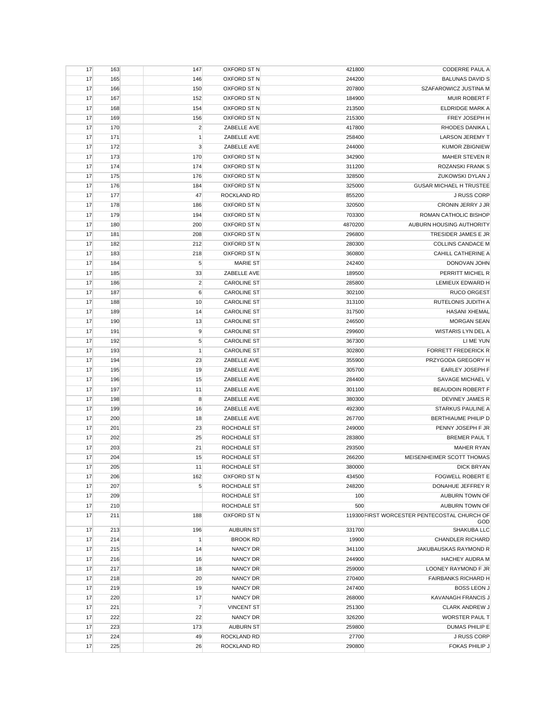| 17 | 163 | 147            | OXFORD ST N        | 421800  | <b>CODERRE PAUL A</b>                               |
|----|-----|----------------|--------------------|---------|-----------------------------------------------------|
| 17 | 165 | 146            | OXFORD ST N        | 244200  | <b>BALUNAS DAVID S</b>                              |
| 17 | 166 | 150            | OXFORD ST N        | 207800  | SZAFAROWICZ JUSTINA M                               |
| 17 | 167 | 152            | OXFORD ST N        | 184900  | MUIR ROBERT F                                       |
| 17 | 168 | 154            | OXFORD ST N        | 213500  | <b>ELDRIDGE MARK A</b>                              |
| 17 | 169 | 156            | OXFORD ST N        | 215300  | FREY JOSEPH H                                       |
| 17 | 170 | $\overline{c}$ | ZABELLE AVE        | 417800  | RHODES DANIKA L                                     |
| 17 | 171 | $\mathbf{1}$   | ZABELLE AVE        | 258400  | <b>LARSON JEREMY T</b>                              |
| 17 | 172 | 3              | ZABELLE AVE        | 244000  | <b>KUMOR ZBIGNIEW</b>                               |
| 17 | 173 | 170            | OXFORD ST N        | 342900  | <b>MAHER STEVEN R</b>                               |
| 17 | 174 | 174            | OXFORD ST N        | 311200  | ROZANSKI FRANK S                                    |
| 17 | 175 | 176            | OXFORD ST N        | 328500  | ZUKOWSKI DYLAN J                                    |
| 17 | 176 | 184            | OXFORD ST N        | 325000  | <b>GUSAR MICHAEL H TRUSTEE</b>                      |
| 17 | 177 | 47             | ROCKLAND RD        | 855200  | <b>J RUSS CORP</b>                                  |
| 17 | 178 | 186            | OXFORD ST N        | 320500  | CRONIN JERRY J JR                                   |
| 17 | 179 | 194            | OXFORD ST N        | 703300  | ROMAN CATHOLIC BISHOP                               |
| 17 | 180 | 200            | <b>OXFORD ST N</b> | 4870200 | AUBURN HOUSING AUTHORITY                            |
| 17 | 181 | 208            | OXFORD ST N        | 296800  | TRESIDER JAMES E JR                                 |
| 17 | 182 | 212            | OXFORD ST N        | 280300  | <b>COLLINS CANDACE M</b>                            |
| 17 | 183 | 218            | OXFORD ST N        | 360800  | <b>CAHILL CATHERINE A</b>                           |
| 17 | 184 | $\sqrt{5}$     | <b>MARIE ST</b>    | 242400  | DONOVAN JOHN                                        |
| 17 | 185 | 33             | ZABELLE AVE        | 189500  | PERRITT MICHEL R                                    |
| 17 | 186 | $\overline{2}$ | <b>CAROLINE ST</b> | 285800  | LEMIEUX EDWARD H                                    |
| 17 | 187 | 6              | <b>CAROLINE ST</b> | 302100  | <b>RUCO ORGEST</b>                                  |
| 17 | 188 | 10             | <b>CAROLINE ST</b> |         | RUTELONIS JUDITH A                                  |
|    | 189 |                |                    | 313100  |                                                     |
| 17 |     | 14             | <b>CAROLINE ST</b> | 317500  | <b>HASANI XHEMAL</b>                                |
| 17 | 190 | 13             | <b>CAROLINE ST</b> | 246500  | <b>MORGAN SEAN</b>                                  |
| 17 | 191 | 9              | <b>CAROLINE ST</b> | 299600  | WISTARIS LYN DEL A                                  |
| 17 | 192 | $\sqrt{5}$     | <b>CAROLINE ST</b> | 367300  | LI ME YUN                                           |
| 17 | 193 | $\mathbf{1}$   | <b>CAROLINE ST</b> | 302800  | <b>FORRETT FREDERICK R</b>                          |
| 17 | 194 | 23             | ZABELLE AVE        | 355900  | PRZYGODA GREGORY H                                  |
| 17 | 195 | 19             | ZABELLE AVE        | 305700  | <b>EARLEY JOSEPH F</b>                              |
| 17 | 196 | 15             | ZABELLE AVE        | 284400  | SAVAGE MICHAEL V                                    |
| 17 | 197 | 11             | ZABELLE AVE        | 301100  | BEAUDOIN ROBERT F                                   |
| 17 | 198 | 8              | ZABELLE AVE        | 380300  | DEVINEY JAMES R                                     |
| 17 | 199 | 16             | ZABELLE AVE        | 492300  | STARKUS PAULINE A                                   |
| 17 | 200 | 18             | ZABELLE AVE        | 267700  | BERTHIAUME PHILIP D                                 |
| 17 | 201 | 23             | ROCHDALE ST        | 249000  | PENNY JOSEPH F JR                                   |
| 17 | 202 | 25             | ROCHDALE ST        | 283800  | <b>BREMER PAUL T</b>                                |
| 17 | 203 | 21             | ROCHDALE ST        | 293500  | <b>MAHER RYAN</b>                                   |
| 17 | 204 | 15             | ROCHDALE ST        | 266200  | MEISENHEIMER SCOTT THOMAS                           |
| 17 | 205 | 11             | ROCHDALE ST        | 380000  | <b>DICK BRYAN</b>                                   |
| 17 | 206 | 162            | OXFORD ST N        | 434500  | <b>FOGWELL ROBERT E</b>                             |
| 17 | 207 | 5              | ROCHDALE ST        | 248200  | DONAHUE JEFFREY R                                   |
| 17 | 209 |                | ROCHDALE ST        | 100     | AUBURN TOWN OF                                      |
| 17 | 210 |                | ROCHDALE ST        | 500     | AUBURN TOWN OF                                      |
| 17 | 211 | 188            | <b>OXFORD ST N</b> |         | 119300 FIRST WORCESTER PENTECOSTAL CHURCH OF<br>GOD |
| 17 | 213 | 196            | <b>AUBURN ST</b>   | 331700  | SHAKUBA LLC                                         |
| 17 | 214 | 1              | <b>BROOK RD</b>    | 19900   | <b>CHANDLER RICHARD</b>                             |
| 17 | 215 | 14             | NANCY DR           | 341100  | JAKUBAUSKAS RAYMOND R                               |
| 17 | 216 | 16             | NANCY DR           | 244900  | <b>HACHEY AUDRA M</b>                               |
| 17 | 217 | 18             | <b>NANCY DR</b>    | 259000  | LOONEY RAYMOND F JR                                 |
| 17 | 218 | 20             | NANCY DR           | 270400  | <b>FAIRBANKS RICHARD H</b>                          |
| 17 | 219 | 19             | <b>NANCY DR</b>    | 247400  | <b>BOSS LEON J</b>                                  |
| 17 | 220 | 17             | <b>NANCY DR</b>    | 268000  | <b>KAVANAGH FRANCIS J</b>                           |
| 17 | 221 | $\overline{7}$ | <b>VINCENT ST</b>  | 251300  | <b>CLARK ANDREW J</b>                               |
| 17 | 222 | 22             | NANCY DR           | 326200  | WORSTER PAUL T                                      |
| 17 | 223 | 173            | <b>AUBURN ST</b>   | 259800  | DUMAS PHILIP E                                      |
| 17 | 224 | 49             | ROCKLAND RD        | 27700   | J RUSS CORP                                         |
| 17 | 225 | 26             | ROCKLAND RD        | 290800  | FOKAS PHILIP J                                      |
|    |     |                |                    |         |                                                     |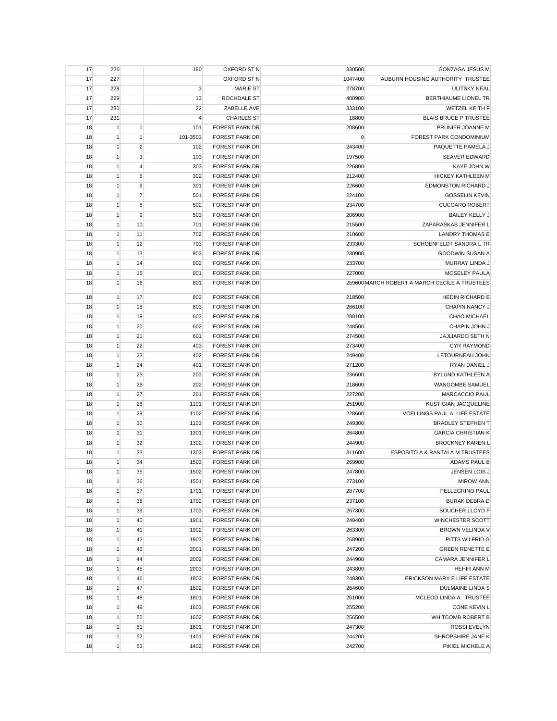| 17 | 226          |                | 180            | OXFORD ST N           | 330500      | <b>GONZAGA JESUS M</b>                        |
|----|--------------|----------------|----------------|-----------------------|-------------|-----------------------------------------------|
| 17 | 227          |                |                | OXFORD ST N           | 1047400     | AUBURN HOUSING AUTHORITY TRUSTEE              |
| 17 | 228          |                | 3              | <b>MARIE ST</b>       | 278700      | <b>ULITSKY NEAL</b>                           |
| 17 | 229          |                | 13             | ROCHDALE ST           | 400900      | <b>BERTHIAUME LIONEL TR</b>                   |
| 17 | 230          |                | 22             | ZABELLE AVE           | 333100      | <b>WETZEL KEITH F</b>                         |
| 17 | 231          |                | $\overline{4}$ | <b>CHARLES ST</b>     | 18800       | <b>BLAIS BRUCE P TRUSTEE</b>                  |
| 18 | $\mathbf{1}$ | 1              | 101            | <b>FOREST PARK DR</b> | 208600      | PRUNIER JOANNE M                              |
| 18 | 1            | $\mathbf{1}$   | 101-3503       | <b>FOREST PARK DR</b> | $\mathbf 0$ | FOREST PARK CONDOMINIUM                       |
| 18 | 1            | $\overline{2}$ | 102            | <b>FOREST PARK DR</b> | 243400      | PAQUETTE PAMELA J                             |
| 18 | 1            | 3              | 103            | <b>FOREST PARK DR</b> | 197500      | <b>SEAVER EDWARD</b>                          |
| 18 | $\mathbf{1}$ | $\overline{4}$ | 303            | <b>FOREST PARK DR</b> | 226800      | KAYE JOHN W                                   |
| 18 | 1            | 5              | 302            | <b>FOREST PARK DR</b> | 212400      | <b>HICKEY KATHLEEN M</b>                      |
| 18 | $\mathbf{1}$ | 6              | 301            | <b>FOREST PARK DR</b> | 226600      | EDMONSTON RICHARD J                           |
| 18 | 1            | $\overline{7}$ | 501            | <b>FOREST PARK DR</b> | 224100      | <b>GOSSELIN KEVIN</b>                         |
| 18 | $\mathbf{1}$ | 8              | 502            | <b>FOREST PARK DR</b> | 234700      | <b>CUCCARO ROBERT</b>                         |
|    |              | 9              |                |                       |             | <b>BAILEY KELLY J</b>                         |
| 18 | 1            |                | 503            | <b>FOREST PARK DR</b> | 206900      |                                               |
| 18 | 1            | 10             | 701            | <b>FOREST PARK DR</b> | 215500      | ZAPARASKAS JENNIFER L                         |
| 18 | 1            | 11             | 702            | <b>FOREST PARK DR</b> | 210600      | <b>LANDRY THOMAS E</b>                        |
| 18 | $\mathbf{1}$ | 12             | 703            | <b>FOREST PARK DR</b> | 233300      | SCHOENFELDT SANDRA L TR                       |
| 18 | $\mathbf{1}$ | 13             | 903            | <b>FOREST PARK DR</b> | 230900      | <b>GOODWIN SUSAN A</b>                        |
| 18 | 1            | 14             | 902            | <b>FOREST PARK DR</b> | 233700      | MURRAY LINDA J                                |
| 18 | $\mathbf{1}$ | 15             | 901            | <b>FOREST PARK DR</b> | 227000      | MOSELEY PAULA                                 |
| 18 | $\mathbf{1}$ | 16             | 801            | <b>FOREST PARK DR</b> |             | 259600 MARCH ROBERT A MARCH CECILE A TRUSTEES |
| 18 | $\mathbf{1}$ | 17             | 802            | <b>FOREST PARK DR</b> | 218500      | <b>HEDIN RICHARD E</b>                        |
| 18 | 1            | 18             | 803            | <b>FOREST PARK DR</b> | 266100      | CHAPIN NANCY J                                |
| 18 | 1            | 19             | 603            | <b>FOREST PARK DR</b> | 288100      | <b>CHAO MICHAEL</b>                           |
| 18 | 1            | 20             | 602            | <b>FOREST PARK DR</b> | 248500      | CHAPIN JOHN J                                 |
| 18 | $\mathbf{1}$ | 21             | 601            | <b>FOREST PARK DR</b> | 274500      | JAJLIARDO SETH N                              |
| 18 | 1            | 22             | 403            | <b>FOREST PARK DR</b> | 273400      | <b>CYR RAYMOND</b>                            |
|    |              |                |                |                       |             |                                               |
| 18 | $\mathbf{1}$ | 23             | 402            | <b>FOREST PARK DR</b> | 249400      | LETOURNEAU JOHN                               |
| 18 | 1            | 24             | 401            | <b>FOREST PARK DR</b> | 271200      | RYAN DANIEL J                                 |
| 18 | 1            | 25             | 203            | <b>FOREST PARK DR</b> | 236600      | BYLUND KATHLEEN A                             |
| 18 | $\mathbf{1}$ | 26             | 202            | <b>FOREST PARK DR</b> | 218600      | <b>WANGOMBE SAMUEL</b>                        |
| 18 | 1            | 27             | 201            | <b>FOREST PARK DR</b> | 227200      | <b>MARCACCIO PAUL</b>                         |
| 18 | 1            | 28             | 1101           | <b>FOREST PARK DR</b> | 251900      | KUSTIGIAN JACQUELINE                          |
| 18 | 1            | 29             | 1102           | <b>FOREST PARK DR</b> | 228600      | VOELLINGS PAUL A LIFE ESTATE                  |
| 18 | $\mathbf{1}$ | 30             | 1103           | <b>FOREST PARK DR</b> | 249300      | <b>BRADLEY STEPHEN T</b>                      |
| 18 | $\mathbf{1}$ | 31             | 1301           | <b>FOREST PARK DR</b> | 264800      | <b>GARCIA CHRISTIAN K</b>                     |
| 18 | 1            | 32             | 1302           | FOREST PARK DR        | 244900      | <b>BROCKNEY KAREN L</b>                       |
| 18 | 1            | 33             | 1303           | <b>FOREST PARK DR</b> | 311600      | ESPOSITO A & RANTALA M TRUSTEES               |
| 18 | 1            | 34             | 1503           | <b>FOREST PARK DR</b> | 269900      | ADAMS PAUL B                                  |
| 18 |              | 35             | 1502           | FOREST PARK DR        | 247800      | JENSEN LOIS J                                 |
| 18 | $\mathbf{1}$ | 36             | 1501           | <b>FOREST PARK DR</b> | 273100      | <b>MIROW ANN</b>                              |
| 18 | 1            | 37             | 1701           | <b>FOREST PARK DR</b> | 287700      | PELLEGRINO PAUL                               |
| 18 | 1            | 38             | 1702           | <b>FOREST PARK DR</b> | 237100      | <b>BURAK DEBRA D</b>                          |
| 18 | 1            | 39             | 1703           | <b>FOREST PARK DR</b> | 267300      | <b>BOUCHER LLOYD F</b>                        |
| 18 | $\mathbf{1}$ | 40             | 1901           | <b>FOREST PARK DR</b> | 249400      | WINCHESTER SCOTT                              |
| 18 | $\mathbf{1}$ | 41             | 1902           | <b>FOREST PARK DR</b> | 263300      | <b>BROWN VELINDA V</b>                        |
| 18 | 1            | 42             | 1903           | <b>FOREST PARK DR</b> | 268900      | PITTS WILFRID G                               |
| 18 | 1            | 43             | 2001           | <b>FOREST PARK DR</b> | 247200      | <b>GREEN RENETTE E</b>                        |
| 18 | 1            | 44             | 2002           | <b>FOREST PARK DR</b> | 244900      | CAMARA JENNIFER L                             |
| 18 | 1            | 45             | 2003           | <b>FOREST PARK DR</b> | 243800      | <b>HEHIR ANN M</b>                            |
| 18 | 1            | 46             | 1803           | <b>FOREST PARK DR</b> | 248300      | ERICKSON MARY E LIFE ESTATE                   |
| 18 | 1            | 47             | 1802           | <b>FOREST PARK DR</b> | 264600      | <b>DULMAINE LINDA S</b>                       |
| 18 | $\mathbf{1}$ | 48             | 1801           | <b>FOREST PARK DR</b> | 261000      | MCLEOD LINDA A TRUSTEE                        |
| 18 | $\mathbf{1}$ | 49             | 1603           | <b>FOREST PARK DR</b> | 255200      | CONE KEVIN L                                  |
| 18 | $\mathbf{1}$ | 50             | 1602           | <b>FOREST PARK DR</b> | 256500      | <b>WHITCOMB ROBERT B</b>                      |
| 18 | 1            | 51             | 1601           | <b>FOREST PARK DR</b> | 247300      | <b>ROSSI EVELYN</b>                           |
| 18 | 1            | 52             | 1401           | <b>FOREST PARK DR</b> | 244200      | SHROPSHIRE JANE K                             |
|    |              |                |                |                       |             |                                               |
| 18 | 1            | 53             | 1402           | FOREST PARK DR        | 242700      | PIKIEL MICHELE A                              |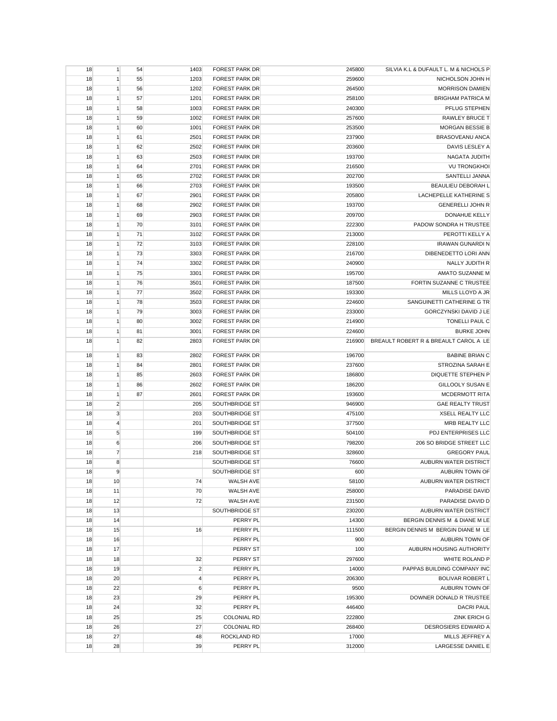| 18 | $\mathbf{1}$   | 54 | 1403           | <b>FOREST PARK DR</b> | 245800 | SILVIA K.L & DUFAULT L. M & NICHOLS P |
|----|----------------|----|----------------|-----------------------|--------|---------------------------------------|
| 18 | 1              | 55 | 1203           | <b>FOREST PARK DR</b> | 259600 | NICHOLSON JOHN H                      |
| 18 | $\mathbf{1}$   | 56 | 1202           | <b>FOREST PARK DR</b> | 264500 | <b>MORRISON DAMIEN</b>                |
| 18 | $\mathbf{1}$   | 57 | 1201           | <b>FOREST PARK DR</b> | 258100 | <b>BRIGHAM PATRICA M</b>              |
| 18 | $\mathbf{1}$   | 58 | 1003           | <b>FOREST PARK DR</b> | 240300 | PFLUG STEPHEN                         |
| 18 | 1              | 59 | 1002           | <b>FOREST PARK DR</b> | 257600 | RAWLEY BRUCE T                        |
| 18 | $\mathbf{1}$   | 60 | 1001           | <b>FOREST PARK DR</b> | 253500 | MORGAN BESSIE B                       |
| 18 | $\mathbf{1}$   | 61 | 2501           | <b>FOREST PARK DR</b> | 237900 | BRASOVEANU ANCA                       |
| 18 | 1              | 62 | 2502           | <b>FOREST PARK DR</b> | 203600 | DAVIS LESLEY A                        |
| 18 | 1              | 63 | 2503           | <b>FOREST PARK DR</b> | 193700 | NAGATA JUDITH                         |
| 18 | $\mathbf{1}$   | 64 | 2701           | <b>FOREST PARK DR</b> | 216500 | <b>VU TRONGKHOI</b>                   |
| 18 | $\mathbf{1}$   | 65 | 2702           | <b>FOREST PARK DR</b> | 202700 | SANTELLI JANNA                        |
| 18 | $\mathbf{1}$   | 66 | 2703           | <b>FOREST PARK DR</b> | 193500 | BEAULIEU DEBORAH L                    |
| 18 | $\mathbf{1}$   | 67 | 2901           | <b>FOREST PARK DR</b> | 205800 | LACHEPELLE KATHERINE S                |
| 18 | 1              | 68 | 2902           | <b>FOREST PARK DR</b> | 193700 | <b>GENERELLI JOHN R</b>               |
|    |                |    |                |                       |        |                                       |
| 18 | $\mathbf{1}$   | 69 | 2903           | <b>FOREST PARK DR</b> | 209700 | DONAHUE KELLY                         |
| 18 | $\mathbf{1}$   | 70 | 3101           | <b>FOREST PARK DR</b> | 222300 | PADOW SONDRA H TRUSTEE                |
| 18 | 1              | 71 | 3102           | <b>FOREST PARK DR</b> | 213000 | PEROTTI KELLY A                       |
| 18 | 1              | 72 | 3103           | <b>FOREST PARK DR</b> | 228100 | <b>IRAWAN GUNARDI N</b>               |
| 18 | 1              | 73 | 3303           | <b>FOREST PARK DR</b> | 216700 | DIBENEDETTO LORI ANN                  |
| 18 | $\mathbf{1}$   | 74 | 3302           | <b>FOREST PARK DR</b> | 240900 | NALLY JUDITH R                        |
| 18 | $\mathbf{1}$   | 75 | 3301           | <b>FOREST PARK DR</b> | 195700 | AMATO SUZANNE M                       |
| 18 | $\mathbf{1}$   | 76 | 3501           | <b>FOREST PARK DR</b> | 187500 | FORTIN SUZANNE C TRUSTEE              |
| 18 | 1              | 77 | 3502           | <b>FOREST PARK DR</b> | 193300 | MILLS LLOYD A JR                      |
| 18 | $\mathbf{1}$   | 78 | 3503           | <b>FOREST PARK DR</b> | 224600 | SANGUINETTI CATHERINE G TR            |
| 18 | $\mathbf{1}$   | 79 | 3003           | <b>FOREST PARK DR</b> | 233000 | GORCZYNSKI DAVID J LE                 |
| 18 | 1              | 80 | 3002           | <b>FOREST PARK DR</b> | 214900 | TONELLI PAUL C                        |
| 18 | 1              | 81 | 3001           | <b>FOREST PARK DR</b> | 224600 | <b>BURKE JOHN</b>                     |
| 18 | $\mathbf{1}$   | 82 | 2803           | <b>FOREST PARK DR</b> | 216900 | BREAULT ROBERT R & BREAULT CAROL A LE |
|    |                |    |                |                       |        |                                       |
| 18 | $\mathbf{1}$   | 83 | 2802           | <b>FOREST PARK DR</b> | 196700 | <b>BABINE BRIAN C</b>                 |
| 18 | $\mathbf{1}$   | 84 | 2801           | <b>FOREST PARK DR</b> | 237600 | STROZINA SARAH E                      |
| 18 | 1              | 85 | 2603           | <b>FOREST PARK DR</b> | 186800 | <b>DIQUETTE STEPHEN P</b>             |
| 18 | 1              | 86 | 2602           | <b>FOREST PARK DR</b> | 186200 | <b>GILLOOLY SUSAN E</b>               |
| 18 | $\mathbf{1}$   | 87 | 2601           | <b>FOREST PARK DR</b> | 193600 | <b>MCDERMOTT RITA</b>                 |
| 18 | $\overline{2}$ |    | 205            | SOUTHBRIDGE ST        | 946900 | <b>GAE REALTY TRUST</b>               |
| 18 | $\mathsf 3$    |    | 203            | SOUTHBRIDGE ST        | 475100 | <b>XSELL REALTY LLC</b>               |
| 18 | $\overline{4}$ |    | 201            | SOUTHBRIDGE ST        | 377500 | MRB REALTY LLC                        |
| 18 | 5              |    | 199            | SOUTHBRIDGE ST        | 504100 | PDJ ENTERPRISES LLC                   |
| 18 | 6              |    | 206            | SOUTHBRIDGE ST        | 798200 | 206 SO BRIDGE STREET LLC              |
| 18 | $\overline{7}$ |    | 218            | SOUTHBRIDGE ST        | 328600 | <b>GREGORY PAUL</b>                   |
| 18 | 8              |    |                | SOUTHBRIDGE ST        | 76600  | AUBURN WATER DISTRICT                 |
| 18 | 9              |    |                | SOUTHBRIDGE ST        | 600    | AUBURN TOWN OF                        |
| 18 | 10             |    | 74             | <b>WALSH AVE</b>      | 58100  | AUBURN WATER DISTRICT                 |
| 18 | 11             |    | 70             | <b>WALSH AVE</b>      | 258000 | PARADISE DAVID                        |
| 18 | 12             |    | 72             | <b>WALSH AVE</b>      | 231500 | PARADISE DAVID D                      |
| 18 | 13             |    |                | SOUTHBRIDGE ST        | 230200 | <b>AUBURN WATER DISTRICT</b>          |
| 18 | 14             |    |                | PERRY PL              | 14300  | BERGIN DENNIS M & DIANE M LE          |
| 18 | 15             |    | 16             | PERRY PL              | 111500 | BERGIN DENNIS M BERGIN DIANE M LE     |
| 18 | 16             |    |                | PERRY PL              | 900    | AUBURN TOWN OF                        |
|    |                |    |                |                       |        |                                       |
| 18 | 17             |    |                | PERRY ST              | 100    | AUBURN HOUSING AUTHORITY              |
| 18 | 18             |    | 32             | PERRY ST              | 297600 | WHITE ROLAND P                        |
| 18 | 19             |    | $\overline{2}$ | PERRY PL              | 14000  | PAPPAS BUILDING COMPANY INC           |
| 18 | 20             |    | 4              | PERRY PL              | 206300 | <b>BOLIVAR ROBERT L</b>               |
| 18 | 22             |    | 6              | PERRY PL              | 9500   | AUBURN TOWN OF                        |
| 18 | 23             |    | 29             | PERRY PL              | 195300 | DOWNER DONALD R TRUSTEE               |
| 18 | 24             |    | 32             | PERRY PL              | 446400 | <b>DACRI PAUL</b>                     |
| 18 | 25             |    | 25             | <b>COLONIAL RD</b>    | 222800 | <b>ZINK ERICH G</b>                   |
| 18 | 26             |    | 27             | <b>COLONIAL RD</b>    | 268400 | DESROSIERS EDWARD A                   |
| 18 | 27             |    | 48             | ROCKLAND RD           | 17000  | MILLS JEFFREY A                       |
| 18 | 28             |    | 39             | PERRY PL              | 312000 | LARGESSE DANIEL E                     |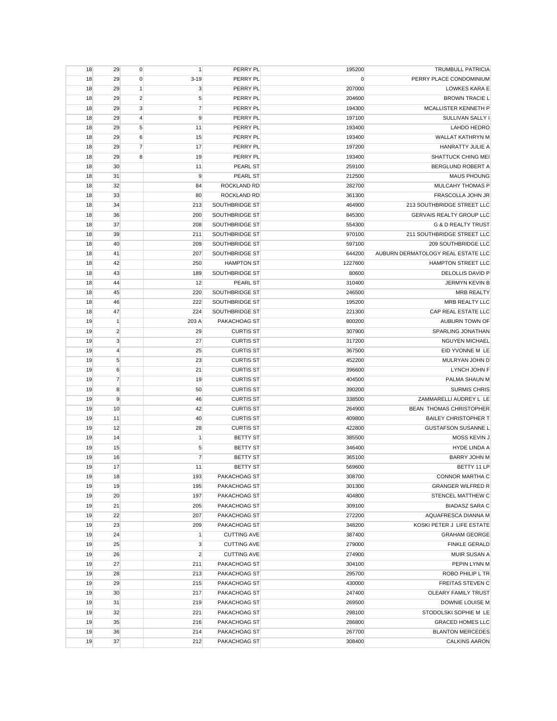| 18 | 29             | $\mathbf 0$    | $\mathbf{1}$   | PERRY PL           | 195200      | <b>TRUMBULL PATRICIA</b>           |
|----|----------------|----------------|----------------|--------------------|-------------|------------------------------------|
| 18 | 29             | $\mathbf 0$    | $3 - 19$       | PERRY PL           | $\mathbf 0$ | PERRY PLACE CONDOMINIUM            |
| 18 | 29             | $\mathbf{1}$   | $\mathbf{3}$   | PERRY PL           | 207000      | LOWKES KARA E                      |
| 18 | 29             | $\overline{2}$ | 5              | PERRY PL           | 204600      | <b>BROWN TRACIE L</b>              |
| 18 | 29             | 3              | $\overline{7}$ | PERRY PL           | 194300      | MCALLISTER KENNETH P               |
| 18 | 29             | $\overline{4}$ | 9              | PERRY PL           | 197100      | SULLIVAN SALLY I                   |
| 18 | 29             | 5              | 11             | PERRY PL           | 193400      | LAHDO HEDRO                        |
| 18 | 29             | 6              | 15             | PERRY PL           | 193400      | WALLAT KATHRYN M                   |
| 18 | 29             | 7              | 17             | PERRY PL           | 197200      | HANRATTY JULIE A                   |
| 18 | 29             | 8              | 19             | PERRY PL           | 193400      | SHATTUCK CHING MEI                 |
| 18 | 30             |                | 11             | PEARL ST           | 259100      | BERGLUND ROBERT A                  |
| 18 | 31             |                | 9              | PEARL ST           | 212500      | <b>MAUS PHOUNG</b>                 |
| 18 | 32             |                | 84             | ROCKLAND RD        | 282700      | MULCAHY THOMAS P                   |
| 18 | 33             |                | 80             | ROCKLAND RD        | 361300      | FRASCOLLA JOHN JR                  |
| 18 | 34             |                | 213            | SOUTHBRIDGE ST     | 464900      | 213 SOUTHBRIDGE STREET LLC         |
| 18 | 36             |                | 200            | SOUTHBRIDGE ST     | 845300      | <b>GERVAIS REALTY GROUP LLC</b>    |
| 18 | 37             |                | 208            | SOUTHBRIDGE ST     | 554300      | <b>G &amp; D REALTY TRUST</b>      |
| 18 | 39             |                | 211            | SOUTHBRIDGE ST     | 970100      | 211 SOUTHBRIDGE STREET LLC         |
| 18 | 40             |                | 209            | SOUTHBRIDGE ST     | 597100      | 209 SOUTHBRIDGE LLC                |
|    |                |                |                |                    |             |                                    |
| 18 | 41             |                | 207            | SOUTHBRIDGE ST     | 644200      | AUBURN DERMATOLOGY REAL ESTATE LLC |
| 18 | 42             |                | 250            | <b>HAMPTON ST</b>  | 1227600     | HAMPTON STREET LLC                 |
| 18 | 43             |                | 189            | SOUTHBRIDGE ST     | 80600       | DELOLLIS DAVID P                   |
| 18 | 44             |                | 12             | PEARL ST           | 310400      | JERMYN KEVIN B                     |
| 18 | 45             |                | 220            | SOUTHBRIDGE ST     | 246500      | <b>MRB REALTY</b>                  |
| 18 | 46             |                | 222            | SOUTHBRIDGE ST     | 195200      | <b>MRB REALTY LLC</b>              |
| 18 | 47             |                | 224            | SOUTHBRIDGE ST     | 221300      | CAP REAL ESTATE LLC                |
| 19 | $\mathbf{1}$   |                | 203 A          | PAKACHOAG ST       | 800200      | AUBURN TOWN OF                     |
| 19 | $\overline{2}$ |                | 29             | <b>CURTIS ST</b>   | 307900      | SPARLING JONATHAN                  |
| 19 | $\mathbf{3}$   |                | 27             | <b>CURTIS ST</b>   | 317200      | <b>NGUYEN MICHAEL</b>              |
| 19 | $\overline{4}$ |                | 25             | <b>CURTIS ST</b>   | 367500      | EID YVONNE M LE                    |
| 19 | 5              |                | 23             | <b>CURTIS ST</b>   | 452200      | MULRYAN JOHN D                     |
| 19 | 6              |                | 21             | <b>CURTIS ST</b>   | 396600      | LYNCH JOHN F                       |
| 19 | $\overline{7}$ |                | 19             | <b>CURTIS ST</b>   | 404500      | PALMA SHAUN M                      |
| 19 | 8              |                | 50             | <b>CURTIS ST</b>   | 390200      | <b>SURMIS CHRIS</b>                |
| 19 | 9              |                | 46             | <b>CURTIS ST</b>   | 338500      | ZAMMARELLI AUDREY L LE             |
| 19 | 10             |                | 42             | <b>CURTIS ST</b>   | 264900      | BEAN THOMAS CHRISTOPHER            |
| 19 | 11             |                | 40             | <b>CURTIS ST</b>   | 409800      | <b>BAILEY CHRISTOPHER T</b>        |
| 19 | 12             |                | 28             | <b>CURTIS ST</b>   | 422800      | <b>GUSTAFSON SUSANNE L</b>         |
| 19 | 14             |                | $\mathbf{1}$   | <b>BETTY ST</b>    | 385500      | MOSS KEVIN J                       |
| 19 | 15             |                | 5              | <b>BETTY ST</b>    | 346400      | HYDE LINDA A                       |
| 19 | 16             |                | $\overline{7}$ | <b>BETTY ST</b>    | 365100      | <b>BARRY JOHN M</b>                |
| 19 | 17             |                | 11             | <b>BETTY ST</b>    | 569600      | BETTY 11 LP                        |
| 19 | 18             |                | 193            | PAKACHOAG ST       | 308700      | CONNOR MARTHA C                    |
| 19 | 19             |                | 195            | PAKACHOAG ST       | 301300      | <b>GRANGER WILFRED R</b>           |
| 19 | 20             |                | 197            | PAKACHOAG ST       | 404800      | STENCEL MATTHEW C                  |
| 19 | 21             |                | 205            | PAKACHOAG ST       | 309100      | <b>BIADASZ SARA C</b>              |
| 19 | 22             |                | 207            | PAKACHOAG ST       | 272200      | AQUAFRESCA DIANNA M                |
| 19 | 23             |                | 209            | PAKACHOAG ST       | 348200      | KOSKI PETER J LIFE ESTATE          |
| 19 | 24             |                | $\mathbf{1}$   | <b>CUTTING AVE</b> | 387400      | <b>GRAHAM GEORGE</b>               |
| 19 | 25             |                | 3              | <b>CUTTING AVE</b> | 279000      | <b>FINKLE GERALD</b>               |
| 19 | 26             |                | $\overline{2}$ | <b>CUTTING AVE</b> | 274900      | MUIR SUSAN A                       |
| 19 | 27             |                | 211            | PAKACHOAG ST       | 304100      | PEPIN LYNN M                       |
| 19 | 28             |                | 213            | PAKACHOAG ST       | 295700      | ROBO PHILIP L TR                   |
| 19 | 29             |                | 215            | PAKACHOAG ST       | 430000      | <b>FREITAS STEVEN C</b>            |
| 19 | 30             |                | 217            | PAKACHOAG ST       | 247400      | OLEARY FAMILY TRUST                |
| 19 | 31             |                | 219            | PAKACHOAG ST       | 269500      | DOWNIE LOUISE M                    |
| 19 | 32             |                | 221            | PAKACHOAG ST       | 298100      | STODOLSKI SOPHIE M LE              |
| 19 | 35             |                | 216            | PAKACHOAG ST       | 286800      | <b>GRACED HOMES LLC</b>            |
| 19 | 36             |                | 214            | PAKACHOAG ST       | 267700      | <b>BLANTON MERCEDES</b>            |
|    |                |                |                |                    |             |                                    |
| 19 | 37             |                | 212            | PAKACHOAG ST       | 308400      | <b>CALKINS AARON</b>               |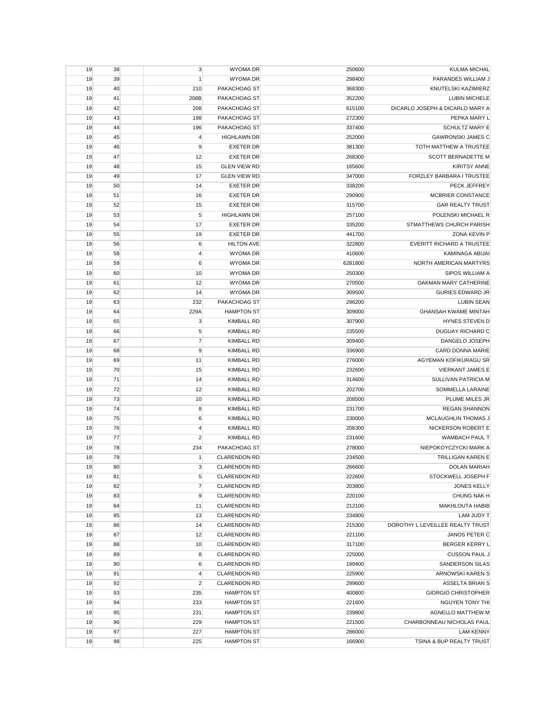| 19 | 38 | 3                       | <b>WYOMA DR</b>     | 250600  | <b>KULMA MICHAL</b>              |
|----|----|-------------------------|---------------------|---------|----------------------------------|
| 19 | 39 | $\mathbf{1}$            | <b>WYOMA DR</b>     | 298400  | PARANDES WILLIAM J               |
| 19 | 40 | 210                     | PAKACHOAG ST        | 368300  | KNUTELSKI KAZIMIERZ              |
| 19 | 41 | 208B                    | PAKACHOAG ST        | 352200  | <b>LUBIN MICHELE</b>             |
| 19 | 42 | 208                     | PAKACHOAG ST        | 615100  | DICARLO JOSEPH & DICARLO MARY A  |
| 19 | 43 | 198                     | PAKACHOAG ST        | 272300  | PEPKA MARY L                     |
| 19 | 44 | 196                     | PAKACHOAG ST        | 337400  | <b>SCHULTZ MARY E</b>            |
| 19 | 45 | $\overline{4}$          | <b>HIGHLAWN DR</b>  | 252000  | <b>GAWRONSKI JAMES C</b>         |
| 19 | 46 | 9                       | <b>EXETER DR</b>    | 381300  | TOTH MATTHEW A TRUSTEE           |
| 19 | 47 | 12                      | <b>EXETER DR</b>    | 268300  | SCOTT BERNADETTE M               |
| 19 | 48 | 15                      | <b>GLEN VIEW RD</b> | 165600  | <b>KIRITSY ANNE</b>              |
| 19 | 49 | 17                      | <b>GLEN VIEW RD</b> | 347000  | <b>FORZLEY BARBARA I TRUSTEE</b> |
| 19 | 50 | 14                      | <b>EXETER DR</b>    | 338200  | PECK JEFFREY                     |
| 19 | 51 | 16                      | <b>EXETER DR</b>    | 290900  | MCBRIER CONSTANCE                |
| 19 | 52 |                         | <b>EXETER DR</b>    |         | <b>GAR REALTY TRUST</b>          |
|    |    | 15                      |                     | 315700  |                                  |
| 19 | 53 | 5                       | <b>HIGHLAWN DR</b>  | 257100  | POLENSKI MICHAEL R               |
| 19 | 54 | 17                      | <b>EXETER DR</b>    | 335200  | STMATTHEWS CHURCH PARISH         |
| 19 | 55 | 19                      | <b>EXETER DR</b>    | 441700  | ZONA KEVIN P                     |
| 19 | 56 | 6                       | <b>HILTON AVE</b>   | 322800  | <b>EVERITT RICHARD A TRUSTEE</b> |
| 19 | 58 | $\overline{4}$          | <b>WYOMA DR</b>     | 410600  | <b>KAMINAGA ABIJAI</b>           |
| 19 | 59 | 6                       | <b>WYOMA DR</b>     | 6281800 | NORTH AMERICAN MARTYRS           |
| 19 | 60 | 10                      | <b>WYOMA DR</b>     | 250300  | SIPOS WILLIAM A                  |
| 19 | 61 | 12                      | <b>WYOMA DR</b>     | 270500  | OAKMAN MARY CATHERINE            |
| 19 | 62 | 14                      | <b>WYOMA DR</b>     | 309500  | <b>GURIES EDWARD JR</b>          |
| 19 | 63 | 232                     | PAKACHOAG ST        | 296200  | <b>LUBIN SEAN</b>                |
| 19 | 64 | 229A                    | <b>HAMPTON ST</b>   | 309000  | <b>GHANSAH KWAME MINTAH</b>      |
| 19 | 65 | $\mathbf{3}$            | <b>KIMBALL RD</b>   | 307900  | HYNES STEVEN D                   |
| 19 | 66 | 5                       | <b>KIMBALL RD</b>   | 235500  | <b>DUGUAY RICHARD C</b>          |
| 19 | 67 | $\overline{7}$          | <b>KIMBALL RD</b>   | 309400  | DANGELO JOSEPH                   |
| 19 | 68 | 9                       | <b>KIMBALL RD</b>   | 336900  | CARD DONNA MARIE                 |
| 19 | 69 | 11                      | <b>KIMBALL RD</b>   | 276000  | AGYEMAN KOFIKURAGU SR            |
| 19 | 70 | 15                      | <b>KIMBALL RD</b>   | 232600  | <b>VIERKANT JAMES E</b>          |
| 19 | 71 | 14                      | <b>KIMBALL RD</b>   | 314600  | SULLIVAN PATRICIA M              |
| 19 | 72 | 12                      | <b>KIMBALL RD</b>   | 202700  | SOMMELLA LARAINE                 |
| 19 | 73 | 10                      | <b>KIMBALL RD</b>   | 208500  | PLUME MILES JR                   |
| 19 | 74 | 8                       | <b>KIMBALL RD</b>   | 231700  | <b>REGAN SHANNON</b>             |
| 19 | 75 | 6                       | <b>KIMBALL RD</b>   | 230000  | MCLAUGHLIN THOMAS J              |
| 19 | 76 | $\overline{\mathbf{4}}$ | <b>KIMBALL RD</b>   | 206300  | NICKERSON ROBERT E               |
| 19 | 77 | $\overline{c}$          | <b>KIMBALL RD</b>   | 231600  | <b>WAMBACH PAUL T</b>            |
|    |    |                         | PAKACHOAG ST        | 278000  |                                  |
| 19 | 78 | 234                     |                     |         | NIEPOKOYCZYCKI MARK A            |
| 19 | 79 | $\mathbf{1}$            | <b>CLARENDON RD</b> | 234500  | <b>TRILLIGAN KAREN E</b>         |
| 19 | 80 | 3                       | <b>CLARENDON RD</b> | 266600  | <b>DOLAN MARIAH</b>              |
| 19 | 81 | 5                       | <b>CLARENDON RD</b> | 222600  | STOCKWELL JOSEPH F               |
| 19 | 82 | $\overline{7}$          | <b>CLARENDON RD</b> | 203800  | <b>JONES KELLY</b>               |
| 19 | 83 | 9                       | <b>CLARENDON RD</b> | 220100  | CHUNG NAK H                      |
| 19 | 84 | 11                      | <b>CLARENDON RD</b> | 212100  | MAKHLOUTA HABIB                  |
| 19 | 85 | 13                      | <b>CLARENDON RD</b> | 234800  | LAM JUDY T                       |
| 19 | 86 | 14                      | <b>CLARENDON RD</b> | 215300  | DOROTHY L LEVEILLEE REALTY TRUST |
| 19 | 87 | 12                      | <b>CLARENDON RD</b> | 221100  | JANOS PETER C                    |
| 19 | 88 | 10                      | <b>CLARENDON RD</b> | 317100  | <b>BERGER KERRY L</b>            |
| 19 | 89 | 8                       | <b>CLARENDON RD</b> | 225000  | <b>CUSSON PAUL J</b>             |
| 19 | 90 | 6                       | <b>CLARENDON RD</b> | 199400  | <b>SANDERSON SILAS</b>           |
| 19 | 91 | $\overline{4}$          | <b>CLARENDON RD</b> | 225900  | ARNOWSKI KAREN S                 |
| 19 | 92 | $\overline{c}$          | <b>CLARENDON RD</b> | 299600  | ASSELTA BRIAN S                  |
| 19 | 93 | 235                     | <b>HAMPTON ST</b>   | 400800  | <b>GIORGIO CHRISTOPHER</b>       |
| 19 | 94 | 233                     | <b>HAMPTON ST</b>   | 221600  | NGUYEN TONY THI                  |
| 19 | 95 | 231                     | <b>HAMPTON ST</b>   | 239800  | <b>AGNELLO MATTHEW M</b>         |
| 19 | 96 | 229                     | <b>HAMPTON ST</b>   | 221500  | CHARBONNEAU NICHOLAS PAUL        |
| 19 | 97 | 227                     | <b>HAMPTON ST</b>   | 286000  | <b>LAM KENNY</b>                 |
| 19 | 98 | 225                     | <b>HAMPTON ST</b>   | 166900  | TSINA & BUP REALTY TRUST         |
|    |    |                         |                     |         |                                  |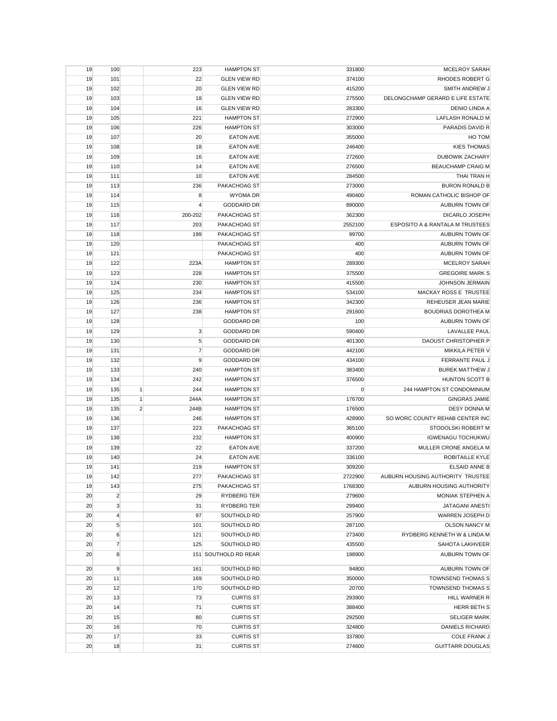| 19 | 100            |                | 223             | <b>HAMPTON ST</b>    | 331800           | MCELROY SARAH                         |
|----|----------------|----------------|-----------------|----------------------|------------------|---------------------------------------|
| 19 | 101            |                | 22              | <b>GLEN VIEW RD</b>  | 374100           | <b>RHODES ROBERT G</b>                |
| 19 | 102            |                | 20              | <b>GLEN VIEW RD</b>  | 415200           | SMITH ANDREW J                        |
| 19 | 103            |                | 18              | <b>GLEN VIEW RD</b>  | 275500           | DELONGCHAMP GERARD E LIFE ESTATE      |
| 19 | 104            |                | 16              | <b>GLEN VIEW RD</b>  | 283300           | DENIO LINDA A                         |
| 19 | 105            |                | 221             | <b>HAMPTON ST</b>    | 272900           | LAFLASH RONALD M                      |
| 19 | 106            |                | 226             | <b>HAMPTON ST</b>    | 303000           | PARADIS DAVID R                       |
| 19 | 107            |                | 20              | <b>EATON AVE</b>     | 355000           | HO TOM                                |
| 19 | 108            |                | 18              | <b>EATON AVE</b>     | 246400           | <b>KIES THOMAS</b>                    |
| 19 | 109            |                | 16              | <b>EATON AVE</b>     | 272600           | <b>DUBOWIK ZACHARY</b>                |
| 19 | 110            |                | 14              | <b>EATON AVE</b>     | 276500           | <b>BEAUCHAMP CRAIG M</b>              |
| 19 | 111            |                | 10              | <b>EATON AVE</b>     | 284500           | THAI TRAN H                           |
| 19 | 113            |                | 236             | PAKACHOAG ST         | 273000           | <b>BURON RONALD B</b>                 |
| 19 | 114            |                | 8               | <b>WYOMA DR</b>      | 490400           | ROMAN CATHOLIC BISHOP OF              |
| 19 | 115            |                | 4               | <b>GODDARD DR</b>    | 890000           | AUBURN TOWN OF                        |
| 19 | 116            |                | 200-202         | PAKACHOAG ST         | 362300           | DICARLO JOSEPH                        |
| 19 | 117            |                | 203             | PAKACHOAG ST         | 2552100          | ESPOSITO A & RANTALA M TRUSTEES       |
| 19 | 118            |                | 199             | PAKACHOAG ST         | 99700            | AUBURN TOWN OF                        |
| 19 | 120            |                |                 | PAKACHOAG ST         | 400              | AUBURN TOWN OF                        |
| 19 | 121            |                |                 | PAKACHOAG ST         | 400              | AUBURN TOWN OF                        |
| 19 | 122            |                | 223A            | <b>HAMPTON ST</b>    | 289300           | <b>MCELROY SARAH</b>                  |
| 19 | 123            |                | 228             | <b>HAMPTON ST</b>    | 375500           | <b>GREGOIRE MARK S</b>                |
| 19 | 124            |                | 230             | <b>HAMPTON ST</b>    | 415500           | JOHNSON JERMAIN                       |
| 19 | 125            |                | 234             | <b>HAMPTON ST</b>    | 534100           | MACKAY ROSS E TRUSTEE                 |
| 19 | 126            |                | 236             | <b>HAMPTON ST</b>    | 342300           | REHEUSER JEAN MARIE                   |
| 19 | 127            |                | 238             | <b>HAMPTON ST</b>    | 291600           | <b>BOUDRIAS DOROTHEA M</b>            |
| 19 | 128            |                |                 | <b>GODDARD DR</b>    | 100              | AUBURN TOWN OF                        |
|    | 129            |                |                 |                      |                  |                                       |
| 19 |                |                | 3<br>$\sqrt{5}$ | <b>GODDARD DR</b>    | 590400<br>401300 | LAVALLEE PAUL<br>DAOUST CHRISTOPHER P |
| 19 | 130            |                |                 | <b>GODDARD DR</b>    |                  |                                       |
| 19 | 131            |                | $\overline{7}$  | <b>GODDARD DR</b>    | 442100           | MIKKILA PETER V                       |
| 19 | 132            |                | 9               | <b>GODDARD DR</b>    | 434100           | FERRANTE PAUL J                       |
| 19 | 133            |                | 240             | <b>HAMPTON ST</b>    | 383400           | <b>BUREK MATTHEW J</b>                |
| 19 | 134            |                | 242             | <b>HAMPTON ST</b>    | 376500           | HUNTON SCOTT B                        |
| 19 | 135            | 1              | 244             | <b>HAMPTON ST</b>    | 0                | 244 HAMPTON ST CONDOMINIUM            |
| 19 | 135            | $\mathbf{1}$   | 244A            | <b>HAMPTON ST</b>    | 176700           | <b>GINGRAS JAMIE</b>                  |
| 19 | 135            | $\overline{2}$ | 244B            | <b>HAMPTON ST</b>    | 176500           | <b>DESY DONNA M</b>                   |
| 19 | 136            |                | 246             | <b>HAMPTON ST</b>    | 428900           | SO WORC COUNTY REHAB CENTER INC       |
| 19 | 137            |                | 223             | PAKACHOAG ST         | 365100           | STODOLSKI ROBERT M                    |
| 19 | 138            |                | 232             | <b>HAMPTON ST</b>    | 400900           | <b>IGWENAGU TOCHUKWU</b>              |
| 19 | 139            |                | 22              | <b>EATON AVE</b>     | 337200           | MULLER CRONE ANGELA M                 |
| 19 | 140            |                | 24              | <b>EATON AVE</b>     | 336100           | ROBITAILLE KYLE                       |
| 19 | 141            |                | 219             | <b>HAMPTON ST</b>    | 309200           | <b>ELSAID ANNE B</b>                  |
| 19 | 142            |                | 277             | PAKACHOAG ST         | 2722900          | AUBURN HOUSING AUTHORITY TRUSTEE      |
| 19 | 143            |                | 275             | PAKACHOAG ST         | 1768300          | AUBURN HOUSING AUTHORITY              |
| 20 | $\overline{2}$ |                | 29              | RYDBERG TER          | 279600           | MONIAK STEPHEN A                      |
| 20 | 3              |                | 31              | RYDBERG TER          | 299400           | JATAGANI ANESTI                       |
| 20 | $\overline{4}$ |                | 97              | SOUTHOLD RD          | 257900           | WARREN JOSEPH D                       |
| 20 | 5              |                | 101             | SOUTHOLD RD          | 287100           | <b>OLSON NANCY M</b>                  |
| 20 | 6              |                | 121             | SOUTHOLD RD          | 273400           | RYDBERG KENNETH W & LINDA M           |
| 20 | $\overline{7}$ |                | 125             | SOUTHOLD RD          | 435500           | <b>SAHOTA LAKHVEER</b>                |
| 20 | 8              |                |                 | 151 SOUTHOLD RD REAR | 198900           | AUBURN TOWN OF                        |
| 20 | 9              |                | 161             | SOUTHOLD RD          | 94800            | AUBURN TOWN OF                        |
| 20 | 11             |                | 169             | SOUTHOLD RD          | 350000           | <b>TOWNSEND THOMAS S</b>              |
| 20 | 12             |                | 170             | SOUTHOLD RD          | 20700            | <b>TOWNSEND THOMAS S</b>              |
| 20 | 13             |                | 73              | <b>CURTIS ST</b>     | 293900           | HILL WARNER R                         |
| 20 | 14             |                | 71              | <b>CURTIS ST</b>     | 388400           | HERR BETH S                           |
| 20 | 15             |                | 80              | <b>CURTIS ST</b>     | 292500           | <b>SELIGER MARK</b>                   |
| 20 | 16             |                | 70              | <b>CURTIS ST</b>     | 324800           | <b>DANIELS RICHARD</b>                |
| 20 | 17             |                | 33              | <b>CURTIS ST</b>     | 337800           | <b>COLE FRANK J</b>                   |
| 20 | 18             |                | 31              | <b>CURTIS ST</b>     | 274600           | <b>GUITTARR DOUGLAS</b>               |
|    |                |                |                 |                      |                  |                                       |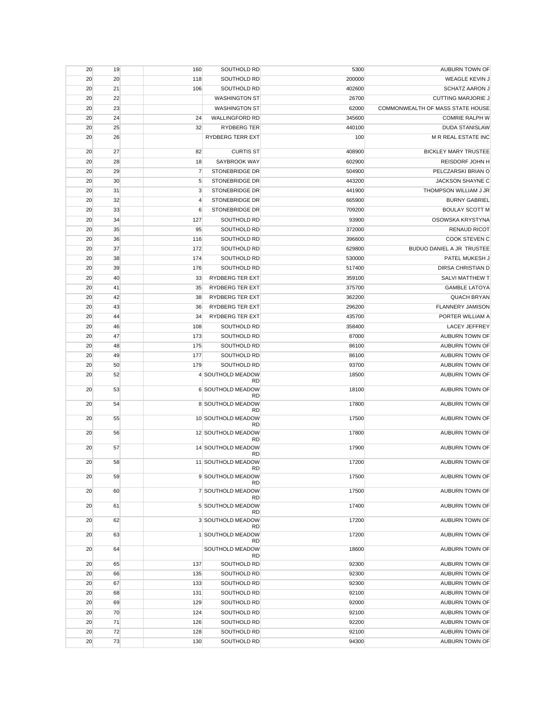| 20 | 19 | 160            | SOUTHOLD RD                     | 5300   | AUBURN TOWN OF                   |
|----|----|----------------|---------------------------------|--------|----------------------------------|
| 20 | 20 | 118            | SOUTHOLD RD                     | 200000 | <b>WEAGLE KEVIN J</b>            |
| 20 | 21 | 106            | SOUTHOLD RD                     | 402600 | <b>SCHATZ AARON J</b>            |
| 20 | 22 |                | <b>WASHINGTON ST</b>            | 26700  | <b>CUTTING MARJORIE J</b>        |
| 20 | 23 |                | <b>WASHINGTON ST</b>            | 62000  | COMMONWEALTH OF MASS STATE HOUSE |
| 20 | 24 | 24             | <b>WALLINGFORD RD</b>           | 345600 | <b>COMRIE RALPH W</b>            |
| 20 | 25 | 32             | <b>RYDBERG TER</b>              | 440100 | <b>DUDA STANISLAW</b>            |
| 20 | 26 |                | RYDBERG TERR EXT                | 100    | M R REAL ESTATE INC              |
| 20 | 27 | 82             | <b>CURTIS ST</b>                | 408900 | <b>BICKLEY MARY TRUSTEE</b>      |
| 20 | 28 | 18             | SAYBROOK WAY                    | 602900 | REISDORF JOHN H                  |
| 20 | 29 | 7              | <b>STONEBRIDGE DR</b>           | 504900 | PELCZARSKI BRIAN O               |
| 20 | 30 | 5              | <b>STONEBRIDGE DR</b>           | 443200 | <b>JACKSON SHAYNE C</b>          |
| 20 | 31 | 3              | <b>STONEBRIDGE DR</b>           | 441900 | THOMPSON WILLIAM J JR            |
| 20 | 32 | $\overline{4}$ | <b>STONEBRIDGE DR</b>           | 665900 | <b>BURNY GABRIEL</b>             |
| 20 | 33 | 6              | STONEBRIDGE DR                  | 709200 | <b>BOULAY SCOTT M</b>            |
| 20 | 34 | 127            | SOUTHOLD RD                     | 93900  | OSOWSKA KRYSTYNA                 |
| 20 | 35 | 95             | SOUTHOLD RD                     | 372000 | <b>RENAUD RICOT</b>              |
| 20 | 36 | 116            | SOUTHOLD RD                     | 396600 | COOK STEVEN C                    |
| 20 | 37 | 172            | SOUTHOLD RD                     | 629800 | BUDUO DANIEL A JR TRUSTEE        |
| 20 | 38 | 174            | SOUTHOLD RD                     | 530000 | PATEL MUKESH J                   |
| 20 | 39 | 176            | SOUTHOLD RD                     | 517400 | DIRSA CHRISTIAN D                |
| 20 | 40 | 33             | <b>RYDBERG TER EXT</b>          | 359100 | SALVI MATTHEW T                  |
| 20 | 41 | 35             | <b>RYDBERG TER EXT</b>          | 375700 | <b>GAMBLE LATOYA</b>             |
| 20 | 42 | 38             | RYDBERG TER EXT                 | 362200 | <b>QUACH BRYAN</b>               |
| 20 | 43 | 36             | RYDBERG TER EXT                 | 296200 | FLANNERY JAMISON                 |
| 20 | 44 | 34             | <b>RYDBERG TER EXT</b>          | 435700 | PORTER WILLIAM A                 |
| 20 | 46 | 108            | SOUTHOLD RD                     | 358400 | LACEY JEFFREY                    |
| 20 | 47 | 173            | SOUTHOLD RD                     | 87000  | AUBURN TOWN OF                   |
| 20 | 48 | 175            | SOUTHOLD RD                     | 86100  | AUBURN TOWN OF                   |
| 20 | 49 | 177            | SOUTHOLD RD                     | 86100  | AUBURN TOWN OF                   |
| 20 | 50 | 179            | SOUTHOLD RD                     | 93700  | AUBURN TOWN OF                   |
| 20 | 52 |                | 4 SOUTHOLD MEADOW<br><b>RD</b>  | 18500  | AUBURN TOWN OF                   |
| 20 | 53 |                | 6 SOUTHOLD MEADOW<br><b>RD</b>  | 18100  | AUBURN TOWN OF                   |
| 20 | 54 |                | 8 SOUTHOLD MEADOW<br>RD         | 17800  | AUBURN TOWN OF                   |
| 20 | 55 |                | 10 SOUTHOLD MEADOW<br><b>RD</b> | 17500  | AUBURN TOWN OF                   |
| 20 | 56 |                | 12 SOUTHOLD MEADOW<br><b>RD</b> | 17800  | AUBURN TOWN OF                   |
| 20 | 57 |                | 14 SOUTHOLD MEADOW<br>RD        | 17900  | AUBURN TOWN OF                   |
| 20 | 58 |                | 11 SOUTHOLD MEADOW<br><b>RD</b> | 17200  | AUBURN TOWN OF                   |
| 20 | 59 |                | 9 SOUTHOLD MEADOW<br><b>RD</b>  | 17500  | AUBURN TOWN OF                   |
| 20 | 60 |                | 7 SOUTHOLD MEADOW<br><b>RD</b>  | 17500  | AUBURN TOWN OF                   |
| 20 | 61 |                | 5 SOUTHOLD MEADOW<br><b>RD</b>  | 17400  | AUBURN TOWN OF                   |
| 20 | 62 |                | 3 SOUTHOLD MEADOW<br><b>RD</b>  | 17200  | AUBURN TOWN OF                   |
| 20 | 63 |                | 1 SOUTHOLD MEADOW<br><b>RD</b>  | 17200  | AUBURN TOWN OF                   |
| 20 | 64 |                | SOUTHOLD MEADOW<br><b>RD</b>    | 18600  | AUBURN TOWN OF                   |
| 20 | 65 | 137            | SOUTHOLD RD                     | 92300  | AUBURN TOWN OF                   |
| 20 | 66 | 135            | SOUTHOLD RD                     | 92300  | AUBURN TOWN OF                   |
| 20 | 67 | 133            | SOUTHOLD RD                     | 92300  | AUBURN TOWN OF                   |
| 20 | 68 | 131            | SOUTHOLD RD                     | 92100  | AUBURN TOWN OF                   |
| 20 | 69 | 129            | SOUTHOLD RD                     | 92000  | AUBURN TOWN OF                   |
| 20 | 70 | 124            | SOUTHOLD RD                     | 92100  | AUBURN TOWN OF                   |
| 20 | 71 | 126            | SOUTHOLD RD                     | 92200  | AUBURN TOWN OF                   |
| 20 | 72 | 128            | SOUTHOLD RD                     | 92100  | AUBURN TOWN OF                   |
| 20 | 73 | 130            | SOUTHOLD RD                     | 94300  | AUBURN TOWN OF                   |
|    |    |                |                                 |        |                                  |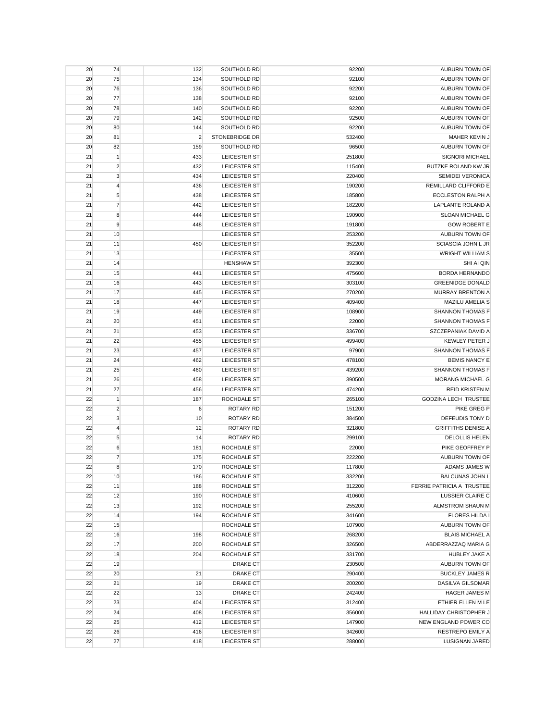| 20 | 74             | 132            | SOUTHOLD RD         | 92200  | AUBURN TOWN OF            |
|----|----------------|----------------|---------------------|--------|---------------------------|
| 20 | 75             | 134            | SOUTHOLD RD         | 92100  | AUBURN TOWN OF            |
| 20 | 76             | 136            | SOUTHOLD RD         | 92200  | AUBURN TOWN OF            |
| 20 | 77             | 138            | SOUTHOLD RD         | 92100  | AUBURN TOWN OF            |
| 20 | 78             | 140            | SOUTHOLD RD         | 92200  | AUBURN TOWN OF            |
| 20 | 79             | 142            | SOUTHOLD RD         | 92500  | AUBURN TOWN OF            |
| 20 | 80             | 144            | SOUTHOLD RD         | 92200  | AUBURN TOWN OF            |
| 20 | 81             | $\overline{2}$ | STONEBRIDGE DR      | 532400 | MAHER KEVIN J             |
| 20 | 82             | 159            | SOUTHOLD RD         | 96500  | AUBURN TOWN OF            |
| 21 | $\mathbf{1}$   | 433            | LEICESTER ST        | 251800 | SIGNORI MICHAEL           |
| 21 | $\overline{2}$ | 432            | <b>LEICESTER ST</b> | 115400 | BUTZKE ROLAND KW JR       |
| 21 | 3              | 434            | <b>LEICESTER ST</b> | 220400 | <b>SEMIDEI VERONICA</b>   |
| 21 | $\overline{4}$ | 436            | LEICESTER ST        | 190200 | REMILLARD CLIFFORD E      |
| 21 | $\sqrt{5}$     | 438            | LEICESTER ST        | 185800 | ECCLESTON RALPH A         |
| 21 | $\overline{7}$ | 442            | LEICESTER ST        | 182200 | LAPLANTE ROLAND A         |
| 21 | 8              | 444            | LEICESTER ST        | 190900 | SLOAN MICHAEL G           |
| 21 | 9              | 448            | LEICESTER ST        | 191800 | <b>GOW ROBERT E</b>       |
| 21 | 10             |                | LEICESTER ST        | 253200 | AUBURN TOWN OF            |
| 21 | 11             | 450            | LEICESTER ST        | 352200 | <b>SCIASCIA JOHN L JR</b> |
|    |                |                |                     |        | <b>WRIGHT WILLIAM S</b>   |
| 21 | 13             |                | <b>LEICESTER ST</b> | 35500  |                           |
| 21 | 14             |                | <b>HENSHAW ST</b>   | 392300 | SHI AI QIN                |
| 21 | 15             | 441            | LEICESTER ST        | 475600 | <b>BORDA HERNANDO</b>     |
| 21 | 16             | 443            | LEICESTER ST        | 303100 | <b>GREENIDGE DONALD</b>   |
| 21 | 17             | 445            | LEICESTER ST        | 270200 | MURRAY BRENTON A          |
| 21 | 18             | 447            | <b>LEICESTER ST</b> | 409400 | MAZILU AMELIA S           |
| 21 | 19             | 449            | LEICESTER ST        | 108900 | SHANNON THOMAS F          |
| 21 | 20             | 451            | LEICESTER ST        | 22000  | <b>SHANNON THOMAS F</b>   |
| 21 | 21             | 453            | LEICESTER ST        | 336700 | SZCZEPANIAK DAVID A       |
| 21 | 22             | 455            | LEICESTER ST        | 499400 | <b>KEWLEY PETER J</b>     |
| 21 | 23             | 457            | LEICESTER ST        | 97900  | <b>SHANNON THOMAS F</b>   |
| 21 | 24             | 462            | LEICESTER ST        | 478100 | <b>BEMIS NANCY E</b>      |
| 21 | 25             | 460            | LEICESTER ST        | 439200 | <b>SHANNON THOMAS F</b>   |
| 21 | 26             | 458            | LEICESTER ST        | 390500 | <b>MORANG MICHAEL G</b>   |
| 21 | 27             | 456            | LEICESTER ST        | 474200 | <b>REID KRISTEN M</b>     |
| 22 | $\mathbf{1}$   | 187            | ROCHDALE ST         | 265100 | GODZINA LECH TRUSTEE      |
| 22 | $\overline{2}$ | 6              | ROTARY RD           | 151200 | PIKE GREG P               |
| 22 | 3              | 10             | ROTARY RD           | 384500 | DEFEUDIS TONY D           |
| 22 | 4              | 12             | <b>ROTARY RD</b>    | 321800 | <b>GRIFFITHS DENISE A</b> |
| 22 | $\sqrt{5}$     | 14             | <b>ROTARY RD</b>    | 299100 | DELOLLIS HELEN            |
| 22 | 6              | 181            | ROCHDALE ST         | 22000  | PIKE GEOFFREY P           |
| 22 | $\overline{7}$ | 175            | ROCHDALE ST         | 222200 | AUBURN TOWN OF            |
| 22 | 8              | 170            | ROCHDALE ST         | 117800 | ADAMS JAMES W             |
| 22 | 10             | 186            | ROCHDALE ST         | 332200 | <b>BALCUNAS JOHN L</b>    |
| 22 | 11             | 188            | ROCHDALE ST         | 312200 | FERRIE PATRICIA A TRUSTEE |
| 22 | 12             | 190            | ROCHDALE ST         | 410600 | LUSSIER CLAIRE C          |
| 22 | 13             | 192            | ROCHDALE ST         | 255200 | ALMSTROM SHAUN M          |
| 22 | 14             | 194            | ROCHDALE ST         | 341600 | <b>FLORES HILDA I</b>     |
| 22 | 15             |                | ROCHDALE ST         | 107900 | AUBURN TOWN OF            |
| 22 | 16             | 198            | ROCHDALE ST         | 268200 | <b>BLAIS MICHAEL A</b>    |
| 22 | 17             | 200            | ROCHDALE ST         | 326500 | ABDERRAZZAQ MARIA G       |
| 22 | 18             | 204            | ROCHDALE ST         | 331700 | HUBLEY JAKE A             |
| 22 | 19             |                | DRAKE CT            | 230500 | AUBURN TOWN OF            |
| 22 | 20             | 21             | <b>DRAKE CT</b>     | 290400 | <b>BUCKLEY JAMES R</b>    |
| 22 | 21             | 19             | DRAKE CT            | 200200 | DASILVA GILSOMAR          |
| 22 | 22             | 13             | DRAKE CT            | 242400 | <b>HAGER JAMES M</b>      |
| 22 | 23             | 404            | LEICESTER ST        | 312400 | ETHIER ELLEN M LE         |
| 22 | 24             | 408            | LEICESTER ST        | 356000 | HALLIDAY CHRISTOPHER J    |
| 22 | 25             | 412            | LEICESTER ST        | 147900 | NEW ENGLAND POWER CO      |
| 22 | 26             | 416            | LEICESTER ST        | 342600 | RESTREPO EMILY A          |
| 22 | 27             | 418            | LEICESTER ST        | 288000 | <b>LUSIGNAN JARED</b>     |
|    |                |                |                     |        |                           |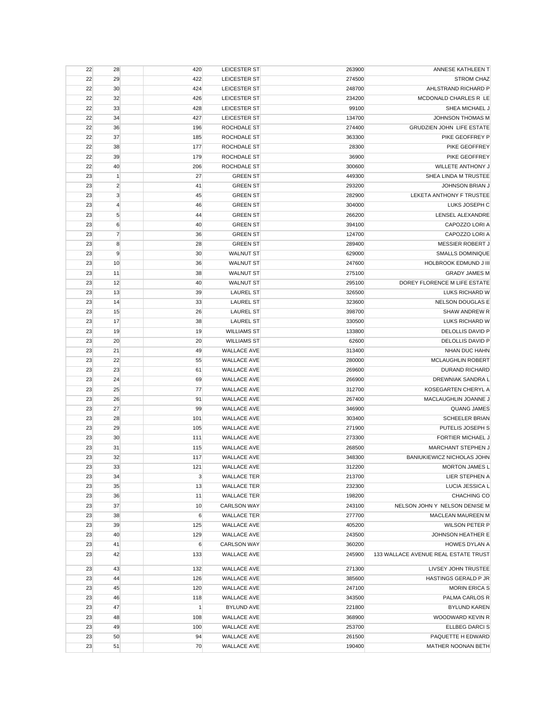| 22       | 28               | 420              | <b>LEICESTER ST</b>                      | 263900           | ANNESE KATHLEEN T                           |
|----------|------------------|------------------|------------------------------------------|------------------|---------------------------------------------|
| 22       | 29               | 422              | LEICESTER ST                             | 274500           | <b>STROM CHAZ</b>                           |
| 22       | 30               | 424              | LEICESTER ST                             | 248700           | AHLSTRAND RICHARD P                         |
| 22       | 32               | 426              | LEICESTER ST                             | 234200           | MCDONALD CHARLES R LE                       |
| 22       | 33               | 428              | LEICESTER ST                             | 99100            | SHEA MICHAEL J                              |
| 22       | 34               | 427              | LEICESTER ST                             | 134700           | <b>JOHNSON THOMAS M</b>                     |
| 22       | 36               | 196              | ROCHDALE ST                              | 274400           | <b>GRUDZIEN JOHN LIFE ESTATE</b>            |
| 22       | 37               | 185              | ROCHDALE ST                              | 363300           | PIKE GEOFFREY P                             |
| 22       | 38               | 177              | ROCHDALE ST                              | 28300            | PIKE GEOFFREY                               |
| 22       | 39               | 179              | ROCHDALE ST                              | 36900            | PIKE GEOFFREY                               |
| 22       | 40               | 206              | ROCHDALE ST                              | 300600           | WILLETE ANTHONY J                           |
| 23       | $\vert$ 1        | 27               | <b>GREEN ST</b>                          | 449300           | SHEA LINDA M TRUSTEE                        |
| 23       | $\overline{2}$   | 41               | <b>GREEN ST</b>                          | 293200           | <b>JOHNSON BRIAN J</b>                      |
| 23       | 3                | 45               | <b>GREEN ST</b>                          | 282900           | LEKETA ANTHONY F TRUSTEE                    |
| 23       | $\overline{4}$   | 46               | <b>GREEN ST</b>                          | 304000           | LUKS JOSEPH C                               |
| 23       | $\sqrt{5}$       | 44               | <b>GREEN ST</b>                          | 266200           | LENSEL ALEXANDRE                            |
| 23       | $\boldsymbol{6}$ | 40               | <b>GREEN ST</b>                          | 394100           | CAPOZZO LORI A                              |
| 23       | $\overline{7}$   | 36               | <b>GREEN ST</b>                          | 124700           | CAPOZZO LORI A                              |
| 23       | 8                | 28               | <b>GREEN ST</b>                          | 289400           | <b>MESSIER ROBERT J</b>                     |
| 23       | 9                | 30               | <b>WALNUT ST</b>                         | 629000           | <b>SMALLS DOMINIQUE</b>                     |
| 23       | 10               | 36               | <b>WALNUT ST</b>                         | 247600           | <b>HOLBROOK EDMUND J III</b>                |
| 23       | 11               | 38               | <b>WALNUT ST</b>                         | 275100           | <b>GRADY JAMES M</b>                        |
| 23       | 12               | 40               | <b>WALNUT ST</b>                         | 295100           | DOREY FLORENCE M LIFE ESTATE                |
| 23       | 13               | 39               | <b>LAUREL ST</b>                         | 326500           | LUKS RICHARD W                              |
| 23       | 14               | 33               | <b>LAUREL ST</b>                         | 323600           | NELSON DOUGLAS E                            |
| 23       | 15               | 26               | <b>LAUREL ST</b>                         | 398700           | SHAW ANDREW R                               |
| 23       | 17               | 38               | <b>LAUREL ST</b>                         | 330500           | LUKS RICHARD W                              |
| 23       | 19               | 19               | <b>WILLIAMS ST</b>                       | 133800           | DELOLLIS DAVID P                            |
| 23       | 20               | 20               | <b>WILLIAMS ST</b>                       | 62600            | <b>DELOLLIS DAVID P</b>                     |
| 23       | 21               | 49               | <b>WALLACE AVE</b>                       | 313400           | NHAN DUC HAHN                               |
| 23       | 22               | 55               | <b>WALLACE AVE</b>                       | 280000           | <b>MCLAUGHLIN ROBERT</b>                    |
| 23       | 23               | 61               | <b>WALLACE AVE</b>                       | 269600           | <b>DURAND RICHARD</b>                       |
| 23       | 24               | 69               | <b>WALLACE AVE</b>                       | 266900           | DREWNIAK SANDRA L                           |
| 23       | 25               | 77               | <b>WALLACE AVE</b>                       | 312700           | KOSEGARTEN CHERYL A                         |
| 23       | 26               | 91               | <b>WALLACE AVE</b>                       | 267400           | MACLAUGHLIN JOANNE J                        |
| 23<br>23 | 27<br>28         | 99<br>101        | <b>WALLACE AVE</b><br><b>WALLACE AVE</b> | 346900<br>303400 | <b>QUANG JAMES</b><br><b>SCHEELER BRIAN</b> |
| 23       | 29               | 105              | <b>WALLACE AVE</b>                       | 271900           | PUTELIS JOSEPH S                            |
| 23       | 30               | 111              | <b>WALLACE AVE</b>                       | 273300           | <b>FORTIER MICHAEL J</b>                    |
| 23       | 31               | 115              | <b>WALLACE AVE</b>                       | 268500           | MARCHANT STEPHEN J                          |
| 23       | 32               | 117              | <b>WALLACE AVE</b>                       | 348300           | BANIUKIEWICZ NICHOLAS JOHN                  |
| 23       | 33               | 121              | <b>WALLACE AVE</b>                       | 312200           | <b>MORTON JAMES L</b>                       |
| 23       | 34               | 3                | <b>WALLACE TER</b>                       | 213700           | LIER STEPHEN A                              |
| 23       | 35               | 13               | <b>WALLACE TER</b>                       | 232300           | LUCIA JESSICA L                             |
| 23       | 36               | 11               | <b>WALLACE TER</b>                       | 198200           | CHACHING CO                                 |
| 23       | 37               | 10               | <b>CARLSON WAY</b>                       | 243100           | NELSON JOHN Y NELSON DENISE M               |
| 23       | 38               | 6                | <b>WALLACE TER</b>                       | 277700           | MACLEAN MAUREEN M                           |
| 23       | 39               | 125              | <b>WALLACE AVE</b>                       | 405200           | WILSON PETER P                              |
| 23       | 40               | 129              | <b>WALLACE AVE</b>                       | 243500           | JOHNSON HEATHER E                           |
| 23       | 41               | $\boldsymbol{6}$ | <b>CARLSON WAY</b>                       | 360200           | <b>HOWES DYLAN A</b>                        |
| 23       | 42               | 133              | <b>WALLACE AVE</b>                       | 245900           | 133 WALLACE AVENUE REAL ESTATE TRUST        |
| 23       | 43               | 132              | <b>WALLACE AVE</b>                       | 271300           | LIVSEY JOHN TRUSTEE                         |
| 23       | 44               | 126              | <b>WALLACE AVE</b>                       | 385600           | <b>HASTINGS GERALD P JR</b>                 |
| 23       | 45               | 120              | <b>WALLACE AVE</b>                       | 247100           | <b>MORIN ERICA S</b>                        |
| 23       | 46               | 118              | <b>WALLACE AVE</b>                       | 343500           | PALMA CARLOS R                              |
| 23       | 47               | 1                | <b>BYLUND AVE</b>                        | 221800           | <b>BYLUND KAREN</b>                         |
| 23       | 48               | 108              | <b>WALLACE AVE</b>                       | 368900           | WOODWARD KEVIN R                            |
| 23       | 49               | 100              | <b>WALLACE AVE</b>                       | 253700           | <b>ELLBEG DARCIS</b>                        |
| 23       | 50               | 94               | <b>WALLACE AVE</b>                       | 261500           | PAQUETTE H EDWARD                           |
| 23       | 51               | 70               | <b>WALLACE AVE</b>                       | 190400           | MATHER NOONAN BETH                          |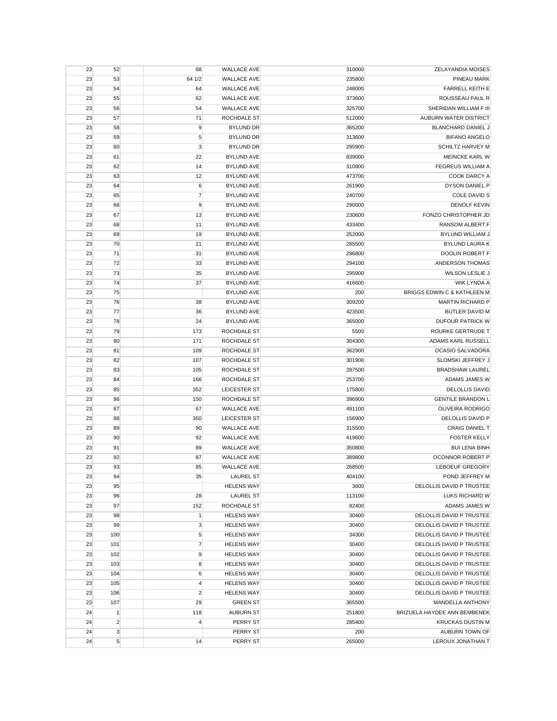| 23       | 52             | 68             | <b>WALLACE AVE</b> | 310000 | <b>ZELAYANDIA MOISES</b>     |
|----------|----------------|----------------|--------------------|--------|------------------------------|
| 23       | 53             | 64 1/2         | <b>WALLACE AVE</b> | 235800 | PINEAU MARK                  |
| 23       | 54             | 64             | <b>WALLACE AVE</b> | 248000 | <b>FARRELL KEITH E</b>       |
| 23       | 55             | 62             | <b>WALLACE AVE</b> | 373600 | ROUSSEAU PAUL R              |
| 23       | 56             | 54             | <b>WALLACE AVE</b> | 325700 | SHERIDAN WILLIAM F III       |
| 23       | 57             | 71             | ROCHDALE ST        | 512000 | AUBURN WATER DISTRICT        |
| 23       | 58             | 9              | <b>BYLUND DR</b>   | 365200 | BLANCHARD DANIEL J           |
| 23       | 59             | 5              | <b>BYLUND DR</b>   | 313600 | <b>BIFANO ANGELO</b>         |
| 23       | 60             | 3              | <b>BYLUND DR</b>   | 295900 | <b>SCHILTZ HARVEY M</b>      |
| 23       | 61             | 22             | <b>BYLUND AVE</b>  | 839000 | MEINCKE KARL W               |
| 23       | 62             | 14             | <b>BYLUND AVE</b>  | 310800 | <b>FEGREUS WILLIAM A</b>     |
| 23       | 63             | 12             | <b>BYLUND AVE</b>  | 473700 | COOK DARCY A                 |
| 23       | 64             | 6              | <b>BYLUND AVE</b>  | 261900 | DYSON DANIEL P               |
| 23       | 65             | $\overline{7}$ | <b>BYLUND AVE</b>  | 240700 | <b>COLE DAVID S</b>          |
| 23       | 66             | 9              | <b>BYLUND AVE</b>  | 290000 | <b>DENOLF KEVIN</b>          |
| 23       | 67             | 13             | <b>BYLUND AVE</b>  | 230600 | FONZO CHRISTOPHER JD         |
| 23       | 68             | 11             | <b>BYLUND AVE</b>  | 433400 | RANSOM ALBERT F              |
| 23       | 69             | 19             | <b>BYLUND AVE</b>  | 252000 | <b>BYLUND WILLIAM J</b>      |
| 23       | 70             | 21             | <b>BYLUND AVE</b>  | 285500 | <b>BYLUND LAURA K</b>        |
| 23       | 71             | 31             | <b>BYLUND AVE</b>  | 296800 | DOOLIN ROBERT F              |
| 23       | 72             | 33             | <b>BYLUND AVE</b>  | 294100 | ANDERSON THOMAS              |
| 23       | 73             | 35             | <b>BYLUND AVE</b>  | 295900 | WILSON LESLIE J              |
| 23       | 74             | 37             | <b>BYLUND AVE</b>  | 416600 | WIK LYNDA A                  |
| 23       | 75             |                | <b>BYLUND AVE</b>  | 200    | BRIGGS EDWIN C & KATHLEEN M  |
| 23       | 76             | 38             | <b>BYLUND AVE</b>  | 309200 | <b>MARTIN RICHARD P</b>      |
| 23       | 77             | 36             | <b>BYLUND AVE</b>  | 423500 | BUTLER DAVID M               |
| 23       | 78             | 24             | <b>BYLUND AVE</b>  | 365000 | <b>DUFOUR PATRICK W</b>      |
| 23       | 79             | 173            | ROCHDALE ST        | 5500   | ROURKE GERTRUDE T            |
| 23       | 80             | 171            | ROCHDALE ST        | 304300 | ADAMS KARL RUSSELL           |
|          |                |                | ROCHDALE ST        | 362900 | OCASIO SALVADORA             |
| 23<br>23 | 81<br>82       | 109<br>107     | ROCHDALE ST        | 301900 | SLOMSKI JEFFREY J            |
|          |                |                |                    |        |                              |
|          |                |                |                    |        |                              |
| 23       | 83             | 105            | ROCHDALE ST        | 287500 | <b>BRADSHAW LAUREL</b>       |
| 23       | 84             | 166            | ROCHDALE ST        | 253700 | ADAMS JAMES W                |
| 23       | 85             | 352            | LEICESTER ST       | 175800 | <b>DELOLLIS DAVID</b>        |
| 23       | 86             | 150            | ROCHDALE ST        | 396900 | <b>GENTILE BRANDON L</b>     |
| 23       | 87             | 67             | <b>WALLACE AVE</b> | 491100 | OLIVEIRA RODRIGO             |
| 23       | 88             | 350            | LEICESTER ST       | 156900 | DELOLLIS DAVID P             |
| 23       | 89             | 90             | <b>WALLACE AVE</b> | 315500 | <b>CRAIG DANIEL T</b>        |
| 23       | 90             | 92             | <b>WALLACE AVE</b> | 419600 | <b>FOSTER KELLY</b>          |
| 23       | 91             | 89             | <b>WALLACE AVE</b> | 350800 | <b>BUI LENA BINH</b>         |
| 23       | 92             | 87             | <b>WALLACE AVE</b> | 389800 | OCONNOR ROBERT P             |
| 23       | 93             | 85             | <b>WALLACE AVE</b> | 268500 | <b>LEBOEUF GREGORY</b>       |
| 23       | 94             | 35             | <b>LAUREL ST</b>   | 404100 | POND JEFFREY M               |
| 23       | 95             |                | <b>HELENS WAY</b>  | 3600   | DELOLLIS DAVID P TRUSTEE     |
| 23       | 96             | 28             | <b>LAUREL ST</b>   | 113100 | LUKS RICHARD W               |
| 23       | 97             | 152            | ROCHDALE ST        | 92400  | ADAMS JAMES W                |
| 23       | 98             | $\mathbf{1}$   | <b>HELENS WAY</b>  | 30400  | DELOLLIS DAVID P TRUSTEE     |
| 23       | 99             | $\mathbf{3}$   | <b>HELENS WAY</b>  | 30400  | DELOLLIS DAVID P TRUSTEE     |
| 23       | 100            | 5              | <b>HELENS WAY</b>  | 34300  | DELOLLIS DAVID P TRUSTEE     |
| 23       | 101            | $\overline{7}$ | <b>HELENS WAY</b>  | 30400  | DELOLLIS DAVID P TRUSTEE     |
| 23       | 102            | 9              | <b>HELENS WAY</b>  | 30400  | DELOLLIS DAVID P TRUSTEE     |
| 23       | 103            | 8              | <b>HELENS WAY</b>  | 30400  | DELOLLIS DAVID P TRUSTEE     |
| 23       | 104            | 6              | <b>HELENS WAY</b>  | 30400  | DELOLLIS DAVID P TRUSTEE     |
| 23       | 105            | $\overline{4}$ | <b>HELENS WAY</b>  | 30400  | DELOLLIS DAVID P TRUSTEE     |
| 23       | 106            | $\overline{2}$ | <b>HELENS WAY</b>  | 30400  | DELOLLIS DAVID P TRUSTEE     |
| 23       | 107            | 29             | <b>GREEN ST</b>    | 365500 | MANDELLA ANTHONY             |
| 24       | $\mathbf{1}$   | 118            | <b>AUBURN ST</b>   | 251800 | BRIZUELA HAYDEE ANN BEMBENEK |
| 24       | $\overline{2}$ | 4              | PERRY ST           | 285400 | <b>KRUCKAS DUSTIN M</b>      |
| 24       | $\mathbf 3$    |                | PERRY ST           | 200    | AUBURN TOWN OF               |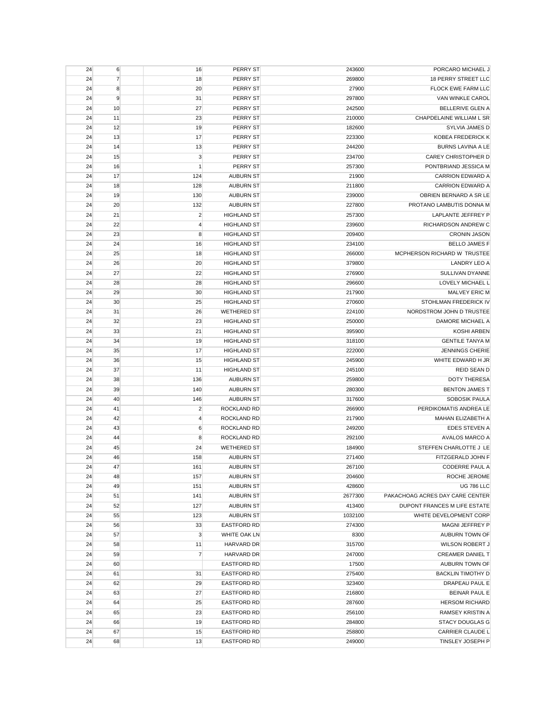| 24 | $6 \overline{6}$ | 16             | PERRY ST           | 243600  | PORCARO MICHAEL J               |
|----|------------------|----------------|--------------------|---------|---------------------------------|
| 24 | $\overline{7}$   | 18             | PERRY ST           | 269800  | <b>18 PERRY STREET LLC</b>      |
| 24 | 8                | 20             | PERRY ST           | 27900   | <b>FLOCK EWE FARM LLC</b>       |
| 24 | 9                | 31             | PERRY ST           | 297800  | VAN WINKLE CAROL                |
| 24 | 10               | 27             | PERRY ST           | 242500  | <b>BELLERIVE GLEN A</b>         |
| 24 | 11               | 23             | PERRY ST           | 210000  | CHAPDELAINE WILLIAM L SR        |
| 24 | 12               | 19             | PERRY ST           | 182600  | SYLVIA JAMES D                  |
| 24 | 13               | 17             | PERRY ST           | 223300  | KOBEA FREDERICK K               |
| 24 | 14               | 13             | PERRY ST           | 244200  | <b>BURNS LAVINA A LE</b>        |
| 24 | 15               | $\mathbf{3}$   | PERRY ST           | 234700  | CAREY CHRISTOPHER D             |
| 24 | 16               | 1              | PERRY ST           | 257300  | PONTBRIAND JESSICA M            |
| 24 | 17               | 124            | <b>AUBURN ST</b>   | 21900   | <b>CARRION EDWARD A</b>         |
| 24 | 18               | 128            | <b>AUBURN ST</b>   | 211800  | <b>CARRION EDWARD A</b>         |
| 24 | 19               | 130            | <b>AUBURN ST</b>   | 239000  | OBRIEN BERNARD A SR LE          |
| 24 | 20               | 132            | <b>AUBURN ST</b>   | 227800  | PROTANO LAMBUTIS DONNA M        |
| 24 | 21               | $\overline{2}$ | <b>HIGHLAND ST</b> | 257300  | LAPLANTE JEFFREY P              |
| 24 | 22               | $\overline{4}$ | <b>HIGHLAND ST</b> | 239600  | RICHARDSON ANDREW C             |
| 24 | 23               | 8              | <b>HIGHLAND ST</b> | 209400  | <b>CRONIN JASON</b>             |
| 24 | 24               | 16             | <b>HIGHLAND ST</b> | 234100  | <b>BELLO JAMES F</b>            |
| 24 | 25               | 18             | <b>HIGHLAND ST</b> | 266000  | MCPHERSON RICHARD W TRUSTEE     |
| 24 | 26               | 20             | <b>HIGHLAND ST</b> | 379800  | LANDRY LEO A                    |
| 24 | 27               | 22             | <b>HIGHLAND ST</b> | 276900  | <b>SULLIVAN DYANNE</b>          |
| 24 | 28               | 28             | <b>HIGHLAND ST</b> | 296600  | LOVELY MICHAEL L                |
| 24 | 29               | 30             | <b>HIGHLAND ST</b> | 217900  | <b>MALVEY ERIC M</b>            |
| 24 | 30               | 25             | <b>HIGHLAND ST</b> | 270600  | STOHLMAN FREDERICK IV           |
| 24 | 31               | 26             | <b>WETHERED ST</b> | 224100  | NORDSTROM JOHN D TRUSTEE        |
| 24 | 32               | 23             | <b>HIGHLAND ST</b> | 250000  | DAMORE MICHAEL A                |
| 24 | 33               | 21             | <b>HIGHLAND ST</b> | 395900  | <b>KOSHI ARBEN</b>              |
| 24 | 34               | 19             | <b>HIGHLAND ST</b> | 318100  | <b>GENTILE TANYA M</b>          |
| 24 | 35               | 17             | <b>HIGHLAND ST</b> | 222000  | <b>JENNINGS CHERIE</b>          |
| 24 | 36               | 15             | <b>HIGHLAND ST</b> | 245900  | WHITE EDWARD H JR               |
| 24 | 37               | 11             | <b>HIGHLAND ST</b> | 245100  | <b>REID SEAN D</b>              |
| 24 | 38               | 136            | <b>AUBURN ST</b>   | 259800  | <b>DOTY THERESA</b>             |
| 24 | 39               | 140            | <b>AUBURN ST</b>   | 280300  | <b>BENTON JAMES T</b>           |
| 24 | 40               | 146            | <b>AUBURN ST</b>   | 317600  | SOBOSIK PAULA                   |
| 24 | 41               | $\overline{2}$ | ROCKLAND RD        | 266900  | PERDIKOMATIS ANDREA LE          |
| 24 | 42               | 4              | <b>ROCKLAND RD</b> | 217900  | MAHAN ELIZABETH A               |
| 24 | 43               | 6              | ROCKLAND RD        | 249200  | <b>EDES STEVEN A</b>            |
| 24 | 44               | 8              | ROCKLAND RD        | 292100  | AVALOS MARCO A                  |
| 24 | 45               | 24             | <b>WETHERED ST</b> | 184900  | STEFFEN CHARLOTTE J LE          |
| 24 | 46               | 158            | <b>AUBURN ST</b>   | 271400  | FITZGERALD JOHN F               |
| 24 | 47               | 161            | <b>AUBURN ST</b>   | 267100  | <b>CODERRE PAUL A</b>           |
| 24 | 48               | 157            | <b>AUBURN ST</b>   | 204600  | ROCHE JEROME                    |
| 24 | 49               | 151            | <b>AUBURN ST</b>   | 428600  | <b>UG 786 LLC</b>               |
| 24 | 51               | 141            | <b>AUBURN ST</b>   | 2677300 | PAKACHOAG ACRES DAY CARE CENTER |
| 24 | 52               | 127            | <b>AUBURN ST</b>   | 413400  | DUPONT FRANCES M LIFE ESTATE    |
| 24 | 55               | 123            | <b>AUBURN ST</b>   | 1032100 | WHITE DEVELOPMENT CORP          |
| 24 | 56               | 33             | <b>EASTFORD RD</b> | 274300  | MAGNI JEFFREY P                 |
| 24 | 57               | 3              | WHITE OAK LN       | 8300    | AUBURN TOWN OF                  |
| 24 | 58               | 11             | HARVARD DR         | 315700  | <b>WILSON ROBERT J</b>          |
| 24 | 59               | $\overline{7}$ | HARVARD DR         | 247000  | <b>CREAMER DANIEL T</b>         |
| 24 | 60               |                | <b>EASTFORD RD</b> | 17500   | <b>AUBURN TOWN OF</b>           |
| 24 | 61               | 31             | <b>EASTFORD RD</b> | 275400  | <b>BACKLIN TIMOTHY D</b>        |
| 24 | 62               | 29             | <b>EASTFORD RD</b> | 323400  | DRAPEAU PAUL E                  |
| 24 | 63               | 27             | <b>EASTFORD RD</b> | 216800  | BEINAR PAUL E                   |
| 24 | 64               | 25             | <b>EASTFORD RD</b> | 287600  | <b>HERSOM RICHARD</b>           |
| 24 | 65               | 23             | <b>EASTFORD RD</b> | 256100  | RAMSEY KRISTIN A                |
| 24 | 66               | 19             | <b>EASTFORD RD</b> | 284800  | <b>STACY DOUGLAS G</b>          |
| 24 | 67               | 15             | <b>EASTFORD RD</b> | 258800  | CARRIER CLAUDE L                |
| 24 | 68               | 13             | <b>EASTFORD RD</b> | 249000  | TINSLEY JOSEPH P                |
|    |                  |                |                    |         |                                 |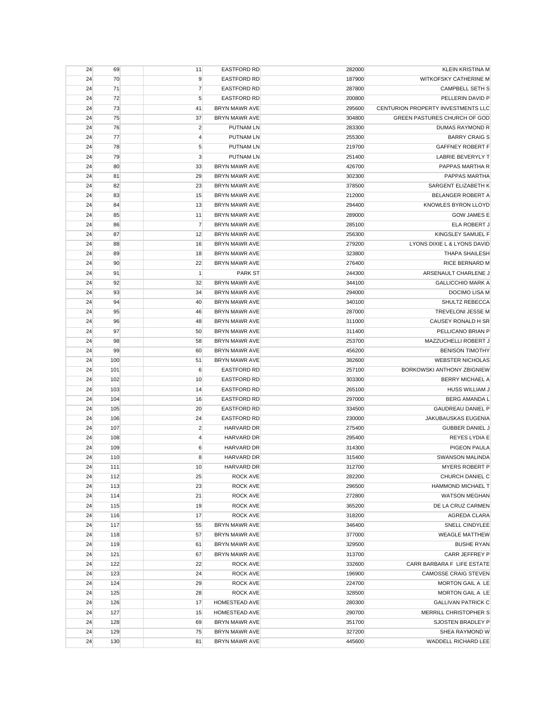| 24 | 69  | 11             | <b>EASTFORD RD</b>   | 282000 | <b>KLEIN KRISTINA M</b>             |
|----|-----|----------------|----------------------|--------|-------------------------------------|
| 24 | 70  | 9              | <b>EASTFORD RD</b>   | 187900 | WITKOFSKY CATHERINE M               |
| 24 | 71  | $\overline{7}$ | <b>EASTFORD RD</b>   | 287800 | <b>CAMPBELL SETH S</b>              |
| 24 | 72  | 5              | <b>EASTFORD RD</b>   | 200800 | PELLERIN DAVID P                    |
| 24 | 73  | 41             | <b>BRYN MAWR AVE</b> | 295600 | CENTURION PROPERTY INVESTMENTS LLC  |
| 24 | 75  | 37             | <b>BRYN MAWR AVE</b> | 304800 | <b>GREEN PASTURES CHURCH OF GOD</b> |
| 24 | 76  | $\overline{2}$ | <b>PUTNAM LN</b>     | 283300 | DUMAS RAYMOND R                     |
| 24 | 77  | 4              | <b>PUTNAM LN</b>     | 255300 | <b>BARRY CRAIG S</b>                |
| 24 | 78  | 5              | <b>PUTNAM LN</b>     | 219700 | GAFFNEY ROBERT F                    |
| 24 | 79  | $\mathsf 3$    | <b>PUTNAM LN</b>     | 251400 | <b>LABRIE BEVERYLY T</b>            |
| 24 | 80  | 33             | <b>BRYN MAWR AVE</b> | 426700 | PAPPAS MARTHA R                     |
| 24 | 81  | 29             | <b>BRYN MAWR AVE</b> | 302300 | PAPPAS MARTHA                       |
| 24 | 82  | 23             | <b>BRYN MAWR AVE</b> | 378500 | SARGENT ELIZABETH K                 |
| 24 | 83  | 15             | <b>BRYN MAWR AVE</b> | 212000 | BELANGER ROBERT A                   |
|    |     |                |                      |        |                                     |
| 24 | 84  | 13             | <b>BRYN MAWR AVE</b> | 294400 | KNOWLES BYRON LLOYD                 |
| 24 | 85  | 11             | <b>BRYN MAWR AVE</b> | 289000 | <b>GOW JAMES E</b>                  |
| 24 | 86  | 7              | <b>BRYN MAWR AVE</b> | 285100 | ELA ROBERT J                        |
| 24 | 87  | 12             | <b>BRYN MAWR AVE</b> | 256300 | KINGSLEY SAMUEL F                   |
| 24 | 88  | 16             | <b>BRYN MAWR AVE</b> | 279200 | LYONS DIXIE L & LYONS DAVID         |
| 24 | 89  | 18             | <b>BRYN MAWR AVE</b> | 323800 | <b>THAPA SHAILESH</b>               |
| 24 | 90  | 22             | <b>BRYN MAWR AVE</b> | 276400 | <b>RICE BERNARD M</b>               |
| 24 | 91  | 1              | <b>PARK ST</b>       | 244300 | ARSENAULT CHARLENE J                |
| 24 | 92  | 32             | <b>BRYN MAWR AVE</b> | 344100 | <b>GALLICCHIO MARK A</b>            |
| 24 | 93  | 34             | <b>BRYN MAWR AVE</b> | 294000 | <b>DOCIMO LISA M</b>                |
| 24 | 94  | 40             | <b>BRYN MAWR AVE</b> | 340100 | SHULTZ REBECCA                      |
| 24 | 95  | 46             | <b>BRYN MAWR AVE</b> | 287000 | TREVELONI JESSE M                   |
| 24 | 96  | 48             | <b>BRYN MAWR AVE</b> | 311000 | CAUSEY RONALD H SR                  |
| 24 | 97  | 50             | <b>BRYN MAWR AVE</b> | 311400 | PELLICANO BRIAN P                   |
| 24 | 98  | 58             | <b>BRYN MAWR AVE</b> | 253700 | MAZZUCHELLI ROBERT J                |
| 24 | 99  | 60             | <b>BRYN MAWR AVE</b> | 456200 | <b>BENISON TIMOTHY</b>              |
| 24 | 100 | 51             | <b>BRYN MAWR AVE</b> | 382600 | <b>WEBSTER NICHOLAS</b>             |
| 24 | 101 | 6              | <b>EASTFORD RD</b>   | 257100 | BORKOWSKI ANTHONY ZBIGNIEW          |
| 24 | 102 | 10             | <b>EASTFORD RD</b>   | 303300 | BERRY MICHAEL A                     |
| 24 | 103 | 14             | <b>EASTFORD RD</b>   | 265100 | <b>HUSS WILLIAM J</b>               |
| 24 | 104 | 16             | <b>EASTFORD RD</b>   | 297000 | <b>BERG AMANDA L</b>                |
| 24 | 105 | 20             | <b>EASTFORD RD</b>   | 334500 | <b>GAUDREAU DANIEL P</b>            |
| 24 | 106 | 24             | <b>EASTFORD RD</b>   |        | JAKUBAUSKAS EUGENIA                 |
|    |     |                |                      | 230000 |                                     |
| 24 | 107 | $\overline{2}$ | HARVARD DR           | 275400 | GUBBER DANIEL J                     |
| 24 | 108 | $\overline{4}$ | <b>HARVARD DR</b>    | 295400 | REYES LYDIA E                       |
| 24 | 109 | 6              | HARVARD DR           | 314300 | PIGEON PAULA                        |
| 24 | 110 | 8              | <b>HARVARD DR</b>    | 315400 | <b>SWANSON MALINDA</b>              |
| 24 | 111 | 10             | <b>HARVARD DR</b>    | 312700 | <b>MYERS ROBERT P</b>               |
| 24 | 112 | 25             | ROCK AVE             | 282200 | CHURCH DANIEL C                     |
| 24 | 113 | 23             | ROCK AVE             | 296500 | <b>HAMMOND MICHAEL T</b>            |
| 24 | 114 | 21             | ROCK AVE             | 272800 | <b>WATSON MEGHAN</b>                |
| 24 | 115 | 19             | ROCK AVE             | 365200 | DE LA CRUZ CARMEN                   |
| 24 | 116 | 17             | ROCK AVE             | 318200 | <b>AGREDA CLARA</b>                 |
| 24 | 117 | 55             | BRYN MAWR AVE        | 346400 | SNELL CINDYLEE                      |
| 24 | 118 | 57             | BRYN MAWR AVE        | 377000 | <b>WEAGLE MATTHEW</b>               |
| 24 | 119 | 61             | <b>BRYN MAWR AVE</b> | 329500 | <b>BUSHE RYAN</b>                   |
| 24 | 121 | 67             | <b>BRYN MAWR AVE</b> | 313700 | CARR JEFFREY P                      |
| 24 | 122 | 22             | ROCK AVE             | 332600 | CARR BARBARA F LIFE ESTATE          |
| 24 | 123 | 24             | <b>ROCK AVE</b>      | 196900 | <b>CAMOSSE CRAIG STEVEN</b>         |
| 24 | 124 | 29             | ROCK AVE             | 224700 | MORTON GAIL A LE                    |
| 24 | 125 | 28             | <b>ROCK AVE</b>      | 328500 | MORTON GAIL A LE                    |
| 24 | 126 | 17             | HOMESTEAD AVE        | 280300 | <b>GALLIVAN PATRICK C</b>           |
| 24 | 127 | 15             | HOMESTEAD AVE        | 290700 | MERRILL CHRISTOPHER S               |
| 24 | 128 | 69             | BRYN MAWR AVE        | 351700 | SJOSTEN BRADLEY P                   |
| 24 | 129 | 75             | BRYN MAWR AVE        | 327200 | SHEA RAYMOND W                      |
| 24 | 130 | 81             | BRYN MAWR AVE        | 445600 | WADDELL RICHARD LEE                 |
|    |     |                |                      |        |                                     |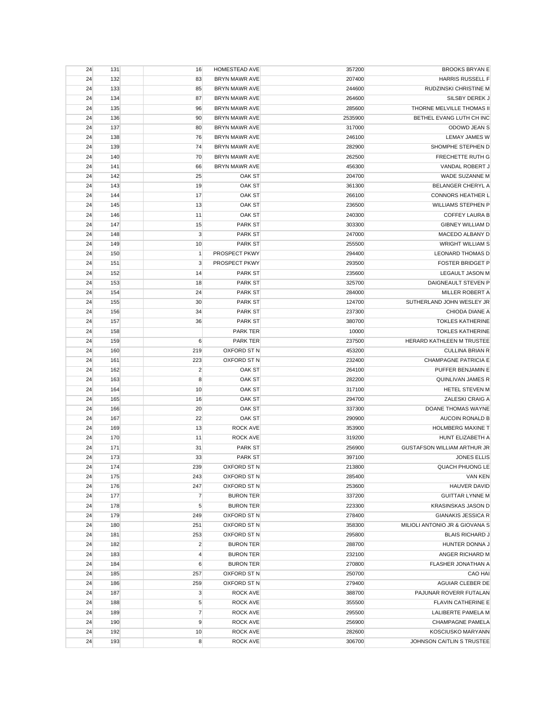| 24 | 131 | 16               | HOMESTEAD AVE              | 357200  | <b>BROOKS BRYAN E</b>          |
|----|-----|------------------|----------------------------|---------|--------------------------------|
| 24 | 132 | 83               | <b>BRYN MAWR AVE</b>       | 207400  | <b>HARRIS RUSSELL F</b>        |
| 24 | 133 | 85               | <b>BRYN MAWR AVE</b>       | 244600  | RUDZINSKI CHRISTINE M          |
| 24 | 134 | 87               | <b>BRYN MAWR AVE</b>       | 264600  | SILSBY DEREK J                 |
| 24 | 135 | 96               | <b>BRYN MAWR AVE</b>       | 285600  | THORNE MELVILLE THOMAS II      |
| 24 | 136 | 90               | <b>BRYN MAWR AVE</b>       | 2535900 | BETHEL EVANG LUTH CH INC       |
| 24 | 137 | 80               | <b>BRYN MAWR AVE</b>       | 317000  | ODOWD JEAN S                   |
| 24 | 138 | 76               | <b>BRYN MAWR AVE</b>       | 246100  | <b>LEMAY JAMES W</b>           |
| 24 | 139 | 74               | BRYN MAWR AVE              | 282900  | SHOMPHE STEPHEN D              |
| 24 | 140 | 70               | <b>BRYN MAWR AVE</b>       | 262500  | FRECHETTE RUTH G               |
| 24 | 141 | 66               | BRYN MAWR AVE              | 456300  | VANDAL ROBERT J                |
| 24 | 142 | 25               | OAK ST                     | 204700  | WADE SUZANNE M                 |
| 24 | 143 | 19               | OAK ST                     | 361300  | BELANGER CHERYL A              |
| 24 | 144 | 17               | OAK ST                     | 266100  | <b>CONNORS HEATHER L</b>       |
| 24 | 145 | 13               | OAK ST                     | 236500  | <b>WILLIAMS STEPHEN P</b>      |
| 24 | 146 | 11               | OAK ST                     | 240300  | <b>COFFEY LAURA B</b>          |
| 24 | 147 | 15               | <b>PARK ST</b>             | 303300  | <b>GIBNEY WILLIAM D</b>        |
| 24 | 148 | 3                | <b>PARK ST</b>             | 247000  | MACEDO ALBANY D                |
| 24 | 149 | 10               | <b>PARK ST</b>             | 255500  | <b>WRIGHT WILLIAM S</b>        |
|    |     |                  |                            |         |                                |
| 24 | 150 | $\mathbf{1}$     | PROSPECT PKWY              | 294400  | <b>LEONARD THOMAS D</b>        |
| 24 | 151 | 3                | PROSPECT PKWY              | 293500  | <b>FOSTER BRIDGET P</b>        |
| 24 | 152 | 14               | <b>PARK ST</b>             | 235600  | <b>LEGAULT JASON M</b>         |
| 24 | 153 | 18               | <b>PARK ST</b>             | 325700  | DAIGNEAULT STEVEN P            |
| 24 | 154 | 24               | <b>PARK ST</b>             | 284000  | MILLER ROBERT A                |
| 24 | 155 | 30               | <b>PARK ST</b>             | 124700  | SUTHERLAND JOHN WESLEY JR      |
| 24 | 156 | 34               | <b>PARK ST</b>             | 237300  | CHIODA DIANE A                 |
| 24 | 157 | 36               | <b>PARK ST</b>             | 380700  | <b>TOKLES KATHERINE</b>        |
| 24 | 158 |                  | <b>PARK TER</b>            | 10000   | <b>TOKLES KATHERINE</b>        |
| 24 | 159 | 6                | <b>PARK TER</b>            | 237500  | HERARD KATHLEEN M TRUSTEE      |
| 24 | 160 | 219              | OXFORD ST N                | 453200  | <b>CULLINA BRIAN R</b>         |
| 24 | 161 | 223              | OXFORD ST N                | 232400  | CHAMPAGNE PATRICIA E           |
| 24 | 162 | $\overline{c}$   | OAK ST                     | 264100  | PUFFER BENJAMIN E              |
| 24 | 163 | 8                | OAK ST                     | 282200  | <b>QUINLIVAN JAMES R</b>       |
| 24 | 164 | 10               | OAK ST                     | 317100  | HETEL STEVEN M                 |
| 24 | 165 | 16               | OAK ST                     | 294700  | ZALESKI CRAIG A                |
| 24 | 166 | 20               | OAK ST                     | 337300  | DOANE THOMAS WAYNE             |
| 24 | 167 | 22               | OAK ST                     | 290900  | <b>AUCOIN RONALD B</b>         |
| 24 | 169 | 13               | <b>ROCK AVE</b>            | 353900  | <b>HOLMBERG MAXINE T</b>       |
| 24 | 170 | 11               | ROCK AVE                   | 319200  | HUNT ELIZABETH A               |
| 24 | 171 | 31               | <b>PARK ST</b>             | 256900  | GUSTAFSON WILLIAM ARTHUR JR    |
| 24 | 173 | 33               | <b>PARK ST</b>             | 397100  | <b>JONES ELLIS</b>             |
| 24 | 174 | 239              | OXFORD ST N                | 213800  | <b>QUACH PHUONG LE</b>         |
| 24 | 175 | 243              | OXFORD ST N                | 285400  | <b>VAN KEN</b>                 |
| 24 | 176 | 247              | OXFORD ST N                | 253600  | <b>HAUVER DAVID</b>            |
| 24 | 177 | $\overline{7}$   | <b>BURON TER</b>           | 337200  | <b>GUITTAR LYNNE M</b>         |
| 24 | 178 | $\sqrt{5}$       | <b>BURON TER</b>           | 223300  | <b>KRASINSKAS JASON D</b>      |
| 24 | 179 | 249              | OXFORD ST N                | 278400  | <b>GIANAKIS JESSICA R</b>      |
| 24 | 180 | 251              | OXFORD ST N                | 358300  | MILIOLI ANTONIO JR & GIOVANA S |
| 24 | 181 | 253              | OXFORD ST N                | 295800  | <b>BLAIS RICHARD J</b>         |
| 24 | 182 | $\overline{c}$   | <b>BURON TER</b>           | 288700  | HUNTER DONNA J                 |
| 24 | 183 | 4                | <b>BURON TER</b>           | 232100  | ANGER RICHARD M                |
| 24 | 184 | $\boldsymbol{6}$ | <b>BURON TER</b>           | 270800  | FLASHER JONATHAN A             |
|    |     |                  |                            |         |                                |
| 24 | 185 | 257              | OXFORD ST N<br>OXFORD ST N | 250700  | CAO HAI                        |
| 24 | 186 | 259              |                            | 279400  | AGUIAR CLEBER DE               |
| 24 | 187 | $\mathbf{3}$     | ROCK AVE                   | 388700  | PAJUNAR ROVERR FUTALAN         |
| 24 | 188 | 5                | ROCK AVE                   | 355500  | <b>FLAVIN CATHERINE E</b>      |
| 24 | 189 | $\overline{7}$   | ROCK AVE                   | 295500  | LALIBERTE PAMELA M             |
| 24 | 190 | 9                | ROCK AVE                   | 256900  | <b>CHAMPAGNE PAMELA</b>        |
| 24 | 192 | 10               | ROCK AVE                   | 282600  | <b>KOSCIUSKO MARYANN</b>       |
| 24 | 193 | 8                | ROCK AVE                   | 306700  | JOHNSON CAITLIN S TRUSTEE      |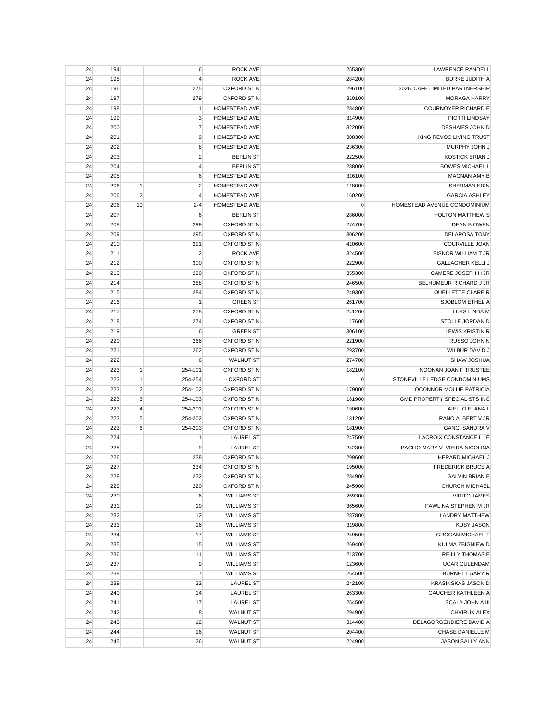| 24 | 194 |                | 6                | <b>ROCK AVE</b>      | 255300 | <b>LAWRENCE RANDELL</b>             |
|----|-----|----------------|------------------|----------------------|--------|-------------------------------------|
| 24 | 195 |                | 4                | <b>ROCK AVE</b>      | 284200 | <b>BURKE JUDITH A</b>               |
| 24 | 196 |                | 275              | OXFORD ST N          | 296100 | 2026 CAFE LIMITED PARTNERSHIP       |
| 24 | 197 |                | 279              | OXFORD ST N          | 310100 | <b>MORAGA HARRY</b>                 |
| 24 | 198 |                | 1                | HOMESTEAD AVE        | 284800 | <b>COURNOYER RICHARD E</b>          |
| 24 | 199 |                | 3                | HOMESTEAD AVE        | 314900 | PIOTTI LINDSAY                      |
| 24 | 200 |                | 7                | HOMESTEAD AVE        | 322000 | DESHAIES JOHN D                     |
| 24 | 201 |                | 9                | HOMESTEAD AVE        | 308300 | KING REVOC LIVING TRUST             |
| 24 | 202 |                | 8                | HOMESTEAD AVE        | 236300 | MURPHY JOHN J                       |
| 24 | 203 |                | $\overline{c}$   | <b>BERLIN ST</b>     | 222500 | <b>KOSTICK BRIAN J</b>              |
| 24 | 204 |                | 4                | <b>BERLIN ST</b>     | 288000 | <b>BOWES MICHAEL L</b>              |
| 24 | 205 |                | 6                | <b>HOMESTEAD AVE</b> | 316100 | <b>MAGNAN AMY B</b>                 |
| 24 | 206 | $\mathbf{1}$   | $\overline{2}$   | HOMESTEAD AVE        | 118000 | <b>SHERMAN ERIN</b>                 |
| 24 | 206 | $\overline{2}$ | $\overline{4}$   | HOMESTEAD AVE        | 160200 | <b>GARCIA ASHLEY</b>                |
|    |     |                |                  |                      |        | HOMESTEAD AVENUE CONDOMINIUM        |
| 24 | 206 | 10             | $2 - 4$          | HOMESTEAD AVE        | 0      |                                     |
| 24 | 207 |                | $\boldsymbol{6}$ | <b>BERLIN ST</b>     | 286000 | <b>HOLTON MATTHEW S</b>             |
| 24 | 208 |                | 299              | OXFORD ST N          | 274700 | <b>DEAN B OWEN</b>                  |
| 24 | 209 |                | 295              | OXFORD ST N          | 306200 | <b>DELAROSA TONY</b>                |
| 24 | 210 |                | 291              | OXFORD ST N          | 410600 | COURVILLE JOAN                      |
| 24 | 211 |                | $\overline{2}$   | <b>ROCK AVE</b>      | 324500 | EISNOR WILLIAM T JR                 |
| 24 | 212 |                | 300              | OXFORD ST N          | 222900 | <b>GALLAGHER KELLI J</b>            |
| 24 | 213 |                | 290              | OXFORD ST N          | 355300 | CAMERE JOSEPH H JR                  |
| 24 | 214 |                | 288              | OXFORD ST N          | 246500 | BELHUMEUR RICHARD J JR              |
| 24 | 215 |                | 284              | OXFORD ST N          | 249300 | OUELLETTE CLARE R                   |
| 24 | 216 |                | $\mathbf{1}$     | <b>GREEN ST</b>      | 261700 | SJOBLOM ETHEL A                     |
| 24 | 217 |                | 278              | OXFORD ST N          | 241200 | LUKS LINDA M                        |
| 24 | 218 |                | 274              | <b>OXFORD ST N</b>   | 17600  | STOLLE JORDAN D                     |
| 24 | 219 |                | 6                | <b>GREEN ST</b>      | 306100 | <b>LEWIS KRISTIN R</b>              |
| 24 | 220 |                | 266              | OXFORD ST N          | 221900 | RUSSO JOHN N                        |
| 24 | 221 |                | 262              | OXFORD ST N          | 293700 | WILBUR DAVID J                      |
| 24 | 222 |                | 6                | <b>WALNUT ST</b>     | 274700 | SHAW JOSHUA                         |
| 24 | 223 | 1              | 254-101          | OXFORD ST N          | 182100 | NOONAN JOAN F TRUSTEE               |
| 24 | 223 | $\mathbf{1}$   | 254-254          | - OXFORD ST          | 0      | STONEVILLE LEDGE CONDOMINIUMS       |
| 24 | 223 | $\overline{2}$ | 254-102          | OXFORD ST N          | 179000 | OCONNOR MOLLIE PATRICIA             |
| 24 | 223 | 3              | 254-103          | OXFORD ST N          | 181900 | <b>GMD PROPERTY SPECIALISTS INC</b> |
| 24 | 223 | $\overline{4}$ | 254-201          | OXFORD ST N          | 190600 | AIELLO ELANA L                      |
| 24 | 223 | 5              | 254-202          | OXFORD ST N          | 181200 | RANO ALBERT V JR                    |
| 24 | 223 | 6              | 254-203          | OXFORD ST N          | 181900 | <b>GANGI SANDRA V</b>               |
| 24 | 224 |                | 1                | <b>LAUREL ST</b>     | 247500 | LACROIX CONSTANCE L LE              |
| 24 | 225 |                | 9                | <b>LAUREL ST</b>     | 242300 | PAGLIO MARY V VIEIRA NICOLINA       |
|    |     |                |                  |                      |        | <b>HERARD MICHAEL J</b>             |
| 24 | 226 |                | 238              | OXFORD ST N          | 299600 |                                     |
| 24 | 227 |                | 234              | OXFORD ST N          | 195000 | <b>FREDERICK BRUCE A</b>            |
| 24 | 228 |                | 232              | OXFORD ST N          | 284900 | <b>GALVIN BRIAN E</b>               |
| 24 | 229 |                | 220              | OXFORD ST N          | 245900 | CHURCH MICHAEL                      |
| 24 | 230 |                | 6                | <b>WILLIAMS ST</b>   | 269300 | <b>VIDITO JAMES</b>                 |
| 24 | 231 |                | 10               | <b>WILLIAMS ST</b>   | 365600 | PAWLINA STEPHEN M JR                |
| 24 | 232 |                | 12               | <b>WILLIAMS ST</b>   | 287800 | <b>LANDRY MATTHEW</b>               |
| 24 | 233 |                | 16               | <b>WILLIAMS ST</b>   | 319800 | <b>KUSY JASON</b>                   |
| 24 | 234 |                | 17               | <b>WILLIAMS ST</b>   | 249500 | <b>GROGAN MICHAEL T</b>             |
| 24 | 235 |                | 15               | <b>WILLIAMS ST</b>   | 269400 | KULMA ZBIGNIEW D                    |
| 24 | 236 |                | 11               | <b>WILLIAMS ST</b>   | 213700 | <b>REILLY THOMAS E</b>              |
| 24 | 237 |                | 9                | <b>WILLIAMS ST</b>   | 123600 | <b>UCAR GULENDAM</b>                |
| 24 | 238 |                | $\overline{7}$   | <b>WILLIAMS ST</b>   | 264500 | <b>BURNETT GARY R</b>               |
| 24 | 239 |                | 22               | <b>LAUREL ST</b>     | 242100 | <b>KRASINSKAS JASON D</b>           |
| 24 | 240 |                | 14               | <b>LAUREL ST</b>     | 263300 | <b>GAUCHER KATHLEEN A</b>           |
| 24 | 241 |                | 17               | <b>LAUREL ST</b>     | 254500 | SCALA JOHN A III                    |
| 24 | 242 |                | 8                | <b>WALNUT ST</b>     | 294900 | CHVIRUK ALEX                        |
| 24 | 243 |                | 12               | <b>WALNUT ST</b>     | 314400 | DELAGORGENDIERE DAVID A             |
| 24 | 244 |                | 16               | <b>WALNUT ST</b>     | 204400 | CHASE DANIELLE M                    |
| 24 | 245 |                | 26               | <b>WALNUT ST</b>     | 224900 | <b>JASON SALLY ANN</b>              |
|    |     |                |                  |                      |        |                                     |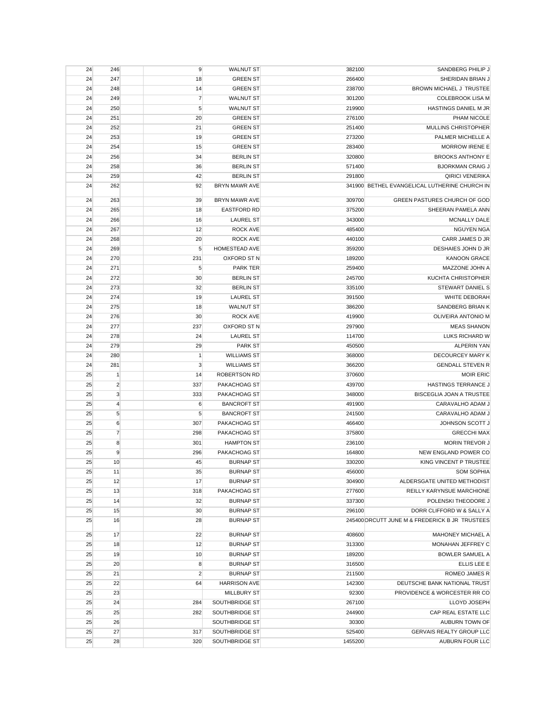| 24 | 246              | 9              | <b>WALNUT ST</b>     | 382100  | SANDBERG PHILIP J                              |
|----|------------------|----------------|----------------------|---------|------------------------------------------------|
| 24 | 247              | 18             | <b>GREEN ST</b>      | 266400  | SHERIDAN BRIAN J                               |
| 24 | 248              | 14             | <b>GREEN ST</b>      | 238700  | BROWN MICHAEL J TRUSTEE                        |
| 24 | 249              | $\overline{7}$ | <b>WALNUT ST</b>     | 301200  | <b>COLEBROOK LISA M</b>                        |
| 24 | 250              | 5              | <b>WALNUT ST</b>     | 219900  | HASTINGS DANIEL M JR                           |
| 24 | 251              | 20             | <b>GREEN ST</b>      | 276100  | PHAM NICOLE                                    |
| 24 | 252              | 21             | <b>GREEN ST</b>      | 251400  | MULLINS CHRISTOPHER                            |
| 24 | 253              | 19             | <b>GREEN ST</b>      | 273200  | PALMER MICHELLE A                              |
| 24 | 254              | 15             | <b>GREEN ST</b>      | 283400  | <b>MORROW IRENE E</b>                          |
| 24 | 256              | 34             | <b>BERLIN ST</b>     | 320800  | <b>BROOKS ANTHONY E</b>                        |
| 24 | 258              | 36             | <b>BERLIN ST</b>     | 571400  | <b>BJORKMAN CRAIG J</b>                        |
| 24 | 259              | 42             | <b>BERLIN ST</b>     | 291800  | <b>QIRICI VENERIKA</b>                         |
| 24 | 262              | 92             | <b>BRYN MAWR AVE</b> |         | 341900 BETHEL EVANGELICAL LUTHERINE CHURCH IN  |
| 24 | 263              | 39             | BRYN MAWR AVE        | 309700  | <b>GREEN PASTURES CHURCH OF GOD</b>            |
| 24 | 265              | 18             | <b>EASTFORD RD</b>   | 375200  | SHEERAN PAMELA ANN                             |
| 24 | 266              | 16             | <b>LAUREL ST</b>     | 343000  | <b>MCNALLY DALE</b>                            |
|    | 267              |                | <b>ROCK AVE</b>      |         | <b>NGUYEN NGA</b>                              |
| 24 |                  | 12             |                      | 485400  |                                                |
| 24 | 268              | 20             | <b>ROCK AVE</b>      | 440100  | CARR JAMES D JR                                |
| 24 | 269              | 5              | HOMESTEAD AVE        | 359200  | DESHAIES JOHN D JR                             |
| 24 | 270              | 231            | OXFORD ST N          | 189200  | <b>KANOON GRACE</b>                            |
| 24 | 271              | 5              | <b>PARK TER</b>      | 259400  | MAZZONE JOHN A                                 |
| 24 | 272              | 30             | <b>BERLIN ST</b>     | 245700  | <b>KUCHTA CHRISTOPHER</b>                      |
| 24 | 273              | 32             | <b>BERLIN ST</b>     | 335100  | STEWART DANIEL S                               |
| 24 | 274              | 19             | <b>LAUREL ST</b>     | 391500  | WHITE DEBORAH                                  |
| 24 | 275              | 18             | <b>WALNUT ST</b>     | 386200  | SANDBERG BRIAN K                               |
| 24 | 276              | 30             | <b>ROCK AVE</b>      | 419900  | OLIVEIRA ANTONIO M                             |
| 24 | 277              | 237            | OXFORD ST N          | 297900  | <b>MEAS SHANON</b>                             |
| 24 | 278              | 24             | <b>LAUREL ST</b>     | 114700  | LUKS RICHARD W                                 |
| 24 | 279              | 29             | <b>PARK ST</b>       | 450500  | <b>ALPERIN YAN</b>                             |
| 24 | 280              | $\mathbf{1}$   | <b>WILLIAMS ST</b>   | 368000  | DECOURCEY MARY K                               |
| 24 | 281              | 3              | <b>WILLIAMS ST</b>   | 366200  | <b>GENDALL STEVEN R</b>                        |
| 25 | $\mathbf{1}$     | 14             | <b>ROBERTSON RD</b>  | 370600  | <b>MOIR ERIC</b>                               |
| 25 | $\overline{2}$   | 337            | PAKACHOAG ST         | 439700  | HASTINGS TERRANCE J                            |
| 25 | $\sqrt{3}$       | 333            | PAKACHOAG ST         | 348000  | <b>BISCEGLIA JOAN A TRUSTEE</b>                |
| 25 | $\overline{4}$   | 6              | <b>BANCROFT ST</b>   | 491900  | CARAVALHO ADAM J                               |
| 25 | $\sqrt{5}$       | 5              | <b>BANCROFT ST</b>   | 241500  | CARAVALHO ADAM J                               |
| 25 | $\boldsymbol{6}$ | 307            | PAKACHOAG ST         | 466400  | JOHNSON SCOTT J                                |
| 25 | $\overline{7}$   | 298            | PAKACHOAG ST         | 375800  | <b>GRECCHI MAX</b>                             |
| 25 | 8                | 301            | <b>HAMPTON ST</b>    | 236100  | <b>MORIN TREVOR J</b>                          |
| 25 | 9                | 296            | PAKACHOAG ST         | 164800  | NEW ENGLAND POWER CO                           |
| 25 | 10               | 45             | <b>BURNAP ST</b>     | 330200  | KING VINCENT P TRUSTEE                         |
| 25 | 11               | 35             | <b>BURNAP ST</b>     | 456000  | <b>SOM SOPHIA</b>                              |
| 25 | 12               | 17             | <b>BURNAP ST</b>     | 304900  | ALDERSGATE UNITED METHODIST                    |
| 25 | 13               | 318            | PAKACHOAG ST         | 277600  | REILLY KARYNSUE MARCHIONE                      |
|    |                  |                | <b>BURNAP ST</b>     |         |                                                |
| 25 | 14               | 32             |                      | 337300  | POLENSKI THEODORE J                            |
| 25 | 15               | 30             | <b>BURNAP ST</b>     | 296100  | DORR CLIFFORD W & SALLY A                      |
| 25 | 16               | 28             | <b>BURNAP ST</b>     |         | 245400 ORCUTT JUNE M & FREDERICK B JR TRUSTEES |
| 25 | 17               | 22             | <b>BURNAP ST</b>     | 408600  | <b>MAHONEY MICHAEL A</b>                       |
| 25 | 18               | 12             | <b>BURNAP ST</b>     | 313300  | MONAHAN JEFFREY C                              |
| 25 | 19               | 10             | <b>BURNAP ST</b>     | 189200  | <b>BOWLER SAMUEL A</b>                         |
| 25 | 20               | 8              | <b>BURNAP ST</b>     | 316500  | ELLIS LEE E                                    |
| 25 | 21               | $\overline{2}$ | <b>BURNAP ST</b>     | 211500  | ROMEO JAMES R                                  |
| 25 | 22               | 64             | <b>HARRISON AVE</b>  | 142300  | DEUTSCHE BANK NATIONAL TRUST                   |
| 25 | 23               |                | <b>MILLBURY ST</b>   | 92300   | PROVIDENCE & WORCESTER RR CO                   |
| 25 | 24               | 284            | SOUTHBRIDGE ST       | 267100  | LLOYD JOSEPH                                   |
| 25 | 25               | 282            | SOUTHBRIDGE ST       | 244900  | CAP REAL ESTATE LLC                            |
| 25 | 26               |                | SOUTHBRIDGE ST       | 30300   | AUBURN TOWN OF                                 |
| 25 | 27               | 317            | SOUTHBRIDGE ST       | 525400  | <b>GERVAIS REALTY GROUP LLC</b>                |
| 25 | 28               | 320            | SOUTHBRIDGE ST       | 1455200 | AUBURN FOUR LLC                                |
|    |                  |                |                      |         |                                                |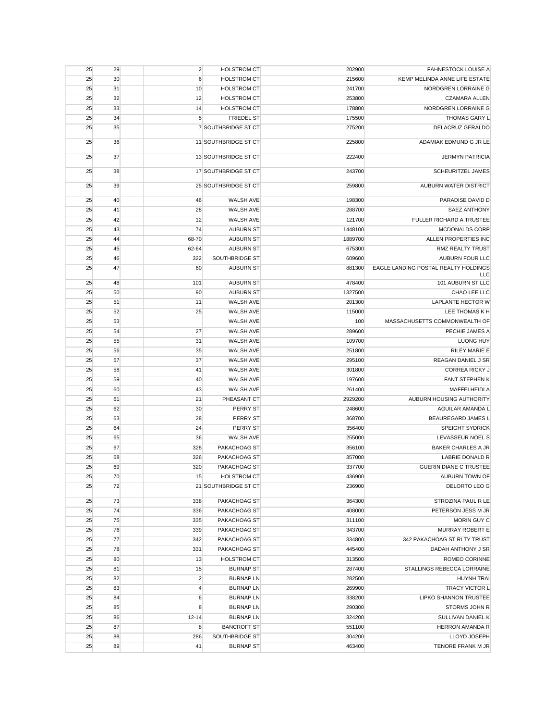| 25 | 29 | $\overline{2}$ | <b>HOLSTROM CT</b>   | 202900  | <b>FAHNESTOCK LOUISE A</b>                  |
|----|----|----------------|----------------------|---------|---------------------------------------------|
| 25 | 30 | 6              | <b>HOLSTROM CT</b>   | 215600  | KEMP MELINDA ANNE LIFE ESTATE               |
| 25 | 31 | 10             | <b>HOLSTROM CT</b>   | 241700  | NORDGREN LORRAINE G                         |
| 25 | 32 | 12             | <b>HOLSTROM CT</b>   | 253800  | <b>CZAMARA ALLEN</b>                        |
| 25 | 33 | 14             | <b>HOLSTROM CT</b>   | 178800  | NORDGREN LORRAINE G                         |
| 25 | 34 | $\sqrt{5}$     | <b>FRIEDEL ST</b>    | 175500  | THOMAS GARY L                               |
| 25 | 35 |                | 7 SOUTHBRIDGE ST CT  | 275200  | DELACRUZ GERALDO                            |
| 25 | 36 |                | 11 SOUTHBRIDGE ST CT | 225800  | ADAMIAK EDMUND G JR LE                      |
| 25 | 37 |                | 13 SOUTHBRIDGE ST CT | 222400  | <b>JERMYN PATRICIA</b>                      |
| 25 | 38 |                | 17 SOUTHBRIDGE ST CT | 243700  | <b>SCHEURITZEL JAMES</b>                    |
| 25 | 39 |                | 25 SOUTHBRIDGE ST CT | 259800  | AUBURN WATER DISTRICT                       |
| 25 | 40 | 46             | <b>WALSH AVE</b>     | 198300  | PARADISE DAVID D                            |
| 25 | 41 | 28             | <b>WALSH AVE</b>     | 288700  | <b>SAEZ ANTHONY</b>                         |
| 25 | 42 | 12             | <b>WALSH AVE</b>     | 121700  | FULLER RICHARD A TRUSTEE                    |
| 25 | 43 | 74             | <b>AUBURN ST</b>     | 1448100 | MCDONALDS CORP                              |
| 25 | 44 | 68-70          | <b>AUBURN ST</b>     | 1889700 | ALLEN PROPERTIES INC                        |
| 25 | 45 | 62-64          | <b>AUBURN ST</b>     | 675300  | <b>RMZ REALTY TRUST</b>                     |
| 25 | 46 | 322            | SOUTHBRIDGE ST       | 609600  | AUBURN FOUR LLC                             |
| 25 | 47 | 60             | <b>AUBURN ST</b>     | 881300  | EAGLE LANDING POSTAL REALTY HOLDINGS<br>LLC |
| 25 | 48 | 101            | <b>AUBURN ST</b>     | 478400  | 101 AUBURN ST LLC                           |
| 25 | 50 | 90             | <b>AUBURN ST</b>     | 1327500 | CHAO LEE LLC                                |
| 25 | 51 | 11             | <b>WALSH AVE</b>     | 201300  | LAPLANTE HECTOR W                           |
| 25 | 52 | 25             | <b>WALSH AVE</b>     | 115000  | LEE THOMAS K H                              |
| 25 | 53 |                | <b>WALSH AVE</b>     | 100     | MASSACHUSETTS COMMONWEALTH OF               |
| 25 | 54 | 27             | <b>WALSH AVE</b>     | 289600  | PECHIE JAMES A                              |
| 25 | 55 | 31             | <b>WALSH AVE</b>     | 109700  | <b>LUONG HUY</b>                            |
| 25 | 56 | 35             | WALSH AVE            | 251800  | <b>RILEY MARIE E</b>                        |
| 25 | 57 | 37             | <b>WALSH AVE</b>     | 295100  | REAGAN DANIEL J SR                          |
|    |    | 41             | WALSH AVE            | 301800  | <b>CORREA RICKY J</b>                       |
| 25 | 58 | 40             | WALSH AVE            | 197600  | <b>FANT STEPHEN K</b>                       |
| 25 | 59 |                | WALSH AVE            | 261400  |                                             |
| 25 | 60 | 43             |                      |         | MAFFEI HEIDI A                              |
| 25 | 61 | 21             | PHEASANT CT          | 2929200 | AUBURN HOUSING AUTHORITY                    |
| 25 | 62 | 30             | PERRY ST             | 248600  | AGUILAR AMANDA L                            |
| 25 | 63 | 28             | PERRY ST             | 368700  | <b>BEAUREGARD JAMES L</b>                   |
| 25 | 64 | 24             | PERRY ST             | 356400  | <b>SPEIGHT SYDRICK</b>                      |
| 25 | 65 | 36             | <b>WALSH AVE</b>     | 255000  | LEVASSEUR NOEL S                            |
| 25 | 67 | 328            | PAKACHOAG ST         | 356100  | <b>BAKER CHARLES A JR</b>                   |
| 25 | 68 | 326            | PAKACHOAG ST         | 357000  | LABRIE DONALD R                             |
| 25 | 69 | 320            | PAKACHOAG ST         | 337700  | <b>GUERIN DIANE C TRUSTEE</b>               |
| 25 | 70 | 15             | HOLSTROM CT          | 436900  | AUBURN TOWN OF                              |
| 25 | 72 |                | 21 SOUTHBRIDGE ST CT | 236900  | DELORTO LEO G                               |
| 25 | 73 | 338            | PAKACHOAG ST         | 364300  | STROZINA PAUL R LE                          |
| 25 | 74 | 336            | PAKACHOAG ST         | 408000  | PETERSON JESS M JR                          |
| 25 | 75 | 335            | PAKACHOAG ST         | 311100  | MORIN GUY C                                 |
| 25 | 76 | 339            | PAKACHOAG ST         | 343700  | MURRAY ROBERT E                             |
| 25 | 77 | 342            | PAKACHOAG ST         | 334800  | 342 PAKACHOAG ST RLTY TRUST                 |
| 25 | 78 | 331            | PAKACHOAG ST         | 445400  | DADAH ANTHONY J SR                          |
| 25 | 80 | 13             | <b>HOLSTROM CT</b>   | 313500  | ROMEO CORINNE                               |
| 25 | 81 | 15             | <b>BURNAP ST</b>     | 287400  | STALLINGS REBECCA LORRAINE                  |
| 25 | 82 | $\overline{c}$ | <b>BURNAPLN</b>      | 282500  | <b>HUYNH TRAI</b>                           |
| 25 | 83 | $\overline{4}$ | <b>BURNAPLN</b>      | 269900  | TRACY VICTOR L                              |
| 25 | 84 | 6              | <b>BURNAPLN</b>      | 338200  | LIPKO SHANNON TRUSTEE                       |
| 25 | 85 | 8              | <b>BURNAP LN</b>     | 290300  | STORMS JOHN R                               |
| 25 | 86 | 12-14          | <b>BURNAP LN</b>     | 324200  | SULLIVAN DANIEL K                           |
| 25 | 87 | 8              | <b>BANCROFT ST</b>   | 551100  | HERRON AMANDA R                             |
| 25 | 88 | 286            | SOUTHBRIDGE ST       | 304200  | LLOYD JOSEPH                                |
| 25 | 89 | 41             | <b>BURNAP ST</b>     | 463400  | TENORE FRANK M JR                           |
|    |    |                |                      |         |                                             |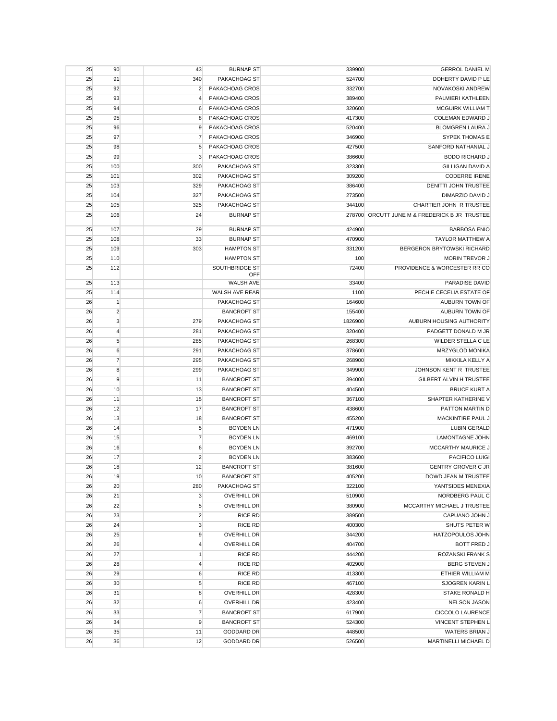| 25 | 90             | 43               | <b>BURNAP ST</b>      | 339900  | <b>GERROL DANIEL M</b>                        |
|----|----------------|------------------|-----------------------|---------|-----------------------------------------------|
| 25 | 91             | 340              | PAKACHOAG ST          | 524700  | DOHERTY DAVID P LE                            |
| 25 | 92             | $\overline{2}$   | PAKACHOAG CROS        | 332700  | NOVAKOSKI ANDREW                              |
| 25 | 93             | $\overline{4}$   | PAKACHOAG CROS        | 389400  | PALMIERI KATHLEEN                             |
| 25 | 94             | 6                | PAKACHOAG CROS        | 320600  | MCGUIRK WILLIAM T                             |
| 25 | 95             | 8                | PAKACHOAG CROS        | 417300  | <b>COLEMAN EDWARD J</b>                       |
| 25 | 96             | 9                | PAKACHOAG CROS        | 520400  | <b>BLOMGREN LAURA J</b>                       |
| 25 | 97             | 7                | PAKACHOAG CROS        | 346900  | SYPEK THOMAS E                                |
| 25 | 98             | 5                | PAKACHOAG CROS        | 427500  | SANFORD NATHANIAL J                           |
| 25 | 99             | 3                | PAKACHOAG CROS        | 386600  | <b>BODO RICHARD J</b>                         |
| 25 | 100            | 300              | PAKACHOAG ST          | 323300  | <b>GILLIGAN DAVID A</b>                       |
|    | 101            | 302              | PAKACHOAG ST          | 309200  | <b>CODERRE IRENE</b>                          |
| 25 |                |                  |                       |         |                                               |
| 25 | 103            | 329              | PAKACHOAG ST          | 386400  | DENITTI JOHN TRUSTEE                          |
| 25 | 104            | 327              | PAKACHOAG ST          | 273500  | DIMARZIO DAVID J                              |
| 25 | 105            | 325              | PAKACHOAG ST          | 344100  | CHARTIER JOHN R TRUSTEE                       |
| 25 | 106            | 24               | <b>BURNAP ST</b>      |         | 278700 ORCUTT JUNE M & FREDERICK B JR TRUSTEE |
| 25 | 107            | 29               | <b>BURNAP ST</b>      | 424900  | <b>BARBOSA ENIO</b>                           |
| 25 | 108            | 33               | <b>BURNAP ST</b>      | 470900  | TAYLOR MATTHEW A                              |
| 25 | 109            | 303              | <b>HAMPTON ST</b>     | 331200  | BERGERON BRYTOWSKI RICHARD                    |
| 25 | 110            |                  | <b>HAMPTON ST</b>     | 100     | <b>MORIN TREVOR J</b>                         |
| 25 | 112            |                  | SOUTHBRIDGE ST        | 72400   | PROVIDENCE & WORCESTER RR CO                  |
|    |                |                  | OFF                   |         |                                               |
| 25 | 113            |                  | WALSH AVE             | 33400   | PARADISE DAVID                                |
| 25 | 114            |                  | <b>WALSH AVE REAR</b> | 1100    | PECHIE CECELIA ESTATE OF                      |
| 26 | $\mathbf{1}$   |                  | PAKACHOAG ST          | 164600  | AUBURN TOWN OF                                |
| 26 | $\overline{2}$ |                  | <b>BANCROFT ST</b>    | 155400  | AUBURN TOWN OF                                |
| 26 | 3              | 279              | PAKACHOAG ST          | 1826900 | AUBURN HOUSING AUTHORITY                      |
| 26 | $\overline{4}$ | 281              | PAKACHOAG ST          | 320400  | PADGETT DONALD M JR                           |
| 26 | 5              | 285              | PAKACHOAG ST          | 268300  | WILDER STELLA C LE                            |
| 26 | 6              | 291              | PAKACHOAG ST          | 378600  | <b>MRZYGLOD MONIKA</b>                        |
| 26 | $\overline{7}$ | 295              | PAKACHOAG ST          | 268900  | MIKKILA KELLY A                               |
|    |                |                  |                       |         |                                               |
| 26 | 8              | 299              | PAKACHOAG ST          | 349900  | JOHNSON KENT R TRUSTEE                        |
| 26 | 9              | 11               | <b>BANCROFT ST</b>    | 394000  | GILBERT ALVIN H TRUSTEE                       |
| 26 | 10             | 13               | <b>BANCROFT ST</b>    | 404500  | <b>BRUCE KURT A</b>                           |
| 26 | 11             | 15               | <b>BANCROFT ST</b>    | 367100  | SHAPTER KATHERINE V                           |
| 26 | 12             | 17               | <b>BANCROFT ST</b>    | 438600  | PATTON MARTIN D                               |
| 26 | 13             | 18               | <b>BANCROFT ST</b>    | 455200  | MACKINTIRE PAUL J                             |
| 26 | 14             | 5                | <b>BOYDEN LN</b>      | 471900  | LUBIN GERALD                                  |
| 26 | 15             | $\overline{7}$   | <b>BOYDEN LN</b>      | 469100  | <b>LAMONTAGNE JOHN</b>                        |
| 26 | 16             | 6                | <b>BOYDEN LN</b>      | 392700  | <b>MCCARTHY MAURICE J</b>                     |
| 26 | 17             | $\overline{2}$   | <b>BOYDEN LN</b>      | 383600  | <b>PACIFICO LUIGI</b>                         |
| 26 | 18             | 12               | <b>BANCROFT ST</b>    | 381600  | <b>GENTRY GROVER C JR</b>                     |
| 26 | 19             | 10               | <b>BANCROFT ST</b>    | 405200  | DOWD JEAN M TRUSTEE                           |
| 26 | 20             | 280              | PAKACHOAG ST          | 322100  | YANTSIDES MENEXIA                             |
| 26 | 21             | $\mathbf{3}$     | <b>OVERHILL DR</b>    | 510900  | NORDBERG PAUL C                               |
| 26 | 22             | 5                | <b>OVERHILL DR</b>    | 380900  | MCCARTHY MICHAEL J TRUSTEE                    |
| 26 | 23             | $\overline{2}$   | RICE RD               | 389500  | CAPUANO JOHN J                                |
| 26 | 24             | $\mathbf{3}$     | <b>RICE RD</b>        | 400300  | SHUTS PETER W                                 |
| 26 | 25             | 9                | <b>OVERHILL DR</b>    | 344200  | <b>HATZOPOULOS JOHN</b>                       |
| 26 | 26             | $\overline{4}$   | <b>OVERHILL DR</b>    | 404700  | <b>BOTT FRED J</b>                            |
|    |                | $\mathbf{1}$     | <b>RICE RD</b>        | 444200  | ROZANSKI FRANK S                              |
| 26 | 27             |                  |                       |         | <b>BERG STEVEN J</b>                          |
| 26 | 28             | $\overline{4}$   | <b>RICE RD</b>        | 402900  |                                               |
| 26 | 29             | 6                | <b>RICE RD</b>        | 413300  | ETHIER WILLIAM M                              |
| 26 | 30             | $\sqrt{5}$       | <b>RICE RD</b>        | 467100  | SJOGREN KARIN L                               |
| 26 | 31             | 8                | <b>OVERHILL DR</b>    | 428300  | STAKE RONALD H                                |
| 26 | 32             | $\boldsymbol{6}$ | <b>OVERHILL DR</b>    | 423400  | <b>NELSON JASON</b>                           |
| 26 | 33             | $\overline{7}$   | <b>BANCROFT ST</b>    | 617900  | CICCOLO LAURENCE                              |
| 26 | 34             | 9                | <b>BANCROFT ST</b>    | 524300  | <b>VINCENT STEPHEN L</b>                      |
| 26 | 35             | 11               | <b>GODDARD DR</b>     | 448500  | <b>WATERS BRIAN J</b>                         |
| 26 | 36             | 12               | <b>GODDARD DR</b>     | 526500  | MARTINELLI MICHAEL D                          |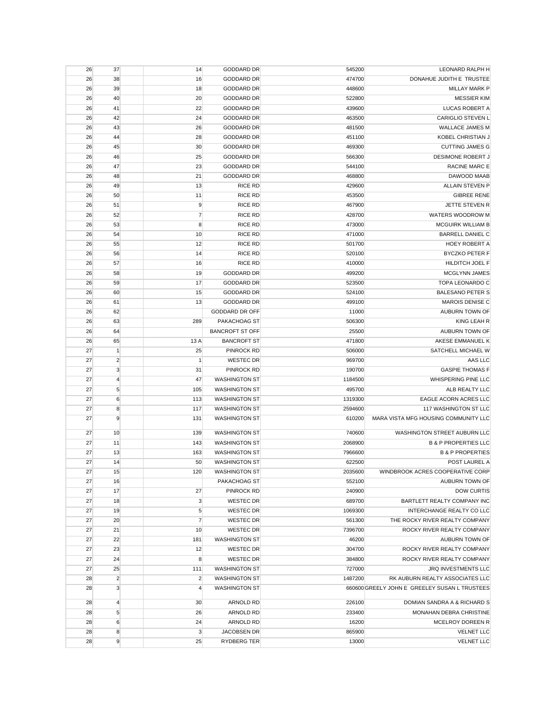| 26       | 37             | 14             | <b>GODDARD DR</b>      | 545200  | LEONARD RALPH H                               |
|----------|----------------|----------------|------------------------|---------|-----------------------------------------------|
| 26       | 38             | 16             | <b>GODDARD DR</b>      | 474700  | DONAHUE JUDITH E TRUSTEE                      |
| 26       | 39             | 18             | <b>GODDARD DR</b>      | 448600  | <b>MILLAY MARK P</b>                          |
| 26       | 40             | 20             | <b>GODDARD DR</b>      | 522800  | <b>MESSIER KIM</b>                            |
| 26       | 41             | 22             | <b>GODDARD DR</b>      | 439600  | LUCAS ROBERT A                                |
| 26       | 42             | 24             | <b>GODDARD DR</b>      | 463500  | <b>CARIGLIO STEVEN L</b>                      |
| 26       | 43             | 26             | <b>GODDARD DR</b>      | 481500  | <b>WALLACE JAMES M</b>                        |
| 26       | 44             | 28             | <b>GODDARD DR</b>      | 451100  | KOBEL CHRISTIAN J                             |
| 26       | 45             | 30             | <b>GODDARD DR</b>      | 469300  | <b>CUTTING JAMES G</b>                        |
| 26       | 46             | 25             | <b>GODDARD DR</b>      | 566300  | DESIMONE ROBERT J                             |
| 26       | 47             | 23             | <b>GODDARD DR</b>      | 544100  | <b>RACINE MARC E</b>                          |
| 26       | 48             | 21             | <b>GODDARD DR</b>      | 468800  | DAWOOD MAAB                                   |
| 26       | 49             | 13             | <b>RICE RD</b>         | 429600  | <b>ALLAIN STEVEN P</b>                        |
| 26       | 50             | 11             | <b>RICE RD</b>         | 453500  | <b>GIBREE RENE</b>                            |
| 26       | 51             | 9              | <b>RICE RD</b>         | 467900  | JETTE STEVEN R                                |
| 26       | 52             | $\overline{7}$ | <b>RICE RD</b>         | 428700  | WATERS WOODROW M                              |
| 26       | 53             | 8              | <b>RICE RD</b>         | 473000  | <b>MCGUIRK WILLIAM B</b>                      |
|          |                | 10             | <b>RICE RD</b>         | 471000  | <b>BARRELL DANIEL C</b>                       |
| 26<br>26 | 54             | 12             | <b>RICE RD</b>         |         | HOEY ROBERT A                                 |
|          | 55             |                |                        | 501700  |                                               |
| 26       | 56             | 14             | <b>RICE RD</b>         | 520100  | <b>BYCZKO PETER F</b>                         |
| 26       | 57             | 16             | <b>RICE RD</b>         | 410000  | <b>HILDITCH JOEL F</b>                        |
| 26       | 58             | 19             | <b>GODDARD DR</b>      | 499200  | MCGLYNN JAMES                                 |
| 26       | 59             | 17             | <b>GODDARD DR</b>      | 523500  | TOPA LEONARDO C                               |
| 26       | 60             | 15             | <b>GODDARD DR</b>      | 524100  | <b>BALESANO PETER S</b>                       |
| 26       | 61             | 13             | <b>GODDARD DR</b>      | 499100  | <b>MAROIS DENISE C</b>                        |
| 26       | 62             |                | GODDARD DR OFF         | 11000   | <b>AUBURN TOWN OF</b>                         |
| 26       | 63             | 289            | PAKACHOAG ST           | 506300  | KING LEAH R                                   |
| 26       | 64             |                | <b>BANCROFT ST OFF</b> | 25500   | AUBURN TOWN OF                                |
| 26       | 65             | 13 A           | <b>BANCROFT ST</b>     | 471800  | AKESE EMMANUEL K                              |
| 27       | $\vert$ 1      | 25             | PINROCK RD             | 506000  | SATCHELL MICHAEL W                            |
| 27       | $\overline{2}$ | $\mathbf{1}$   | <b>WESTEC DR</b>       | 969700  | AAS LLC                                       |
| 27       | 3              | 31             | PINROCK RD             | 190700  | <b>GASPIE THOMAS F</b>                        |
| 27       | $\overline{4}$ | 47             | <b>WASHINGTON ST</b>   | 1184500 | WHISPERING PINE LLC                           |
| 27       | 5              | 105            | <b>WASHINGTON ST</b>   | 495700  | ALB REALTY LLC                                |
| 27       | 6              | 113            | <b>WASHINGTON ST</b>   | 1319300 | EAGLE ACORN ACRES LLC                         |
| 27       | 8              | 117            | <b>WASHINGTON ST</b>   | 2594600 | 117 WASHINGTON ST LLC                         |
| 27       | 9              | 131            | <b>WASHINGTON ST</b>   | 610200  | MARA VISTA MFG HOUSING COMMUNITY LLC          |
| 27       | 10             | 139            | <b>WASHINGTON ST</b>   | 740600  | WASHINGTON STREET AUBURN LLC                  |
| 27       | 11             | 143            | <b>WASHINGTON ST</b>   | 2068900 | <b>B &amp; P PROPERTIES LLC</b>               |
| 27       |                | 163            | <b>WASHINGTON ST</b>   | 7966600 | <b>B &amp; P PROPERTIES</b>                   |
| 27       | 13             |                |                        |         |                                               |
|          | 14             | 50             | <b>WASHINGTON ST</b>   | 622500  | POST LAUREL A                                 |
| 27       | 15             | 120            | <b>WASHINGTON ST</b>   | 2035600 | WINDBROOK ACRES COOPERATIVE CORP              |
| 27       | 16             |                | PAKACHOAG ST           | 552100  | AUBURN TOWN OF                                |
| 27       | 17             | 27             | PINROCK RD             | 240900  | <b>DOW CURTIS</b>                             |
| 27       | 18             | 3              | <b>WESTEC DR</b>       | 689700  | BARTLETT REALTY COMPANY INC                   |
| 27       | 19             | 5              | <b>WESTEC DR</b>       | 1069300 | INTERCHANGE REALTY CO LLC                     |
| 27       | 20             | $\overline{7}$ | <b>WESTEC DR</b>       | 561300  | THE ROCKY RIVER REALTY COMPANY                |
| 27       | 21             | 10             | <b>WESTEC DR</b>       | 7396700 | ROCKY RIVER REALTY COMPANY                    |
| 27       | 22             | 181            | <b>WASHINGTON ST</b>   | 46200   | AUBURN TOWN OF                                |
| 27       | 23             | 12             | <b>WESTEC DR</b>       | 304700  | ROCKY RIVER REALTY COMPANY                    |
| 27       | 24             | 8              | <b>WESTEC DR</b>       | 384800  | ROCKY RIVER REALTY COMPANY                    |
| 27       | 25             | 111            | <b>WASHINGTON ST</b>   | 727000  | JRQ INVESTMENTS LLC                           |
| 28       | $\overline{2}$ | $\overline{2}$ | <b>WASHINGTON ST</b>   | 1487200 | RK AUBURN REALTY ASSOCIATES LLC               |
| 28       | $\mathbf{3}$   | $\overline{4}$ | <b>WASHINGTON ST</b>   |         | 660600 GREELY JOHN E GREELEY SUSAN L TRUSTEES |
| 28       | $\overline{4}$ | 30             | ARNOLD RD              | 226100  | DOMIAN SANDRA A & RICHARD S                   |
| 28       | $\sqrt{5}$     | 26             | ARNOLD RD              | 233400  | MONAHAN DEBRA CHRISTINE                       |
| 28       | 6              | 24             | ARNOLD RD              | 16200   | MCELROY DOREEN R                              |
| 28       | 8              | 3              | JACOBSEN DR            | 865900  | <b>VELNET LLC</b>                             |
| 28       | 9              | 25             | RYDBERG TER            | 13000   | <b>VELNET LLC</b>                             |
|          |                |                |                        |         |                                               |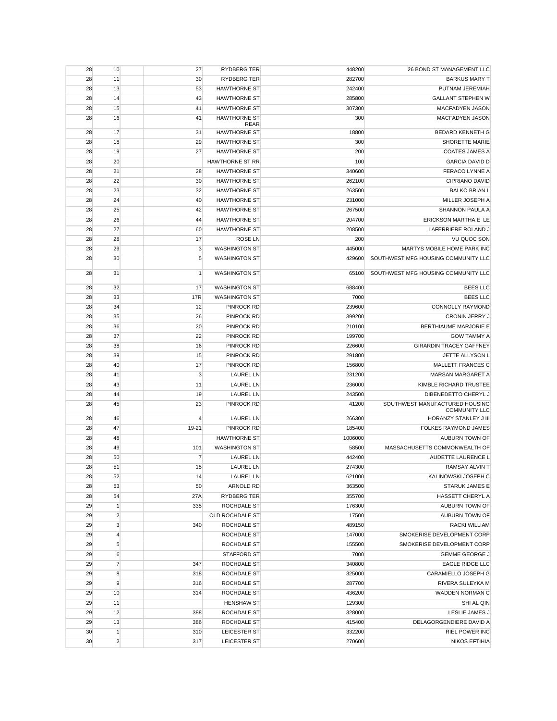| 28 | 10             | 27              | RYDBERG TER                        | 448200  | 26 BOND ST MANAGEMENT LLC                              |
|----|----------------|-----------------|------------------------------------|---------|--------------------------------------------------------|
| 28 | 11             | 30              | <b>RYDBERG TER</b>                 | 282700  | <b>BARKUS MARY T</b>                                   |
| 28 | 13             | 53              | <b>HAWTHORNE ST</b>                | 242400  | PUTNAM JEREMIAH                                        |
| 28 | 14             | 43              | <b>HAWTHORNE ST</b>                | 285800  | <b>GALLANT STEPHEN W</b>                               |
| 28 | 15             | 41              | <b>HAWTHORNE ST</b>                | 307300  | <b>MACFADYEN JASON</b>                                 |
| 28 | 16             | 41              | <b>HAWTHORNE ST</b><br><b>REAR</b> | 300     | <b>MACFADYEN JASON</b>                                 |
| 28 | 17             | 31              | <b>HAWTHORNE ST</b>                | 18800   | BEDARD KENNETH G                                       |
| 28 | 18             | 29              | <b>HAWTHORNE ST</b>                | 300     | <b>SHORETTE MARIE</b>                                  |
| 28 | 19             | 27              | <b>HAWTHORNE ST</b>                | 200     | <b>COATES JAMES A</b>                                  |
| 28 | 20             |                 | <b>HAWTHORNE ST RR</b>             | 100     | <b>GARCIA DAVID D</b>                                  |
| 28 | 21             | 28              | <b>HAWTHORNE ST</b>                | 340600  | FERACO LYNNE A                                         |
| 28 | 22             | 30              | <b>HAWTHORNE ST</b>                | 262100  | <b>CIPRIANO DAVID</b>                                  |
| 28 | 23             | 32              | <b>HAWTHORNE ST</b>                | 263500  | <b>BALKO BRIAN L</b>                                   |
| 28 | 24             | 40              | <b>HAWTHORNE ST</b>                | 231000  | MILLER JOSEPH A                                        |
| 28 | 25             | 42              | <b>HAWTHORNE ST</b>                | 267500  | <b>SHANNON PAULA A</b>                                 |
| 28 | 26             | 44              | <b>HAWTHORNE ST</b>                | 204700  | ERICKSON MARTHA E LE                                   |
| 28 | 27             | 60              | <b>HAWTHORNE ST</b>                | 208500  | LAFERRIERE ROLAND J                                    |
| 28 | 28             | 17              | <b>ROSE LN</b>                     | 200     | <b>VU QUOC SON</b>                                     |
| 28 | 29             | 3               | <b>WASHINGTON ST</b>               | 445000  | MARTYS MOBILE HOME PARK INC                            |
| 28 | 30             | 5               | <b>WASHINGTON ST</b>               | 429600  | SOUTHWEST MFG HOUSING COMMUNITY LLC                    |
|    |                |                 |                                    |         | SOUTHWEST MFG HOUSING COMMUNITY LLC                    |
| 28 | 31             | $\vert$         | <b>WASHINGTON ST</b>               | 65100   |                                                        |
| 28 | 32             | 17              | <b>WASHINGTON ST</b>               | 688400  | <b>BEES LLC</b>                                        |
| 28 | 33             | 17 <sub>R</sub> | <b>WASHINGTON ST</b>               | 7000    | <b>BEES LLC</b>                                        |
| 28 | 34             | 12              | PINROCK RD                         | 239600  | <b>CONNOLLY RAYMOND</b>                                |
| 28 | 35             | 26              | <b>PINROCK RD</b>                  | 399200  | CRONIN JERRY J                                         |
| 28 | 36             | 20              | <b>PINROCK RD</b>                  | 210100  | BERTHIAUME MARJORIE E                                  |
| 28 | 37             | 22              | <b>PINROCK RD</b>                  | 199700  | <b>GOW TAMMY A</b>                                     |
| 28 | 38             | 16              | PINROCK RD                         | 226600  | <b>GIRARDIN TRACEY GAFFNEY</b>                         |
| 28 | 39             | 15              | PINROCK RD                         | 291800  | JETTE ALLYSON L                                        |
| 28 | 40             | 17              | PINROCK RD                         | 156800  | MALLETT FRANCES C                                      |
| 28 | 41             | 3               | <b>LAUREL LN</b>                   | 231200  | MARSAN MARGARET A                                      |
| 28 | 43             | 11              | <b>LAUREL LN</b>                   | 236000  | KIMBLE RICHARD TRUSTEE                                 |
| 28 | 44             | 19              | <b>LAUREL LN</b>                   | 243500  | DIBENEDETTO CHERYL J                                   |
| 28 | 45             | 23              | <b>PINROCK RD</b>                  | 41200   | SOUTHWEST MANUFACTURED HOUSING<br><b>COMMUNITY LLC</b> |
| 28 | 46             | $\overline{4}$  | <b>LAUREL LN</b>                   | 266300  | HORANZY STANLEY J III                                  |
| 28 | 47             | 19-21           | PINROCK RD                         | 185400  | FOLKES RAYMOND JAMES                                   |
| 28 | 48             |                 | <b>HAWTHORNE ST</b>                | 1006000 | AUBURN TOWN OF                                         |
| 28 | 49             | 101             | <b>WASHINGTON ST</b>               | 58500   | MASSACHUSETTS COMMONWEALTH OF                          |
| 28 | 50             | 7               | <b>LAUREL LN</b>                   | 442400  | AUDETTE LAURENCE L                                     |
| 28 | 51             | 15              | <b>LAUREL LN</b>                   | 274300  | RAMSAY ALVIN T                                         |
| 28 | 52             | 14              | <b>LAUREL LN</b>                   | 621000  | KALINOWSKI JOSEPH C                                    |
| 28 | 53             | 50              | ARNOLD RD                          | 363500  | STARUK JAMES E                                         |
| 28 | 54             | 27A             | RYDBERG TER                        | 355700  | HASSETT CHERYL A                                       |
| 29 | $\mathbf{1}$   | 335             | ROCHDALE ST                        | 176300  | AUBURN TOWN OF                                         |
| 29 | $\overline{2}$ |                 | OLD ROCHDALE ST                    | 17500   | AUBURN TOWN OF                                         |
| 29 | 3              | 340             | ROCHDALE ST                        | 489150  | RACKI WILLIAM                                          |
| 29 | $\overline{4}$ |                 | ROCHDALE ST                        | 147000  | SMOKERISE DEVELOPMENT CORP                             |
| 29 | $\sqrt{5}$     |                 | ROCHDALE ST                        | 155500  | SMOKERISE DEVELOPMENT CORP                             |
| 29 | 6              |                 | <b>STAFFORD ST</b>                 | 7000    | <b>GEMME GEORGE J</b>                                  |
| 29 | $\overline{7}$ | 347             | ROCHDALE ST                        | 340800  | <b>EAGLE RIDGE LLC</b>                                 |
| 29 | 8              | 318             | ROCHDALE ST                        | 325000  | CARAMIELLO JOSEPH G                                    |
| 29 | 9              | 316             | ROCHDALE ST                        | 287700  | RIVERA SULEYKA M                                       |
| 29 | 10             | 314             | ROCHDALE ST                        | 436200  | WADDEN NORMAN C                                        |
| 29 | 11             |                 | <b>HENSHAW ST</b>                  | 129300  | SHI AL QIN                                             |
| 29 | 12             | 388             | ROCHDALE ST                        | 328000  | LESLIE JAMES J                                         |
| 29 | 13             | 386             | ROCHDALE ST                        | 415400  | DELAGORGENDIERE DAVID A                                |
| 30 | $\mathbf{1}$   | 310             | LEICESTER ST                       | 332200  | <b>RIEL POWER INC</b>                                  |
| 30 | $\overline{2}$ | 317             | LEICESTER ST                       | 270600  | <b>NIKOS EFTIHIA</b>                                   |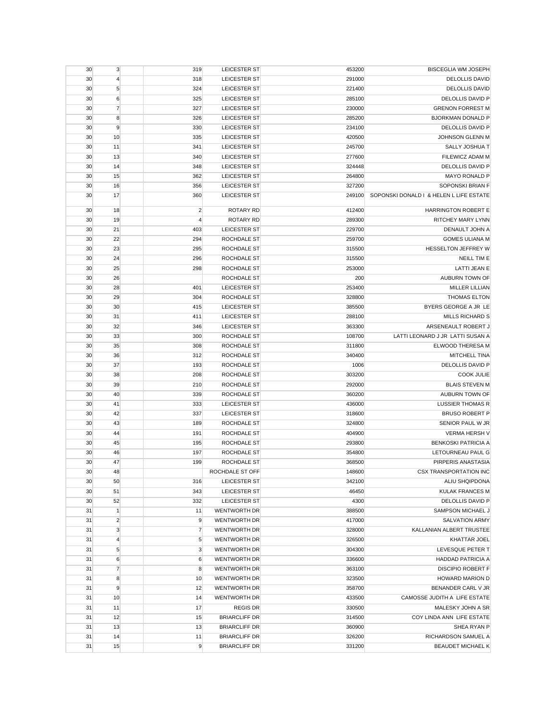| 30 | 3                | 319            | <b>LEICESTER ST</b>  | 453200 | <b>BISCEGLIA WM JOSEPH</b>                        |
|----|------------------|----------------|----------------------|--------|---------------------------------------------------|
| 30 | $\overline{4}$   | 318            | <b>LEICESTER ST</b>  | 291000 | <b>DELOLLIS DAVID</b>                             |
| 30 | $\sqrt{5}$       | 324            | LEICESTER ST         | 221400 | <b>DELOLLIS DAVID</b>                             |
| 30 | $\boldsymbol{6}$ | 325            | LEICESTER ST         | 285100 | DELOLLIS DAVID P                                  |
| 30 | $\overline{7}$   | 327            | LEICESTER ST         | 230000 | <b>GRENON FORREST M</b>                           |
| 30 | 8                | 326            | LEICESTER ST         | 285200 | <b>BJORKMAN DONALD P</b>                          |
| 30 | 9                | 330            | LEICESTER ST         | 234100 | DELOLLIS DAVID P                                  |
| 30 | 10               | 335            | LEICESTER ST         | 420500 | JOHNSON GLENN M                                   |
| 30 | 11               | 341            | LEICESTER ST         | 245700 | SALLY JOSHUA T                                    |
| 30 | 13               | 340            | <b>LEICESTER ST</b>  | 277600 | FILEWICZ ADAM M                                   |
| 30 | 14               | 348            | LEICESTER ST         | 324448 | <b>DELOLLIS DAVID P</b>                           |
| 30 | 15               | 362            | LEICESTER ST         | 264800 | <b>MAYO RONALD P</b>                              |
| 30 | 16               | 356            | LEICESTER ST         | 327200 | SOPONSKI BRIAN F                                  |
| 30 | 17               | 360            | LEICESTER ST         | 249100 | SOPONSKI DONALD I & HELEN L LIFE ESTATE           |
|    |                  |                |                      |        |                                                   |
| 30 | 18               | $\overline{2}$ | ROTARY RD            | 412400 | <b>HARRINGTON ROBERT E</b>                        |
| 30 | 19               | 4              | ROTARY RD            | 289300 | RITCHEY MARY LYNN                                 |
| 30 | 21               | 403            | LEICESTER ST         | 229700 | DENAULT JOHN A                                    |
| 30 | 22               | 294            | ROCHDALE ST          | 259700 | <b>GOMES ULIANA M</b>                             |
| 30 | 23               | 295            | ROCHDALE ST          | 315500 | HESSELTON JEFFREY W                               |
| 30 | 24               | 296            | ROCHDALE ST          | 315500 | <b>NEILL TIME</b>                                 |
| 30 | 25               | 298            | ROCHDALE ST          | 253000 | <b>LATTI JEAN E</b>                               |
| 30 | 26               |                | ROCHDALE ST          | 200    | AUBURN TOWN OF                                    |
| 30 | 28               | 401            | <b>LEICESTER ST</b>  | 253400 | <b>MILLER LILLIAN</b>                             |
| 30 | 29               | 304            | <b>ROCHDALE ST</b>   | 328800 | <b>THOMAS ELTON</b>                               |
| 30 | 30               | 415            | LEICESTER ST         | 385500 | BYERS GEORGE A JR LE                              |
| 30 | 31               | 411            | LEICESTER ST         | 288100 | <b>MILLS RICHARD S</b>                            |
| 30 | 32               | 346            | LEICESTER ST         | 363300 | ARSENEAULT ROBERT J                               |
| 30 | 33               | 300            | ROCHDALE ST          | 108700 | LATTI LEONARD J JR LATTI SUSAN A                  |
| 30 | 35               | 308            | ROCHDALE ST          | 311800 | ELWOOD THERESA M                                  |
| 30 | 36               | 312            | ROCHDALE ST          | 340400 | MITCHELL TINA                                     |
| 30 | 37               | 193            | ROCHDALE ST          | 1006   | DELOLLIS DAVID P                                  |
| 30 | 38               | 208            | ROCHDALE ST          | 303200 | <b>COOK JULIE</b>                                 |
| 30 | 39               | 210            | ROCHDALE ST          | 292000 | <b>BLAIS STEVEN M</b>                             |
| 30 | 40               | 339            | ROCHDALE ST          | 360200 | AUBURN TOWN OF                                    |
| 30 | 41               | 333            | LEICESTER ST         | 436000 | <b>LUSSIER THOMAS R</b>                           |
| 30 | 42               | 337            | LEICESTER ST         | 318600 | <b>BRUSO ROBERT P</b>                             |
| 30 | 43               | 189            | ROCHDALE ST          | 324800 | SENIOR PAUL W JR                                  |
| 30 | 44               | 191            | ROCHDALE ST          | 404900 | VERMA HERSH V                                     |
| 30 | 45               | 195            | ROCHDALE ST          | 293800 | <b>BENKOSKI PATRICIA A</b>                        |
| 30 | 46               | 197            | <b>ROCHDALE ST</b>   | 354800 | LETOURNEAU PAUL G                                 |
| 30 | 47               | 199            | ROCHDALE ST          | 368500 | PIRPERIS ANASTASIA                                |
| 30 | 48               |                | ROCHDALE ST OFF      | 148600 | CSX TRANSPORTATION INC                            |
| 30 | 50               | 316            | LEICESTER ST         | 342100 | ALIU SHQIPDONA                                    |
| 30 | 51               | 343            | LEICESTER ST         | 46450  | <b>KULAK FRANCES M</b>                            |
| 30 | 52               | 332            | LEICESTER ST         | 4300   | DELOLLIS DAVID P                                  |
| 31 | $\mathbf{1}$     |                | WENTWORTH DR         | 388500 | <b>SAMPSON MICHAEL J</b>                          |
|    | $\overline{2}$   | 11<br>9        | WENTWORTH DR         | 417000 |                                                   |
| 31 |                  |                | WENTWORTH DR         |        | <b>SALVATION ARMY</b><br>KALLANIAN ALBERT TRUSTEE |
| 31 | $\mathbf{3}$     | $\overline{7}$ |                      | 328000 |                                                   |
| 31 | $\overline{4}$   | 5              | WENTWORTH DR         | 326500 | <b>KHATTAR JOEL</b>                               |
| 31 | 5                | 3              | WENTWORTH DR         | 304300 | LEVESQUE PETER T                                  |
| 31 | 6                | 6              | WENTWORTH DR         | 336600 | <b>HADDAD PATRICIA A</b>                          |
| 31 | $\overline{7}$   | 8              | WENTWORTH DR         | 363100 | <b>DISCIPIO ROBERT F</b>                          |
| 31 | 8                | 10             | WENTWORTH DR         | 323500 | <b>HOWARD MARION D</b>                            |
| 31 | 9                | 12             | WENTWORTH DR         | 358700 | BENANDER CARL V JR                                |
| 31 | 10               | 14             | WENTWORTH DR         | 433500 | CAMOSSE JUDITH A LIFE ESTATE                      |
| 31 | 11               | 17             | <b>REGIS DR</b>      | 330500 | MALESKY JOHN A SR                                 |
| 31 | 12               | 15             | <b>BRIARCLIFF DR</b> | 314500 | COY LINDA ANN LIFE ESTATE                         |
| 31 | 13               | 13             | <b>BRIARCLIFF DR</b> | 360900 | SHEA RYAN P                                       |
| 31 | 14               | 11             | <b>BRIARCLIFF DR</b> | 326200 | RICHARDSON SAMUEL A                               |
| 31 | 15               | 9              | <b>BRIARCLIFF DR</b> | 331200 | BEAUDET MICHAEL K                                 |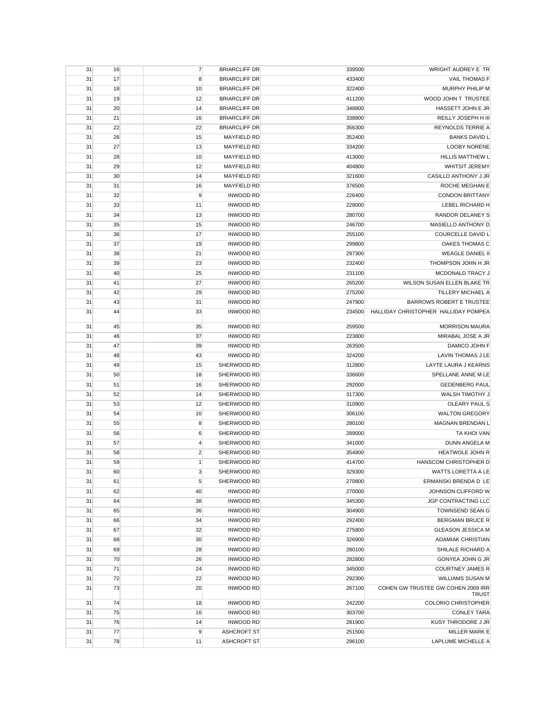| 31 | 16 | $\overline{7}$ | <b>BRIARCLIFF DR</b> | 339500 | WRIGHT AUDREY E TR                                 |
|----|----|----------------|----------------------|--------|----------------------------------------------------|
| 31 | 17 | 8              | <b>BRIARCLIFF DR</b> | 433400 | <b>VAIL THOMAS F</b>                               |
| 31 | 18 | 10             | <b>BRIARCLIFF DR</b> | 322400 | MURPHY PHILIP M                                    |
| 31 | 19 | 12             | <b>BRIARCLIFF DR</b> | 411200 | WOOD JOHN T TRUSTEE                                |
| 31 | 20 | 14             | <b>BRIARCLIFF DR</b> | 348800 | HASSETT JOHN E JR                                  |
| 31 | 21 | 16             | <b>BRIARCLIFF DR</b> | 338800 | REILLY JOSEPH H III                                |
| 31 | 22 | 22             | <b>BRIARCLIFF DR</b> | 356300 | <b>REYNOLDS TERRIE A</b>                           |
| 31 | 26 | 15             | <b>MAYFIELD RD</b>   | 352400 | <b>BANKS DAVID L</b>                               |
| 31 | 27 | 13             | <b>MAYFIELD RD</b>   | 334200 | <b>LOOBY NORENE</b>                                |
| 31 | 28 | 10             | <b>MAYFIELD RD</b>   | 413000 | <b>HILLIS MATTHEW L</b>                            |
| 31 | 29 | 12             | <b>MAYFIELD RD</b>   | 404800 | <b>WHITSIT JEREMY</b>                              |
| 31 | 30 | 14             | <b>MAYFIELD RD</b>   | 321600 | CASILLO ANTHONY J JR                               |
| 31 | 31 | 16             | <b>MAYFIELD RD</b>   | 376500 | ROCHE MEGHAN E                                     |
| 31 | 32 | 9              | <b>INWOOD RD</b>     | 226400 | <b>CONDON BRITTANY</b>                             |
| 31 | 33 | 11             | <b>INWOOD RD</b>     | 228000 | LEBEL RICHARD H                                    |
| 31 | 34 | 13             | <b>INWOOD RD</b>     | 280700 | RANDOR DELANEY S                                   |
| 31 | 35 | 15             | <b>INWOOD RD</b>     | 246700 | MASIELLO ANTHONY D                                 |
| 31 | 36 | 17             | <b>INWOOD RD</b>     | 255100 | COURCELLE DAVID L                                  |
|    | 37 | 19             | <b>INWOOD RD</b>     |        | OAKES THOMAS C                                     |
| 31 |    |                |                      | 299800 |                                                    |
| 31 | 38 | 21             | <b>INWOOD RD</b>     | 297300 | <b>WEAGLE DANIEL II</b>                            |
| 31 | 39 | 23             | <b>INWOOD RD</b>     | 232400 | THOMPSON JOHN H JR                                 |
| 31 | 40 | 25             | <b>INWOOD RD</b>     | 231100 | MCDONALD TRACY J                                   |
| 31 | 41 | 27             | <b>INWOOD RD</b>     | 265200 | WILSON SUSAN ELLEN BLAKE TR                        |
| 31 | 42 | 29             | <b>INWOOD RD</b>     | 275200 | TILLERY MICHAEL A                                  |
| 31 | 43 | 31             | <b>INWOOD RD</b>     | 247900 | <b>BARROWS ROBERT E TRUSTEE</b>                    |
| 31 | 44 | 33             | <b>INWOOD RD</b>     | 234500 | HALLIDAY CHRISTOPHER HALLIDAY POMPEA               |
| 31 | 45 | 35             | <b>INWOOD RD</b>     | 259500 | <b>MORRISON MAURA</b>                              |
| 31 | 46 | 37             | <b>INWOOD RD</b>     | 223800 | MIRABAL JOSE A JR                                  |
| 31 | 47 | 39             | <b>INWOOD RD</b>     | 263500 | DAMICO JOHN F                                      |
| 31 | 48 | 43             | <b>INWOOD RD</b>     | 324200 | <b>LAVIN THOMAS J LE</b>                           |
| 31 | 49 | 15             | SHERWOOD RD          | 312800 | LAYTE LAURA J KEARNS                               |
| 31 | 50 | 18             | SHERWOOD RD          | 336600 | SPELLANE ANNE M LE                                 |
| 31 | 51 | 16             | SHERWOOD RD          | 292000 | <b>GEDENBERG PAUL</b>                              |
| 31 | 52 | 14             | SHERWOOD RD          | 317300 | WALSH TIMOTHY J                                    |
| 31 | 53 | 12             | SHERWOOD RD          | 310900 | OLEARY PAUL S                                      |
| 31 | 54 | 10             | SHERWOOD RD          | 306100 | <b>WALTON GREGORY</b>                              |
| 31 | 55 | 8              | SHERWOOD RD          | 280100 | <b>MAGNAN BRENDAN L</b>                            |
| 31 | 56 | 6              | SHERWOOD RD          | 289000 | TA KHOI VAN                                        |
| 31 | 57 | $\overline{4}$ | SHERWOOD RD          | 341000 | DUNN ANGELA M                                      |
| 31 | 58 | $\overline{2}$ | SHERWOOD RD          | 354800 | <b>HEATWOLE JOHN R</b>                             |
| 31 | 59 | 1              | SHERWOOD RD          | 414700 | <b>HANSCOM CHRISTOPHER D</b>                       |
| 31 | 60 |                | SHERWOOD RD          | 329300 | WATTS LORETTA A LE                                 |
| 31 | 61 | 5              | SHERWOOD RD          | 270800 | ERMANSKI BRENDA D LE                               |
| 31 | 62 | 40             | <b>INWOOD RD</b>     | 270000 | JOHNSON CLIFFORD W                                 |
| 31 | 64 | 38             | <b>INWOOD RD</b>     | 345300 | JGP CONTRACTING LLC                                |
| 31 | 65 | 36             | <b>INWOOD RD</b>     | 304900 | <b>TOWNSEND SEAN G</b>                             |
| 31 | 66 | 34             | <b>INWOOD RD</b>     | 292400 | <b>BERGMAN BRUCE R</b>                             |
| 31 | 67 | 32             | <b>INWOOD RD</b>     | 275800 | GLEASON JESSICA M                                  |
| 31 | 68 | 30             | <b>INWOOD RD</b>     | 326900 | <b>ADAMIAK CHRISTIAN</b>                           |
| 31 | 69 | 28             | <b>INWOOD RD</b>     | 280100 | SHILALE RICHARD A                                  |
| 31 | 70 | 26             | <b>INWOOD RD</b>     | 282800 | GONYEA JOHN G JR                                   |
| 31 | 71 | 24             | <b>INWOOD RD</b>     | 345000 | <b>COURTNEY JAMES R</b>                            |
| 31 | 72 | 22             | <b>INWOOD RD</b>     | 292300 | WILLIAMS SUSAN M                                   |
| 31 | 73 | 20             | <b>INWOOD RD</b>     | 267100 | COHEN GW TRUSTEE GW COHEN 2009 IRR<br><b>TRUST</b> |
| 31 | 74 | 18             | <b>INWOOD RD</b>     | 242200 | <b>COLORIO CHRISTOPHER</b>                         |
| 31 | 75 | 16             | <b>INWOOD RD</b>     | 303700 | <b>CONLEY TARA</b>                                 |
| 31 | 76 | 14             | <b>INWOOD RD</b>     | 281900 | KUSY THRODORE J JR                                 |
| 31 | 77 | 9              | ASHCROFT ST          | 251500 | MILLER MARK E                                      |
| 31 | 78 | 11             | <b>ASHCROFT ST</b>   | 296100 | LAPLUME MICHELLE A                                 |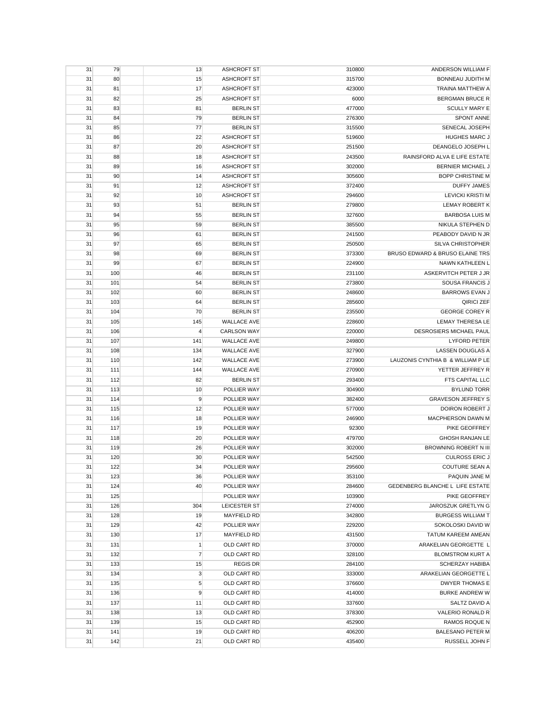| 31 | 79  | 13             | <b>ASHCROFT ST</b> | 310800 | ANDERSON WILLIAM F                |
|----|-----|----------------|--------------------|--------|-----------------------------------|
| 31 | 80  | 15             | <b>ASHCROFT ST</b> | 315700 | <b>BONNEAU JUDITH M</b>           |
| 31 | 81  | 17             | <b>ASHCROFT ST</b> | 423000 | <b>TRAINA MATTHEW A</b>           |
| 31 | 82  | 25             | <b>ASHCROFT ST</b> | 6000   | <b>BERGMAN BRUCE R</b>            |
| 31 | 83  | 81             | <b>BERLIN ST</b>   | 477000 | <b>SCULLY MARY E</b>              |
| 31 | 84  | 79             | <b>BERLIN ST</b>   | 276300 | <b>SPONT ANNE</b>                 |
| 31 | 85  | 77             | <b>BERLIN ST</b>   | 315500 | SENECAL JOSEPH                    |
| 31 | 86  | 22             | <b>ASHCROFT ST</b> | 519600 | <b>HUGHES MARC J</b>              |
| 31 | 87  | 20             | <b>ASHCROFT ST</b> | 251500 | DEANGELO JOSEPH L                 |
| 31 | 88  | 18             | ASHCROFT ST        | 243500 | RAINSFORD ALVA E LIFE ESTATE      |
| 31 | 89  | 16             | ASHCROFT ST        | 302000 | BERNIER MICHAEL J                 |
|    |     |                |                    |        | <b>BOPP CHRISTINE M</b>           |
| 31 | 90  | 14             | <b>ASHCROFT ST</b> | 305600 |                                   |
| 31 | 91  | 12             | <b>ASHCROFT ST</b> | 372400 | <b>DUFFY JAMES</b>                |
| 31 | 92  | 10             | <b>ASHCROFT ST</b> | 294600 | <b>LEVICKI KRISTI M</b>           |
| 31 | 93  | 51             | <b>BERLIN ST</b>   | 279800 | <b>LEMAY ROBERT K</b>             |
| 31 | 94  | 55             | <b>BERLIN ST</b>   | 327600 | <b>BARBOSA LUIS M</b>             |
| 31 | 95  | 59             | <b>BERLIN ST</b>   | 385500 | NIKULA STEPHEN D                  |
| 31 | 96  | 61             | <b>BERLIN ST</b>   | 241500 | PEABODY DAVID N JR                |
| 31 | 97  | 65             | <b>BERLIN ST</b>   | 250500 | <b>SILVA CHRISTOPHER</b>          |
| 31 | 98  | 69             | <b>BERLIN ST</b>   | 373300 | BRUSO EDWARD & BRUSO ELAINE TRS   |
| 31 | 99  | 67             | <b>BERLIN ST</b>   | 224900 | NAWN KATHLEEN L                   |
| 31 | 100 | 46             | <b>BERLIN ST</b>   | 231100 | ASKERVITCH PETER J JR             |
| 31 | 101 | 54             | <b>BERLIN ST</b>   | 273800 | SOUSA FRANCIS J                   |
| 31 | 102 | 60             | <b>BERLIN ST</b>   | 248600 | <b>BARROWS EVAN J</b>             |
| 31 | 103 | 64             | <b>BERLIN ST</b>   | 285600 | QIRICI ZEF                        |
| 31 | 104 | 70             | <b>BERLIN ST</b>   | 235500 | <b>GEORGE COREY R</b>             |
| 31 | 105 | 145            | <b>WALLACE AVE</b> | 228600 | <b>LEMAY THERESA LE</b>           |
| 31 | 106 | 4              | <b>CARLSON WAY</b> | 220000 | DESROSIERS MICHAEL PAUL           |
| 31 | 107 | 141            | <b>WALLACE AVE</b> | 249800 | <b>LYFORD PETER</b>               |
| 31 | 108 | 134            | <b>WALLACE AVE</b> | 327900 | <b>LASSEN DOUGLAS A</b>           |
| 31 | 110 | 142            | <b>WALLACE AVE</b> | 273900 | LAUZONIS CYNTHIA B & WILLIAM P LE |
| 31 | 111 | 144            | <b>WALLACE AVE</b> | 270900 | YETTER JEFFREY R                  |
| 31 | 112 | 82             | <b>BERLIN ST</b>   | 293400 | FTS CAPITAL LLC                   |
| 31 | 113 | 10             | POLLIER WAY        | 304900 | <b>BYLUND TORR</b>                |
| 31 | 114 | 9              | POLLIER WAY        | 382400 | <b>GRAVESON JEFFREY S</b>         |
| 31 | 115 | 12             | POLLIER WAY        | 577000 | DOIRON ROBERT J                   |
| 31 | 116 | 18             | POLLIER WAY        | 246900 | MACPHERSON DAWN M                 |
|    |     |                |                    |        | PIKE GEOFFREY                     |
| 31 | 117 | 19             | POLLIER WAY        | 92300  |                                   |
| 31 | 118 | 20             | POLLIER WAY        | 479700 | <b>GHOSH RANJAN LE</b>            |
| 31 | 119 | 26             | POLLIER WAY        | 302000 | <b>BROWNING ROBERT N III</b>      |
| 31 | 120 | 30             | POLLIER WAY        | 542500 | <b>CULROSS ERIC J</b>             |
| 31 | 122 | 34             | POLLIER WAY        | 295600 | <b>COUTURE SEAN A</b>             |
| 31 | 123 | 36             | POLLIER WAY        | 353100 | PAQUIN JANE M                     |
| 31 | 124 | 40             | POLLIER WAY        | 284600 | GEDENBERG BLANCHE L LIFE ESTATE   |
| 31 | 125 |                | POLLIER WAY        | 103900 | PIKE GEOFFREY                     |
| 31 | 126 | 304            | LEICESTER ST       | 274000 | JAROSZUK GRETLYN G                |
| 31 | 128 | 19             | <b>MAYFIELD RD</b> | 342800 | <b>BURGESS WILLIAM T</b>          |
| 31 | 129 | 42             | POLLIER WAY        | 229200 | SOKOLOSKI DAVID W                 |
| 31 | 130 | 17             | <b>MAYFIELD RD</b> | 431500 | TATUM KAREEM AMEAN                |
| 31 | 131 | 1              | OLD CART RD        | 370000 | ARAKELIAN GEORGETTE L             |
| 31 | 132 | $\overline{7}$ | OLD CART RD        | 328100 | <b>BLOMSTROM KURT A</b>           |
| 31 | 133 | 15             | <b>REGIS DR</b>    | 284100 | <b>SCHERZAY HABIBA</b>            |
| 31 | 134 | 3              | OLD CART RD        | 333000 | ARAKELIAN GEORGETTE L             |
| 31 | 135 | 5              | OLD CART RD        | 376600 | <b>DWYER THOMAS E</b>             |
| 31 | 136 | 9              | OLD CART RD        | 414000 | <b>BURKE ANDREW W</b>             |
| 31 | 137 | 11             | OLD CART RD        | 337600 | SALTZ DAVID A                     |
| 31 | 138 | 13             | OLD CART RD        | 378300 | VALERIO RONALD R                  |
| 31 | 139 | 15             | OLD CART RD        | 452900 | <b>RAMOS ROQUE N</b>              |
| 31 | 141 | 19             | OLD CART RD        | 406200 | <b>BALESANO PETER M</b>           |
| 31 | 142 | 21             | OLD CART RD        | 435400 | RUSSELL JOHN F                    |
|    |     |                |                    |        |                                   |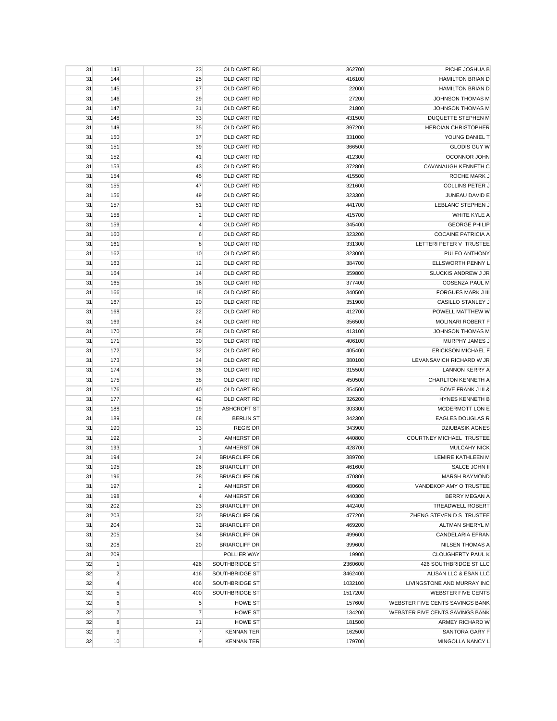| 31 | 143            | 23             | OLD CART RD          | 362700  | PICHE JOSHUA B                  |
|----|----------------|----------------|----------------------|---------|---------------------------------|
| 31 | 144            | 25             | OLD CART RD          | 416100  | <b>HAMILTON BRIAN D</b>         |
| 31 | 145            | 27             | OLD CART RD          | 22000   | <b>HAMILTON BRIAN D</b>         |
| 31 | 146            | 29             | OLD CART RD          | 27200   | JOHNSON THOMAS M                |
| 31 | 147            | 31             | OLD CART RD          | 21800   | JOHNSON THOMAS M                |
| 31 | 148            | 33             | OLD CART RD          | 431500  | DUQUETTE STEPHEN M              |
| 31 | 149            | 35             | OLD CART RD          | 397200  | <b>HEROIAN CHRISTOPHER</b>      |
| 31 | 150            | 37             | OLD CART RD          | 331000  | YOUNG DANIEL T                  |
| 31 | 151            | 39             | OLD CART RD          | 366500  | <b>GLODIS GUY W</b>             |
| 31 | 152            | 41             | OLD CART RD          | 412300  | OCONNOR JOHN                    |
| 31 | 153            | 43             | OLD CART RD          | 372800  | CAVANAUGH KENNETH C             |
| 31 | 154            | 45             | OLD CART RD          | 415500  | ROCHE MARK J                    |
| 31 | 155            | 47             | OLD CART RD          | 321600  | COLLINS PETER J                 |
| 31 | 156            | 49             | OLD CART RD          | 323300  | JUNEAU DAVID E                  |
| 31 | 157            | 51             | OLD CART RD          | 441700  | LEBLANC STEPHEN J               |
| 31 | 158            | $\overline{c}$ | OLD CART RD          | 415700  | WHITE KYLE A                    |
| 31 | 159            | $\overline{4}$ | OLD CART RD          | 345400  | <b>GEORGE PHILIP</b>            |
| 31 | 160            | 6              | OLD CART RD          | 323200  | <b>COCAINE PATRICIA A</b>       |
| 31 | 161            | 8              | OLD CART RD          | 331300  | LETTERI PETER V TRUSTEE         |
|    | 162            | 10             | OLD CART RD          | 323000  | PULEO ANTHONY                   |
| 31 |                |                | OLD CART RD          |         |                                 |
| 31 | 163            | 12             |                      | 384700  | ELLSWORTH PENNY L               |
| 31 | 164            | 14             | OLD CART RD          | 359800  | SLUCKIS ANDREW J JR             |
| 31 | 165            | 16             | OLD CART RD          | 377400  | <b>COSENZA PAUL M</b>           |
| 31 | 166            | 18             | OLD CART RD          | 340500  | <b>FORGUES MARK J III</b>       |
| 31 | 167            | 20             | OLD CART RD          | 351900  | CASILLO STANLEY J               |
| 31 | 168            | 22             | OLD CART RD          | 412700  | POWELL MATTHEW W                |
| 31 | 169            | 24             | OLD CART RD          | 356500  | <b>MOLINARI ROBERT F</b>        |
| 31 | 170            | 28             | OLD CART RD          | 413100  | <b>JOHNSON THOMAS M</b>         |
| 31 | 171            | 30             | OLD CART RD          | 406100  | MURPHY JAMES J                  |
| 31 | 172            | 32             | OLD CART RD          | 405400  | <b>ERICKSON MICHAEL F</b>       |
| 31 | 173            | 34             | OLD CART RD          | 380100  | LEVANSAVICH RICHARD W JR        |
| 31 | 174            | 36             | OLD CART RD          | 315500  | <b>LANNON KERRY A</b>           |
| 31 | 175            | 38             | OLD CART RD          | 450500  | CHARLTON KENNETH A              |
| 31 | 176            | 40             | OLD CART RD          | 354500  | <b>BOVE FRANK J III &amp;</b>   |
| 31 | 177            | 42             | OLD CART RD          | 326200  | HYNES KENNETH B                 |
| 31 | 188            | 19             | <b>ASHCROFT ST</b>   | 303300  | MCDERMOTT LON E                 |
| 31 | 189            | 68             | <b>BERLIN ST</b>     | 342300  | <b>EAGLES DOUGLAS R</b>         |
| 31 | 190            | 13             | <b>REGIS DR</b>      | 343900  | <b>DZIUBASIK AGNES</b>          |
| 31 | 192            | 3              | <b>AMHERST DR</b>    | 440800  | <b>COURTNEY MICHAEL TRUSTEE</b> |
| 31 | 193            | $\mathbf{1}$   | AMHERST DR           | 428700  | <b>MULCAHY NICK</b>             |
| 31 | 194            | 24             | <b>BRIARCLIFF DR</b> | 389700  | LEMIRE KATHLEEN M               |
| 31 | 195            | 26             | <b>BRIARCLIFF DR</b> | 461600  | SALCE JOHN II                   |
| 31 | 196            | 28             | <b>BRIARCLIFF DR</b> | 470800  | <b>MARSH RAYMOND</b>            |
| 31 | 197            | $\overline{2}$ | <b>AMHERST DR</b>    | 480600  | VANDEKOP AMY O TRUSTEE          |
| 31 | 198            | $\overline{4}$ | AMHERST DR           | 440300  | BERRY MEGAN A                   |
| 31 | 202            | 23             | <b>BRIARCLIFF DR</b> | 442400  | <b>TREADWELL ROBERT</b>         |
| 31 | 203            | 30             | <b>BRIARCLIFF DR</b> | 477200  | ZHENG STEVEN D S TRUSTEE        |
| 31 | 204            | 32             | <b>BRIARCLIFF DR</b> | 469200  | ALTMAN SHERYL M                 |
| 31 | 205            | 34             | <b>BRIARCLIFF DR</b> | 499600  | CANDELARIA EFRAN                |
| 31 | 208            | 20             | <b>BRIARCLIFF DR</b> | 399600  | <b>NILSEN THOMAS A</b>          |
| 31 | 209            |                | POLLIER WAY          | 19900   | <b>CLOUGHERTY PAUL K</b>        |
| 32 | 1              | 426            | SOUTHBRIDGE ST       | 2360600 | 426 SOUTHBRIDGE ST LLC          |
| 32 | $\overline{2}$ | 416            | SOUTHBRIDGE ST       | 3462400 | ALISAN LLC & ESAN LLC           |
| 32 | $\overline{4}$ | 406            | SOUTHBRIDGE ST       | 1032100 | LIVINGSTONE AND MURRAY INC      |
| 32 | $\sqrt{5}$     | 400            | SOUTHBRIDGE ST       | 1517200 | WEBSTER FIVE CENTS              |
| 32 | 6              | $\sqrt{5}$     | <b>HOWE ST</b>       | 157600  | WEBSTER FIVE CENTS SAVINGS BANK |
| 32 | $\overline{7}$ | $\overline{7}$ | <b>HOWE ST</b>       | 134200  | WEBSTER FIVE CENTS SAVINGS BANK |
| 32 | 8              | 21             | <b>HOWE ST</b>       | 181500  | ARMEY RICHARD W                 |
| 32 | 9              | $\overline{7}$ | <b>KENNAN TER</b>    | 162500  | SANTORA GARY F                  |
| 32 | 10             | 9              | <b>KENNAN TER</b>    | 179700  | MINGOLLA NANCY L                |
|    |                |                |                      |         |                                 |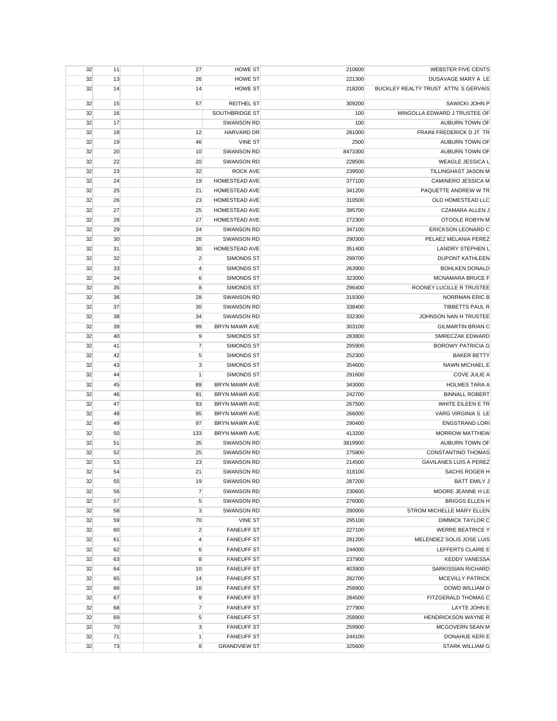| 32 | 11 | 27             | HOWE ST              | 210600  | <b>WEBSTER FIVE CENTS</b>            |
|----|----|----------------|----------------------|---------|--------------------------------------|
| 32 | 13 | 26             | <b>HOWE ST</b>       | 221300  | DUSAVAGE MARY A LE                   |
| 32 | 14 | 14             | <b>HOWE ST</b>       | 218200  | BUCKLEY REALTY TRUST ATTN: S GERVAIS |
| 32 | 15 | 57             | <b>REITHEL ST</b>    | 309200  | SAWICKI JOHN P                       |
| 32 | 16 |                | SOUTHBRIDGE ST       | 100     | MINGOLLA EDWARD J TRUSTEE OF         |
| 32 | 17 |                | <b>SWANSON RD</b>    | 100     | <b>AUBURN TOWN OF</b>                |
| 32 | 18 | 12             | HARVARD DR           | 281000  | FRAINI FREDERICK D JT TR             |
| 32 | 19 | 46             | <b>VINE ST</b>       | 2500    | AUBURN TOWN OF                       |
| 32 | 20 | 10             | <b>SWANSON RD</b>    | 8473300 | AUBURN TOWN OF                       |
| 32 | 22 | 20             | <b>SWANSON RD</b>    | 228500  | <b>WEAGLE JESSICA L</b>              |
| 32 | 23 | 32             | <b>ROCK AVE</b>      | 239500  | TILLINGHAST JASON M                  |
| 32 | 24 | 19             | <b>HOMESTEAD AVE</b> | 377100  | <b>CAMINERO JESSICA M</b>            |
| 32 | 25 | 21             | HOMESTEAD AVE        | 341200  | PAQUETTE ANDREW W TR                 |
| 32 | 26 | 23             | HOMESTEAD AVE        | 310500  | OLD HOMESTEAD LLC                    |
| 32 | 27 | 25             | HOMESTEAD AVE        | 395700  | CZAMARA ALLEN J                      |
| 32 | 28 | 27             | HOMESTEAD AVE        | 272300  | OTOOLE ROBYN M                       |
| 32 | 29 | 24             | <b>SWANSON RD</b>    | 347100  | ERICKSON LEONARD C                   |
| 32 | 30 | 26             | <b>SWANSON RD</b>    | 290300  | PELAEZ MELANIA PEREZ                 |
| 32 | 31 | 30             | <b>HOMESTEAD AVE</b> | 351400  | <b>LANDRY STEPHEN L</b>              |
| 32 | 32 | $\overline{2}$ | <b>SIMONDS ST</b>    | 299700  | <b>DUPONT KATHLEEN</b>               |
| 32 | 33 | 4              | <b>SIMONDS ST</b>    | 263900  | <b>BOHLKEN DONALD</b>                |
| 32 | 34 | 6              | <b>SIMONDS ST</b>    | 323000  | <b>MCNAMARA BRUCE F</b>              |
| 32 | 35 | 8              | <b>SIMONDS ST</b>    | 296400  | ROONEY LUCILLE R TRUSTEE             |
| 32 | 36 | 28             | <b>SWANSON RD</b>    | 319300  | <b>NORRMAN ERIC B</b>                |
| 32 | 37 | 30             | <b>SWANSON RD</b>    | 338400  | TIBBETTS PAUL R                      |
| 32 | 38 | 34             | <b>SWANSON RD</b>    | 332300  | JOHNSON NAN H TRUSTEE                |
| 32 | 39 | 99             | <b>BRYN MAWR AVE</b> | 303100  | <b>GILMARTIN BRIAN C</b>             |
| 32 | 40 | 9              | SIMONDS ST           | 283800  | SMRECZAK EDWARD                      |
| 32 | 41 | $\overline{7}$ | <b>SIMONDS ST</b>    | 295900  | <b>BOROWY PATRICIA G</b>             |
| 32 | 42 | 5              | <b>SIMONDS ST</b>    | 252300  | <b>BAKER BETTY</b>                   |
| 32 | 43 | 3              | <b>SIMONDS ST</b>    | 354600  | NAWN MICHAEL E                       |
| 32 | 44 | 1              | <b>SIMONDS ST</b>    | 291600  | <b>COVE JULIE A</b>                  |
| 32 | 45 | 89             | <b>BRYN MAWR AVE</b> | 343000  | <b>HOLMES TARA A</b>                 |
| 32 | 46 | 91             | <b>BRYN MAWR AVE</b> | 242700  | <b>BINNALL ROBERT</b>                |
| 32 | 47 | 93             | BRYN MAWR AVE        | 267500  | WHITE EILEEN E TR                    |
| 32 | 48 | 95             | BRYN MAWR AVE        | 266000  | VARG VIRGINIA S LE                   |
| 32 | 49 | 97             | BRYN MAWR AVE        | 290400  | <b>ENGSTRAND LORI</b>                |
| 32 | 50 | 133            | <b>BRYN MAWR AVE</b> | 413200  | <b>MORROW MATTHEW</b>                |
| 32 | 51 | 35             | <b>SWANSON RD</b>    | 3819900 | AUBURN TOWN OF                       |
| 32 | 52 | 25             | <b>SWANSON RD</b>    | 275800  | CONSTANTINO THOMAS                   |
| 32 | 53 | 23             | <b>SWANSON RD</b>    | 214500  | <b>GAVILANES LUIS A PEREZ</b>        |
| 32 | 54 | 21             | SWANSON RD           | 318100  | SACHS ROGER H                        |
| 32 | 55 | 19             | <b>SWANSON RD</b>    | 287200  | <b>BATT EMILY J</b>                  |
| 32 | 56 | $\overline{7}$ | <b>SWANSON RD</b>    | 230600  | MOORE JEANNE H LE                    |
| 32 | 57 | 5              | <b>SWANSON RD</b>    | 276000  | <b>BRIGGS ELLEN H</b>                |
| 32 | 58 | 3              | <b>SWANSON RD</b>    | 280000  | STROM MICHELLE MARY ELLEN            |
| 32 | 59 | 70             | VINE ST              | 295100  | <b>DIMMICK TAYLOR C</b>              |
| 32 | 60 | $\overline{2}$ | <b>FANEUFF ST</b>    | 227100  | <b>WERRE BEATRICE Y</b>              |
| 32 | 61 | 4              | <b>FANEUFF ST</b>    | 281200  | MELENDEZ SOLIS JOSE LUIS             |
| 32 | 62 | 6              | <b>FANEUFF ST</b>    | 244000  | LEFFERTS CLAIRE E                    |
| 32 | 63 | 8              | <b>FANEUFF ST</b>    | 237900  | <b>KEDDY VANESSA</b>                 |
| 32 | 64 | 10             | <b>FANEUFF ST</b>    | 403900  | SARKISSIAN RICHARD                   |
| 32 | 65 | 14             | <b>FANEUFF ST</b>    | 282700  | <b>MCEVILLY PATRICK</b>              |
| 32 | 66 | 16             | <b>FANEUFF ST</b>    | 258900  | DOWD WILLIAM D                       |
| 32 | 67 | 9              | <b>FANEUFF ST</b>    | 284500  | FITZGERALD THOMAS C                  |
| 32 | 68 | $\overline{7}$ | <b>FANEUFF ST</b>    | 277900  | LAYTE JOHN E                         |
| 32 | 69 | 5              | <b>FANEUFF ST</b>    | 258900  | HENDRICKSON WAYNE R                  |
| 32 | 70 | 3              | <b>FANEUFF ST</b>    | 259900  | MCGOVERN SEAN M                      |
| 32 | 71 | $\mathbf{1}$   | <b>FANEUFF ST</b>    | 244100  | DONAHUE KERI E                       |
| 32 | 73 | 8              | <b>GRANDVIEW ST</b>  | 325600  | <b>STARK WILLIAM G</b>               |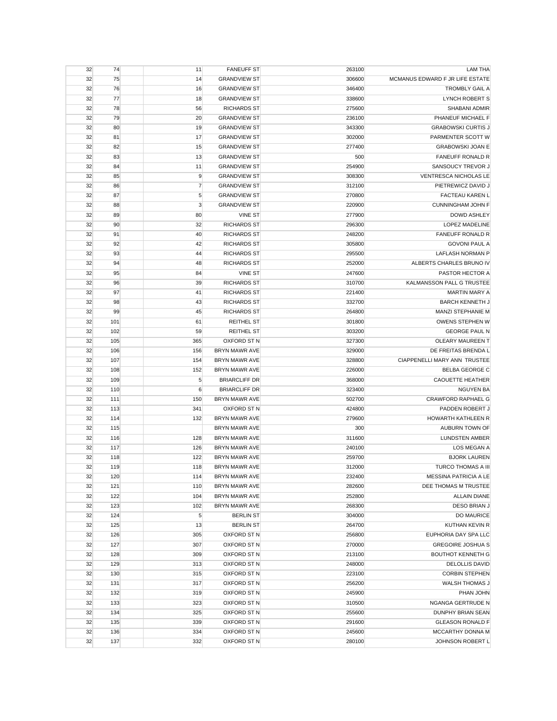| 75<br><b>GRANDVIEW ST</b><br>MCMANUS EDWARD F JR LIFE ESTATE<br>32<br>14<br>306600<br><b>TROMBLY GAIL A</b><br>32<br>76<br>16<br><b>GRANDVIEW ST</b><br>346400<br>32<br>77<br><b>LYNCH ROBERT S</b><br>18<br><b>GRANDVIEW ST</b><br>338600<br>32<br>78<br>56<br><b>RICHARDS ST</b><br>275600<br>SHABANI ADMIR<br>32<br>79<br>20<br>PHANEUF MICHAEL F<br><b>GRANDVIEW ST</b><br>236100<br><b>GRABOWSKI CURTIS J</b><br>32<br>80<br>19<br><b>GRANDVIEW ST</b><br>343300<br>32<br>81<br>17<br><b>GRANDVIEW ST</b><br>302000<br>PARMENTER SCOTT W<br>32<br>82<br>15<br><b>GRANDVIEW ST</b><br>277400<br><b>GRABOWSKI JOAN E</b><br>32<br><b>FANEUFF RONALD R</b><br>83<br>13<br><b>GRANDVIEW ST</b><br>500<br>SANSOUCY TREVOR J<br>32<br>84<br>11<br><b>GRANDVIEW ST</b><br>254900<br>32<br>9<br>308300<br><b>VENTRESCA NICHOLAS LE</b><br>85<br><b>GRANDVIEW ST</b><br>32<br>$\overline{7}$<br>86<br><b>GRANDVIEW ST</b><br>312100<br>PIETREWICZ DAVID J<br>32<br>87<br>5<br><b>FACTEAU KAREN L</b><br><b>GRANDVIEW ST</b><br>270800<br>3<br>32<br>88<br><b>GRANDVIEW ST</b><br>220900<br><b>CUNNINGHAM JOHN F</b><br>80<br><b>VINE ST</b><br>277900<br><b>DOWD ASHLEY</b><br>32<br>89<br>32<br>32<br>90<br><b>RICHARDS ST</b><br>296300<br><b>LOPEZ MADELINE</b><br>32<br>91<br>40<br><b>RICHARDS ST</b><br>248200<br><b>FANEUFF RONALD R</b><br>32<br>92<br>42<br><b>RICHARDS ST</b><br>305800<br><b>GOVONI PAUL A</b><br><b>RICHARDS ST</b><br><b>LAFLASH NORMAN P</b><br>32<br>93<br>44<br>295500<br>48<br>ALBERTS CHARLES BRUNO IV<br>32<br>94<br><b>RICHARDS ST</b><br>252000<br>32<br><b>VINE ST</b><br>PASTOR HECTOR A<br>95<br>84<br>247600<br>39<br><b>RICHARDS ST</b><br>KALMANSSON PALL G TRUSTEE<br>32<br>96<br>310700<br>32<br>97<br>41<br><b>MARTIN MARY A</b><br><b>RICHARDS ST</b><br>221400<br>43<br>32<br>98<br><b>RICHARDS ST</b><br>332700<br><b>BARCH KENNETH J</b><br>32<br>99<br>45<br><b>RICHARDS ST</b><br>264800<br>MANZI STEPHANIE M<br>32<br>101<br>61<br><b>REITHEL ST</b><br>301800<br><b>OWENS STEPHEN W</b><br>32<br>102<br>59<br><b>REITHEL ST</b><br>303200<br><b>GEORGE PAUL N</b><br>32<br>105<br>365<br>OXFORD ST N<br>327300<br>OLEARY MAUREEN T<br>329000<br>DE FREITAS BRENDA L<br>32<br>106<br>156<br>BRYN MAWR AVE<br>32<br>328800<br>CIAPPENELLI MARY ANN TRUSTEE<br>107<br>154<br><b>BRYN MAWR AVE</b><br>32<br>152<br><b>BELBA GEORGE C</b><br>108<br><b>BRYN MAWR AVE</b><br>226000<br>32<br>109<br>5<br><b>CAOUETTE HEATHER</b><br><b>BRIARCLIFF DR</b><br>368000<br><b>NGUYEN BA</b><br>32<br>110<br>6<br><b>BRIARCLIFF DR</b><br>323400<br>32<br>111<br>150<br><b>BRYN MAWR AVE</b><br>502700<br><b>CRAWFORD RAPHAEL G</b><br>PADDEN ROBERT J<br>32<br>OXFORD ST N<br>424800<br>113<br>341<br>32<br>114<br>132<br>BRYN MAWR AVE<br>279600<br><b>HOWARTH KATHLEEN R</b><br>32<br>115<br><b>BRYN MAWR AVE</b><br>300<br><b>AUBURN TOWN OF</b><br>32<br>116<br>128<br><b>BRYN MAWR AVE</b><br>311600<br><b>LUNDSTEN AMBER</b><br>LOS MEGAN A<br>32<br>117<br>126<br>BRYN MAWR AVE<br>240100<br>32<br>118<br>122<br>BRYN MAWR AVE<br>259700<br><b>BJORK LAUREN</b><br><b>TURCO THOMAS A III</b><br>32<br>119<br>118<br><b>BRYN MAWR AVE</b><br>312000<br>32<br>120<br>114<br>232400<br>BRYN MAWR AVE<br><b>MESSINA PATRICIA A LE</b><br>32<br>121<br>110<br><b>BRYN MAWR AVE</b><br>282600<br>DEE THOMAS M TRUSTEE<br>32<br>122<br>252800<br>104<br>BRYN MAWR AVE<br><b>ALLAIN DIANE</b><br>123<br>32<br>102<br>BRYN MAWR AVE<br>268300<br>DESO BRIAN J<br>5<br>304000<br>32<br>124<br><b>BERLIN ST</b><br><b>DO MAURICE</b><br>32<br>125<br>13<br><b>BERLIN ST</b><br>264700<br>KUTHAN KEVIN R<br>32<br>305<br>OXFORD ST N<br>EUPHORIA DAY SPA LLC<br>126<br>256800<br>127<br>307<br><b>OXFORD ST N</b><br>32<br>270000<br><b>GREGOIRE JOSHUA S</b><br>32<br>128<br>309<br>OXFORD ST N<br><b>BOUTHOT KENNETH G</b><br>213100<br>32<br>129<br>OXFORD ST N<br>248000<br><b>DELOLLIS DAVID</b><br>313<br>32<br>130<br><b>OXFORD ST N</b><br>223100<br>315<br><b>CORBIN STEPHEN</b><br>32<br>131<br>317<br>OXFORD ST N<br>256200<br><b>WALSH THOMAS J</b><br>32<br>132<br>319<br>OXFORD ST N<br>245900<br>PHAN JOHN<br>310500<br>32<br>133<br>323<br>OXFORD ST N<br>NGANGA GERTRUDE N<br>134<br>32<br>325<br>OXFORD ST N<br>255600<br>DUNPHY BRIAN SEAN<br>32<br>135<br>339<br>OXFORD ST N<br>291600<br><b>GLEASON RONALD F</b><br>32<br>136<br>334<br>OXFORD ST N<br>245600<br>MCCARTHY DONNA M<br>32<br>137<br>332<br>OXFORD ST N<br>280100<br>JOHNSON ROBERT L | <b>LAM THA</b> | 263100 | <b>FANEUFF ST</b> | 11 | 74 | 32 |
|-----------------------------------------------------------------------------------------------------------------------------------------------------------------------------------------------------------------------------------------------------------------------------------------------------------------------------------------------------------------------------------------------------------------------------------------------------------------------------------------------------------------------------------------------------------------------------------------------------------------------------------------------------------------------------------------------------------------------------------------------------------------------------------------------------------------------------------------------------------------------------------------------------------------------------------------------------------------------------------------------------------------------------------------------------------------------------------------------------------------------------------------------------------------------------------------------------------------------------------------------------------------------------------------------------------------------------------------------------------------------------------------------------------------------------------------------------------------------------------------------------------------------------------------------------------------------------------------------------------------------------------------------------------------------------------------------------------------------------------------------------------------------------------------------------------------------------------------------------------------------------------------------------------------------------------------------------------------------------------------------------------------------------------------------------------------------------------------------------------------------------------------------------------------------------------------------------------------------------------------------------------------------------------------------------------------------------------------------------------------------------------------------------------------------------------------------------------------------------------------------------------------------------------------------------------------------------------------------------------------------------------------------------------------------------------------------------------------------------------------------------------------------------------------------------------------------------------------------------------------------------------------------------------------------------------------------------------------------------------------------------------------------------------------------------------------------------------------------------------------------------------------------------------------------------------------------------------------------------------------------------------------------------------------------------------------------------------------------------------------------------------------------------------------------------------------------------------------------------------------------------------------------------------------------------------------------------------------------------------------------------------------------------------------------------------------------------------------------------------------------------------------------------------------------------------------------------------------------------------------------------------------------------------------------------------------------------------------------------------------------------------------------------------------------------------------------------------------------------------------------------------------------------------------------------------------------------------------------------------------------------------------------------------------------------------------------------------------------------------------------------------------------------------------------------------------------------------------------------------------------------------|----------------|--------|-------------------|----|----|----|
|                                                                                                                                                                                                                                                                                                                                                                                                                                                                                                                                                                                                                                                                                                                                                                                                                                                                                                                                                                                                                                                                                                                                                                                                                                                                                                                                                                                                                                                                                                                                                                                                                                                                                                                                                                                                                                                                                                                                                                                                                                                                                                                                                                                                                                                                                                                                                                                                                                                                                                                                                                                                                                                                                                                                                                                                                                                                                                                                                                                                                                                                                                                                                                                                                                                                                                                                                                                                                                                                                                                                                                                                                                                                                                                                                                                                                                                                                                                                                                                                                                                                                                                                                                                                                                                                                                                                                                                                                                                                                                           |                |        |                   |    |    |    |
|                                                                                                                                                                                                                                                                                                                                                                                                                                                                                                                                                                                                                                                                                                                                                                                                                                                                                                                                                                                                                                                                                                                                                                                                                                                                                                                                                                                                                                                                                                                                                                                                                                                                                                                                                                                                                                                                                                                                                                                                                                                                                                                                                                                                                                                                                                                                                                                                                                                                                                                                                                                                                                                                                                                                                                                                                                                                                                                                                                                                                                                                                                                                                                                                                                                                                                                                                                                                                                                                                                                                                                                                                                                                                                                                                                                                                                                                                                                                                                                                                                                                                                                                                                                                                                                                                                                                                                                                                                                                                                           |                |        |                   |    |    |    |
|                                                                                                                                                                                                                                                                                                                                                                                                                                                                                                                                                                                                                                                                                                                                                                                                                                                                                                                                                                                                                                                                                                                                                                                                                                                                                                                                                                                                                                                                                                                                                                                                                                                                                                                                                                                                                                                                                                                                                                                                                                                                                                                                                                                                                                                                                                                                                                                                                                                                                                                                                                                                                                                                                                                                                                                                                                                                                                                                                                                                                                                                                                                                                                                                                                                                                                                                                                                                                                                                                                                                                                                                                                                                                                                                                                                                                                                                                                                                                                                                                                                                                                                                                                                                                                                                                                                                                                                                                                                                                                           |                |        |                   |    |    |    |
|                                                                                                                                                                                                                                                                                                                                                                                                                                                                                                                                                                                                                                                                                                                                                                                                                                                                                                                                                                                                                                                                                                                                                                                                                                                                                                                                                                                                                                                                                                                                                                                                                                                                                                                                                                                                                                                                                                                                                                                                                                                                                                                                                                                                                                                                                                                                                                                                                                                                                                                                                                                                                                                                                                                                                                                                                                                                                                                                                                                                                                                                                                                                                                                                                                                                                                                                                                                                                                                                                                                                                                                                                                                                                                                                                                                                                                                                                                                                                                                                                                                                                                                                                                                                                                                                                                                                                                                                                                                                                                           |                |        |                   |    |    |    |
|                                                                                                                                                                                                                                                                                                                                                                                                                                                                                                                                                                                                                                                                                                                                                                                                                                                                                                                                                                                                                                                                                                                                                                                                                                                                                                                                                                                                                                                                                                                                                                                                                                                                                                                                                                                                                                                                                                                                                                                                                                                                                                                                                                                                                                                                                                                                                                                                                                                                                                                                                                                                                                                                                                                                                                                                                                                                                                                                                                                                                                                                                                                                                                                                                                                                                                                                                                                                                                                                                                                                                                                                                                                                                                                                                                                                                                                                                                                                                                                                                                                                                                                                                                                                                                                                                                                                                                                                                                                                                                           |                |        |                   |    |    |    |
|                                                                                                                                                                                                                                                                                                                                                                                                                                                                                                                                                                                                                                                                                                                                                                                                                                                                                                                                                                                                                                                                                                                                                                                                                                                                                                                                                                                                                                                                                                                                                                                                                                                                                                                                                                                                                                                                                                                                                                                                                                                                                                                                                                                                                                                                                                                                                                                                                                                                                                                                                                                                                                                                                                                                                                                                                                                                                                                                                                                                                                                                                                                                                                                                                                                                                                                                                                                                                                                                                                                                                                                                                                                                                                                                                                                                                                                                                                                                                                                                                                                                                                                                                                                                                                                                                                                                                                                                                                                                                                           |                |        |                   |    |    |    |
|                                                                                                                                                                                                                                                                                                                                                                                                                                                                                                                                                                                                                                                                                                                                                                                                                                                                                                                                                                                                                                                                                                                                                                                                                                                                                                                                                                                                                                                                                                                                                                                                                                                                                                                                                                                                                                                                                                                                                                                                                                                                                                                                                                                                                                                                                                                                                                                                                                                                                                                                                                                                                                                                                                                                                                                                                                                                                                                                                                                                                                                                                                                                                                                                                                                                                                                                                                                                                                                                                                                                                                                                                                                                                                                                                                                                                                                                                                                                                                                                                                                                                                                                                                                                                                                                                                                                                                                                                                                                                                           |                |        |                   |    |    |    |
|                                                                                                                                                                                                                                                                                                                                                                                                                                                                                                                                                                                                                                                                                                                                                                                                                                                                                                                                                                                                                                                                                                                                                                                                                                                                                                                                                                                                                                                                                                                                                                                                                                                                                                                                                                                                                                                                                                                                                                                                                                                                                                                                                                                                                                                                                                                                                                                                                                                                                                                                                                                                                                                                                                                                                                                                                                                                                                                                                                                                                                                                                                                                                                                                                                                                                                                                                                                                                                                                                                                                                                                                                                                                                                                                                                                                                                                                                                                                                                                                                                                                                                                                                                                                                                                                                                                                                                                                                                                                                                           |                |        |                   |    |    |    |
|                                                                                                                                                                                                                                                                                                                                                                                                                                                                                                                                                                                                                                                                                                                                                                                                                                                                                                                                                                                                                                                                                                                                                                                                                                                                                                                                                                                                                                                                                                                                                                                                                                                                                                                                                                                                                                                                                                                                                                                                                                                                                                                                                                                                                                                                                                                                                                                                                                                                                                                                                                                                                                                                                                                                                                                                                                                                                                                                                                                                                                                                                                                                                                                                                                                                                                                                                                                                                                                                                                                                                                                                                                                                                                                                                                                                                                                                                                                                                                                                                                                                                                                                                                                                                                                                                                                                                                                                                                                                                                           |                |        |                   |    |    |    |
|                                                                                                                                                                                                                                                                                                                                                                                                                                                                                                                                                                                                                                                                                                                                                                                                                                                                                                                                                                                                                                                                                                                                                                                                                                                                                                                                                                                                                                                                                                                                                                                                                                                                                                                                                                                                                                                                                                                                                                                                                                                                                                                                                                                                                                                                                                                                                                                                                                                                                                                                                                                                                                                                                                                                                                                                                                                                                                                                                                                                                                                                                                                                                                                                                                                                                                                                                                                                                                                                                                                                                                                                                                                                                                                                                                                                                                                                                                                                                                                                                                                                                                                                                                                                                                                                                                                                                                                                                                                                                                           |                |        |                   |    |    |    |
|                                                                                                                                                                                                                                                                                                                                                                                                                                                                                                                                                                                                                                                                                                                                                                                                                                                                                                                                                                                                                                                                                                                                                                                                                                                                                                                                                                                                                                                                                                                                                                                                                                                                                                                                                                                                                                                                                                                                                                                                                                                                                                                                                                                                                                                                                                                                                                                                                                                                                                                                                                                                                                                                                                                                                                                                                                                                                                                                                                                                                                                                                                                                                                                                                                                                                                                                                                                                                                                                                                                                                                                                                                                                                                                                                                                                                                                                                                                                                                                                                                                                                                                                                                                                                                                                                                                                                                                                                                                                                                           |                |        |                   |    |    |    |
|                                                                                                                                                                                                                                                                                                                                                                                                                                                                                                                                                                                                                                                                                                                                                                                                                                                                                                                                                                                                                                                                                                                                                                                                                                                                                                                                                                                                                                                                                                                                                                                                                                                                                                                                                                                                                                                                                                                                                                                                                                                                                                                                                                                                                                                                                                                                                                                                                                                                                                                                                                                                                                                                                                                                                                                                                                                                                                                                                                                                                                                                                                                                                                                                                                                                                                                                                                                                                                                                                                                                                                                                                                                                                                                                                                                                                                                                                                                                                                                                                                                                                                                                                                                                                                                                                                                                                                                                                                                                                                           |                |        |                   |    |    |    |
|                                                                                                                                                                                                                                                                                                                                                                                                                                                                                                                                                                                                                                                                                                                                                                                                                                                                                                                                                                                                                                                                                                                                                                                                                                                                                                                                                                                                                                                                                                                                                                                                                                                                                                                                                                                                                                                                                                                                                                                                                                                                                                                                                                                                                                                                                                                                                                                                                                                                                                                                                                                                                                                                                                                                                                                                                                                                                                                                                                                                                                                                                                                                                                                                                                                                                                                                                                                                                                                                                                                                                                                                                                                                                                                                                                                                                                                                                                                                                                                                                                                                                                                                                                                                                                                                                                                                                                                                                                                                                                           |                |        |                   |    |    |    |
|                                                                                                                                                                                                                                                                                                                                                                                                                                                                                                                                                                                                                                                                                                                                                                                                                                                                                                                                                                                                                                                                                                                                                                                                                                                                                                                                                                                                                                                                                                                                                                                                                                                                                                                                                                                                                                                                                                                                                                                                                                                                                                                                                                                                                                                                                                                                                                                                                                                                                                                                                                                                                                                                                                                                                                                                                                                                                                                                                                                                                                                                                                                                                                                                                                                                                                                                                                                                                                                                                                                                                                                                                                                                                                                                                                                                                                                                                                                                                                                                                                                                                                                                                                                                                                                                                                                                                                                                                                                                                                           |                |        |                   |    |    |    |
|                                                                                                                                                                                                                                                                                                                                                                                                                                                                                                                                                                                                                                                                                                                                                                                                                                                                                                                                                                                                                                                                                                                                                                                                                                                                                                                                                                                                                                                                                                                                                                                                                                                                                                                                                                                                                                                                                                                                                                                                                                                                                                                                                                                                                                                                                                                                                                                                                                                                                                                                                                                                                                                                                                                                                                                                                                                                                                                                                                                                                                                                                                                                                                                                                                                                                                                                                                                                                                                                                                                                                                                                                                                                                                                                                                                                                                                                                                                                                                                                                                                                                                                                                                                                                                                                                                                                                                                                                                                                                                           |                |        |                   |    |    |    |
|                                                                                                                                                                                                                                                                                                                                                                                                                                                                                                                                                                                                                                                                                                                                                                                                                                                                                                                                                                                                                                                                                                                                                                                                                                                                                                                                                                                                                                                                                                                                                                                                                                                                                                                                                                                                                                                                                                                                                                                                                                                                                                                                                                                                                                                                                                                                                                                                                                                                                                                                                                                                                                                                                                                                                                                                                                                                                                                                                                                                                                                                                                                                                                                                                                                                                                                                                                                                                                                                                                                                                                                                                                                                                                                                                                                                                                                                                                                                                                                                                                                                                                                                                                                                                                                                                                                                                                                                                                                                                                           |                |        |                   |    |    |    |
|                                                                                                                                                                                                                                                                                                                                                                                                                                                                                                                                                                                                                                                                                                                                                                                                                                                                                                                                                                                                                                                                                                                                                                                                                                                                                                                                                                                                                                                                                                                                                                                                                                                                                                                                                                                                                                                                                                                                                                                                                                                                                                                                                                                                                                                                                                                                                                                                                                                                                                                                                                                                                                                                                                                                                                                                                                                                                                                                                                                                                                                                                                                                                                                                                                                                                                                                                                                                                                                                                                                                                                                                                                                                                                                                                                                                                                                                                                                                                                                                                                                                                                                                                                                                                                                                                                                                                                                                                                                                                                           |                |        |                   |    |    |    |
|                                                                                                                                                                                                                                                                                                                                                                                                                                                                                                                                                                                                                                                                                                                                                                                                                                                                                                                                                                                                                                                                                                                                                                                                                                                                                                                                                                                                                                                                                                                                                                                                                                                                                                                                                                                                                                                                                                                                                                                                                                                                                                                                                                                                                                                                                                                                                                                                                                                                                                                                                                                                                                                                                                                                                                                                                                                                                                                                                                                                                                                                                                                                                                                                                                                                                                                                                                                                                                                                                                                                                                                                                                                                                                                                                                                                                                                                                                                                                                                                                                                                                                                                                                                                                                                                                                                                                                                                                                                                                                           |                |        |                   |    |    |    |
|                                                                                                                                                                                                                                                                                                                                                                                                                                                                                                                                                                                                                                                                                                                                                                                                                                                                                                                                                                                                                                                                                                                                                                                                                                                                                                                                                                                                                                                                                                                                                                                                                                                                                                                                                                                                                                                                                                                                                                                                                                                                                                                                                                                                                                                                                                                                                                                                                                                                                                                                                                                                                                                                                                                                                                                                                                                                                                                                                                                                                                                                                                                                                                                                                                                                                                                                                                                                                                                                                                                                                                                                                                                                                                                                                                                                                                                                                                                                                                                                                                                                                                                                                                                                                                                                                                                                                                                                                                                                                                           |                |        |                   |    |    |    |
|                                                                                                                                                                                                                                                                                                                                                                                                                                                                                                                                                                                                                                                                                                                                                                                                                                                                                                                                                                                                                                                                                                                                                                                                                                                                                                                                                                                                                                                                                                                                                                                                                                                                                                                                                                                                                                                                                                                                                                                                                                                                                                                                                                                                                                                                                                                                                                                                                                                                                                                                                                                                                                                                                                                                                                                                                                                                                                                                                                                                                                                                                                                                                                                                                                                                                                                                                                                                                                                                                                                                                                                                                                                                                                                                                                                                                                                                                                                                                                                                                                                                                                                                                                                                                                                                                                                                                                                                                                                                                                           |                |        |                   |    |    |    |
|                                                                                                                                                                                                                                                                                                                                                                                                                                                                                                                                                                                                                                                                                                                                                                                                                                                                                                                                                                                                                                                                                                                                                                                                                                                                                                                                                                                                                                                                                                                                                                                                                                                                                                                                                                                                                                                                                                                                                                                                                                                                                                                                                                                                                                                                                                                                                                                                                                                                                                                                                                                                                                                                                                                                                                                                                                                                                                                                                                                                                                                                                                                                                                                                                                                                                                                                                                                                                                                                                                                                                                                                                                                                                                                                                                                                                                                                                                                                                                                                                                                                                                                                                                                                                                                                                                                                                                                                                                                                                                           |                |        |                   |    |    |    |
|                                                                                                                                                                                                                                                                                                                                                                                                                                                                                                                                                                                                                                                                                                                                                                                                                                                                                                                                                                                                                                                                                                                                                                                                                                                                                                                                                                                                                                                                                                                                                                                                                                                                                                                                                                                                                                                                                                                                                                                                                                                                                                                                                                                                                                                                                                                                                                                                                                                                                                                                                                                                                                                                                                                                                                                                                                                                                                                                                                                                                                                                                                                                                                                                                                                                                                                                                                                                                                                                                                                                                                                                                                                                                                                                                                                                                                                                                                                                                                                                                                                                                                                                                                                                                                                                                                                                                                                                                                                                                                           |                |        |                   |    |    |    |
|                                                                                                                                                                                                                                                                                                                                                                                                                                                                                                                                                                                                                                                                                                                                                                                                                                                                                                                                                                                                                                                                                                                                                                                                                                                                                                                                                                                                                                                                                                                                                                                                                                                                                                                                                                                                                                                                                                                                                                                                                                                                                                                                                                                                                                                                                                                                                                                                                                                                                                                                                                                                                                                                                                                                                                                                                                                                                                                                                                                                                                                                                                                                                                                                                                                                                                                                                                                                                                                                                                                                                                                                                                                                                                                                                                                                                                                                                                                                                                                                                                                                                                                                                                                                                                                                                                                                                                                                                                                                                                           |                |        |                   |    |    |    |
|                                                                                                                                                                                                                                                                                                                                                                                                                                                                                                                                                                                                                                                                                                                                                                                                                                                                                                                                                                                                                                                                                                                                                                                                                                                                                                                                                                                                                                                                                                                                                                                                                                                                                                                                                                                                                                                                                                                                                                                                                                                                                                                                                                                                                                                                                                                                                                                                                                                                                                                                                                                                                                                                                                                                                                                                                                                                                                                                                                                                                                                                                                                                                                                                                                                                                                                                                                                                                                                                                                                                                                                                                                                                                                                                                                                                                                                                                                                                                                                                                                                                                                                                                                                                                                                                                                                                                                                                                                                                                                           |                |        |                   |    |    |    |
|                                                                                                                                                                                                                                                                                                                                                                                                                                                                                                                                                                                                                                                                                                                                                                                                                                                                                                                                                                                                                                                                                                                                                                                                                                                                                                                                                                                                                                                                                                                                                                                                                                                                                                                                                                                                                                                                                                                                                                                                                                                                                                                                                                                                                                                                                                                                                                                                                                                                                                                                                                                                                                                                                                                                                                                                                                                                                                                                                                                                                                                                                                                                                                                                                                                                                                                                                                                                                                                                                                                                                                                                                                                                                                                                                                                                                                                                                                                                                                                                                                                                                                                                                                                                                                                                                                                                                                                                                                                                                                           |                |        |                   |    |    |    |
|                                                                                                                                                                                                                                                                                                                                                                                                                                                                                                                                                                                                                                                                                                                                                                                                                                                                                                                                                                                                                                                                                                                                                                                                                                                                                                                                                                                                                                                                                                                                                                                                                                                                                                                                                                                                                                                                                                                                                                                                                                                                                                                                                                                                                                                                                                                                                                                                                                                                                                                                                                                                                                                                                                                                                                                                                                                                                                                                                                                                                                                                                                                                                                                                                                                                                                                                                                                                                                                                                                                                                                                                                                                                                                                                                                                                                                                                                                                                                                                                                                                                                                                                                                                                                                                                                                                                                                                                                                                                                                           |                |        |                   |    |    |    |
|                                                                                                                                                                                                                                                                                                                                                                                                                                                                                                                                                                                                                                                                                                                                                                                                                                                                                                                                                                                                                                                                                                                                                                                                                                                                                                                                                                                                                                                                                                                                                                                                                                                                                                                                                                                                                                                                                                                                                                                                                                                                                                                                                                                                                                                                                                                                                                                                                                                                                                                                                                                                                                                                                                                                                                                                                                                                                                                                                                                                                                                                                                                                                                                                                                                                                                                                                                                                                                                                                                                                                                                                                                                                                                                                                                                                                                                                                                                                                                                                                                                                                                                                                                                                                                                                                                                                                                                                                                                                                                           |                |        |                   |    |    |    |
|                                                                                                                                                                                                                                                                                                                                                                                                                                                                                                                                                                                                                                                                                                                                                                                                                                                                                                                                                                                                                                                                                                                                                                                                                                                                                                                                                                                                                                                                                                                                                                                                                                                                                                                                                                                                                                                                                                                                                                                                                                                                                                                                                                                                                                                                                                                                                                                                                                                                                                                                                                                                                                                                                                                                                                                                                                                                                                                                                                                                                                                                                                                                                                                                                                                                                                                                                                                                                                                                                                                                                                                                                                                                                                                                                                                                                                                                                                                                                                                                                                                                                                                                                                                                                                                                                                                                                                                                                                                                                                           |                |        |                   |    |    |    |
|                                                                                                                                                                                                                                                                                                                                                                                                                                                                                                                                                                                                                                                                                                                                                                                                                                                                                                                                                                                                                                                                                                                                                                                                                                                                                                                                                                                                                                                                                                                                                                                                                                                                                                                                                                                                                                                                                                                                                                                                                                                                                                                                                                                                                                                                                                                                                                                                                                                                                                                                                                                                                                                                                                                                                                                                                                                                                                                                                                                                                                                                                                                                                                                                                                                                                                                                                                                                                                                                                                                                                                                                                                                                                                                                                                                                                                                                                                                                                                                                                                                                                                                                                                                                                                                                                                                                                                                                                                                                                                           |                |        |                   |    |    |    |
|                                                                                                                                                                                                                                                                                                                                                                                                                                                                                                                                                                                                                                                                                                                                                                                                                                                                                                                                                                                                                                                                                                                                                                                                                                                                                                                                                                                                                                                                                                                                                                                                                                                                                                                                                                                                                                                                                                                                                                                                                                                                                                                                                                                                                                                                                                                                                                                                                                                                                                                                                                                                                                                                                                                                                                                                                                                                                                                                                                                                                                                                                                                                                                                                                                                                                                                                                                                                                                                                                                                                                                                                                                                                                                                                                                                                                                                                                                                                                                                                                                                                                                                                                                                                                                                                                                                                                                                                                                                                                                           |                |        |                   |    |    |    |
|                                                                                                                                                                                                                                                                                                                                                                                                                                                                                                                                                                                                                                                                                                                                                                                                                                                                                                                                                                                                                                                                                                                                                                                                                                                                                                                                                                                                                                                                                                                                                                                                                                                                                                                                                                                                                                                                                                                                                                                                                                                                                                                                                                                                                                                                                                                                                                                                                                                                                                                                                                                                                                                                                                                                                                                                                                                                                                                                                                                                                                                                                                                                                                                                                                                                                                                                                                                                                                                                                                                                                                                                                                                                                                                                                                                                                                                                                                                                                                                                                                                                                                                                                                                                                                                                                                                                                                                                                                                                                                           |                |        |                   |    |    |    |
|                                                                                                                                                                                                                                                                                                                                                                                                                                                                                                                                                                                                                                                                                                                                                                                                                                                                                                                                                                                                                                                                                                                                                                                                                                                                                                                                                                                                                                                                                                                                                                                                                                                                                                                                                                                                                                                                                                                                                                                                                                                                                                                                                                                                                                                                                                                                                                                                                                                                                                                                                                                                                                                                                                                                                                                                                                                                                                                                                                                                                                                                                                                                                                                                                                                                                                                                                                                                                                                                                                                                                                                                                                                                                                                                                                                                                                                                                                                                                                                                                                                                                                                                                                                                                                                                                                                                                                                                                                                                                                           |                |        |                   |    |    |    |
|                                                                                                                                                                                                                                                                                                                                                                                                                                                                                                                                                                                                                                                                                                                                                                                                                                                                                                                                                                                                                                                                                                                                                                                                                                                                                                                                                                                                                                                                                                                                                                                                                                                                                                                                                                                                                                                                                                                                                                                                                                                                                                                                                                                                                                                                                                                                                                                                                                                                                                                                                                                                                                                                                                                                                                                                                                                                                                                                                                                                                                                                                                                                                                                                                                                                                                                                                                                                                                                                                                                                                                                                                                                                                                                                                                                                                                                                                                                                                                                                                                                                                                                                                                                                                                                                                                                                                                                                                                                                                                           |                |        |                   |    |    |    |
|                                                                                                                                                                                                                                                                                                                                                                                                                                                                                                                                                                                                                                                                                                                                                                                                                                                                                                                                                                                                                                                                                                                                                                                                                                                                                                                                                                                                                                                                                                                                                                                                                                                                                                                                                                                                                                                                                                                                                                                                                                                                                                                                                                                                                                                                                                                                                                                                                                                                                                                                                                                                                                                                                                                                                                                                                                                                                                                                                                                                                                                                                                                                                                                                                                                                                                                                                                                                                                                                                                                                                                                                                                                                                                                                                                                                                                                                                                                                                                                                                                                                                                                                                                                                                                                                                                                                                                                                                                                                                                           |                |        |                   |    |    |    |
|                                                                                                                                                                                                                                                                                                                                                                                                                                                                                                                                                                                                                                                                                                                                                                                                                                                                                                                                                                                                                                                                                                                                                                                                                                                                                                                                                                                                                                                                                                                                                                                                                                                                                                                                                                                                                                                                                                                                                                                                                                                                                                                                                                                                                                                                                                                                                                                                                                                                                                                                                                                                                                                                                                                                                                                                                                                                                                                                                                                                                                                                                                                                                                                                                                                                                                                                                                                                                                                                                                                                                                                                                                                                                                                                                                                                                                                                                                                                                                                                                                                                                                                                                                                                                                                                                                                                                                                                                                                                                                           |                |        |                   |    |    |    |
|                                                                                                                                                                                                                                                                                                                                                                                                                                                                                                                                                                                                                                                                                                                                                                                                                                                                                                                                                                                                                                                                                                                                                                                                                                                                                                                                                                                                                                                                                                                                                                                                                                                                                                                                                                                                                                                                                                                                                                                                                                                                                                                                                                                                                                                                                                                                                                                                                                                                                                                                                                                                                                                                                                                                                                                                                                                                                                                                                                                                                                                                                                                                                                                                                                                                                                                                                                                                                                                                                                                                                                                                                                                                                                                                                                                                                                                                                                                                                                                                                                                                                                                                                                                                                                                                                                                                                                                                                                                                                                           |                |        |                   |    |    |    |
|                                                                                                                                                                                                                                                                                                                                                                                                                                                                                                                                                                                                                                                                                                                                                                                                                                                                                                                                                                                                                                                                                                                                                                                                                                                                                                                                                                                                                                                                                                                                                                                                                                                                                                                                                                                                                                                                                                                                                                                                                                                                                                                                                                                                                                                                                                                                                                                                                                                                                                                                                                                                                                                                                                                                                                                                                                                                                                                                                                                                                                                                                                                                                                                                                                                                                                                                                                                                                                                                                                                                                                                                                                                                                                                                                                                                                                                                                                                                                                                                                                                                                                                                                                                                                                                                                                                                                                                                                                                                                                           |                |        |                   |    |    |    |
|                                                                                                                                                                                                                                                                                                                                                                                                                                                                                                                                                                                                                                                                                                                                                                                                                                                                                                                                                                                                                                                                                                                                                                                                                                                                                                                                                                                                                                                                                                                                                                                                                                                                                                                                                                                                                                                                                                                                                                                                                                                                                                                                                                                                                                                                                                                                                                                                                                                                                                                                                                                                                                                                                                                                                                                                                                                                                                                                                                                                                                                                                                                                                                                                                                                                                                                                                                                                                                                                                                                                                                                                                                                                                                                                                                                                                                                                                                                                                                                                                                                                                                                                                                                                                                                                                                                                                                                                                                                                                                           |                |        |                   |    |    |    |
|                                                                                                                                                                                                                                                                                                                                                                                                                                                                                                                                                                                                                                                                                                                                                                                                                                                                                                                                                                                                                                                                                                                                                                                                                                                                                                                                                                                                                                                                                                                                                                                                                                                                                                                                                                                                                                                                                                                                                                                                                                                                                                                                                                                                                                                                                                                                                                                                                                                                                                                                                                                                                                                                                                                                                                                                                                                                                                                                                                                                                                                                                                                                                                                                                                                                                                                                                                                                                                                                                                                                                                                                                                                                                                                                                                                                                                                                                                                                                                                                                                                                                                                                                                                                                                                                                                                                                                                                                                                                                                           |                |        |                   |    |    |    |
|                                                                                                                                                                                                                                                                                                                                                                                                                                                                                                                                                                                                                                                                                                                                                                                                                                                                                                                                                                                                                                                                                                                                                                                                                                                                                                                                                                                                                                                                                                                                                                                                                                                                                                                                                                                                                                                                                                                                                                                                                                                                                                                                                                                                                                                                                                                                                                                                                                                                                                                                                                                                                                                                                                                                                                                                                                                                                                                                                                                                                                                                                                                                                                                                                                                                                                                                                                                                                                                                                                                                                                                                                                                                                                                                                                                                                                                                                                                                                                                                                                                                                                                                                                                                                                                                                                                                                                                                                                                                                                           |                |        |                   |    |    |    |
|                                                                                                                                                                                                                                                                                                                                                                                                                                                                                                                                                                                                                                                                                                                                                                                                                                                                                                                                                                                                                                                                                                                                                                                                                                                                                                                                                                                                                                                                                                                                                                                                                                                                                                                                                                                                                                                                                                                                                                                                                                                                                                                                                                                                                                                                                                                                                                                                                                                                                                                                                                                                                                                                                                                                                                                                                                                                                                                                                                                                                                                                                                                                                                                                                                                                                                                                                                                                                                                                                                                                                                                                                                                                                                                                                                                                                                                                                                                                                                                                                                                                                                                                                                                                                                                                                                                                                                                                                                                                                                           |                |        |                   |    |    |    |
|                                                                                                                                                                                                                                                                                                                                                                                                                                                                                                                                                                                                                                                                                                                                                                                                                                                                                                                                                                                                                                                                                                                                                                                                                                                                                                                                                                                                                                                                                                                                                                                                                                                                                                                                                                                                                                                                                                                                                                                                                                                                                                                                                                                                                                                                                                                                                                                                                                                                                                                                                                                                                                                                                                                                                                                                                                                                                                                                                                                                                                                                                                                                                                                                                                                                                                                                                                                                                                                                                                                                                                                                                                                                                                                                                                                                                                                                                                                                                                                                                                                                                                                                                                                                                                                                                                                                                                                                                                                                                                           |                |        |                   |    |    |    |
|                                                                                                                                                                                                                                                                                                                                                                                                                                                                                                                                                                                                                                                                                                                                                                                                                                                                                                                                                                                                                                                                                                                                                                                                                                                                                                                                                                                                                                                                                                                                                                                                                                                                                                                                                                                                                                                                                                                                                                                                                                                                                                                                                                                                                                                                                                                                                                                                                                                                                                                                                                                                                                                                                                                                                                                                                                                                                                                                                                                                                                                                                                                                                                                                                                                                                                                                                                                                                                                                                                                                                                                                                                                                                                                                                                                                                                                                                                                                                                                                                                                                                                                                                                                                                                                                                                                                                                                                                                                                                                           |                |        |                   |    |    |    |
|                                                                                                                                                                                                                                                                                                                                                                                                                                                                                                                                                                                                                                                                                                                                                                                                                                                                                                                                                                                                                                                                                                                                                                                                                                                                                                                                                                                                                                                                                                                                                                                                                                                                                                                                                                                                                                                                                                                                                                                                                                                                                                                                                                                                                                                                                                                                                                                                                                                                                                                                                                                                                                                                                                                                                                                                                                                                                                                                                                                                                                                                                                                                                                                                                                                                                                                                                                                                                                                                                                                                                                                                                                                                                                                                                                                                                                                                                                                                                                                                                                                                                                                                                                                                                                                                                                                                                                                                                                                                                                           |                |        |                   |    |    |    |
|                                                                                                                                                                                                                                                                                                                                                                                                                                                                                                                                                                                                                                                                                                                                                                                                                                                                                                                                                                                                                                                                                                                                                                                                                                                                                                                                                                                                                                                                                                                                                                                                                                                                                                                                                                                                                                                                                                                                                                                                                                                                                                                                                                                                                                                                                                                                                                                                                                                                                                                                                                                                                                                                                                                                                                                                                                                                                                                                                                                                                                                                                                                                                                                                                                                                                                                                                                                                                                                                                                                                                                                                                                                                                                                                                                                                                                                                                                                                                                                                                                                                                                                                                                                                                                                                                                                                                                                                                                                                                                           |                |        |                   |    |    |    |
|                                                                                                                                                                                                                                                                                                                                                                                                                                                                                                                                                                                                                                                                                                                                                                                                                                                                                                                                                                                                                                                                                                                                                                                                                                                                                                                                                                                                                                                                                                                                                                                                                                                                                                                                                                                                                                                                                                                                                                                                                                                                                                                                                                                                                                                                                                                                                                                                                                                                                                                                                                                                                                                                                                                                                                                                                                                                                                                                                                                                                                                                                                                                                                                                                                                                                                                                                                                                                                                                                                                                                                                                                                                                                                                                                                                                                                                                                                                                                                                                                                                                                                                                                                                                                                                                                                                                                                                                                                                                                                           |                |        |                   |    |    |    |
|                                                                                                                                                                                                                                                                                                                                                                                                                                                                                                                                                                                                                                                                                                                                                                                                                                                                                                                                                                                                                                                                                                                                                                                                                                                                                                                                                                                                                                                                                                                                                                                                                                                                                                                                                                                                                                                                                                                                                                                                                                                                                                                                                                                                                                                                                                                                                                                                                                                                                                                                                                                                                                                                                                                                                                                                                                                                                                                                                                                                                                                                                                                                                                                                                                                                                                                                                                                                                                                                                                                                                                                                                                                                                                                                                                                                                                                                                                                                                                                                                                                                                                                                                                                                                                                                                                                                                                                                                                                                                                           |                |        |                   |    |    |    |
|                                                                                                                                                                                                                                                                                                                                                                                                                                                                                                                                                                                                                                                                                                                                                                                                                                                                                                                                                                                                                                                                                                                                                                                                                                                                                                                                                                                                                                                                                                                                                                                                                                                                                                                                                                                                                                                                                                                                                                                                                                                                                                                                                                                                                                                                                                                                                                                                                                                                                                                                                                                                                                                                                                                                                                                                                                                                                                                                                                                                                                                                                                                                                                                                                                                                                                                                                                                                                                                                                                                                                                                                                                                                                                                                                                                                                                                                                                                                                                                                                                                                                                                                                                                                                                                                                                                                                                                                                                                                                                           |                |        |                   |    |    |    |
|                                                                                                                                                                                                                                                                                                                                                                                                                                                                                                                                                                                                                                                                                                                                                                                                                                                                                                                                                                                                                                                                                                                                                                                                                                                                                                                                                                                                                                                                                                                                                                                                                                                                                                                                                                                                                                                                                                                                                                                                                                                                                                                                                                                                                                                                                                                                                                                                                                                                                                                                                                                                                                                                                                                                                                                                                                                                                                                                                                                                                                                                                                                                                                                                                                                                                                                                                                                                                                                                                                                                                                                                                                                                                                                                                                                                                                                                                                                                                                                                                                                                                                                                                                                                                                                                                                                                                                                                                                                                                                           |                |        |                   |    |    |    |
|                                                                                                                                                                                                                                                                                                                                                                                                                                                                                                                                                                                                                                                                                                                                                                                                                                                                                                                                                                                                                                                                                                                                                                                                                                                                                                                                                                                                                                                                                                                                                                                                                                                                                                                                                                                                                                                                                                                                                                                                                                                                                                                                                                                                                                                                                                                                                                                                                                                                                                                                                                                                                                                                                                                                                                                                                                                                                                                                                                                                                                                                                                                                                                                                                                                                                                                                                                                                                                                                                                                                                                                                                                                                                                                                                                                                                                                                                                                                                                                                                                                                                                                                                                                                                                                                                                                                                                                                                                                                                                           |                |        |                   |    |    |    |
|                                                                                                                                                                                                                                                                                                                                                                                                                                                                                                                                                                                                                                                                                                                                                                                                                                                                                                                                                                                                                                                                                                                                                                                                                                                                                                                                                                                                                                                                                                                                                                                                                                                                                                                                                                                                                                                                                                                                                                                                                                                                                                                                                                                                                                                                                                                                                                                                                                                                                                                                                                                                                                                                                                                                                                                                                                                                                                                                                                                                                                                                                                                                                                                                                                                                                                                                                                                                                                                                                                                                                                                                                                                                                                                                                                                                                                                                                                                                                                                                                                                                                                                                                                                                                                                                                                                                                                                                                                                                                                           |                |        |                   |    |    |    |
|                                                                                                                                                                                                                                                                                                                                                                                                                                                                                                                                                                                                                                                                                                                                                                                                                                                                                                                                                                                                                                                                                                                                                                                                                                                                                                                                                                                                                                                                                                                                                                                                                                                                                                                                                                                                                                                                                                                                                                                                                                                                                                                                                                                                                                                                                                                                                                                                                                                                                                                                                                                                                                                                                                                                                                                                                                                                                                                                                                                                                                                                                                                                                                                                                                                                                                                                                                                                                                                                                                                                                                                                                                                                                                                                                                                                                                                                                                                                                                                                                                                                                                                                                                                                                                                                                                                                                                                                                                                                                                           |                |        |                   |    |    |    |
|                                                                                                                                                                                                                                                                                                                                                                                                                                                                                                                                                                                                                                                                                                                                                                                                                                                                                                                                                                                                                                                                                                                                                                                                                                                                                                                                                                                                                                                                                                                                                                                                                                                                                                                                                                                                                                                                                                                                                                                                                                                                                                                                                                                                                                                                                                                                                                                                                                                                                                                                                                                                                                                                                                                                                                                                                                                                                                                                                                                                                                                                                                                                                                                                                                                                                                                                                                                                                                                                                                                                                                                                                                                                                                                                                                                                                                                                                                                                                                                                                                                                                                                                                                                                                                                                                                                                                                                                                                                                                                           |                |        |                   |    |    |    |
|                                                                                                                                                                                                                                                                                                                                                                                                                                                                                                                                                                                                                                                                                                                                                                                                                                                                                                                                                                                                                                                                                                                                                                                                                                                                                                                                                                                                                                                                                                                                                                                                                                                                                                                                                                                                                                                                                                                                                                                                                                                                                                                                                                                                                                                                                                                                                                                                                                                                                                                                                                                                                                                                                                                                                                                                                                                                                                                                                                                                                                                                                                                                                                                                                                                                                                                                                                                                                                                                                                                                                                                                                                                                                                                                                                                                                                                                                                                                                                                                                                                                                                                                                                                                                                                                                                                                                                                                                                                                                                           |                |        |                   |    |    |    |
|                                                                                                                                                                                                                                                                                                                                                                                                                                                                                                                                                                                                                                                                                                                                                                                                                                                                                                                                                                                                                                                                                                                                                                                                                                                                                                                                                                                                                                                                                                                                                                                                                                                                                                                                                                                                                                                                                                                                                                                                                                                                                                                                                                                                                                                                                                                                                                                                                                                                                                                                                                                                                                                                                                                                                                                                                                                                                                                                                                                                                                                                                                                                                                                                                                                                                                                                                                                                                                                                                                                                                                                                                                                                                                                                                                                                                                                                                                                                                                                                                                                                                                                                                                                                                                                                                                                                                                                                                                                                                                           |                |        |                   |    |    |    |
|                                                                                                                                                                                                                                                                                                                                                                                                                                                                                                                                                                                                                                                                                                                                                                                                                                                                                                                                                                                                                                                                                                                                                                                                                                                                                                                                                                                                                                                                                                                                                                                                                                                                                                                                                                                                                                                                                                                                                                                                                                                                                                                                                                                                                                                                                                                                                                                                                                                                                                                                                                                                                                                                                                                                                                                                                                                                                                                                                                                                                                                                                                                                                                                                                                                                                                                                                                                                                                                                                                                                                                                                                                                                                                                                                                                                                                                                                                                                                                                                                                                                                                                                                                                                                                                                                                                                                                                                                                                                                                           |                |        |                   |    |    |    |
|                                                                                                                                                                                                                                                                                                                                                                                                                                                                                                                                                                                                                                                                                                                                                                                                                                                                                                                                                                                                                                                                                                                                                                                                                                                                                                                                                                                                                                                                                                                                                                                                                                                                                                                                                                                                                                                                                                                                                                                                                                                                                                                                                                                                                                                                                                                                                                                                                                                                                                                                                                                                                                                                                                                                                                                                                                                                                                                                                                                                                                                                                                                                                                                                                                                                                                                                                                                                                                                                                                                                                                                                                                                                                                                                                                                                                                                                                                                                                                                                                                                                                                                                                                                                                                                                                                                                                                                                                                                                                                           |                |        |                   |    |    |    |
|                                                                                                                                                                                                                                                                                                                                                                                                                                                                                                                                                                                                                                                                                                                                                                                                                                                                                                                                                                                                                                                                                                                                                                                                                                                                                                                                                                                                                                                                                                                                                                                                                                                                                                                                                                                                                                                                                                                                                                                                                                                                                                                                                                                                                                                                                                                                                                                                                                                                                                                                                                                                                                                                                                                                                                                                                                                                                                                                                                                                                                                                                                                                                                                                                                                                                                                                                                                                                                                                                                                                                                                                                                                                                                                                                                                                                                                                                                                                                                                                                                                                                                                                                                                                                                                                                                                                                                                                                                                                                                           |                |        |                   |    |    |    |
|                                                                                                                                                                                                                                                                                                                                                                                                                                                                                                                                                                                                                                                                                                                                                                                                                                                                                                                                                                                                                                                                                                                                                                                                                                                                                                                                                                                                                                                                                                                                                                                                                                                                                                                                                                                                                                                                                                                                                                                                                                                                                                                                                                                                                                                                                                                                                                                                                                                                                                                                                                                                                                                                                                                                                                                                                                                                                                                                                                                                                                                                                                                                                                                                                                                                                                                                                                                                                                                                                                                                                                                                                                                                                                                                                                                                                                                                                                                                                                                                                                                                                                                                                                                                                                                                                                                                                                                                                                                                                                           |                |        |                   |    |    |    |
|                                                                                                                                                                                                                                                                                                                                                                                                                                                                                                                                                                                                                                                                                                                                                                                                                                                                                                                                                                                                                                                                                                                                                                                                                                                                                                                                                                                                                                                                                                                                                                                                                                                                                                                                                                                                                                                                                                                                                                                                                                                                                                                                                                                                                                                                                                                                                                                                                                                                                                                                                                                                                                                                                                                                                                                                                                                                                                                                                                                                                                                                                                                                                                                                                                                                                                                                                                                                                                                                                                                                                                                                                                                                                                                                                                                                                                                                                                                                                                                                                                                                                                                                                                                                                                                                                                                                                                                                                                                                                                           |                |        |                   |    |    |    |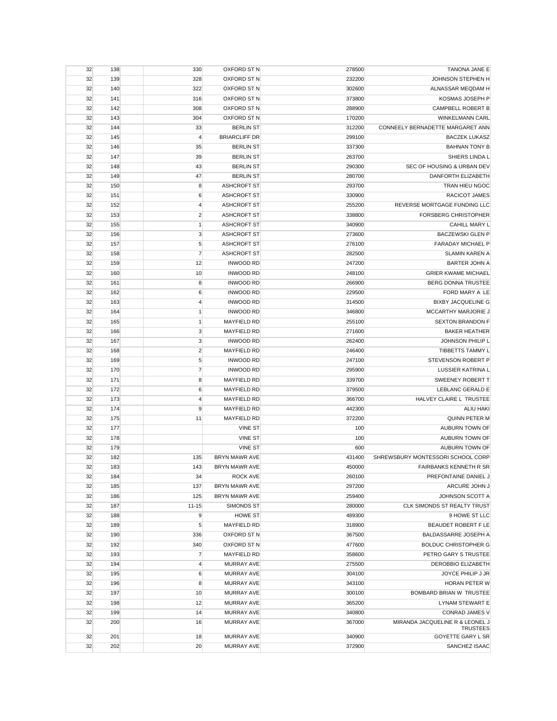| 32 | 138 | 330                     | OXFORD ST N          | 278500 | TANONA JANE E                     |
|----|-----|-------------------------|----------------------|--------|-----------------------------------|
| 32 | 139 | 328                     | OXFORD ST N          | 232200 | JOHNSON STEPHEN H                 |
| 32 | 140 | 322                     | OXFORD ST N          | 302600 | ALNASSAR MEQDAM H                 |
| 32 | 141 | 316                     | OXFORD ST N          | 373800 | KOSMAS JOSEPH P                   |
| 32 | 142 | 308                     | OXFORD ST N          | 288900 | CAMPBELL ROBERT B                 |
| 32 | 143 | 304                     | OXFORD ST N          | 170200 | <b>WINKELMANN CARL</b>            |
| 32 | 144 | 33                      | <b>BERLIN ST</b>     | 312200 | CONNEELY BERNADETTE MARGARET ANN  |
| 32 | 145 | $\overline{4}$          | <b>BRIARCLIFF DR</b> | 299100 | <b>BACZEK LUKASZ</b>              |
| 32 | 146 | 35                      | <b>BERLIN ST</b>     | 337300 | <b>BAHNAN TONY B</b>              |
| 32 | 147 | 39                      | <b>BERLIN ST</b>     | 263700 | SHIERS LINDA L                    |
| 32 | 148 | 43                      | <b>BERLIN ST</b>     | 290300 | SEC OF HOUSING & URBAN DEV        |
| 32 | 149 | 47                      | <b>BERLIN ST</b>     | 280700 | DANFORTH ELIZABETH                |
| 32 | 150 | 8                       | ASHCROFT ST          | 293700 | TRAN HIEU NGOC                    |
| 32 | 151 | 6                       | <b>ASHCROFT ST</b>   | 330900 | RACICOT JAMES                     |
| 32 | 152 | 4                       | <b>ASHCROFT ST</b>   | 255200 | REVERSE MORTGAGE FUNDING LLC      |
| 32 | 153 | $\overline{2}$          | <b>ASHCROFT ST</b>   | 338800 | <b>FORSBERG CHRISTOPHER</b>       |
| 32 | 155 | $\mathbf{1}$            | <b>ASHCROFT ST</b>   | 340900 | CAHILL MARY L                     |
| 32 | 156 | 3                       | <b>ASHCROFT ST</b>   | 273600 | <b>BACZEWSKI GLEN P</b>           |
| 32 | 157 | $\sqrt{5}$              | <b>ASHCROFT ST</b>   | 276100 | <b>FARADAY MICHAEL P</b>          |
|    |     | $\overline{7}$          |                      |        | <b>SLAMIN KAREN A</b>             |
| 32 | 158 |                         | <b>ASHCROFT ST</b>   | 282500 |                                   |
| 32 | 159 | 12                      | <b>INWOOD RD</b>     | 247200 | <b>BARTER JOHN A</b>              |
| 32 | 160 | 10                      | <b>INWOOD RD</b>     | 248100 | <b>GRIER KWAME MICHAEL</b>        |
| 32 | 161 | 8                       | <b>INWOOD RD</b>     | 266900 | <b>BERG DONNA TRUSTEE</b>         |
| 32 | 162 | 6                       | <b>INWOOD RD</b>     | 229500 | FORD MARY A LE                    |
| 32 | 163 | $\overline{4}$          | <b>INWOOD RD</b>     | 314500 | <b>BIXBY JACQUELINE G</b>         |
| 32 | 164 | $\mathbf{1}$            | <b>INWOOD RD</b>     | 346800 | MCCARTHY MARJORIE J               |
| 32 | 165 | 1                       | <b>MAYFIELD RD</b>   | 255100 | <b>SEXTON BRANDON F</b>           |
| 32 | 166 | $\mathsf 3$             | <b>MAYFIELD RD</b>   | 271600 | <b>BAKER HEATHER</b>              |
| 32 | 167 | 3                       | <b>INWOOD RD</b>     | 262400 | JOHNSON PHILIP L                  |
| 32 | 168 | $\overline{\mathbf{c}}$ | <b>MAYFIELD RD</b>   | 246400 | TIBBETTS TAMMY L                  |
| 32 | 169 | 5                       | <b>INWOOD RD</b>     | 247100 | STEVENSON ROBERT P                |
| 32 | 170 | $\overline{7}$          | <b>INWOOD RD</b>     | 295900 | LUSSIER KATRINA L                 |
| 32 | 171 | 8                       | <b>MAYFIELD RD</b>   | 339700 | SWEENEY ROBERT T                  |
| 32 | 172 | 6                       | <b>MAYFIELD RD</b>   | 379500 | LEBLANC GERALD E                  |
| 32 | 173 | 4                       | <b>MAYFIELD RD</b>   | 366700 | HALVEY CLAIRE L TRUSTEE           |
| 32 | 174 | 9                       | <b>MAYFIELD RD</b>   | 442300 | <b>ALIU HAKI</b>                  |
| 32 | 175 | 11                      | <b>MAYFIELD RD</b>   | 372200 | <b>QUINN PETER M</b>              |
| 32 | 177 |                         | <b>VINE ST</b>       | 100    | AUBURN TOWN OF                    |
| 32 | 178 |                         | <b>VINE ST</b>       | 100    | AUBURN TOWN OF                    |
| 32 | 179 |                         | <b>VINE ST</b>       | 600    | AUBURN TOWN OF                    |
| 32 | 182 | 135                     | <b>BRYN MAWR AVE</b> | 431400 | SHREWSBURY MONTESSORI SCHOOL CORP |
| 32 | 183 | 143                     | <b>BRYN MAWR AVE</b> | 450000 | FAIRBANKS KENNETH R SR            |
| 32 | 184 | 34                      | ROCK AVE             | 260100 | PREFONTAINE DANIEL J              |
| 32 | 185 | 137                     | <b>BRYN MAWR AVE</b> | 297200 | ARCURE JOHN J                     |
| 32 | 186 | 125                     | <b>BRYN MAWR AVE</b> | 259400 | JOHNSON SCOTT A                   |
| 32 | 187 | $11 - 15$               | SIMONDS ST           | 280000 | CLK SIMONDS ST REALTY TRUST       |
| 32 | 188 | 9                       | <b>HOWE ST</b>       | 489300 | 9 HOWE ST LLC                     |
| 32 | 189 | 5                       | <b>MAYFIELD RD</b>   | 318900 | BEAUDET ROBERT F LE               |
| 32 | 190 | 336                     | OXFORD ST N          | 367500 | BALDASSARRE JOSEPH A              |
| 32 | 192 | 340                     | OXFORD ST N          | 477600 | <b>BOLDUC CHRISTOPHER G</b>       |
| 32 | 193 | $\overline{7}$          | <b>MAYFIELD RD</b>   | 358600 | PETRO GARY S TRUSTEE              |
| 32 | 194 | $\overline{4}$          | <b>MURRAY AVE</b>    | 275500 | <b>DEROBBIO ELIZABETH</b>         |
| 32 | 195 | 6                       | <b>MURRAY AVE</b>    | 304100 | JOYCE PHILIP J JR                 |
| 32 | 196 | 8                       | <b>MURRAY AVE</b>    | 343100 | HORAN PETER W                     |
| 32 | 197 | 10                      | <b>MURRAY AVE</b>    | 300100 | BOMBARD BRIAN W TRUSTEE           |
| 32 | 198 | 12                      | <b>MURRAY AVE</b>    | 365200 | LYNAM STEWART E                   |
| 32 | 199 | 14                      | <b>MURRAY AVE</b>    | 340800 | CONRAD JAMES V                    |
| 32 | 200 | 16                      | <b>MURRAY AVE</b>    | 367000 | MIRANDA JACQUELINE R & LEONEL J   |
|    |     |                         |                      |        | <b>TRUSTEES</b>                   |
| 32 | 201 | 18                      | <b>MURRAY AVE</b>    | 340900 | GOYETTE GARY L SR                 |
| 32 | 202 | 20                      | MURRAY AVE           | 372900 | SANCHEZ ISAAC                     |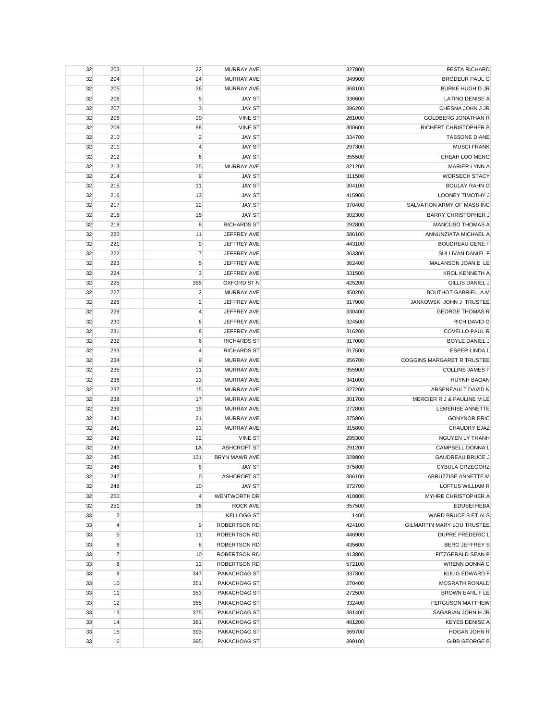| 32 | 203            | 22                      | <b>MURRAY AVE</b>    | 327800 | <b>FESTA RICHARD</b>       |
|----|----------------|-------------------------|----------------------|--------|----------------------------|
| 32 | 204            | 24                      | <b>MURRAY AVE</b>    | 349900 | <b>BRODEUR PAUL G</b>      |
| 32 | 205            | 26                      | <b>MURRAY AVE</b>    | 368100 | <b>BURKE HUGH D JR</b>     |
| 32 | 206            | 5                       | <b>JAY ST</b>        | 336600 | <b>LATINO DENISE A</b>     |
| 32 | 207            | 3                       | <b>JAY ST</b>        | 396200 | CHESNA JOHN J JR           |
| 32 | 208            | 90                      | <b>VINE ST</b>       | 261000 | <b>GOLDBERG JONATHAN R</b> |
| 32 | 209            | 88                      | <b>VINE ST</b>       | 300600 | RICHERT CHRISTOPHER B      |
| 32 | 210            | $\overline{2}$          | <b>JAY ST</b>        | 334700 | <b>TASSONE DIANE</b>       |
| 32 | 211            | $\overline{4}$          | <b>JAY ST</b>        | 297300 | <b>MUSCI FRANK</b>         |
| 32 | 212            | 6                       | <b>JAY ST</b>        | 355500 | CHEAH LOO MENG             |
| 32 | 213            | 25                      | <b>MURRAY AVE</b>    | 321200 | <b>MARIER LYNN A</b>       |
| 32 | 214            | 9                       | <b>JAY ST</b>        | 311500 | <b>WORSECH STACY</b>       |
| 32 | 215            | 11                      | <b>JAY ST</b>        | 304100 | <b>BOULAY RAHN O</b>       |
| 32 | 216            | 13                      | <b>JAY ST</b>        | 415900 | LOONEY TIMOTHY J           |
| 32 | 217            | 12                      | <b>JAY ST</b>        | 370400 | SALVATION ARMY OF MASS INC |
| 32 | 218            |                         | <b>JAY ST</b>        | 302300 | <b>BARRY CHRISTOPHER J</b> |
|    |                | 15                      |                      |        |                            |
| 32 | 219            | 8                       | <b>RICHARDS ST</b>   | 292800 | MANCUSO THOMAS A           |
| 32 | 220            | 11                      | JEFFREY AVE          | 386100 | ANNUNZIATA MICHAEL A       |
| 32 | 221            | 9                       | JEFFREY AVE          | 443100 | <b>BOUDREAU GENE F</b>     |
| 32 | 222            | $\overline{7}$          | JEFFREY AVE          | 363300 | <b>SULLIVAN DANIEL F</b>   |
| 32 | 223            | 5                       | JEFFREY AVE          | 362400 | MALANSON JOAN E LE         |
| 32 | 224            | 3                       | JEFFREY AVE          | 331500 | <b>KROL KENNETH A</b>      |
| 32 | 225            | 355                     | OXFORD ST N          | 425200 | <b>GILLIS DANIEL J</b>     |
| 32 | 227            | $\overline{\mathbf{c}}$ | <b>MURRAY AVE</b>    | 450200 | <b>BOUTHOT GABRIELLA M</b> |
| 32 | 228            | $\overline{\mathbf{c}}$ | JEFFREY AVE          | 317900 | JANKOWSKI JOHN J TRUSTEE   |
| 32 | 229            | $\overline{4}$          | JEFFREY AVE          | 330400 | <b>GEORGE THOMAS R</b>     |
| 32 | 230            | $\boldsymbol{6}$        | JEFFREY AVE          | 324500 | <b>RICH DAVID G</b>        |
| 32 | 231            | 8                       | JEFFREY AVE          | 316200 | COVELLO PAUL R             |
| 32 | 232            | $\boldsymbol{6}$        | <b>RICHARDS ST</b>   | 317000 | <b>BOYLE DANIEL J</b>      |
| 32 | 233            | $\overline{4}$          | <b>RICHARDS ST</b>   | 317500 | <b>ESPER LINDA L</b>       |
| 32 | 234            | 9                       | <b>MURRAY AVE</b>    | 356700 | COGGINS MARGARET R TRUSTEE |
| 32 | 235            | 11                      | <b>MURRAY AVE</b>    | 355900 | <b>COLLINS JAMES F</b>     |
| 32 | 236            | 13                      | <b>MURRAY AVE</b>    | 341000 | <b>HUYNH BAOAN</b>         |
| 32 | 237            | 15                      | <b>MURRAY AVE</b>    | 327200 | ARSENEAULT DAVID N         |
| 32 | 238            | 17                      | <b>MURRAY AVE</b>    | 301700 | MERCIER R J & PAULINE M LE |
| 32 | 239            | 19                      | <b>MURRAY AVE</b>    | 272800 | LEMERISE ANNETTE           |
| 32 | 240            | 21                      | <b>MURRAY AVE</b>    | 375800 | <b>GONYNOR ERIC</b>        |
| 32 | 241            | 23                      | MURRAY AVE           | 315800 | CHAUDRY EJAZ               |
| 32 | 242            | 92                      | <b>VINE ST</b>       | 295300 | NGUYEN LY THANH            |
| 32 | 243            | 1A                      | <b>ASHCROFT ST</b>   | 291200 | CAMPBELL DONNA L           |
| 32 | 245            | 131                     | <b>BRYN MAWR AVE</b> | 329800 | <b>GAUDREAU BRUCE J</b>    |
| 32 | 246            | 8                       | <b>JAY ST</b>        | 375800 | <b>CYBULA GRZEGORZ</b>     |
| 32 | 247            | $\mathbf 0$             | <b>ASHCROFT ST</b>   | 306100 | ABRUZZISE ANNETTE M        |
| 32 | 248            | 10                      | <b>JAY ST</b>        | 372700 | LOFTUS WILLIAM R           |
| 32 | 250            | $\overline{4}$          | WENTWORTH DR         | 410800 | MYHRE CHRISTOPHER A        |
| 32 | 251            | 36                      | <b>ROCK AVE</b>      | 357500 | <b>EDUSEI HEBA</b>         |
| 33 | $\overline{2}$ |                         | <b>KELLOGG ST</b>    | 1400   | WARD BRUCE B ET ALS        |
| 33 | $\overline{4}$ | 9                       | ROBERTSON RD         | 424100 | GILMARTIN MARY LOU TRUSTEE |
|    | 5              | 11                      | <b>ROBERTSON RD</b>  | 446900 | DUPRE FREDERIC L           |
| 33 | $6\phantom{1}$ |                         |                      | 435600 | <b>BERG JEFFREY S</b>      |
| 33 |                | 8                       | <b>ROBERTSON RD</b>  |        |                            |
| 33 | $\overline{7}$ | 10                      | <b>ROBERTSON RD</b>  | 413800 | FITZGERALD SEAN P          |
| 33 | 8              | 13                      | <b>ROBERTSON RD</b>  | 572100 | WRENN DONNA C              |
| 33 | 9              | 347                     | PAKACHOAG ST         | 337300 | <b>KULIG EDWARD F</b>      |
| 33 | 10             | 351                     | PAKACHOAG ST         | 270400 | MCGRATH RONALD             |
| 33 | 11             | 353                     | PAKACHOAG ST         | 272500 | BROWN EARL F LE            |
| 33 | 12             | 355                     | PAKACHOAG ST         | 332400 | <b>FERGUSON MATTHEW</b>    |
| 33 | 13             | 375                     | PAKACHOAG ST         | 381400 | SAGARIAN JOHN H JR         |
| 33 | 14             | 381                     | PAKACHOAG ST         | 481200 | <b>KEYES DENISE A</b>      |
| 33 | 15             | 393                     | PAKACHOAG ST         | 369700 | HOGAN JOHN R               |
| 33 | 16             | 395                     | PAKACHOAG ST         | 399100 | <b>GIBB GEORGE B</b>       |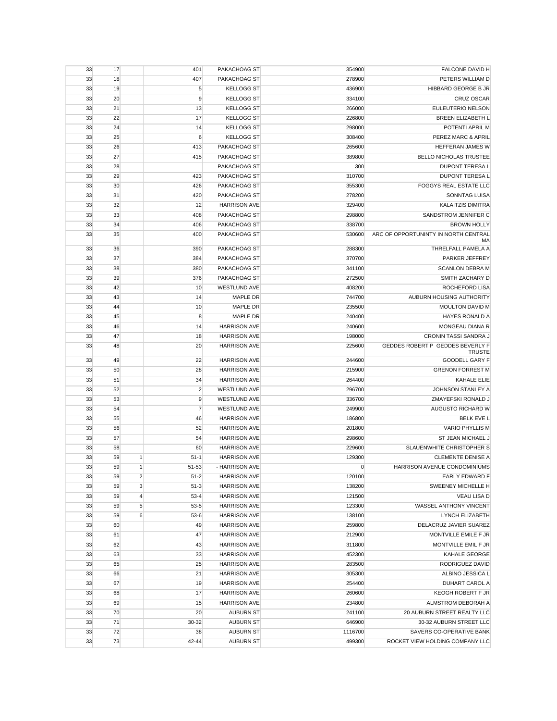| 33 | 17 |                | 401            | PAKACHOAG ST        | 354900      | FALCONE DAVID H                                   |
|----|----|----------------|----------------|---------------------|-------------|---------------------------------------------------|
| 33 | 18 |                | 407            | PAKACHOAG ST        | 278900      | PETERS WILLIAM D                                  |
| 33 | 19 |                | 5              | <b>KELLOGG ST</b>   | 436900      | HIBBARD GEORGE B JR                               |
| 33 | 20 |                | 9              | <b>KELLOGG ST</b>   | 334100      | <b>CRUZ OSCAR</b>                                 |
| 33 | 21 |                | 13             | <b>KELLOGG ST</b>   | 266000      | EULEUTERIO NELSON                                 |
| 33 | 22 |                | 17             | <b>KELLOGG ST</b>   | 226800      | BREEN ELIZABETH L                                 |
| 33 | 24 |                | 14             | <b>KELLOGG ST</b>   | 298000      | POTENTI APRIL M                                   |
| 33 | 25 |                | 6              | <b>KELLOGG ST</b>   | 308400      | PEREZ MARC & APRIL                                |
| 33 | 26 |                | 413            | PAKACHOAG ST        | 265600      | HEFFERAN JAMES W                                  |
| 33 | 27 |                | 415            | PAKACHOAG ST        | 389800      | BELLO NICHOLAS TRUSTEE                            |
|    |    |                |                |                     |             |                                                   |
| 33 | 28 |                |                | PAKACHOAG ST        | 300         | DUPONT TERESA L                                   |
| 33 | 29 |                | 423            | PAKACHOAG ST        | 310700      | DUPONT TERESA L                                   |
| 33 | 30 |                | 426            | PAKACHOAG ST        | 355300      | FOGGYS REAL ESTATE LLC                            |
| 33 | 31 |                | 420            | PAKACHOAG ST        | 278200      | SONNTAG LUISA                                     |
| 33 | 32 |                | 12             | <b>HARRISON AVE</b> | 329400      | <b>KALAITZIS DIMITRA</b>                          |
| 33 | 33 |                | 408            | PAKACHOAG ST        | 298800      | SANDSTROM JENNIFER C                              |
| 33 | 34 |                | 406            | PAKACHOAG ST        | 338700      | <b>BROWN HOLLY</b>                                |
| 33 | 35 |                | 400            | PAKACHOAG ST        | 530600      | ARC OF OPPORTUNINTY IN NORTH CENTRAL<br>MA        |
| 33 | 36 |                | 390            | PAKACHOAG ST        | 288300      | THRELFALL PAMELA A                                |
| 33 | 37 |                | 384            | PAKACHOAG ST        | 370700      | PARKER JEFFREY                                    |
| 33 | 38 |                | 380            | PAKACHOAG ST        | 341100      | <b>SCANLON DEBRA M</b>                            |
| 33 | 39 |                | 376            | PAKACHOAG ST        | 272500      | SMITH ZACHARY D                                   |
| 33 | 42 |                | 10             | <b>WESTLUND AVE</b> | 408200      | ROCHEFORD LISA                                    |
| 33 | 43 |                | 14             | MAPLE DR            | 744700      | AUBURN HOUSING AUTHORITY                          |
| 33 | 44 |                | 10             | <b>MAPLE DR</b>     | 235500      | <b>MOULTON DAVID M</b>                            |
| 33 | 45 |                | 8              | MAPLE DR            | 240400      | <b>HAYES RONALD A</b>                             |
| 33 | 46 |                | 14             | <b>HARRISON AVE</b> | 240600      | MONGEAU DIANA R                                   |
| 33 | 47 |                | 18             | <b>HARRISON AVE</b> | 198000      | CRONIN TASSI SANDRA J                             |
|    |    |                |                |                     |             |                                                   |
| 33 | 48 |                | 20             | <b>HARRISON AVE</b> | 225600      | GEDDES ROBERT P GEDDES BEVERLY F<br><b>TRUSTE</b> |
| 33 | 49 |                | 22             | <b>HARRISON AVE</b> | 244600      | <b>GOODELL GARY F</b>                             |
| 33 | 50 |                | 28             | <b>HARRISON AVE</b> | 215900      | <b>GRENON FORREST M</b>                           |
| 33 | 51 |                | 34             | <b>HARRISON AVE</b> | 264400      | <b>KAHALE ELIE</b>                                |
| 33 | 52 |                | $\overline{2}$ | <b>WESTLUND AVE</b> | 296700      | JOHNSON STANLEY A                                 |
| 33 | 53 |                | 9              | <b>WESTLUND AVE</b> | 336700      | ZMAYEFSKI RONALD J                                |
| 33 | 54 |                | $\overline{7}$ | <b>WESTLUND AVE</b> | 249900      | AUGUSTO RICHARD W                                 |
| 33 | 55 |                | 46             | <b>HARRISON AVE</b> | 186800      | <b>BELK EVE L</b>                                 |
| 33 | 56 |                | 52             | <b>HARRISON AVE</b> | 201800      | <b>VARIO PHYLLIS M</b>                            |
| 33 | 57 |                | 54             | <b>HARRISON AVE</b> | 298600      | ST JEAN MICHAEL J                                 |
| 33 | 58 |                | 60             | <b>HARRISON AVE</b> | 229600      | SLAUENWHITE CHRISTOPHER S                         |
| 33 | 59 | 1              | $51-1$         | <b>HARRISON AVE</b> | 129300      | <b>CLEMENTE DENISE A</b>                          |
| 33 | 59 | $\mathbf{1}$   | 51-53          | - HARRISON AVE      | $\mathbf 0$ | HARRISON AVENUE CONDOMINIUMS                      |
| 33 | 59 | $\overline{a}$ | $51 - 2$       | <b>HARRISON AVE</b> | 120100      | EARLY EDWARD F                                    |
| 33 | 59 | 3              | $51-3$         | <b>HARRISON AVE</b> | 138200      | SWEENEY MICHELLE H                                |
| 33 | 59 | $\overline{4}$ | $53 - 4$       | <b>HARRISON AVE</b> | 121500      | <b>VEAU LISA D</b>                                |
| 33 | 59 | 5              | $53 - 5$       | <b>HARRISON AVE</b> | 123300      | WASSEL ANTHONY VINCENT                            |
|    |    |                |                |                     |             |                                                   |
| 33 | 59 | 6              | $53-6$         | <b>HARRISON AVE</b> | 138100      | LYNCH ELIZABETH                                   |
| 33 | 60 |                | 49             | <b>HARRISON AVE</b> | 259800      | DELACRUZ JAVIER SUAREZ                            |
| 33 | 61 |                | 47             | <b>HARRISON AVE</b> | 212900      | MONTVILLE EMILE F JR                              |
| 33 | 62 |                | 43             | <b>HARRISON AVE</b> | 311800      | MONTVILLE EMIL F JR                               |
| 33 | 63 |                | 33             | <b>HARRISON AVE</b> | 452300      | <b>KAHALE GEORGE</b>                              |
| 33 | 65 |                | 25             | <b>HARRISON AVE</b> | 283500      | RODRIGUEZ DAVID                                   |
| 33 | 66 |                | 21             | <b>HARRISON AVE</b> | 305300      | ALBINO JESSICA L                                  |
| 33 | 67 |                | 19             | <b>HARRISON AVE</b> | 254400      | <b>DUHART CAROL A</b>                             |
| 33 | 68 |                | 17             | <b>HARRISON AVE</b> | 260600      | KEOGH ROBERT F JR                                 |
| 33 | 69 |                | 15             | <b>HARRISON AVE</b> | 234800      | ALMSTROM DEBORAH A                                |
| 33 | 70 |                | 20             | <b>AUBURN ST</b>    | 241100      | 20 AUBURN STREET REALTY LLC                       |
| 33 | 71 |                | 30-32          | <b>AUBURN ST</b>    | 646900      | 30-32 AUBURN STREET LLC                           |
| 33 | 72 |                | 38             | <b>AUBURN ST</b>    | 1116700     | SAVERS CO-OPERATIVE BANK                          |
| 33 | 73 |                | 42-44          | <b>AUBURN ST</b>    | 499300      | ROCKET VIEW HOLDING COMPANY LLC                   |
|    |    |                |                |                     |             |                                                   |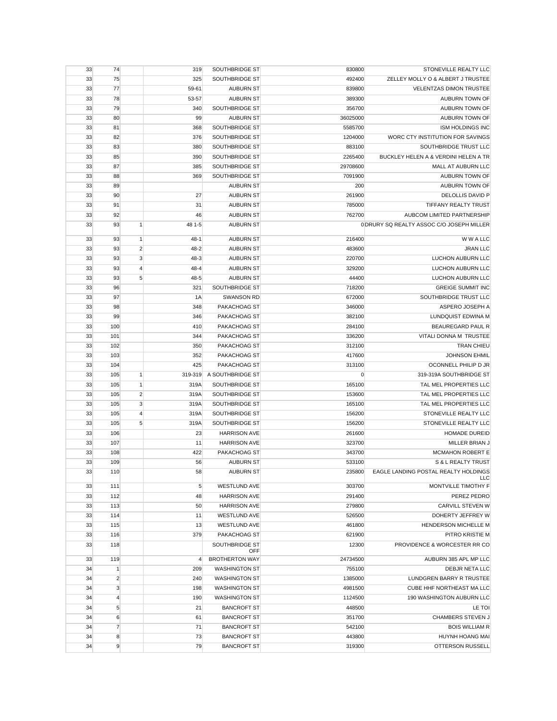| STONEVILLE REALTY LLC                     | 830800      | SOUTHBRIDGE ST        | 319                        |                | 74             | 33 |
|-------------------------------------------|-------------|-----------------------|----------------------------|----------------|----------------|----|
| ZELLEY MOLLY O & ALBERT J TRUSTEE         | 492400      | SOUTHBRIDGE ST        | 325                        |                | 75             | 33 |
| <b>VELENTZAS DIMON TRUSTEE</b>            | 839800      | <b>AUBURN ST</b>      | 59-61                      |                | 77             | 33 |
| AUBURN TOWN OF                            | 389300      | <b>AUBURN ST</b>      | 53-57                      |                | 78             | 33 |
| AUBURN TOWN OF                            | 356700      | SOUTHBRIDGE ST        | 340                        |                | 79             | 33 |
| AUBURN TOWN OF                            | 36025000    | <b>AUBURN ST</b>      | 99                         |                | 80             | 33 |
| <b>ISM HOLDINGS INC</b>                   | 5585700     | SOUTHBRIDGE ST        | 368                        |                | 81             | 33 |
| WORC CTY INSTITUTION FOR SAVINGS          | 1204000     | SOUTHBRIDGE ST        | 376                        |                | 82             | 33 |
| SOUTHBRIDGE TRUST LLC                     | 883100      | SOUTHBRIDGE ST        | 380                        |                | 83             | 33 |
| BUCKLEY HELEN A & VERDINI HELEN A TR      | 2265400     | SOUTHBRIDGE ST        | 390                        |                | 85             | 33 |
| MALL AT AUBURN LLC                        | 29708600    | SOUTHBRIDGE ST        | 385                        |                | 87             | 33 |
| <b>AUBURN TOWN OF</b>                     | 7091900     | SOUTHBRIDGE ST        | 369                        |                | 88             | 33 |
| AUBURN TOWN OF                            | 200         | <b>AUBURN ST</b>      |                            |                | 89             | 33 |
| <b>DELOLLIS DAVID P</b>                   | 261900      | <b>AUBURN ST</b>      | 27                         |                | 90             | 33 |
| TIFFANY REALTY TRUST                      | 785000      | <b>AUBURN ST</b>      | 31                         |                | 91             | 33 |
| AUBCOM LIMITED PARTNERSHIP                | 762700      | <b>AUBURN ST</b>      | 46                         |                | 92             | 33 |
| 0 DRURY SQ REALTY ASSOC C/O JOSEPH MILLER |             | <b>AUBURN ST</b>      | 48 1-5                     | $\mathbf{1}$   | 93             | 33 |
| W W A LLC                                 | 216400      | <b>AUBURN ST</b>      | $48-1$                     | 1              | 93             | 33 |
| <b>JRAN LLC</b>                           | 483600      | <b>AUBURN ST</b>      | $\overline{2}$<br>$48 - 2$ |                | 93             | 33 |
| LUCHON AUBURN LLC                         | 220700      | <b>AUBURN ST</b>      | $48 - 3$                   | 3              | 93             | 33 |
| LUCHON AUBURN LLC                         | 329200      | <b>AUBURN ST</b>      | $\overline{4}$<br>48-4     |                | 93             | 33 |
| LUCHON AUBURN LLC                         | 44400       | <b>AUBURN ST</b>      | $48 - 5$                   | 5              | 93             | 33 |
| <b>GREIGE SUMMIT INC</b>                  | 718200      | SOUTHBRIDGE ST        | 321                        |                | 96             | 33 |
| SOUTHBRIDGE TRUST LLC                     | 672000      | <b>SWANSON RD</b>     | 1A                         |                | 97             | 33 |
| ASPERO JOSEPH A                           | 346000      | PAKACHOAG ST          | 348                        |                | 98             | 33 |
| LUNDQUIST EDWINA M                        | 382100      | PAKACHOAG ST          | 346                        |                | 99             | 33 |
| BEAUREGARD PAUL R                         | 284100      | PAKACHOAG ST          | 410                        |                | 100            | 33 |
| VITALI DONNA M TRUSTEE                    | 336200      | PAKACHOAG ST          | 344                        |                | 101            | 33 |
| <b>TRAN CHIEU</b>                         | 312100      | PAKACHOAG ST          | 350                        |                | 102            | 33 |
| <b>JOHNSON EHMIL</b>                      | 417600      | PAKACHOAG ST          | 352                        |                | 103            | 33 |
| OCONNELL PHILIP D JR                      | 313100      | PAKACHOAG ST          | 425                        |                | 104            | 33 |
| 319-319A SOUTHBRIDGE ST                   | $\mathbf 0$ | A SOUTHBRIDGE ST      | 319-319                    | 1              | 105            | 33 |
| TAL MEL PROPERTIES LLC                    | 165100      | SOUTHBRIDGE ST        | 319A                       | 1              | 105            | 33 |
| TAL MEL PROPERTIES LLC                    | 153600      | SOUTHBRIDGE ST        | $\overline{2}$<br>319A     |                | 105            | 33 |
| TAL MEL PROPERTIES LLC                    | 165100      | SOUTHBRIDGE ST        | 3<br>319A                  |                | 105            | 33 |
| STONEVILLE REALTY LLC                     | 156200      | SOUTHBRIDGE ST        | 319A                       | $\overline{4}$ | 105            | 33 |
| STONEVILLE REALTY LLC                     | 156200      | SOUTHBRIDGE ST        | 319A                       | 5              | 105            | 33 |
| <b>HOMADE DUREID</b>                      | 261600      | <b>HARRISON AVE</b>   | 23                         |                | 106            | 33 |
| MILLER BRIAN J                            | 323700      | <b>HARRISON AVE</b>   | 11                         |                | 107            | 33 |
| MCMAHON ROBERT E                          | 343700      | PAKACHOAG ST          | 422                        |                | 108            | 33 |
| <b>S &amp; L REALTY TRUST</b>             | 533100      | <b>AUBURN ST</b>      | 56                         |                | 109            | 33 |
| EAGLE LANDING POSTAL REALTY HOLDINGS      | 235800      | <b>AUBURN ST</b>      | 58                         |                | 110            | 33 |
| LLC<br>MONTVILLE TIMOTHY F                | 303700      | <b>WESTLUND AVE</b>   | 5                          |                | 111            | 33 |
| PEREZ PEDRO                               | 291400      | <b>HARRISON AVE</b>   | 48                         |                | 112            | 33 |
| CARVILL STEVEN W                          | 279800      | <b>HARRISON AVE</b>   | 50                         |                | 113            | 33 |
| DOHERTY JEFFREY W                         | 526500      | <b>WESTLUND AVE</b>   | 11                         |                | 114            | 33 |
| HENDERSON MICHELLE M                      | 461800      | WESTLUND AVE          | 13                         |                | 115            | 33 |
| PITRO KRISTIE M                           | 621900      | PAKACHOAG ST          | 379                        |                | 116            | 33 |
| PROVIDENCE & WORCESTER RR CO              | 12300       | SOUTHBRIDGE ST<br>OFF |                            |                | 118            | 33 |
| AUBURN 385 APL MP LLC                     | 24734500    | <b>BROTHERTON WAY</b> | $\overline{4}$             |                | 119            | 33 |
| DEBJR NETA LLC                            | 755100      | <b>WASHINGTON ST</b>  | 209                        |                | $\mathbf{1}$   | 34 |
| LUNDGREN BARRY R TRUSTEE                  | 1385000     | <b>WASHINGTON ST</b>  | 240                        |                | $\overline{2}$ | 34 |
| CUBE HHF NORTHEAST MA LLC                 | 4981500     | <b>WASHINGTON ST</b>  | 198                        |                | 3              | 34 |
| 190 WASHINGTON AUBURN LLC                 | 1124500     | <b>WASHINGTON ST</b>  | 190                        |                | $\overline{4}$ | 34 |
| LE TOI                                    | 448500      | <b>BANCROFT ST</b>    | 21                         |                | 5              | 34 |
| CHAMBERS STEVEN J                         | 351700      | <b>BANCROFT ST</b>    | 61                         |                | 6              | 34 |
| <b>BOIS WILLIAM R</b>                     | 542100      | <b>BANCROFT ST</b>    | 71                         |                | $\overline{7}$ | 34 |
| HUYNH HOANG MAI                           | 443800      | <b>BANCROFT ST</b>    | 73                         |                | 8              | 34 |
| OTTERSON RUSSELL                          | 319300      | <b>BANCROFT ST</b>    | 79                         |                | 9              | 34 |
|                                           |             |                       |                            |                |                |    |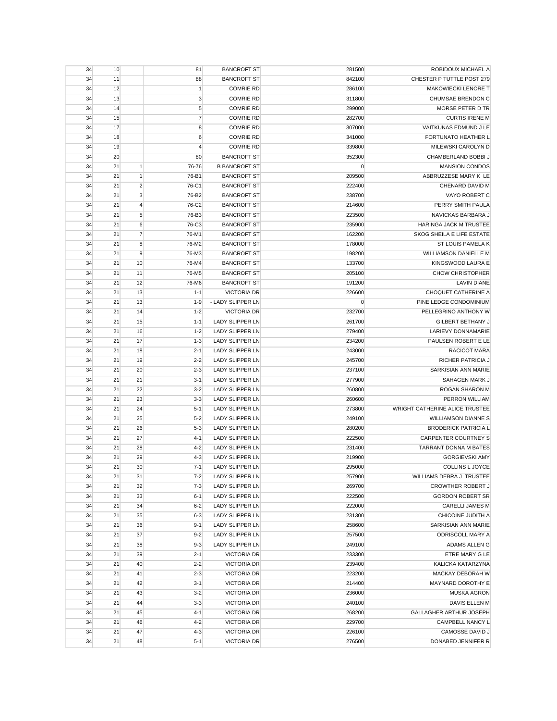| 34 | 10 |                | 81             | <b>BANCROFT ST</b>     | 281500 | ROBIDOUX MICHAEL A             |
|----|----|----------------|----------------|------------------------|--------|--------------------------------|
| 34 | 11 |                | 88             | <b>BANCROFT ST</b>     | 842100 | CHESTER P TUTTLE POST 279      |
| 34 | 12 |                | $\mathbf{1}$   | <b>COMRIE RD</b>       | 286100 | MAKOWIECKI LENORE T            |
| 34 | 13 |                | 3              | <b>COMRIE RD</b>       | 311800 | CHUMSAE BRENDON C              |
| 34 | 14 |                | $\sqrt{5}$     | <b>COMRIE RD</b>       | 299000 | MORSE PETER D TR               |
| 34 | 15 |                | $\overline{7}$ | <b>COMRIE RD</b>       | 282700 | <b>CURTIS IRENE M</b>          |
| 34 | 17 |                | 8              | <b>COMRIE RD</b>       | 307000 | VAITKUNAS EDMUND J LE          |
| 34 | 18 |                | 6              | <b>COMRIE RD</b>       | 341000 | FORTUNATO HEATHER L            |
| 34 | 19 |                | $\overline{4}$ | <b>COMRIE RD</b>       | 339800 | MILEWSKI CAROLYN D             |
| 34 | 20 |                | 80             | <b>BANCROFT ST</b>     | 352300 | CHAMBERLAND BOBBI J            |
| 34 | 21 | 1              | 76-76          | <b>B BANCROFT ST</b>   | 0      | <b>MANSION CONDOS</b>          |
| 34 | 21 | $\mathbf{1}$   | 76-B1          | <b>BANCROFT ST</b>     | 209500 | ABBRUZZESE MARY K LE           |
| 34 | 21 | $\overline{2}$ | 76-C1          | <b>BANCROFT ST</b>     | 222400 | CHENARD DAVID M                |
| 34 | 21 | 3              | 76-B2          | <b>BANCROFT ST</b>     | 238700 | VAYO ROBERT C                  |
|    |    |                |                |                        |        |                                |
| 34 | 21 | $\overline{4}$ | 76-C2          | <b>BANCROFT ST</b>     | 214600 | PERRY SMITH PAULA              |
| 34 | 21 | 5              | 76-B3          | <b>BANCROFT ST</b>     | 223500 | NAVICKAS BARBARA J             |
| 34 | 21 | 6              | 76-C3          | <b>BANCROFT ST</b>     | 235900 | HARINGA JACK M TRUSTEE         |
| 34 | 21 | $\overline{7}$ | 76-M1          | <b>BANCROFT ST</b>     | 162200 | SKOG SHEILA E LIFE ESTATE      |
| 34 | 21 | 8              | 76-M2          | <b>BANCROFT ST</b>     | 178000 | ST LOUIS PAMELA K              |
| 34 | 21 | 9              | 76-M3          | <b>BANCROFT ST</b>     | 198200 | <b>WILLIAMSON DANIELLE M</b>   |
| 34 | 21 | 10             | 76-M4          | <b>BANCROFT ST</b>     | 133700 | KINGSWOOD LAURA E              |
| 34 | 21 | 11             | 76-M5          | <b>BANCROFT ST</b>     | 205100 | <b>CHOW CHRISTOPHER</b>        |
| 34 | 21 | 12             | 76-M6          | <b>BANCROFT ST</b>     | 191200 | <b>LAVIN DIANE</b>             |
| 34 | 21 | 13             | $1 - 1$        | <b>VICTORIA DR</b>     | 226600 | CHOQUET CATHERINE A            |
| 34 | 21 | 13             | $1 - 9$        | - LADY SLIPPER LN      | 0      | PINE LEDGE CONDOMINIUM         |
| 34 | 21 | 14             | $1 - 2$        | <b>VICTORIA DR</b>     | 232700 | PELLEGRINO ANTHONY W           |
| 34 | 21 | 15             | $1 - 1$        | <b>LADY SLIPPER LN</b> | 261700 | <b>GILBERT BETHANY J</b>       |
| 34 | 21 | 16             | $1 - 2$        | <b>LADY SLIPPER LN</b> | 279400 | <b>LARIEVY DONNAMARIE</b>      |
| 34 | 21 | 17             | $1 - 3$        | <b>LADY SLIPPER LN</b> | 234200 | PAULSEN ROBERT E LE            |
| 34 | 21 | 18             | $2 - 1$        | <b>LADY SLIPPER LN</b> | 243000 | RACICOT MARA                   |
| 34 | 21 | 19             | $2 - 2$        | <b>LADY SLIPPER LN</b> | 245700 | RICHER PATRICIA J              |
| 34 | 21 | 20             | $2 - 3$        | <b>LADY SLIPPER LN</b> | 237100 | SARKISIAN ANN MARIE            |
| 34 | 21 | 21             | $3 - 1$        | <b>LADY SLIPPER LN</b> | 277900 | SAHAGEN MARK J                 |
| 34 | 21 | 22             | $3 - 2$        | <b>LADY SLIPPER LN</b> | 260800 | ROGAN SHARON M                 |
| 34 | 21 | 23             | $3 - 3$        | <b>LADY SLIPPER LN</b> | 260600 | PERRON WILLIAM                 |
| 34 | 21 | 24             | $5-1$          | LADY SLIPPER LN        | 273800 | WRIGHT CATHERINE ALICE TRUSTEE |
|    |    |                |                |                        |        |                                |
| 34 | 21 | 25             | $5 - 2$        | <b>LADY SLIPPER LN</b> | 249100 | <b>WILLIAMSON DIANNE S</b>     |
| 34 | 21 | 26             | $5-3$          | <b>LADY SLIPPER LN</b> | 280200 | <b>BRODERICK PATRICIA L</b>    |
| 34 | 21 | 27             | $4 - 1$        | LADY SLIPPER LN        | 222500 | <b>CARPENTER COURTNEY S</b>    |
| 34 | 21 | 28             | $4 - 2$        | <b>LADY SLIPPER LN</b> | 231400 | TARRANT DONNA M BATES          |
| 34 | 21 | 29             | $4 - 3$        | <b>LADY SLIPPER LN</b> | 219900 | <b>GORGIEVSKI AMY</b>          |
| 34 | 21 | 30             | $7 - 1$        | <b>LADY SLIPPER LN</b> | 295000 | COLLINS L JOYCE                |
| 34 | 21 | 31             | $7 - 2$        | LADY SLIPPER LN        | 257900 | WILLIAMS DEBRA J TRUSTEE       |
| 34 | 21 | 32             | $7-3$          | LADY SLIPPER LN        | 269700 | <b>CROWTHER ROBERT J</b>       |
| 34 | 21 | 33             | $6 - 1$        | LADY SLIPPER LN        | 222500 | <b>GORDON ROBERT SR</b>        |
| 34 | 21 | 34             | $6 - 2$        | LADY SLIPPER LN        | 222000 | <b>CARELLI JAMES M</b>         |
| 34 | 21 | 35             | $6 - 3$        | LADY SLIPPER LN        | 231300 | CHICOINE JUDITH A              |
| 34 | 21 | 36             | $9 - 1$        | LADY SLIPPER LN        | 258600 | SARKISIAN ANN MARIE            |
| 34 | 21 | 37             | $9 - 2$        | <b>LADY SLIPPER LN</b> | 257500 | ODRISCOLL MARY A               |
| 34 | 21 | 38             | $9 - 3$        | <b>LADY SLIPPER LN</b> | 249100 | ADAMS ALLEN G                  |
| 34 | 21 | 39             | $2 - 1$        | <b>VICTORIA DR</b>     | 233300 | ETRE MARY G LE                 |
| 34 | 21 | 40             | $2 - 2$        | <b>VICTORIA DR</b>     | 239400 | KALICKA KATARZYNA              |
| 34 | 21 | 41             | $2 - 3$        | <b>VICTORIA DR</b>     | 223200 | MACKAY DEBORAH W               |
| 34 | 21 | 42             | $3 - 1$        | <b>VICTORIA DR</b>     | 214400 | MAYNARD DOROTHY E              |
| 34 | 21 | 43             | $3 - 2$        | <b>VICTORIA DR</b>     | 236000 | <b>MUSKA AGRON</b>             |
| 34 | 21 | 44             | $3 - 3$        | <b>VICTORIA DR</b>     | 240100 | DAVIS ELLEN M                  |
| 34 | 21 | 45             | $4 - 1$        | <b>VICTORIA DR</b>     | 268200 | GALLAGHER ARTHUR JOSEPH        |
| 34 | 21 | 46             | $4 - 2$        | <b>VICTORIA DR</b>     | 229700 | CAMPBELL NANCY L               |
| 34 | 21 | 47             | $4 - 3$        | <b>VICTORIA DR</b>     | 226100 | <b>CAMOSSE DAVID J</b>         |
|    |    |                |                |                        |        |                                |
| 34 | 21 | 48             | $5-1$          | <b>VICTORIA DR</b>     | 276500 | DONABED JENNIFER R             |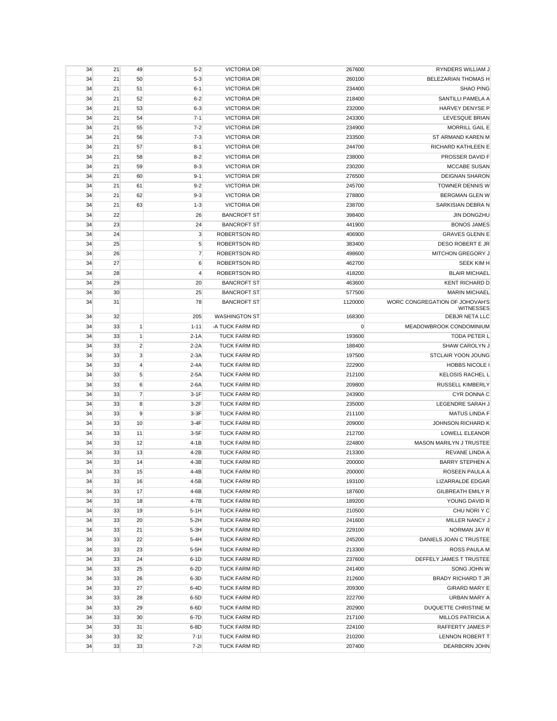| 34 | 21 | 49             | $5 - 2$        | <b>VICTORIA DR</b>   | 267600      | RYNDERS WILLIAM J                         |
|----|----|----------------|----------------|----------------------|-------------|-------------------------------------------|
| 34 | 21 | 50             | $5 - 3$        | <b>VICTORIA DR</b>   | 260100      | <b>BELEZARIAN THOMAS H</b>                |
| 34 | 21 | 51             | $6 - 1$        | <b>VICTORIA DR</b>   | 234400      | <b>SHAO PING</b>                          |
| 34 | 21 | 52             | $6 - 2$        | <b>VICTORIA DR</b>   | 218400      | SANTILLI PAMELA A                         |
| 34 | 21 | 53             | $6 - 3$        | <b>VICTORIA DR</b>   | 232000      | HARVEY DENYSE P                           |
| 34 | 21 | 54             | $7 - 1$        | <b>VICTORIA DR</b>   | 243300      | LEVESQUE BRIAN                            |
| 34 | 21 | 55             | $7 - 2$        | <b>VICTORIA DR</b>   | 234900      | <b>MORRILL GAIL E</b>                     |
| 34 | 21 | 56             | $7 - 3$        | <b>VICTORIA DR</b>   | 233500      | ST ARMAND KAREN M                         |
| 34 | 21 | 57             | $8 - 1$        | <b>VICTORIA DR</b>   | 244700      | RICHARD KATHLEEN E                        |
| 34 | 21 | 58             | $8 - 2$        | <b>VICTORIA DR</b>   | 238000      | PROSSER DAVID F                           |
| 34 | 21 | 59             | $8 - 3$        | <b>VICTORIA DR</b>   | 230200      | <b>MCCABE SUSAN</b>                       |
| 34 | 21 | 60             | $9 - 1$        | <b>VICTORIA DR</b>   | 276500      | <b>DEIGNAN SHARON</b>                     |
| 34 | 21 | 61             | $9 - 2$        | <b>VICTORIA DR</b>   | 245700      | TOWNER DENNIS W                           |
| 34 | 21 | 62             | $9 - 3$        | <b>VICTORIA DR</b>   | 278800      | <b>BERGMAN GLEN W</b>                     |
| 34 | 21 | 63             | $1 - 3$        | <b>VICTORIA DR</b>   | 238700      | SARKISIAN DEBRA N                         |
|    |    |                |                |                      |             | <b>JIN DONGZHU</b>                        |
| 34 | 22 |                | 26             | <b>BANCROFT ST</b>   | 398400      |                                           |
| 34 | 23 |                | 24             | <b>BANCROFT ST</b>   | 441900      | <b>BONOS JAMES</b>                        |
| 34 | 24 |                | 3              | <b>ROBERTSON RD</b>  | 406900      | <b>GRAVES GLENN E</b>                     |
| 34 | 25 |                | 5              | <b>ROBERTSON RD</b>  | 383400      | DESO ROBERT E JR                          |
| 34 | 26 |                | 7              | <b>ROBERTSON RD</b>  | 498600      | <b>MITCHON GREGORY J</b>                  |
| 34 | 27 |                | 6              | <b>ROBERTSON RD</b>  | 462700      | <b>SEEK KIM H</b>                         |
| 34 | 28 |                | $\overline{4}$ | <b>ROBERTSON RD</b>  | 418200      | <b>BLAIR MICHAEL</b>                      |
| 34 | 29 |                | 20             | <b>BANCROFT ST</b>   | 463600      | <b>KENT RICHARD D</b>                     |
| 34 | 30 |                | 25             | <b>BANCROFT ST</b>   | 577500      | <b>MARIN MICHAEL</b>                      |
| 34 | 31 |                | 78             | <b>BANCROFT ST</b>   | 1120000     | WORC CONGREGATION OF JOHOVAH'S            |
| 34 | 32 |                | 205            | <b>WASHINGTON ST</b> | 168300      | <b>WITNESSES</b><br><b>DEBJR NETA LLC</b> |
| 34 | 33 | 1              | $1 - 11$       | -A TUCK FARM RD      | $\mathbf 0$ | MEADOWBROOK CONDOMINIUM                   |
| 34 |    | $\mathbf{1}$   | $2-1A$         | <b>TUCK FARM RD</b>  | 193600      | <b>TODA PETER L</b>                       |
|    | 33 |                |                |                      |             |                                           |
| 34 | 33 | $\overline{2}$ | $2 - 2A$       | <b>TUCK FARM RD</b>  | 188400      | SHAW CAROLYN J                            |
| 34 | 33 | 3              | $2-3A$         | <b>TUCK FARM RD</b>  | 197500      | STCLAIR YOON JOUNG                        |
| 34 | 33 | $\overline{4}$ | $2 - 4A$       | <b>TUCK FARM RD</b>  | 222900      | <b>HOBBS NICOLE I</b>                     |
| 34 | 33 | 5              | $2-5A$         | <b>TUCK FARM RD</b>  | 212100      | <b>KELOSIS RACHEL L</b>                   |
| 34 | 33 | 6              | $2-6A$         | <b>TUCK FARM RD</b>  | 209800      | <b>RUSSELL KIMBERLY</b>                   |
| 34 | 33 | $\overline{7}$ | $3-1F$         | <b>TUCK FARM RD</b>  | 243900      | CYR DONNA C                               |
| 34 | 33 | 8              | $3-2F$         | <b>TUCK FARM RD</b>  | 235000      | LEGENDRE SARAH J                          |
| 34 | 33 | 9              | $3-3F$         | <b>TUCK FARM RD</b>  | 211100      | <b>MATUS LINDA F</b>                      |
| 34 | 33 | 10             | $3-4F$         | <b>TUCK FARM RD</b>  | 209000      | JOHNSON RICHARD K                         |
| 34 | 33 | 11             | $3-5F$         | <b>TUCK FARM RD</b>  | 212700      | <b>LOWELL ELEANOR</b>                     |
| 34 | 33 | 12             | $4-1B$         | <b>TUCK FARM RD</b>  | 224800      | MASON MARILYN J TRUSTEE                   |
| 34 | 33 | 13             | $4-2B$         | <b>TUCK FARM RD</b>  | 213300      | REVANE LINDA A                            |
| 34 | 33 | 14             | $4-3B$         | <b>TUCK FARM RD</b>  | 200000      | <b>BARRY STEPHEN A</b>                    |
| 34 | 33 | 15             | 4-4B           | TUCK FARM RD         | 200000      | ROSEEN PAULA A                            |
| 34 | 33 | 16             | $4-5B$         | <b>TUCK FARM RD</b>  | 193100      | LIZARRALDE EDGAR                          |
| 34 | 33 | 17             | 4-6B           | TUCK FARM RD         | 187600      | <b>GILBREATH EMILY R</b>                  |
| 34 | 33 | 18             | 4-7B           | TUCK FARM RD         | 189200      | YOUNG DAVID R                             |
| 34 | 33 | 19             | $5-1H$         | TUCK FARM RD         | 210500      | CHU NORI Y C                              |
| 34 | 33 | 20             | $5-2H$         | TUCK FARM RD         | 241600      | MILLER NANCY J                            |
| 34 | 33 | 21             | $5-3H$         | TUCK FARM RD         | 229100      | NORMAN JAY R                              |
| 34 | 33 | 22             | $5-4H$         | <b>TUCK FARM RD</b>  | 245200      | DANIELS JOAN C TRUSTEE                    |
| 34 | 33 | 23             | $5-5H$         | <b>TUCK FARM RD</b>  | 213300      | ROSS PAULA M                              |
| 34 | 33 | 24             | $6-1D$         | TUCK FARM RD         | 237600      | DEFFELY JAMES T TRUSTEE                   |
| 34 | 33 | 25             | $6-2D$         | TUCK FARM RD         | 241400      | SONG JOHN W                               |
| 34 | 33 | 26             | $6-3D$         | TUCK FARM RD         | 212600      | BRADY RICHARD T JR                        |
| 34 | 33 | 27             | $6-4D$         | TUCK FARM RD         | 209300      | <b>GIRARD MARY E</b>                      |
| 34 | 33 | 28             | $6-5D$         | TUCK FARM RD         | 222700      | URBAN MARY A                              |
| 34 | 33 | 29             | $6-6D$         | <b>TUCK FARM RD</b>  | 202900      | DUQUETTE CHRISTINE M                      |
| 34 | 33 | 30             | 6-7D           | TUCK FARM RD         | 217100      | <b>MILLOS PATRICIA A</b>                  |
|    |    |                |                |                      |             |                                           |
| 34 | 33 | 31             | $6-8D$         | <b>TUCK FARM RD</b>  | 224100      | RAFFERTY JAMES P                          |
| 34 | 33 | 32             | $7 - 11$       | TUCK FARM RD         | 210200      | LENNON ROBERT T                           |
| 34 | 33 | 33             | $7-21$         | TUCK FARM RD         | 207400      | DEARBORN JOHN                             |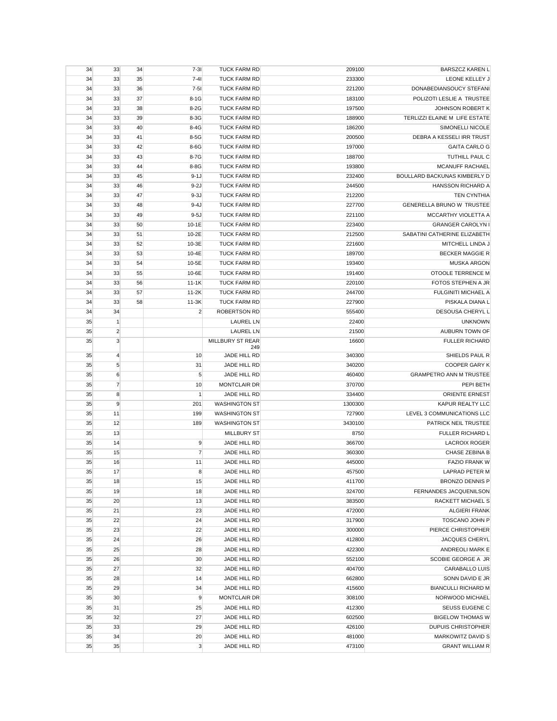| 34       | 33                             | 34 | $7 - 31$       | <b>TUCK FARM RD</b>                  | 209100  | <b>BARSZCZ KAREN L</b>         |
|----------|--------------------------------|----|----------------|--------------------------------------|---------|--------------------------------|
| 34       | 33                             | 35 | $7 - 41$       | <b>TUCK FARM RD</b>                  | 233300  | LEONE KELLEY J                 |
| 34       | 33                             | 36 | $7 - 51$       | <b>TUCK FARM RD</b>                  | 221200  | DONABEDIANSOUCY STEFANI        |
| 34       | 33                             | 37 | $8-1G$         | <b>TUCK FARM RD</b>                  | 183100  | POLIZOTI LESLIE A TRUSTEE      |
| 34       | 33                             | 38 | $8-2G$         | <b>TUCK FARM RD</b>                  | 197500  | JOHNSON ROBERT K               |
| 34       | 33                             | 39 | $8-3G$         | <b>TUCK FARM RD</b>                  | 188900  | TERLIZZI ELAINE M LIFE ESTATE  |
| 34       | 33                             | 40 | $8-4G$         | <b>TUCK FARM RD</b>                  | 186200  | SIMONELLI NICOLE               |
| 34       | 33                             | 41 | $8-5G$         | <b>TUCK FARM RD</b>                  | 200500  | DEBRA A KESSELI IRR TRUST      |
| 34       | 33                             | 42 | $8-6G$         | <b>TUCK FARM RD</b>                  | 197000  | <b>GAITA CARLO G</b>           |
| 34       | 33                             | 43 | 8-7G           | <b>TUCK FARM RD</b>                  | 188700  | TUTHILL PAUL C                 |
| 34       | 33                             | 44 | 8-8G           | <b>TUCK FARM RD</b>                  | 193800  | MCANUFF RACHAEL                |
| 34       | 33                             | 45 | $9-1J$         | <b>TUCK FARM RD</b>                  | 232400  | BOULLARD BACKUNAS KIMBERLY D   |
| 34       | 33                             | 46 | $9-2J$         | <b>TUCK FARM RD</b>                  | 244500  | HANSSON RICHARD A              |
| 34       | 33                             | 47 | $9-3J$         | <b>TUCK FARM RD</b>                  | 212200  | <b>TEN CYNTHIA</b>             |
| 34       | 33                             | 48 | $9-4J$         | <b>TUCK FARM RD</b>                  | 227700  | GENERELLA BRUNO W TRUSTEE      |
| 34       | 33                             | 49 | $9-5J$         | <b>TUCK FARM RD</b>                  | 221100  | MCCARTHY VIOLETTA A            |
| 34       | 33                             | 50 | $10-1E$        | <b>TUCK FARM RD</b>                  | 223400  | <b>GRANGER CAROLYN I</b>       |
| 34       | 33                             | 51 | 10-2E          | <b>TUCK FARM RD</b>                  | 212500  | SABATINI CATHERINE ELIZABETH   |
| 34       | 33                             | 52 | 10-3E          | <b>TUCK FARM RD</b>                  | 221600  | MITCHELL LINDA J               |
| 34       | 33                             | 53 | 10-4E          | <b>TUCK FARM RD</b>                  | 189700  | <b>BECKER MAGGIE R</b>         |
| 34       | 33                             | 54 | 10-5E          | <b>TUCK FARM RD</b>                  | 193400  | <b>MUSKA ARGON</b>             |
| 34       | 33                             | 55 | 10-6E          | <b>TUCK FARM RD</b>                  | 191400  | <b>OTOOLE TERRENCE M</b>       |
| 34       | 33                             | 56 | $11-1K$        | <b>TUCK FARM RD</b>                  | 220100  | FOTOS STEPHEN A JR             |
| 34       | 33                             | 57 | $11-2K$        | <b>TUCK FARM RD</b>                  | 244700  | FULGINITI MICHAEL A            |
| 34       | 33                             | 58 | $11-3K$        | <b>TUCK FARM RD</b>                  | 227900  | PISKALA DIANA L                |
| 34       | 34                             |    | $\overline{2}$ | <b>ROBERTSON RD</b>                  | 555400  | <b>DESOUSA CHERYL L</b>        |
|          |                                |    |                |                                      |         | <b>UNKNOWN</b>                 |
| 35<br>35 | $\mathbf{1}$<br>$\overline{2}$ |    |                | <b>LAUREL LN</b>                     | 22400   | AUBURN TOWN OF                 |
|          | 3                              |    |                | <b>LAUREL LN</b><br>MILLBURY ST REAR | 21500   |                                |
| 35       |                                |    |                | 249                                  | 16600   | <b>FULLER RICHARD</b>          |
| 35       | $\overline{4}$                 |    | 10             | JADE HILL RD                         | 340300  | SHIELDS PAUL R                 |
| 35       | 5                              |    | 31             | JADE HILL RD                         | 340200  | <b>COOPER GARY K</b>           |
| 35       | 6                              |    | $\sqrt{5}$     | JADE HILL RD                         | 460400  | <b>GRAMPETRO ANN M TRUSTEE</b> |
| 35       | $\overline{7}$                 |    | 10             | <b>MONTCLAIR DR</b>                  | 370700  | PEPI BETH                      |
| 35       | 8                              |    | $\mathbf{1}$   | JADE HILL RD                         | 334400  | <b>ORIENTE ERNEST</b>          |
| 35       | 9                              |    | 201            | <b>WASHINGTON ST</b>                 | 1300300 | <b>KAPUR REALTY LLC</b>        |
| 35       | 11                             |    | 199            | <b>WASHINGTON ST</b>                 | 727900  | LEVEL 3 COMMUNICATIONS LLC     |
| 35       | 12                             |    | 189            | <b>WASHINGTON ST</b>                 | 3430100 | PATRICK NEIL TRUSTEE           |
| 35       | 13                             |    |                | <b>MILLBURY ST</b>                   | 8750    | FULLER RICHARD L               |
| 35       | 14                             |    | 9              | JADE HILL RD                         | 366700  | <b>LACROIX ROGER</b>           |
| 35       | 15                             |    | $\overline{7}$ | JADE HILL RD                         | 360300  | CHASE ZEBINA B                 |
| 35       | 16                             |    | 11             | JADE HILL RD                         | 445000  | <b>FAZIO FRANK W</b>           |
| 35       | 17                             |    | 8              | JADE HILL RD                         | 457500  | LAPRAD PETER M                 |
| 35       | 18                             |    | 15             | JADE HILL RD                         | 411700  | BRONZO DENNIS P                |
| 35       | 19                             |    | 18             | JADE HILL RD                         | 324700  | FERNANDES JACQUENILSON         |
| 35       | 20                             |    | 13             | JADE HILL RD                         | 383500  | RACKETT MICHAEL S              |
| 35       | 21                             |    | 23             | JADE HILL RD                         | 472000  | <b>ALGIERI FRANK</b>           |
| 35       | 22                             |    | 24             | JADE HILL RD                         | 317900  | TOSCANO JOHN P                 |
| 35       | 23                             |    | 22             | JADE HILL RD                         | 300000  | PIERCE CHRISTOPHER             |
| 35       | 24                             |    | 26             | JADE HILL RD                         | 412800  | <b>JACQUES CHERYL</b>          |
| 35       | 25                             |    | 28             | JADE HILL RD                         | 422300  | ANDREOLI MARK E                |
| 35       | 26                             |    | 30             | JADE HILL RD                         | 552100  | SCOBIE GEORGE A JR             |
| 35       | 27                             |    | 32             | JADE HILL RD                         | 404700  | CARABALLO LUIS                 |
| 35       | 28                             |    | 14             | JADE HILL RD                         | 662800  | SONN DAVID E JR                |
| 35       | 29                             |    | 34             | JADE HILL RD                         | 415600  | <b>BIANCULLI RICHARD M</b>     |
| 35       | 30                             |    | 9              | MONTCLAIR DR                         | 308100  | NORWOOD MICHAEL                |
| 35       | 31                             |    | 25             | JADE HILL RD                         | 412300  | SEUSS EUGENE C                 |
| 35       | 32                             |    | 27             | JADE HILL RD                         | 602500  | <b>BIGELOW THOMAS W</b>        |
| 35       | 33                             |    | 29             | JADE HILL RD                         | 426100  | <b>DUPUIS CHRISTOPHER</b>      |
| 35       | 34                             |    | 20             | JADE HILL RD                         | 481000  | MARKOWITZ DAVID S              |
| 35       | 35                             |    | 3              | JADE HILL RD                         | 473100  | <b>GRANT WILLIAM R</b>         |
|          |                                |    |                |                                      |         |                                |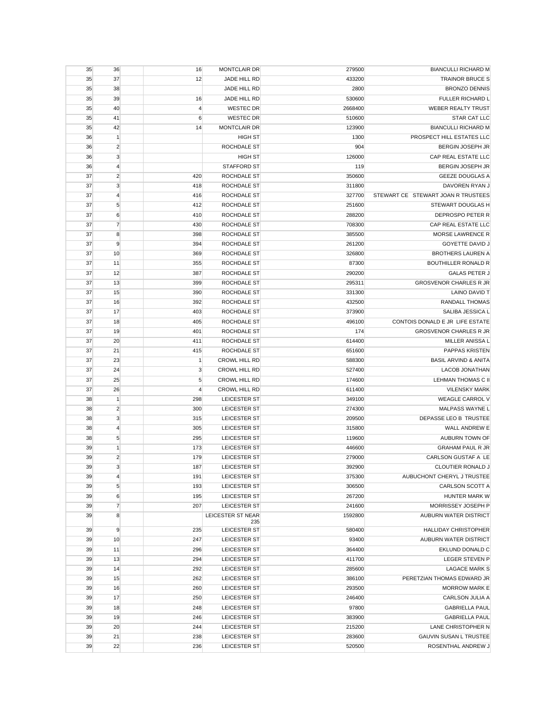| 35 | 36             | 16             | <b>MONTCLAIR DR</b>      | 279500  | <b>BIANCULLI RICHARD M</b>                 |
|----|----------------|----------------|--------------------------|---------|--------------------------------------------|
| 35 | 37             | 12             | JADE HILL RD             | 433200  | <b>TRAINOR BRUCE S</b>                     |
| 35 | 38             |                | JADE HILL RD             | 2800    | <b>BRONZO DENNIS</b>                       |
| 35 | 39             | 16             | JADE HILL RD             | 530600  | FULLER RICHARD L                           |
| 35 | 40             | $\overline{4}$ | <b>WESTEC DR</b>         | 2668400 | <b>WEBER REALTY TRUST</b>                  |
| 35 | 41             | 6              | <b>WESTEC DR</b>         | 510600  | <b>STAR CAT LLC</b>                        |
| 35 | 42             | 14             | <b>MONTCLAIR DR</b>      | 123900  | <b>BIANCULLI RICHARD M</b>                 |
| 36 | $\mathbf{1}$   |                | <b>HIGH ST</b>           | 1300    | PROSPECT HILL ESTATES LLC                  |
| 36 | $\overline{2}$ |                | ROCHDALE ST              | 904     | <b>BERGIN JOSEPH JR</b>                    |
| 36 | 3              |                | <b>HIGH ST</b>           | 126000  | CAP REAL ESTATE LLC                        |
| 36 | $\overline{4}$ |                | STAFFORD ST              | 119     | <b>BERGIN JOSEPH JR</b>                    |
| 37 | $\overline{2}$ | 420            | ROCHDALE ST              | 350600  | <b>GEEZE DOUGLAS A</b>                     |
| 37 | 3              | 418            | <b>ROCHDALE ST</b>       | 311800  | DAVOREN RYAN J                             |
| 37 | $\overline{4}$ | 416            | ROCHDALE ST              | 327700  | STEWART CE STEWART JOAN R TRUSTEES         |
| 37 | 5              | 412            | ROCHDALE ST              | 251600  | STEWART DOUGLAS H                          |
| 37 | 6              | 410            | ROCHDALE ST              | 288200  | DEPROSPO PETER R                           |
| 37 | $\overline{7}$ | 430            | ROCHDALE ST              | 708300  | CAP REAL ESTATE LLC                        |
| 37 | 8              | 398            | ROCHDALE ST              | 385500  | MORSE LAWRENCE R                           |
| 37 | 9              | 394            | ROCHDALE ST              | 261200  | GOYETTE DAVID J                            |
| 37 | 10             | 369            | ROCHDALE ST              | 326800  | <b>BROTHERS LAUREN A</b>                   |
| 37 | 11             | 355            | ROCHDALE ST              | 87300   | <b>BOUTHILLER RONALD R</b>                 |
| 37 | 12             | 387            | ROCHDALE ST              | 290200  | <b>GALAS PETER J</b>                       |
| 37 | 13             | 399            | ROCHDALE ST              | 295311  | <b>GROSVENOR CHARLES R JR</b>              |
| 37 | 15             | 390            | ROCHDALE ST              | 331300  | <b>LAINO DAVID T</b>                       |
| 37 | 16             | 392            | ROCHDALE ST              | 432500  | RANDALL THOMAS                             |
| 37 | 17             | 403            | ROCHDALE ST              | 373900  | SALIBA JESSICA L                           |
| 37 | 18             |                | <b>ROCHDALE ST</b>       | 496100  | CONTOIS DONALD E JR LIFE ESTATE            |
|    | 19             | 405            | ROCHDALE ST              | 174     | <b>GROSVENOR CHARLES R JR</b>              |
| 37 | 20             | 401            | ROCHDALE ST              | 614400  | MILLER ANISSA L                            |
| 37 |                | 411            |                          |         |                                            |
| 37 | 21             | 415            | ROCHDALE ST              | 651600  | PAPPAS KRISTEN                             |
| 37 | 23             | $\mathbf{1}$   | <b>CROWL HILL RD</b>     | 588300  | <b>BASIL ARVIND &amp; ANITA</b>            |
| 37 | 24             | 3              | <b>CROWL HILL RD</b>     | 527400  | <b>LACOB JONATHAN</b>                      |
| 37 | 25             | 5              | <b>CROWL HILL RD</b>     | 174600  | LEHMAN THOMAS C II<br><b>VILENSKY MARK</b> |
| 37 | 26             | 4              | <b>CROWL HILL RD</b>     | 611400  |                                            |
| 38 | $\mathbf{1}$   | 298            | LEICESTER ST             | 349100  | WEAGLE CARROL V                            |
| 38 | $\overline{2}$ | 300            | LEICESTER ST             | 274300  | MALPASS WAYNE L                            |
| 38 | 3              | 315            | LEICESTER ST             | 209500  | DEPASSE LEO B TRUSTEE                      |
| 38 | $\overline{4}$ | 305            | LEICESTER ST             | 315800  | WALL ANDREW E                              |
| 38 | $\sqrt{5}$     | 295            | LEICESTER ST             | 119600  | AUBURN TOWN OF                             |
| 39 | 1              | 173            | LEICESTER ST             | 446600  | <b>GRAHAM PAUL R JR</b>                    |
| 39 | $\overline{2}$ | 179            | LEICESTER ST             | 279000  | CARLSON GUSTAF A LE                        |
| 39 | 3              | 187            | <b>LEICESTER ST</b>      | 392900  | CLOUTIER RONALD J                          |
| 39 | 4              | 191            | LEICESTER ST             | 375300  | AUBUCHONT CHERYL J TRUSTEE                 |
| 39 | 5              | 193            | LEICESTER ST             | 306500  | CARLSON SCOTT A                            |
| 39 | 6              | 195            | LEICESTER ST             | 267200  | HUNTER MARK W                              |
| 39 | $\overline{7}$ | 207            | LEICESTER ST             | 241600  | MORRISSEY JOSEPH P                         |
| 39 | 8              |                | LEICESTER ST NEAR<br>235 | 1592800 | AUBURN WATER DISTRICT                      |
| 39 | 9              | 235            | LEICESTER ST             | 580400  | <b>HALLIDAY CHRISTOPHER</b>                |
| 39 | 10             | 247            | LEICESTER ST             | 93400   | AUBURN WATER DISTRICT                      |
| 39 | 11             | 296            | LEICESTER ST             | 364400  | EKLUND DONALD C                            |
| 39 | 13             | 294            | LEICESTER ST             | 411700  | <b>LEGER STEVEN P</b>                      |
| 39 | 14             | 292            | LEICESTER ST             | 285600  | <b>LAGACE MARK S</b>                       |
| 39 | 15             | 262            | LEICESTER ST             | 386100  | PERETZIAN THOMAS EDWARD JR                 |
| 39 | 16             | 260            | LEICESTER ST             | 293500  | <b>MORROW MARK E</b>                       |
| 39 | 17             | 250            | LEICESTER ST             | 246400  | CARLSON JULIA A                            |
| 39 | 18             | 248            | LEICESTER ST             | 97800   | <b>GABRIELLA PAUL</b>                      |
| 39 | 19             | 246            | LEICESTER ST             | 383900  | <b>GABRIELLA PAUL</b>                      |
| 39 | 20             | 244            | LEICESTER ST             | 215200  | LANE CHRISTOPHER N                         |
| 39 | 21             | 238            | LEICESTER ST             | 283600  | GAUVIN SUSAN L TRUSTEE                     |
| 39 | 22             | 236            | LEICESTER ST             | 520500  | ROSENTHAL ANDREW J                         |
|    |                |                |                          |         |                                            |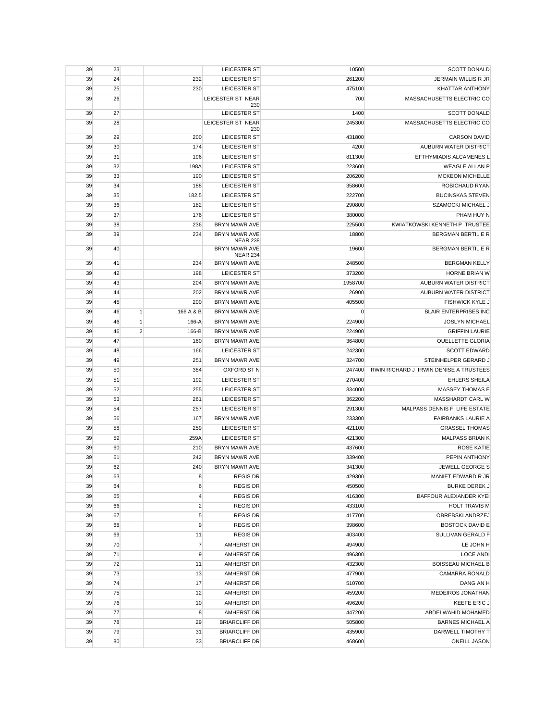| <b>SCOTT DONALD</b>                     | 10500   | LEICESTER ST                            |                           | 23 | 39 |
|-----------------------------------------|---------|-----------------------------------------|---------------------------|----|----|
| JERMAIN WILLIS R JR                     | 261200  | <b>LEICESTER ST</b>                     | 232                       | 24 | 39 |
| KHATTAR ANTHONY                         | 475100  | <b>LEICESTER ST</b>                     | 230                       | 25 | 39 |
| MASSACHUSETTS ELECTRIC CO               | 700     | LEICESTER ST NEAR                       |                           | 26 | 39 |
|                                         |         | 230                                     |                           |    |    |
| <b>SCOTT DONALD</b>                     | 1400    | LEICESTER ST                            |                           | 27 | 39 |
| MASSACHUSETTS ELECTRIC CO               | 245300  | LEICESTER ST NEAR<br>230                |                           | 28 | 39 |
| <b>CARSON DAVID</b>                     | 431800  | LEICESTER ST                            | 200                       | 29 | 39 |
| AUBURN WATER DISTRICT                   | 4200    | LEICESTER ST                            | 174                       | 30 | 39 |
| EFTHYMIADIS ALCAMENES L                 | 811300  | LEICESTER ST                            | 196                       | 31 | 39 |
| <b>WEAGLE ALLAN P</b>                   | 223600  | <b>LEICESTER ST</b>                     | 198A                      | 32 | 39 |
|                                         | 206200  |                                         |                           |    |    |
| <b>MCKEON MICHELLE</b>                  |         | LEICESTER ST<br><b>LEICESTER ST</b>     | 190                       | 33 | 39 |
| ROBICHAUD RYAN                          | 358600  |                                         | 188                       | 34 | 39 |
| <b>BUCINSKAS STEVEN</b>                 | 222700  | <b>LEICESTER ST</b>                     | 182.5                     | 35 | 39 |
| SZAMOCKI MICHAEL J                      | 290800  | <b>LEICESTER ST</b>                     | 182                       | 36 | 39 |
| PHAM HUY N                              | 380000  | <b>LEICESTER ST</b>                     | 176                       | 37 | 39 |
| KWIATKOWSKI KENNETH P TRUSTEE           | 225500  | <b>BRYN MAWR AVE</b>                    | 236                       | 38 | 39 |
| BERGMAN BERTIL E R                      | 18800   | <b>BRYN MAWR AVE</b><br><b>NEAR 238</b> | 234                       | 39 | 39 |
| BERGMAN BERTIL E R                      | 19600   | <b>BRYN MAWR AVE</b><br><b>NEAR 234</b> |                           | 40 | 39 |
| <b>BERGMAN KELLY</b>                    | 248500  | <b>BRYN MAWR AVE</b>                    | 234                       | 41 | 39 |
| <b>HORNE BRIAN W</b>                    | 373200  | LEICESTER ST                            | 198                       | 42 | 39 |
| AUBURN WATER DISTRICT                   | 1958700 | <b>BRYN MAWR AVE</b>                    | 204                       | 43 | 39 |
| AUBURN WATER DISTRICT                   | 26900   | <b>BRYN MAWR AVE</b>                    | 202                       | 44 | 39 |
| FISHWICK KYLE J                         | 405500  | <b>BRYN MAWR AVE</b>                    | 200                       | 45 | 39 |
| <b>BLAIR ENTERPRISES INC</b>            | 0       | <b>BRYN MAWR AVE</b>                    | $\mathbf{1}$<br>166 A & B | 46 | 39 |
| <b>JOSLYN MICHAEL</b>                   | 224900  | BRYN MAWR AVE                           | $\mathbf{1}$<br>166-A     | 46 | 39 |
| <b>GRIFFIN LAURIE</b>                   | 224900  | BRYN MAWR AVE                           | $\overline{2}$<br>166-B   | 46 | 39 |
| <b>OUELLETTE GLORIA</b>                 | 364800  | <b>BRYN MAWR AVE</b>                    | 160                       | 47 | 39 |
| <b>SCOTT EDWARD</b>                     | 242300  | LEICESTER ST                            | 166                       | 48 | 39 |
| STEINHELPER GERARD J                    | 324700  | BRYN MAWR AVE                           | 251                       | 49 | 39 |
| IRWIN RICHARD J IRWIN DENISE A TRUSTEES | 247400  | OXFORD ST N                             | 384                       | 50 | 39 |
| <b>EHLERS SHEILA</b>                    | 270400  | <b>LEICESTER ST</b>                     | 192                       | 51 | 39 |
| <b>MASSEY THOMAS E</b>                  | 334000  | LEICESTER ST                            | 255                       | 52 | 39 |
| MASSHARDT CARL W                        | 362200  | LEICESTER ST                            | 261                       | 53 | 39 |
| MALPASS DENNIS F LIFE ESTATE            | 291300  | LEICESTER ST                            |                           |    | 39 |
|                                         |         |                                         | 257                       | 54 |    |
| <b>FAIRBANKS LAURIE A</b>               | 233300  | <b>BRYN MAWR AVE</b>                    | 167                       | 56 | 39 |
| <b>GRASSEL THOMAS</b>                   | 421100  | <b>LEICESTER ST</b>                     | 259                       | 58 | 39 |
| <b>MALPASS BRIAN K</b>                  | 421300  | LEICESTER ST                            | 259A                      | 59 | 39 |
| <b>ROSE KATIE</b>                       | 437600  | BRYN MAWR AVE                           | 210                       | 60 | 39 |
| PEPIN ANTHONY                           | 339400  | <b>BRYN MAWR AVE</b>                    | 242                       | 61 | 39 |
| JEWELL GEORGE S                         | 341300  | <b>BRYN MAWR AVE</b>                    | 240                       | 62 | 39 |
| MANIET EDWARD R JR                      | 429300  | <b>REGIS DR</b>                         | 8                         | 63 | 39 |
| <b>BURKE DEREK J</b>                    | 450500  | <b>REGIS DR</b>                         | 6                         | 64 | 39 |
| BAFFOUR ALEXANDER KYEI                  | 416300  | <b>REGIS DR</b>                         | $\overline{4}$            | 65 | 39 |
| <b>HOLT TRAVIS M</b>                    | 433100  | <b>REGIS DR</b>                         | $\overline{2}$            | 66 | 39 |
| OBREBSKI ANDRZEJ                        | 417700  | <b>REGIS DR</b>                         | 5                         | 67 | 39 |
| <b>BOSTOCK DAVID E</b>                  | 398600  | <b>REGIS DR</b>                         | 9                         | 68 | 39 |
| SULLIVAN GERALD F                       | 403400  | <b>REGIS DR</b>                         | 11                        | 69 | 39 |
| LE JOHN H                               | 494900  | <b>AMHERST DR</b>                       | $\overline{7}$            | 70 | 39 |
| <b>LOCE ANDI</b>                        | 496300  | AMHERST DR                              | $\mathsf g$               | 71 | 39 |
| <b>BOISSEAU MICHAEL B</b>               | 432300  | AMHERST DR                              | 11                        | 72 | 39 |
| <b>CAMARRA RONALD</b>                   | 477900  | <b>AMHERST DR</b>                       | 13                        | 73 | 39 |
| DANG AN H                               | 510700  | AMHERST DR                              | 17                        | 74 | 39 |
| MEDEIROS JONATHAN                       | 459200  | AMHERST DR                              | 12                        | 75 | 39 |
| KEEFE ERIC J                            | 496200  | AMHERST DR                              | 10                        | 76 | 39 |
| ABDELWAHID MOHAMED                      | 447200  | AMHERST DR                              | 8                         | 77 | 39 |
| <b>BARNES MICHAEL A</b>                 | 505800  | <b>BRIARCLIFF DR</b>                    | 29                        | 78 | 39 |
| DARWELL TIMOTHY T                       | 435900  | <b>BRIARCLIFF DR</b>                    | 31                        | 79 | 39 |
| <b>ONEILL JASON</b>                     | 468600  | <b>BRIARCLIFF DR</b>                    | 33                        | 80 | 39 |
|                                         |         |                                         |                           |    |    |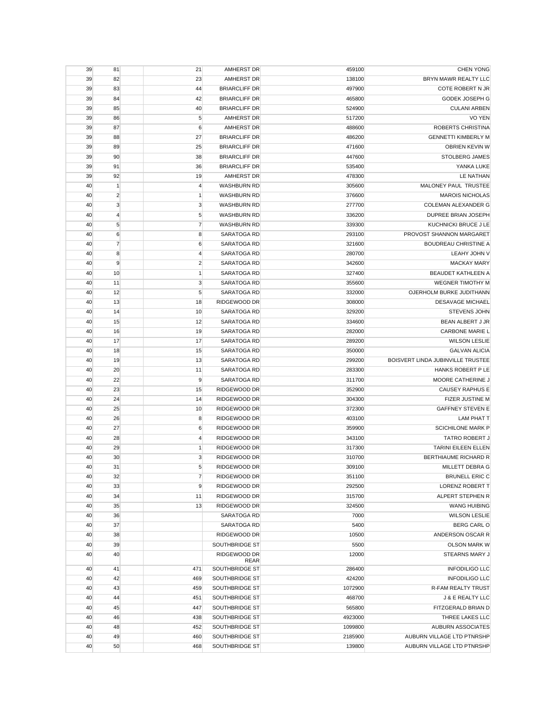| 39<br>21<br>81<br>AMHERST DR                                            | <b>CHEN YONG</b><br>459100                                             |
|-------------------------------------------------------------------------|------------------------------------------------------------------------|
| 82<br>23<br>39<br><b>AMHERST DR</b>                                     | BRYN MAWR REALTY LLC<br>138100                                         |
| 44<br><b>BRIARCLIFF DR</b><br>39<br>83                                  | 497900<br>COTE ROBERT N JR                                             |
| 42<br>39<br>84<br><b>BRIARCLIFF DR</b>                                  | <b>GODEK JOSEPH G</b><br>465800                                        |
| 39<br>85<br>40<br><b>BRIARCLIFF DR</b>                                  | <b>CULANI ARBEN</b><br>524900                                          |
| 5<br>39<br>86<br><b>AMHERST DR</b>                                      | <b>VO YEN</b><br>517200                                                |
| <b>AMHERST DR</b><br>39<br>87<br>6                                      | ROBERTS CHRISTINA<br>488600                                            |
| 27<br>39<br>88<br><b>BRIARCLIFF DR</b>                                  | <b>GENNETTI KIMBERLY M</b><br>486200                                   |
| 25<br>39<br>89<br><b>BRIARCLIFF DR</b>                                  | OBRIEN KEVIN W<br>471600                                               |
| 39<br>90<br>38<br><b>BRIARCLIFF DR</b>                                  | 447600<br>STOLBERG JAMES                                               |
| 91<br>36<br>39<br><b>BRIARCLIFF DR</b>                                  | YANKA LUKE<br>535400                                                   |
| 39<br>92<br>19<br><b>AMHERST DR</b>                                     | 478300<br>LE NATHAN                                                    |
| $\mathbf{1}$<br>$\overline{4}$<br>40<br><b>WASHBURN RD</b>              | MALONEY PAUL TRUSTEE<br>305600                                         |
| $\overline{2}$<br>40<br>1<br><b>WASHBURN RD</b>                         | 376600<br><b>MAROIS NICHOLAS</b>                                       |
| 3<br>3<br>40<br><b>WASHBURN RD</b>                                      | 277700<br>COLEMAN ALEXANDER G                                          |
| 5<br>40<br>$\overline{4}$<br><b>WASHBURN RD</b>                         | 336200<br>DUPREE BRIAN JOSEPH                                          |
| 5<br>$\overline{7}$<br>40<br><b>WASHBURN RD</b>                         | 339300<br>KUCHNICKI BRUCE J LE                                         |
| 40<br>6<br>8<br>SARATOGA RD                                             | PROVOST SHANNON MARGARET<br>293100                                     |
| $\overline{7}$<br>40<br>6<br>SARATOGA RD                                | 321600<br><b>BOUDREAU CHRISTINE A</b>                                  |
| 8<br>40<br>4<br><b>SARATOGA RD</b>                                      | LEAHY JOHN V<br>280700                                                 |
| 9<br>$\overline{2}$<br>SARATOGA RD<br>40                                | 342600<br><b>MACKAY MARY</b>                                           |
| 10<br>$\mathbf{1}$<br>40<br>SARATOGA RD                                 | 327400<br><b>BEAUDET KATHLEEN A</b>                                    |
| 3<br>11<br>SARATOGA RD<br>40                                            | 355600<br><b>WEGNER TIMOTHY M</b>                                      |
| 5<br>40<br>12<br>SARATOGA RD                                            | 332000<br>OJERHOLM BURKE JUDITHANN                                     |
| 40<br>13<br>18<br>RIDGEWOOD DR                                          | 308000<br><b>DESAVAGE MICHAEL</b>                                      |
| 40<br>14<br>10<br>SARATOGA RD                                           | 329200<br><b>STEVENS JOHN</b>                                          |
| 40<br>15<br>12<br>SARATOGA RD                                           | BEAN ALBERT J JR<br>334600                                             |
| 19<br>40<br>16<br>SARATOGA RD                                           | CARBONE MARIE L<br>282000                                              |
| SARATOGA RD                                                             | <b>WILSON LESLIE</b>                                                   |
| 40<br>17<br>17                                                          | 289200                                                                 |
| SARATOGA RD<br>40<br>18<br>15<br>19                                     | 350000<br><b>GALVAN ALICIA</b><br>BOISVERT LINDA JUBINVILLE TRUSTEE    |
| 40<br>13<br>SARATOGA RD                                                 | 299200<br>HANKS ROBERT P LE                                            |
| 40<br>20<br>11<br>SARATOGA RD<br>22<br>9<br>40<br>SARATOGA RD           | 283300<br>MOORE CATHERINE J                                            |
| 23<br>15<br>RIDGEWOOD DR<br>40                                          | 311700<br><b>CAUSEY RAPHUS E</b><br>352900                             |
|                                                                         |                                                                        |
| 40<br>24<br>14<br>RIDGEWOOD DR<br>40<br>25<br>10<br><b>RIDGEWOOD DR</b> | 304300<br><b>FIZER JUSTINE M</b><br><b>GAFFNEY STEVEN E</b><br>372300  |
| RIDGEWOOD DR                                                            |                                                                        |
| 8<br>40<br>26<br>RIDGEWOOD DR                                           | 403100<br><b>LAM PHAT T</b><br><b>SCICHILONE MARK P</b>                |
| 40<br>27<br>6<br>40<br>28<br>4<br>RIDGEWOOD DR                          | 359900<br><b>TATRO ROBERT J</b><br>343100                              |
| 29<br>40<br>1<br>RIDGEWOOD DR                                           |                                                                        |
| 30<br>3<br>40<br>RIDGEWOOD DR                                           | 317300<br>TARINI EILEEN ELLEN<br><b>BERTHIAUME RICHARD R</b><br>310700 |
| 5                                                                       | 309100                                                                 |
| 31<br>RIDGEWOOD DR<br>40<br>$\overline{7}$<br>40<br>32                  | MILLETT DEBRA G<br><b>BRUNELL ERIC C</b>                               |
| RIDGEWOOD DR<br>RIDGEWOOD DR                                            | 351100<br><b>LORENZ ROBERT T</b>                                       |
| 33<br>9<br>40                                                           | 292500<br>ALPERT STEPHEN R                                             |
| 34<br>40<br>11<br>RIDGEWOOD DR                                          | 315700                                                                 |
| 40<br>35<br>13<br>RIDGEWOOD DR<br>SARATOGA RD                           | 324500<br><b>WANG HUIBING</b><br>7000                                  |
| 40<br>36<br>37<br>SARATOGA RD                                           | <b>WILSON LESLIE</b><br><b>BERG CARL O</b>                             |
| 40                                                                      | 5400                                                                   |
| RIDGEWOOD DR<br>40<br>38<br>SOUTHBRIDGE ST                              | 10500<br>ANDERSON OSCAR R<br><b>OLSON MARK W</b>                       |
| 39<br>40                                                                | 5500                                                                   |
| 40<br>RIDGEWOOD DR<br>40<br>REAR                                        | 12000<br>STEARNS MARY J                                                |
| 471<br>SOUTHBRIDGE ST<br>40<br>41                                       | <b>INFODILIGO LLC</b><br>286400                                        |
| SOUTHBRIDGE ST<br>40<br>42<br>469                                       | 424200<br><b>INFODILIGO LLC</b>                                        |
| 43<br>SOUTHBRIDGE ST<br>40<br>459                                       | 1072900<br>R-FAM REALTY TRUST                                          |
| 44<br>SOUTHBRIDGE ST<br>40<br>451                                       | 468700<br>J & E REALTY LLC                                             |
| 45<br>SOUTHBRIDGE ST<br>40<br>447                                       | 565800<br>FITZGERALD BRIAN D                                           |
| 46<br>40<br>438<br>SOUTHBRIDGE ST                                       | 4923000<br>THREE LAKES LLC                                             |
| SOUTHBRIDGE ST<br>40<br>48<br>452                                       |                                                                        |
|                                                                         | 1099800<br><b>AUBURN ASSOCIATES</b>                                    |
| 40<br>49<br>460<br>SOUTHBRIDGE ST                                       | 2185900<br>AUBURN VILLAGE LTD PTNRSHP                                  |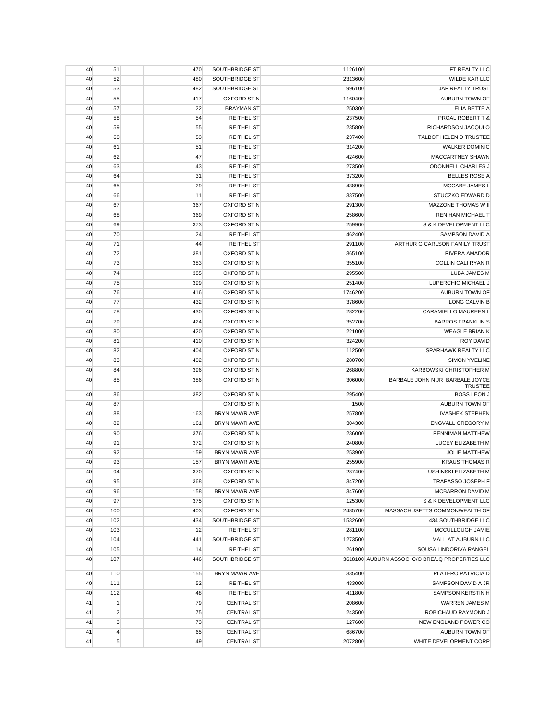| 40       | 51                           | 470        | SOUTHBRIDGE ST                         | 1126100           | FT REALTY LLC                                  |
|----------|------------------------------|------------|----------------------------------------|-------------------|------------------------------------------------|
| 40       | 52                           | 480        | SOUTHBRIDGE ST                         | 2313600           | <b>WILDE KAR LLC</b>                           |
| 40       | 53                           | 482        | SOUTHBRIDGE ST                         | 996100            | <b>JAF REALTY TRUST</b>                        |
| 40       | 55                           | 417        | OXFORD ST N                            | 1160400           | AUBURN TOWN OF                                 |
| 40       | 57                           | 22         | <b>BRAYMAN ST</b>                      | 250300            | ELIA BETTE A                                   |
| 40       | 58                           | 54         | <b>REITHEL ST</b>                      | 237500            | PROAL ROBERT T &                               |
| 40       | 59                           | 55         | <b>REITHEL ST</b>                      | 235800            | RICHARDSON JACQUI O                            |
| 40       | 60                           | 53         | <b>REITHEL ST</b>                      | 237400            | TALBOT HELEN D TRUSTEE                         |
| 40       | 61                           | 51         | <b>REITHEL ST</b>                      | 314200            | <b>WALKER DOMINIC</b>                          |
| 40       | 62                           | 47         | <b>REITHEL ST</b>                      | 424600            | <b>MACCARTNEY SHAWN</b>                        |
| 40       | 63                           | 43         | <b>REITHEL ST</b>                      | 273500            | ODONNELL CHARLES J                             |
| 40       | 64                           | 31         | <b>REITHEL ST</b>                      | 373200            | <b>BELLES ROSE A</b>                           |
| 40       | 65                           | 29         | <b>REITHEL ST</b>                      | 438900            | MCCABE JAMES L                                 |
| 40       | 66                           | 11         | <b>REITHEL ST</b>                      | 337500            | STUCZKO EDWARD D                               |
| 40       | 67                           | 367        | OXFORD ST N                            | 291300            | MAZZONE THOMAS W II                            |
| 40       | 68                           | 369        | OXFORD ST N                            | 258600            | RENIHAN MICHAEL T                              |
| 40       | 69                           | 373        | OXFORD ST N                            | 259900            | S & K DEVELOPMENT LLC                          |
| 40       | 70                           | 24         | <b>REITHEL ST</b>                      | 462400            | SAMPSON DAVID A                                |
| 40       | 71                           | 44         | <b>REITHEL ST</b>                      | 291100            | ARTHUR G CARLSON FAMILY TRUST                  |
|          | 72                           |            | OXFORD ST N                            |                   | <b>RIVERA AMADOR</b>                           |
| 40       |                              | 381        |                                        | 365100            | <b>COLLIN CALI RYAN R</b>                      |
| 40       | 73                           | 383        | OXFORD ST N                            | 355100            |                                                |
| 40       | 74                           | 385        | OXFORD ST N                            | 295500            | LUBA JAMES M                                   |
| 40       | 75                           | 399        | OXFORD ST N                            | 251400            | LUPERCHIO MICHAEL J                            |
| 40       | 76                           | 416        | OXFORD ST N                            | 1746200           | AUBURN TOWN OF                                 |
| 40       | 77                           | 432        | <b>OXFORD ST N</b>                     | 378600            | <b>LONG CALVIN B</b>                           |
| 40       | 78                           | 430        | OXFORD ST N                            | 282200            | CARAMIELLO MAUREEN L                           |
| 40       | 79                           | 424        | OXFORD ST N                            | 352700            | <b>BARROS FRANKLIN S</b>                       |
| 40       | 80                           | 420        | OXFORD ST N                            | 221000            | <b>WEAGLE BRIAN K</b>                          |
| 40       | 81                           | 410        | OXFORD ST N                            | 324200            | <b>ROY DAVID</b>                               |
| 40       | 82                           | 404        | OXFORD ST N                            | 112500            | SPARHAWK REALTY LLC                            |
|          |                              |            |                                        |                   |                                                |
| 40       | 83                           | 402        | OXFORD ST N                            | 280700            | <b>SIMON YVELINE</b>                           |
| 40       | 84                           | 396        | OXFORD ST N                            | 268800            | KARBOWSKI CHRISTOPHER M                        |
| 40       | 85                           | 386        | OXFORD ST N                            | 306000            | BARBALE JOHN N JR BARBALE JOYCE                |
| 40       | 86                           | 382        | OXFORD ST N                            | 295400            | <b>TRUSTEE</b><br><b>BOSS LEON J</b>           |
| 40       | 87                           |            | OXFORD ST N                            | 1500              | AUBURN TOWN OF                                 |
| 40       | 88                           | 163        | BRYN MAWR AVE                          | 257800            | <b>IVASHEK STEPHEN</b>                         |
| 40       | 89                           | 161        | BRYN MAWR AVE                          | 304300            | <b>ENGVALL GREGORY M</b>                       |
| 40       | 90                           | 376        | <b>OXFORD ST N</b>                     | 236000            | PENNIMAN MATTHEW                               |
| 40       | 91                           |            | OXFORD ST N                            |                   |                                                |
| 40       | 92                           | 372<br>159 | BRYN MAWR AVE                          | 240800<br>253900  | LUCEY ELIZABETH M<br><b>JOLIE MATTHEW</b>      |
| 40       | 93                           | 157        | <b>BRYN MAWR AVE</b>                   | 255900            | <b>KRAUS THOMAS R</b>                          |
|          | 94                           |            | OXFORD ST N                            |                   | USHINSKI ELIZABETH M                           |
| 40<br>40 | 95                           | 370<br>368 | OXFORD ST N                            | 287400            |                                                |
| 40       | 96                           | 158        | BRYN MAWR AVE                          | 347200<br>347600  | TRAPASSO JOSEPH F<br>MCBARRON DAVID M          |
| 40       | 97                           | 375        | OXFORD ST N                            | 125300            | S & K DEVELOPMENT LLC                          |
|          |                              |            |                                        |                   |                                                |
| 40       | 100                          | 403        | OXFORD ST N                            | 2485700           | MASSACHUSETTS COMMONWEALTH OF                  |
| 40       | 102                          | 434        | SOUTHBRIDGE ST                         | 1532600           | 434 SOUTHBRIDGE LLC                            |
| 40       | 103                          | 12         | <b>REITHEL ST</b>                      | 281100            | MCCULLOUGH JAMIE                               |
| 40       | 104                          | 441        | SOUTHBRIDGE ST                         | 1273500           | MALL AT AUBURN LLC                             |
| 40       | 105                          | 14         | <b>REITHEL ST</b>                      | 261900            | SOUSA LINDORIVA RANGEL                         |
| 40       | 107                          | 446        | SOUTHBRIDGE ST                         |                   | 3618100 AUBURN ASSOC C/O BRE/LQ PROPERTIES LLC |
| 40       | 110                          | 155        | <b>BRYN MAWR AVE</b>                   | 335400            | PLATERO PATRICIA D                             |
| 40       | 111                          | 52         | <b>REITHEL ST</b>                      | 433000            | SAMPSON DAVID A JR                             |
| 40       | 112                          | 48         | <b>REITHEL ST</b>                      | 411800            | SAMPSON KERSTIN H                              |
| 41       | $\mathbf{1}$                 | 79         | <b>CENTRAL ST</b>                      | 208600            | WARREN JAMES M                                 |
| 41       | $\overline{2}$               | 75         | <b>CENTRAL ST</b>                      | 243500            | ROBICHAUD RAYMOND J                            |
| 41       | $\mathbf{3}$                 | 73         | <b>CENTRAL ST</b>                      | 127600            | NEW ENGLAND POWER CO                           |
| 41<br>41 | $\overline{4}$<br>$\sqrt{5}$ | 65<br>49   | <b>CENTRAL ST</b><br><b>CENTRAL ST</b> | 686700<br>2072800 | AUBURN TOWN OF<br>WHITE DEVELOPMENT CORP       |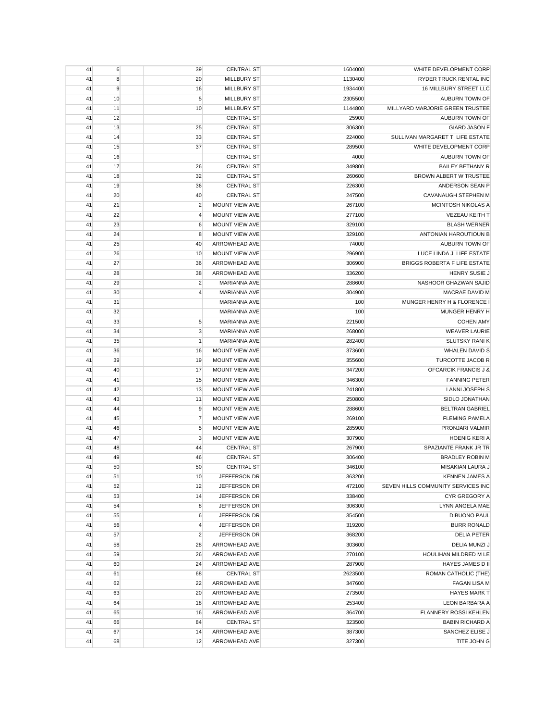| 41 | 6  | 39             | <b>CENTRAL ST</b>     | 1604000 | WHITE DEVELOPMENT CORP             |
|----|----|----------------|-----------------------|---------|------------------------------------|
| 41 | 8  | 20             | <b>MILLBURY ST</b>    | 1130400 | RYDER TRUCK RENTAL INC             |
| 41 | 9  | 16             | <b>MILLBURY ST</b>    | 1934400 | 16 MILLBURY STREET LLC             |
| 41 | 10 | 5              | <b>MILLBURY ST</b>    | 2305500 | AUBURN TOWN OF                     |
| 41 | 11 | 10             | <b>MILLBURY ST</b>    | 1144800 | MILLYARD MARJORIE GREEN TRUSTEE    |
| 41 | 12 |                | <b>CENTRAL ST</b>     | 25900   | AUBURN TOWN OF                     |
| 41 | 13 | 25             | <b>CENTRAL ST</b>     | 306300  | <b>GIARD JASON F</b>               |
| 41 | 14 | 33             | <b>CENTRAL ST</b>     | 224000  | SULLIVAN MARGARET T LIFE ESTATE    |
| 41 | 15 | 37             | <b>CENTRAL ST</b>     | 289500  | WHITE DEVELOPMENT CORP             |
| 41 | 16 |                | <b>CENTRAL ST</b>     | 4000    | AUBURN TOWN OF                     |
| 41 | 17 | 26             | <b>CENTRAL ST</b>     | 349800  | <b>BAILEY BETHANY R</b>            |
| 41 | 18 | 32             | <b>CENTRAL ST</b>     | 260600  | BROWN ALBERT W TRUSTEE             |
| 41 | 19 | 36             | <b>CENTRAL ST</b>     | 226300  | ANDERSON SEAN P                    |
|    | 20 |                |                       |         |                                    |
| 41 |    | 40             | <b>CENTRAL ST</b>     | 247500  | <b>CAVANAUGH STEPHEN M</b>         |
| 41 | 21 | $\overline{2}$ | MOUNT VIEW AVE        | 267100  | MCINTOSH NIKOLAS A                 |
| 41 | 22 | $\overline{4}$ | MOUNT VIEW AVE        | 277100  | VEZEAU KEITH T                     |
| 41 | 23 | 6              | MOUNT VIEW AVE        | 329100  | <b>BLASH WERNER</b>                |
| 41 | 24 | 8              | MOUNT VIEW AVE        | 329100  | ANTONIAN HAROUTIOUN B              |
| 41 | 25 | 40             | ARROWHEAD AVE         | 74000   | AUBURN TOWN OF                     |
| 41 | 26 | 10             | MOUNT VIEW AVE        | 296900  | LUCE LINDA J LIFE ESTATE           |
| 41 | 27 | 36             | ARROWHEAD AVE         | 306900  | BRIGGS ROBERTA F LIFE ESTATE       |
| 41 | 28 | 38             | ARROWHEAD AVE         | 336200  | <b>HENRY SUSIE J</b>               |
| 41 | 29 | $\overline{2}$ | <b>MARIANNA AVE</b>   | 288600  | NASHOOR GHAZWAN SAJID              |
| 41 | 30 | $\overline{4}$ | <b>MARIANNA AVE</b>   | 304900  | <b>MACRAE DAVID M</b>              |
| 41 | 31 |                | <b>MARIANNA AVE</b>   | 100     | MUNGER HENRY H & FLORENCE I        |
| 41 | 32 |                | <b>MARIANNA AVE</b>   | 100     | <b>MUNGER HENRY H</b>              |
| 41 | 33 | 5              | <b>MARIANNA AVE</b>   | 221500  | <b>COHEN AMY</b>                   |
| 41 | 34 | 3              | <b>MARIANNA AVE</b>   | 268000  | <b>WEAVER LAURIE</b>               |
| 41 | 35 | $\mathbf{1}$   | <b>MARIANNA AVE</b>   | 282400  | <b>SLUTSKY RANIK</b>               |
| 41 | 36 | 16             | MOUNT VIEW AVE        | 373600  | <b>WHALEN DAVID S</b>              |
| 41 | 39 | 19             | MOUNT VIEW AVE        | 355600  | TURCOTTE JACOB R                   |
| 41 | 40 | 17             | MOUNT VIEW AVE        | 347200  | OFCARCIK FRANCIS J &               |
| 41 | 41 | 15             | MOUNT VIEW AVE        | 346300  | <b>FANNING PETER</b>               |
| 41 | 42 | 13             | MOUNT VIEW AVE        | 241800  | LANNI JOSEPH S                     |
|    |    |                |                       |         |                                    |
| 41 | 43 | 11             | MOUNT VIEW AVE        | 250800  | SIDLO JONATHAN                     |
| 41 | 44 | 9              | MOUNT VIEW AVE        | 288600  | <b>BELTRAN GABRIEL</b>             |
| 41 | 45 | $\overline{7}$ | MOUNT VIEW AVE        | 269100  | <b>FLEMING PAMELA</b>              |
| 41 | 46 | 5              | <b>MOUNT VIEW AVE</b> | 285900  | PRONJARI VALMIR                    |
| 41 | 47 | 3              | MOUNT VIEW AVE        | 307900  | <b>HOENIG KERI A</b>               |
| 41 | 48 | 44             | <b>CENTRAL ST</b>     | 267900  | SPAZIANTE FRANK JR TR              |
| 41 | 49 | 46             | <b>CENTRAL ST</b>     | 306400  | <b>BRADLEY ROBIN M</b>             |
| 41 | 50 | 50             | <b>CENTRAL ST</b>     | 346100  | <b>MISAKIAN LAURA J</b>            |
| 41 | 51 | 10             | JEFFERSON DR          | 363200  | <b>KENNEN JAMES A</b>              |
| 41 | 52 | 12             | JEFFERSON DR          | 472100  | SEVEN HILLS COMMUNITY SERVICES INC |
| 41 | 53 | 14             | JEFFERSON DR          | 338400  | CYR GREGORY A                      |
| 41 | 54 | 8              | JEFFERSON DR          | 306300  | LYNN ANGELA MAE                    |
| 41 | 55 | 6              | JEFFERSON DR          | 354500  | <b>DIBUONO PAUL</b>                |
| 41 | 56 | 4              | JEFFERSON DR          | 319200  | <b>BURR RONALD</b>                 |
| 41 | 57 | $\overline{2}$ | JEFFERSON DR          | 368200  | <b>DELIA PETER</b>                 |
| 41 | 58 | 28             | ARROWHEAD AVE         | 303600  | DELIA MUNZI J                      |
| 41 | 59 | 26             | ARROWHEAD AVE         | 270100  | HOULIHAN MILDRED M LE              |
| 41 | 60 | 24             | ARROWHEAD AVE         | 287900  | HAYES JAMES D II                   |
| 41 | 61 | 68             | <b>CENTRAL ST</b>     | 2623500 | ROMAN CATHOLIC (THE)               |
| 41 | 62 | 22             | ARROWHEAD AVE         | 347600  | <b>FAGAN LISA M</b>                |
| 41 | 63 | 20             | ARROWHEAD AVE         | 273500  | <b>HAYES MARK T</b>                |
| 41 | 64 | 18             |                       |         |                                    |
|    |    |                | ARROWHEAD AVE         | 253400  | LEON BARBARA A                     |
| 41 | 65 | 16             | ARROWHEAD AVE         | 364700  | FLANNERY ROSSI KEHLEN              |
| 41 | 66 | 84             | <b>CENTRAL ST</b>     | 323500  | <b>BABIN RICHARD A</b>             |
| 41 | 67 | 14             | ARROWHEAD AVE         | 387300  | SANCHEZ ELISE J                    |
| 41 | 68 | 12             | ARROWHEAD AVE         | 327300  | TITE JOHN G                        |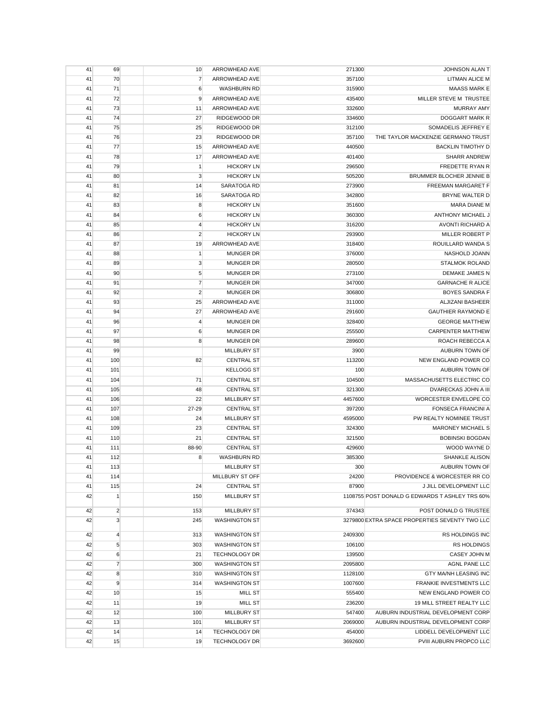| 41 | 69             | 10             | ARROWHEAD AVE        | 271300  | JOHNSON ALAN T                                 |
|----|----------------|----------------|----------------------|---------|------------------------------------------------|
| 41 | 70             | 7              | ARROWHEAD AVE        | 357100  | <b>LITMAN ALICE M</b>                          |
| 41 | 71             | 6              | <b>WASHBURN RD</b>   | 315900  | <b>MAASS MARK E</b>                            |
| 41 | 72             | 9              | ARROWHEAD AVE        | 435400  | MILLER STEVE M TRUSTEE                         |
| 41 | 73             | 11             | ARROWHEAD AVE        | 332600  | <b>MURRAY AMY</b>                              |
| 41 | 74             | 27             | RIDGEWOOD DR         | 334600  | DOGGART MARK R                                 |
| 41 | 75             | 25             | RIDGEWOOD DR         | 312100  | SOMADELIS JEFFREY E                            |
| 41 | 76             | 23             | RIDGEWOOD DR         | 357100  | THE TAYLOR MACKENZIE GERMANO TRUST             |
| 41 | 77             | 15             | ARROWHEAD AVE        | 440500  | <b>BACKLIN TIMOTHY D</b>                       |
| 41 | 78             | 17             | ARROWHEAD AVE        | 401400  | <b>SHARR ANDREW</b>                            |
| 41 | 79             | 1              | <b>HICKORY LN</b>    | 296500  | FREDETTE RYAN R                                |
| 41 | 80             | 3              | <b>HICKORY LN</b>    | 505200  | BRUMMER BLOCHER JENNIE B                       |
| 41 | 81             | 14             | SARATOGA RD          | 273900  | <b>FREEMAN MARGARET F</b>                      |
| 41 | 82             | 16             | SARATOGA RD          | 342800  | BRYNE WALTER D                                 |
| 41 | 83             | 8              | <b>HICKORY LN</b>    | 351600  | <b>MARA DIANE M</b>                            |
| 41 | 84             | 6              | <b>HICKORY LN</b>    | 360300  | ANTHONY MICHAEL J                              |
| 41 | 85             | 4              | <b>HICKORY LN</b>    | 316200  | AVONTI RICHARD A                               |
| 41 | 86             | $\overline{2}$ | <b>HICKORY LN</b>    | 293900  | MILLER ROBERT P                                |
| 41 | 87             | 19             | ARROWHEAD AVE        |         | ROUILLARD WANDA S                              |
|    |                |                |                      | 318400  |                                                |
| 41 | 88             | $\mathbf{1}$   | <b>MUNGER DR</b>     | 376000  | NASHOLD JOANN                                  |
| 41 | 89             | $\mathsf 3$    | <b>MUNGER DR</b>     | 280500  | <b>STALMOK ROLAND</b>                          |
| 41 | 90             | 5              | <b>MUNGER DR</b>     | 273100  | DEMAKE JAMES N                                 |
| 41 | 91             | $\overline{7}$ | <b>MUNGER DR</b>     | 347000  | <b>GARNACHE R ALICE</b>                        |
| 41 | 92             | $\overline{2}$ | <b>MUNGER DR</b>     | 306800  | <b>BOYES SANDRA F</b>                          |
| 41 | 93             | 25             | ARROWHEAD AVE        | 311000  | ALJIZANI BASHEER                               |
| 41 | 94             | 27             | ARROWHEAD AVE        | 291600  | <b>GAUTHIER RAYMOND E</b>                      |
| 41 | 96             | 4              | <b>MUNGER DR</b>     | 328400  | <b>GEORGE MATTHEW</b>                          |
| 41 | 97             | 6              | <b>MUNGER DR</b>     | 255500  | <b>CARPENTER MATTHEW</b>                       |
| 41 | 98             | 8              | <b>MUNGER DR</b>     | 289600  | ROACH REBECCA A                                |
| 41 | 99             |                | <b>MILLBURY ST</b>   | 3900    | AUBURN TOWN OF                                 |
| 41 | 100            | 82             | <b>CENTRAL ST</b>    | 113200  | NEW ENGLAND POWER CO                           |
| 41 | 101            |                | <b>KELLOGG ST</b>    | 100     | AUBURN TOWN OF                                 |
| 41 | 104            | 71             | <b>CENTRAL ST</b>    | 104500  | MASSACHUSETTS ELECTRIC CO                      |
| 41 | 105            | 48             | <b>CENTRAL ST</b>    | 321300  | DVARECKAS JOHN A III                           |
| 41 | 106            | 22             | <b>MILLBURY ST</b>   | 4457600 | WORCESTER ENVELOPE CO                          |
| 41 | 107            | 27-29          | <b>CENTRAL ST</b>    | 397200  | FONSECA FRANCINI A                             |
| 41 | 108            | 24             | <b>MILLBURY ST</b>   | 4595000 | PW REALTY NOMINEE TRUST                        |
| 41 | 109            | 23             | <b>CENTRAL ST</b>    | 324300  | <b>MARONEY MICHAEL S</b>                       |
| 41 | 110            | 21             | <b>CENTRAL ST</b>    | 321500  | <b>BOBINSKI BOGDAN</b>                         |
| 41 | 111            | 88-90          | <b>CENTRAL ST</b>    | 429600  | WOOD WAYNE D                                   |
| 41 | 112            | 8              | <b>WASHBURN RD</b>   | 385300  | <b>SHANKLE ALISON</b>                          |
| 41 | 113            |                | <b>MILLBURY ST</b>   | 300     | AUBURN TOWN OF                                 |
| 41 | 114            |                | MILLBURY ST OFF      | 24200   | PROVIDENCE & WORCESTER RR CO                   |
| 41 | 115            | 24             | <b>CENTRAL ST</b>    | 87900   | J JILL DEVELOPMENT LLC                         |
| 42 | $\mathbf{1}$   | 150            | <b>MILLBURY ST</b>   |         | 1108755 POST DONALD G EDWARDS T ASHLEY TRS 60% |
|    |                |                |                      |         |                                                |
| 42 | $\overline{2}$ | 153            | <b>MILLBURY ST</b>   | 374343  | POST DONALD G TRUSTEE                          |
| 42 | 3              | 245            | <b>WASHINGTON ST</b> |         | 3279800 EXTRA SPACE PROPERTIES SEVENTY TWO LLC |
| 42 | $\overline{4}$ | 313            | <b>WASHINGTON ST</b> | 2409300 | <b>RS HOLDINGS INC</b>                         |
| 42 | 5              | 303            | <b>WASHINGTON ST</b> | 106100  | <b>RS HOLDINGS</b>                             |
| 42 | 6              | 21             | <b>TECHNOLOGY DR</b> | 139500  | <b>CASEY JOHN M</b>                            |
| 42 | $\overline{7}$ | 300            | <b>WASHINGTON ST</b> | 2095800 | <b>AGNL PANE LLC</b>                           |
| 42 | 8              | 310            | <b>WASHINGTON ST</b> | 1128100 | GTY MA/NH LEASING INC                          |
| 42 | 9              | 314            | <b>WASHINGTON ST</b> | 1007600 | FRANKIE INVESTMENTS LLC                        |
| 42 | 10             | 15             | <b>MILL ST</b>       | 555400  | NEW ENGLAND POWER CO                           |
| 42 | 11             | 19             | MILL ST              | 236200  | 19 MILL STREET REALTY LLC                      |
| 42 | 12             | 100            | <b>MILLBURY ST</b>   | 547400  | AUBURN INDUSTRIAL DEVELOPMENT CORP             |
| 42 | 13             | 101            | <b>MILLBURY ST</b>   | 2069000 | AUBURN INDUSTRIAL DEVELOPMENT CORP             |
| 42 | 14             | 14             | <b>TECHNOLOGY DR</b> | 454000  | LIDDELL DEVELOPMENT LLC                        |
| 42 | 15             | 19             | <b>TECHNOLOGY DR</b> | 3692600 | PVIII AUBURN PROPCO LLC                        |
|    |                |                |                      |         |                                                |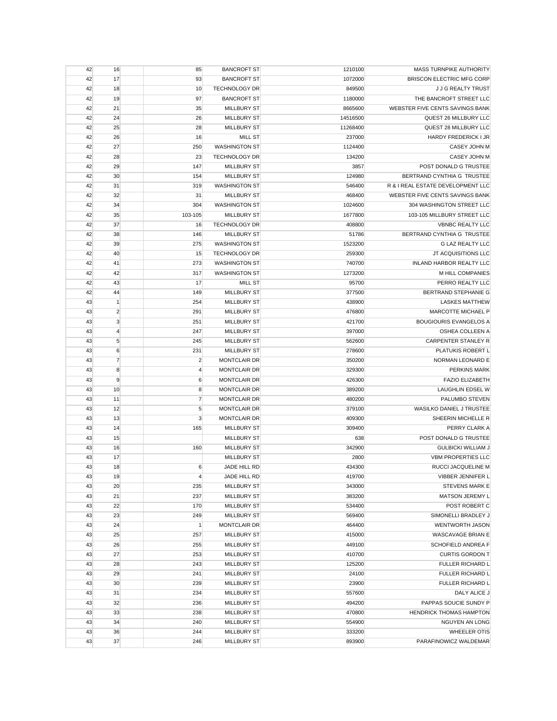| 42 | 16             | 85             | <b>BANCROFT ST</b>   | 1210100  | MASS TURNPIKE AUTHORITY           |
|----|----------------|----------------|----------------------|----------|-----------------------------------|
| 42 | 17             | 93             | <b>BANCROFT ST</b>   | 1072000  | <b>BRISCON ELECTRIC MFG CORP</b>  |
| 42 | 18             | 10             | <b>TECHNOLOGY DR</b> | 849500   | J J G REALTY TRUST                |
| 42 | 19             | 97             | <b>BANCROFT ST</b>   | 1180000  | THE BANCROFT STREET LLC           |
| 42 | 21             | 35             | <b>MILLBURY ST</b>   | 8665600  | WEBSTER FIVE CENTS SAVINGS BANK   |
| 42 | 24             | 26             | <b>MILLBURY ST</b>   | 14516500 | QUEST 26 MILLBURY LLC             |
| 42 | 25             | 28             | <b>MILLBURY ST</b>   | 11268400 | QUEST 28 MILLBURY LLC             |
| 42 | 26             | 16             | <b>MILL ST</b>       | 237000   | HARDY FREDERICK I JR              |
| 42 | 27             | 250            | <b>WASHINGTON ST</b> | 1124400  | <b>CASEY JOHN M</b>               |
| 42 | 28             | 23             | <b>TECHNOLOGY DR</b> | 134200   | CASEY JOHN M                      |
| 42 | 29             | 147            | <b>MILLBURY ST</b>   | 3857     | POST DONALD G TRUSTEE             |
| 42 | 30             | 154            | <b>MILLBURY ST</b>   | 124980   | BERTRAND CYNTHIA G TRUSTEE        |
| 42 | 31             | 319            | <b>WASHINGTON ST</b> | 546400   | R & I REAL ESTATE DEVELOPMENT LLC |
| 42 | 32             | 31             | <b>MILLBURY ST</b>   | 468400   | WEBSTER FIVE CENTS SAVINGS BANK   |
| 42 | 34             | 304            | <b>WASHINGTON ST</b> | 1024600  | 304 WASHINGTON STREET LLC         |
| 42 | 35             | 103-105        | <b>MILLBURY ST</b>   | 1677800  | 103-105 MILLBURY STREET LLC       |
| 42 | 37             | 16             | <b>TECHNOLOGY DR</b> | 408800   | <b>VBNBC REALTY LLC</b>           |
| 42 | 38             | 146            | <b>MILLBURY ST</b>   | 51786    | BERTRAND CYNTHIA G TRUSTEE        |
| 42 | 39             | 275            | <b>WASHINGTON ST</b> | 1523200  | <b>G LAZ REALTY LLC</b>           |
| 42 | 40             | 15             | <b>TECHNOLOGY DR</b> | 259300   | JT ACQUISITIONS LLC               |
| 42 | 41             | 273            | <b>WASHINGTON ST</b> | 740700   | INLAND HARBOR REALTY LLC          |
| 42 | 42             | 317            | <b>WASHINGTON ST</b> | 1273200  | M HILL COMPANIES                  |
| 42 | 43             | 17             | <b>MILL ST</b>       | 95700    | PERRO REALTY LLC                  |
| 42 | 44             | 149            | <b>MILLBURY ST</b>   | 377500   | BERTRAND STEPHANIE G              |
| 43 | $\mathbf{1}$   | 254            | <b>MILLBURY ST</b>   | 438900   | <b>LASKES MATTHEW</b>             |
| 43 | $\overline{c}$ | 291            | <b>MILLBURY ST</b>   | 476800   | MARCOTTE MICHAEL P                |
| 43 | 3              | 251            | <b>MILLBURY ST</b>   | 421700   | <b>BOUGIOURIS EVANGELOS A</b>     |
| 43 | $\overline{4}$ | 247            | <b>MILLBURY ST</b>   | 397000   | OSHEA COLLEEN A                   |
| 43 | 5              | 245            | <b>MILLBURY ST</b>   | 562600   | <b>CARPENTER STANLEY R</b>        |
| 43 | 6              | 231            | <b>MILLBURY ST</b>   | 278600   | PLATUKIS ROBERT L                 |
| 43 | $\overline{7}$ | $\overline{2}$ | <b>MONTCLAIR DR</b>  | 350200   | NORMAN LEONARD E                  |
| 43 | 8              | 4              | MONTCLAIR DR         | 329300   | <b>PERKINS MARK</b>               |
| 43 | 9              | 6              | <b>MONTCLAIR DR</b>  | 426300   | <b>FAZIO ELIZABETH</b>            |
| 43 | 10             | 8              | <b>MONTCLAIR DR</b>  | 389200   | <b>LAUGHLIN EDSEL W</b>           |
| 43 | 11             | $\overline{7}$ | <b>MONTCLAIR DR</b>  | 480200   | PALUMBO STEVEN                    |
| 43 | 12             | 5              | <b>MONTCLAIR DR</b>  | 379100   | WASILKO DANIEL J TRUSTEE          |
| 43 | 13             | $\mathsf 3$    | <b>MONTCLAIR DR</b>  | 409300   | SHEERIN MICHELLE R                |
| 43 | 14             | 165            | <b>MILLBURY ST</b>   | 309400   | PERRY CLARK A                     |
| 43 | 15             |                | <b>MILLBURY ST</b>   | 638      | POST DONALD G TRUSTEE             |
| 43 | 16             | 160            | <b>MILLBURY ST</b>   | 342900   | <b>GULBICKI WILLIAM J</b>         |
| 43 | 17             |                | <b>MILLBURY ST</b>   | 2800     | <b>VBM PROPERTIES LLC</b>         |
| 43 | 18             | 6              | JADE HILL RD         | 434300   | RUCCI JACQUELINE M                |
| 43 | 19             | $\overline{4}$ | JADE HILL RD         | 419700   | VIBBER JENNIFER L                 |
| 43 | 20             | 235            | <b>MILLBURY ST</b>   | 343000   | <b>STEVENS MARK E</b>             |
| 43 | 21             | 237            | <b>MILLBURY ST</b>   | 383200   | MATSON JEREMY L                   |
| 43 | 22             | 170            | <b>MILLBURY ST</b>   | 534400   | POST ROBERT C                     |
| 43 | 23             | 249            | <b>MILLBURY ST</b>   | 569400   | SIMONELLI BRADLEY J               |
| 43 | 24             | $\mathbf{1}$   | <b>MONTCLAIR DR</b>  | 464400   | WENTWORTH JASON                   |
| 43 | 25             | 257            | <b>MILLBURY ST</b>   | 415000   | WASCAVAGE BRIAN E                 |
| 43 | 26             | 255            | <b>MILLBURY ST</b>   | 449100   | SCHOFIELD ANDREA F                |
| 43 | 27             | 253            | <b>MILLBURY ST</b>   | 410700   | <b>CURTIS GORDON T</b>            |
| 43 | 28             | 243            | <b>MILLBURY ST</b>   | 125200   | FULLER RICHARD L                  |
| 43 | 29             | 241            | <b>MILLBURY ST</b>   | 24100    | FULLER RICHARD L                  |
| 43 | 30             | 239            | <b>MILLBURY ST</b>   | 23900    | FULLER RICHARD L                  |
| 43 | 31             | 234            | <b>MILLBURY ST</b>   | 557600   | DALY ALICE J                      |
| 43 | 32             | 236            | <b>MILLBURY ST</b>   | 494200   | PAPPAS SOUCIE SUNDY P             |
| 43 | 33             | 238            | <b>MILLBURY ST</b>   | 470800   | <b>HENDRICK THOMAS HAMPTON</b>    |
| 43 | 34             | 240            | <b>MILLBURY ST</b>   | 554900   | NGUYEN AN LONG                    |
| 43 | 36             | 244            | <b>MILLBURY ST</b>   | 333200   | <b>WHEELER OTIS</b>               |
| 43 | 37             | 246            | <b>MILLBURY ST</b>   | 893900   | PARAFINOWICZ WALDEMAR             |
|    |                |                |                      |          |                                   |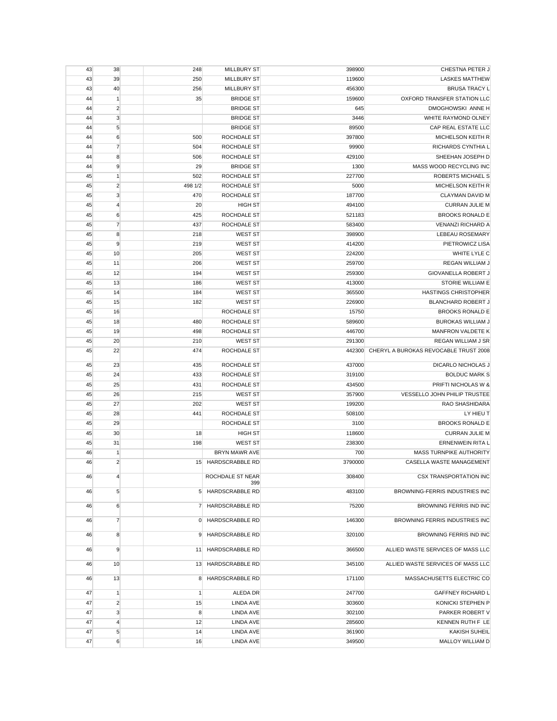| 43 | 38               | 248            | <b>MILLBURY ST</b>     | 398900  | CHESTNA PETER J                       |
|----|------------------|----------------|------------------------|---------|---------------------------------------|
| 43 | 39               | 250            | <b>MILLBURY ST</b>     | 119600  | <b>LASKES MATTHEW</b>                 |
| 43 | 40               | 256            | <b>MILLBURY ST</b>     | 456300  | <b>BRUSA TRACY L</b>                  |
| 44 | $\mathbf{1}$     | 35             | <b>BRIDGE ST</b>       | 159600  | OXFORD TRANSFER STATION LLC           |
| 44 | $\overline{2}$   |                | <b>BRIDGE ST</b>       | 645     | DMOGHOWSKI ANNE H                     |
| 44 | 3                |                | <b>BRIDGE ST</b>       | 3446    | WHITE RAYMOND OLNEY                   |
| 44 | 5                |                | <b>BRIDGE ST</b>       | 89500   | CAP REAL ESTATE LLC                   |
| 44 | 6                | 500            | ROCHDALE ST            | 397800  | MICHELSON KEITH R                     |
| 44 | $\overline{7}$   | 504            | ROCHDALE ST            | 99900   | RICHARDS CYNTHIA L                    |
| 44 | 8                | 506            | ROCHDALE ST            | 429100  | SHEEHAN JOSEPH D                      |
| 44 | 9                | 29             | <b>BRIDGE ST</b>       | 1300    | MASS WOOD RECYCLING INC               |
| 45 | $\mathbf{1}$     | 502            | ROCHDALE ST            | 227700  | ROBERTS MICHAEL S                     |
| 45 | $\overline{c}$   | 498 1/2        | ROCHDALE ST            | 5000    | MICHELSON KEITH R                     |
|    | 3                | 470            |                        |         | CLAYMAN DAVID M                       |
| 45 |                  |                | ROCHDALE ST            | 187700  |                                       |
| 45 | $\overline{4}$   | 20             | <b>HIGH ST</b>         | 494100  | <b>CURRAN JULIE M</b>                 |
| 45 | 6                | 425            | ROCHDALE ST            | 521183  | <b>BROOKS RONALD E</b>                |
| 45 | $\overline{7}$   | 437            | ROCHDALE ST            | 583400  | <b>VENANZI RICHARD A</b>              |
| 45 | 8                | 218            | <b>WEST ST</b>         | 398900  | LEBEAU ROSEMARY                       |
| 45 | 9                | 219            | <b>WEST ST</b>         | 414200  | PIETROWICZ LISA                       |
| 45 | 10               | 205            | <b>WEST ST</b>         | 224200  | WHITE LYLE C                          |
| 45 | 11               | 206            | <b>WEST ST</b>         | 259700  | <b>REGAN WILLIAM J</b>                |
| 45 | 12               | 194            | WEST ST                | 259300  | GIOVANELLA ROBERT J                   |
| 45 | 13               | 186            | <b>WEST ST</b>         | 413000  | STORIE WILLIAM E                      |
| 45 | 14               | 184            | <b>WEST ST</b>         | 365500  | <b>HASTINGS CHRISTOPHER</b>           |
| 45 | 15               | 182            | <b>WEST ST</b>         | 226900  | BLANCHARD ROBERT J                    |
| 45 | 16               |                | ROCHDALE ST            | 15750   | <b>BROOKS RONALD E</b>                |
| 45 | 18               | 480            | ROCHDALE ST            | 589600  | <b>BUROKAS WILLIAM J</b>              |
| 45 | 19               | 498            | ROCHDALE ST            | 446700  | <b>MANFRON VALDETE K</b>              |
| 45 | 20               | 210            | <b>WEST ST</b>         | 291300  | <b>REGAN WILLIAM J SR</b>             |
| 45 | 22               | 474            | ROCHDALE ST            | 442300  | CHERYL A BUROKAS REVOCABLE TRUST 2008 |
|    |                  |                |                        |         |                                       |
| 45 | 23               | 435            | ROCHDALE ST            | 437000  | DICARLO NICHOLAS J                    |
| 45 | 24               | 433            | ROCHDALE ST            | 319100  | <b>BOLDUC MARK S</b>                  |
| 45 | 25               | 431            | ROCHDALE ST            | 434500  | PRIFTI NICHOLAS W &                   |
| 45 | 26               | 215            | <b>WEST ST</b>         | 357900  | VESSELLO JOHN PHILIP TRUSTEE          |
| 45 | 27               | 202            | <b>WEST ST</b>         | 199200  | RAO SHASHIDARA                        |
| 45 | 28               | 441            | ROCHDALE ST            | 508100  | LY HIEU T                             |
| 45 | 29               |                | ROCHDALE ST            | 3100    | <b>BROOKS RONALD E</b>                |
| 45 | 30               | 18             | <b>HIGH ST</b>         | 118600  | <b>CURRAN JULIE M</b>                 |
| 45 | 31               | 198            | <b>WEST ST</b>         | 238300  | ERNENWEIN RITA L                      |
| 46 | $\mathbf{1}$     |                | BRYN MAWR AVE          | 700     | <b>MASS TURNPIKE AUTHORITY</b>        |
| 46 | $\overline{2}$   |                | 15 HARDSCRABBLE RD     | 3790000 | CASELLA WASTE MANAGEMENT              |
| 46 | $\overline{4}$   |                | ROCHDALE ST NEAR       | 308400  | CSX TRANSPORTATION INC                |
| 46 | $5\overline{)}$  | 5 <sup>5</sup> | 399<br>HARDSCRABBLE RD | 483100  | BROWNING-FERRIS INDUSTRIES INC        |
| 46 | $6 \overline{6}$ | $\overline{7}$ | HARDSCRABBLE RD        | 75200   | BROWNING FERRIS IND INC               |
| 46 | $\overline{7}$   | $\overline{0}$ | HARDSCRABBLE RD        | 146300  | BROWNING FERRIS INDUSTRIES INC        |
| 46 | 8                | 9              | HARDSCRABBLE RD        | 320100  | <b>BROWNING FERRIS IND INC</b>        |
| 46 | $\overline{9}$   | 11             | HARDSCRABBLE RD        | 366500  | ALLIED WASTE SERVICES OF MASS LLC     |
| 46 | 10               | 13             | HARDSCRABBLE RD        | 345100  | ALLIED WASTE SERVICES OF MASS LLC     |
| 46 | 13               | 8              | HARDSCRABBLE RD        | 171100  | MASSACHUSETTS ELECTRIC CO             |
| 47 | $\mathbf{1}$     | 1              | ALEDA DR               | 247700  | <b>GAFFNEY RICHARD L</b>              |
| 47 | $\overline{2}$   | 15             | LINDA AVE              | 303600  | KONICKI STEPHEN P                     |
| 47 | 3                | 8              | LINDA AVE              | 302100  | PARKER ROBERT V                       |
| 47 | 4                | 12             | LINDA AVE              | 285600  | KENNEN RUTH F LE                      |
| 47 | 5                | 14             | LINDA AVE              | 361900  | <b>KAKISH SUHEIL</b>                  |
| 47 | 6                | 16             | LINDA AVE              | 349500  | MALLOY WILLIAM D                      |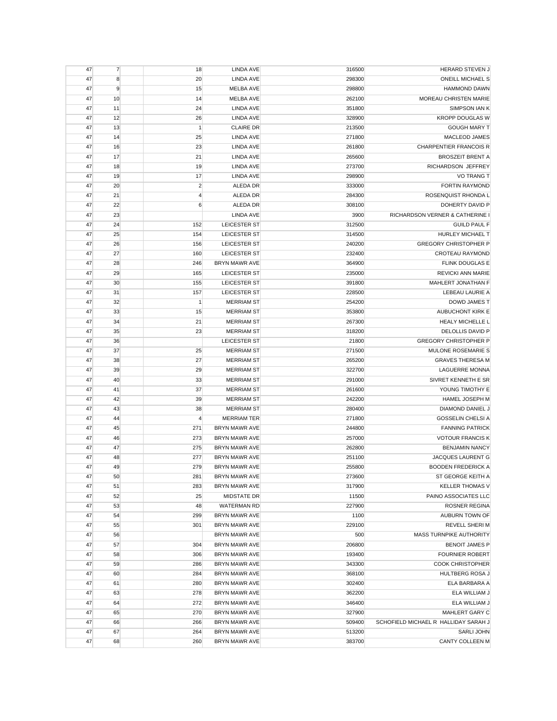| 47 | $\overline{7}$ | 18             | LINDA AVE            | 316500 | <b>HERARD STEVEN J</b>               |
|----|----------------|----------------|----------------------|--------|--------------------------------------|
| 47 | 8              | 20             | <b>LINDA AVE</b>     | 298300 | <b>ONEILL MICHAEL S</b>              |
| 47 | 9              | 15             | MELBA AVE            | 298800 | <b>HAMMOND DAWN</b>                  |
| 47 | 10             | 14             | MELBA AVE            | 262100 | MOREAU CHRISTEN MARIE                |
| 47 | 11             | 24             | <b>LINDA AVE</b>     | 351800 | SIMPSON IAN K                        |
| 47 | 12             | 26             | LINDA AVE            | 328900 | <b>KROPP DOUGLAS W</b>               |
| 47 | 13             | $\mathbf{1}$   | <b>CLAIRE DR</b>     | 213500 | <b>GOUGH MARY T</b>                  |
| 47 | 14             | 25             | <b>LINDA AVE</b>     | 271800 | MACLEOD JAMES                        |
| 47 | 16             | 23             | <b>LINDA AVE</b>     | 261800 | <b>CHARPENTIER FRANCOIS R</b>        |
| 47 | 17             | 21             | LINDA AVE            | 265600 | <b>BROSZEIT BRENT A</b>              |
| 47 | 18             | 19             | <b>LINDA AVE</b>     | 273700 | RICHARDSON JEFFREY                   |
| 47 | 19             | 17             | <b>LINDA AVE</b>     | 298900 | VO TRANG T                           |
| 47 | 20             | $\overline{c}$ | ALEDA DR             | 333000 | <b>FORTIN RAYMOND</b>                |
| 47 | 21             | $\overline{4}$ | ALEDA DR             | 284300 | ROSENQUIST RHONDA L                  |
| 47 | 22             | 6              | ALEDA DR             | 308100 | DOHERTY DAVID P                      |
| 47 | 23             |                | <b>LINDA AVE</b>     | 3900   | RICHARDSON VERNER & CATHERINE I      |
| 47 | 24             | 152            | LEICESTER ST         | 312500 | <b>GUILD PAUL F</b>                  |
| 47 | 25             | 154            | LEICESTER ST         | 314500 | HURLEY MICHAEL T                     |
| 47 | 26             | 156            | LEICESTER ST         | 240200 | <b>GREGORY CHRISTOPHER P</b>         |
| 47 | 27             | 160            | LEICESTER ST         | 232400 | <b>CROTEAU RAYMOND</b>               |
| 47 | 28             | 246            | BRYN MAWR AVE        | 364900 | <b>FLINK DOUGLAS E</b>               |
| 47 | 29             | 165            | LEICESTER ST         | 235000 | <b>REVICKI ANN MARIE</b>             |
| 47 | 30             | 155            | LEICESTER ST         | 391800 | MAHLERT JONATHAN F                   |
| 47 | 31             | 157            | LEICESTER ST         | 228500 | LEBEAU LAURIE A                      |
| 47 | 32             | $\mathbf{1}$   | <b>MERRIAM ST</b>    | 254200 | <b>DOWD JAMES T</b>                  |
| 47 | 33             | 15             | <b>MERRIAM ST</b>    | 353800 | AUBUCHONT KIRK E                     |
| 47 | 34             | 21             | <b>MERRIAM ST</b>    | 267300 | HEALY MICHELLE L                     |
| 47 | 35             | 23             | <b>MERRIAM ST</b>    | 318200 | DELOLLIS DAVID P                     |
| 47 | 36             |                | LEICESTER ST         | 21800  | <b>GREGORY CHRISTOPHER P</b>         |
| 47 | 37             | 25             | <b>MERRIAM ST</b>    | 271500 | MULONE ROSEMARIE S                   |
| 47 | 38             | 27             | <b>MERRIAM ST</b>    | 265200 | <b>GRAVES THERESA M</b>              |
| 47 | 39             | 29             | <b>MERRIAM ST</b>    | 322700 | <b>LAGUERRE MONNA</b>                |
| 47 | 40             | 33             | <b>MERRIAM ST</b>    | 291000 | SIVRET KENNETH E SR                  |
| 47 | 41             | 37             | <b>MERRIAM ST</b>    | 261600 | YOUNG TIMOTHY E                      |
| 47 | 42             | 39             | <b>MERRIAM ST</b>    | 242200 | <b>HAMEL JOSEPH M</b>                |
| 47 | 43             | 38             | <b>MERRIAM ST</b>    | 280400 | DIAMOND DANIEL J                     |
| 47 | 44             | $\overline{4}$ | <b>MERRIAM TER</b>   | 271800 | <b>GOSSELIN CHELSI A</b>             |
| 47 | 45             | 271            | BRYN MAWR AVE        | 244800 | <b>FANNING PATRICK</b>               |
| 47 | 46             | 273            | <b>BRYN MAWR AVE</b> | 257000 | <b>VOTOUR FRANCIS K</b>              |
| 47 | 47             | 275            | BRYN MAWR AVE        | 262800 | <b>BENJAMIN NANCY</b>                |
| 47 | 48             | 277            | BRYN MAWR AVE        | 251100 | <b>JACQUES LAURENT G</b>             |
| 47 | 49             | 279            | BRYN MAWR AVE        | 255800 | <b>BOODEN FREDERICK A</b>            |
| 47 | 50             | 281            | BRYN MAWR AVE        | 273600 | ST GEORGE KEITH A                    |
| 47 | 51             | 283            | BRYN MAWR AVE        | 317900 | <b>KELLER THOMAS V</b>               |
| 47 | 52             | 25             | MIDSTATE DR          | 11500  | PAINO ASSOCIATES LLC                 |
| 47 | 53             | 48             | <b>WATERMAN RD</b>   | 227900 | <b>ROSNER REGINA</b>                 |
| 47 | 54             | 299            | BRYN MAWR AVE        | 1100   | AUBURN TOWN OF                       |
| 47 | 55             | 301            | <b>BRYN MAWR AVE</b> | 229100 | REVELL SHERI M                       |
| 47 | 56             |                | BRYN MAWR AVE        | 500    | MASS TURNPIKE AUTHORITY              |
| 47 | 57             | 304            | BRYN MAWR AVE        | 206800 | <b>BENOIT JAMES P</b>                |
| 47 | 58             | 306            | <b>BRYN MAWR AVE</b> | 193400 | <b>FOURNIER ROBERT</b>               |
| 47 | 59             | 286            | <b>BRYN MAWR AVE</b> | 343300 | <b>COOK CHRISTOPHER</b>              |
| 47 | 60             | 284            | BRYN MAWR AVE        | 368100 | HULTBERG ROSA J                      |
| 47 | 61             | 280            | BRYN MAWR AVE        | 302400 | ELA BARBARA A                        |
| 47 | 63             | 278            | BRYN MAWR AVE        | 362200 | ELA WILLIAM J                        |
| 47 | 64             | 272            | BRYN MAWR AVE        | 346400 | ELA WILLIAM J                        |
| 47 | 65             | 270            | BRYN MAWR AVE        | 327900 | MAHLERT GARY C                       |
| 47 | 66             | 266            | BRYN MAWR AVE        | 509400 | SCHOFIELD MICHAEL R HALLIDAY SARAH J |
| 47 | 67             | 264            | BRYN MAWR AVE        | 513200 | <b>SARLI JOHN</b>                    |
| 47 | 68             | 260            | BRYN MAWR AVE        | 383700 | CANTY COLLEEN M                      |
|    |                |                |                      |        |                                      |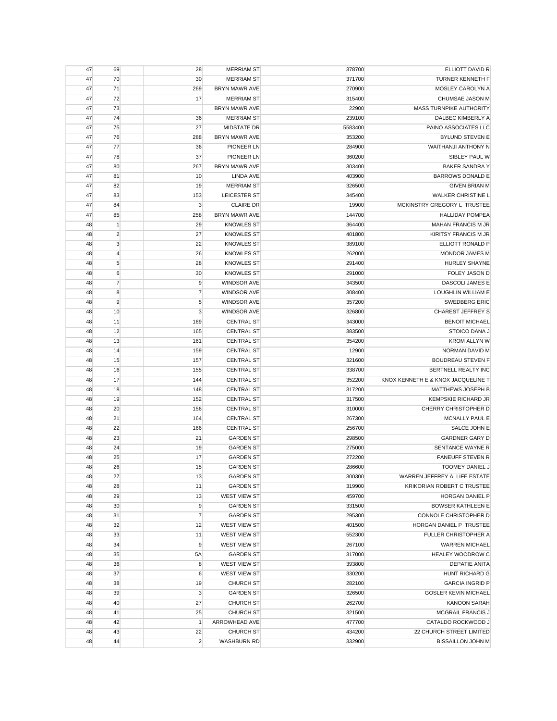|    | 69               | 28             | <b>MERRIAM ST</b>    | 378700  | ELLIOTT DAVID R                    |
|----|------------------|----------------|----------------------|---------|------------------------------------|
| 47 | 70               | 30             | <b>MERRIAM ST</b>    | 371700  | TURNER KENNETH F                   |
| 47 | 71               | 269            | <b>BRYN MAWR AVE</b> | 270900  | MOSLEY CAROLYN A                   |
| 47 | 72               | 17             | <b>MERRIAM ST</b>    | 315400  | CHUMSAE JASON M                    |
| 47 | 73               |                | BRYN MAWR AVE        | 22900   | MASS TURNPIKE AUTHORITY            |
| 47 | 74               | 36             | <b>MERRIAM ST</b>    | 239100  | DALBEC KIMBERLY A                  |
| 47 | 75               | 27             | <b>MIDSTATE DR</b>   | 5583400 | PAINO ASSOCIATES LLC               |
| 47 | 76               | 288            | <b>BRYN MAWR AVE</b> | 353200  | <b>BYLUND STEVEN E</b>             |
| 47 | 77               | 36             | PIONEER LN           | 284900  | WAITHANJI ANTHONY N                |
| 47 | 78               | 37             | PIONEER LN           | 360200  | SIBLEY PAUL W                      |
| 47 | 80               | 267            | <b>BRYN MAWR AVE</b> | 303400  | <b>BAKER SANDRA Y</b>              |
| 47 | 81               | 10             | <b>LINDA AVE</b>     | 403900  | <b>BARROWS DONALD E</b>            |
| 47 | 82               | 19             | <b>MERRIAM ST</b>    | 326500  | <b>GIVEN BRIAN M</b>               |
| 47 | 83               | 153            | LEICESTER ST         | 345400  | <b>WALKER CHRISTINE L</b>          |
| 47 | 84               | 3              | <b>CLAIRE DR</b>     | 19900   | MCKINSTRY GREGORY L TRUSTEE        |
| 47 | 85               | 258            | <b>BRYN MAWR AVE</b> | 144700  | <b>HALLIDAY POMPEA</b>             |
| 48 | $\vert$ 1        | 29             | <b>KNOWLES ST</b>    | 364400  | <b>MAHAN FRANCIS M JR</b>          |
| 48 | $\overline{2}$   | 27             | <b>KNOWLES ST</b>    | 401800  | <b>KIRITSY FRANCIS M JR</b>        |
| 48 | 3                | 22             | <b>KNOWLES ST</b>    | 389100  | ELLIOTT RONALD P                   |
|    |                  |                | <b>KNOWLES ST</b>    |         | MONDOR JAMES M                     |
| 48 | $\overline{4}$   | 26             |                      | 262000  |                                    |
| 48 | $\sqrt{5}$       | 28             | <b>KNOWLES ST</b>    | 291400  | <b>HURLEY SHAYNE</b>               |
| 48 | $\boldsymbol{6}$ | 30             | <b>KNOWLES ST</b>    | 291000  | FOLEY JASON D                      |
| 48 | $\overline{7}$   | 9              | <b>WINDSOR AVE</b>   | 343500  | DASCOLI JAMES E                    |
| 48 | 8                | $\overline{7}$ | <b>WINDSOR AVE</b>   | 308400  | LOUGHLIN WILLIAM E                 |
| 48 | 9                | $\sqrt{5}$     | <b>WINDSOR AVE</b>   | 357200  | <b>SWEDBERG ERIC</b>               |
| 48 | 10               | $\mathsf 3$    | <b>WINDSOR AVE</b>   | 326800  | <b>CHAREST JEFFREY S</b>           |
| 48 | 11               | 169            | <b>CENTRAL ST</b>    | 343000  | <b>BENOIT MICHAEL</b>              |
| 48 | 12               | 165            | <b>CENTRAL ST</b>    | 383500  | STOICO DANA J                      |
| 48 | 13               | 161            | <b>CENTRAL ST</b>    | 354200  | <b>KROM ALLYN W</b>                |
| 48 | 14               | 159            | <b>CENTRAL ST</b>    | 12900   | NORMAN DAVID M                     |
| 48 | 15               | 157            | <b>CENTRAL ST</b>    | 321600  | <b>BOUDREAU STEVEN F</b>           |
| 48 | 16               |                |                      |         |                                    |
|    |                  | 155            | <b>CENTRAL ST</b>    | 338700  | BERTNELL REALTY INC                |
| 48 | 17               | 144            | <b>CENTRAL ST</b>    | 352200  | KNOX KENNETH E & KNOX JACQUELINE T |
| 48 | 18               | 148            | <b>CENTRAL ST</b>    | 317200  | <b>MATTHEWS JOSEPH B</b>           |
| 48 | 19               | 152            | <b>CENTRAL ST</b>    | 317500  | <b>KEMPSKIE RICHARD JR</b>         |
| 48 | 20               | 156            | <b>CENTRAL ST</b>    | 310000  | CHERRY CHRISTOPHER D               |
| 48 | 21               | 164            | <b>CENTRAL ST</b>    | 267300  | <b>MCNALLY PAUL E</b>              |
| 48 | 22               | 166            | <b>CENTRAL ST</b>    | 256700  | SALCE JOHN E                       |
| 48 | 23               | 21             | <b>GARDEN ST</b>     | 298500  | <b>GARDNER GARY D</b>              |
| 48 | 24               | 19             | <b>GARDEN ST</b>     | 275000  | SENTANCE WAYNE R                   |
| 48 | 25               | 17             | <b>GARDEN ST</b>     | 272200  | <b>FANEUFF STEVEN R</b>            |
| 48 | 26               | 15             | <b>GARDEN ST</b>     | 286600  | <b>TOOMEY DANIEL J</b>             |
| 48 | 27               | 13             | <b>GARDEN ST</b>     | 300300  | WARREN JEFFREY A LIFE ESTATE       |
| 48 | 28               | 11             | <b>GARDEN ST</b>     | 319900  | <b>KRIKORIAN ROBERT C TRUSTEE</b>  |
| 48 | 29               | 13             | WEST VIEW ST         | 459700  | <b>HORGAN DANIEL P</b>             |
| 48 | 30               | 9              | <b>GARDEN ST</b>     | 331500  | <b>BOWSER KATHLEEN E</b>           |
| 48 | 31               | $\overline{7}$ | <b>GARDEN ST</b>     | 295300  | CONNOLE CHRISTOPHER D              |
| 48 | 32               | 12             | WEST VIEW ST         | 401500  | HORGAN DANIEL P TRUSTEE            |
| 48 | 33               | 11             | WEST VIEW ST         | 552300  | FULLER CHRISTOPHER A               |
| 48 | 34               | 9              | WEST VIEW ST         | 267100  | <b>WARREN MICHAEL</b>              |
| 48 | 35               | 5A             | <b>GARDEN ST</b>     | 317000  | HEALEY WOODROW C                   |
| 48 | 36               | 8              | WEST VIEW ST         | 393800  | <b>DEPATIE ANITA</b>               |
| 48 | 37               | 6              | WEST VIEW ST         | 330200  | HUNT RICHARD G                     |
| 48 | 38               | 19             | <b>CHURCH ST</b>     | 282100  | <b>GARCIA INGRID P</b>             |
| 48 | 39               | 3              | <b>GARDEN ST</b>     | 326500  | <b>GOSLER KEVIN MICHAEL</b>        |
| 48 | 40               | 27             | <b>CHURCH ST</b>     | 262700  | <b>KANOON SARAH</b>                |
| 48 | 41               | 25             | <b>CHURCH ST</b>     | 321500  | MCGRAIL FRANCIS J                  |
| 48 | 42               | $\mathbf{1}$   | ARROWHEAD AVE        | 477700  | CATALDO ROCKWOOD J                 |
| 48 | 43               | 22             | <b>CHURCH ST</b>     | 434200  | 22 CHURCH STREET LIMITED           |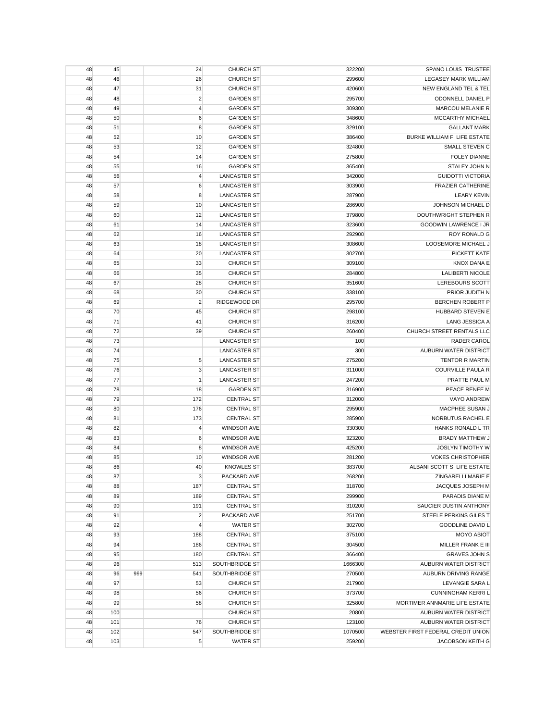| 48 | 45  |     | 24             | <b>CHURCH ST</b>    | 322200  | SPANO LOUIS TRUSTEE                |
|----|-----|-----|----------------|---------------------|---------|------------------------------------|
| 48 | 46  |     | 26             | <b>CHURCH ST</b>    | 299600  | <b>LEGASEY MARK WILLIAM</b>        |
| 48 | 47  |     | 31             | <b>CHURCH ST</b>    | 420600  | NEW ENGLAND TEL & TEL              |
| 48 | 48  |     | $\overline{c}$ | <b>GARDEN ST</b>    | 295700  | ODONNELL DANIEL P                  |
| 48 | 49  |     | $\overline{4}$ | <b>GARDEN ST</b>    | 309300  | MARCOU MELANIE R                   |
| 48 | 50  |     | $\,6$          | <b>GARDEN ST</b>    | 348600  | MCCARTHY MICHAEL                   |
| 48 | 51  |     | 8              | <b>GARDEN ST</b>    | 329100  | <b>GALLANT MARK</b>                |
| 48 | 52  |     | 10             | <b>GARDEN ST</b>    | 386400  | BURKE WILLIAM F LIFE ESTATE        |
| 48 | 53  |     | 12             | <b>GARDEN ST</b>    | 324800  | <b>SMALL STEVEN C</b>              |
| 48 | 54  |     | 14             | <b>GARDEN ST</b>    | 275800  | <b>FOLEY DIANNE</b>                |
| 48 | 55  |     | 16             | <b>GARDEN ST</b>    | 365400  | STALEY JOHN N                      |
| 48 | 56  |     | $\overline{4}$ | <b>LANCASTER ST</b> | 342000  | <b>GUIDOTTI VICTORIA</b>           |
| 48 | 57  |     | 6              | <b>LANCASTER ST</b> | 303900  | <b>FRAZIER CATHERINE</b>           |
| 48 | 58  |     | 8              | <b>LANCASTER ST</b> | 287900  | <b>LEARY KEVIN</b>                 |
| 48 | 59  |     | 10             | <b>LANCASTER ST</b> | 286900  | JOHNSON MICHAEL D                  |
| 48 | 60  |     | 12             | <b>LANCASTER ST</b> | 379800  | DOUTHWRIGHT STEPHEN R              |
| 48 | 61  |     | 14             | <b>LANCASTER ST</b> | 323600  | <b>GOODWIN LAWRENCE I JR</b>       |
| 48 | 62  |     | 16             | <b>LANCASTER ST</b> | 292900  | <b>ROY RONALD G</b>                |
| 48 | 63  |     | 18             | <b>LANCASTER ST</b> | 308600  | LOOSEMORE MICHAEL J                |
|    | 64  |     | 20             | <b>LANCASTER ST</b> | 302700  | PICKETT KATE                       |
| 48 |     |     |                |                     |         |                                    |
| 48 | 65  |     | 33             | <b>CHURCH ST</b>    | 309100  | <b>KNOX DANA E</b>                 |
| 48 | 66  |     | 35             | <b>CHURCH ST</b>    | 284800  | <b>LALIBERTI NICOLE</b>            |
| 48 | 67  |     | 28             | <b>CHURCH ST</b>    | 351600  | LEREBOURS SCOTT                    |
| 48 | 68  |     | 30             | <b>CHURCH ST</b>    | 338100  | PRIOR JUDITH N                     |
| 48 | 69  |     | $\overline{c}$ | RIDGEWOOD DR        | 295700  | <b>BERCHEN ROBERT P</b>            |
| 48 | 70  |     | 45             | <b>CHURCH ST</b>    | 298100  | HUBBARD STEVEN E                   |
| 48 | 71  |     | 41             | <b>CHURCH ST</b>    | 316200  | LANG JESSICA A                     |
| 48 | 72  |     | 39             | <b>CHURCH ST</b>    | 260400  | CHURCH STREET RENTALS LLC          |
| 48 | 73  |     |                | <b>LANCASTER ST</b> | 100     | <b>RADER CAROL</b>                 |
| 48 | 74  |     |                | <b>LANCASTER ST</b> | 300     | AUBURN WATER DISTRICT              |
| 48 | 75  |     | 5              | <b>LANCASTER ST</b> | 275200  | <b>TENTOR R MARTIN</b>             |
| 48 | 76  |     | 3              | <b>LANCASTER ST</b> | 311000  | COURVILLE PAULA R                  |
| 48 | 77  |     | $\mathbf{1}$   | <b>LANCASTER ST</b> | 247200  | PRATTE PAUL M                      |
| 48 | 78  |     | 18             | <b>GARDEN ST</b>    | 316900  | PEACE RENEE M                      |
| 48 | 79  |     | 172            | <b>CENTRAL ST</b>   | 312000  | VAYO ANDREW                        |
| 48 | 80  |     | 176            | <b>CENTRAL ST</b>   | 295900  | MACPHEE SUSAN J                    |
| 48 | 81  |     | 173            | <b>CENTRAL ST</b>   | 285900  | NORBUTUS RACHEL E                  |
| 48 | 82  |     | $\overline{4}$ | <b>WINDSOR AVE</b>  | 330300  | <b>HANKS RONALD L TR</b>           |
| 48 | 83  |     | 6              | <b>WINDSOR AVE</b>  | 323200  | BRADY MATTHEW J                    |
| 48 | 84  |     | 8              | <b>WINDSOR AVE</b>  | 425200  | <b>JOSLYN TIMOTHY W</b>            |
| 48 | 85  |     | 10             | <b>WINDSOR AVE</b>  | 281200  | <b>VOKES CHRISTOPHER</b>           |
| 48 | 86  |     | 40             | <b>KNOWLES ST</b>   | 383700  | ALBANI SCOTT S LIFE ESTATE         |
| 48 | 87  |     | $\mathbf{3}$   | PACKARD AVE         | 268200  | ZINGARELLI MARIE E                 |
| 48 | 88  |     | 187            | <b>CENTRAL ST</b>   | 318700  | JACQUES JOSEPH M                   |
| 48 | 89  |     | 189            | <b>CENTRAL ST</b>   | 299900  | PARADIS DIANE M                    |
| 48 | 90  |     | 191            | <b>CENTRAL ST</b>   | 310200  | SAUCIER DUSTIN ANTHONY             |
| 48 | 91  |     | $\overline{2}$ | PACKARD AVE         | 251700  | STEELE PERKINS GILES T             |
| 48 | 92  |     | $\overline{4}$ | <b>WATER ST</b>     | 302700  | <b>GOODLINE DAVID L</b>            |
| 48 | 93  |     | 188            | <b>CENTRAL ST</b>   | 375100  | <b>MOYO ABIOT</b>                  |
| 48 | 94  |     | 186            | <b>CENTRAL ST</b>   | 304500  | MILLER FRANK E III                 |
| 48 | 95  |     | 180            | <b>CENTRAL ST</b>   | 366400  | <b>GRAVES JOHN S</b>               |
| 48 | 96  |     | 513            | SOUTHBRIDGE ST      | 1666300 | AUBURN WATER DISTRICT              |
| 48 | 96  | 999 | 541            | SOUTHBRIDGE ST      | 270500  | AUBURN DRIVING RANGE               |
| 48 | 97  |     | 53             | <b>CHURCH ST</b>    | 217900  | LEVANGIE SARA L                    |
| 48 | 98  |     | 56             | <b>CHURCH ST</b>    | 373700  | <b>CUNNINGHAM KERRI L</b>          |
| 48 | 99  |     | 58             | <b>CHURCH ST</b>    | 325800  | MORTIMER ANNMARIE LIFE ESTATE      |
| 48 | 100 |     |                | <b>CHURCH ST</b>    | 20800   | AUBURN WATER DISTRICT              |
| 48 | 101 |     | 76             | <b>CHURCH ST</b>    | 123100  | AUBURN WATER DISTRICT              |
| 48 | 102 |     | 547            | SOUTHBRIDGE ST      | 1070500 | WEBSTER FIRST FEDERAL CREDIT UNION |
| 48 | 103 |     | 5              | <b>WATER ST</b>     | 259200  | <b>JACOBSON KEITH G</b>            |
|    |     |     |                |                     |         |                                    |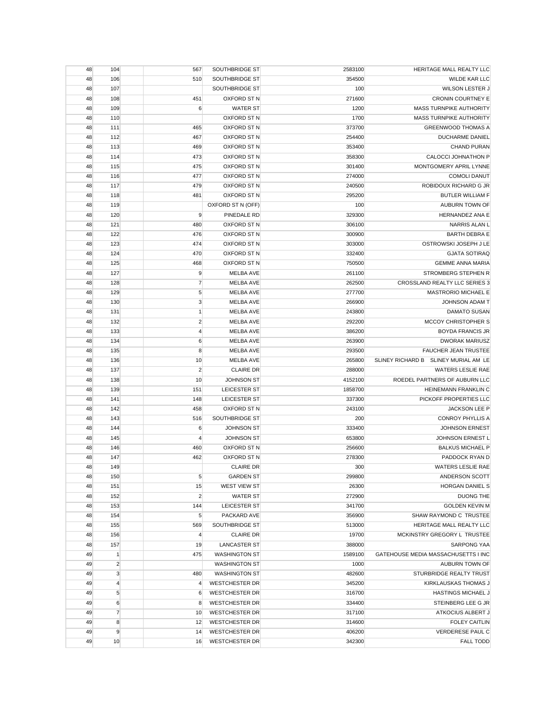| 48 | 104            | 567              | SOUTHBRIDGE ST        | 2583100 | HERITAGE MALL REALTY LLC                   |
|----|----------------|------------------|-----------------------|---------|--------------------------------------------|
| 48 | 106            | 510              | SOUTHBRIDGE ST        | 354500  | WILDE KAR LLC                              |
| 48 | 107            |                  | SOUTHBRIDGE ST        | 100     | WILSON LESTER J                            |
| 48 | 108            | 451              | OXFORD ST N           | 271600  | <b>CRONIN COURTNEY E</b>                   |
| 48 | 109            | 6                | <b>WATER ST</b>       | 1200    | MASS TURNPIKE AUTHORITY                    |
| 48 | 110            |                  | OXFORD ST N           | 1700    | <b>MASS TURNPIKE AUTHORITY</b>             |
| 48 | 111            | 465              | OXFORD ST N           | 373700  | <b>GREENWOOD THOMAS A</b>                  |
| 48 | 112            | 467              | OXFORD ST N           | 254400  | DUCHARME DANIEL                            |
| 48 | 113            | 469              | OXFORD ST N           | 353400  | CHAND PURAN                                |
| 48 | 114            | 473              | OXFORD ST N           | 358300  | CALOCCI JOHNATHON P                        |
| 48 | 115            | 475              | OXFORD ST N           | 301400  | MONTGOMERY APRIL LYNNE                     |
| 48 | 116            | 477              | OXFORD ST N           | 274000  | <b>COMOLI DANUT</b>                        |
| 48 | 117            | 479              | OXFORD ST N           | 240500  | ROBIDOUX RICHARD G JR                      |
| 48 | 118            | 481              | OXFORD ST N           | 295200  | <b>BUTLER WILLIAM F</b>                    |
| 48 | 119            |                  | OXFORD ST N (OFF)     | 100     | AUBURN TOWN OF                             |
| 48 | 120            | 9                | PINEDALE RD           | 329300  | HERNANDEZ ANA E                            |
| 48 | 121            | 480              | OXFORD ST N           | 306100  | NARRIS ALAN L                              |
| 48 | 122            | 476              | OXFORD ST N           | 300900  | <b>BARTH DEBRA E</b>                       |
| 48 | 123            | 474              | OXFORD ST N           | 303000  | OSTROWSKI JOSEPH J LE                      |
| 48 | 124            | 470              | OXFORD ST N           | 332400  | <b>GJATA SOTIRAQ</b>                       |
| 48 | 125            | 468              | OXFORD ST N           | 750500  | <b>GEMME ANNA MARIA</b>                    |
| 48 | 127            | 9                | <b>MELBA AVE</b>      | 261100  | STROMBERG STEPHEN R                        |
| 48 | 128            | $\overline{7}$   | <b>MELBA AVE</b>      | 262500  | CROSSLAND REALTY LLC SERIES 3              |
| 48 | 129            | 5                | <b>MELBA AVE</b>      | 277700  | <b>MASTRORIO MICHAEL E</b>                 |
| 48 | 130            | 3                | <b>MELBA AVE</b>      | 266900  | <b>JOHNSON ADAM T</b>                      |
| 48 | 131            | $\mathbf{1}$     | <b>MELBA AVE</b>      | 243800  | <b>DAMATO SUSAN</b>                        |
| 48 | 132            | $\overline{2}$   | <b>MELBA AVE</b>      | 292200  | MCCOY CHRISTOPHER S                        |
| 48 | 133            | $\overline{4}$   | MELBA AVE             | 386200  | <b>BOYDA FRANCIS JR</b>                    |
| 48 | 134            | $\boldsymbol{6}$ | MELBA AVE             | 263900  | <b>DWORAK MARIUSZ</b>                      |
| 48 | 135            | 8                | <b>MELBA AVE</b>      | 293500  | FAUCHER JEAN TRUSTEE                       |
| 48 | 136            | 10               | MELBA AVE             | 265800  | SLINEY RICHARD B SLINEY MURIAL AM LE       |
| 48 | 137            | $\overline{2}$   | <b>CLAIRE DR</b>      | 288000  | <b>WATERS LESLIE RAE</b>                   |
| 48 | 138            | 10               | <b>JOHNSON ST</b>     | 4152100 | ROEDEL PARTNERS OF AUBURN LLC              |
| 48 | 139            | 151              | LEICESTER ST          | 1858700 | HEINEMANN FRANKLIN C                       |
| 48 | 141            | 148              | LEICESTER ST          | 337300  | PICKOFF PROPERTIES LLC                     |
| 48 | 142            | 458              | OXFORD ST N           | 243100  | <b>JACKSON LEE P</b>                       |
| 48 | 143            | 516              | SOUTHBRIDGE ST        | 200     | <b>CONROY PHYLLIS A</b>                    |
| 48 | 144            | 6                | <b>JOHNSON ST</b>     | 333400  | <b>JOHNSON ERNEST</b>                      |
| 48 | 145            | $\overline{4}$   | <b>JOHNSON ST</b>     | 653800  | JOHNSON ERNEST L                           |
| 48 | 146            | 460              | OXFORD ST N           | 256600  | <b>BALKUS MICHAEL P</b>                    |
| 48 | 147            | 462              | OXFORD ST N           | 278300  | PADDOCK RYAN D                             |
| 48 | 149            |                  | <b>CLAIRE DR</b>      | 300     | <b>WATERS LESLIE RAE</b>                   |
| 48 | 150            | 5                | <b>GARDEN ST</b>      | 299800  | ANDERSON SCOTT                             |
| 48 | 151            | 15               | WEST VIEW ST          | 26300   | HORGAN DANIEL S                            |
| 48 | 152            | $\overline{2}$   | <b>WATER ST</b>       | 272900  | <b>DUONG THE</b>                           |
| 48 | 153            | 144              | LEICESTER ST          | 341700  | <b>GOLDEN KEVIN M</b>                      |
| 48 | 154            | $\sqrt{5}$       | PACKARD AVE           | 356900  | SHAW RAYMOND C TRUSTEE                     |
| 48 | 155            | 569              | SOUTHBRIDGE ST        | 513000  | HERITAGE MALL REALTY LLC                   |
| 48 | 156            | $\overline{4}$   | <b>CLAIRE DR</b>      | 19700   | MCKINSTRY GREGORY L TRUSTEE                |
| 48 | 157            | 19               | <b>LANCASTER ST</b>   | 388000  | <b>SARPONG YAA</b>                         |
| 49 | $\mathbf{1}$   | 475              | <b>WASHINGTON ST</b>  | 1589100 | <b>GATEHOUSE MEDIA MASSACHUSETTS I INC</b> |
| 49 | $\overline{2}$ |                  | <b>WASHINGTON ST</b>  | 1000    | AUBURN TOWN OF                             |
| 49 | 3              | 480              | <b>WASHINGTON ST</b>  | 482600  | STURBRIDGE REALTY TRUST                    |
| 49 | $\overline{4}$ | $\overline{4}$   | <b>WESTCHESTER DR</b> | 345200  | KIRKLAUSKAS THOMAS J                       |
| 49 | 5              | 6                | <b>WESTCHESTER DR</b> | 316700  | <b>HASTINGS MICHAEL J</b>                  |
| 49 | 6              | 8                | <b>WESTCHESTER DR</b> | 334400  | STEINBERG LEE G JR                         |
| 49 | $\overline{7}$ | 10               | <b>WESTCHESTER DR</b> | 317100  | ATKOCIUS ALBERT J                          |
| 49 | 8              | 12               | <b>WESTCHESTER DR</b> | 314600  | <b>FOLEY CAITLIN</b>                       |
| 49 | 9              | 14               | <b>WESTCHESTER DR</b> | 406200  | VERDERESE PAUL C                           |
| 49 | 10             | 16               | <b>WESTCHESTER DR</b> | 342300  | <b>FALL TODD</b>                           |
|    |                |                  |                       |         |                                            |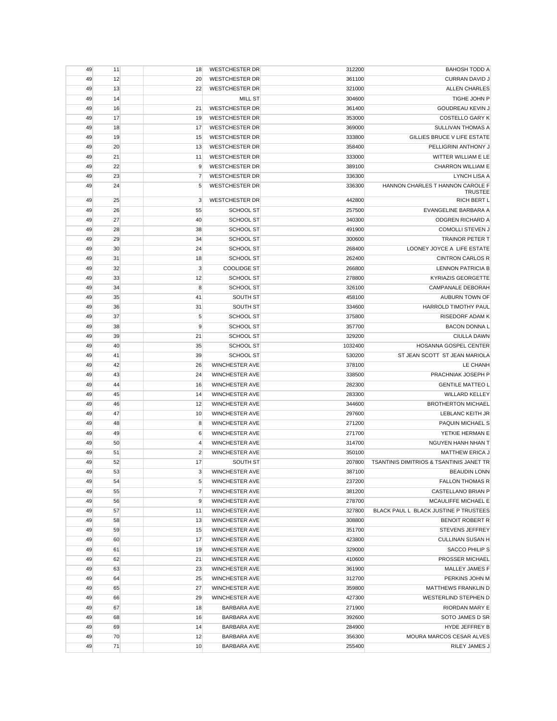| 49 | 11 | 18             | <b>WESTCHESTER DR</b> | 312200  | <b>BAHOSH TODD A</b>                     |
|----|----|----------------|-----------------------|---------|------------------------------------------|
| 49 | 12 | 20             | <b>WESTCHESTER DR</b> | 361100  | CURRAN DAVID J                           |
| 49 | 13 | 22             | <b>WESTCHESTER DR</b> | 321000  | <b>ALLEN CHARLES</b>                     |
| 49 | 14 |                | <b>MILL ST</b>        | 304600  | TIGHE JOHN P                             |
| 49 | 16 | 21             | <b>WESTCHESTER DR</b> | 361400  | <b>GOUDREAU KEVIN J</b>                  |
| 49 | 17 | 19             | <b>WESTCHESTER DR</b> | 353000  | <b>COSTELLO GARY K</b>                   |
| 49 | 18 | 17             | <b>WESTCHESTER DR</b> | 369000  | <b>SULLIVAN THOMAS A</b>                 |
| 49 | 19 | 15             | <b>WESTCHESTER DR</b> | 333800  | GILLIES BRUCE V LIFE ESTATE              |
| 49 | 20 | 13             | <b>WESTCHESTER DR</b> | 358400  | PELLIGRINI ANTHONY J                     |
| 49 | 21 | 11             | <b>WESTCHESTER DR</b> | 333000  | WITTER WILLIAM E LE                      |
| 49 | 22 | 9              | <b>WESTCHESTER DR</b> | 389100  | <b>CHARRON WILLIAM E</b>                 |
| 49 | 23 | $\overline{7}$ | <b>WESTCHESTER DR</b> | 336300  | LYNCH LISA A                             |
| 49 | 24 | 5              | <b>WESTCHESTER DR</b> | 336300  | HANNON CHARLES T HANNON CAROLE F         |
|    |    |                |                       |         | <b>TRUSTEE</b>                           |
| 49 | 25 | 3              | <b>WESTCHESTER DR</b> | 442800  | <b>RICH BERT L</b>                       |
| 49 | 26 | 55             | SCHOOL ST             | 257500  | EVANGELINE BARBARA A                     |
| 49 | 27 | 40             | <b>SCHOOL ST</b>      | 340300  | <b>ODGREN RICHARD A</b>                  |
| 49 | 28 | 38             | <b>SCHOOL ST</b>      | 491900  | COMOLLI STEVEN J                         |
| 49 | 29 | 34             | <b>SCHOOL ST</b>      | 300600  | <b>TRAINOR PETER T</b>                   |
| 49 | 30 | 24             | <b>SCHOOL ST</b>      | 268400  | LOONEY JOYCE A LIFE ESTATE               |
| 49 | 31 | 18             | <b>SCHOOL ST</b>      | 262400  | <b>CINTRON CARLOS R</b>                  |
| 49 | 32 | 3              | <b>COOLIDGE ST</b>    | 266800  | <b>LENNON PATRICIA B</b>                 |
| 49 | 33 | 12             | <b>SCHOOL ST</b>      | 278800  | <b>KYRIAZIS GEORGETTE</b>                |
| 49 | 34 | 8              | <b>SCHOOL ST</b>      | 326100  | <b>CAMPANALE DEBORAH</b>                 |
| 49 | 35 | 41             | SOUTH ST              | 458100  | AUBURN TOWN OF                           |
| 49 | 36 | 31             | SOUTH ST              | 334600  | HARROLD TIMOTHY PAUL                     |
| 49 | 37 | 5              | SCHOOL ST             | 375800  | RISEDORF ADAM K                          |
| 49 | 38 | 9              | <b>SCHOOL ST</b>      | 357700  | <b>BACON DONNA L</b>                     |
| 49 | 39 | 21             | <b>SCHOOL ST</b>      | 329200  | <b>CIULLA DAWN</b>                       |
| 49 | 40 | 35             | <b>SCHOOL ST</b>      | 1032400 | HOSANNA GOSPEL CENTER                    |
| 49 | 41 | 39             | <b>SCHOOL ST</b>      | 530200  | ST JEAN SCOTT ST JEAN MARIOLA            |
| 49 | 42 | 26             | <b>WINCHESTER AVE</b> | 378100  | LE CHANH                                 |
| 49 | 43 | 24             | <b>WINCHESTER AVE</b> | 338500  | PRACHNIAK JOSEPH P                       |
| 49 | 44 | 16             | <b>WINCHESTER AVE</b> | 282300  | <b>GENTILE MATTEO L</b>                  |
| 49 | 45 | 14             | <b>WINCHESTER AVE</b> | 283300  | <b>WILLARD KELLEY</b>                    |
| 49 | 46 | 12             | <b>WINCHESTER AVE</b> | 344600  | <b>BROTHERTON MICHAEL</b>                |
| 49 | 47 | 10             | <b>WINCHESTER AVE</b> | 297600  | LEBLANC KEITH JR                         |
| 49 | 48 | 8              | <b>WINCHESTER AVE</b> | 271200  | <b>PAQUIN MICHAEL S</b>                  |
| 49 | 49 | 6              | <b>WINCHESTER AVE</b> | 271700  | YETKIE HERMAN E                          |
| 49 | 50 | 4              | <b>WINCHESTER AVE</b> | 314700  | NGUYEN HANH NHAN T                       |
| 49 | 51 | $\overline{2}$ | <b>WINCHESTER AVE</b> | 350100  | <b>MATTHEW ERICA J</b>                   |
| 49 | 52 | 17             | SOUTH ST              | 207800  | TSANTINIS DIMITRIOS & TSANTINIS JANET TR |
| 49 | 53 | 3              | WINCHESTER AVE        | 387100  | <b>BEAUDIN LONN</b>                      |
| 49 | 54 | 5              | WINCHESTER AVE        | 237200  | <b>FALLON THOMAS R</b>                   |
| 49 | 55 | $\overline{7}$ | <b>WINCHESTER AVE</b> | 381200  | CASTELLANO BRIAN P                       |
| 49 | 56 | 9              | <b>WINCHESTER AVE</b> | 278700  | <b>MCAULIFFE MICHAEL E</b>               |
| 49 | 57 | 11             | WINCHESTER AVE        | 327800  | BLACK PAUL L BLACK JUSTINE P TRUSTEES    |
| 49 | 58 | 13             | <b>WINCHESTER AVE</b> | 308800  | <b>BENOIT ROBERT R</b>                   |
| 49 | 59 | 15             | WINCHESTER AVE        | 351700  | STEVENS JEFFREY                          |
| 49 | 60 | 17             | <b>WINCHESTER AVE</b> | 423800  | <b>CULLINAN SUSAN H</b>                  |
| 49 | 61 | 19             | <b>WINCHESTER AVE</b> | 329000  | SACCO PHILIP S                           |
| 49 | 62 | 21             | <b>WINCHESTER AVE</b> | 410600  | PROSSER MICHAEL                          |
| 49 | 63 | 23             | WINCHESTER AVE        | 361900  | MALLEY JAMES F                           |
| 49 | 64 | 25             | <b>WINCHESTER AVE</b> | 312700  | PERKINS JOHN M                           |
| 49 | 65 | 27             | <b>WINCHESTER AVE</b> | 359800  | MATTHEWS FRANKLIN D                      |
| 49 | 66 | 29             | WINCHESTER AVE        | 427300  | WESTERLIND STEPHEN D                     |
| 49 | 67 | 18             | BARBARA AVE           | 271900  | RIORDAN MARY E                           |
| 49 | 68 | 16             | <b>BARBARA AVE</b>    | 392600  | SOTO JAMES D SR                          |
| 49 | 69 | 14             | BARBARA AVE           | 284900  | HYDE JEFFREY B                           |
| 49 | 70 | 12             | BARBARA AVE           | 356300  | MOURA MARCOS CESAR ALVES                 |
| 49 | 71 | 10             | BARBARA AVE           | 255400  | RILEY JAMES J                            |
|    |    |                |                       |         |                                          |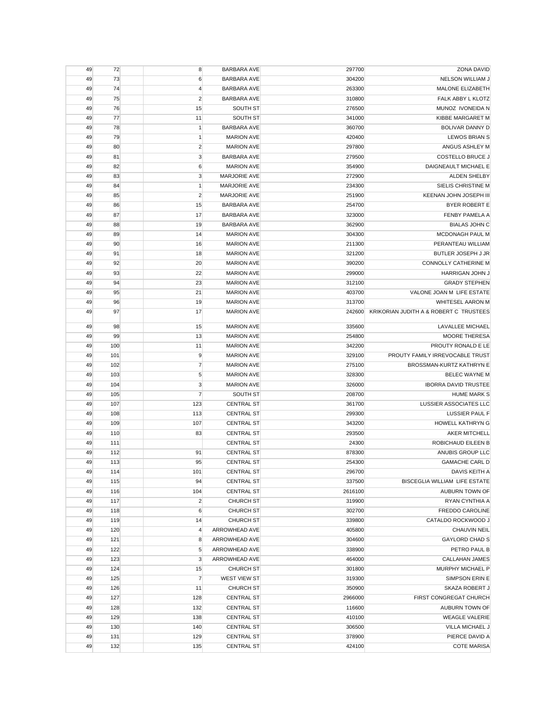| 49 | 72  | 8                     | <b>BARBARA AVE</b>   | 297700  | <b>ZONA DAVID</b>                      |
|----|-----|-----------------------|----------------------|---------|----------------------------------------|
| 49 | 73  | 6                     | <b>BARBARA AVE</b>   | 304200  | NELSON WILLIAM J                       |
| 49 | 74  | $\overline{4}$        | <b>BARBARA AVE</b>   | 263300  | MALONE ELIZABETH                       |
| 49 | 75  | $\overline{2}$        | <b>BARBARA AVE</b>   | 310800  | FALK ABBY L KLOTZ                      |
| 49 | 76  | 15                    | SOUTH ST             | 276500  | MUNOZ IVONEIDA N                       |
| 49 | 77  | 11                    | SOUTH ST             | 341000  | KIBBE MARGARET M                       |
| 49 | 78  | 1                     | <b>BARBARA AVE</b>   | 360700  | BOLIVAR DANNY D                        |
| 49 | 79  | $\mathbf{1}$          | <b>MARION AVE</b>    | 420400  | <b>LEWOS BRIAN S</b>                   |
| 49 | 80  | $\overline{2}$        | <b>MARION AVE</b>    | 297800  | ANGUS ASHLEY M                         |
| 49 | 81  | 3                     | <b>BARBARA AVE</b>   | 279500  | COSTELLO BRUCE J                       |
| 49 | 82  | 6                     | <b>MARION AVE</b>    | 354900  | DAIGNEAULT MICHAEL E                   |
| 49 | 83  | 3                     | MARJORIE AVE         | 272900  | ALDEN SHELBY                           |
| 49 | 84  | $\mathbf{1}$          | <b>MARJORIE AVE</b>  | 234300  | SIELIS CHRISTINE M                     |
| 49 | 85  | $\overline{2}$        | <b>MARJORIE AVE</b>  | 251900  | KEENAN JOHN JOSEPH III                 |
| 49 | 86  | 15                    | <b>BARBARA AVE</b>   | 254700  | <b>BYER ROBERT E</b>                   |
| 49 | 87  | 17                    | <b>BARBARA AVE</b>   | 323000  | FENBY PAMELA A                         |
| 49 | 88  | 19                    | <b>BARBARA AVE</b>   | 362900  | <b>BIALAS JOHN C</b>                   |
| 49 | 89  | 14                    | <b>MARION AVE</b>    | 304300  | <b>MCDONAGH PAUL M</b>                 |
| 49 | 90  | 16                    | <b>MARION AVE</b>    | 211300  | PERANTEAU WILLIAM                      |
|    |     |                       |                      |         | <b>BUTLER JOSEPH J JR</b>              |
| 49 | 91  | 18                    | <b>MARION AVE</b>    | 321200  |                                        |
| 49 | 92  | 20                    | <b>MARION AVE</b>    | 390200  | <b>CONNOLLY CATHERINE M</b>            |
| 49 | 93  | 22                    | <b>MARION AVE</b>    | 299000  | HARRIGAN JOHN J                        |
| 49 | 94  | 23                    | <b>MARION AVE</b>    | 312100  | <b>GRADY STEPHEN</b>                   |
| 49 | 95  | 21                    | <b>MARION AVE</b>    | 403700  | VALONE JOAN M LIFE ESTATE              |
| 49 | 96  | 19                    | <b>MARION AVE</b>    | 313700  | <b>WHITESEL AARON M</b>                |
| 49 | 97  | 17                    | <b>MARION AVE</b>    | 242600  | KRIKORIAN JUDITH A & ROBERT C TRUSTEES |
| 49 | 98  | 15                    | <b>MARION AVE</b>    | 335600  | <b>LAVALLEE MICHAEL</b>                |
| 49 | 99  | 13                    | <b>MARION AVE</b>    | 254800  | <b>MOORE THERESA</b>                   |
| 49 | 100 | 11                    | <b>MARION AVE</b>    | 342200  | PROUTY RONALD E LE                     |
| 49 | 101 | 9                     | <b>MARION AVE</b>    | 329100  | PROUTY FAMILY IRREVOCABLE TRUST        |
| 49 | 102 | $\overline{7}$        | <b>MARION AVE</b>    | 275100  | BROSSMAN-KURTZ KATHRYN E               |
| 49 | 103 | 5                     | <b>MARION AVE</b>    | 328300  | <b>BELEC WAYNE M</b>                   |
| 49 | 104 | 3                     | <b>MARION AVE</b>    | 326000  | <b>IBORRA DAVID TRUSTEE</b>            |
| 49 | 105 | $\overline{7}$        | SOUTH ST             | 208700  | <b>HUME MARK S</b>                     |
| 49 | 107 | 123                   | <b>CENTRAL ST</b>    | 361700  | <b>LUSSIER ASSOCIATES LLC</b>          |
| 49 | 108 | 113                   | <b>CENTRAL ST</b>    | 299300  | <b>LUSSIER PAUL F</b>                  |
| 49 | 109 | 107                   | <b>CENTRAL ST</b>    | 343200  | HOWELL KATHRYN G                       |
| 49 | 110 | 83                    | <b>CENTRAL ST</b>    | 293500  | AKER MITCHELL                          |
| 49 | 111 |                       | <b>CENTRAL ST</b>    | 24300   | ROBICHAUD EILEEN B                     |
| 49 | 112 | 91                    | <b>CENTRAL ST</b>    | 878300  | ANUBIS GROUP LLC                       |
| 49 | 113 | 95                    | <b>CENTRAL ST</b>    | 254300  | <b>GAMACHE CARL D</b>                  |
| 49 | 114 | 101                   | <b>CENTRAL ST</b>    | 296700  | DAVIS KEITH A                          |
| 49 | 115 | 94                    | <b>CENTRAL ST</b>    | 337500  | BISCEGLIA WILLIAM LIFE ESTATE          |
| 49 | 116 |                       | <b>CENTRAL ST</b>    | 2616100 | AUBURN TOWN OF                         |
| 49 | 117 | 104<br>$\overline{2}$ | <b>CHURCH ST</b>     | 319900  | RYAN CYNTHIA A                         |
| 49 | 118 | 6                     | <b>CHURCH ST</b>     | 302700  | FREDDO CAROLINE                        |
|    |     |                       | <b>CHURCH ST</b>     |         |                                        |
| 49 | 119 | 14                    | ARROWHEAD AVE        | 339800  | CATALDO ROCKWOOD J                     |
| 49 | 120 | 4                     |                      | 405800  | CHAUVIN NEIL                           |
| 49 | 121 | 8                     | <b>ARROWHEAD AVE</b> | 304600  | <b>GAYLORD CHAD S</b>                  |
| 49 | 122 | 5                     | ARROWHEAD AVE        | 338900  | PETRO PAUL B                           |
| 49 | 123 | 3                     | ARROWHEAD AVE        | 464000  | CALLAHAN JAMES                         |
| 49 | 124 | 15                    | <b>CHURCH ST</b>     | 301800  | MURPHY MICHAEL P                       |
| 49 | 125 | $\overline{7}$        | WEST VIEW ST         | 319300  | SIMPSON ERIN E                         |
| 49 | 126 | 11                    | <b>CHURCH ST</b>     | 350900  | SKAZA ROBERT J                         |
| 49 | 127 | 128                   | <b>CENTRAL ST</b>    | 2966000 | FIRST CONGREGAT CHURCH                 |
| 49 | 128 | 132                   | <b>CENTRAL ST</b>    | 116600  | AUBURN TOWN OF                         |
| 49 | 129 | 138                   | <b>CENTRAL ST</b>    | 410100  | <b>WEAGLE VALERIE</b>                  |
| 49 | 130 | 140                   | <b>CENTRAL ST</b>    | 306500  | VILLA MICHAEL J                        |
| 49 | 131 | 129                   | <b>CENTRAL ST</b>    | 378900  | PIERCE DAVID A                         |
| 49 | 132 | 135                   | <b>CENTRAL ST</b>    | 424100  | <b>COTE MARISA</b>                     |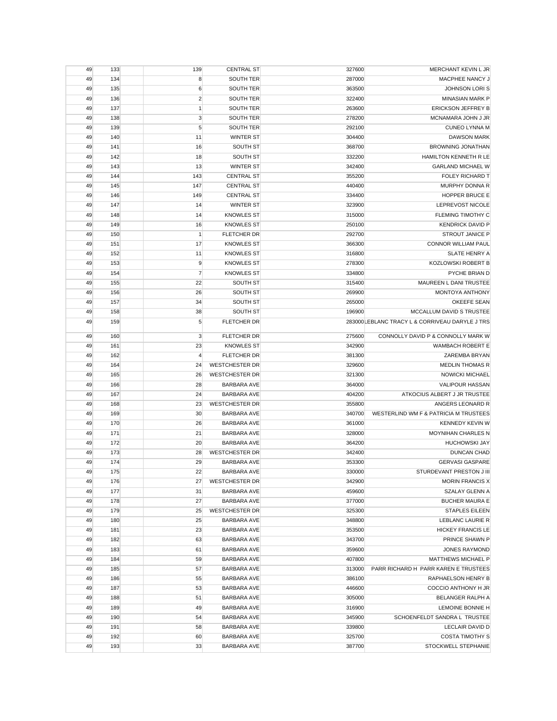| 49 | 133 | 139            | <b>CENTRAL ST</b>     | 327600 | MERCHANT KEVIN L JR                             |
|----|-----|----------------|-----------------------|--------|-------------------------------------------------|
| 49 | 134 | 8              | SOUTH TER             | 287000 | MACPHEE NANCY J                                 |
| 49 | 135 | 6              | <b>SOUTH TER</b>      | 363500 | <b>JOHNSON LORIS</b>                            |
| 49 | 136 | $\overline{2}$ | <b>SOUTH TER</b>      | 322400 | <b>MINASIAN MARK P</b>                          |
| 49 | 137 | $\mathbf{1}$   | <b>SOUTH TER</b>      | 263600 | <b>ERICKSON JEFFREY B</b>                       |
| 49 | 138 | 3              | SOUTH TER             | 278200 | MCNAMARA JOHN J JR                              |
| 49 | 139 | 5              | SOUTH TER             | 292100 | <b>CUNEO LYNNA M</b>                            |
| 49 | 140 | 11             | <b>WINTER ST</b>      | 304400 | <b>DAWSON MARK</b>                              |
| 49 | 141 | 16             | SOUTH ST              | 368700 | <b>BROWNING JONATHAN</b>                        |
| 49 | 142 | 18             | SOUTH ST              | 332200 | HAMILTON KENNETH R LE                           |
| 49 | 143 | 13             | <b>WINTER ST</b>      | 342400 | <b>GARLAND MICHAEL W</b>                        |
| 49 | 144 | 143            | <b>CENTRAL ST</b>     | 355200 | <b>FOLEY RICHARD T</b>                          |
| 49 | 145 | 147            | <b>CENTRAL ST</b>     | 440400 | <b>MURPHY DONNA R</b>                           |
| 49 | 146 | 149            | <b>CENTRAL ST</b>     | 334400 | HOPPER BRUCE E                                  |
| 49 | 147 | 14             | <b>WINTER ST</b>      | 323900 | LEPREVOST NICOLE                                |
| 49 | 148 | 14             | <b>KNOWLES ST</b>     | 315000 | FLEMING TIMOTHY C                               |
| 49 | 149 | 16             | <b>KNOWLES ST</b>     | 250100 | <b>KENDRICK DAVID P</b>                         |
| 49 | 150 | $\mathbf{1}$   | FLETCHER DR           | 292700 | STROUT JANICE P                                 |
| 49 | 151 | 17             | <b>KNOWLES ST</b>     | 366300 | CONNOR WILLIAM PAUL                             |
| 49 | 152 | 11             | <b>KNOWLES ST</b>     | 316800 | SLATE HENRY A                                   |
| 49 | 153 | 9              | <b>KNOWLES ST</b>     | 278300 | KOZLOWSKI ROBERT B                              |
| 49 | 154 | $\overline{7}$ | <b>KNOWLES ST</b>     | 334800 | PYCHE BRIAN D                                   |
| 49 | 155 | 22             | SOUTH ST              | 315400 | MAUREEN L DANI TRUSTEE                          |
| 49 | 156 | 26             | SOUTH ST              | 269900 | MONTOYA ANTHONY                                 |
| 49 | 157 | 34             | SOUTH ST              | 265000 | <b>OKEEFE SEAN</b>                              |
| 49 | 158 | 38             | SOUTH ST              | 196900 | MCCALLUM DAVID S TRUSTEE                        |
| 49 | 159 | 5              | FLETCHER DR           |        | 283000 LEBLANC TRACY L & CORRIVEAU DARYLE J TRS |
|    |     |                |                       |        |                                                 |
| 49 | 160 | 3              | FLETCHER DR           | 275600 | CONNOLLY DAVID P & CONNOLLY MARK W              |
| 49 | 161 | 23             | <b>KNOWLES ST</b>     | 342900 | <b>WAMBACH ROBERT E</b>                         |
| 49 | 162 | 4              | FLETCHER DR           | 381300 | ZAREMBA BRYAN                                   |
| 49 | 164 | 24             | <b>WESTCHESTER DR</b> | 329600 | <b>MEDLIN THOMAS R</b>                          |
| 49 | 165 | 26             | <b>WESTCHESTER DR</b> | 321300 | NOWICKI MICHAEL                                 |
| 49 | 166 | 28             | <b>BARBARA AVE</b>    | 364000 | <b>VALIPOUR HASSAN</b>                          |
| 49 | 167 | 24             | <b>BARBARA AVE</b>    | 404200 | ATKOCIUS ALBERT J JR TRUSTEE                    |
| 49 | 168 | 23             | <b>WESTCHESTER DR</b> | 355800 | ANGERS LEONARD R                                |
| 49 | 169 | 30             | <b>BARBARA AVE</b>    | 340700 | WESTERLIND WM F & PATRICIA M TRUSTEES           |
| 49 | 170 | 26             | <b>BARBARA AVE</b>    | 361000 | <b>KENNEDY KEVIN W</b>                          |
| 49 | 171 | 21             | <b>BARBARA AVE</b>    | 328000 | <b>MOYNIHAN CHARLES N</b>                       |
| 49 | 172 | 20             | <b>BARBARA AVE</b>    | 364200 | <b>HUCHOWSKI JAY</b>                            |
| 49 | 173 | 28             | <b>WESTCHESTER DR</b> | 342400 | DUNCAN CHAD                                     |
| 49 | 174 | 29             | <b>BARBARA AVE</b>    | 353300 | <b>GERVASI GASPARE</b>                          |
| 49 | 175 | 22             | <b>BARBARA AVE</b>    | 330000 | STURDEVANT PRESTON J III                        |
| 49 | 176 | 27             | <b>WESTCHESTER DR</b> | 342900 | <b>MORIN FRANCIS X</b>                          |
| 49 | 177 | 31             | BARBARA AVE           | 459600 | <b>SZALAY GLENN A</b>                           |
| 49 | 178 | 27             | <b>BARBARA AVE</b>    | 377000 | <b>BUCHER MAURA E</b>                           |
| 49 | 179 | 25             | <b>WESTCHESTER DR</b> | 325300 | <b>STAPLES EILEEN</b>                           |
| 49 | 180 | 25             | <b>BARBARA AVE</b>    | 348800 | LEBLANC LAURIE R                                |
| 49 | 181 | 23             | <b>BARBARA AVE</b>    | 353500 | <b>HICKEY FRANCIS LE</b>                        |
| 49 | 182 | 63             | BARBARA AVE           | 343700 | PRINCE SHAWN P                                  |
| 49 | 183 | 61             | <b>BARBARA AVE</b>    | 359600 | <b>JONES RAYMOND</b>                            |
| 49 | 184 | 59             | BARBARA AVE           | 407800 | MATTHEWS MICHAEL P                              |
| 49 | 185 | 57             | <b>BARBARA AVE</b>    | 313000 | PARR RICHARD H PARR KAREN E TRUSTEES            |
| 49 | 186 | 55             | <b>BARBARA AVE</b>    | 386100 | RAPHAELSON HENRY B                              |
| 49 | 187 | 53             | <b>BARBARA AVE</b>    | 446600 | COCCIO ANTHONY H JR                             |
| 49 | 188 | 51             | <b>BARBARA AVE</b>    | 305000 | BELANGER RALPH A                                |
| 49 | 189 | 49             | <b>BARBARA AVE</b>    | 316900 | LEMOINE BONNIE H                                |
| 49 | 190 | 54             | <b>BARBARA AVE</b>    | 345900 | SCHOENFELDT SANDRA L TRUSTEE                    |
| 49 | 191 | 58             | <b>BARBARA AVE</b>    | 339800 | LECLAIR DAVID D                                 |
| 49 | 192 | 60             | BARBARA AVE           | 325700 | <b>COSTA TIMOTHY S</b>                          |
| 49 | 193 | 33             | BARBARA AVE           | 387700 | STOCKWELL STEPHANIE                             |
|    |     |                |                       |        |                                                 |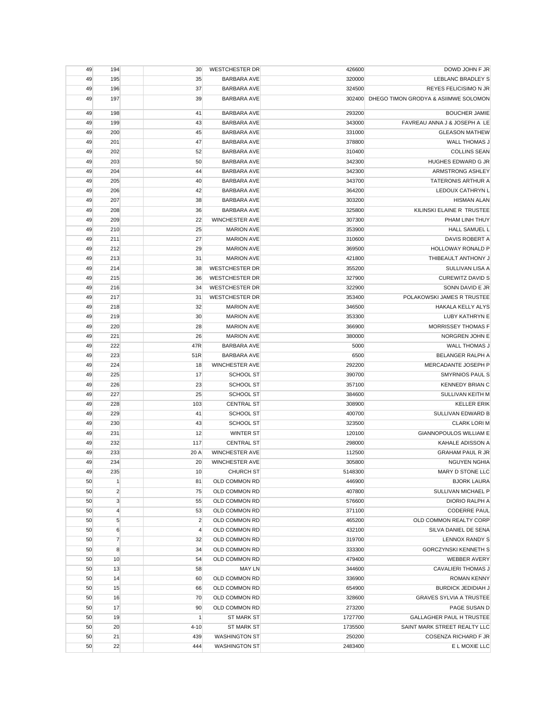| 49 | 194              | 30             | <b>WESTCHESTER DR</b> | 426600  | DOWD JOHN F JR                              |
|----|------------------|----------------|-----------------------|---------|---------------------------------------------|
| 49 | 195              | 35             | <b>BARBARA AVE</b>    | 320000  | LEBLANC BRADLEY S                           |
| 49 | 196              | 37             | <b>BARBARA AVE</b>    | 324500  | <b>REYES FELICISIMO N JR</b>                |
| 49 | 197              | 39             | <b>BARBARA AVE</b>    |         | 302400 DHEGO TIMON GRODYA & ASIIMWE SOLOMON |
|    |                  |                |                       |         |                                             |
| 49 | 198              | 41             | <b>BARBARA AVE</b>    | 293200  | <b>BOUCHER JAMIE</b>                        |
| 49 | 199              | 43             | <b>BARBARA AVE</b>    | 343000  | FAVREAU ANNA J & JOSEPH A LE                |
| 49 | 200              | 45             | <b>BARBARA AVE</b>    | 331000  | <b>GLEASON MATHEW</b>                       |
| 49 | 201              | 47             | <b>BARBARA AVE</b>    | 378800  | WALL THOMAS J                               |
| 49 | 202              | 52             | <b>BARBARA AVE</b>    | 310400  | <b>COLLINS SEAN</b>                         |
| 49 | 203              | 50             | <b>BARBARA AVE</b>    | 342300  | HUGHES EDWARD G JR                          |
| 49 | 204              | 44             | <b>BARBARA AVE</b>    | 342300  | ARMSTRONG ASHLEY                            |
| 49 | 205              | 40             | <b>BARBARA AVE</b>    | 343700  | TATERONIS ARTHUR A                          |
| 49 | 206              | 42             | <b>BARBARA AVE</b>    | 364200  | LEDOUX CATHRYN L                            |
| 49 | 207              | 38             | <b>BARBARA AVE</b>    | 303200  | <b>HISMAN ALAN</b>                          |
| 49 | 208              | 36             | <b>BARBARA AVE</b>    | 325800  | KILINSKI ELAINE R TRUSTEE                   |
| 49 | 209              | 22             | <b>WINCHESTER AVE</b> | 307300  | PHAM LINH THUY                              |
| 49 | 210              | 25             | <b>MARION AVE</b>     | 353900  | <b>HALL SAMUEL L</b>                        |
| 49 | 211              | 27             | <b>MARION AVE</b>     | 310600  | DAVIS ROBERT A                              |
| 49 | 212              | 29             | <b>MARION AVE</b>     | 369500  | HOLLOWAY RONALD P                           |
| 49 | 213              | 31             | <b>MARION AVE</b>     | 421800  | THIBEAULT ANTHONY J                         |
| 49 | 214              | 38             | <b>WESTCHESTER DR</b> | 355200  | SULLIVAN LISA A                             |
| 49 | 215              | 36             | <b>WESTCHESTER DR</b> | 327900  | <b>CUREWITZ DAVID S</b>                     |
| 49 | 216              | 34             | <b>WESTCHESTER DR</b> | 322900  | SONN DAVID E JR                             |
| 49 | 217              | 31             | <b>WESTCHESTER DR</b> | 353400  | POLAKOWSKI JAMES R TRUSTEE                  |
| 49 | 218              | 32             | <b>MARION AVE</b>     | 346500  | HAKALA KELLY ALYS                           |
| 49 | 219              | 30             | <b>MARION AVE</b>     | 353300  | LUBY KATHRYN E                              |
|    | 220              | 28             |                       |         | <b>MORRISSEY THOMAS F</b>                   |
| 49 |                  |                | <b>MARION AVE</b>     | 366900  |                                             |
| 49 | 221              | 26             | <b>MARION AVE</b>     | 380000  | NORGREN JOHN E                              |
| 49 | 222              | 47R            | <b>BARBARA AVE</b>    | 5000    | <b>WALL THOMAS J</b>                        |
| 49 | 223              | 51R            | <b>BARBARA AVE</b>    | 6500    | BELANGER RALPH A                            |
| 49 | 224              | 18             | <b>WINCHESTER AVE</b> | 292200  | MERCADANTE JOSEPH P                         |
| 49 | 225              | 17             | <b>SCHOOL ST</b>      | 390700  | <b>SMYRNIOS PAUL S</b>                      |
| 49 | 226              | 23             | <b>SCHOOL ST</b>      | 357100  | <b>KENNEDY BRIAN C</b>                      |
| 49 | 227              | 25             | <b>SCHOOL ST</b>      | 384600  | SULLIVAN KEITH M                            |
| 49 | 228              | 103            | <b>CENTRAL ST</b>     | 308900  | <b>KELLER ERIK</b>                          |
| 49 | 229              | 41             | <b>SCHOOL ST</b>      | 400700  | SULLIVAN EDWARD B                           |
| 49 | 230              | 43             | SCHOOL ST             | 323500  | <b>CLARK LORI M</b>                         |
| 49 | 231              | 12             | <b>WINTER ST</b>      | 120100  | <b>GIANNOPOULOS WILLIAM E</b>               |
| 49 | 232              | 117            | <b>CENTRAL ST</b>     | 298000  | KAHALE ADISSON A                            |
| 49 | 233              | 20 A           | <b>WINCHESTER AVE</b> | 112500  | <b>GRAHAM PAUL R JR</b>                     |
| 49 | 234              | 20             | <b>WINCHESTER AVE</b> | 305800  | <b>NGUYEN NGHIA</b>                         |
| 49 | 235              | 10             | <b>CHURCH ST</b>      | 5148300 | MARY D STONE LLC                            |
| 50 | $\mathbf{1}$     | 81             | OLD COMMON RD         | 446900  | <b>BJORK LAURA</b>                          |
| 50 | $\overline{2}$   | 75             | OLD COMMON RD         | 407800  | SULLIVAN MICHAEL P                          |
| 50 | 3                | 55             | OLD COMMON RD         | 576600  | DIORIO RALPH A                              |
| 50 | $\overline{4}$   | 53             | OLD COMMON RD         | 371100  | <b>CODERRE PAUL</b>                         |
| 50 | $\sqrt{5}$       | $\overline{c}$ | OLD COMMON RD         | 465200  | OLD COMMON REALTY CORP                      |
| 50 | $\boldsymbol{6}$ | $\overline{4}$ | OLD COMMON RD         | 432100  | SILVA DANIEL DE SENA                        |
| 50 | $\overline{7}$   | 32             | OLD COMMON RD         | 319700  | LENNOX RANDY S                              |
| 50 | 8                | 34             | OLD COMMON RD         | 333300  | <b>GORCZYNSKI KENNETH S</b>                 |
| 50 | 10               | 54             | OLD COMMON RD         | 479400  | <b>WEBBER AVERY</b>                         |
| 50 | 13               | 58             | <b>MAY LN</b>         | 344600  | CAVALIERI THOMAS J                          |
| 50 | 14               | 60             | OLD COMMON RD         | 336900  | <b>ROMAN KENNY</b>                          |
| 50 | 15               | 66             | OLD COMMON RD         | 654900  | <b>BURDICK JEDIDIAH J</b>                   |
| 50 | 16               | 70             | OLD COMMON RD         | 328600  | <b>GRAVES SYLVIA A TRUSTEE</b>              |
| 50 | 17               | 90             | OLD COMMON RD         | 273200  | PAGE SUSAN D                                |
| 50 | 19               | $\mathbf{1}$   | <b>ST MARK ST</b>     | 1727700 | GALLAGHER PAUL H TRUSTEE                    |
|    |                  |                |                       |         |                                             |
| 50 | 20               | $4 - 10$       | <b>ST MARK ST</b>     | 1735500 | SAINT MARK STREET REALTY LLC                |
| 50 | 21               | 439            | <b>WASHINGTON ST</b>  | 250200  | COSENZA RICHARD F JR                        |
| 50 | 22               | 444            | <b>WASHINGTON ST</b>  | 2483400 | E L MOXIE LLC                               |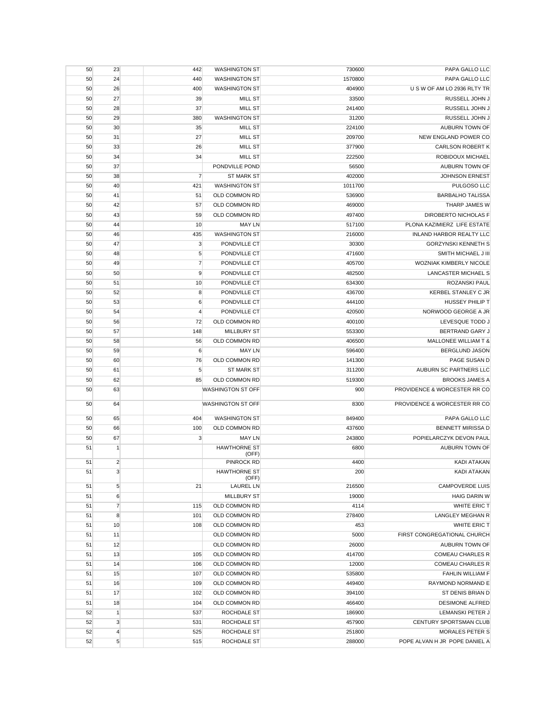| 50 | 23             | 442            | <b>WASHINGTON ST</b>         | 730600  | PAPA GALLO LLC                  |
|----|----------------|----------------|------------------------------|---------|---------------------------------|
| 50 | 24             | 440            | <b>WASHINGTON ST</b>         | 1570800 | PAPA GALLO LLC                  |
| 50 | 26             | 400            | <b>WASHINGTON ST</b>         | 404900  | U S W OF AM LO 2936 RLTY TR     |
| 50 | 27             | 39             | <b>MILL ST</b>               | 33500   | RUSSELL JOHN J                  |
| 50 | 28             | 37             | <b>MILL ST</b>               | 241400  | RUSSELL JOHN J                  |
| 50 | 29             | 380            | <b>WASHINGTON ST</b>         | 31200   | RUSSELL JOHN J                  |
| 50 | 30             | 35             | MILL ST                      | 224100  | AUBURN TOWN OF                  |
| 50 | 31             | 27             | <b>MILL ST</b>               | 209700  | NEW ENGLAND POWER CO            |
| 50 | 33             | 26             | <b>MILL ST</b>               | 377900  | <b>CARLSON ROBERT K</b>         |
| 50 | 34             | 34             | <b>MILL ST</b>               | 222500  | ROBIDOUX MICHAEL                |
| 50 | 37             |                | PONDVILLE POND               | 56500   | AUBURN TOWN OF                  |
| 50 | 38             | $\overline{7}$ | <b>ST MARK ST</b>            | 402000  | <b>JOHNSON ERNEST</b>           |
| 50 | 40             | 421            | <b>WASHINGTON ST</b>         | 1011700 | PULGOSO LLC                     |
| 50 | 41             | 51             | OLD COMMON RD                | 536900  | <b>BARBALHO TALISSA</b>         |
| 50 | 42             | 57             | OLD COMMON RD                | 469000  | THARP JAMES W                   |
| 50 | 43             | 59             | OLD COMMON RD                | 497400  | DIROBERTO NICHOLAS F            |
| 50 | 44             | 10             | <b>MAY LN</b>                | 517100  | PLONA KAZIMIERZ LIFE ESTATE     |
| 50 | 46             | 435            | <b>WASHINGTON ST</b>         | 216000  | <b>INLAND HARBOR REALTY LLC</b> |
| 50 | 47             | 3              | PONDVILLE CT                 | 30300   | <b>GORZYNSKI KENNETH S</b>      |
|    | 48             |                | PONDVILLE CT                 | 471600  | SMITH MICHAEL J III             |
| 50 |                | 5              | PONDVILLE CT                 | 405700  | WOZNIAK KIMBERLY NICOLE         |
| 50 | 49             | $\overline{7}$ |                              |         |                                 |
| 50 | 50             | 9              | PONDVILLE CT                 | 482500  | <b>LANCASTER MICHAEL S</b>      |
| 50 | 51             | 10             | PONDVILLE CT                 | 634300  | ROZANSKI PAUL                   |
| 50 | 52             | 8              | PONDVILLE CT                 | 436700  | KERBEL STANLEY C JR             |
| 50 | 53             | 6              | PONDVILLE CT                 | 444100  | <b>HUSSEY PHILIP T</b>          |
| 50 | 54             | $\overline{4}$ | PONDVILLE CT                 | 420500  | NORWOOD GEORGE A JR             |
| 50 | 56             | 72             | <b>OLD COMMON RD</b>         | 400100  | LEVESQUE TODD J                 |
| 50 | 57             | 148            | <b>MILLBURY ST</b>           | 553300  | <b>BERTRAND GARY J</b>          |
| 50 | 58             | 56             | <b>OLD COMMON RD</b>         | 406500  | <b>MALLONEE WILLIAM T &amp;</b> |
| 50 | 59             | 6              | <b>MAY LN</b>                | 596400  | <b>BERGLUND JASON</b>           |
| 50 | 60             | 76             | OLD COMMON RD                | 141300  | PAGE SUSAN D                    |
| 50 | 61             | 5              | <b>ST MARK ST</b>            | 311200  | AUBURN SC PARTNERS LLC          |
| 50 | 62             | 85             | OLD COMMON RD                | 519300  | <b>BROOKS JAMES A</b>           |
| 50 | 63             |                | WASHINGTON ST OFF            | 900     | PROVIDENCE & WORCESTER RR CO    |
| 50 | 64             |                | WASHINGTON ST OFF            | 8300    | PROVIDENCE & WORCESTER RR CO    |
| 50 | 65             | 404            | <b>WASHINGTON ST</b>         | 849400  | PAPA GALLO LLC                  |
| 50 | 66             | 100            | OLD COMMON RD                | 437600  | <b>BENNETT MIRISSA D</b>        |
| 50 | 67             | 3              | <b>MAY LN</b>                | 243800  | POPIELARCZYK DEVON PAUL         |
| 51 | $\mathbf{1}$   |                | <b>HAWTHORNE ST</b>          | 6800    | AUBURN TOWN OF                  |
|    |                |                | (OFF)                        |         |                                 |
| 51 | $\overline{2}$ |                | <b>PINROCK RD</b>            | 4400    | KADI ATAKAN                     |
| 51 | 3              |                | <b>HAWTHORNE ST</b><br>(OFF) | 200     | KADI ATAKAN                     |
| 51 | 5              | 21             | <b>LAUREL LN</b>             | 216500  | <b>CAMPOVERDE LUIS</b>          |
| 51 | 6              |                | <b>MILLBURY ST</b>           | 19000   | <b>HAIG DARIN W</b>             |
| 51 | $\overline{7}$ | 115            | OLD COMMON RD                | 4114    | WHITE ERIC T                    |
| 51 | 8              | 101            | OLD COMMON RD                | 278400  | LANGLEY MEGHAN R                |
| 51 | 10             | 108            | OLD COMMON RD                | 453     | WHITE ERIC T                    |
| 51 | 11             |                | OLD COMMON RD                | 5000    | FIRST CONGREGATIONAL CHURCH     |
| 51 | 12             |                | OLD COMMON RD                | 26000   | AUBURN TOWN OF                  |
| 51 | 13             | 105            | OLD COMMON RD                | 414700  | <b>COMEAU CHARLES R</b>         |
| 51 | 14             | 106            | OLD COMMON RD                | 12000   | <b>COMEAU CHARLES R</b>         |
| 51 | 15             | 107            | OLD COMMON RD                | 535800  | FAHLIN WILLIAM F                |
| 51 | 16             | 109            | OLD COMMON RD                | 449400  | RAYMOND NORMAND E               |
| 51 | 17             | 102            | OLD COMMON RD                | 394100  | ST DENIS BRIAN D                |
| 51 | 18             | 104            | OLD COMMON RD                | 466400  | <b>DESIMONE ALFRED</b>          |
| 52 | $\mathbf{1}$   | 537            | ROCHDALE ST                  | 186900  | LEMANSKI PETER J                |
| 52 | 3              | 531            | ROCHDALE ST                  | 457900  | CENTURY SPORTSMAN CLUB          |
| 52 | $\overline{4}$ | 525            | ROCHDALE ST                  | 251800  | <b>MORALES PETER S</b>          |
| 52 | 5              | 515            | ROCHDALE ST                  | 288000  | POPE ALVAN H JR POPE DANIEL A   |
|    |                |                |                              |         |                                 |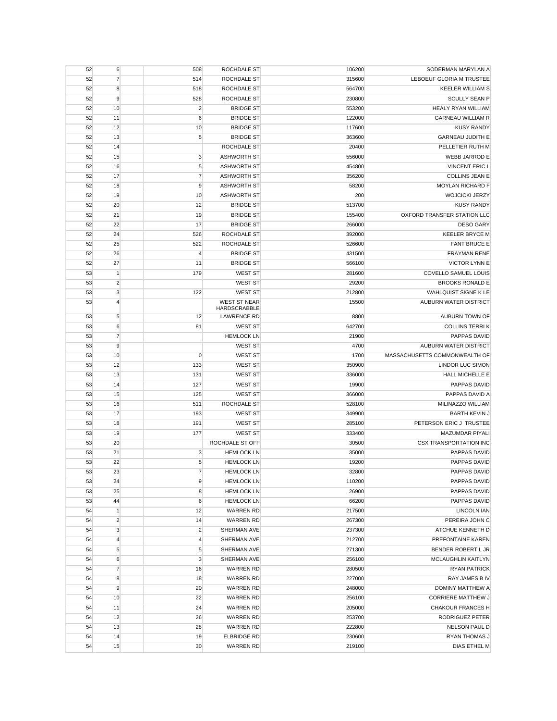| 52 | 6              | 508                     | <b>ROCHDALE ST</b>                 | 106200 | SODERMAN MARYLAN A              |
|----|----------------|-------------------------|------------------------------------|--------|---------------------------------|
| 52 | $\overline{7}$ | 514                     | ROCHDALE ST                        | 315600 | <b>LEBOEUF GLORIA M TRUSTEE</b> |
| 52 | 8              | 518                     | ROCHDALE ST                        | 564700 | <b>KEELER WILLIAM S</b>         |
| 52 | 9              | 528                     | ROCHDALE ST                        | 230800 | <b>SCULLY SEAN P</b>            |
| 52 | 10             | $\overline{2}$          | <b>BRIDGE ST</b>                   | 553200 | <b>HEALY RYAN WILLIAM</b>       |
| 52 | 11             | 6                       | <b>BRIDGE ST</b>                   | 122000 | <b>GARNEAU WILLIAM R</b>        |
| 52 | 12             | 10                      | <b>BRIDGE ST</b>                   | 117600 | <b>KUSY RANDY</b>               |
| 52 | 13             | 5                       | <b>BRIDGE ST</b>                   | 363600 | <b>GARNEAU JUDITH E</b>         |
| 52 | 14             |                         | ROCHDALE ST                        | 20400  | PELLETIER RUTH M                |
| 52 | 15             | 3                       | <b>ASHWORTH ST</b>                 | 556000 | WEBB JARROD E                   |
| 52 | 16             | 5                       | <b>ASHWORTH ST</b>                 | 454800 | <b>VINCENT ERIC L</b>           |
| 52 | 17             | $\overline{7}$          | <b>ASHWORTH ST</b>                 | 356200 | <b>COLLINS JEAN E</b>           |
| 52 | 18             | 9                       | <b>ASHWORTH ST</b>                 | 58200  | MOYLAN RICHARD F                |
| 52 | 19             | 10                      | <b>ASHWORTH ST</b>                 | 200    | <b>WOJCICKI JERZY</b>           |
| 52 | 20             | 12                      | <b>BRIDGE ST</b>                   | 513700 | <b>KUSY RANDY</b>               |
| 52 | 21             | 19                      | <b>BRIDGE ST</b>                   | 155400 | OXFORD TRANSFER STATION LLC     |
| 52 | 22             | 17                      | <b>BRIDGE ST</b>                   | 266000 | <b>DESO GARY</b>                |
| 52 | 24             | 526                     | ROCHDALE ST                        | 392000 | <b>KEELER BRYCE M</b>           |
| 52 | 25             | 522                     | ROCHDALE ST                        | 526600 | <b>FANT BRUCE E</b>             |
| 52 | 26             | 4                       | <b>BRIDGE ST</b>                   | 431500 | <b>FRAYMAN RENE</b>             |
| 52 | 27             | 11                      | <b>BRIDGE ST</b>                   | 566100 | <b>VICTOR LYNN E</b>            |
| 53 | $\mathbf{1}$   | 179                     | <b>WEST ST</b>                     | 281600 | <b>COVELLO SAMUEL LOUIS</b>     |
| 53 | $\overline{2}$ |                         | WEST ST                            | 29200  | <b>BROOKS RONALD E</b>          |
| 53 | 3              | 122                     | <b>WEST ST</b>                     | 212800 | WAHLQUIST SIGNE K LE            |
| 53 | $\overline{4}$ |                         | <b>WEST ST NEAR</b>                | 15500  | AUBURN WATER DISTRICT           |
| 53 | 5              | 12                      | HARDSCRABBLE<br><b>LAWRENCE RD</b> | 8800   | AUBURN TOWN OF                  |
| 53 | 6              | 81                      | <b>WEST ST</b>                     | 642700 | <b>COLLINS TERRIK</b>           |
| 53 | $\overline{7}$ |                         | <b>HEMLOCK LN</b>                  | 21900  | PAPPAS DAVID                    |
| 53 | 9              |                         | <b>WEST ST</b>                     | 4700   | AUBURN WATER DISTRICT           |
| 53 | 10             | $\mathbf 0$             | <b>WEST ST</b>                     | 1700   | MASSACHUSETTS COMMONWEALTH OF   |
| 53 | 12             | 133                     | <b>WEST ST</b>                     | 350900 | LINDOR LUC SIMON                |
| 53 | 13             | 131                     | <b>WEST ST</b>                     | 336000 | HALL MICHELLE E                 |
| 53 | 14             | 127                     | <b>WEST ST</b>                     | 19900  | PAPPAS DAVID                    |
| 53 | 15             | 125                     | <b>WEST ST</b>                     | 366000 | PAPPAS DAVID A                  |
| 53 | 16             | 511                     | ROCHDALE ST                        | 528100 | MILINAZZO WILLIAM               |
| 53 | 17             | 193                     | <b>WEST ST</b>                     | 349900 | <b>BARTH KEVIN J</b>            |
| 53 | 18             | 191                     | <b>WEST ST</b>                     | 285100 | PETERSON ERIC J TRUSTEE         |
| 53 | 19             | 177                     | <b>WEST ST</b>                     | 333400 | MAZUMDAR PIYALI                 |
| 53 | 20             |                         | ROCHDALE ST OFF                    | 30500  | <b>CSX TRANSPORTATION INC</b>   |
| 53 | 21             | 3                       | <b>HEMLOCK LN</b>                  | 35000  | <b>PAPPAS DAVID</b>             |
| 53 | 22             | 5                       | <b>HEMLOCK LN</b>                  | 19200  | <b>PAPPAS DAVID</b>             |
| 53 | 23             | $\overline{7}$          | <b>HEMLOCK LN</b>                  | 32800  | PAPPAS DAVID                    |
| 53 | 24             | 9                       | <b>HEMLOCK LN</b>                  | 110200 | PAPPAS DAVID                    |
| 53 | 25             | 8                       | <b>HEMLOCK LN</b>                  | 26900  | PAPPAS DAVID                    |
| 53 | 44             | 6                       | <b>HEMLOCK LN</b>                  | 66200  | PAPPAS DAVID                    |
| 54 | 1              | 12                      | <b>WARREN RD</b>                   | 217500 | <b>LINCOLN IAN</b>              |
| 54 | $\overline{c}$ | 14                      | <b>WARREN RD</b>                   | 267300 | PEREIRA JOHN C                  |
| 54 | 3              | $\overline{\mathbf{c}}$ | SHERMAN AVE                        | 237300 | ATCHUE KENNETH D                |
| 54 | $\overline{4}$ | 4                       | SHERMAN AVE                        | 212700 | PREFONTAINE KAREN               |
| 54 | 5              | 5                       | SHERMAN AVE                        | 271300 | BENDER ROBERT L JR              |
| 54 | 6              | 3                       | SHERMAN AVE                        | 256100 | MCLAUGHLIN KAITLYN              |
| 54 | $\overline{7}$ | 16                      | <b>WARREN RD</b>                   | 280500 | <b>RYAN PATRICK</b>             |
| 54 | 8              | 18                      | <b>WARREN RD</b>                   | 227000 | RAY JAMES B IV                  |
| 54 | 9              | 20                      | <b>WARREN RD</b>                   | 248000 | DOMINY MATTHEW A                |
| 54 | 10             | 22                      | <b>WARREN RD</b>                   | 256100 | <b>CORRIERE MATTHEW J</b>       |
| 54 | 11             | 24                      | <b>WARREN RD</b>                   | 205000 | <b>CHAKOUR FRANCES H</b>        |
| 54 | 12             | 26                      | <b>WARREN RD</b>                   | 253700 | RODRIGUEZ PETER                 |
| 54 | 13             | 28                      | <b>WARREN RD</b>                   | 222800 | NELSON PAUL D                   |
| 54 | 14             | 19                      | <b>ELBRIDGE RD</b>                 | 230600 | RYAN THOMAS J                   |
| 54 | 15             | 30                      | <b>WARREN RD</b>                   | 219100 | DIAS ETHEL M                    |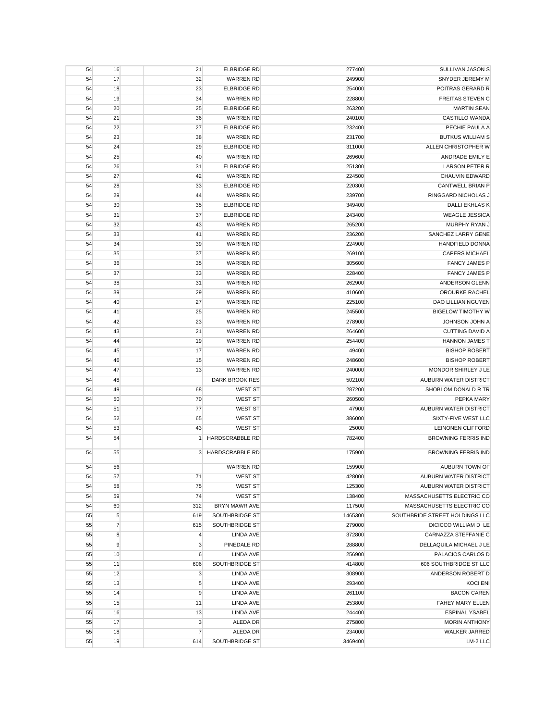| 54 | 16             | 21                 | <b>ELBRIDGE RD</b>                | 277400          | SULLIVAN JASON S                             |
|----|----------------|--------------------|-----------------------------------|-----------------|----------------------------------------------|
| 54 | 17             | 32                 | <b>WARREN RD</b>                  | 249900          | SNYDER JEREMY M                              |
| 54 | 18             | 23                 | <b>ELBRIDGE RD</b>                | 254000          | POITRAS GERARD R                             |
| 54 | 19             | 34                 | <b>WARREN RD</b>                  | 228800          | <b>FREITAS STEVEN C</b>                      |
| 54 | 20             | 25                 | <b>ELBRIDGE RD</b>                | 263200          | <b>MARTIN SEAN</b>                           |
| 54 | 21             | 36                 | <b>WARREN RD</b>                  | 240100          | CASTILLO WANDA                               |
| 54 | 22             | 27                 | <b>ELBRIDGE RD</b>                | 232400          | PECHIE PAULA A                               |
| 54 | 23             | 38                 | <b>WARREN RD</b>                  | 231700          | <b>BUTKUS WILLIAM S</b>                      |
| 54 | 24             | 29                 | <b>ELBRIDGE RD</b>                | 311000          | ALLEN CHRISTOPHER W                          |
| 54 | 25             | 40                 | <b>WARREN RD</b>                  | 269600          | ANDRADE EMILY E                              |
| 54 | 26             | 31                 | <b>ELBRIDGE RD</b>                | 251300          | <b>LARSON PETER R</b>                        |
| 54 | 27             | 42                 | <b>WARREN RD</b>                  | 224500          | CHAUVIN EDWARD                               |
| 54 | 28             | 33                 | <b>ELBRIDGE RD</b>                | 220300          | CANTWELL BRIAN P                             |
| 54 | 29             | 44                 | <b>WARREN RD</b>                  | 239700          | RINGGARD NICHOLAS J                          |
| 54 | 30             | 35                 | <b>ELBRIDGE RD</b>                | 349400          | DALLI EKHLAS K                               |
| 54 | 31             | 37                 | <b>ELBRIDGE RD</b>                | 243400          | <b>WEAGLE JESSICA</b>                        |
| 54 | 32             | 43                 | <b>WARREN RD</b>                  | 265200          | MURPHY RYAN J                                |
| 54 | 33             | 41                 | <b>WARREN RD</b>                  | 236200          | SANCHEZ LARRY GENE                           |
| 54 | 34             | 39                 | <b>WARREN RD</b>                  | 224900          | <b>HANDFIELD DONNA</b>                       |
| 54 | 35             | 37                 | <b>WARREN RD</b>                  | 269100          | <b>CAPERS MICHAEL</b>                        |
| 54 | 36             | 35                 | <b>WARREN RD</b>                  | 305600          | <b>FANCY JAMES P</b>                         |
| 54 | 37             | 33                 | <b>WARREN RD</b>                  | 228400          | <b>FANCY JAMES P</b>                         |
| 54 | 38             | 31                 | <b>WARREN RD</b>                  | 262900          | ANDERSON GLENN                               |
| 54 | 39             | 29                 | <b>WARREN RD</b>                  | 410600          | OROURKE RACHEL                               |
| 54 | 40             | 27                 | <b>WARREN RD</b>                  | 225100          | DAO LILLIAN NGUYEN                           |
| 54 | 41             | 25                 | <b>WARREN RD</b>                  | 245500          | <b>BIGELOW TIMOTHY W</b>                     |
| 54 | 42             | 23                 | <b>WARREN RD</b>                  | 278900          | JOHNSON JOHN A                               |
| 54 | 43             | 21                 | <b>WARREN RD</b>                  | 264600          | <b>CUTTING DAVID A</b>                       |
| 54 | 44             | 19                 | <b>WARREN RD</b>                  | 254400          | <b>HANNON JAMES T</b>                        |
| 54 | 45             | 17                 | <b>WARREN RD</b>                  | 49400           | <b>BISHOP ROBERT</b>                         |
|    |                |                    | <b>WARREN RD</b>                  | 248600          | <b>BISHOP ROBERT</b>                         |
| 54 | 46             | 15                 |                                   |                 |                                              |
| 54 | 47             | 13                 | <b>WARREN RD</b>                  | 240000          | MONDOR SHIRLEY J LE                          |
| 54 | 48             |                    | DARK BROOK RES<br><b>WEST ST</b>  | 502100          | AUBURN WATER DISTRICT<br>SHOBLOM DONALD R TR |
| 54 | 49             | 68                 |                                   | 287200          |                                              |
| 54 | 50             | 70<br>77           | <b>WEST ST</b><br><b>WEST ST</b>  | 260500<br>47900 | PEPKA MARY<br>AUBURN WATER DISTRICT          |
| 54 | 51             |                    |                                   |                 |                                              |
| 54 | 52             | 65                 | <b>WEST ST</b>                    | 386000          | SIXTY-FIVE WEST LLC                          |
| 54 | 53             | 43<br>$\mathbf{1}$ | <b>WEST ST</b><br>HARDSCRABBLE RD | 25000<br>782400 | LEINONEN CLIFFORD                            |
| 54 | 54             |                    |                                   |                 | <b>BROWNING FERRIS IND</b>                   |
| 54 | 55             | $\mathbf{3}$       | HARDSCRABBLE RD                   | 175900          | <b>BROWNING FERRIS IND</b>                   |
| 54 | 56             |                    | <b>WARREN RD</b>                  | 159900          | AUBURN TOWN OF                               |
| 54 | 57             | 71                 | <b>WEST ST</b>                    | 428000          | AUBURN WATER DISTRICT                        |
| 54 | 58             | 75                 | <b>WEST ST</b>                    | 125300          | AUBURN WATER DISTRICT                        |
| 54 | 59             | 74                 | <b>WEST ST</b>                    | 138400          | MASSACHUSETTS ELECTRIC CO                    |
| 54 | 60             | 312                | BRYN MAWR AVE                     | 117500          | MASSACHUSETTS ELECTRIC CO                    |
| 55 | $\sqrt{5}$     | 619                | SOUTHBRIDGE ST                    | 1465300         | SOUTHBRIDE STREET HOLDINGS LLC               |
| 55 | $\overline{7}$ | 615                | SOUTHBRIDGE ST                    | 279000          | DICICCO WILLIAM D LE                         |
| 55 | 8              | $\overline{4}$     | <b>LINDA AVE</b>                  | 372800          | CARNAZZA STEFFANIE C                         |
| 55 | 9              | $\mathbf{3}$       | PINEDALE RD                       | 288800          | DELLAQUILA MICHAEL J LE                      |
| 55 | 10             | $\boldsymbol{6}$   | LINDA AVE                         | 256900          | PALACIOS CARLOS D                            |
| 55 | 11             | 606                | SOUTHBRIDGE ST                    | 414800          | 606 SOUTHBRIDGE ST LLC                       |
| 55 | 12             | $\mathbf{3}$       | <b>LINDA AVE</b>                  | 308900          | ANDERSON ROBERT D                            |
| 55 | 13             | $\sqrt{5}$         | <b>LINDA AVE</b>                  | 293400          | <b>KOCI ENI</b>                              |
| 55 | 14             | 9                  | <b>LINDA AVE</b>                  | 261100          | <b>BACON CAREN</b>                           |
| 55 | 15             | 11                 | <b>LINDA AVE</b>                  | 253800          | <b>FAHEY MARY ELLEN</b>                      |
| 55 | 16             | 13                 | LINDA AVE                         | 244400          | <b>ESPINAL YSABEL</b>                        |
| 55 | 17             | 3                  | ALEDA DR                          | 275800          | <b>MORIN ANTHONY</b>                         |
| 55 | 18             | $\overline{7}$     | ALEDA DR                          | 234000          | WALKER JARRED                                |
| 55 | 19             | 614                | SOUTHBRIDGE ST                    | 3469400         | LM-2 LLC                                     |
|    |                |                    |                                   |                 |                                              |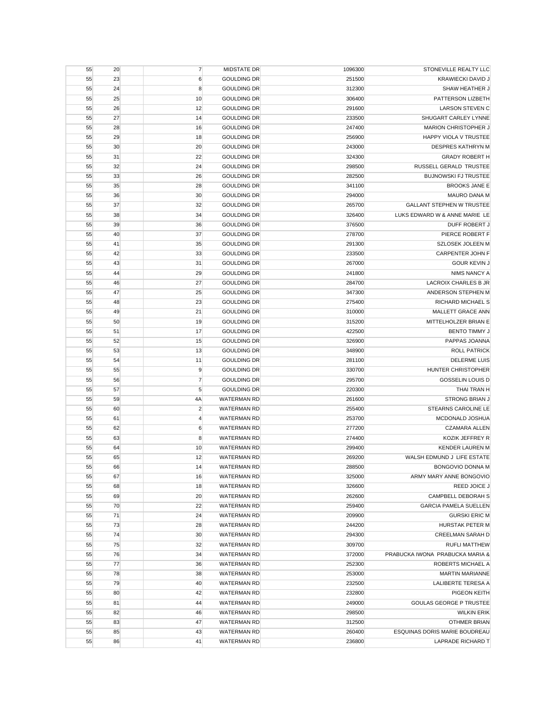| STONEVILLE REALTY LLC            | 1096300 | MIDSTATE DR        | $\overline{7}$   | 20 | 55 |
|----------------------------------|---------|--------------------|------------------|----|----|
| <b>KRAWIECKI DAVID J</b>         | 251500  | <b>GOULDING DR</b> | $\boldsymbol{6}$ | 23 | 55 |
| SHAW HEATHER J                   | 312300  | <b>GOULDING DR</b> | 8                | 24 | 55 |
| PATTERSON LIZBETH                | 306400  | <b>GOULDING DR</b> | 10               | 25 | 55 |
| <b>LARSON STEVEN C</b>           | 291600  | <b>GOULDING DR</b> | 12               | 26 | 55 |
| SHUGART CARLEY LYNNE             | 233500  | <b>GOULDING DR</b> | 14               | 27 | 55 |
| MARION CHRISTOPHER J             | 247400  | <b>GOULDING DR</b> | 16               | 28 | 55 |
| HAPPY VIOLA V TRUSTEE            | 256900  | <b>GOULDING DR</b> | 18               | 29 | 55 |
| <b>DESPRES KATHRYN M</b>         | 243000  | <b>GOULDING DR</b> | 20               | 30 | 55 |
| <b>GRADY ROBERT H</b>            | 324300  | <b>GOULDING DR</b> | 22               | 31 | 55 |
| RUSSELL GERALD TRUSTEE           | 298500  | <b>GOULDING DR</b> | 24               | 32 | 55 |
| <b>BUJNOWSKI FJ TRUSTEE</b>      | 282500  | <b>GOULDING DR</b> | 26               | 33 | 55 |
| <b>BROOKS JANE E</b>             | 341100  | <b>GOULDING DR</b> | 28               | 35 | 55 |
| <b>MAURO DANA M</b>              | 294000  | <b>GOULDING DR</b> | 30               | 36 | 55 |
| <b>GALLANT STEPHEN W TRUSTEE</b> | 265700  | <b>GOULDING DR</b> | 32               | 37 | 55 |
| LUKS EDWARD W & ANNE MARIE LE    | 326400  | <b>GOULDING DR</b> | 34               | 38 | 55 |
| DUFF ROBERT J                    | 376500  | <b>GOULDING DR</b> | 36               | 39 | 55 |
| PIERCE ROBERT F                  | 278700  | <b>GOULDING DR</b> | 37               | 40 | 55 |
| <b>SZLOSEK JOLEEN M</b>          | 291300  | <b>GOULDING DR</b> | 35               | 41 | 55 |
| <b>CARPENTER JOHN F</b>          | 233500  | <b>GOULDING DR</b> |                  |    |    |
| <b>GOUR KEVIN J</b>              |         |                    | 33               | 42 | 55 |
|                                  | 267000  | <b>GOULDING DR</b> | 31               | 43 | 55 |
| NIMS NANCY A                     | 241800  | <b>GOULDING DR</b> | 29               | 44 | 55 |
| <b>LACROIX CHARLES B JR</b>      | 284700  | <b>GOULDING DR</b> | 27               | 46 | 55 |
| ANDERSON STEPHEN M               | 347300  | <b>GOULDING DR</b> | 25               | 47 | 55 |
| RICHARD MICHAEL S                | 275400  | <b>GOULDING DR</b> | 23               | 48 | 55 |
| MALLETT GRACE ANN                | 310000  | <b>GOULDING DR</b> | 21               | 49 | 55 |
| MITTELHOLZER BRIAN E             | 315200  | <b>GOULDING DR</b> | 19               | 50 | 55 |
| <b>BENTO TIMMY J</b>             | 422500  | <b>GOULDING DR</b> | 17               | 51 | 55 |
| PAPPAS JOANNA                    | 326900  | <b>GOULDING DR</b> | 15               | 52 | 55 |
| <b>ROLL PATRICK</b>              | 348900  | <b>GOULDING DR</b> | 13               | 53 | 55 |
| <b>DELERME LUIS</b>              | 281100  | <b>GOULDING DR</b> | 11               | 54 | 55 |
| HUNTER CHRISTOPHER               | 330700  | <b>GOULDING DR</b> | 9                | 55 | 55 |
| GOSSELIN LOUIS D                 | 295700  | <b>GOULDING DR</b> | $\overline{7}$   | 56 | 55 |
| THAI TRAN H                      | 220300  | <b>GOULDING DR</b> | 5                | 57 | 55 |
| <b>STRONG BRIAN J</b>            | 261600  | <b>WATERMAN RD</b> | 4A               | 59 | 55 |
| STEARNS CAROLINE LE              | 255400  | <b>WATERMAN RD</b> | $\overline{2}$   | 60 | 55 |
| MCDONALD JOSHUA                  | 253700  | <b>WATERMAN RD</b> | 4                | 61 | 55 |
| <b>CZAMARA ALLEN</b>             | 277200  | <b>WATERMAN RD</b> | $\boldsymbol{6}$ | 62 | 55 |
| KOZIK JEFFREY R                  | 274400  | <b>WATERMAN RD</b> | 8                | 63 | 55 |
| <b>KENDER LAUREN M</b>           | 299400  | <b>WATERMAN RD</b> | 10               | 64 | 55 |
| WALSH EDMUND J LIFE ESTATE       | 269200  | <b>WATERMAN RD</b> | 12               | 65 | 55 |
| BONGOVIO DONNA M                 | 288500  | <b>WATERMAN RD</b> | 14               | 66 | 55 |
| ARMY MARY ANNE BONGOVIO          | 325000  | WATERMAN RD        | 16               | 67 | 55 |
| REED JOICE J                     | 326600  | WATERMAN RD        | 18               | 68 | 55 |
| CAMPBELL DEBORAH S               | 262600  | <b>WATERMAN RD</b> | 20               | 69 | 55 |
| <b>GARCIA PAMELA SUELLEN</b>     | 259400  | <b>WATERMAN RD</b> | 22               | 70 | 55 |
| <b>GURSKI ERIC M</b>             | 209900  | <b>WATERMAN RD</b> | 24               | 71 | 55 |
| HURSTAK PETER M                  | 244200  | <b>WATERMAN RD</b> | 28               | 73 | 55 |
| <b>CREELMAN SARAH D</b>          | 294300  | <b>WATERMAN RD</b> | 30               | 74 | 55 |
| <b>RUFLI MATTHEW</b>             | 309700  | <b>WATERMAN RD</b> | 32               | 75 | 55 |
| PRABUCKA IWONA PRABUCKA MARIA &  | 372000  | <b>WATERMAN RD</b> | 34               | 76 | 55 |
| ROBERTS MICHAEL A                | 252300  | <b>WATERMAN RD</b> | 36               | 77 | 55 |
| <b>MARTIN MARIANNE</b>           | 253000  | <b>WATERMAN RD</b> | 38               | 78 | 55 |
| LALIBERTE TERESA A               | 232500  | <b>WATERMAN RD</b> | 40               | 79 | 55 |
| PIGEON KEITH                     | 232800  | WATERMAN RD        | 42               | 80 | 55 |
| <b>GOULAS GEORGE P TRUSTEE</b>   | 249000  | WATERMAN RD        | 44               | 81 | 55 |
| <b>WILKIN ERIK</b>               | 298500  | <b>WATERMAN RD</b> | 46               | 82 | 55 |
| <b>OTHMER BRIAN</b>              | 312500  | WATERMAN RD        | 47               | 83 | 55 |
| ESQUINAS DORIS MARIE BOUDREAU    | 260400  | WATERMAN RD        | 43               | 85 | 55 |
| LAPRADE RICHARD T                | 236800  | <b>WATERMAN RD</b> | 41               | 86 | 55 |
|                                  |         |                    |                  |    |    |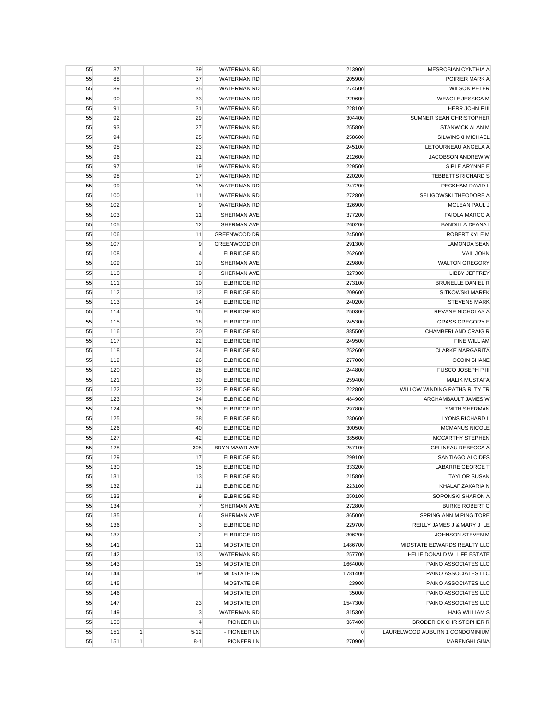| 55 | 87  |              | 39             | <b>WATERMAN RD</b>   | 213900         | MESROBIAN CYNTHIA A             |
|----|-----|--------------|----------------|----------------------|----------------|---------------------------------|
| 55 | 88  |              | 37             | <b>WATERMAN RD</b>   | 205900         | POIRIER MARK A                  |
| 55 | 89  |              | 35             | <b>WATERMAN RD</b>   | 274500         | <b>WILSON PETER</b>             |
| 55 | 90  |              | 33             | <b>WATERMAN RD</b>   | 229600         | <b>WEAGLE JESSICA M</b>         |
| 55 | 91  |              | 31             | <b>WATERMAN RD</b>   | 228100         | HERR JOHN F III                 |
| 55 | 92  |              | 29             | <b>WATERMAN RD</b>   | 304400         | SUMNER SEAN CHRISTOPHER         |
| 55 | 93  |              | 27             | <b>WATERMAN RD</b>   | 255800         | <b>STANWICK ALAN M</b>          |
| 55 | 94  |              | 25             | <b>WATERMAN RD</b>   | 258600         | SILWINSKI MICHAEL               |
| 55 | 95  |              | 23             | <b>WATERMAN RD</b>   | 245100         | LETOURNEAU ANGELA A             |
| 55 | 96  |              | 21             | <b>WATERMAN RD</b>   | 212600         | JACOBSON ANDREW W               |
| 55 | 97  |              | 19             | <b>WATERMAN RD</b>   | 229500         | SIPLE ARYNNE E                  |
|    |     |              |                | <b>WATERMAN RD</b>   | 220200         | <b>TEBBETTS RICHARD S</b>       |
| 55 | 98  |              | 17             |                      |                |                                 |
| 55 | 99  |              | 15             | <b>WATERMAN RD</b>   | 247200         | PECKHAM DAVID L                 |
| 55 | 100 |              | 11             | <b>WATERMAN RD</b>   | 272800         | SELIGOWSKI THEODORE A           |
| 55 | 102 |              | 9              | <b>WATERMAN RD</b>   | 326900         | <b>MCLEAN PAUL J</b>            |
| 55 | 103 |              | 11             | SHERMAN AVE          | 377200         | <b>FAIOLA MARCO A</b>           |
| 55 | 105 |              | 12             | SHERMAN AVE          | 260200         | <b>BANDILLA DEANA I</b>         |
| 55 | 106 |              | 11             | <b>GREENWOOD DR</b>  | 245000         | ROBERT KYLE M                   |
| 55 | 107 |              | 9              | <b>GREENWOOD DR</b>  | 291300         | <b>LAMONDA SEAN</b>             |
| 55 | 108 |              | 4              | <b>ELBRIDGE RD</b>   | 262600         | VAIL JOHN                       |
| 55 | 109 |              | 10             | SHERMAN AVE          | 229800         | <b>WALTON GREGORY</b>           |
| 55 | 110 |              | 9              | SHERMAN AVE          | 327300         | LIBBY JEFFREY                   |
| 55 | 111 |              | 10             | <b>ELBRIDGE RD</b>   | 273100         | <b>BRUNELLE DANIEL R</b>        |
| 55 | 112 |              | 12             | <b>ELBRIDGE RD</b>   | 209600         | <b>SITKOWSKI MAREK</b>          |
| 55 | 113 |              | 14             | <b>ELBRIDGE RD</b>   | 240200         | <b>STEVENS MARK</b>             |
| 55 | 114 |              | 16             | <b>ELBRIDGE RD</b>   | 250300         | <b>REVANE NICHOLAS A</b>        |
| 55 | 115 |              | 18             | <b>ELBRIDGE RD</b>   | 245300         | <b>GRASS GREGORY E</b>          |
| 55 | 116 |              | 20             | <b>ELBRIDGE RD</b>   | 385500         | CHAMBERLAND CRAIG R             |
| 55 | 117 |              | 22             | <b>ELBRIDGE RD</b>   | 249500         | <b>FINE WILLIAM</b>             |
| 55 | 118 |              | 24             | <b>ELBRIDGE RD</b>   | 252600         | <b>CLARKE MARGARITA</b>         |
| 55 | 119 |              | 26             | <b>ELBRIDGE RD</b>   | 277000         | <b>OCOIN SHANE</b>              |
| 55 | 120 |              | 28             | <b>ELBRIDGE RD</b>   | 244800         | FUSCO JOSEPH P III              |
| 55 | 121 |              | 30             | <b>ELBRIDGE RD</b>   | 259400         | <b>MALIK MUSTAFA</b>            |
| 55 | 122 |              | 32             | <b>ELBRIDGE RD</b>   | 222800         | WILLOW WINDING PATHS RLTY TR    |
|    |     |              |                |                      |                |                                 |
| 55 | 123 |              | 34             | <b>ELBRIDGE RD</b>   | 484900         | ARCHAMBAULT JAMES W             |
| 55 | 124 |              | 36             | <b>ELBRIDGE RD</b>   | 297800         | <b>SMITH SHERMAN</b>            |
| 55 | 125 |              | 38             | <b>ELBRIDGE RD</b>   | 230600         | <b>LYONS RICHARD L</b>          |
| 55 | 126 |              | 40             | <b>ELBRIDGE RD</b>   | 300500         | <b>MCMANUS NICOLE</b>           |
| 55 | 127 |              | 42             | <b>ELBRIDGE RD</b>   | 385600         | <b>MCCARTHY STEPHEN</b>         |
| 55 | 128 |              | 305            | <b>BRYN MAWR AVE</b> | 257100         | GELINEAU REBECCA A              |
| 55 | 129 |              | 17             | <b>ELBRIDGE RD</b>   | 299100         | SANTIAGO ALCIDES                |
| 55 | 130 |              | 15             | <b>ELBRIDGE RD</b>   | 333200         | <b>LABARRE GEORGE T</b>         |
| 55 | 131 |              | 13             | ELBRIDGE RD          | 215800         | <b>TAYLOR SUSAN</b>             |
| 55 | 132 |              | 11             | <b>ELBRIDGE RD</b>   | 223100         | KHALAF ZAKARIA N                |
| 55 | 133 |              | 9              | <b>ELBRIDGE RD</b>   | 250100         | SOPONSKI SHARON A               |
| 55 | 134 |              | $\overline{7}$ | SHERMAN AVE          | 272800         | <b>BURKE ROBERT C</b>           |
| 55 | 135 |              | 6              | SHERMAN AVE          | 365000         | SPRING ANN M PINGITORE          |
| 55 | 136 |              | $\mathbf 3$    | <b>ELBRIDGE RD</b>   | 229700         | REILLY JAMES J & MARY J LE      |
| 55 | 137 |              | $\overline{c}$ | <b>ELBRIDGE RD</b>   | 306200         | JOHNSON STEVEN M                |
| 55 | 141 |              | 11             | <b>MIDSTATE DR</b>   | 1486700        | MIDSTATE EDWARDS REALTY LLC     |
| 55 | 142 |              | 13             | <b>WATERMAN RD</b>   | 257700         | HELIE DONALD W LIFE ESTATE      |
| 55 | 143 |              | 15             | <b>MIDSTATE DR</b>   | 1664000        | PAINO ASSOCIATES LLC            |
| 55 | 144 |              | 19             | MIDSTATE DR          | 1781400        | PAINO ASSOCIATES LLC            |
| 55 | 145 |              |                | <b>MIDSTATE DR</b>   | 23900          | PAINO ASSOCIATES LLC            |
| 55 | 146 |              |                | <b>MIDSTATE DR</b>   | 35000          | PAINO ASSOCIATES LLC            |
| 55 | 147 |              | 23             | <b>MIDSTATE DR</b>   | 1547300        | PAINO ASSOCIATES LLC            |
| 55 | 149 |              | $\mathbf 3$    | <b>WATERMAN RD</b>   | 315300         | <b>HAIG WILLIAM S</b>           |
| 55 | 150 |              | 4              | PIONEER LN           | 367400         | <b>BRODERICK CHRISTOPHER R</b>  |
|    |     |              |                |                      |                |                                 |
| 55 | 151 | $\mathbf{1}$ | $5 - 12$       | - PIONEER LN         | $\overline{0}$ | LAURELWOOD AUBURN 1 CONDOMINIUM |
| 55 | 151 | $\mathbf{1}$ | $8 - 1$        | PIONEER LN           | 270900         | <b>MARENGHI GINA</b>            |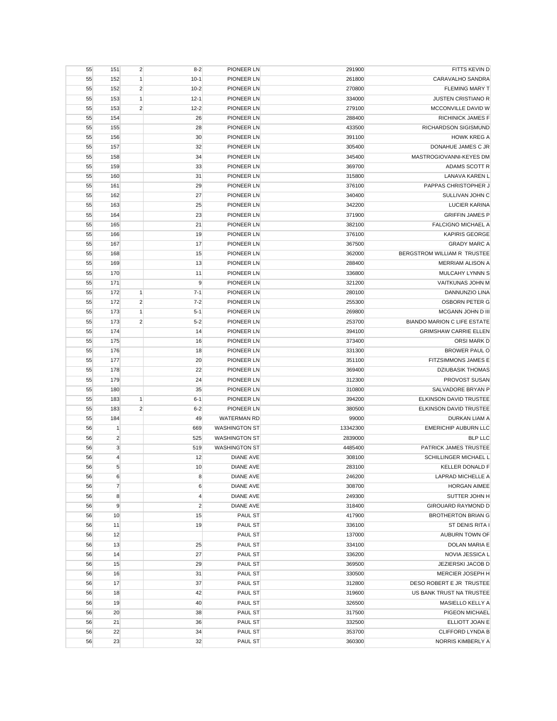| 55 | 151            | $\overline{2}$ | $8 - 2$        | PIONEER LN           | 291900           | FITTS KEVIN D                      |
|----|----------------|----------------|----------------|----------------------|------------------|------------------------------------|
| 55 | 152            | 1              | $10-1$         | PIONEER LN           | 261800           | CARAVALHO SANDRA                   |
| 55 | 152            | $\overline{2}$ | $10 - 2$       | PIONEER LN           | 270800           | <b>FLEMING MARY T</b>              |
| 55 | 153            | $\mathbf{1}$   | $12-1$         | PIONEER LN           | 334000           | <b>JUSTEN CRISTIANO R</b>          |
| 55 | 153            | $\overline{2}$ | $12 - 2$       | PIONEER LN           | 279100           | MCCONVILLE DAVID W                 |
| 55 | 154            |                | 26             | PIONEER LN           | 288400           | <b>RICHINICK JAMES F</b>           |
| 55 | 155            |                | 28             | PIONEER LN           | 433500           | RICHARDSON SIGISMUND               |
| 55 | 156            |                | 30             | PIONEER LN           | 391100           | <b>HOWK KREG A</b>                 |
| 55 | 157            |                | 32             | PIONEER LN           | 305400           | DONAHUE JAMES C JR                 |
| 55 | 158            |                | 34             | PIONEER LN           | 345400           | MASTROGIOVANNI-KEYES DM            |
| 55 | 159            |                | 33             | PIONEER LN           | 369700           | ADAMS SCOTT R                      |
| 55 | 160            |                | 31             | PIONEER LN           | 315800           | LANAVA KAREN L                     |
| 55 | 161            |                | 29             | PIONEER LN           | 376100           | PAPPAS CHRISTOPHER J               |
| 55 | 162            |                | 27             | <b>PIONEER LN</b>    | 340400           | SULLIVAN JOHN C                    |
| 55 | 163            |                | 25             | PIONEER LN           | 342200           | LUCIER KARINA                      |
| 55 | 164            |                | 23             | PIONEER LN           | 371900           | <b>GRIFFIN JAMES P</b>             |
| 55 | 165            |                | 21             | PIONEER LN           | 382100           | <b>FALCIGNO MICHAEL A</b>          |
| 55 | 166            |                | 19             | PIONEER LN           | 376100           | <b>KAPIRIS GEORGE</b>              |
| 55 | 167            |                | 17             | PIONEER LN           | 367500           | <b>GRADY MARC A</b>                |
| 55 | 168            |                | 15             | PIONEER LN           | 362000           | BERGSTROM WILLIAM R TRUSTEE        |
| 55 | 169            |                | 13             | PIONEER LN           | 288400           | <b>MERRIAM ALISON A</b>            |
| 55 | 170            |                | 11             | PIONEER LN           | 336800           | MULCAHY LYNNN S                    |
| 55 | 171            |                | 9              | PIONEER LN           | 321200           | VAITKUNAS JOHN M                   |
|    | 172            | 1              | $7 - 1$        | <b>PIONEER LN</b>    |                  | DANNUNZIO LINA                     |
| 55 |                |                |                |                      | 280100<br>255300 |                                    |
| 55 | 172            | $\overline{2}$ | $7 - 2$        | PIONEER LN           |                  | <b>OSBORN PETER G</b>              |
| 55 | 173            | $\mathbf{1}$   | $5 - 1$        | PIONEER LN           | 269800           | MCGANN JOHN D III                  |
| 55 | 173            | $\overline{2}$ | $5 - 2$        | PIONEER LN           | 253700           | <b>BIANDO MARION C LIFE ESTATE</b> |
| 55 | 174            |                | 14             | PIONEER LN           | 394100           | <b>GRIMSHAW CARRIE ELLEN</b>       |
| 55 | 175            |                | 16             | PIONEER LN           | 373400           | ORSI MARK D                        |
| 55 | 176            |                | 18             | PIONEER LN           | 331300           | <b>BROWER PAUL O</b>               |
| 55 | 177            |                | 20             | PIONEER LN           | 351100           | FITZSIMMONS JAMES E                |
| 55 | 178            |                | 22             | PIONEER LN           | 369400           | <b>DZIUBASIK THOMAS</b>            |
| 55 | 179            |                | 24             | PIONEER LN           | 312300           | PROVOST SUSAN                      |
| 55 | 180            |                | 35             | PIONEER LN           | 310800           | SALVADORE BRYAN P                  |
| 55 | 183            | $\mathbf{1}$   | $6 - 1$        | PIONEER LN           | 394200           | ELKINSON DAVID TRUSTEE             |
| 55 | 183            | $\overline{2}$ | $6 - 2$        | PIONEER LN           | 380500           | ELKINSON DAVID TRUSTEE             |
| 55 | 184            |                | 49             | <b>WATERMAN RD</b>   | 99000            | <b>DURKAN LIAM A</b>               |
| 56 | $\mathbf{1}$   |                | 669            | <b>WASHINGTON ST</b> | 13342300         | <b>EMERICHIP AUBURN LLC</b>        |
| 56 | $\overline{2}$ |                | 525            | <b>WASHINGTON ST</b> | 2839000          | <b>BLP LLC</b>                     |
| 56 | $\mathbf{3}$   |                | 519            | <b>WASHINGTON ST</b> | 4485400          | PATRICK JAMES TRUSTEE              |
| 56 | $\overline{4}$ |                | 12             | <b>DIANE AVE</b>     | 308100           | SCHILLINGER MICHAEL L              |
| 56 | 5              |                | 10             | <b>DIANE AVE</b>     | 283100           | <b>KELLER DONALD F</b>             |
| 56 | 6              |                | 8              | <b>DIANE AVE</b>     | 246200           | LAPRAD MICHELLE A                  |
| 56 | $\overline{7}$ |                | $6\phantom{1}$ | <b>DIANE AVE</b>     | 308700           | <b>HORGAN AIMEE</b>                |
| 56 | 8              |                | 4              | <b>DIANE AVE</b>     | 249300           | SUTTER JOHN H                      |
| 56 | $\overline{9}$ |                | $\overline{c}$ | <b>DIANE AVE</b>     | 318400           | <b>GIROUARD RAYMOND D</b>          |
| 56 | 10             |                | 15             | PAUL ST              | 417900           | <b>BROTHERTON BRIAN G</b>          |
| 56 | 11             |                | 19             | PAUL ST              | 336100           | ST DENIS RITA I                    |
| 56 | 12             |                |                | PAUL ST              | 137000           | AUBURN TOWN OF                     |
| 56 | 13             |                | 25             | PAUL ST              | 334100           | DOLAN MARIA E                      |
| 56 | 14             |                | 27             | PAUL ST              | 336200           | NOVIA JESSICA L                    |
| 56 | 15             |                | 29             | PAUL ST              | 369500           | JEZIERSKI JACOB D                  |
| 56 | 16             |                | 31             | PAUL ST              | 330500           | MERCIER JOSEPH H                   |
| 56 | 17             |                | 37             | PAUL ST              | 312800           | DESO ROBERT E JR TRUSTEE           |
| 56 | 18             |                | 42             | PAUL ST              | 319600           | US BANK TRUST NA TRUSTEE           |
| 56 | 19             |                | 40             | PAUL ST              | 326500           | MASIELLO KELLY A                   |
| 56 | 20             |                | 38             | PAUL ST              | 317500           | PIGEON MICHAEL                     |
| 56 | 21             |                | 36             | PAUL ST              | 332500           | ELLIOTT JOAN E                     |
| 56 | 22             |                | 34             | PAUL ST              | 353700           | CLIFFORD LYNDA B                   |
| 56 | 23             |                | 32             | PAUL ST              | 360300           | NORRIS KIMBERLY A                  |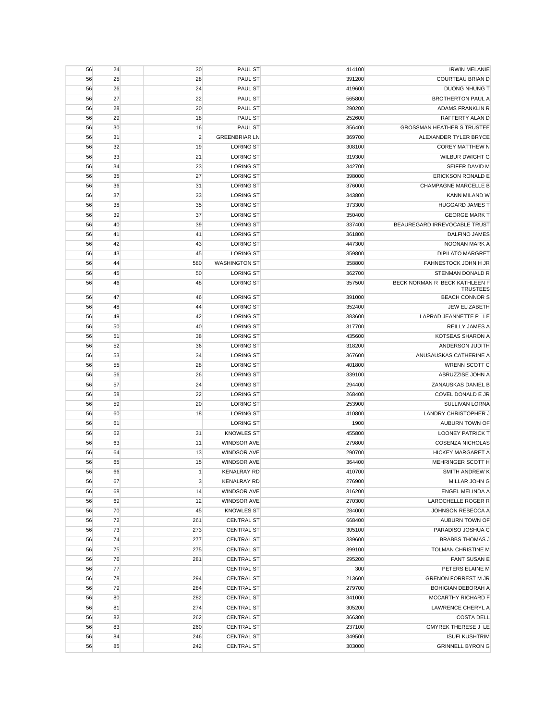| 56 | 24 | 30             | PAUL ST              | 414100 | <b>IRWIN MELANIE</b>              |
|----|----|----------------|----------------------|--------|-----------------------------------|
| 56 | 25 | 28             | PAUL ST              | 391200 | COURTEAU BRIAN D                  |
| 56 | 26 | 24             | PAUL ST              | 419600 | <b>DUONG NHUNG T</b>              |
| 56 | 27 | 22             | PAUL ST              | 565800 | <b>BROTHERTON PAUL A</b>          |
| 56 | 28 | 20             | PAUL ST              | 290200 | ADAMS FRANKLIN R                  |
| 56 | 29 | 18             | <b>PAUL ST</b>       | 252600 | RAFFERTY ALAN D                   |
| 56 | 30 | 16             | <b>PAUL ST</b>       | 356400 | <b>GROSSMAN HEATHER S TRUSTEE</b> |
| 56 | 31 | $\overline{2}$ | <b>GREENBRIAR LN</b> | 369700 | ALEXANDER TYLER BRYCE             |
| 56 | 32 | 19             | <b>LORING ST</b>     | 308100 | <b>COREY MATTHEW N</b>            |
| 56 | 33 | 21             | <b>LORING ST</b>     | 319300 | <b>WILBUR DWIGHT G</b>            |
| 56 | 34 | 23             | <b>LORING ST</b>     | 342700 | SEIFER DAVID M                    |
| 56 | 35 | 27             | <b>LORING ST</b>     | 398000 | <b>ERICKSON RONALD E</b>          |
| 56 | 36 | 31             | <b>LORING ST</b>     | 376000 | <b>CHAMPAGNE MARCELLE B</b>       |
| 56 | 37 | 33             | <b>LORING ST</b>     | 343800 | KANN MILAND W                     |
| 56 | 38 | 35             | <b>LORING ST</b>     | 373300 | <b>HUGGARD JAMES T</b>            |
| 56 | 39 | 37             | <b>LORING ST</b>     | 350400 | <b>GEORGE MARK T</b>              |
| 56 | 40 | 39             | <b>LORING ST</b>     | 337400 | BEAUREGARD IRREVOCABLE TRUST      |
| 56 | 41 | 41             | <b>LORING ST</b>     | 361800 | DALFINO JAMES                     |
| 56 | 42 | 43             | <b>LORING ST</b>     | 447300 | NOONAN MARK A                     |
| 56 | 43 | 45             | <b>LORING ST</b>     | 359800 | <b>DIPILATO MARGRET</b>           |
| 56 | 44 | 580            | <b>WASHINGTON ST</b> | 358800 | FAHNESTOCK JOHN H JR              |
| 56 | 45 | 50             | <b>LORING ST</b>     | 362700 | STENMAN DONALD R                  |
| 56 | 46 | 48             | <b>LORING ST</b>     | 357500 | BECK NORMAN R BECK KATHLEEN F     |
|    |    |                |                      |        | <b>TRUSTEES</b>                   |
| 56 | 47 | 46             | <b>LORING ST</b>     | 391000 | <b>BEACH CONNOR S</b>             |
| 56 | 48 | 44             | <b>LORING ST</b>     | 352400 | <b>JEW ELIZABETH</b>              |
| 56 | 49 | 42             | <b>LORING ST</b>     | 383600 | LAPRAD JEANNETTE P LE             |
| 56 | 50 | 40             | <b>LORING ST</b>     | 317700 | <b>REILLY JAMES A</b>             |
| 56 | 51 | 38             | <b>LORING ST</b>     | 435600 | KOTSEAS SHARON A                  |
| 56 | 52 | 36             | <b>LORING ST</b>     | 318200 | ANDERSON JUDITH                   |
| 56 | 53 | 34             | <b>LORING ST</b>     | 367600 | ANUSAUSKAS CATHERINE A            |
| 56 | 55 | 28             | <b>LORING ST</b>     | 401800 | WRENN SCOTT C                     |
| 56 | 56 | 26             | <b>LORING ST</b>     | 339100 | ABRUZZISE JOHN A                  |
| 56 | 57 | 24             | <b>LORING ST</b>     | 294400 | ZANAUSKAS DANIEL B                |
| 56 | 58 | 22             | <b>LORING ST</b>     | 268400 | COVEL DONALD E JR                 |
| 56 | 59 | 20             | <b>LORING ST</b>     | 253900 | <b>SULLIVAN LORNA</b>             |
| 56 | 60 | 18             | <b>LORING ST</b>     | 410800 | LANDRY CHRISTOPHER J              |
| 56 | 61 |                | <b>LORING ST</b>     | 1900   | <b>AUBURN TOWN OF</b>             |
| 56 | 62 | 31             | <b>KNOWLES ST</b>    | 455800 | <b>LOONEY PATRICK T</b>           |
| 56 | 63 | 11             | <b>WINDSOR AVE</b>   | 279800 | <b>COSENZA NICHOLAS</b>           |
| 56 | 64 | 13             | <b>WINDSOR AVE</b>   | 290700 | <b>HICKEY MARGARET A</b>          |
| 56 | 65 | 15             | WINDSOR AVE          | 364400 | MEHRINGER SCOTT H                 |
| 56 | 66 | $\mathbf{1}$   | <b>KENALRAY RD</b>   | 410700 | <b>SMITH ANDREW K</b>             |
| 56 | 67 | $\mathbf{3}$   | <b>KENALRAY RD</b>   | 276900 | MILLAR JOHN G                     |
| 56 | 68 | 14             | <b>WINDSOR AVE</b>   | 316200 | <b>ENGEL MELINDA A</b>            |
| 56 | 69 | 12             | <b>WINDSOR AVE</b>   | 270300 | LAROCHELLE ROGER R                |
| 56 | 70 | 45             | <b>KNOWLES ST</b>    | 284000 | JOHNSON REBECCA A                 |
| 56 | 72 | 261            | <b>CENTRAL ST</b>    | 668400 | <b>AUBURN TOWN OF</b>             |
| 56 | 73 | 273            | <b>CENTRAL ST</b>    | 305100 | PARADISO JOSHUA C                 |
| 56 | 74 | 277            | <b>CENTRAL ST</b>    | 339600 | <b>BRABBS THOMAS J</b>            |
| 56 | 75 | 275            | <b>CENTRAL ST</b>    | 399100 | TOLMAN CHRISTINE M                |
| 56 | 76 | 281            | <b>CENTRAL ST</b>    | 295200 | <b>FANT SUSAN E</b>               |
| 56 | 77 |                | <b>CENTRAL ST</b>    | 300    | PETERS ELAINE M                   |
| 56 | 78 | 294            | <b>CENTRAL ST</b>    | 213600 | <b>GRENON FORREST M JR</b>        |
| 56 | 79 | 284            | <b>CENTRAL ST</b>    | 279700 | <b>BOHIGIAN DEBORAH A</b>         |
| 56 | 80 | 282            | <b>CENTRAL ST</b>    | 341000 | MCCARTHY RICHARD F                |
| 56 | 81 | 274            | <b>CENTRAL ST</b>    | 305200 | LAWRENCE CHERYL A                 |
| 56 | 82 | 262            | <b>CENTRAL ST</b>    | 366300 | <b>COSTA DELL</b>                 |
| 56 | 83 | 260            | <b>CENTRAL ST</b>    | 237100 | <b>GMYREK THERESE J LE</b>        |
| 56 | 84 | 246            | <b>CENTRAL ST</b>    | 349500 | <b>ISUFI KUSHTRIM</b>             |
| 56 | 85 | 242            | <b>CENTRAL ST</b>    | 303000 | <b>GRINNELL BYRON G</b>           |
|    |    |                |                      |        |                                   |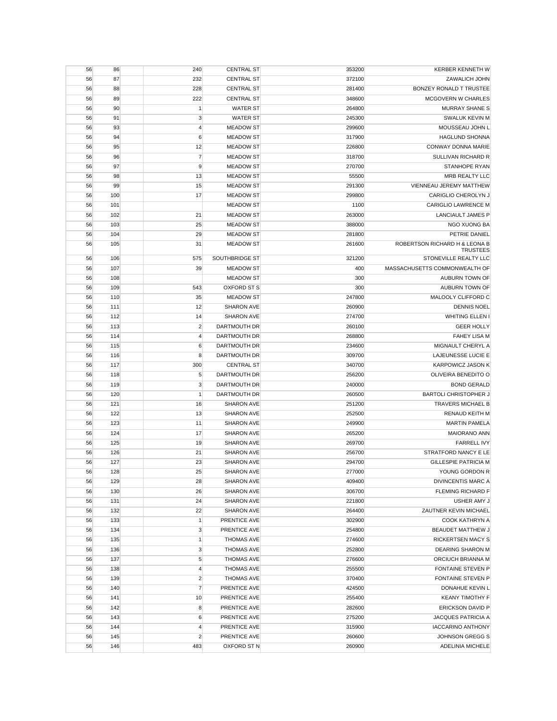| 56 | 86  | 240            | <b>CENTRAL ST</b>  | 353200 | <b>KERBER KENNETH W</b>       |
|----|-----|----------------|--------------------|--------|-------------------------------|
| 56 | 87  | 232            | <b>CENTRAL ST</b>  | 372100 | ZAWALICH JOHN                 |
| 56 | 88  | 228            | <b>CENTRAL ST</b>  | 281400 | BONZEY RONALD T TRUSTEE       |
| 56 | 89  | 222            | <b>CENTRAL ST</b>  | 348600 | MCGOVERN W CHARLES            |
| 56 | 90  | $\mathbf{1}$   | <b>WATER ST</b>    | 264800 | <b>MURRAY SHANE S</b>         |
| 56 | 91  | 3              | <b>WATER ST</b>    | 245300 | SWALUK KEVIN M                |
| 56 | 93  | $\overline{4}$ | <b>MEADOW ST</b>   | 299600 | MOUSSEAU JOHN L               |
| 56 | 94  | 6              | <b>MEADOW ST</b>   | 317900 | <b>HAGLUND SHONNA</b>         |
| 56 | 95  | 12             | <b>MEADOW ST</b>   | 226800 | CONWAY DONNA MARIE            |
| 56 | 96  | $\overline{7}$ | <b>MEADOW ST</b>   | 318700 | <b>SULLIVAN RICHARD R</b>     |
| 56 | 97  | 9              | <b>MEADOW ST</b>   | 270700 | STANHOPE RYAN                 |
| 56 | 98  | 13             | <b>MEADOW ST</b>   | 55500  | MRB REALTY LLC                |
| 56 | 99  | 15             | <b>MEADOW ST</b>   | 291300 | VIENNEAU JEREMY MATTHEW       |
| 56 | 100 | 17             | <b>MEADOW ST</b>   | 299800 | CARIGLIO CHEROLYN J           |
| 56 | 101 |                | <b>MEADOW ST</b>   | 1100   | <b>CARIGLIO LAWRENCE M</b>    |
| 56 | 102 | 21             | <b>MEADOW ST</b>   | 263000 | <b>LANCIAULT JAMES P</b>      |
| 56 | 103 | 25             | <b>MEADOW ST</b>   | 388000 | NGO XUONG BA                  |
| 56 | 104 | 29             | <b>MEADOW ST</b>   | 281800 | PETRIE DANIEL                 |
| 56 | 105 | 31             | <b>MEADOW ST</b>   | 261600 | ROBERTSON RICHARD H & LEONA B |
|    |     |                |                    |        | <b>TRUSTEES</b>               |
| 56 | 106 | 575            | SOUTHBRIDGE ST     | 321200 | STONEVILLE REALTY LLC         |
| 56 | 107 | 39             | <b>MEADOW ST</b>   | 400    | MASSACHUSETTS COMMONWEALTH OF |
| 56 | 108 |                | <b>MEADOW ST</b>   | 300    | AUBURN TOWN OF                |
| 56 | 109 | 543            | <b>OXFORD ST S</b> | 300    | AUBURN TOWN OF                |
| 56 | 110 | 35             | <b>MEADOW ST</b>   | 247800 | MALOOLY CLIFFORD C            |
| 56 | 111 | 12             | <b>SHARON AVE</b>  | 260900 | <b>DENNIS NOEL</b>            |
| 56 | 112 | 14             | <b>SHARON AVE</b>  | 274700 | WHITING ELLEN I               |
| 56 | 113 | $\overline{2}$ | DARTMOUTH DR       | 260100 | <b>GEER HOLLY</b>             |
| 56 | 114 | 4              | DARTMOUTH DR       | 268800 | <b>FAHEY LISA M</b>           |
| 56 | 115 | 6              | DARTMOUTH DR       | 234600 | MIGNAULT CHERYL A             |
| 56 | 116 | 8              | DARTMOUTH DR       | 309700 | LAJEUNESSE LUCIE E            |
| 56 | 117 | 300            | <b>CENTRAL ST</b>  | 340700 | <b>KARPOWICZ JASON K</b>      |
| 56 | 118 | $\sqrt{5}$     | DARTMOUTH DR       | 256200 | OLIVEIRA BENEDITO O           |
| 56 | 119 | 3              | DARTMOUTH DR       | 240000 | <b>BOND GERALD</b>            |
| 56 | 120 | $\mathbf{1}$   | DARTMOUTH DR       | 260500 | <b>BARTOLI CHRISTOPHER J</b>  |
| 56 | 121 | 16             | SHARON AVE         | 251200 | <b>TRAVERS MICHAEL B</b>      |
| 56 | 122 | 13             | <b>SHARON AVE</b>  | 252500 | <b>RENAUD KEITH M</b>         |
| 56 | 123 | 11             | <b>SHARON AVE</b>  | 249900 | <b>MARTIN PAMELA</b>          |
| 56 | 124 | 17             | <b>SHARON AVE</b>  | 265200 | <b>MAIORANO ANN</b>           |
| 56 | 125 | 19             | SHARON AVE         | 269700 | <b>FARRELL IVY</b>            |
| 56 | 126 | 21             | <b>SHARON AVE</b>  | 256700 | STRATFORD NANCY E LE          |
| 56 | 127 | 23             | <b>SHARON AVE</b>  | 294700 | <b>GILLESPIE PATRICIA M</b>   |
| 56 | 128 | 25             | SHARON AVE         | 277000 | YOUNG GORDON R                |
| 56 | 129 | 28             | <b>SHARON AVE</b>  | 409400 | DIVINCENTIS MARC A            |
| 56 | 130 | 26             | SHARON AVE         | 306700 | <b>FLEMING RICHARD F</b>      |
| 56 | 131 | 24             | SHARON AVE         | 221800 | USHER AMY J                   |
| 56 | 132 | 22             | SHARON AVE         | 264400 | ZAUTNER KEVIN MICHAEL         |
| 56 | 133 | $\mathbf{1}$   | PRENTICE AVE       | 302900 | COOK KATHRYN A                |
| 56 | 134 | 3              | PRENTICE AVE       | 254800 | <b>BEAUDET MATTHEW J</b>      |
| 56 | 135 | 1              | <b>THOMAS AVE</b>  | 274600 | RICKERTSEN MACY S             |
| 56 | 136 | 3              | <b>THOMAS AVE</b>  | 252800 | DEARING SHARON M              |
| 56 | 137 | 5              | <b>THOMAS AVE</b>  | 276600 | ORCIUCH BRIANNA M             |
| 56 | 138 | $\overline{4}$ | <b>THOMAS AVE</b>  | 255500 | FONTAINE STEVEN P             |
| 56 | 139 | $\overline{c}$ | <b>THOMAS AVE</b>  | 370400 | FONTAINE STEVEN P             |
| 56 | 140 | $\overline{7}$ | PRENTICE AVE       | 424500 | DONAHUE KEVIN L               |
| 56 | 141 | 10             | PRENTICE AVE       | 255400 | <b>KEANY TIMOTHY F</b>        |
| 56 | 142 | 8              | PRENTICE AVE       | 282600 | <b>ERICKSON DAVID P</b>       |
| 56 | 143 | 6              | PRENTICE AVE       | 275200 | <b>JACQUES PATRICIA A</b>     |
| 56 | 144 | $\overline{4}$ | PRENTICE AVE       | 315900 | <b>IACCARINO ANTHONY</b>      |
| 56 | 145 | $\overline{c}$ | PRENTICE AVE       | 260600 | JOHNSON GREGG S               |
| 56 | 146 | 483            | OXFORD ST N        | 260900 | ADELINIA MICHELE              |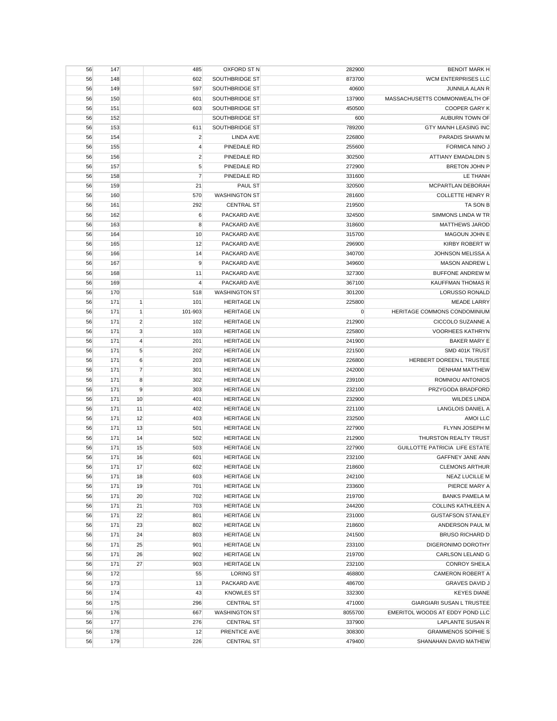| 56 | 147 |                | 485                     | <b>OXFORD ST N</b>   | 282900  | <b>BENOIT MARK H</b>            |
|----|-----|----------------|-------------------------|----------------------|---------|---------------------------------|
| 56 | 148 |                | 602                     | SOUTHBRIDGE ST       | 873700  | WCM ENTERPRISES LLC             |
| 56 | 149 |                | 597                     | SOUTHBRIDGE ST       | 40600   | JUNNILA ALAN R                  |
| 56 | 150 |                | 601                     | SOUTHBRIDGE ST       | 137900  | MASSACHUSETTS COMMONWEALTH OF   |
| 56 | 151 |                | 603                     | SOUTHBRIDGE ST       | 450500  | <b>COOPER GARY K</b>            |
| 56 | 152 |                |                         | SOUTHBRIDGE ST       | 600     | AUBURN TOWN OF                  |
| 56 | 153 |                | 611                     | SOUTHBRIDGE ST       | 789200  | <b>GTY MA/NH LEASING INC</b>    |
| 56 | 154 |                | $\overline{2}$          | <b>LINDA AVE</b>     | 226800  | PARADIS SHAWN M                 |
| 56 | 155 |                | 4                       | PINEDALE RD          | 255600  | FORMICA NINO J                  |
| 56 | 156 |                | $\overline{\mathbf{c}}$ | PINEDALE RD          | 302500  | <b>ATTIANY EMADALDIN S</b>      |
| 56 | 157 |                | 5                       | PINEDALE RD          | 272900  | <b>BRETON JOHN P</b>            |
| 56 | 158 |                | $\overline{7}$          | PINEDALE RD          | 331600  | LE THANH                        |
| 56 | 159 |                | 21                      | PAUL ST              | 320500  | MCPARTLAN DEBORAH               |
| 56 | 160 |                | 570                     | <b>WASHINGTON ST</b> | 281600  | <b>COLLETTE HENRY R</b>         |
| 56 | 161 |                | 292                     | <b>CENTRAL ST</b>    | 219500  | TA SON B                        |
| 56 | 162 |                | $\boldsymbol{6}$        | PACKARD AVE          | 324500  | SIMMONS LINDA W TR              |
| 56 | 163 |                | 8                       | PACKARD AVE          | 318600  | <b>MATTHEWS JAROD</b>           |
| 56 | 164 |                | 10                      | PACKARD AVE          | 315700  | MAGOUN JOHN E                   |
| 56 | 165 |                | 12                      | PACKARD AVE          | 296900  | <b>KIRBY ROBERT W</b>           |
|    | 166 |                |                         | PACKARD AVE          | 340700  | JOHNSON MELISSA A               |
| 56 |     |                | 14                      |                      |         |                                 |
| 56 | 167 |                | 9                       | PACKARD AVE          | 349600  | <b>MASON ANDREW L</b>           |
| 56 | 168 |                | 11                      | PACKARD AVE          | 327300  | <b>BUFFONE ANDREW M</b>         |
| 56 | 169 |                | $\overline{4}$          | PACKARD AVE          | 367100  | <b>KAUFFMAN THOMAS R</b>        |
| 56 | 170 |                | 518                     | <b>WASHINGTON ST</b> | 301200  | <b>LORUSSO RONALD</b>           |
| 56 | 171 | $\mathbf{1}$   | 101                     | <b>HERITAGE LN</b>   | 225800  | <b>MEADE LARRY</b>              |
| 56 | 171 | $\mathbf{1}$   | 101-903                 | <b>HERITAGE LN</b>   | 0       | HERITAGE COMMONS CONDOMINIUM    |
| 56 | 171 | $\overline{2}$ | 102                     | <b>HERITAGE LN</b>   | 212900  | CICCOLO SUZANNE A               |
| 56 | 171 | 3              | 103                     | <b>HERITAGE LN</b>   | 225800  | <b>VOORHEES KATHRYN</b>         |
| 56 | 171 | 4              | 201                     | <b>HERITAGE LN</b>   | 241900  | <b>BAKER MARY E</b>             |
| 56 | 171 | 5              | 202                     | <b>HERITAGE LN</b>   | 221500  | SMD 401K TRUST                  |
| 56 | 171 | 6              | 203                     | <b>HERITAGE LN</b>   | 226800  | HERBERT DOREEN L TRUSTEE        |
| 56 | 171 | $\overline{7}$ | 301                     | <b>HERITAGE LN</b>   | 242000  | <b>DENHAM MATTHEW</b>           |
| 56 | 171 | 8              | 302                     | <b>HERITAGE LN</b>   | 239100  | ROMNIOU ANTONIOS                |
| 56 | 171 | 9              | 303                     | <b>HERITAGE LN</b>   | 232100  | PRZYGODA BRADFORD               |
| 56 | 171 | 10             | 401                     | <b>HERITAGE LN</b>   | 232900  | <b>WILDES LINDA</b>             |
| 56 | 171 | 11             | 402                     | <b>HERITAGE LN</b>   | 221100  | LANGLOIS DANIEL A               |
| 56 | 171 | 12             | 403                     | <b>HERITAGE LN</b>   | 232500  | AMOI LLC                        |
| 56 | 171 | 13             | 501                     | <b>HERITAGE LN</b>   | 227900  | FLYNN JOSEPH M                  |
| 56 | 171 | 14             | 502                     | <b>HERITAGE LN</b>   |         |                                 |
| 56 | 171 | 15             |                         |                      | 212900  | THURSTON REALTY TRUST           |
| 56 |     |                | 503                     | <b>HERITAGE LN</b>   | 227900  | GUILLOTTE PATRICIA LIFE ESTATE  |
|    | 171 | 16             | 601                     | <b>HERITAGE LN</b>   | 232100  | GAFFNEY JANE ANN                |
| 56 | 171 | 17             | 602                     | <b>HERITAGE LN</b>   | 218600  | <b>CLEMONS ARTHUR</b>           |
| 56 | 171 | 18             | 603                     | <b>HERITAGE LN</b>   | 242100  | <b>NEAZ LUCILLE M</b>           |
| 56 | 171 | 19             | 701                     | <b>HERITAGE LN</b>   | 233600  | PIERCE MARY A                   |
| 56 | 171 | 20             | 702                     | <b>HERITAGE LN</b>   | 219700  | <b>BANKS PAMELA M</b>           |
| 56 | 171 | 21             | 703                     | <b>HERITAGE LN</b>   | 244200  | <b>COLLINS KATHLEEN A</b>       |
| 56 | 171 | 22             | 801                     | <b>HERITAGE LN</b>   | 231000  | <b>GUSTAFSON STANLEY</b>        |
| 56 | 171 | 23             | 802                     | <b>HERITAGE LN</b>   | 218600  | ANDERSON PAUL M                 |
| 56 | 171 | 24             | 803                     | <b>HERITAGE LN</b>   | 241500  | <b>BRUSO RICHARD D</b>          |
| 56 | 171 | 25             | 901                     | <b>HERITAGE LN</b>   | 233100  | DIGERONIMO DOROTHY              |
| 56 | 171 | 26             | 902                     | <b>HERITAGE LN</b>   | 219700  | <b>CARLSON LELAND G</b>         |
| 56 | 171 | 27             | 903                     | <b>HERITAGE LN</b>   | 232100  | <b>CONROY SHEILA</b>            |
| 56 | 172 |                | 55                      | <b>LORING ST</b>     | 468800  | CAMERON ROBERT A                |
| 56 | 173 |                | 13                      | PACKARD AVE          | 486700  | <b>GRAVES DAVID J</b>           |
| 56 | 174 |                | 43                      | <b>KNOWLES ST</b>    | 332300  | <b>KEYES DIANE</b>              |
| 56 | 175 |                | 296                     | <b>CENTRAL ST</b>    | 471000  | GIARGIARI SUSAN L TRUSTEE       |
| 56 | 176 |                | 667                     | <b>WASHINGTON ST</b> | 8055700 | EMERITOL WOODS AT EDDY POND LLC |
| 56 | 177 |                | 276                     | <b>CENTRAL ST</b>    | 337900  | LAPLANTE SUSAN R                |
| 56 | 178 |                | 12                      | PRENTICE AVE         | 308300  | <b>GRAMMENOS SOPHIE S</b>       |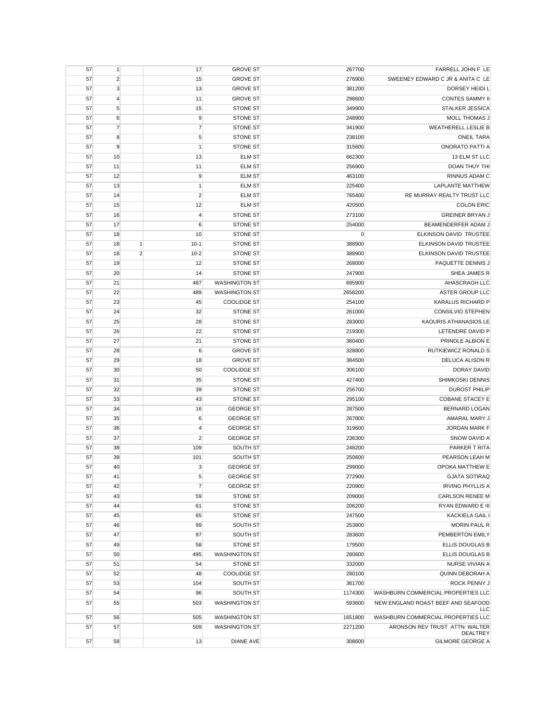| 57 | $\mathbf{1}$   |                | 17             | <b>GROVE ST</b>      | 267700    | FARRELL JOHN F LE                   |
|----|----------------|----------------|----------------|----------------------|-----------|-------------------------------------|
| 57 | $\overline{2}$ |                | 15             | <b>GROVE ST</b>      | 276900    | SWEENEY EDWARD C JR & ANITA C LE    |
| 57 | $\mathbf{3}$   |                | 13             | <b>GROVE ST</b>      | 381200    | DORSEY HEIDI L                      |
| 57 | $\overline{4}$ |                | 11             | <b>GROVE ST</b>      | 298600    | <b>CONTES SAMMY II</b>              |
| 57 | $\sqrt{5}$     |                | 15             | STONE ST             | 349900    | STALKER JESSICA                     |
| 57 | 6              |                | 9              | STONE ST             | 248900    | MOLL THOMAS J                       |
| 57 | $\overline{7}$ |                | $\overline{7}$ | STONE ST             | 341900    | <b>WEATHERELL LESLIE B</b>          |
| 57 | 8              |                | 5              | <b>STONE ST</b>      | 238100    | <b>ONEIL TARA</b>                   |
| 57 | 9              |                | $\mathbf{1}$   | <b>STONE ST</b>      | 315600    | <b>ONORATO PATTI A</b>              |
| 57 | 10             |                | 13             | <b>ELM ST</b>        | 662300    | 13 ELM ST LLC                       |
| 57 | 11             |                | 11             | <b>ELM ST</b>        | 256900    | DOAN THUY THI                       |
|    |                |                |                | <b>ELM ST</b>        | 463100    | RINNUS ADAM C                       |
| 57 | 12             |                | 9              |                      |           | <b>LAPLANTE MATTHEW</b>             |
| 57 | 13             |                | $\mathbf{1}$   | <b>ELM ST</b>        | 225400    |                                     |
| 57 | 14             |                | $\overline{c}$ | <b>ELM ST</b>        | 765400    | RE MURRAY REALTY TRUST LLC          |
| 57 | 15             |                | 12             | <b>ELM ST</b>        | 420500    | <b>COLON ERIC</b>                   |
| 57 | 16             |                | $\overline{4}$ | <b>STONE ST</b>      | 273100    | <b>GREINER BRYAN J</b>              |
| 57 | 17             |                | 6              | <b>STONE ST</b>      | 254000    | BEAMENDERFER ADAM J                 |
| 57 | 18             |                | 10             | <b>STONE ST</b>      | $\pmb{0}$ | ELKINSON DAVID TRUSTEE              |
| 57 | 18             | $\mathbf{1}$   | $10-1$         | <b>STONE ST</b>      | 388900    | ELKINSON DAVID TRUSTEE              |
| 57 | 18             | $\overline{2}$ | $10 - 2$       | <b>STONE ST</b>      | 388900    | ELKINSON DAVID TRUSTEE              |
| 57 | 19             |                | 12             | <b>STONE ST</b>      | 268000    | PAQUETTE DENNIS J                   |
| 57 | 20             |                | 14             | <b>STONE ST</b>      | 247900    | SHEA JAMES R                        |
| 57 | 21             |                | 487            | <b>WASHINGTON ST</b> | 695900    | AHASCRAGH LLC                       |
| 57 | 22             |                | 489            | <b>WASHINGTON ST</b> | 2658200   | ASTER GROUP LLC                     |
| 57 | 23             |                | 45             | <b>COOLIDGE ST</b>   | 254100    | KARALUS RICHARD P                   |
| 57 | 24             |                | 32             | <b>STONE ST</b>      | 261000    | CONSILVIO STEPHEN                   |
| 57 | 25             |                | 28             | <b>STONE ST</b>      | 283000    | KAOURIS ATHANASIOS LE               |
| 57 | 26             |                | 22             | <b>STONE ST</b>      | 219300    | LETENDRE DAVID P                    |
| 57 | 27             |                | 21             | <b>STONE ST</b>      | 360400    | PRINDLE ALBION E                    |
| 57 | 28             |                | 6              | <b>GROVE ST</b>      | 328800    | <b>RUTKIEWICZ RONALD S</b>          |
| 57 | 29             |                | 18             | <b>GROVE ST</b>      | 384500    | <b>DELUCA ALISON R</b>              |
| 57 | 30             |                | 50             | <b>COOLIDGE ST</b>   | 306100    | <b>DORAY DAVID</b>                  |
| 57 | 31             |                | 35             | <b>STONE ST</b>      | 427400    | SHIMKOSKI DENNIS                    |
| 57 | 32             |                | 39             | <b>STONE ST</b>      | 256700    | <b>DUROST PHILIP</b>                |
| 57 | 33             |                | 43             | STONE ST             | 295100    | <b>COBANE STACEY E</b>              |
| 57 | 34             |                | 16             | <b>GEORGE ST</b>     | 287500    | <b>BERNARD LOGAN</b>                |
| 57 | 35             |                | 6              | <b>GEORGE ST</b>     | 267800    | AMARAL MARY J                       |
| 57 |                |                | $\overline{4}$ | <b>GEORGE ST</b>     |           | <b>JORDAN MARK F</b>                |
|    | 36             |                | $\sqrt{2}$     |                      | 319600    |                                     |
| 57 | 37             |                |                | <b>GEORGE ST</b>     | 236300    | SNOW DAVID A                        |
| 57 | 38             |                | 109            | SOUTH ST             | 248200    | PARKER T RITA                       |
| 57 | 39             |                | 101            | SOUTH ST             | 250600    | PEARSON LEAH M                      |
| 57 | 40             |                | 3              | <b>GEORGE ST</b>     | 299000    | OPOKA MATTHEW E                     |
| 57 | 41             |                | $\sqrt{5}$     | <b>GEORGE ST</b>     | 272900    | <b>GJATA SOTIRAQ</b>                |
| 57 | 42             |                | $\overline{7}$ | <b>GEORGE ST</b>     | 220900    | <b>IRVING PHYLLIS A</b>             |
| 57 | 43             |                | 59             | <b>STONE ST</b>      | 209000    | <b>CARLSON RENEE M</b>              |
| 57 | 44             |                | 61             | <b>STONE ST</b>      | 206200    | RYAN EDWARD E III                   |
| 57 | 45             |                | 65             | <b>STONE ST</b>      | 247500    | <b>KACKIELA GAIL I</b>              |
| 57 | 46             |                | 99             | SOUTH ST             | 253800    | <b>MORIN PAUL R</b>                 |
| 57 | 47             |                | 97             | SOUTH ST             | 283600    | PEMBERTON EMILY                     |
| 57 | 49             |                | 58             | <b>STONE ST</b>      | 179500    | ELLIS DOUGLAS B                     |
| 57 | 50             |                | 495            | <b>WASHINGTON ST</b> | 280600    | ELLIS DOUGLAS B                     |
| 57 | 51             |                | 54             | <b>STONE ST</b>      | 332000    | NURSE VIVIAN A                      |
| 57 | 52             |                | 48             | <b>COOLIDGE ST</b>   | 280100    | QUINN DEBORAH A                     |
| 57 | 53             |                | 104            | SOUTH ST             | 361700    | ROCK PENNY J                        |
| 57 | 54             |                | 96             | SOUTH ST             | 1174300   | WASHBURN COMMERCIAL PROPERTIES LLC  |
| 57 | 55             |                | 503            | <b>WASHINGTON ST</b> | 593600    | NEW ENGLAND ROAST BEEF AND SEAFOOD  |
|    |                |                |                |                      |           | LLC                                 |
| 57 | 56             |                | 505            | <b>WASHINGTON ST</b> | 1651800   | WASHBURN COMMERCIAL PROPERTIES LLC  |
| 57 | 57             |                | 509            | <b>WASHINGTON ST</b> | 2271200   | ARONSON REV TRUST ATTN: WALTER      |
|    | 58             |                | 13             |                      | 308600    | DEALTREY<br><b>GILMORE GEORGE A</b> |
| 57 |                |                |                | DIANE AVE            |           |                                     |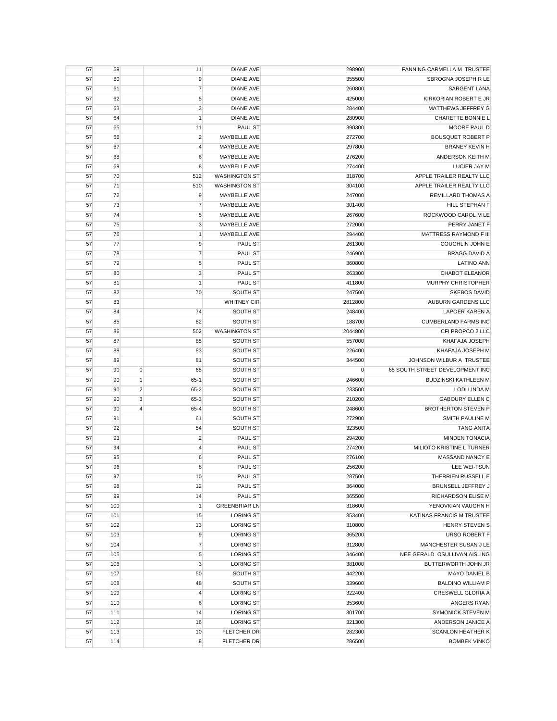| 57 | 59  |                | 11             | <b>DIANE AVE</b>     | 298900  | FANNING CARMELLA M TRUSTEE      |
|----|-----|----------------|----------------|----------------------|---------|---------------------------------|
| 57 | 60  |                | 9              | <b>DIANE AVE</b>     | 355500  | SBROGNA JOSEPH R LE             |
| 57 | 61  |                | $\overline{7}$ | <b>DIANE AVE</b>     | 260800  | <b>SARGENT LANA</b>             |
| 57 | 62  |                | 5              | <b>DIANE AVE</b>     | 425000  | KIRKORIAN ROBERT E JR           |
| 57 | 63  |                | $\mathbf 3$    | <b>DIANE AVE</b>     | 284400  | MATTHEWS JEFFREY G              |
| 57 | 64  |                | $\mathbf{1}$   | <b>DIANE AVE</b>     | 280900  | CHARETTE BONNIE L               |
| 57 | 65  |                | 11             | PAUL ST              | 390300  | MOORE PAUL D                    |
| 57 | 66  |                | $\overline{2}$ | MAYBELLE AVE         | 272700  | <b>BOUSQUET ROBERT P</b>        |
| 57 | 67  |                | 4              | MAYBELLE AVE         | 297800  | <b>BRANEY KEVIN H</b>           |
| 57 | 68  |                | 6              | MAYBELLE AVE         | 276200  | ANDERSON KEITH M                |
| 57 | 69  |                | 8              | MAYBELLE AVE         | 274400  | LUCIER JAY M                    |
| 57 | 70  |                | 512            | <b>WASHINGTON ST</b> | 318700  | APPLE TRAILER REALTY LLC        |
| 57 | 71  |                | 510            | <b>WASHINGTON ST</b> | 304100  | APPLE TRAILER REALTY LLC        |
| 57 | 72  |                | 9              | MAYBELLE AVE         | 247000  | REMILLARD THOMAS A              |
| 57 | 73  |                | $\overline{7}$ | MAYBELLE AVE         | 301400  | HILL STEPHAN F                  |
| 57 | 74  |                | 5              | MAYBELLE AVE         | 267600  | ROCKWOOD CAROL M LE             |
|    |     |                |                |                      |         | PERRY JANET F                   |
| 57 | 75  |                | 3              | MAYBELLE AVE         | 272000  |                                 |
| 57 | 76  |                | $\mathbf{1}$   | MAYBELLE AVE         | 294400  | MATTRESS RAYMOND F III          |
| 57 | 77  |                | 9              | PAUL ST              | 261300  | <b>COUGHLIN JOHN E</b>          |
| 57 | 78  |                | $\overline{7}$ | PAUL ST              | 246900  | <b>BRAGG DAVID A</b>            |
| 57 | 79  |                | 5              | PAUL ST              | 360800  | <b>LATINO ANN</b>               |
| 57 | 80  |                | 3              | <b>PAUL ST</b>       | 263300  | <b>CHABOT ELEANOR</b>           |
| 57 | 81  |                | $\mathbf{1}$   | <b>PAUL ST</b>       | 411800  | <b>MURPHY CHRISTOPHER</b>       |
| 57 | 82  |                | 70             | SOUTH ST             | 247500  | <b>SKEBOS DAVID</b>             |
| 57 | 83  |                |                | <b>WHITNEY CIR</b>   | 2812800 | AUBURN GARDENS LLC              |
| 57 | 84  |                | 74             | SOUTH ST             | 248400  | <b>LAPOER KAREN A</b>           |
| 57 | 85  |                | 82             | SOUTH ST             | 188700  | <b>CUMBERLAND FARMS INC</b>     |
| 57 | 86  |                | 502            | <b>WASHINGTON ST</b> | 2044800 | CFI PROPCO 2 LLC                |
| 57 | 87  |                | 85             | SOUTH ST             | 557000  | KHAFAJA JOSEPH                  |
| 57 | 88  |                | 83             | SOUTH ST             | 226400  | KHAFAJA JOSEPH M                |
| 57 | 89  |                | 81             | SOUTH ST             | 344500  | JOHNSON WILBUR A TRUSTEE        |
| 57 | 90  | $\overline{0}$ | 65             | SOUTH ST             | 0       | 65 SOUTH STREET DEVELOPMENT INC |
| 57 | 90  | $\vert$        | $65-1$         | SOUTH ST             | 246600  | <b>BUDZINSKI KATHLEEN M</b>     |
| 57 | 90  | $\overline{2}$ | $65 - 2$       | SOUTH ST             | 233500  | <b>LODI LINDA M</b>             |
| 57 | 90  | 3              | 65-3           | SOUTH ST             | 210200  | <b>GABOURY ELLEN C</b>          |
| 57 | 90  | $\overline{4}$ | 65-4           | SOUTH ST             | 248600  | <b>BROTHERTON STEVEN P</b>      |
| 57 | 91  |                | 61             | SOUTH ST             | 272900  | SMITH PAULINE M                 |
| 57 | 92  |                | 54             | SOUTH ST             | 323500  | <b>TANG ANITA</b>               |
| 57 | 93  |                | $\overline{c}$ | PAUL ST              | 294200  | <b>MINDEN TONACIA</b>           |
| 57 | 94  |                | $\overline{4}$ | <b>PAUL ST</b>       | 274200  | MILIOTO KRISTINE L TURNER       |
| 57 | 95  |                | $\,6$          | PAUL ST              | 276100  | MASSAND NANCY E                 |
| 57 | 96  |                | 8              | PAUL ST              | 256200  | LEE WEI-TSUN                    |
| 57 | 97  |                | 10             | PAUL ST              | 287500  | THERRIEN RUSSELL E              |
| 57 | 98  |                | 12             | PAUL ST              | 364000  | BRUNSELL JEFFREY J              |
| 57 | 99  |                | 14             | PAUL ST              | 365500  | RICHARDSON ELISE M              |
| 57 | 100 |                | $\mathbf{1}$   | <b>GREENBRIAR LN</b> | 318600  | YENOVKIAN VAUGHN H              |
| 57 | 101 |                | 15             | <b>LORING ST</b>     | 353400  | KATINAS FRANCIS M TRUSTEE       |
| 57 | 102 |                | 13             | <b>LORING ST</b>     | 310800  | HENRY STEVEN S                  |
|    | 103 |                |                | <b>LORING ST</b>     |         | <b>URSO ROBERT F</b>            |
| 57 |     |                | 9              |                      | 365200  |                                 |
| 57 | 104 |                | $\overline{7}$ | <b>LORING ST</b>     | 312800  | MANCHESTER SUSAN J LE           |
| 57 | 105 |                | $\sqrt{5}$     | <b>LORING ST</b>     | 346400  | NEE GERALD OSULLIVAN AISLING    |
| 57 | 106 |                | $\mathbf{3}$   | <b>LORING ST</b>     | 381000  | BUTTERWORTH JOHN JR             |
| 57 | 107 |                | 50             | SOUTH ST             | 442200  | <b>MAYO DANIEL B</b>            |
| 57 | 108 |                | 48             | SOUTH ST             | 339600  | <b>BALDINO WILLIAM P</b>        |
| 57 | 109 |                | $\overline{4}$ | <b>LORING ST</b>     | 322400  | CRESWELL GLORIA A               |
| 57 | 110 |                | 6              | <b>LORING ST</b>     | 353600  | ANGERS RYAN                     |
| 57 | 111 |                | 14             | <b>LORING ST</b>     | 301700  | SYMONICK STEVEN M               |
| 57 | 112 |                | 16             | <b>LORING ST</b>     | 321300  | ANDERSON JANICE A               |
| 57 | 113 |                | 10             | FLETCHER DR          | 282300  | <b>SCANLON HEATHER K</b>        |
| 57 | 114 |                | 8              | FLETCHER DR          | 286500  | <b>BOMBEK VINKO</b>             |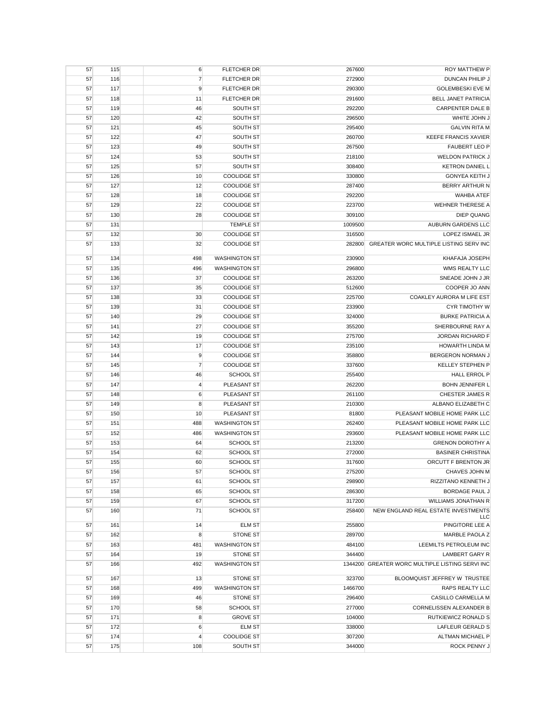| 57       | 115        | 6              | FLETCHER DR                      | 267600           | <b>ROY MATTHEW P</b>                            |
|----------|------------|----------------|----------------------------------|------------------|-------------------------------------------------|
| 57       | 116        | $\overline{7}$ | <b>FLETCHER DR</b>               | 272900           | <b>DUNCAN PHILIP J</b>                          |
| 57       | 117        | 9              | FLETCHER DR                      | 290300           | <b>GOLEMBESKI EVE M</b>                         |
| 57       | 118        | 11             | FLETCHER DR                      | 291600           | BELL JANET PATRICIA                             |
| 57       | 119        | 46             | SOUTH ST                         | 292200           | <b>CARPENTER DALE B</b>                         |
| 57       | 120        | 42             | SOUTH ST                         | 296500           | WHITE JOHN J                                    |
| 57       | 121        | 45             | SOUTH ST                         | 295400           | <b>GALVIN RITA M</b>                            |
| 57       | 122        | 47             | SOUTH ST                         | 260700           | <b>KEEFE FRANCIS XAVIER</b>                     |
| 57       | 123        | 49             | SOUTH ST                         | 267500           | <b>FAUBERT LEO P</b>                            |
| 57       | 124        | 53             | SOUTH ST                         | 218100           | <b>WELDON PATRICK J</b>                         |
| 57       | 125        | 57             | SOUTH ST                         | 308400           | <b>KETRON DANIEL L</b>                          |
| 57       | 126        | 10             | <b>COOLIDGE ST</b>               | 330800           | <b>GONYEA KEITH J</b>                           |
| 57       | 127        | 12             | <b>COOLIDGE ST</b>               | 287400           | <b>BERRY ARTHUR N</b>                           |
| 57       | 128        | 18             | <b>COOLIDGE ST</b>               | 292200           | WAHBA ATEF                                      |
| 57       | 129        | 22             | <b>COOLIDGE ST</b>               | 223700           | <b>WEHNER THERESE A</b>                         |
| 57       | 130        | 28             | <b>COOLIDGE ST</b>               | 309100           | <b>DIEP QUANG</b>                               |
| 57       | 131        |                | <b>TEMPLE ST</b>                 | 1009500          | AUBURN GARDENS LLC                              |
| 57       | 132        | 30             | <b>COOLIDGE ST</b>               | 316500           | LOPEZ ISMAEL JR                                 |
| 57       | 133        | 32             | <b>COOLIDGE ST</b>               | 282800           | GREATER WORC MULTIPLE LISTING SERV INC          |
| 57       | 134        | 498            | <b>WASHINGTON ST</b>             | 230900           | KHAFAJA JOSEPH                                  |
| 57       | 135        | 496            | <b>WASHINGTON ST</b>             | 296800           | WMS REALTY LLC                                  |
| 57       | 136        | 37             | <b>COOLIDGE ST</b>               | 263200           | SNEADE JOHN J JR                                |
| 57       | 137        | 35             | <b>COOLIDGE ST</b>               | 512600           | COOPER JO ANN                                   |
| 57       | 138        | 33             | <b>COOLIDGE ST</b>               | 225700           | COAKLEY AURORA M LIFE EST                       |
| 57       | 139        | 31             | <b>COOLIDGE ST</b>               | 233900           | <b>CYR TIMOTHY W</b>                            |
| 57       | 140        | 29             | <b>COOLIDGE ST</b>               | 324000           | <b>BURKE PATRICIA A</b>                         |
| 57       | 141        | 27             | <b>COOLIDGE ST</b>               | 355200           | SHERBOURNE RAY A                                |
| 57       | 142        | 19             | <b>COOLIDGE ST</b>               | 275700           | JORDAN RICHARD F                                |
| 57       | 143        | 17             | <b>COOLIDGE ST</b>               | 235100           | HOWARTH LINDA M                                 |
| 57       | 144        | 9              | <b>COOLIDGE ST</b>               | 358800           | BERGERON NORMAN J                               |
| 57       | 145        | $\overline{7}$ | <b>COOLIDGE ST</b>               | 337600           | KELLEY STEPHEN P                                |
| 57       | 146        | 46             | SCHOOL ST                        | 255400           | <b>HALL ERROL P</b>                             |
| 57       | 147        | 4              | PLEASANT ST                      | 262200           | <b>BOHN JENNIFER L</b>                          |
| 57       | 148        | 6              | PLEASANT ST                      | 261100           | CHESTER JAMES R                                 |
| 57       | 149        | 8              | PLEASANT ST                      | 210300           | ALBANO ELIZABETH C                              |
| 57       | 150        | 10             | PLEASANT ST                      | 81800            | PLEASANT MOBILE HOME PARK LLC                   |
| 57       | 151        | 488            | <b>WASHINGTON ST</b>             | 262400           | PLEASANT MOBILE HOME PARK LLC                   |
| 57       | 152        | 486            | <b>WASHINGTON ST</b>             | 293600           | PLEASANT MOBILE HOME PARK LLC                   |
| 57       | 153        | 64             | <b>SCHOOL ST</b>                 | 213200           | <b>GRENON DOROTHY A</b>                         |
| 57       | 154        | 62             | <b>SCHOOL ST</b>                 | 272000           | <b>BASINER CHRISTINA</b>                        |
| 57       | 155        | 60             | <b>SCHOOL ST</b>                 | 317600           | ORCUTT F BRENTON JR                             |
| 57       | 156        | 57             | SCHOOL ST                        | 275200           | CHAVES JOHN M                                   |
| 57       | 157        | 61             | SCHOOL ST                        | 298900           | RIZZITANO KENNETH J                             |
| 57       | 158        | 65             | SCHOOL ST                        | 286300           | <b>BORDAGE PAUL J</b>                           |
| 57       | 159        | 67             | SCHOOL ST                        | 317200           | WILLIAMS JONATHAN R                             |
| 57       | 160        | 71             | SCHOOL ST                        | 258400           | NEW ENGLAND REAL ESTATE INVESTMENTS             |
|          | 161        |                | <b>ELM ST</b>                    | 255800           | LLC<br>PINGITORE LEE A                          |
| 57       |            | 14             |                                  |                  |                                                 |
| 57       | 162<br>163 | 8              | STONE ST<br><b>WASHINGTON ST</b> | 289700<br>484100 | MARBLE PAOLA Z                                  |
| 57<br>57 | 164        | 481<br>19      | <b>STONE ST</b>                  | 344400           | LEEMILTS PETROLEUM INC<br><b>LAMBERT GARY R</b> |
|          |            |                |                                  |                  | 1344200 GREATER WORC MULTIPLE LISTING SERVI INC |
| 57       | 166        | 492            | <b>WASHINGTON ST</b>             |                  |                                                 |
| 57       | 167        | 13             | <b>STONE ST</b>                  | 323700           | BLOOMQUIST JEFFREY W TRUSTEE                    |
| 57       | 168        | 499            | <b>WASHINGTON ST</b>             | 1466700          | <b>RAPS REALTY LLC</b>                          |
| 57       | 169        | 46             | <b>STONE ST</b>                  | 296400           | CASILLO CARMELLA M                              |
| 57       | 170        | 58             | SCHOOL ST                        | 277000           | CORNELISSEN ALEXANDER B                         |
| 57       | 171        | 8              | <b>GROVE ST</b>                  | 104000           | RUTKIEWICZ RONALD S                             |
| 57       | 172        | 6              | <b>ELM ST</b>                    | 338000           | LAFLEUR GERALD S                                |
| 57       | 174        | 4              | <b>COOLIDGE ST</b>               | 307200           | ALTMAN MICHAEL P                                |
| 57       | 175        | 108            | SOUTH ST                         | 344000           | ROCK PENNY J                                    |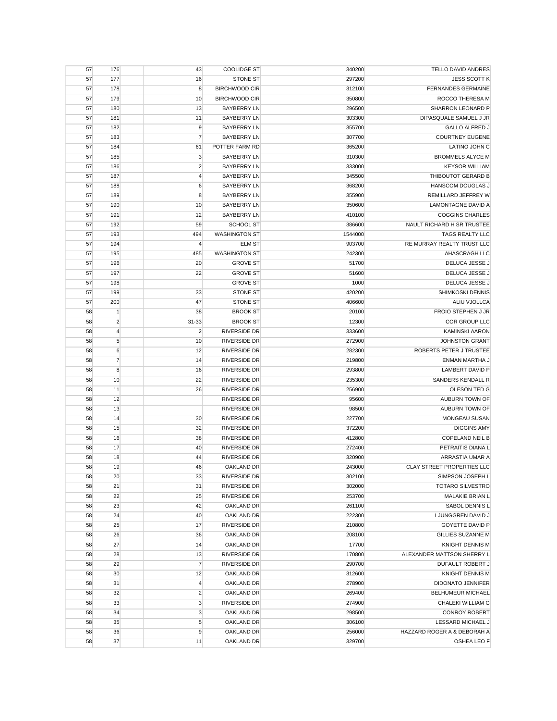| 57 | 176            | 43               | <b>COOLIDGE ST</b>   | 340200  | TELLO DAVID ANDRES          |
|----|----------------|------------------|----------------------|---------|-----------------------------|
| 57 | 177            | 16               | <b>STONE ST</b>      | 297200  | <b>JESS SCOTT K</b>         |
| 57 | 178            | 8                | <b>BIRCHWOOD CIR</b> | 312100  | <b>FERNANDES GERMAINE</b>   |
| 57 | 179            | 10               | <b>BIRCHWOOD CIR</b> | 350800  | ROCCO THERESA M             |
| 57 | 180            | 13               | <b>BAYBERRY LN</b>   | 296500  | SHARRON LEONARD P           |
| 57 | 181            | 11               | <b>BAYBERRY LN</b>   | 303300  | DIPASQUALE SAMUEL J JR      |
| 57 | 182            | 9                | <b>BAYBERRY LN</b>   | 355700  | <b>GALLO ALFRED J</b>       |
| 57 | 183            | $\overline{7}$   | <b>BAYBERRY LN</b>   | 307700  | <b>COURTNEY EUGENE</b>      |
| 57 | 184            | 61               | POTTER FARM RD       | 365200  | LATINO JOHN C               |
| 57 | 185            | $\mathbf{3}$     | <b>BAYBERRY LN</b>   | 310300  | <b>BROMMELS ALYCE M</b>     |
| 57 | 186            | $\overline{2}$   | <b>BAYBERRY LN</b>   | 333000  | <b>KEYSOR WILLIAM</b>       |
| 57 | 187            | $\overline{4}$   | <b>BAYBERRY LN</b>   | 345500  | THIBOUTOT GERARD B          |
|    | 188            |                  | <b>BAYBERRY LN</b>   | 368200  | HANSCOM DOUGLAS J           |
| 57 |                | 6<br>8           |                      |         |                             |
| 57 | 189            |                  | <b>BAYBERRY LN</b>   | 355900  | REMILLARD JEFFREY W         |
| 57 | 190            | 10               | <b>BAYBERRY LN</b>   | 350600  | LAMONTAGNE DAVID A          |
| 57 | 191            | 12               | <b>BAYBERRY LN</b>   | 410100  | <b>COGGINS CHARLES</b>      |
| 57 | 192            | 59               | SCHOOL ST            | 386600  | NAULT RICHARD H SR TRUSTEE  |
| 57 | 193            | 494              | <b>WASHINGTON ST</b> | 1544000 | TAGS REALTY LLC             |
| 57 | 194            | $\overline{4}$   | <b>ELM ST</b>        | 903700  | RE MURRAY REALTY TRUST LLC  |
| 57 | 195            | 485              | <b>WASHINGTON ST</b> | 242300  | AHASCRAGH LLC               |
| 57 | 196            | 20               | <b>GROVE ST</b>      | 51700   | DELUCA JESSE J              |
| 57 | 197            | 22               | <b>GROVE ST</b>      | 51600   | DELUCA JESSE J              |
| 57 | 198            |                  | <b>GROVE ST</b>      | 1000    | DELUCA JESSE J              |
| 57 | 199            | 33               | <b>STONE ST</b>      | 420200  | SHIMKOSKI DENNIS            |
| 57 | 200            | 47               | <b>STONE ST</b>      | 406600  | ALIU VJOLLCA                |
| 58 | $\mathbf{1}$   | 38               | <b>BROOK ST</b>      | 20100   | FROIO STEPHEN J JR          |
| 58 | $\overline{2}$ | 31-33            | <b>BROOK ST</b>      | 12300   | COR GROUP LLC               |
| 58 | $\overline{4}$ | $\overline{2}$   | <b>RIVERSIDE DR</b>  | 333600  | <b>KAMINSKI AARON</b>       |
| 58 | $\sqrt{5}$     | 10               | <b>RIVERSIDE DR</b>  | 272900  | <b>JOHNSTON GRANT</b>       |
| 58 | 6              | 12               | <b>RIVERSIDE DR</b>  | 282300  | ROBERTS PETER J TRUSTEE     |
| 58 | $\overline{7}$ | 14               | RIVERSIDE DR         | 219800  | ENMAN MARTHA J              |
| 58 | 8              | 16               | <b>RIVERSIDE DR</b>  | 293800  | <b>LAMBERT DAVID P</b>      |
| 58 | 10             | 22               | <b>RIVERSIDE DR</b>  | 235300  | SANDERS KENDALL R           |
| 58 | 11             | 26               | <b>RIVERSIDE DR</b>  | 256900  | OLESON TED G                |
|    |                |                  | RIVERSIDE DR         |         | AUBURN TOWN OF              |
| 58 | 12             |                  |                      | 95600   |                             |
| 58 | 13             |                  | <b>RIVERSIDE DR</b>  | 98500   | AUBURN TOWN OF              |
| 58 | 14             | 30               | <b>RIVERSIDE DR</b>  | 227700  | MONGEAU SUSAN               |
| 58 | 15             | 32               | RIVERSIDE DR         | 372200  | <b>DIGGINS AMY</b>          |
| 58 | 16             | 38               | RIVERSIDE DR         | 412800  | <b>COPELAND NEIL B</b>      |
| 58 | 17             | 40               | RIVERSIDE DR         | 272400  | PETRAITIS DIANA L           |
| 58 | 18             | 44               | <b>RIVERSIDE DR</b>  | 320900  | ARRASTIA UMAR A             |
| 58 | 19             | 46               | <b>OAKLAND DR</b>    | 243000  | CLAY STREET PROPERTIES LLC  |
| 58 | 20             | 33               | RIVERSIDE DR         | 302100  | SIMPSON JOSEPH L            |
| 58 | 21             | 31               | RIVERSIDE DR         | 302000  | <b>TOTARO SILVESTRO</b>     |
| 58 | 22             | 25               | RIVERSIDE DR         | 253700  | MALAKIE BRIAN L             |
| 58 | 23             | 42               | OAKLAND DR           | 261100  | SABOL DENNIS L              |
| 58 | 24             | 40               | OAKLAND DR           | 222300  | LJUNGGREN DAVID J           |
| 58 | 25             | 17               | RIVERSIDE DR         | 210800  | <b>GOYETTE DAVID P</b>      |
| 58 | 26             | 36               | <b>OAKLAND DR</b>    | 208100  | <b>GILLIES SUZANNE M</b>    |
| 58 | 27             | 14               | <b>OAKLAND DR</b>    | 17700   | <b>KNIGHT DENNIS M</b>      |
| 58 | 28             | 13               | RIVERSIDE DR         | 170800  | ALEXANDER MATTSON SHERRY L  |
| 58 | 29             | $\overline{7}$   | <b>RIVERSIDE DR</b>  | 290700  | DUFAULT ROBERT J            |
| 58 | 30             | 12               | <b>OAKLAND DR</b>    | 312600  | <b>KNIGHT DENNIS M</b>      |
| 58 | 31             | $\overline{4}$   | OAKLAND DR           | 278900  | DIDONATO JENNIFER           |
| 58 | 32             | $\overline{c}$   | OAKLAND DR           | 269400  | <b>BELHUMEUR MICHAEL</b>    |
| 58 | 33             | 3                | RIVERSIDE DR         | 274900  | CHALEKI WILLIAM G           |
|    | 34             |                  |                      |         |                             |
| 58 |                | 3                | OAKLAND DR           | 298500  | <b>CONROY ROBERT</b>        |
| 58 | 35             | 5                | OAKLAND DR           | 306100  | LESSARD MICHAEL J           |
| 58 | 36             | $\boldsymbol{9}$ | OAKLAND DR           | 256000  | HAZZARD ROGER A & DEBORAH A |
| 58 | 37             | 11               | OAKLAND DR           | 329700  | OSHEA LEO F                 |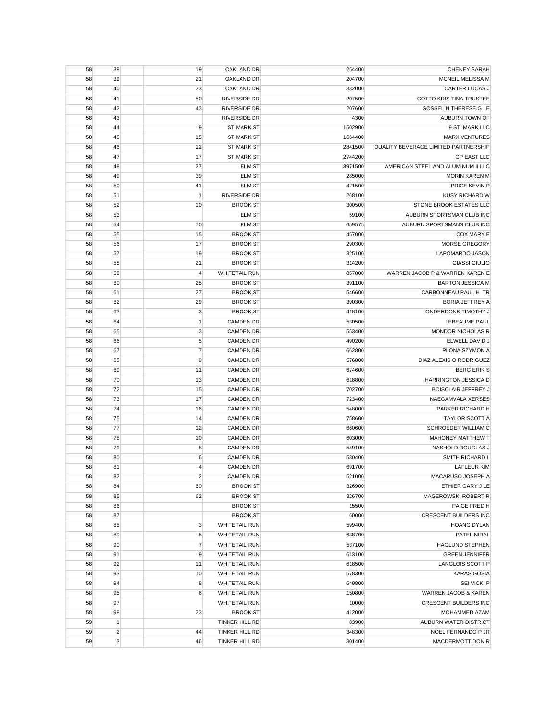| 58       | 38                 | 19             | OAKLAND DR           | 254400          | <b>CHENEY SARAH</b>                  |
|----------|--------------------|----------------|----------------------|-----------------|--------------------------------------|
| 58       | 39                 | 21             | OAKLAND DR           | 204700          | MCNEIL MELISSA M                     |
| 58       | 40                 | 23             | OAKLAND DR           | 332000          | <b>CARTER LUCAS J</b>                |
| 58       | 41                 | 50             | <b>RIVERSIDE DR</b>  | 207500          | <b>COTTO KRIS TINA TRUSTEE</b>       |
| 58       | 42                 | 43             | RIVERSIDE DR         | 207600          | <b>GOSSELIN THERESE G LE</b>         |
| 58       | 43                 |                | RIVERSIDE DR         | 4300            | AUBURN TOWN OF                       |
| 58       | 44                 | 9              | <b>ST MARK ST</b>    | 1502900         | 9 ST MARK LLC                        |
| 58       | 45                 | 15             | <b>ST MARK ST</b>    | 1664400         | <b>MARX VENTURES</b>                 |
| 58       | 46                 | 12             | <b>ST MARK ST</b>    | 2841500         | QUALITY BEVERAGE LIMITED PARTNERSHIP |
| 58       | 47                 | 17             | <b>ST MARK ST</b>    | 2744200         | <b>GP EAST LLC</b>                   |
| 58       | 48                 | 27             | <b>ELM ST</b>        | 3971500         | AMERICAN STEEL AND ALUMINUM II LLC   |
| 58       | 49                 | 39             | <b>ELM ST</b>        | 285000          | <b>MORIN KAREN M</b>                 |
| 58       | 50                 | 41             | <b>ELM ST</b>        | 421500          | PRICE KEVIN P                        |
| 58       | 51                 | $\mathbf{1}$   | <b>RIVERSIDE DR</b>  | 268100          | <b>KUSY RICHARD W</b>                |
| 58       | 52                 | 10             | <b>BROOK ST</b>      | 300500          | STONE BROOK ESTATES LLC              |
| 58       | 53                 |                | <b>ELM ST</b>        | 59100           | AUBURN SPORTSMAN CLUB INC            |
| 58       | 54                 | 50             | <b>ELM ST</b>        | 659575          | AUBURN SPORTSMANS CLUB INC           |
| 58       | 55                 | 15             | <b>BROOK ST</b>      | 457000          | COX MARY E                           |
| 58       | 56                 | 17             | <b>BROOK ST</b>      | 290300          | <b>MORSE GREGORY</b>                 |
|          | 57                 | 19             | <b>BROOK ST</b>      | 325100          | LAPOMARDO JASON                      |
| 58       |                    |                |                      |                 | <b>GIASSI GIULIO</b>                 |
| 58       | 58                 | 21             | <b>BROOK ST</b>      | 314200          |                                      |
| 58       | 59                 | $\overline{4}$ | <b>WHITETAIL RUN</b> | 857800          | WARREN JACOB P & WARREN KAREN E      |
| 58       | 60                 | 25             | <b>BROOK ST</b>      | 391100          | <b>BARTON JESSICA M</b>              |
| 58       | 61                 | 27             | <b>BROOK ST</b>      | 546600          | CARBONNEAU PAUL H TR                 |
| 58       | 62                 | 29             | <b>BROOK ST</b>      | 390300          | <b>BORIA JEFFREY A</b>               |
| 58       | 63                 | 3              | <b>BROOK ST</b>      | 418100          | <b>ONDERDONK TIMOTHY J</b>           |
| 58       | 64                 | $\mathbf{1}$   | <b>CAMDEN DR</b>     | 530500          | LEBEAUME PAUL                        |
| 58       | 65                 | $\mathbf{3}$   | <b>CAMDEN DR</b>     | 553400          | <b>MONDOR NICHOLAS R</b>             |
| 58       | 66                 | 5              | <b>CAMDEN DR</b>     | 490200          | ELWELL DAVID J                       |
| 58       | 67                 | $\overline{7}$ | <b>CAMDEN DR</b>     | 662800          | PLONA SZYMON A                       |
| 58       | 68                 | 9              | <b>CAMDEN DR</b>     | 576800          | DIAZ ALEXIS O RODRIGUEZ              |
| 58       | 69                 | 11             | <b>CAMDEN DR</b>     | 674600          | <b>BERG ERIK S</b>                   |
| 58       | 70                 | 13             | <b>CAMDEN DR</b>     | 618800          | HARRINGTON JESSICA D                 |
| 58       | 72                 | 15             | <b>CAMDEN DR</b>     | 702700          | <b>BOISCLAIR JEFFREY J</b>           |
| 58       | 73                 | 17             | <b>CAMDEN DR</b>     | 723400          | NAEGAMVALA XERSES                    |
| 58       | 74                 | 16             | <b>CAMDEN DR</b>     | 548000          | PARKER RICHARD H                     |
| 58       | 75                 | 14             | <b>CAMDEN DR</b>     | 758600          | TAYLOR SCOTT A                       |
| 58       | 77                 | 12             | <b>CAMDEN DR</b>     | 660600          | SCHROEDER WILLIAM C                  |
| 58       | 78                 | 10             | <b>CAMDEN DR</b>     | 603000          | <b>MAHONEY MATTHEW T</b>             |
| 58       | 79                 | 8              | <b>CAMDEN DR</b>     | 549100          | NASHOLD DOUGLAS J                    |
| 58       | 80                 | 6              | <b>CAMDEN DR</b>     | 580400          | SMITH RICHARD L                      |
| 58       | 81                 | 4              | <b>CAMDEN DR</b>     | 691700          | <b>LAFLEUR KIM</b>                   |
| 58       | 82                 | $\overline{c}$ | <b>CAMDEN DR</b>     | 521000          | MACARUSO JOSEPH A                    |
| 58       | 84                 | 60             | <b>BROOK ST</b>      | 326900          | ETHIER GARY J LE                     |
| 58       | 85                 | 62             | <b>BROOK ST</b>      | 326700          | MAGEROWSKI ROBERT R                  |
| 58       | 86                 |                | <b>BROOK ST</b>      | 15500           | PAIGE FRED H                         |
| 58       | 87                 |                | <b>BROOK ST</b>      | 60000           | <b>CRESCENT BUILDERS INC</b>         |
| 58       | 88                 | 3              | <b>WHITETAIL RUN</b> | 599400          | <b>HOANG DYLAN</b>                   |
| 58       | 89                 | 5              | <b>WHITETAIL RUN</b> | 638700          | PATEL NIRAL                          |
| 58       | 90                 | $\overline{7}$ | <b>WHITETAIL RUN</b> | 537100          | <b>HAGLUND STEPHEN</b>               |
| 58       | 91                 | 9              | <b>WHITETAIL RUN</b> | 613100          | <b>GREEN JENNIFER</b>                |
| 58       | 92                 | 11             | <b>WHITETAIL RUN</b> | 618500          | <b>LANGLOIS SCOTT P</b>              |
| 58       | 93                 | 10             | <b>WHITETAIL RUN</b> | 578300          | <b>KARAS GOSIA</b>                   |
| 58       | 94                 | 8              | <b>WHITETAIL RUN</b> | 649800          | SEI VICKI P                          |
| 58       | 95                 | 6              | <b>WHITETAIL RUN</b> | 150800          | WARREN JACOB & KAREN                 |
| 58       | 97                 |                | <b>WHITETAIL RUN</b> | 10000           | CRESCENT BUILDERS INC                |
|          |                    |                | <b>BROOK ST</b>      |                 | MOHAMMED AZAM                        |
| 58<br>59 | 98<br>$\mathbf{1}$ | 23             | TINKER HILL RD       | 412000<br>83900 | AUBURN WATER DISTRICT                |
|          |                    |                |                      |                 |                                      |
| 59       | $\overline{c}$     | 44             | TINKER HILL RD       | 348300          | NOEL FERNANDO P JR                   |
| 59       | 3                  | 46             | TINKER HILL RD       | 301400          | MACDERMOTT DON R                     |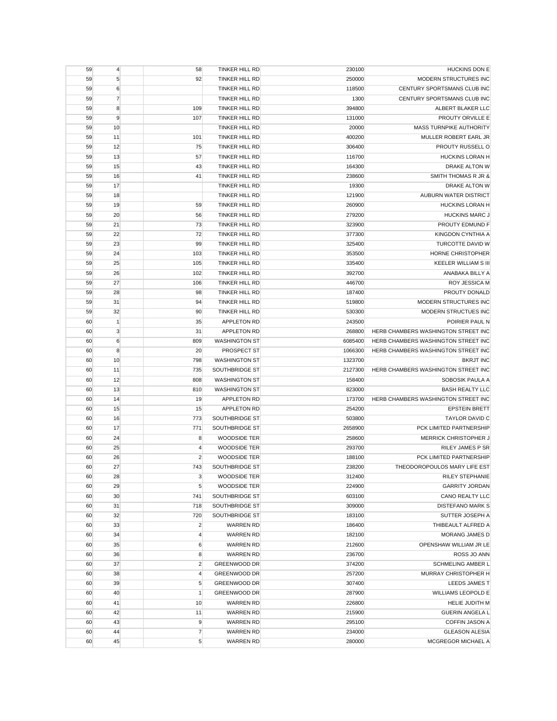| 59 | $\overline{4}$ | 58             | TINKER HILL RD        | 230100  | <b>HUCKINS DON E</b>                |
|----|----------------|----------------|-----------------------|---------|-------------------------------------|
| 59 | 5              | 92             | <b>TINKER HILL RD</b> | 250000  | MODERN STRUCTURES INC               |
| 59 | 6              |                | TINKER HILL RD        | 118500  | CENTURY SPORTSMANS CLUB INC         |
| 59 | $\overline{7}$ |                | TINKER HILL RD        | 1300    | CENTURY SPORTSMANS CLUB INC         |
| 59 | 8              | 109            | TINKER HILL RD        | 394800  | ALBERT BLAKER LLC                   |
| 59 | 9              | 107            | <b>TINKER HILL RD</b> | 131000  | PROUTY ORVILLE E                    |
| 59 | 10             |                | TINKER HILL RD        | 20000   | MASS TURNPIKE AUTHORITY             |
| 59 | 11             | 101            | TINKER HILL RD        | 400200  | MULLER ROBERT EARL JR               |
| 59 | 12             | 75             | TINKER HILL RD        | 306400  | PROUTY RUSSELL O                    |
| 59 | 13             | 57             | TINKER HILL RD        | 116700  | HUCKINS LORAN H                     |
| 59 | 15             | 43             | <b>TINKER HILL RD</b> | 164300  | <b>DRAKE ALTON W</b>                |
| 59 | 16             | 41             | <b>TINKER HILL RD</b> | 238600  | SMITH THOMAS R JR &                 |
| 59 | 17             |                | TINKER HILL RD        | 19300   | DRAKE ALTON W                       |
|    |                |                |                       |         |                                     |
| 59 | 18             |                | TINKER HILL RD        | 121900  | AUBURN WATER DISTRICT               |
| 59 | 19             | 59             | TINKER HILL RD        | 260900  | HUCKINS LORAN H                     |
| 59 | 20             | 56             | TINKER HILL RD        | 279200  | <b>HUCKINS MARC J</b>               |
| 59 | 21             | 73             | TINKER HILL RD        | 323900  | PROUTY EDMUND F                     |
| 59 | 22             | 72             | TINKER HILL RD        | 377300  | KINGDON CYNTHIA A                   |
| 59 | 23             | 99             | TINKER HILL RD        | 325400  | <b>TURCOTTE DAVID W</b>             |
| 59 | 24             | 103            | <b>TINKER HILL RD</b> | 353500  | HORNE CHRISTOPHER                   |
| 59 | 25             | 105            | <b>TINKER HILL RD</b> | 335400  | <b>KEELER WILLIAM S III</b>         |
| 59 | 26             | 102            | TINKER HILL RD        | 392700  | ANABAKA BILLY A                     |
| 59 | 27             | 106            | TINKER HILL RD        | 446700  | ROY JESSICA M                       |
| 59 | 28             | 98             | <b>TINKER HILL RD</b> | 187400  | PROUTY DONALD                       |
| 59 | 31             | 94             | TINKER HILL RD        | 519800  | MODERN STRUCTURES INC               |
| 59 | 32             | 90             | <b>TINKER HILL RD</b> | 530300  | <b>MODERN STRUCTUES INC</b>         |
| 60 | $\mathbf{1}$   | 35             | APPLETON RD           | 243500  | POIRIER PAUL N                      |
| 60 | 3              | 31             | APPLETON RD           | 268800  | HERB CHAMBERS WASHINGTON STREET INC |
| 60 | 6              | 809            | <b>WASHINGTON ST</b>  | 6085400 | HERB CHAMBERS WASHINGTON STREET INC |
| 60 | 8              | 20             | PROSPECT ST           | 1066300 | HERB CHAMBERS WASHINGTON STREET INC |
| 60 | 10             | 798            | <b>WASHINGTON ST</b>  | 1323700 | <b>BKRJT INC</b>                    |
| 60 | 11             | 735            | SOUTHBRIDGE ST        | 2127300 | HERB CHAMBERS WASHINGTON STREET INC |
| 60 | 12             | 808            | <b>WASHINGTON ST</b>  | 158400  | SOBOSIK PAULA A                     |
| 60 | 13             | 810            | <b>WASHINGTON ST</b>  | 823000  | <b>BASH REALTY LLC</b>              |
| 60 | 14             | 19             | APPLETON RD           | 173700  | HERB CHAMBERS WASHINGTON STREET INC |
| 60 | 15             | 15             | APPLETON RD           | 254200  | <b>EPSTEIN BRETT</b>                |
| 60 | 16             | 773            | SOUTHBRIDGE ST        | 503800  | <b>TAYLOR DAVID C</b>               |
| 60 | 17             | 771            | SOUTHBRIDGE ST        | 2658900 | PCK LIMITED PARTNERSHIP             |
| 60 | 24             | 8              | WOODSIDE TER          | 258600  | <b>MERRICK CHRISTOPHER J</b>        |
|    |                |                |                       |         |                                     |
| 60 | 25             | $\overline{4}$ | WOODSIDE TER          | 293700  | <b>RILEY JAMES P SR</b>             |
| 60 | 26             | $\overline{2}$ | <b>WOODSIDE TER</b>   | 188100  | PCK LIMITED PARTNERSHIP             |
| 60 | 27             | 743            | SOUTHBRIDGE ST        | 238200  | THEODOROPOULOS MARY LIFE EST        |
| 60 | 28             | $\mathbf{3}$   | WOODSIDE TER          | 312400  | <b>RILEY STEPHANIE</b>              |
| 60 | 29             | 5              | WOODSIDE TER          | 224900  | <b>GARRITY JORDAN</b>               |
| 60 | 30             | 741            | SOUTHBRIDGE ST        | 603100  | CANO REALTY LLC                     |
| 60 | 31             | 718            | SOUTHBRIDGE ST        | 309000  | DISTEFANO MARK S                    |
| 60 | 32             | 720            | SOUTHBRIDGE ST        | 183100  | SUTTER JOSEPH A                     |
| 60 | 33             | $\overline{2}$ | <b>WARREN RD</b>      | 186400  | THIBEAULT ALFRED A                  |
| 60 | 34             | 4              | <b>WARREN RD</b>      | 182100  | <b>MORANG JAMES D</b>               |
| 60 | 35             | 6              | <b>WARREN RD</b>      | 212600  | OPENSHAW WILLIAM JR LE              |
| 60 | 36             | 8              | <b>WARREN RD</b>      | 236700  | ROSS JO ANN                         |
| 60 | 37             | $\overline{c}$ | <b>GREENWOOD DR</b>   | 374200  | <b>SCHMELING AMBER L</b>            |
| 60 | 38             | $\overline{4}$ | GREENWOOD DR          | 257200  | MURRAY CHRISTOPHER H                |
| 60 | 39             | 5              | <b>GREENWOOD DR</b>   | 307400  | LEEDS JAMES T                       |
| 60 | 40             | $\mathbf{1}$   | GREENWOOD DR          | 287900  | WILLIAMS LEOPOLD E                  |
| 60 | 41             | 10             | <b>WARREN RD</b>      | 226800  | HELIE JUDITH M                      |
| 60 | 42             | 11             | <b>WARREN RD</b>      | 215900  | <b>GUERIN ANGELA L</b>              |
| 60 | 43             | 9              | <b>WARREN RD</b>      | 295100  | <b>COFFIN JASON A</b>               |
| 60 | 44             | $\overline{7}$ | <b>WARREN RD</b>      | 234000  | <b>GLEASON ALESIA</b>               |
| 60 | 45             | 5              | <b>WARREN RD</b>      | 280000  | MCGREGOR MICHAEL A                  |
|    |                |                |                       |         |                                     |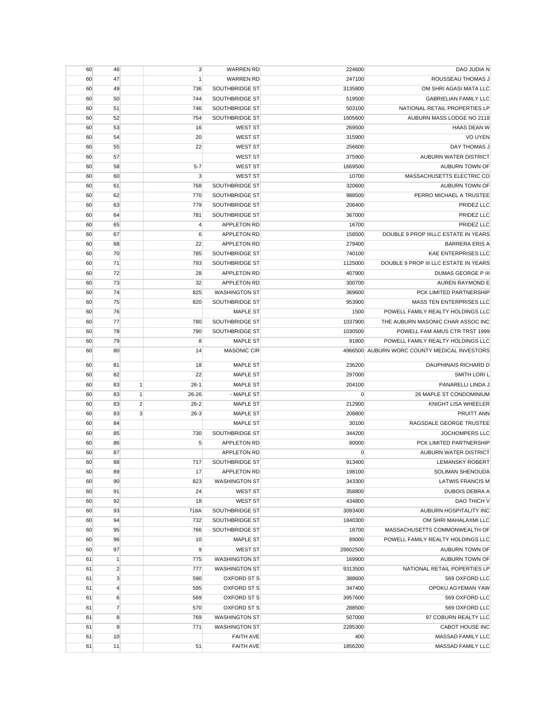| 60       | 46             |                | 3              | <b>WARREN RD</b>                     | 224600         | DAO JUDIA N                                  |
|----------|----------------|----------------|----------------|--------------------------------------|----------------|----------------------------------------------|
| 60       | 47             |                | $\mathbf{1}$   | <b>WARREN RD</b>                     | 247100         | ROUSSEAU THOMAS J                            |
| 60       | 49             |                | 736            | SOUTHBRIDGE ST                       | 3135800        | OM SHRI AGASI MATA LLC                       |
| 60       | 50             |                | 744            | SOUTHBRIDGE ST                       | 519500         | <b>GABRIELIAN FAMILY LLC</b>                 |
| 60       | 51             |                | 746            | SOUTHBRIDGE ST                       | 503100         | NATIONAL RETAIL PROPERTIES LP                |
| 60       | 52             |                | 754            | SOUTHBRIDGE ST                       | 1605600        | AUBURN MASS LODGE NO 2118                    |
| 60       | 53             |                | 16             | <b>WEST ST</b>                       | 269500         | <b>HAAS DEAN W</b>                           |
| 60       | 54             |                | 20             | <b>WEST ST</b>                       | 315900         | VO UYEN                                      |
| 60       | 55             |                | 22             | <b>WEST ST</b>                       | 256600         | DAY THOMAS J                                 |
| 60       | 57             |                |                | <b>WEST ST</b>                       | 375900         | AUBURN WATER DISTRICT                        |
| 60       | 58             |                | $5 - 7$        | <b>WEST ST</b>                       | 1669500        | <b>AUBURN TOWN OF</b>                        |
| 60       | 60             |                | 3              | <b>WEST ST</b>                       | 10700          | MASSACHUSETTS ELECTRIC CO                    |
| 60       | 61             |                | 768            | SOUTHBRIDGE ST                       | 320600         | AUBURN TOWN OF                               |
| 60       | 62             |                | 770            | SOUTHBRIDGE ST                       | 988500         | PERRO MICHAEL A TRUSTEE                      |
| 60       | 63             |                | 779            | SOUTHBRIDGE ST                       | 206400         | PRIDEZ LLC                                   |
| 60       | 64             |                | 781            | SOUTHBRIDGE ST                       | 367000         | PRIDEZ LLC                                   |
| 60       | 65             |                | $\overline{4}$ | APPLETON RD                          | 16700          | PRIDEZ LLC                                   |
| 60       | 67             |                | 6              | APPLETON RD                          | 158500         | DOUBLE 9 PROP IIILLC ESTATE IN YEARS         |
| 60       | 68             |                | 22             | <b>APPLETON RD</b>                   | 279400         | <b>BARRERA ERIS A</b>                        |
| 60       | 70             |                | 785            | SOUTHBRIDGE ST                       | 740100         | <b>KAE ENTERPRISES LLC</b>                   |
| 60       | 71             |                | 793            | SOUTHBRIDGE ST                       | 1125000        | DOUBLE 9 PROP III LLC ESTATE IN YEARS        |
| 60       | 72             |                | 28             | APPLETON RD                          | 407900         | <b>DUMAS GEORGE P III</b>                    |
| 60       | 73             |                | 32             | APPLETON RD                          | 300700         | <b>AUREN RAYMOND E</b>                       |
| 60       | 74             |                | 825            | <b>WASHINGTON ST</b>                 | 369600         | PCK LIMITED PARTNERSHIP                      |
| 60       | 75             |                | 820            | SOUTHBRIDGE ST                       | 953900         | MASS TEN ENTERPRISES LLC                     |
| 60       | 76             |                |                | <b>MAPLE ST</b>                      | 1500           | POWELL FAMILY REALTY HOLDINGS LLC            |
| 60       | 77             |                | 780            | SOUTHBRIDGE ST                       | 1037900        | THE AUBURN MASONIC CHAR ASSOC INC            |
| 60       | 78             |                | 790            | SOUTHBRIDGE ST                       | 1030500        | POWELL FAM AMUS CTR TRST 1999                |
| 60       | 79             |                | 8              | <b>MAPLE ST</b>                      | 91800          | POWELL FAMILY REALTY HOLDINGS LLC            |
|          |                |                |                |                                      |                |                                              |
| 60       | 80             |                | 14             | <b>MASONIC CIR</b>                   |                | 4966500 AUBURN WORC COUNTY MEDICAL INVESTORS |
| 60       | 81             |                | 18             | <b>MAPLE ST</b>                      | 236200         | DAUPHINAIS RICHARD D                         |
| 60       | 82             |                |                |                                      |                |                                              |
|          |                |                | 22             | <b>MAPLE ST</b>                      | 297000         | SMITH LORI L                                 |
| 60       | 83             | $\vert$        | $26-1$         | <b>MAPLE ST</b>                      | 204100         | PANARELLI LINDA J                            |
| 60       | 83             | $\mathbf{1}$   | 26-26          | - MAPLE ST                           | 0              | 26 MAPLE ST CONDOMINIUM                      |
| 60       | 83             | $\overline{c}$ | $26 - 2$       | <b>MAPLE ST</b>                      | 212900         | KNIGHT LISA WHEELER                          |
| 60       | 83             | 3              | $26-3$         | <b>MAPLE ST</b>                      | 208800         | <b>PRUITT ANN</b>                            |
| 60       | 84             |                |                | <b>MAPLE ST</b>                      | 30100          | RAGSDALE GEORGE TRUSTEE                      |
| 60       | 85             |                | 730            | SOUTHBRIDGE ST                       | 344200         | JOCHOMPERS LLC                               |
| 60       | 86             |                | 5              | APPLETON RD                          | 80000          | PCK LIMITED PARTNERSHIP                      |
| 60       | 87             |                |                | APPLETON RD                          | $\mathbf{0}$   | AUBURN WATER DISTRICT                        |
| 60       | 88             |                | 717            | SOUTHBRIDGE ST                       | 913400         | <b>LEMANSKY ROBERT</b>                       |
| 60       | 89             |                | 17             | APPLETON RD                          | 198100         | SOLIMAN SHENOUDA                             |
| 60       | 90             |                | 823            | <b>WASHINGTON ST</b>                 | 343300         | <b>LATWIS FRANCIS M</b>                      |
| 60       | 91             |                | 24             | WEST ST                              | 358800         | DUBOIS DEBRA A                               |
| 60       | 92             |                | 18             | WEST ST                              | 434800         | DAO THICH V                                  |
| 60       | 93             |                | 718A           | SOUTHBRIDGE ST                       | 3093400        | AUBURN HOSPITALITY INC                       |
| 60       | 94             |                | 732            | SOUTHBRIDGE ST                       | 1840300        | OM SHRI MAHALAXMI LLC                        |
| 60       | 95             |                | 766            | SOUTHBRIDGE ST                       | 18700          | MASSACHUSETTS COMMONWEALTH OF                |
| 60       | 96             |                | 10             | <b>MAPLE ST</b>                      | 89000          | POWELL FAMILY REALTY HOLDINGS LLC            |
| 60       | 97             |                | 9              | <b>WEST ST</b>                       | 28602500       | AUBURN TOWN OF                               |
| 61       | $\vert$ 1      |                | 775            | <b>WASHINGTON ST</b>                 | 169900         | AUBURN TOWN OF                               |
| 61       | $\overline{2}$ |                | 777            | <b>WASHINGTON ST</b>                 | 9313500        | NATIONAL RETAIL POPERTIES LP                 |
| 61       | 3              |                | 590            | OXFORD ST S                          | 388600         | 569 OXFORD LLC                               |
| 61       | $\overline{4}$ |                | 595            | OXFORD ST S                          | 347400         | OPOKU AGYEMAN YAW                            |
| 61       | 6              |                | 569            | OXFORD ST S                          | 3957600        | 569 OXFORD LLC                               |
|          | $\overline{7}$ |                |                |                                      |                |                                              |
| 61       | 8              |                | 570<br>769     | OXFORD ST S                          | 288500         | 569 OXFORD LLC                               |
| 61       | 9              |                |                | <b>WASHINGTON ST</b>                 | 507000         | 97 COBURN REALTY LLC                         |
| 61       |                |                | 771            | <b>WASHINGTON ST</b>                 | 2285300        | CABOT HOUSE INC                              |
| 61<br>61 | 10<br>11       |                | 51             | <b>FAITH AVE</b><br><b>FAITH AVE</b> | 400<br>1856200 | MASSAD FAMILY LLC<br>MASSAD FAMILY LLC       |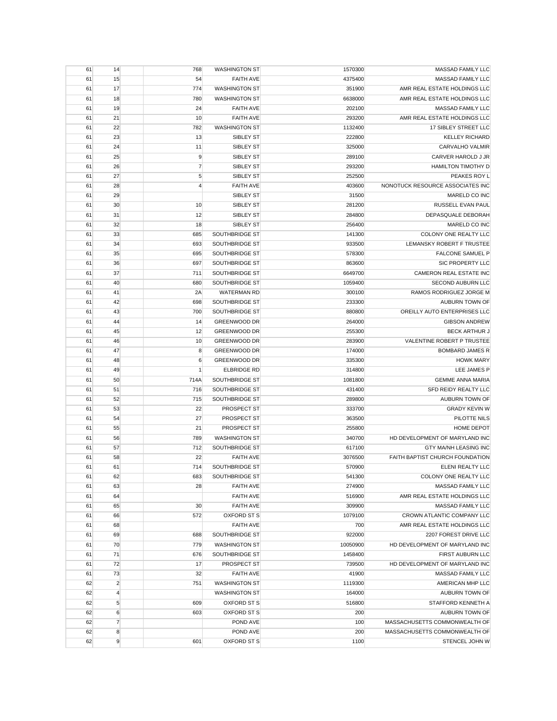| 61 | 14             | 768            | <b>WASHINGTON ST</b> | 1570300  | MASSAD FAMILY LLC                |
|----|----------------|----------------|----------------------|----------|----------------------------------|
| 61 | 15             | 54             | <b>FAITH AVE</b>     | 4375400  | <b>MASSAD FAMILY LLC</b>         |
| 61 | 17             | 774            | <b>WASHINGTON ST</b> | 351900   | AMR REAL ESTATE HOLDINGS LLC     |
| 61 | 18             | 780            | <b>WASHINGTON ST</b> | 6638000  | AMR REAL ESTATE HOLDINGS LLC     |
| 61 | 19             | 24             | <b>FAITH AVE</b>     | 202100   | MASSAD FAMILY LLC                |
| 61 | 21             | 10             | <b>FAITH AVE</b>     | 293200   | AMR REAL ESTATE HOLDINGS LLC     |
| 61 | 22             | 782            | <b>WASHINGTON ST</b> | 1132400  | 17 SIBLEY STREET LLC             |
| 61 | 23             | 13             | SIBLEY ST            | 222800   | <b>KELLEY RICHARD</b>            |
| 61 | 24             | 11             | SIBLEY ST            | 325000   | CARVALHO VALMIR                  |
| 61 | 25             | 9              | SIBLEY ST            | 289100   | CARVER HAROLD J JR               |
| 61 | 26             | $\overline{7}$ | SIBLEY ST            | 293200   | <b>HAMILTON TIMOTHY D</b>        |
| 61 | 27             | $\sqrt{5}$     | SIBLEY ST            | 252500   | PEAKES ROY L                     |
| 61 | 28             | 4              | <b>FAITH AVE</b>     | 403600   | NONOTUCK RESOURCE ASSOCIATES INC |
| 61 | 29             |                | SIBLEY ST            | 31500    | MARELD CO INC                    |
| 61 | 30             | 10             | SIBLEY ST            | 281200   | RUSSELL EVAN PAUL                |
| 61 | 31             | 12             | SIBLEY ST            | 284800   | DEPASQUALE DEBORAH               |
| 61 | 32             | 18             | SIBLEY ST            | 256400   | MARELD CO INC                    |
| 61 | 33             | 685            | SOUTHBRIDGE ST       | 141300   | COLONY ONE REALTY LLC            |
| 61 | 34             | 693            | SOUTHBRIDGE ST       | 933500   | LEMANSKY ROBERT F TRUSTEE        |
| 61 | 35             | 695            | SOUTHBRIDGE ST       | 578300   | <b>FALCONE SAMUEL P</b>          |
| 61 | 36             | 697            | SOUTHBRIDGE ST       | 863600   | SIC PROPERTY LLC                 |
| 61 | 37             | 711            | SOUTHBRIDGE ST       | 6649700  | <b>CAMERON REAL ESTATE INC</b>   |
| 61 | 40             | 680            | SOUTHBRIDGE ST       | 1059400  | SECOND AUBURN LLC                |
|    |                |                | <b>WATERMAN RD</b>   |          | <b>RAMOS RODRIGUEZ JORGE M</b>   |
| 61 | 41             | 2A             |                      | 300100   |                                  |
| 61 | 42             | 698            | SOUTHBRIDGE ST       | 233300   | AUBURN TOWN OF                   |
| 61 | 43             | 700            | SOUTHBRIDGE ST       | 880800   | OREILLY AUTO ENTERPRISES LLC     |
| 61 | 44             | 14             | <b>GREENWOOD DR</b>  | 264000   | <b>GIBSON ANDREW</b>             |
| 61 | 45             | 12             | <b>GREENWOOD DR</b>  | 255300   | <b>BECK ARTHUR J</b>             |
| 61 | 46             | 10             | <b>GREENWOOD DR</b>  | 283900   | VALENTINE ROBERT P TRUSTEE       |
| 61 | 47             | 8              | <b>GREENWOOD DR</b>  | 174000   | <b>BOMBARD JAMES R</b>           |
| 61 | 48             | 6              | <b>GREENWOOD DR</b>  | 335300   | <b>HOWK MARY</b>                 |
| 61 | 49             | $\mathbf{1}$   | <b>ELBRIDGE RD</b>   | 314800   | LEE JAMES P                      |
| 61 | 50             | 714A           | SOUTHBRIDGE ST       | 1081800  | <b>GEMME ANNA MARIA</b>          |
| 61 | 51             | 716            | SOUTHBRIDGE ST       | 431400   | SFD REIDY REALTY LLC             |
| 61 | 52             | 715            | SOUTHBRIDGE ST       | 289800   | AUBURN TOWN OF                   |
| 61 | 53             | 22             | PROSPECT ST          | 333700   | <b>GRADY KEVIN W</b>             |
| 61 | 54             | 27             | PROSPECT ST          | 363500   | PILOTTE NILS                     |
| 61 | 55             | 21             | PROSPECT ST          | 255800   | HOME DEPOT                       |
| 61 | 56             | 789            | <b>WASHINGTON ST</b> | 340700   | HD DEVELOPMENT OF MARYLAND INC   |
| 61 | 57             | 712            | SOUTHBRIDGE ST       | 617100   | GTY MA/NH LEASING INC            |
| 61 | 58             | 22             | <b>FAITH AVE</b>     | 3076500  | FAITH BAPTIST CHURCH FOUNDATION  |
| 61 | 61             | 714            | SOUTHBRIDGE ST       | 570900   | ELENI REALTY LLC                 |
| 61 | 62             | 683            | SOUTHBRIDGE ST       | 541300   | COLONY ONE REALTY LLC            |
| 61 | 63             | 28             | <b>FAITH AVE</b>     | 274900   | MASSAD FAMILY LLC                |
| 61 | 64             |                | <b>FAITH AVE</b>     | 516900   | AMR REAL ESTATE HOLDINGS LLC     |
| 61 | 65             | 30             | <b>FAITH AVE</b>     | 309900   | <b>MASSAD FAMILY LLC</b>         |
| 61 | 66             | 572            | OXFORD ST S          | 1079100  | CROWN ATLANTIC COMPANY LLC       |
| 61 | 68             |                | <b>FAITH AVE</b>     | 700      | AMR REAL ESTATE HOLDINGS LLC     |
| 61 | 69             | 688            | SOUTHBRIDGE ST       | 922000   | 2207 FOREST DRIVE LLC            |
| 61 | 70             | 779            | <b>WASHINGTON ST</b> | 10050900 | HD DEVELOPMENT OF MARYLAND INC   |
| 61 | 71             | 676            | SOUTHBRIDGE ST       | 1458400  | FIRST AUBURN LLC                 |
| 61 | 72             | 17             | PROSPECT ST          | 739500   | HD DEVELOPMENT OF MARYLAND INC   |
| 61 | 73             | 32             | <b>FAITH AVE</b>     | 41900    | MASSAD FAMILY LLC                |
| 62 | $\overline{2}$ | 751            | <b>WASHINGTON ST</b> | 1119300  | AMERICAN MHP LLC                 |
| 62 | $\overline{4}$ |                | <b>WASHINGTON ST</b> | 164000   | AUBURN TOWN OF                   |
| 62 | $\sqrt{5}$     | 609            | OXFORD ST S          | 516800   | STAFFORD KENNETH A               |
| 62 | 6              | 603            | <b>OXFORD ST S</b>   | 200      | AUBURN TOWN OF                   |
| 62 | $\overline{7}$ |                | POND AVE             | 100      | MASSACHUSETTS COMMONWEALTH OF    |
| 62 | 8              |                | POND AVE             | 200      | MASSACHUSETTS COMMONWEALTH OF    |
| 62 | 9              | 601            | OXFORD ST S          | 1100     | STENCEL JOHN W                   |
|    |                |                |                      |          |                                  |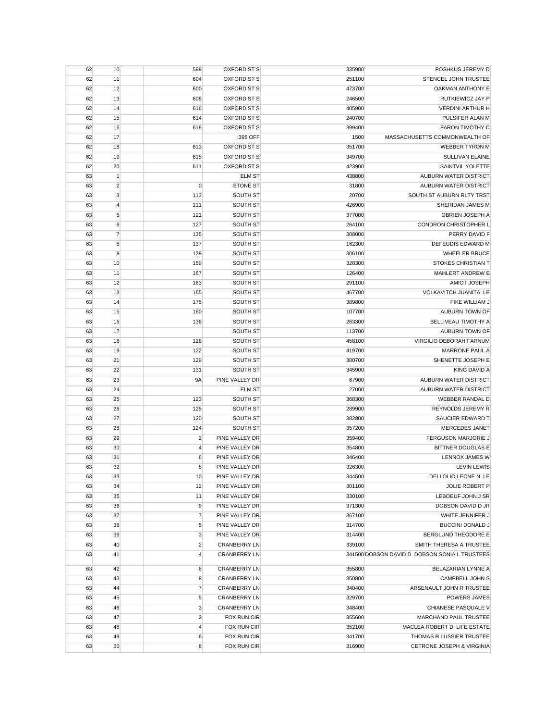| 62 | 10             | 599            | OXFORD ST S         | 335900 | POSHKUS JEREMY D                              |
|----|----------------|----------------|---------------------|--------|-----------------------------------------------|
| 62 | 11             | 604            | OXFORD ST S         | 251100 | STENCEL JOHN TRUSTEE                          |
| 62 | 12             | 600            | OXFORD ST S         | 473700 | OAKMAN ANTHONY E                              |
| 62 | 13             | 608            | OXFORD ST S         | 246500 | RUTKIEWICZ JAY P                              |
| 62 | 14             | 616            | OXFORD ST S         | 405900 | <b>VERDINI ARTHUR H</b>                       |
| 62 | 15             | 614            | OXFORD ST S         | 240700 | PULSIFER ALAN M                               |
| 62 | 16             | 618            | OXFORD ST S         | 399400 | <b>FARON TIMOTHY C</b>                        |
| 62 | 17             |                | 1395 OFF            | 1500   | MASSACHUSETTS COMMONWEALTH OF                 |
| 62 | 18             | 613            | OXFORD ST S         | 351700 | <b>WEBBER TYRON M</b>                         |
| 62 | 19             | 615            | OXFORD ST S         | 349700 | <b>SULLIVAN ELAINE</b>                        |
| 62 | 20             | 611            | OXFORD ST S         | 423900 | SAINTVIL YOLETTE                              |
| 63 | $\vert$ 1      |                | <b>ELM ST</b>       | 438800 | AUBURN WATER DISTRICT                         |
| 63 | $\overline{c}$ | $\mathbf 0$    | <b>STONE ST</b>     | 31800  | AUBURN WATER DISTRICT                         |
| 63 | $\mathbf{3}$   | 113            | SOUTH ST            | 20700  | SOUTH ST AUBURN RLTY TRST                     |
| 63 | $\overline{4}$ | 111            | SOUTH ST            | 426900 | SHERIDAN JAMES M                              |
| 63 | 5              | 121            | SOUTH ST            | 377000 | OBRIEN JOSEPH A                               |
| 63 | 6              | 127            | SOUTH ST            | 264100 | CONDRON CHRISTOPHER L                         |
| 63 | $\overline{7}$ | 135            | SOUTH ST            | 308000 | PERRY DAVID F                                 |
| 63 | 8              | 137            | SOUTH ST            | 162300 | DEFEUDIS EDWARD M                             |
| 63 | 9              | 139            | SOUTH ST            | 306100 | <b>WHEELER BRUCE</b>                          |
| 63 | 10             | 159            | SOUTH ST            | 328300 | STOKES CHRISTIAN T                            |
| 63 | 11             | 167            | SOUTH ST            | 126400 | MAHLERT ANDREW E                              |
| 63 | 12             | 163            | SOUTH ST            | 291100 | AMIOT JOSEPH                                  |
| 63 | 13             | 165            | SOUTH ST            | 467700 | VOLKAVITCH JUANITA LE                         |
| 63 | 14             | 175            | SOUTH ST            | 389800 | FIKE WILLIAM J                                |
| 63 | 15             | 160            | SOUTH ST            | 107700 | AUBURN TOWN OF                                |
| 63 | 16             | 136            | SOUTH ST            | 263300 | BELLIVEAU TIMOTHY A                           |
| 63 | 17             |                | SOUTH ST            | 113700 | AUBURN TOWN OF                                |
| 63 | 18             | 128            | SOUTH ST            | 458100 | VIRGILIO DEBORAH FARNUM                       |
| 63 | 19             | 122            | SOUTH ST            | 419700 | <b>MARRONE PAUL A</b>                         |
| 63 | 21             | 129            | SOUTH ST            | 300700 | SHENETTE JOSEPH E                             |
| 63 | 22             | 131            | SOUTH ST            | 345900 | <b>KING DAVID A</b>                           |
| 63 | 23             | <b>9A</b>      | PINE VALLEY DR      | 67900  | AUBURN WATER DISTRICT                         |
| 63 | 24             |                | <b>ELM ST</b>       | 27000  | AUBURN WATER DISTRICT                         |
| 63 | 25             | 123            | SOUTH ST            | 368300 | WEBBER RANDAL D                               |
| 63 | 26             | 125            | SOUTH ST            | 289900 | REYNOLDS JEREMY R                             |
| 63 | 27             | 120            | SOUTH ST            | 382800 | SAUCIER EDWARD T                              |
| 63 | 28             | 124            | SOUTH ST            | 357200 | <b>MERCEDES JANET</b>                         |
| 63 | 29             | $\overline{2}$ | PINE VALLEY DR      | 359400 | <b>FERGUSON MARJORIE J</b>                    |
| 63 | 30             | 4              | PINE VALLEY DR      | 354800 | <b>BITTNER DOUGLAS E</b>                      |
| 63 | 31             | 6              | PINE VALLEY DR      | 346400 | <b>LENNOX JAMES W</b>                         |
| 63 | 32             | 8              | PINE VALLEY DR      | 326300 | <b>LEVIN LEWIS</b>                            |
| 63 | 33             | 10             | PINE VALLEY DR      | 344500 | DELLOLIO LEONE N LE                           |
| 63 | 34             | 12             | PINE VALLEY DR      | 301100 | <b>JOLIE ROBERT P</b>                         |
| 63 | 35             | 11             | PINE VALLEY DR      | 330100 | LEBOEUF JOHN J SR                             |
| 63 | 36             | 9              | PINE VALLEY DR      | 371300 | DOBSON DAVID D JR                             |
| 63 | 37             | $\overline{7}$ | PINE VALLEY DR      | 367100 | WHITE JENNIFER J                              |
| 63 | 38             | 5              | PINE VALLEY DR      | 314700 | <b>BUCCINI DONALD J</b>                       |
| 63 | 39             | 3              | PINE VALLEY DR      | 314400 | BERGLUND THEODORE E                           |
| 63 | 40             | $\overline{c}$ | <b>CRANBERRY LN</b> | 339100 | SMITH THERESA A TRUSTEE                       |
| 63 | 41             | $\overline{4}$ | <b>CRANBERRY LN</b> |        | 341500 DOBSON DAVID D DOBSON SONIA L TRUSTEES |
| 63 | 42             | 6              | <b>CRANBERRY LN</b> | 355800 | BELAZARIAN LYNNE A                            |
| 63 | 43             | 8              | <b>CRANBERRY LN</b> | 350800 | CAMPBELL JOHN S                               |
| 63 | 44             | $\overline{7}$ | <b>CRANBERRY LN</b> | 340400 | ARSENAULT JOHN R TRUSTEE                      |
| 63 | 45             | 5              | <b>CRANBERRY LN</b> | 329700 | POWERS JAMES                                  |
| 63 | 46             | 3              | <b>CRANBERRY LN</b> | 348400 | CHIANESE PASQUALE V                           |
| 63 | 47             | $\overline{2}$ | FOX RUN CIR         | 355600 | <b>MARCHAND PAUL TRUSTEE</b>                  |
| 63 | 48             | 4              | FOX RUN CIR         | 352100 | MACLEA ROBERT D LIFE ESTATE                   |
| 63 | 49             | 6              | FOX RUN CIR         | 341700 | THOMAS R LUSSIER TRUSTEE                      |
| 63 | 50             | 8              | FOX RUN CIR         | 316900 | CETRONE JOSEPH & VIRGINIA                     |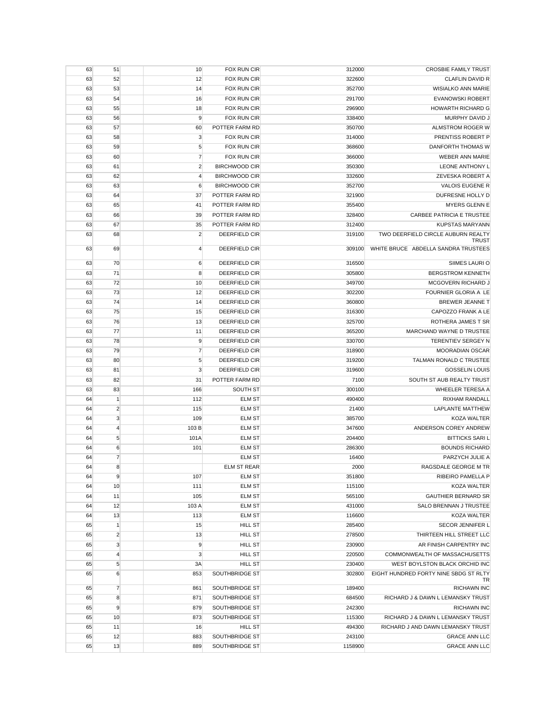| 63 | 51             | 10             | FOX RUN CIR          | 312000  | <b>CROSBIE FAMILY TRUST</b>                 |
|----|----------------|----------------|----------------------|---------|---------------------------------------------|
| 63 | 52             | 12             | FOX RUN CIR          | 322600  | <b>CLAFLIN DAVID R</b>                      |
| 63 | 53             | 14             | <b>FOX RUN CIR</b>   | 352700  | <b>WISIALKO ANN MARIE</b>                   |
| 63 | 54             | 16             | <b>FOX RUN CIR</b>   | 291700  | <b>EVANOWSKI ROBERT</b>                     |
| 63 | 55             | 18             | FOX RUN CIR          | 296900  | <b>HOWARTH RICHARD G</b>                    |
| 63 | 56             | 9              | <b>FOX RUN CIR</b>   | 338400  | MURPHY DAVID J                              |
| 63 | 57             | 60             | POTTER FARM RD       | 350700  | ALMSTROM ROGER W                            |
| 63 | 58             | 3              | <b>FOX RUN CIR</b>   | 314000  | PRENTISS ROBERT P                           |
| 63 | 59             | 5              | FOX RUN CIR          | 368600  | DANFORTH THOMAS W                           |
| 63 | 60             | $\overline{7}$ | <b>FOX RUN CIR</b>   | 366000  | <b>WEBER ANN MARIE</b>                      |
| 63 | 61             | $\overline{2}$ | <b>BIRCHWOOD CIR</b> | 350300  | LEONE ANTHONY L                             |
| 63 | 62             | $\overline{4}$ | <b>BIRCHWOOD CIR</b> | 332600  | ZEVESKA ROBERT A                            |
| 63 | 63             | 6              | <b>BIRCHWOOD CIR</b> | 352700  | VALOIS EUGENE R                             |
| 63 | 64             | 37             | POTTER FARM RD       | 321900  | DUFRESNE HOLLY D                            |
| 63 | 65             | 41             | POTTER FARM RD       | 355400  | MYERS GLENN E                               |
| 63 | 66             | 39             | POTTER FARM RD       | 328400  | <b>CARBEE PATRICIA E TRUSTEE</b>            |
| 63 | 67             | 35             | POTTER FARM RD       | 312400  | <b>KUPSTAS MARYANN</b>                      |
| 63 | 68             | $\overline{2}$ | DEERFIELD CIR        | 319100  | TWO DEERFIELD CIRCLE AUBURN REALTY          |
|    |                |                |                      |         | <b>TRUST</b>                                |
| 63 | 69             | $\overline{4}$ | DEERFIELD CIR        | 309100  | WHITE BRUCE ABDELLA SANDRA TRUSTEES         |
| 63 | 70             | 6              | DEERFIELD CIR        | 316500  | SIIMES LAURI O                              |
| 63 | 71             | 8              | DEERFIELD CIR        | 305800  | <b>BERGSTROM KENNETH</b>                    |
| 63 | 72             | 10             | DEERFIELD CIR        | 349700  | MCGOVERN RICHARD J                          |
| 63 | 73             | 12             | <b>DEERFIELD CIR</b> | 302200  | FOURNIER GLORIA A LE                        |
| 63 | 74             | 14             | <b>DEERFIELD CIR</b> | 360800  | <b>BREWER JEANNE T</b>                      |
| 63 | 75             | 15             | DEERFIELD CIR        | 316300  | CAPOZZO FRANK A LE                          |
| 63 | 76             | 13             | <b>DEERFIELD CIR</b> | 325700  | ROTHERA JAMES T SR                          |
| 63 | 77             | 11             | DEERFIELD CIR        | 365200  | MARCHAND WAYNE D TRUSTEE                    |
| 63 | 78             | 9              | DEERFIELD CIR        | 330700  | TERENTIEV SERGEY N                          |
| 63 | 79             | $\overline{7}$ | DEERFIELD CIR        | 318900  | <b>MOORADIAN OSCAR</b>                      |
| 63 | 80             | 5              | DEERFIELD CIR        | 319200  | TALMAN RONALD C TRUSTEE                     |
| 63 | 81             | 3              | DEERFIELD CIR        | 319600  | <b>GOSSELIN LOUIS</b>                       |
| 63 | 82             | 31             | POTTER FARM RD       | 7100    | SOUTH ST AUB REALTY TRUST                   |
| 63 | 83             | 166            | SOUTH ST             | 300100  | <b>WHEELER TERESA A</b>                     |
| 64 | $\mathbf{1}$   | 112            | <b>ELM ST</b>        | 490400  | RIXHAM RANDALL                              |
| 64 | $\overline{2}$ | 115            | <b>ELM ST</b>        | 21400   | <b>LAPLANTE MATTHEW</b>                     |
| 64 | 3              | 109            | <b>ELM ST</b>        | 385700  | <b>KOZA WALTER</b>                          |
| 64 | $\overline{4}$ | 103 B          | <b>ELM ST</b>        | 347600  | ANDERSON COREY ANDREW                       |
| 64 | $\sqrt{5}$     | 101A           | <b>ELM ST</b>        | 204400  | <b>BITTICKS SARIL</b>                       |
| 64 | 6              | 101            | <b>ELM ST</b>        | 286300  | <b>BOUNDS RICHARD</b>                       |
| 64 | $\overline{7}$ |                | <b>ELM ST</b>        | 16400   | PARZYCH JULIE A                             |
|    | 8              |                | <b>ELM ST REAR</b>   |         | RAGSDALE GEORGE M TR                        |
| 64 |                |                |                      | 2000    |                                             |
| 64 | 9              | 107            | <b>ELM ST</b>        | 351800  | RIBEIRO PAMELLA P                           |
| 64 | 10             | 111            | <b>ELM ST</b>        | 115100  | <b>KOZA WALTER</b>                          |
| 64 | 11             | 105            | <b>ELM ST</b>        | 565100  | <b>GAUTHIER BERNARD SR</b>                  |
| 64 | 12             | 103 A          | <b>ELM ST</b>        | 431000  | SALO BRENNAN J TRUSTEE                      |
| 64 | 13             | 113            | <b>ELM ST</b>        | 116600  | <b>KOZA WALTER</b>                          |
| 65 | $\vert$ 1      | 15             | <b>HILL ST</b>       | 285400  | SECOR JENNIFER L                            |
| 65 | $\overline{2}$ | 13             | <b>HILL ST</b>       | 278500  | THIRTEEN HILL STREET LLC                    |
| 65 | 3              | 9              | <b>HILL ST</b>       | 230900  | AR FINISH CARPENTRY INC                     |
| 65 | $\overline{4}$ | 3              | <b>HILL ST</b>       | 220500  | COMMONWEALTH OF MASSACHUSETTS               |
| 65 | 5              | 3A             | <b>HILL ST</b>       | 230400  | WEST BOYLSTON BLACK ORCHID INC              |
| 65 | 6              | 853            | SOUTHBRIDGE ST       | 302800  | EIGHT HUNDRED FORTY NINE SBDG ST RLTY<br>TR |
| 65 | $\overline{7}$ | 861            | SOUTHBRIDGE ST       | 189400  | <b>RICHAWN INC</b>                          |
| 65 | 8              | 871            | SOUTHBRIDGE ST       | 684500  | RICHARD J & DAWN L LEMANSKY TRUST           |
| 65 | 9              | 879            | SOUTHBRIDGE ST       | 242300  | <b>RICHAWN INC</b>                          |
| 65 | 10             | 873            | SOUTHBRIDGE ST       | 115300  | RICHARD J & DAWN L LEMANSKY TRUST           |
| 65 | 11             | 16             | <b>HILL ST</b>       | 494300  | RICHARD J AND DAWN LEMANSKY TRUST           |
| 65 | 12             | 883            | SOUTHBRIDGE ST       | 243100  | <b>GRACE ANN LLC</b>                        |
| 65 | 13             | 889            | SOUTHBRIDGE ST       | 1158900 | <b>GRACE ANN LLC</b>                        |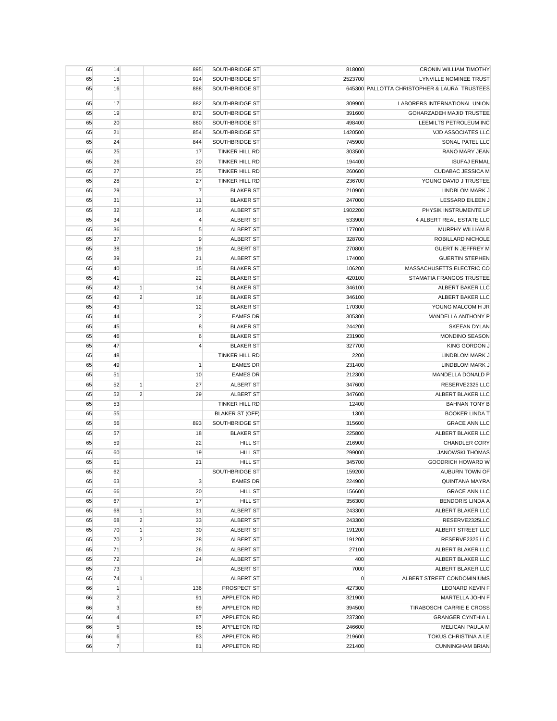| 65 | 14             |                | 895            | SOUTHBRIDGE ST         | 818000  | CRONIN WILLIAM TIMOTHY                       |
|----|----------------|----------------|----------------|------------------------|---------|----------------------------------------------|
| 65 | 15             |                | 914            | SOUTHBRIDGE ST         | 2523700 | LYNVILLE NOMINEE TRUST                       |
| 65 | 16             |                | 888            | SOUTHBRIDGE ST         |         | 645300 PALLOTTA CHRISTOPHER & LAURA TRUSTEES |
| 65 | 17             |                | 882            | SOUTHBRIDGE ST         | 309900  | LABORERS INTERNATIONAL UNION                 |
| 65 | 19             |                | 872            | SOUTHBRIDGE ST         | 391600  | <b>GOHARZADEH MAJID TRUSTEE</b>              |
| 65 | 20             |                | 860            | SOUTHBRIDGE ST         | 498400  | LEEMILTS PETROLEUM INC                       |
| 65 | 21             |                | 854            | SOUTHBRIDGE ST         | 1420500 | <b>VJD ASSOCIATES LLC</b>                    |
| 65 | 24             |                | 844            | SOUTHBRIDGE ST         | 745900  | SONAL PATEL LLC                              |
| 65 | 25             |                | 17             | TINKER HILL RD         | 303500  | RANO MARY JEAN                               |
| 65 | 26             |                | 20             | <b>TINKER HILL RD</b>  | 194400  | <b>ISUFAJ ERMAL</b>                          |
| 65 | 27             |                | 25             | <b>TINKER HILL RD</b>  | 260600  | <b>CUDABAC JESSICA M</b>                     |
| 65 | 28             |                | 27             | <b>TINKER HILL RD</b>  | 236700  | YOUNG DAVID J TRUSTEE                        |
| 65 | 29             |                | $\overline{7}$ | <b>BLAKER ST</b>       | 210900  | LINDBLOM MARK J                              |
| 65 | 31             |                | 11             | <b>BLAKER ST</b>       | 247000  | LESSARD EILEEN J                             |
| 65 | 32             |                | 16             | ALBERT ST              | 1902200 | PHYSIK INSTRUMENTE LP                        |
| 65 | 34             |                | $\overline{4}$ | ALBERT ST              | 533900  | 4 ALBERT REAL ESTATE LLC                     |
| 65 | 36             |                | 5              | ALBERT ST              | 177000  | MURPHY WILLIAM B                             |
| 65 | 37             |                | 9              | <b>ALBERT ST</b>       | 328700  | ROBILLARD NICHOLE                            |
| 65 | 38             |                | 19             | <b>ALBERT ST</b>       | 270800  | <b>GUERTIN JEFFREY M</b>                     |
| 65 | 39             |                | 21             | <b>ALBERT ST</b>       | 174000  | <b>GUERTIN STEPHEN</b>                       |
| 65 | 40             |                | 15             | <b>BLAKER ST</b>       | 106200  | MASSACHUSETTS ELECTRIC CO                    |
| 65 | 41             |                | 22             | <b>BLAKER ST</b>       | 420100  | STAMATIA FRANGOS TRUSTEE                     |
| 65 | 42             | 1              | 14             | <b>BLAKER ST</b>       | 346100  | ALBERT BAKER LLC                             |
| 65 | 42             | $\overline{2}$ | 16             | <b>BLAKER ST</b>       | 346100  | ALBERT BAKER LLC                             |
| 65 | 43             |                | 12             | <b>BLAKER ST</b>       | 170300  | YOUNG MALCOM H JR                            |
| 65 | 44             |                | $\overline{2}$ | <b>EAMES DR</b>        | 305300  | <b>MANDELLA ANTHONY P</b>                    |
| 65 | 45             |                | 8              | <b>BLAKER ST</b>       | 244200  | <b>SKEEAN DYLAN</b>                          |
| 65 | 46             |                | 6              | <b>BLAKER ST</b>       | 231900  | MONDINO SEASON                               |
| 65 | 47             |                | 4              | <b>BLAKER ST</b>       | 327700  | KING GORDON J                                |
| 65 | 48             |                |                | TINKER HILL RD         | 2200    | LINDBLOM MARK J                              |
| 65 | 49             |                | 1              | <b>EAMES DR</b>        | 231400  | LINDBLOM MARK J                              |
| 65 | 51             |                | 10             | <b>EAMES DR</b>        | 212300  | MANDELLA DONALD P                            |
| 65 | 52             | $\mathbf{1}$   | 27             | ALBERT ST              | 347600  | RESERVE2325 LLC                              |
| 65 | 52             | $\overline{2}$ | 29             | <b>ALBERT ST</b>       | 347600  | ALBERT BLAKER LLC                            |
| 65 | 53             |                |                | TINKER HILL RD         | 12400   | <b>BAHNAN TONY B</b>                         |
| 65 | 55             |                |                | <b>BLAKER ST (OFF)</b> | 1300    | <b>BOOKER LINDA T</b>                        |
| 65 | 56             |                | 893            | SOUTHBRIDGE ST         | 315600  | <b>GRACE ANN LLC</b>                         |
| 65 | 57             |                | 18             | <b>BLAKER ST</b>       | 225800  | ALBERT BLAKER LLC                            |
| 65 | 59             |                | 22             | HILL ST                | 216900  | <b>CHANDLER CORY</b>                         |
| 65 | 60             |                | 19             | <b>HILL ST</b>         | 299000  | <b>JANOWSKI THOMAS</b>                       |
| 65 | 61             |                | 21             | HILL ST                | 345700  | GOODRICH HOWARD W                            |
| 65 | 62             |                |                | SOUTHBRIDGE ST         | 159200  | AUBURN TOWN OF                               |
| 65 | 63             |                | 3              | <b>EAMES DR</b>        | 224900  | <b>QUINTANA MAYRA</b>                        |
| 65 | 66             |                | 20             | <b>HILL ST</b>         | 156600  | <b>GRACE ANN LLC</b>                         |
| 65 | 67             |                | 17             | <b>HILL ST</b>         | 356300  | <b>BENDORIS LINDA A</b>                      |
| 65 | 68             | 1              | 31             | <b>ALBERT ST</b>       | 243300  | ALBERT BLAKER LLC                            |
| 65 | 68             | $\overline{2}$ | 33             | <b>ALBERT ST</b>       | 243300  | RESERVE2325LLC                               |
| 65 | 70             | $\mathbf{1}$   | 30             | ALBERT ST              | 191200  | ALBERT STREET LLC                            |
| 65 | 70             | $\overline{2}$ | 28             | <b>ALBERT ST</b>       | 191200  | RESERVE2325 LLC                              |
| 65 | 71             |                | 26             | <b>ALBERT ST</b>       | 27100   | ALBERT BLAKER LLC                            |
| 65 | 72             |                | 24             | <b>ALBERT ST</b>       | 400     | ALBERT BLAKER LLC                            |
| 65 | 73             |                |                | <b>ALBERT ST</b>       | 7000    | ALBERT BLAKER LLC                            |
| 65 | 74             | $\mathbf{1}$   |                | <b>ALBERT ST</b>       | 0       | ALBERT STREET CONDOMINIUMS                   |
| 66 | $\mathbf{1}$   |                | 136            | PROSPECT ST            | 427300  | <b>LEONARD KEVIN F</b>                       |
| 66 | $\overline{c}$ |                | 91             | APPLETON RD            | 321900  | MARTELLA JOHN F                              |
| 66 | $\mathbf{3}$   |                | 89             | APPLETON RD            | 394500  | TIRABOSCHI CARRIE E CROSS                    |
| 66 | $\overline{4}$ |                | 87             | APPLETON RD            | 237300  | <b>GRANGER CYNTHIA L</b>                     |
| 66 | $\sqrt{5}$     |                | 85             | APPLETON RD            | 246600  | MELICAN PAULA M                              |
| 66 | 6              |                | 83             | APPLETON RD            | 219600  | TOKUS CHRISTINA A LE                         |
| 66 | $\overline{7}$ |                | 81             | APPLETON RD            | 221400  | <b>CUNNINGHAM BRIAN</b>                      |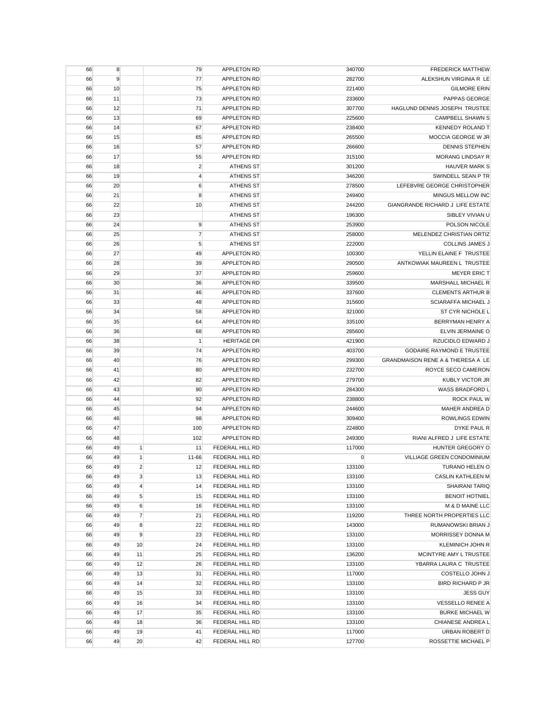| 66 | 8  |                | 79             | <b>APPLETON RD</b> | 340700      | <b>FREDERICK MATTHEW</b>          |
|----|----|----------------|----------------|--------------------|-------------|-----------------------------------|
| 66 | 9  |                | 77             | <b>APPLETON RD</b> | 282700      | ALEKSHUN VIRGINIA R LE            |
| 66 | 10 |                | 75             | APPLETON RD        | 221400      | <b>GILMORE ERIN</b>               |
| 66 | 11 |                | 73             | APPLETON RD        | 233600      | PAPPAS GEORGE                     |
| 66 | 12 |                | 71             | APPLETON RD        | 307700      | HAGLUND DENNIS JOSEPH TRUSTEE     |
| 66 | 13 |                | 69             | APPLETON RD        | 225600      | <b>CAMPBELL SHAWN S</b>           |
| 66 | 14 |                | 67             | APPLETON RD        | 238400      | <b>KENNEDY ROLAND T</b>           |
| 66 | 15 |                | 65             | <b>APPLETON RD</b> | 265500      | MOCCIA GEORGE W JR                |
| 66 | 16 |                | 57             | APPLETON RD        | 266600      | <b>DENNIS STEPHEN</b>             |
| 66 | 17 |                | 55             | <b>APPLETON RD</b> | 315100      | <b>MORANG LINDSAY R</b>           |
| 66 | 18 |                | $\overline{2}$ | <b>ATHENS ST</b>   | 301200      | <b>HAUVER MARK S</b>              |
| 66 | 19 |                | $\overline{4}$ | <b>ATHENS ST</b>   | 346200      | SWINDELL SEAN P TR                |
| 66 | 20 |                | 6              | <b>ATHENS ST</b>   | 278500      | LEFEBVRE GEORGE CHRISTOPHER       |
| 66 | 21 |                | 8              | <b>ATHENS ST</b>   | 249400      | MINGUS MELLOW INC                 |
| 66 | 22 |                | 10             | <b>ATHENS ST</b>   | 244200      | GIANGRANDE RICHARD J LIFE ESTATE  |
| 66 | 23 |                |                | <b>ATHENS ST</b>   | 196300      | SIBLEY VIVIAN U                   |
| 66 | 24 |                | 9              | <b>ATHENS ST</b>   | 253900      | POLSON NICOLE                     |
| 66 | 25 |                | $\overline{7}$ | <b>ATHENS ST</b>   | 258000      | MELENDEZ CHRISTIAN ORTIZ          |
| 66 | 26 |                | 5              | <b>ATHENS ST</b>   | 222000      | <b>COLLINS JAMES J</b>            |
|    | 27 |                |                | <b>APPLETON RD</b> | 100300      | YELLIN ELAINE F TRUSTEE           |
| 66 |    |                | 49             |                    | 290500      | ANTKOWIAK MAUREEN L TRUSTEE       |
| 66 | 28 |                | 39             | <b>APPLETON RD</b> |             |                                   |
| 66 | 29 |                | 37             | APPLETON RD        | 259600      | <b>MEYER ERIC T</b>               |
| 66 | 30 |                | 36             | APPLETON RD        | 339500      | MARSHALL MICHAEL R                |
| 66 | 31 |                | 46             | APPLETON RD        | 337600      | <b>CLEMENTS ARTHUR B</b>          |
| 66 | 33 |                | 48             | APPLETON RD        | 315600      | <b>SCIARAFFA MICHAEL J</b>        |
| 66 | 34 |                | 58             | APPLETON RD        | 321000      | ST CYR NICHOLE L                  |
| 66 | 35 |                | 64             | APPLETON RD        | 335100      | BERRYMAN HENRY A                  |
| 66 | 36 |                | 68             | <b>APPLETON RD</b> | 285600      | ELVIN JERMAINE O                  |
| 66 | 38 |                | $\mathbf{1}$   | <b>HERITAGE DR</b> | 421900      | RZUCIDLO EDWARD J                 |
| 66 | 39 |                | 74             | <b>APPLETON RD</b> | 403700      | <b>GODAIRE RAYMOND E TRUSTEE</b>  |
| 66 | 40 |                | 76             | <b>APPLETON RD</b> | 299300      | GRANDMAISON RENE A & THERESA A LE |
| 66 | 41 |                | 80             | <b>APPLETON RD</b> | 232700      | ROYCE SECO CAMERON                |
| 66 | 42 |                | 82             | <b>APPLETON RD</b> | 279700      | <b>KUBLY VICTOR JR</b>            |
| 66 | 43 |                | 90             | <b>APPLETON RD</b> | 284300      | WASS BRADFORD L                   |
| 66 | 44 |                | 92             | APPLETON RD        | 238800      | <b>ROCK PAUL W</b>                |
| 66 | 45 |                | 94             | APPLETON RD        | 244600      | MAHER ANDREA D                    |
| 66 | 46 |                | 98             | <b>APPLETON RD</b> | 309400      | <b>ROWLINGS EDWIN</b>             |
| 66 | 47 |                | 100            | <b>APPLETON RD</b> | 224800      | DYKE PAUL R                       |
| 66 | 48 |                | 102            | <b>APPLETON RD</b> | 249300      | RIANI ALFRED J LIFE ESTATE        |
| 66 | 49 | $\vert$        | 11             | FEDERAL HILL RD    | 117000      | HUNTER GREGORY O                  |
| 66 | 49 | $\mathbf{1}$   | 11-66          | FEDERAL HILL RD    | $\mathbf 0$ | VILLIAGE GREEN CONDOMINIUM        |
| 66 | 49 | $\overline{2}$ | 12             | FEDERAL HILL RD    | 133100      | <b>TURANO HELEN O</b>             |
| 66 | 49 | 3              | 13             | FEDERAL HILL RD    | 133100      | CASLIN KATHLEEN M                 |
| 66 | 49 | $\overline{4}$ | 14             | FEDERAL HILL RD    | 133100      | SHAIRANI TARIQ                    |
| 66 | 49 | 5              | 15             | FEDERAL HILL RD    | 133100      | <b>BENOIT HOTNIEL</b>             |
| 66 | 49 | 6              | 16             | FEDERAL HILL RD    | 133100      | M & D MAINE LLC                   |
| 66 | 49 | $\overline{7}$ | 21             | FEDERAL HILL RD    | 119200      | THREE NORTH PROPERTIES LLC        |
| 66 | 49 | 8              | 22             | FEDERAL HILL RD    | 143000      | RUMANOWSKI BRIAN J                |
| 66 | 49 | $\overline{9}$ | 23             | FEDERAL HILL RD    | 133100      | MORRISSEY DONNA M                 |
| 66 | 49 | 10             | 24             | FEDERAL HILL RD    | 133100      | <b>KLEMINICH JOHN R</b>           |
| 66 | 49 | 11             | 25             | FEDERAL HILL RD    | 136200      | MCINTYRE AMY L TRUSTEE            |
| 66 | 49 | 12             | 26             | FEDERAL HILL RD    | 133100      | YBARRA LAURA C TRUSTEE            |
| 66 | 49 | 13             | 31             | FEDERAL HILL RD    | 117000      | COSTELLO JOHN J                   |
| 66 | 49 | 14             | 32             | FEDERAL HILL RD    | 133100      | <b>BIRD RICHARD P JR</b>          |
| 66 | 49 | 15             | 33             | FEDERAL HILL RD    | 133100      | <b>JESS GUY</b>                   |
| 66 | 49 | 16             | 34             | FEDERAL HILL RD    | 133100      | VESSELLO RENEE A                  |
| 66 | 49 | 17             | 35             | FEDERAL HILL RD    | 133100      | BURKE MICHAEL W                   |
| 66 | 49 | 18             | 36             | FEDERAL HILL RD    | 133100      | CHIANESE ANDREA L                 |
| 66 |    | 19             | 41             | FEDERAL HILL RD    | 117000      | URBAN ROBERT D                    |
|    | 49 |                |                |                    |             |                                   |
| 66 | 49 | 20             | 42             | FEDERAL HILL RD    | 127700      | ROSSETTIE MICHAEL P               |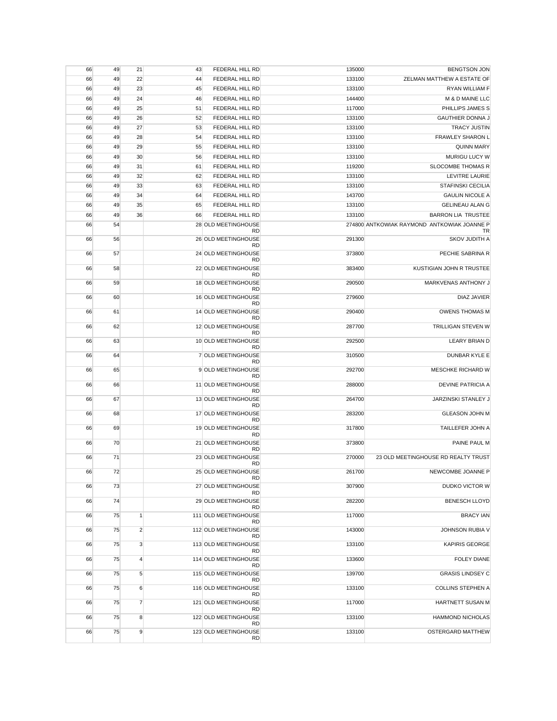| 66 | 49 | 21             | 43 | FEDERAL HILL RD                               | 135000 | <b>BENGTSON JON</b>                         |
|----|----|----------------|----|-----------------------------------------------|--------|---------------------------------------------|
| 66 | 49 | 22             | 44 | FEDERAL HILL RD                               | 133100 | ZELMAN MATTHEW A ESTATE OF                  |
| 66 | 49 | 23             | 45 | FEDERAL HILL RD                               | 133100 | RYAN WILLIAM F                              |
| 66 | 49 | 24             | 46 | FEDERAL HILL RD                               | 144400 | M & D MAINE LLC                             |
| 66 | 49 | 25             | 51 | FEDERAL HILL RD                               | 117000 | PHILLIPS JAMES S                            |
| 66 | 49 | 26             | 52 | FEDERAL HILL RD                               | 133100 | <b>GAUTHIER DONNA J</b>                     |
| 66 | 49 | 27             | 53 | FEDERAL HILL RD                               | 133100 | <b>TRACY JUSTIN</b>                         |
| 66 | 49 | 28             | 54 | FEDERAL HILL RD                               | 133100 | <b>FRAWLEY SHARON L</b>                     |
| 66 | 49 | 29             | 55 | FEDERAL HILL RD                               | 133100 | <b>QUINN MARY</b>                           |
| 66 | 49 | 30             | 56 | FEDERAL HILL RD                               | 133100 | MURIGU LUCY W                               |
| 66 | 49 | 31             | 61 | FEDERAL HILL RD                               | 119200 | <b>SLOCOMBE THOMAS R</b>                    |
| 66 | 49 | 32             | 62 | FEDERAL HILL RD                               | 133100 | <b>LEVITRE LAURIE</b>                       |
| 66 | 49 | 33             | 63 | FEDERAL HILL RD                               | 133100 | <b>STAFINSKI CECILIA</b>                    |
| 66 | 49 | 34             | 64 | FEDERAL HILL RD                               | 143700 | <b>GAULIN NICOLE A</b>                      |
| 66 | 49 | 35             | 65 | FEDERAL HILL RD                               | 133100 | <b>GELINEAU ALAN G</b>                      |
| 66 | 49 | 36             | 66 | FEDERAL HILL RD                               | 133100 | <b>BARRON LIA TRUSTEE</b>                   |
| 66 | 54 |                |    | 28 OLD MEETINGHOUSE                           |        | 274800 ANTKOWIAK RAYMOND ANTKOWIAK JOANNE P |
|    |    |                |    | <b>RD</b>                                     |        | TR                                          |
| 66 | 56 |                |    | 26 OLD MEETINGHOUSE<br><b>RD</b>              | 291300 | SKOV JUDITH A                               |
| 66 | 57 |                |    | 24 OLD MEETINGHOUSE<br><b>RD</b>              | 373800 | PECHIE SABRINA R                            |
| 66 | 58 |                |    | 22 OLD MEETINGHOUSE                           | 383400 | KUSTIGIAN JOHN R TRUSTEE                    |
| 66 | 59 |                |    | <b>RD</b><br>18 OLD MEETINGHOUSE<br><b>RD</b> | 290500 | MARKVENAS ANTHONY J                         |
| 66 | 60 |                |    | 16 OLD MEETINGHOUSE                           | 279600 | DIAZ JAVIER                                 |
| 66 | 61 |                |    | <b>RD</b><br>14 OLD MEETINGHOUSE              | 290400 | <b>OWENS THOMAS M</b>                       |
| 66 | 62 |                |    | <b>RD</b><br>12 OLD MEETINGHOUSE              | 287700 | TRILLIGAN STEVEN W                          |
| 66 | 63 |                |    | <b>RD</b><br>10 OLD MEETINGHOUSE<br><b>RD</b> | 292500 | LEARY BRIAN D                               |
| 66 | 64 |                |    | 7 OLD MEETINGHOUSE<br><b>RD</b>               | 310500 | DUNBAR KYLE E                               |
| 66 | 65 |                |    | 9 OLD MEETINGHOUSE<br><b>RD</b>               | 292700 | MESCHKE RICHARD W                           |
| 66 | 66 |                |    | 11 OLD MEETINGHOUSE<br><b>RD</b>              | 288000 | <b>DEVINE PATRICIA A</b>                    |
| 66 | 67 |                |    | 13 OLD MEETINGHOUSE<br><b>RD</b>              | 264700 | JARZINSKI STANLEY J                         |
| 66 | 68 |                |    | 17 OLD MEETINGHOUSE<br><b>RD</b>              | 283200 | <b>GLEASON JOHN M</b>                       |
| 66 | 69 |                |    | 19 OLD MEETINGHOUSE<br><b>RD</b>              | 317800 | TAILLEFER JOHN A                            |
| 66 | 70 |                |    | 21 OLD MEETINGHOUSE<br><b>RD</b>              | 373800 | PAINE PAUL M                                |
| 66 | 71 |                |    | 23 OLD MEETINGHOUSE<br><b>RD</b>              | 270000 | 23 OLD MEETINGHOUSE RD REALTY TRUST         |
| 66 | 72 |                |    | 25 OLD MEETINGHOUSE<br>RD                     | 261700 | NEWCOMBE JOANNE P                           |
| 66 | 73 |                |    | 27 OLD MEETINGHOUSE<br><b>RD</b>              | 307900 | DUDKO VICTOR W                              |
| 66 | 74 |                |    | 29 OLD MEETINGHOUSE<br><b>RD</b>              | 282200 | <b>BENESCH LLOYD</b>                        |
| 66 | 75 | $\mathbf{1}$   |    | 111 OLD MEETINGHOUSE<br>RD                    | 117000 | <b>BRACY IAN</b>                            |
| 66 | 75 | $\overline{2}$ |    | 112 OLD MEETINGHOUSE<br><b>RD</b>             | 143000 | JOHNSON RUBIA V                             |
| 66 | 75 | 3              |    | 113 OLD MEETINGHOUSE<br><b>RD</b>             | 133100 | <b>KAPIRIS GEORGE</b>                       |
| 66 | 75 | $\overline{4}$ |    | 114 OLD MEETINGHOUSE<br><b>RD</b>             | 133600 | <b>FOLEY DIANE</b>                          |
| 66 | 75 | 5              |    | 115 OLD MEETINGHOUSE<br>RD                    | 139700 | <b>GRASIS LINDSEY C</b>                     |
| 66 | 75 | 6              |    | 116 OLD MEETINGHOUSE<br><b>RD</b>             | 133100 | <b>COLLINS STEPHEN A</b>                    |
| 66 | 75 | $\overline{7}$ |    | 121 OLD MEETINGHOUSE<br>RD                    | 117000 | HARTNETT SUSAN M                            |
| 66 | 75 | 8              |    | 122 OLD MEETINGHOUSE<br>RD                    | 133100 | <b>HAMMOND NICHOLAS</b>                     |
| 66 | 75 | 9              |    | 123 OLD MEETINGHOUSE<br><b>RD</b>             | 133100 | OSTERGARD MATTHEW                           |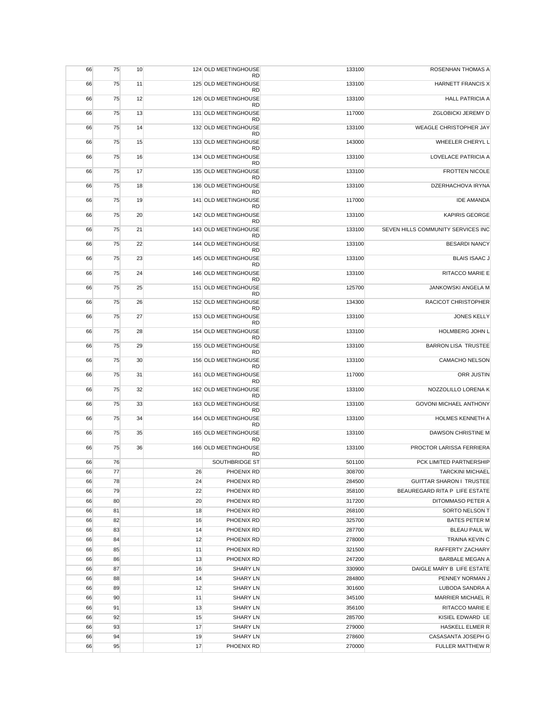| 66 | 75 | 10 |    | 124 OLD MEETINGHOUSE<br><b>RD</b> | 133100 | ROSENHAN THOMAS A                  |
|----|----|----|----|-----------------------------------|--------|------------------------------------|
| 66 | 75 | 11 |    | 125 OLD MEETINGHOUSE<br><b>RD</b> | 133100 | HARNETT FRANCIS X                  |
| 66 | 75 | 12 |    | 126 OLD MEETINGHOUSE<br><b>RD</b> | 133100 | <b>HALL PATRICIA A</b>             |
| 66 | 75 | 13 |    | 131 OLD MEETINGHOUSE              | 117000 | ZGLOBICKI JEREMY D                 |
| 66 | 75 | 14 |    | <b>RD</b><br>132 OLD MEETINGHOUSE | 133100 | WEAGLE CHRISTOPHER JAY             |
| 66 | 75 | 15 |    | <b>RD</b><br>133 OLD MEETINGHOUSE | 143000 | WHEELER CHERYL L                   |
| 66 | 75 | 16 |    | <b>RD</b><br>134 OLD MEETINGHOUSE | 133100 | <b>LOVELACE PATRICIA A</b>         |
| 66 | 75 | 17 |    | <b>RD</b><br>135 OLD MEETINGHOUSE | 133100 | <b>FROTTEN NICOLE</b>              |
| 66 | 75 | 18 |    | <b>RD</b><br>136 OLD MEETINGHOUSE | 133100 | DZERHACHOVA IRYNA                  |
| 66 | 75 | 19 |    | <b>RD</b><br>141 OLD MEETINGHOUSE | 117000 | <b>IDE AMANDA</b>                  |
| 66 | 75 | 20 |    | <b>RD</b><br>142 OLD MEETINGHOUSE | 133100 | <b>KAPIRIS GEORGE</b>              |
| 66 | 75 | 21 |    | <b>RD</b><br>143 OLD MEETINGHOUSE | 133100 | SEVEN HILLS COMMUNITY SERVICES INC |
| 66 | 75 | 22 |    | <b>RD</b><br>144 OLD MEETINGHOUSE | 133100 | <b>BESARDI NANCY</b>               |
| 66 | 75 | 23 |    | <b>RD</b><br>145 OLD MEETINGHOUSE | 133100 | <b>BLAIS ISAAC J</b>               |
| 66 | 75 | 24 |    | <b>RD</b><br>146 OLD MEETINGHOUSE | 133100 | RITACCO MARIE E                    |
| 66 | 75 | 25 |    | <b>RD</b><br>151 OLD MEETINGHOUSE | 125700 | JANKOWSKI ANGELA M                 |
| 66 | 75 | 26 |    | <b>RD</b><br>152 OLD MEETINGHOUSE | 134300 | <b>RACICOT CHRISTOPHER</b>         |
| 66 | 75 | 27 |    | <b>RD</b><br>153 OLD MEETINGHOUSE | 133100 | <b>JONES KELLY</b>                 |
| 66 | 75 | 28 |    | <b>RD</b><br>154 OLD MEETINGHOUSE | 133100 | HOLMBERG JOHN L                    |
| 66 | 75 | 29 |    | <b>RD</b><br>155 OLD MEETINGHOUSE | 133100 | <b>BARRON LISA TRUSTEE</b>         |
|    | 75 | 30 |    | <b>RD</b><br>156 OLD MEETINGHOUSE |        | <b>CAMACHO NELSON</b>              |
| 66 |    |    |    | <b>RD</b>                         | 133100 |                                    |
| 66 | 75 | 31 |    | 161 OLD MEETINGHOUSE<br><b>RD</b> | 117000 | ORR JUSTIN                         |
| 66 | 75 | 32 |    | 162 OLD MEETINGHOUSE<br><b>RD</b> | 133100 | NOZZOLILLO LORENA K                |
| 66 | 75 | 33 |    | 163 OLD MEETINGHOUSE<br><b>RD</b> | 133100 | <b>GOVONI MICHAEL ANTHONY</b>      |
| 66 | 75 | 34 |    | 164 OLD MEETINGHOUSE<br><b>RD</b> | 133100 | <b>HOLMES KENNETH A</b>            |
| 66 | 75 | 35 |    | 165 OLD MEETINGHOUSE<br><b>RD</b> | 133100 | DAWSON CHRISTINE M                 |
| 66 | 75 | 36 |    | 166 OLD MEETINGHOUSE<br><b>RD</b> | 133100 | PROCTOR LARISSA FERRIERA           |
| 66 | 76 |    |    | SOUTHBRIDGE ST                    | 501100 | PCK LIMITED PARTNERSHIP            |
| 66 | 77 |    | 26 | PHOENIX RD                        | 308700 | <b>TARCKINI MICHAEL</b>            |
| 66 | 78 |    | 24 | PHOENIX RD                        | 284500 | <b>GUITTAR SHARON I TRUSTEE</b>    |
| 66 | 79 |    | 22 | PHOENIX RD                        | 358100 | BEAUREGARD RITA P LIFE ESTATE      |
| 66 | 80 |    | 20 | PHOENIX RD                        | 317200 | DITOMMASO PETER A                  |
| 66 | 81 |    | 18 | PHOENIX RD                        | 268100 | SORTO NELSON T                     |
| 66 | 82 |    | 16 | PHOENIX RD                        | 325700 | <b>BATES PETER M</b>               |
| 66 | 83 |    | 14 | PHOENIX RD                        | 287700 | <b>BLEAU PAUL W</b>                |
| 66 | 84 |    | 12 | PHOENIX RD                        | 278000 | TRAINA KEVIN C                     |
| 66 | 85 |    | 11 | PHOENIX RD                        | 321500 | RAFFERTY ZACHARY                   |
| 66 | 86 |    | 13 | PHOENIX RD                        | 247200 | <b>BARBALE MEGAN A</b>             |
| 66 | 87 |    | 16 | <b>SHARY LN</b>                   | 330900 | DAIGLE MARY B LIFE ESTATE          |
| 66 | 88 |    | 14 | <b>SHARY LN</b>                   | 284800 | PENNEY NORMAN J                    |
| 66 | 89 |    | 12 | <b>SHARY LN</b>                   | 301600 | LUBODA SANDRA A                    |
| 66 | 90 |    | 11 | <b>SHARY LN</b>                   | 345100 | MARRIER MICHAEL R                  |
| 66 | 91 |    | 13 | <b>SHARY LN</b>                   | 356100 | RITACCO MARIE E                    |
| 66 | 92 |    | 15 | <b>SHARY LN</b>                   | 285700 | KISIEL EDWARD LE                   |
| 66 | 93 |    | 17 | <b>SHARY LN</b>                   | 279000 | HASKELL ELMER R                    |
| 66 | 94 |    | 19 | <b>SHARY LN</b>                   | 278600 | CASASANTA JOSEPH G                 |
| 66 | 95 |    | 17 | PHOENIX RD                        | 270000 | FULLER MATTHEW R                   |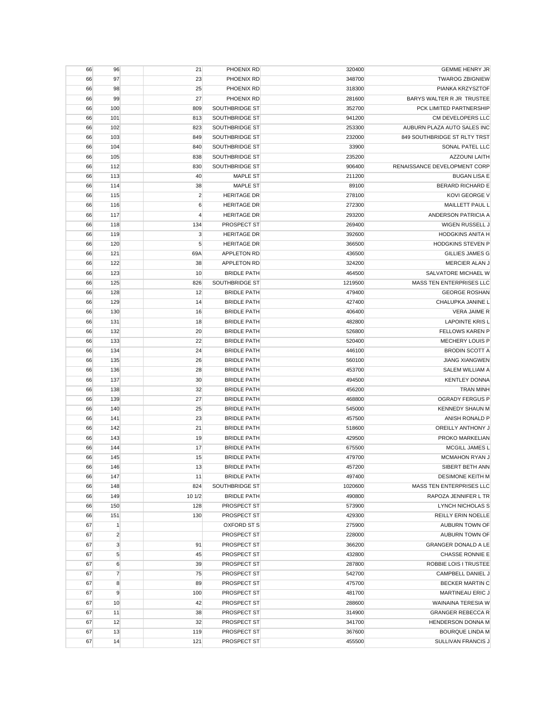| 66 | 96             | 21             | PHOENIX RD         | 320400  | <b>GEMME HENRY JR</b>        |
|----|----------------|----------------|--------------------|---------|------------------------------|
| 66 | 97             | 23             | PHOENIX RD         | 348700  | <b>TWAROG ZBIGNIEW</b>       |
| 66 | 98             | 25             | PHOENIX RD         | 318300  | PIANKA KRZYSZTOF             |
| 66 | 99             | 27             | PHOENIX RD         | 281600  | BARYS WALTER R JR TRUSTEE    |
| 66 | 100            | 809            | SOUTHBRIDGE ST     | 352700  | PCK LIMITED PARTNERSHIP      |
| 66 | 101            | 813            | SOUTHBRIDGE ST     | 941200  | CM DEVELOPERS LLC            |
| 66 | 102            | 823            | SOUTHBRIDGE ST     | 253300  | AUBURN PLAZA AUTO SALES INC  |
| 66 | 103            | 849            | SOUTHBRIDGE ST     | 232000  | 849 SOUTHBRIDGE ST RLTY TRST |
| 66 | 104            | 840            | SOUTHBRIDGE ST     | 33900   | SONAL PATEL LLC              |
| 66 | 105            | 838            | SOUTHBRIDGE ST     | 235200  | <b>AZZOUNI LAITH</b>         |
| 66 | 112            | 830            | SOUTHBRIDGE ST     | 906400  | RENAISSANCE DEVELOPMENT CORP |
| 66 | 113            | 40             | <b>MAPLE ST</b>    | 211200  | <b>BUGAN LISA E</b>          |
| 66 | 114            | 38             | <b>MAPLE ST</b>    | 89100   | <b>BERARD RICHARD E</b>      |
| 66 | 115            | $\overline{2}$ | <b>HERITAGE DR</b> | 278100  | KOVI GEORGE V                |
|    |                |                |                    |         |                              |
| 66 | 116            | 6              | <b>HERITAGE DR</b> | 272300  | MAILLETT PAUL L              |
| 66 | 117            | $\overline{4}$ | <b>HERITAGE DR</b> | 293200  | ANDERSON PATRICIA A          |
| 66 | 118            | 134            | PROSPECT ST        | 269400  | WIGEN RUSSELL J              |
| 66 | 119            | 3              | <b>HERITAGE DR</b> | 392600  | <b>HODGKINS ANITA H</b>      |
| 66 | 120            | 5              | <b>HERITAGE DR</b> | 366500  | <b>HODGKINS STEVEN P</b>     |
| 66 | 121            | 69A            | <b>APPLETON RD</b> | 436500  | <b>GILLIES JAMES G</b>       |
| 66 | 122            | 38             | <b>APPLETON RD</b> | 324200  | MERCIER ALAN J               |
| 66 | 123            | 10             | <b>BRIDLE PATH</b> | 464500  | SALVATORE MICHAEL W          |
| 66 | 125            | 826            | SOUTHBRIDGE ST     | 1219500 | MASS TEN ENTERPRISES LLC     |
| 66 | 128            | 12             | <b>BRIDLE PATH</b> | 479400  | <b>GEORGE ROSHAN</b>         |
| 66 | 129            | 14             | <b>BRIDLE PATH</b> | 427400  | CHALUPKA JANINE L            |
| 66 | 130            | 16             | <b>BRIDLE PATH</b> | 406400  | VERA JAIME R                 |
| 66 | 131            | 18             | <b>BRIDLE PATH</b> | 482800  | <b>LAPOINTE KRIS L</b>       |
| 66 | 132            | 20             | <b>BRIDLE PATH</b> | 526800  | <b>FELLOWS KAREN P</b>       |
| 66 | 133            | 22             | <b>BRIDLE PATH</b> | 520400  | MECHERY LOUIS P              |
| 66 | 134            | 24             | <b>BRIDLE PATH</b> | 446100  | <b>BRODIN SCOTT A</b>        |
| 66 | 135            | 26             | <b>BRIDLE PATH</b> | 560100  | <b>JIANG XIANGWEN</b>        |
| 66 | 136            | 28             | <b>BRIDLE PATH</b> | 453700  | SALEM WILLIAM A              |
| 66 | 137            | 30             | <b>BRIDLE PATH</b> | 494500  | <b>KENTLEY DONNA</b>         |
| 66 | 138            | 32             | <b>BRIDLE PATH</b> | 456200  | <b>TRAN MINH</b>             |
| 66 | 139            | 27             | <b>BRIDLE PATH</b> | 468800  | <b>OGRADY FERGUS P</b>       |
| 66 | 140            | 25             | <b>BRIDLE PATH</b> | 545000  | <b>KENNEDY SHAUN M</b>       |
| 66 | 141            | 23             | <b>BRIDLE PATH</b> | 457500  | ANISH RONALD P               |
| 66 | 142            | 21             | <b>BRIDLE PATH</b> | 518600  | OREILLY ANTHONY J            |
| 66 | 143            | 19             |                    | 429500  | PROKO MARKELIAN              |
|    |                |                | <b>BRIDLE PATH</b> |         |                              |
| 66 | 144            | 17             | <b>BRIDLE PATH</b> | 675500  | MCGILL JAMES L               |
| 66 | 145            | 15             | <b>BRIDLE PATH</b> | 479700  | <b>MCMAHON RYAN J</b>        |
| 66 | 146            | 13             | <b>BRIDLE PATH</b> | 457200  | SIBERT BETH ANN              |
| 66 | 147            | 11             | <b>BRIDLE PATH</b> | 497400  | DESIMONE KEITH M             |
| 66 | 148            | 824            | SOUTHBRIDGE ST     | 1020600 | MASS TEN ENTERPRISES LLC     |
| 66 | 149            | 10 1/2         | <b>BRIDLE PATH</b> | 490800  | RAPOZA JENNIFER L TR         |
| 66 | 150            | 128            | PROSPECT ST        | 573900  | LYNCH NICHOLAS S             |
| 66 | 151            | 130            | PROSPECT ST        | 429300  | REILLY ERIN NOELLE           |
| 67 | 1              |                | OXFORD ST S        | 275900  | AUBURN TOWN OF               |
| 67 | $\overline{2}$ |                | PROSPECT ST        | 228000  | AUBURN TOWN OF               |
| 67 | $\mathbf 3$    | 91             | PROSPECT ST        | 366200  | <b>GRANGER DONALD A LE</b>   |
| 67 | 5              | 45             | PROSPECT ST        | 432800  | <b>CHASSE RONNIE E</b>       |
| 67 | 6              | 39             | PROSPECT ST        | 287800  | ROBBIE LOIS I TRUSTEE        |
| 67 | $\overline{7}$ | 75             | PROSPECT ST        | 542700  | CAMPBELL DANIEL J            |
| 67 | 8              | 89             | PROSPECT ST        | 475700  | <b>BECKER MARTIN C</b>       |
| 67 | 9              | 100            | PROSPECT ST        | 481700  | MARTINEAU ERIC J             |
| 67 | 10             | 42             | PROSPECT ST        | 288600  | WAINAINA TERESIA W           |
| 67 | 11             | 38             | PROSPECT ST        | 314900  | <b>GRANGER REBECCA R</b>     |
| 67 | 12             | 32             | PROSPECT ST        | 341700  | HENDERSON DONNA M            |
| 67 | 13             | 119            | PROSPECT ST        | 367600  | <b>BOURQUE LINDA M</b>       |
| 67 | 14             | 121            | PROSPECT ST        | 455500  | SULLIVAN FRANCIS J           |
|    |                |                |                    |         |                              |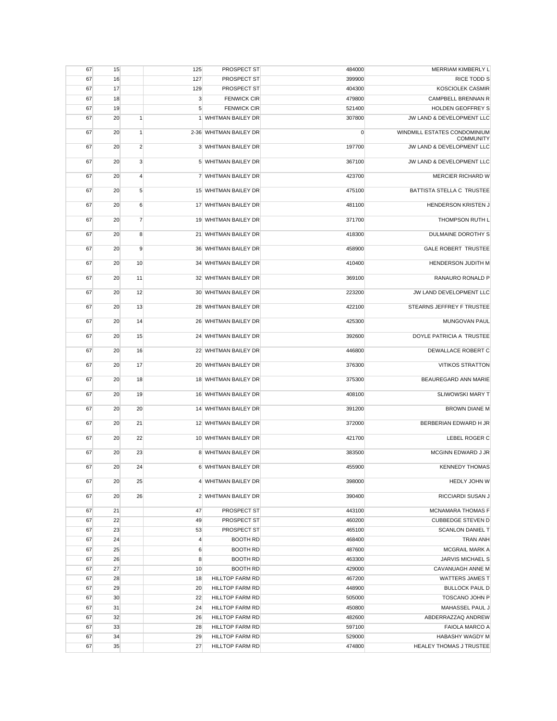| 67 | 15 |                  | 125            | PROSPECT ST            | 484000      | MERRIAM KIMBERLY L                               |
|----|----|------------------|----------------|------------------------|-------------|--------------------------------------------------|
| 67 | 16 |                  | 127            | <b>PROSPECT ST</b>     | 399900      | <b>RICE TODD S</b>                               |
| 67 | 17 |                  | 129            | PROSPECT ST            | 404300      | <b>KOSCIOLEK CASMIR</b>                          |
| 67 | 18 |                  | 3              | <b>FENWICK CIR</b>     | 479800      | CAMPBELL BRENNAN R                               |
| 67 | 19 |                  | 5              | <b>FENWICK CIR</b>     | 521400      | <b>HOLDEN GEOFFREY S</b>                         |
| 67 | 20 | $\mathbf{1}$     |                | 1 WHITMAN BAILEY DR    | 307800      | JW LAND & DEVELOPMENT LLC                        |
| 67 | 20 | $\mathbf{1}$     |                | 2-36 WHITMAN BAILEY DR | $\mathbf 0$ | WINDMILL ESTATES CONDOMINIUM<br><b>COMMUNITY</b> |
| 67 | 20 | $\overline{2}$   |                | 3 WHITMAN BAILEY DR    | 197700      | JW LAND & DEVELOPMENT LLC                        |
| 67 | 20 | 3                |                | 5 WHITMAN BAILEY DR    | 367100      | JW LAND & DEVELOPMENT LLC                        |
| 67 | 20 | $\overline{4}$   |                | 7 WHITMAN BAILEY DR    | 423700      | MERCIER RICHARD W                                |
| 67 | 20 | $5\overline{5}$  |                | 15 WHITMAN BAILEY DR   | 475100      | BATTISTA STELLA C TRUSTEE                        |
| 67 | 20 | $6 \overline{6}$ |                | 17 WHITMAN BAILEY DR   | 481100      | HENDERSON KRISTEN J                              |
| 67 | 20 | $\overline{7}$   |                | 19 WHITMAN BAILEY DR   | 371700      | THOMPSON RUTH L                                  |
| 67 | 20 | 8                |                | 21 WHITMAN BAILEY DR   | 418300      | DULMAINE DOROTHY S                               |
| 67 | 20 | 9                |                | 36 WHITMAN BAILEY DR   | 458900      | <b>GALE ROBERT TRUSTEE</b>                       |
| 67 | 20 | 10               |                | 34 WHITMAN BAILEY DR   | 410400      | HENDERSON JUDITH M                               |
| 67 | 20 | 11               |                | 32 WHITMAN BAILEY DR   | 369100      | RANAURO RONALD P                                 |
| 67 | 20 | 12               |                | 30 WHITMAN BAILEY DR   | 223200      | JW LAND DEVELOPMENT LLC                          |
| 67 | 20 | 13               |                | 28 WHITMAN BAILEY DR   | 422100      | STEARNS JEFFREY F TRUSTEE                        |
| 67 | 20 | 14               |                | 26 WHITMAN BAILEY DR   | 425300      | MUNGOVAN PAUL                                    |
| 67 | 20 | 15               |                | 24 WHITMAN BAILEY DR   | 392600      | DOYLE PATRICIA A TRUSTEE                         |
| 67 | 20 | 16               |                | 22 WHITMAN BAILEY DR   | 446800      | DEWALLACE ROBERT C                               |
| 67 | 20 | 17               |                | 20 WHITMAN BAILEY DR   | 376300      | <b>VITIKOS STRATTON</b>                          |
| 67 | 20 | 18               |                | 18 WHITMAN BAILEY DR   | 375300      | BEAUREGARD ANN MARIE                             |
| 67 | 20 | 19               |                | 16 WHITMAN BAILEY DR   | 408100      | <b>SLIWOWSKI MARY T</b>                          |
| 67 | 20 | 20               |                | 14 WHITMAN BAILEY DR   | 391200      | <b>BROWN DIANE M</b>                             |
| 67 | 20 | 21               |                | 12 WHITMAN BAILEY DR   | 372000      | BERBERIAN EDWARD H JR                            |
| 67 | 20 | 22               |                | 10 WHITMAN BAILEY DR   | 421700      | LEBEL ROGER C                                    |
| 67 | 20 | 23               |                | 8 WHITMAN BAILEY DR    | 383500      | MCGINN EDWARD J JR                               |
| 67 | 20 | 24               |                | 6 WHITMAN BAILEY DR    | 455900      | <b>KENNEDY THOMAS</b>                            |
| 67 | 20 | 25               |                | 4 WHITMAN BAILEY DR    | 398000      | HEDLY JOHN W                                     |
| 67 | 20 | 26               |                | 2 WHITMAN BAILEY DR    | 390400      | RICCIARDI SUSAN J                                |
| 67 | 21 |                  | 47             | PROSPECT ST            | 443100      | <b>MCNAMARA THOMAS F</b>                         |
| 67 | 22 |                  | 49             | PROSPECT ST            | 460200      | <b>CUBBEDGE STEVEN D</b>                         |
| 67 | 23 |                  | 53             | PROSPECT ST            | 465100      | <b>SCANLON DANIEL T</b>                          |
| 67 | 24 |                  | $\overline{4}$ | <b>BOOTH RD</b>        | 468400      | <b>TRAN ANH</b>                                  |
| 67 | 25 |                  | $\,6$          | <b>BOOTH RD</b>        | 487600      | MCGRAIL MARK A                                   |
| 67 | 26 |                  | 8              | <b>BOOTH RD</b>        | 463300      | JARVIS MICHAEL S                                 |
| 67 | 27 |                  | 10             | <b>BOOTH RD</b>        | 429000      | CAVANUAGH ANNE M                                 |
| 67 | 28 |                  | 18             | HILLTOP FARM RD        | 467200      | WATTERS JAMES T                                  |
| 67 | 29 |                  | 20             | <b>HILLTOP FARM RD</b> | 448900      | <b>BULLOCK PAUL D</b>                            |
| 67 | 30 |                  | 22             | HILLTOP FARM RD        | 505000      | <b>TOSCANO JOHN P</b>                            |
| 67 | 31 |                  | 24             | <b>HILLTOP FARM RD</b> | 450800      | MAHASSEL PAUL J                                  |
| 67 | 32 |                  | 26             | <b>HILLTOP FARM RD</b> | 482600      | ABDERRAZZAQ ANDREW                               |
| 67 | 33 |                  | 28             | <b>HILLTOP FARM RD</b> | 597100      | <b>FAIOLA MARCO A</b>                            |
| 67 | 34 |                  | 29             | <b>HILLTOP FARM RD</b> | 529000      | HABASHY WAGDY M                                  |
| 67 | 35 |                  | 27             | HILLTOP FARM RD        | 474800      | HEALEY THOMAS J TRUSTEE                          |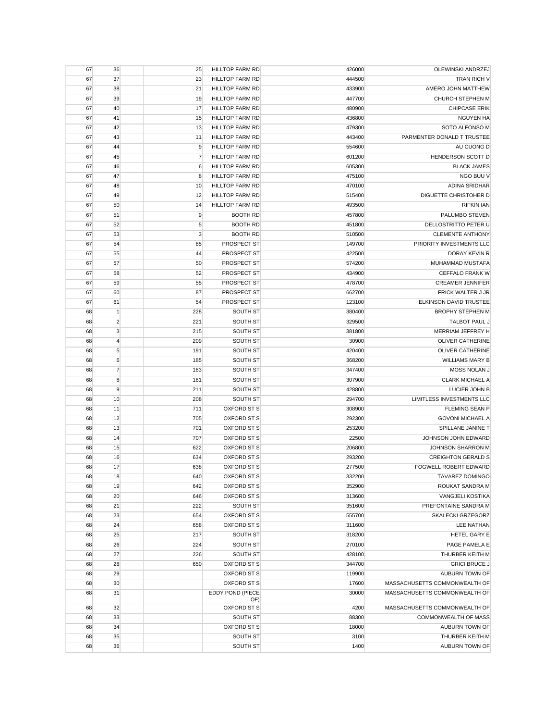| 67 | 36               | 25  | HILLTOP FARM RD         | 426000 | OLEWINSKI ANDRZEJ             |
|----|------------------|-----|-------------------------|--------|-------------------------------|
| 67 | 37               | 23  | <b>HILLTOP FARM RD</b>  | 444500 | TRAN RICH V                   |
| 67 | 38               | 21  | HILLTOP FARM RD         | 433900 | AMERO JOHN MATTHEW            |
| 67 | 39               | 19  | <b>HILLTOP FARM RD</b>  | 447700 | CHURCH STEPHEN M              |
| 67 | 40               | 17  | <b>HILLTOP FARM RD</b>  | 480900 | <b>CHIPCASE ERIK</b>          |
| 67 | 41               | 15  | <b>HILLTOP FARM RD</b>  | 436800 | <b>NGUYEN HA</b>              |
| 67 | 42               | 13  | <b>HILLTOP FARM RD</b>  | 479300 | SOTO ALFONSO M                |
| 67 | 43               | 11  | <b>HILLTOP FARM RD</b>  | 443400 | PARMENTER DONALD T TRUSTEE    |
| 67 | 44               | 9   | <b>HILLTOP FARM RD</b>  | 554600 | AU CUONG D                    |
| 67 | 45               | 7   | <b>HILLTOP FARM RD</b>  | 601200 | HENDERSON SCOTT D             |
| 67 | 46               | 6   | <b>HILLTOP FARM RD</b>  | 605300 | <b>BLACK JAMES</b>            |
| 67 | 47               | 8   | <b>HILLTOP FARM RD</b>  | 475100 | NGO BUU V                     |
| 67 | 48               | 10  | <b>HILLTOP FARM RD</b>  | 470100 | ADINA SRIDHAR                 |
| 67 | 49               | 12  | <b>HILLTOP FARM RD</b>  | 515400 | DIGUETTE CHRISTOHER D         |
| 67 | 50               | 14  | <b>HILLTOP FARM RD</b>  | 493500 | <b>RIFKIN IAN</b>             |
| 67 | 51               | 9   | <b>BOOTH RD</b>         | 457800 | PALUMBO STEVEN                |
| 67 | 52               | 5   | <b>BOOTH RD</b>         | 451800 | DELLOSTRITTO PETER U          |
| 67 | 53               | 3   | <b>BOOTH RD</b>         | 510500 | <b>CLEMENTE ANTHONY</b>       |
| 67 | 54               | 85  | PROSPECT ST             | 149700 | PRIORITY INVESTMENTS LLC      |
| 67 | 55               | 44  | PROSPECT ST             | 422500 | DORAY KEVIN R                 |
| 67 | 57               | 50  | PROSPECT ST             | 574200 | MUHAMMAD MUSTAFA              |
| 67 | 58               | 52  | PROSPECT ST             | 434900 | CEFFALO FRANK W               |
| 67 | 59               | 55  | PROSPECT ST             | 478700 | <b>CREAMER JENNIFER</b>       |
| 67 | 60               | 87  | PROSPECT ST             | 662700 | FRICK WALTER J JR             |
| 67 | 61               | 54  | PROSPECT ST             | 123100 | ELKINSON DAVID TRUSTEE        |
| 68 | $\mathbf{1}$     | 228 | SOUTH ST                | 380400 | <b>BROPHY STEPHEN M</b>       |
| 68 | $\overline{2}$   | 221 | SOUTH ST                | 329500 | TALBOT PAUL J                 |
| 68 | 3                | 215 | SOUTH ST                | 381800 | MERRIAM JEFFREY H             |
| 68 | $\overline{4}$   | 209 | SOUTH ST                | 30900  | <b>OLIVER CATHERINE</b>       |
| 68 | $\sqrt{5}$       | 191 | SOUTH ST                | 420400 | <b>OLIVER CATHERINE</b>       |
| 68 | $\boldsymbol{6}$ | 185 | SOUTH ST                | 368200 | WILLIAMS MARY B               |
| 68 | $\overline{7}$   | 183 | SOUTH ST                | 347400 | <b>MOSS NOLAN J</b>           |
| 68 | 8                | 181 | SOUTH ST                | 307900 | CLARK MICHAEL A               |
| 68 | 9                | 211 | SOUTH ST                | 428800 | LUCIER JOHN B                 |
| 68 | 10               | 208 | SOUTH ST                | 294700 | LIMITLESS INVESTMENTS LLC     |
| 68 | 11               | 711 | OXFORD ST S             | 308900 | <b>FLEMING SEAN P</b>         |
| 68 | 12               | 705 | OXFORD ST S             | 292300 | <b>GOVONI MICHAEL A</b>       |
| 68 | 13               | 701 | OXFORD ST S             | 253200 | SPILLANE JANINE T             |
| 68 | 14               | 707 | OXFORD ST S             | 22500  | JOHNSON JOHN EDWARD           |
| 68 | 15               | 622 | OXFORD ST S             | 206800 | JOHNSON SHARRON M             |
| 68 | 16               | 634 | <b>OXFORD ST S</b>      | 293200 | <b>CREIGHTON GERALD S</b>     |
| 68 | 17               | 638 | OXFORD ST S             | 277500 | FOGWELL ROBERT EDWARD         |
| 68 | 18               | 640 | OXFORD ST S             | 332200 | TAVAREZ DOMINGO               |
| 68 | 19               | 642 | OXFORD ST S             | 352900 | ROUKAT SANDRA M               |
| 68 | 20               | 646 | <b>OXFORD ST S</b>      | 313600 | <b>VANGJELI KOSTIKA</b>       |
| 68 | 21               | 222 | SOUTH ST                | 351600 | PREFONTAINE SANDRA M          |
| 68 | 23               | 654 | OXFORD ST S             | 555700 | SKALECKI GRZEGORZ             |
| 68 | 24               | 658 | OXFORD ST S             | 311600 | LEE NATHAN                    |
| 68 | 25               | 217 | SOUTH ST                | 318200 | HETEL GARY E                  |
| 68 | 26               | 224 | SOUTH ST                | 270100 | PAGE PAMELA E                 |
| 68 | 27               | 226 | SOUTH ST                | 428100 | THURBER KEITH M               |
| 68 | 28               | 650 | <b>OXFORD ST S</b>      | 344700 | <b>GRICI BRUCE J</b>          |
| 68 | 29               |     | OXFORD ST S             | 119900 | AUBURN TOWN OF                |
| 68 | 30               |     | OXFORD ST S             | 17600  | MASSACHUSETTS COMMONWEALTH OF |
| 68 | 31               |     | EDDY POND (PIECE<br>OF) | 30000  | MASSACHUSETTS COMMONWEALTH OF |
| 68 | 32               |     | OXFORD ST S             | 4200   | MASSACHUSETTS COMMONWEALTH OF |
| 68 | 33               |     | SOUTH ST                | 88300  | COMMONWEALTH OF MASS          |
| 68 | 34               |     | OXFORD ST S             | 18000  | AUBURN TOWN OF                |
| 68 | 35               |     | SOUTH ST                | 3100   | THURBER KEITH M               |
| 68 | 36               |     | SOUTH ST                | 1400   | AUBURN TOWN OF                |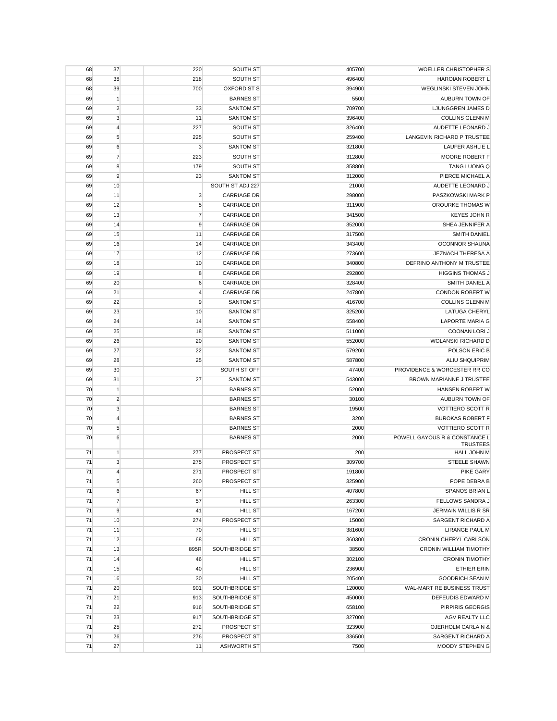| 68       | 37              | 220              | SOUTH ST                         | 405700          | WOELLER CHRISTOPHER S                                    |
|----------|-----------------|------------------|----------------------------------|-----------------|----------------------------------------------------------|
| 68       | 38              | 218              | SOUTH ST                         | 496400          | <b>HAROIAN ROBERT L</b>                                  |
| 68       | 39              | 700              | <b>OXFORD ST S</b>               | 394900          | WEGLINSKI STEVEN JOHN                                    |
| 69       | $\mathbf{1}$    |                  | <b>BARNES ST</b>                 | 5500            | <b>AUBURN TOWN OF</b>                                    |
| 69       | $\overline{2}$  | 33               | <b>SANTOM ST</b>                 | 709700          | LJUNGGREN JAMES D                                        |
| 69       | 3               | 11               | <b>SANTOM ST</b>                 | 396400          | <b>COLLINS GLENN M</b>                                   |
| 69       | $\overline{4}$  | 227              | SOUTH ST                         | 326400          | AUDETTE LEONARD J                                        |
| 69       | 5               | 225              | SOUTH ST                         | 259400          | LANGEVIN RICHARD P TRUSTEE                               |
| 69       | 6               | $\mathbf{3}$     | <b>SANTOM ST</b>                 | 321800          | LAUFER ASHLIE L                                          |
| 69       | $\overline{7}$  | 223              | SOUTH ST                         | 312800          | MOORE ROBERT F                                           |
| 69       | 8               | 179              | SOUTH ST                         | 358800          | <b>TANG LUONG Q</b>                                      |
| 69       | 9               | 23               | <b>SANTOM ST</b>                 | 312000          | PIERCE MICHAEL A                                         |
| 69       | 10              |                  | SOUTH ST ADJ 227                 | 21000           | AUDETTE LEONARD J                                        |
| 69       | 11              | 3                | <b>CARRIAGE DR</b>               | 298000          | PASZKOWSKI MARK P                                        |
| 69       | 12              | 5                | <b>CARRIAGE DR</b>               | 311900          | OROURKE THOMAS W                                         |
| 69       | 13              | $\overline{7}$   | <b>CARRIAGE DR</b>               | 341500          | <b>KEYES JOHN R</b>                                      |
| 69       | 14              | 9                | <b>CARRIAGE DR</b>               | 352000          | SHEA JENNIFER A                                          |
| 69       | 15              | 11               | <b>CARRIAGE DR</b>               | 317500          | <b>SMITH DANIEL</b>                                      |
| 69       | 16              | 14               | <b>CARRIAGE DR</b>               | 343400          | <b>OCONNOR SHAUNA</b>                                    |
| 69       | 17              | 12               | <b>CARRIAGE DR</b>               | 273600          | <b>JEZNACH THERESA A</b>                                 |
| 69       | 18              | 10               | <b>CARRIAGE DR</b>               | 340800          | DEFRINO ANTHONY M TRUSTEE                                |
| 69       | 19              | 8                | <b>CARRIAGE DR</b>               | 292800          | <b>HIGGINS THOMAS J</b>                                  |
| 69       | 20              | $\boldsymbol{6}$ | <b>CARRIAGE DR</b>               | 328400          | SMITH DANIEL A                                           |
| 69       | 21              | 4                | <b>CARRIAGE DR</b>               | 247800          | CONDON ROBERT W                                          |
| 69       | 22              | 9                | <b>SANTOM ST</b>                 | 416700          | <b>COLLINS GLENN M</b>                                   |
| 69       | 23              | 10               | <b>SANTOM ST</b>                 | 325200          | <b>LATUGA CHERYL</b>                                     |
| 69       | 24              | 14               | <b>SANTOM ST</b>                 | 558400          | <b>LAPORTE MARIA G</b>                                   |
| 69       | 25              | 18               | <b>SANTOM ST</b>                 | 511000          | <b>COONAN LORI J</b>                                     |
| 69       | 26              | 20               | <b>SANTOM ST</b>                 | 552000          | WOLANSKI RICHARD D                                       |
|          | 27              | 22               |                                  |                 | POLSON ERIC B                                            |
| 69       |                 |                  | <b>SANTOM ST</b>                 | 579200          | <b>ALIU SHQUIPRIM</b>                                    |
| 69       | 28              | 25               | <b>SANTOM ST</b>                 | 587800          |                                                          |
| 69       | 30<br>31        | 27               | SOUTH ST OFF<br><b>SANTOM ST</b> | 47400<br>543000 | PROVIDENCE & WORCESTER RR CO<br>BROWN MARIANNE J TRUSTEE |
| 69<br>70 | $\mathbf{1}$    |                  | <b>BARNES ST</b>                 | 52000           | HANSEN ROBERT W                                          |
| 70       | $\overline{2}$  |                  | <b>BARNES ST</b>                 | 30100           | AUBURN TOWN OF                                           |
| 70       | 3               |                  | <b>BARNES ST</b>                 | 19500           | <b>VOTTIERO SCOTT R</b>                                  |
| 70       | $\overline{4}$  |                  | <b>BARNES ST</b>                 | 3200            | <b>BUROKAS ROBERT F</b>                                  |
| 70       | 5               |                  | <b>BARNES ST</b>                 | 2000            | <b>VOTTIERO SCOTT R</b>                                  |
| 70       | 6               |                  | <b>BARNES ST</b>                 | 2000            | POWELL GAYOUS R & CONSTANCE L                            |
|          |                 |                  |                                  |                 | <b>TRUSTEES</b>                                          |
| 71       | 1               | 277              | PROSPECT ST                      | 200             | <b>HALL JOHN M</b>                                       |
| 71       | 3               | 275              | PROSPECT ST                      | 309700          | STEELE SHAWN                                             |
| 71       | $\overline{4}$  | 271              | PROSPECT ST                      | 191800          | PIKE GARY                                                |
| 71       | $5\overline{)}$ | 260              | PROSPECT ST                      | 325900          | POPE DEBRA B                                             |
| 71       | 6               | 67               | <b>HILL ST</b>                   | 407800          | SPANOS BRIAN L                                           |
| 71       | $\overline{7}$  | 57               | <b>HILL ST</b>                   | 263300          | FELLOWS SANDRA J                                         |
| 71       | 9               | 41               | <b>HILL ST</b>                   | 167200          | <b>JERMAIN WILLIS R SR</b>                               |
| 71       | 10              | 274              | PROSPECT ST                      | 15000           | SARGENT RICHARD A                                        |
| 71       | 11              | 70               | <b>HILL ST</b>                   | 381600          | <b>LIRANGE PAUL M</b>                                    |
| 71       | 12              | 68               | <b>HILL ST</b>                   | 360300          | CRONIN CHERYL CARLSON                                    |
| 71       | 13              | 895R             | SOUTHBRIDGE ST                   | 38500           | CRONIN WILLIAM TIMOTHY                                   |
| 71       | 14              | 46               | <b>HILL ST</b>                   | 302100          | <b>CRONIN TIMOTHY</b>                                    |
| 71       | 15              | 40               | <b>HILL ST</b>                   | 236900          | <b>ETHIER ERIN</b>                                       |
| 71       | 16              | 30               | <b>HILL ST</b>                   | 205400          | <b>GOODRICH SEAN M</b>                                   |
| 71       | 20              | 901              | SOUTHBRIDGE ST                   | 120000          | WAL-MART RE BUSINESS TRUST                               |
| 71       | 21              | 913              | SOUTHBRIDGE ST                   | 450000          | DEFEUDIS EDWARD M                                        |
| 71       | 22              | 916              | SOUTHBRIDGE ST                   | 658100          | PIRPIRIS GEORGIS                                         |
| 71       | 23              | 917              | SOUTHBRIDGE ST                   | 327000          | AGV REALTY LLC                                           |
| 71       | 25              | 272              | PROSPECT ST                      | 323900          | OJERHOLM CARLA N &                                       |
| 71       | 26              | 276              | PROSPECT ST                      | 336500          | SARGENT RICHARD A                                        |
| 71       | 27              | 11               | <b>ASHWORTH ST</b>               | 7500            | MOODY STEPHEN G                                          |
|          |                 |                  |                                  |                 |                                                          |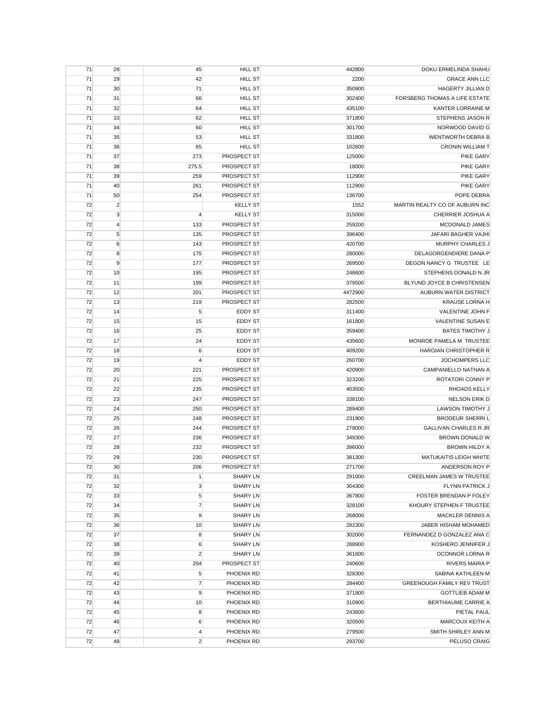| 71 | 28             | 45             | <b>HILL ST</b>     | 442800  | DOKU ERMELINDA SHAHU                 |
|----|----------------|----------------|--------------------|---------|--------------------------------------|
| 71 | 29             | 42             | <b>HILL ST</b>     | 2200    | <b>GRACE ANN LLC</b>                 |
| 71 | 30             | 71             | <b>HILL ST</b>     | 350900  | <b>HAGERTY JILLIAN D</b>             |
| 71 | 31             | 66             | <b>HILL ST</b>     | 302400  | <b>FORSBERG THOMAS A LIFE ESTATE</b> |
| 71 | 32             | 64             | <b>HILL ST</b>     | 435100  | KANTER LORRAINE M                    |
| 71 | 33             | 62             | <b>HILL ST</b>     | 371800  | STEPHENS JASON R                     |
| 71 | 34             | 60             | <b>HILL ST</b>     | 301700  | NORWOOD DAVID G                      |
| 71 | 35             | 53             | <b>HILL ST</b>     | 331800  | <b>WENTWORTH DEBRA B</b>             |
| 71 | 36             | 65             | <b>HILL ST</b>     | 102600  | <b>CRONIN WILLIAM T</b>              |
| 71 | 37             | 273            | PROSPECT ST        | 125000  | <b>PIKE GARY</b>                     |
| 71 | 38             | 275.5          | PROSPECT ST        | 18000   | <b>PIKE GARY</b>                     |
| 71 | 39             | 259            | PROSPECT ST        | 112900  | <b>PIKE GARY</b>                     |
| 71 | 40             | 261            | <b>PROSPECT ST</b> | 112900  | <b>PIKE GARY</b>                     |
|    |                |                |                    |         |                                      |
| 71 | 50             | 254            | PROSPECT ST        | 136700  | POPE DEBRA                           |
| 72 | $\overline{2}$ |                | <b>KELLY ST</b>    | 1552    | MARTIN REALTY CO OF AUBURN INC       |
| 72 | $\mathbf{3}$   | 4              | <b>KELLY ST</b>    | 315000  | CHERRIER JOSHUA A                    |
| 72 | $\overline{4}$ | 133            | PROSPECT ST        | 259200  | MCDONALD JAMES                       |
| 72 | 5              | 135            | PROSPECT ST        | 396400  | JAFARI BAGHER VAJHI                  |
| 72 | 6              | 143            | PROSPECT ST        | 420700  | <b>MURPHY CHARLES J</b>              |
| 72 | 8              | 175            | PROSPECT ST        | 280000  | DELAGORGENDIERE DANA P               |
| 72 | 9              | 177            | PROSPECT ST        | 269500  | DEGON NANCY G TRUSTEE LE             |
| 72 | 10             | 195            | PROSPECT ST        | 248600  | STEPHENS DONALD N JR                 |
| 72 | 11             | 199            | PROSPECT ST        | 379500  | BLYUND JOYCE B CHRISTENSEN           |
| 72 | 12             | 201            | PROSPECT ST        | 4472900 | <b>AUBURN WATER DISTRICT</b>         |
| 72 | 13             | 219            | PROSPECT ST        | 282500  | <b>KRAUSE LORNA H</b>                |
| 72 | 14             | 5              | <b>EDDY ST</b>     | 311400  | VALENTINE JOHN F                     |
| 72 | 15             | 15             | EDDY ST            | 161800  | VALENTINE SUSAN E                    |
| 72 | 16             | 25             | EDDY ST            | 359400  | <b>BATES TIMOTHY J</b>               |
| 72 | 17             | 24             | <b>EDDY ST</b>     | 435600  | MONROE PAMELA M TRUSTEE              |
| 72 | 18             | 6              | EDDY ST            | 409200  | HAROIAN CHRISTOPHER R                |
| 72 | 19             | 4              | EDDY ST            | 260700  | JOCHOMPERS LLC                       |
| 72 | 20             | 221            | PROSPECT ST        | 420900  | CAMPANIELLO NATHAN A                 |
|    |                |                | <b>PROSPECT ST</b> |         | ROTATORI CONNY P                     |
| 72 | 21             | 225            |                    | 323200  |                                      |
| 72 | 22             | 235            | PROSPECT ST        | 403500  | RHOADS KELLY                         |
| 72 | 23             | 247            | PROSPECT ST        | 338100  | <b>NELSON ERIK D</b>                 |
| 72 | 24             | 250            | PROSPECT ST        | 289400  | <b>LAWSON TIMOTHY J</b>              |
| 72 | 25             | 248            | PROSPECT ST        | 231900  | <b>BRODEUR SHERRIL</b>               |
| 72 | 26             | 244            | PROSPECT ST        | 278000  | <b>GALLIVAN CHARLES R JR</b>         |
| 72 | 27             | 236            | PROSPECT ST        | 349300  | BROWN DONALD W                       |
| 72 | 28             | 232            | PROSPECT ST        | 396000  | <b>BROWN HILDY A</b>                 |
| 72 | 29             | 230            | PROSPECT ST        | 381300  | <b>MATUKAITIS LEIGH WHITE</b>        |
| 72 | 30             | 206            | PROSPECT ST        | 271700  | ANDERSON ROY P                       |
| 72 | 31             | 1              | SHARY LN           | 291000  | <b>CREELMAN JAMES W TRUSTEE</b>      |
| 72 | 32             | $\mathsf 3$    | <b>SHARY LN</b>    | 304300  | FLYNN PATRICK J                      |
| 72 | 33             | $\sqrt{5}$     | <b>SHARY LN</b>    | 367800  | FOSTER BRENDAN P FOLEY               |
| 72 | 34             | $\overline{7}$ | <b>SHARY LN</b>    | 328100  | KHOURY STEPHEN F TRUSTEE             |
| 72 | 35             | 9              | <b>SHARY LN</b>    | 268000  | <b>MACKLER DENNIS A</b>              |
| 72 | 36             | 10             | <b>SHARY LN</b>    | 282300  | JABER HISHAM MOHAMED                 |
| 72 | 37             | 8              | <b>SHARY LN</b>    | 302000  | FERNANDEZ D GONZALEZ ANA C           |
| 72 | 38             | 6              | <b>SHARY LN</b>    | 288900  | KOSHERO JENNIFER J                   |
| 72 | 39             | $\overline{2}$ | <b>SHARY LN</b>    | 361600  | OCONNOR LORNA R                      |
| 72 | 40             | 204            | PROSPECT ST        | 240600  | <b>RIVERS MAIRA P</b>                |
| 72 | 41             | 5              | PHOENIX RD         | 328300  | SABINA KATHLEEN M                    |
| 72 | 42             | $\overline{7}$ | PHOENIX RD         | 284400  | GREENOUGH FAMILY REV TRUST           |
| 72 | 43             | 9              | PHOENIX RD         | 371900  | <b>GOTTLIEB ADAM M</b>               |
|    |                |                |                    |         |                                      |
| 72 | 44             | 10             | PHOENIX RD         | 310900  | BERTHIAUME CARRIE A                  |
| 72 | 45             | 8              | PHOENIX RD         | 243600  | PIETAL PAUL                          |
| 72 | 46             | 6              | PHOENIX RD         | 320500  | MARCOUX KEITH A                      |
| 72 | 47             | $\overline{4}$ | PHOENIX RD         | 279500  | SMITH SHIRLEY ANN M                  |
| 72 | 48             | $\overline{c}$ | PHOENIX RD         | 293700  | PELUSO CRAIG                         |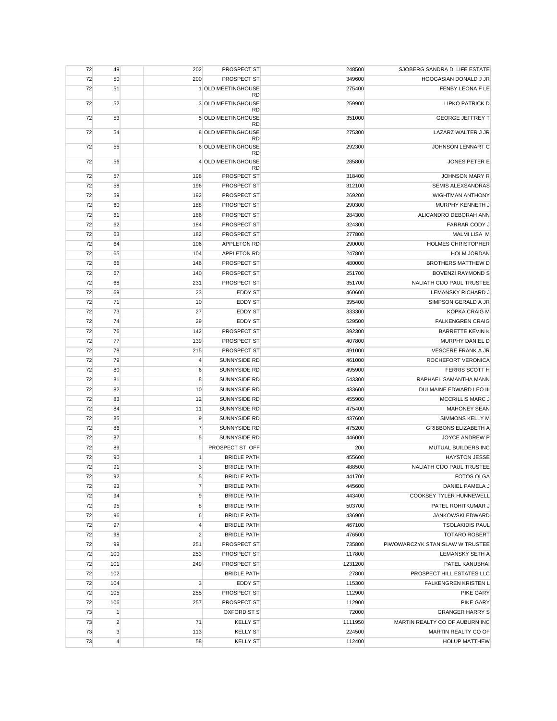| 72 | 49             | 202            | PROSPECT ST                     | 248500  | SJOBERG SANDRA D LIFE ESTATE    |
|----|----------------|----------------|---------------------------------|---------|---------------------------------|
| 72 | 50             | 200            | PROSPECT ST                     | 349600  | HOOGASIAN DONALD J JR           |
| 72 | 51             |                | 1 OLD MEETINGHOUSE<br><b>RD</b> | 275400  | FENBY LEONA F LE                |
| 72 | 52             |                | 3 OLD MEETINGHOUSE<br><b>RD</b> | 259900  | <b>LIPKO PATRICK D</b>          |
| 72 | 53             |                | 5 OLD MEETINGHOUSE<br><b>RD</b> | 351000  | <b>GEORGE JEFFREY T</b>         |
| 72 | 54             |                | 8 OLD MEETINGHOUSE<br><b>RD</b> | 275300  | LAZARZ WALTER J JR              |
| 72 | 55             |                | 6 OLD MEETINGHOUSE<br><b>RD</b> | 292300  | JOHNSON LENNART C               |
| 72 | 56             |                | 4 OLD MEETINGHOUSE<br><b>RD</b> | 285800  | <b>JONES PETER E</b>            |
| 72 | 57             | 198            | PROSPECT ST                     | 318400  | JOHNSON MARY R                  |
| 72 | 58             | 196            | <b>PROSPECT ST</b>              | 312100  | <b>SEMIS ALEXSANDRAS</b>        |
| 72 | 59             | 192            | PROSPECT ST                     | 269200  | WIGHTMAN ANTHONY                |
| 72 | 60             | 188            | PROSPECT ST                     | 290300  | MURPHY KENNETH J                |
| 72 | 61             | 186            | PROSPECT ST                     | 284300  | ALICANDRO DEBORAH ANN           |
| 72 | 62             | 184            | PROSPECT ST                     | 324300  | <b>FARRAR CODY J</b>            |
| 72 | 63             | 182            | PROSPECT ST                     | 277800  | <b>MALMI LISA M</b>             |
| 72 | 64             | 106            | <b>APPLETON RD</b>              | 290000  | <b>HOLMES CHRISTOPHER</b>       |
| 72 | 65             | 104            | APPLETON RD                     | 247800  | <b>HOLM JORDAN</b>              |
| 72 | 66             | 146            | PROSPECT ST                     | 480000  | <b>BROTHERS MATTHEW D</b>       |
| 72 | 67             | 140            | PROSPECT ST                     | 251700  | <b>BOVENZI RAYMOND S</b>        |
| 72 | 68             | 231            | PROSPECT ST                     | 351700  | NALIATH CIJO PAUL TRUSTEE       |
| 72 | 69             | 23             | <b>EDDY ST</b>                  | 460600  | LEMANSKY RICHARD J              |
|    |                |                |                                 |         |                                 |
| 72 | 71             | 10             | EDDY ST                         | 395400  | SIMPSON GERALD A JR             |
| 72 | 73             | 27             | <b>EDDY ST</b>                  | 333300  | <b>KOPKA CRAIG M</b>            |
| 72 | 74             | 29             | <b>EDDY ST</b>                  | 529500  | <b>FALKENGREN CRAIG</b>         |
| 72 | 76             | 142            | PROSPECT ST                     | 392300  | <b>BARRETTE KEVIN K</b>         |
| 72 | 77             | 139            | PROSPECT ST                     | 407800  | MURPHY DANIEL D                 |
| 72 | 78             | 215            | PROSPECT ST                     | 491000  | VESCERE FRANK A JR              |
| 72 | 79             | 4              | SUNNYSIDE RD                    | 461000  | ROCHEFORT VERONICA              |
| 72 | 80             | 6              | SUNNYSIDE RD                    | 495900  | FERRIS SCOTT H                  |
| 72 | 81             | 8              | SUNNYSIDE RD                    | 543300  | RAPHAEL SAMANTHA MANN           |
| 72 | 82             | 10             | SUNNYSIDE RD                    | 433600  | DULMAINE EDWARD LEO III         |
| 72 | 83             | 12             | SUNNYSIDE RD                    | 455900  | MCCRILLIS MARC J                |
| 72 | 84             | 11             | SUNNYSIDE RD                    | 475400  | <b>MAHONEY SEAN</b>             |
| 72 | 85             | 9              | SUNNYSIDE RD                    | 437600  | SIMMONS KELLY M                 |
| 72 | 86             | $\overline{7}$ | SUNNYSIDE RD                    | 475200  | <b>GRIBBONS ELIZABETH A</b>     |
| 72 | 87             | 5              | SUNNYSIDE RD                    | 446000  | JOYCE ANDREW P                  |
| 72 | 89             |                | PROSPECT ST OFF                 | 200     | MUTUAL BUILDERS INC             |
| 72 | 90             | $\mathbf{1}$   | <b>BRIDLE PATH</b>              | 455600  | <b>HAYSTON JESSE</b>            |
|    |                |                |                                 |         |                                 |
| 72 | 91             | 3              | <b>BRIDLE PATH</b>              | 488500  | NALIATH CIJO PAUL TRUSTEE       |
| 72 | 92             | 5              | <b>BRIDLE PATH</b>              | 441700  | <b>FOTOS OLGA</b>               |
| 72 | 93             | $\overline{7}$ | <b>BRIDLE PATH</b>              | 445600  | DANIEL PAMELA J                 |
| 72 | 94             | 9              | <b>BRIDLE PATH</b>              | 443400  | COOKSEY TYLER HUNNEWELL         |
| 72 | 95             | 8              | <b>BRIDLE PATH</b>              | 503700  | PATEL ROHITKUMAR J              |
| 72 | 96             | $\,6$          | <b>BRIDLE PATH</b>              | 436900  | JANKOWSKI EDWARD                |
| 72 | 97             | $\overline{4}$ | <b>BRIDLE PATH</b>              | 467100  | <b>TSOLAKIDIS PAUL</b>          |
| 72 | 98             | $\overline{2}$ | <b>BRIDLE PATH</b>              | 476500  | <b>TOTARO ROBERT</b>            |
| 72 | 99             | 251            | PROSPECT ST                     | 735800  | PIWOWARCZYK STANISLAW W TRUSTEE |
| 72 | 100            | 253            | PROSPECT ST                     | 117800  | LEMANSKY SETH A                 |
| 72 | 101            | 249            | PROSPECT ST                     | 1231200 | PATEL KANUBHAI                  |
| 72 | 102            |                | <b>BRIDLE PATH</b>              | 27800   | PROSPECT HILL ESTATES LLC       |
| 72 | 104            | 3              | <b>EDDY ST</b>                  | 115300  | <b>FALKENGREN KRISTEN L</b>     |
| 72 | 105            | 255            | PROSPECT ST                     | 112900  | PIKE GARY                       |
| 72 | 106            | 257            | PROSPECT ST                     | 112900  | <b>PIKE GARY</b>                |
| 73 | $\mathbf{1}$   |                | <b>OXFORD ST S</b>              | 72000   | <b>GRANGER HARRY S</b>          |
|    |                |                |                                 |         |                                 |
| 73 | $\overline{2}$ | 71             | <b>KELLY ST</b>                 | 1111950 | MARTIN REALTY CO OF AUBURN INC  |
| 73 | $\mathbf{3}$   | 113            | <b>KELLY ST</b>                 | 224500  | MARTIN REALTY CO OF             |
| 73 | $\overline{4}$ | 58             | <b>KELLY ST</b>                 | 112400  | <b>HOLUP MATTHEW</b>            |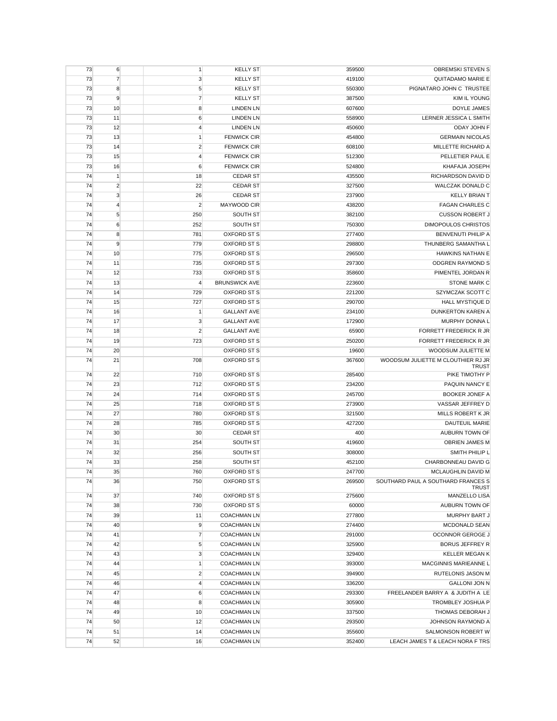| 73       | 6              | 1              | <b>KELLY ST</b>                          | 359500           | <b>OBREMSKI STEVEN S</b>                               |
|----------|----------------|----------------|------------------------------------------|------------------|--------------------------------------------------------|
| 73       | $\overline{7}$ | 3              | <b>KELLY ST</b>                          | 419100           | QUITADAMO MARIE E                                      |
| 73       | 8              | 5              | <b>KELLY ST</b>                          | 550300           | PIGNATARO JOHN C TRUSTEE                               |
| 73       | 9              | $\overline{7}$ | <b>KELLY ST</b>                          | 387500           | KIM IL YOUNG                                           |
| 73       | 10             | 8              | <b>LINDEN LN</b>                         | 607600           | DOYLE JAMES                                            |
| 73       | 11             | 6              | <b>LINDEN LN</b>                         | 558900           | LERNER JESSICA L SMITH                                 |
| 73       | 12             | 4              | <b>LINDEN LN</b>                         | 450600           | ODAY JOHN F                                            |
| 73       | 13             | 1              | <b>FENWICK CIR</b>                       | 454800           | <b>GERMAIN NICOLAS</b>                                 |
| 73       | 14             | $\overline{c}$ | <b>FENWICK CIR</b>                       | 608100           | MILLETTE RICHARD A                                     |
| 73       | 15             | 4              | <b>FENWICK CIR</b>                       | 512300           | PELLETIER PAUL E                                       |
| 73       | 16             | 6              | <b>FENWICK CIR</b>                       | 524800           | KHAFAJA JOSEPH                                         |
|          |                |                |                                          |                  |                                                        |
| 74       | $\vert$ 1      | 18             | <b>CEDAR ST</b>                          | 435500           | RICHARDSON DAVID D                                     |
| 74       | $\overline{c}$ | 22             | <b>CEDAR ST</b>                          | 327500           | WALCZAK DONALD C                                       |
| 74       | $\mathbf{3}$   | 26             | <b>CEDAR ST</b>                          | 237900           | <b>KELLY BRIAN T</b>                                   |
| 74       | $\overline{4}$ | $\overline{2}$ | MAYWOOD CIR                              | 438200           | <b>FAGAN CHARLES C</b>                                 |
| 74       | 5              | 250            | SOUTH ST                                 | 382100           | <b>CUSSON ROBERT J</b>                                 |
| 74       | 6              | 252            | SOUTH ST                                 | 750300           | DIMOPOULOS CHRISTOS                                    |
| 74       | 8              | 781            | OXFORD ST S                              | 277400           | <b>BENVENUTI PHILIP A</b>                              |
| 74       | 9              | 779            | OXFORD ST S                              | 298800           | THUNBERG SAMANTHA L                                    |
| 74       | 10             | 775            | OXFORD ST S                              | 296500           | <b>HAWKINS NATHAN E</b>                                |
| 74       | 11             | 735            | OXFORD ST S                              | 297300           | <b>ODGREN RAYMOND S</b>                                |
| 74       | 12             | 733            | OXFORD ST S                              | 358600           | PIMENTEL JORDAN R                                      |
| 74       | 13             | $\overline{4}$ | <b>BRUNSWICK AVE</b>                     | 223600           | <b>STONE MARK C</b>                                    |
| 74       | 14             | 729            | OXFORD ST S                              | 221200           | SZYMCZAK SCOTT C                                       |
| 74       | 15             | 727            | <b>OXFORD ST S</b>                       | 290700           | <b>HALL MYSTIQUE D</b>                                 |
| 74       | 16             | $\mathbf{1}$   | <b>GALLANT AVE</b>                       | 234100           | DUNKERTON KAREN A                                      |
| 74       |                |                | <b>GALLANT AVE</b>                       |                  | MURPHY DONNA L                                         |
|          | 17             | 3              |                                          | 172900           |                                                        |
| 74       | 18             | $\overline{2}$ | <b>GALLANT AVE</b>                       | 65900            | FORRETT FREDERICK R JR                                 |
| 74       | 19             | 723            | OXFORD ST S                              | 250200           | FORRETT FREDERICK R JR                                 |
| 74       | 20             |                | OXFORD ST S                              | 19600            | WOODSUM JULIETTE M                                     |
| 74       | 21             | 708            | OXFORD ST S                              | 367600           | WOODSUM JULIETTE M CLOUTHIER RJ JR<br><b>TRUST</b>     |
| 74       | 22             | 710            | OXFORD ST S                              | 285400           | PIKE TIMOTHY P                                         |
| 74       | 23             | 712            | OXFORD ST S                              | 234200           | PAQUIN NANCY E                                         |
| 74       | 24             | 714            | OXFORD ST S                              | 245700           | <b>BOOKER JONEF A</b>                                  |
| 74       |                |                | OXFORD ST S                              |                  |                                                        |
|          | 25             | 718            |                                          | 273900           | VASSAR JEFFREY D                                       |
| 74       | 27             | 780            | OXFORD ST S                              | 321500           | MILLS ROBERT K JR                                      |
| 74       | 28             | 785            | OXFORD ST S                              | 427200           | <b>DAUTEUIL MARIE</b>                                  |
| 74       | 30             | 30             | <b>CEDAR ST</b>                          | 400              | AUBURN TOWN OF                                         |
| 74       | 31             | 254            | SOUTH ST                                 | 419600           | OBRIEN JAMES M                                         |
| 74       | 32             | 256            | SOUTH ST                                 | 308000           | SMITH PHILIP L                                         |
| 74       | 33             | 258            | SOUTH ST                                 | 452100           | CHARBONNEAU DAVID G                                    |
| 74       | 35             | 760            | <b>OXFORD ST S</b>                       | 247700           | MCLAUGHLIN DAVID M                                     |
| 74       | 36             | 750            | OXFORD ST S                              | 269500           | SOUTHARD PAUL A SOUTHARD FRANCES S                     |
|          |                |                |                                          |                  | <b>TRUST</b>                                           |
| 74       | 37             | 740            | OXFORD ST S                              | 275600           | MANZELLO LISA                                          |
| 74       | 38             | 730            | OXFORD ST S                              | 60000            | AUBURN TOWN OF                                         |
| 74       | 39             | 11             | <b>COACHMAN LN</b>                       | 277800           | MURPHY BART J                                          |
| 74       | 40             | 9              | <b>COACHMAN LN</b>                       | 274400           | MCDONALD SEAN                                          |
| 74       | 41             | $\overline{7}$ | <b>COACHMAN LN</b>                       | 291000           | OCONNOR GEROGE J                                       |
| 74       | 42             | 5              | <b>COACHMAN LN</b>                       | 325900           | <b>BORUS JEFFREY R</b>                                 |
| 74       | 43             | 3              | <b>COACHMAN LN</b>                       | 329400           | <b>KELLER MEGAN K</b>                                  |
| 74       | 44             | 1              | <b>COACHMAN LN</b>                       | 393000           | MACGINNIS MARIEANNE L                                  |
| 74       |                | $\overline{c}$ | <b>COACHMAN LN</b>                       | 394900           | RUTELONIS JASON M                                      |
|          | 45             |                |                                          |                  |                                                        |
| 74       | 46             | $\overline{4}$ | <b>COACHMAN LN</b>                       | 336200           | <b>GALLONI JON N</b>                                   |
| 74       | 47             | 6              | <b>COACHMAN LN</b>                       | 293300           | FREELANDER BARRY A & JUDITH A LE                       |
| 74       | 48             |                |                                          |                  |                                                        |
|          |                | 8              | <b>COACHMAN LN</b>                       | 305900           | TROMBLEY JOSHUA P                                      |
| 74       | 49             | 10             | <b>COACHMAN LN</b>                       | 337500           | THOMAS DEBORAH J                                       |
| 74       | 50             | 12             | <b>COACHMAN LN</b>                       | 293500           | JOHNSON RAYMOND A                                      |
| 74<br>74 | 51<br>52       | 14<br>16       | <b>COACHMAN LN</b><br><b>COACHMAN LN</b> | 355600<br>352400 | SALMONSON ROBERT W<br>LEACH JAMES T & LEACH NORA F TRS |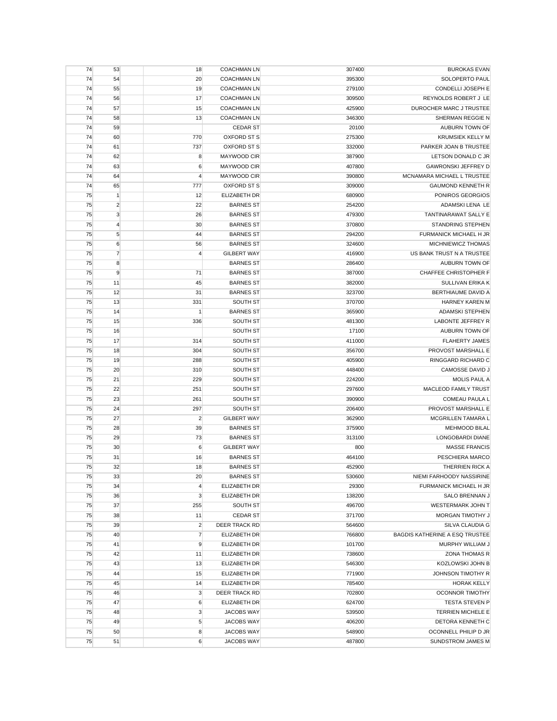| 74 | 53             | 18  | <b>COACHMAN LN</b>                               | 307400 | <b>BUROKAS EVAN</b>                       |
|----|----------------|-----|--------------------------------------------------|--------|-------------------------------------------|
| 74 | 54             | 20  | <b>COACHMAN LN</b>                               | 395300 | SOLOPERTO PAUL                            |
| 74 | 55             | 19  | <b>COACHMAN LN</b>                               | 279100 | CONDELLI JOSEPH E                         |
| 74 | 56             | 17  | <b>COACHMAN LN</b>                               | 309500 | REYNOLDS ROBERT J LE                      |
| 74 | 57             | 15  | <b>COACHMAN LN</b>                               | 425900 | DUROCHER MARC J TRUSTEE                   |
| 74 | 58             | 13  | <b>COACHMAN LN</b>                               | 346300 | SHERMAN REGGIE N                          |
| 74 | 59             |     | <b>CEDAR ST</b>                                  | 20100  | AUBURN TOWN OF                            |
| 74 | 60             | 770 | OXFORD ST S                                      | 275300 | <b>KRUMSIEK KELLY M</b>                   |
| 74 | 61             | 737 | OXFORD ST S                                      | 332000 | PARKER JOAN B TRUSTEE                     |
| 74 | 62             |     | 8<br>MAYWOOD CIR                                 | 387900 | LETSON DONALD C JR                        |
|    |                |     | MAYWOOD CIR                                      |        | <b>GAWRONSKI JEFFREY D</b>                |
| 74 | 63             |     | 6                                                | 407800 |                                           |
| 74 | 64             |     | 4<br>MAYWOOD CIR                                 | 390800 | MCNAMARA MICHAEL L TRUSTEE                |
| 74 | 65             | 777 | <b>OXFORD ST S</b>                               | 309000 | <b>GAUMOND KENNETH R</b>                  |
| 75 | $\mathbf{1}$   | 12  | ELIZABETH DR                                     | 680900 | PONIROS GEORGIOS                          |
| 75 | $\overline{2}$ | 22  | <b>BARNES ST</b>                                 | 254200 | ADAMSKI LENA LE                           |
| 75 | 3              | 26  | <b>BARNES ST</b>                                 | 479300 | TANTINARAWAT SALLY E                      |
| 75 | $\overline{4}$ | 30  | <b>BARNES ST</b>                                 | 370800 | <b>STANDRING STEPHEN</b>                  |
| 75 | 5              | 44  | <b>BARNES ST</b>                                 | 294200 | FURMANICK MICHAEL H JR                    |
| 75 | 6              | 56  | <b>BARNES ST</b>                                 | 324600 | MICHNIEWICZ THOMAS                        |
| 75 | $\overline{7}$ |     | <b>GILBERT WAY</b><br>4                          | 416900 | US BANK TRUST N A TRUSTEE                 |
| 75 | 8              |     | <b>BARNES ST</b>                                 | 286400 | AUBURN TOWN OF                            |
| 75 | 9              | 71  | <b>BARNES ST</b>                                 | 387000 | CHAFFEE CHRISTOPHER F                     |
| 75 | 11             | 45  | <b>BARNES ST</b>                                 | 382000 | SULLIVAN ERIKA K                          |
| 75 | 12             | 31  | <b>BARNES ST</b>                                 | 323700 | BERTHIAUME DAVID A                        |
| 75 | 13             | 331 | SOUTH ST                                         | 370700 | <b>HARNEY KAREN M</b>                     |
| 75 | 14             |     | $\mathbf{1}$<br><b>BARNES ST</b>                 | 365900 | <b>ADAMSKI STEPHEN</b>                    |
| 75 | 15             | 336 | SOUTH ST                                         | 481300 | LABONTE JEFFREY R                         |
| 75 | 16             |     | SOUTH ST                                         | 17100  | AUBURN TOWN OF                            |
| 75 | 17             | 314 | SOUTH ST                                         | 411000 | <b>FLAHERTY JAMES</b>                     |
| 75 | 18             | 304 | SOUTH ST                                         | 356700 | PROVOST MARSHALL E                        |
|    |                | 288 | SOUTH ST                                         | 405900 | RINGGARD RICHARD C                        |
| 75 | 19             |     |                                                  |        |                                           |
| 75 | 20             | 310 | SOUTH ST                                         | 448400 | CAMOSSE DAVID J                           |
| 75 | 21             | 229 | SOUTH ST                                         | 224200 | <b>MOLIS PAUL A</b>                       |
| 75 | 22             | 251 | SOUTH ST                                         | 297600 | MACLEOD FAMILY TRUST                      |
| 75 | 23             | 261 | SOUTH ST                                         | 390900 | COMEAU PAULA L                            |
| 75 | 24             | 297 | SOUTH ST                                         | 206400 |                                           |
| 75 | 27             |     |                                                  |        | PROVOST MARSHALL E                        |
| 75 |                |     | $\overline{2}$<br><b>GILBERT WAY</b>             | 362900 | MCGRILLEN TAMARA L                        |
|    | 28             | 39  | <b>BARNES ST</b>                                 | 375900 | <b>MEHMOOD BILAL</b>                      |
| 75 | 29             | 73  | <b>BARNES ST</b>                                 | 313100 | LONGOBARDI DIANE                          |
| 75 | 30             |     | 6<br><b>GILBERT WAY</b>                          | 800    | <b>MASSE FRANCIS</b>                      |
| 75 | 31             | 16  | <b>BARNES ST</b>                                 | 464100 | PESCHIERA MARCO                           |
| 75 | 32             | 18  | <b>BARNES ST</b>                                 | 452900 | THERRIEN RICK A                           |
| 75 | 33             | 20  | <b>BARNES ST</b>                                 | 530600 | NIEMI FARHOODY NASSIRINE                  |
| 75 | 34             |     | $\overline{4}$<br>ELIZABETH DR                   | 29300  | FURMANICK MICHAEL H JR                    |
| 75 | 36             |     | 3<br>ELIZABETH DR                                | 138200 | SALO BRENNAN J                            |
| 75 | 37             | 255 | SOUTH ST                                         | 496700 | WESTERMARK JOHN T                         |
|    |                |     |                                                  |        |                                           |
| 75 | 38             | 11  | <b>CEDAR ST</b>                                  | 371700 | <b>MORGAN TIMOTHY J</b>                   |
| 75 | 39             |     | $\overline{c}$<br>DEER TRACK RD                  | 564600 | SILVA CLAUDIA G                           |
| 75 | 40             |     | $\overline{7}$<br><b>ELIZABETH DR</b>            | 766800 | <b>BAGDIS KATHERINE A ESQ TRUSTEE</b>     |
| 75 | 41             |     | 9<br>ELIZABETH DR                                | 101700 | MURPHY WILLIAM J                          |
| 75 | 42             | 11  | ELIZABETH DR                                     | 738600 | ZONA THOMAS R                             |
| 75 | 43             | 13  | ELIZABETH DR                                     | 546300 | KOZLOWSKI JOHN B                          |
| 75 | 44             | 15  | ELIZABETH DR                                     | 771900 | JOHNSON TIMOTHY R                         |
| 75 | 45             | 14  | ELIZABETH DR                                     | 785400 | <b>HORAK KELLY</b>                        |
| 75 | 46             |     | 3<br>DEER TRACK RD                               | 702800 | OCONNOR TIMOTHY                           |
| 75 | 47             |     | 6<br>ELIZABETH DR                                | 624700 | <b>TESTA STEVEN P</b>                     |
| 75 | 48             |     | 3<br><b>JACOBS WAY</b>                           | 539500 | <b>TERRIEN MICHELE E</b>                  |
| 75 | 49             |     | 5<br><b>JACOBS WAY</b>                           | 406200 | DETORA KENNETH C                          |
| 75 | 50             |     | 8<br><b>JACOBS WAY</b><br>6<br><b>JACOBS WAY</b> | 548900 | OCONNELL PHILIP D JR<br>SUNDSTROM JAMES M |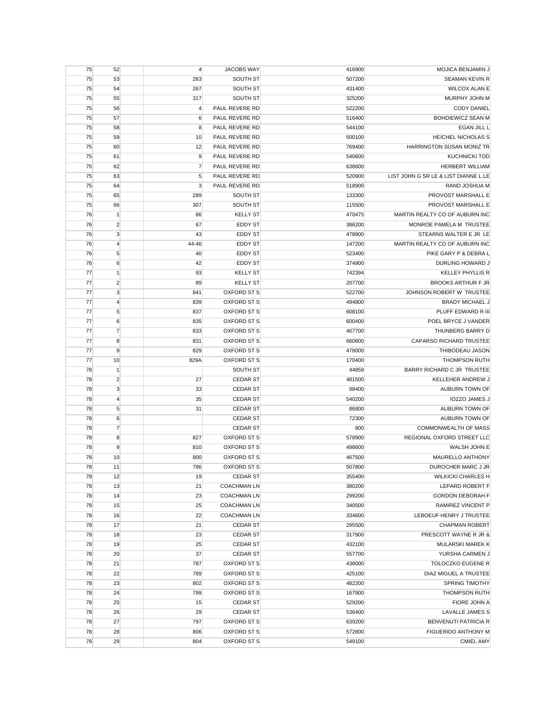| 75 | 52             | $\overline{4}$ | <b>JACOBS WAY</b>  | 416900 | <b>MOJICA BENJAMIN J</b>             |
|----|----------------|----------------|--------------------|--------|--------------------------------------|
| 75 | 53             | 263            | SOUTH ST           | 507200 | <b>SEAMAN KEVIN R</b>                |
| 75 | 54             | 267            | SOUTH ST           | 431400 | <b>WILCOX ALAN E</b>                 |
| 75 | 55             | 317            | SOUTH ST           | 325200 | MURPHY JOHN M                        |
| 75 | 56             | $\overline{4}$ | PAUL REVERE RD     | 522200 | <b>CODY DANIEL</b>                   |
| 75 | 57             | 6              | PAUL REVERE RD     | 516400 | BOHDIEWICZ SEAN M                    |
| 75 | 58             | 8              | PAUL REVERE RD     | 544100 | <b>EGAN JILL L</b>                   |
| 75 | 59             | 10             | PAUL REVERE RD     | 500100 | <b>HEICHEL NICHOLAS S</b>            |
| 75 | 60             | 12             | PAUL REVERE RD     | 769400 | HARRINGTON SUSAN MONIZ TR            |
| 75 | 61             | 9              | PAUL REVERE RD     | 540600 | <b>KUCHNICKI TOD</b>                 |
| 75 | 62             | $\overline{7}$ | PAUL REVERE RD     | 638600 | <b>HERBERT WILLIAM</b>               |
| 75 | 63             | 5              | PAUL REVERE RD     | 520900 | LIST JOHN G SR LE & LIST DIANNE L LE |
| 75 | 64             | 3              | PAUL REVERE RD     | 518900 | RAND JOSHUA M                        |
| 75 | 65             | 289            | SOUTH ST           | 133300 | PROVOST MARSHALL E                   |
|    |                |                |                    |        | PROVOST MARSHALL E                   |
| 75 | 66             | 307            | SOUTH ST           | 115500 |                                      |
| 76 | $\vert$ 1      | 86             | <b>KELLY ST</b>    | 470475 | MARTIN REALTY CO OF AUBURN INC       |
| 76 | $\overline{c}$ | 67             | EDDY ST            | 386200 | MONROE PAMELA M TRUSTEE              |
| 76 | $\mathbf{3}$   | 43             | EDDY ST            | 478900 | STEARNS WALTER E JR LE               |
| 76 | $\overline{4}$ | 44-46          | EDDY ST            | 147200 | MARTIN REALTY CO OF AUBURN INC       |
| 76 | 5              | 40             | <b>EDDY ST</b>     | 523400 | PIKE GARY P & DEBRA L                |
| 76 | 6              | 42             | <b>EDDY ST</b>     | 374900 | <b>DURLING HOWARD J</b>              |
| 77 | $\mathbf{1}$   | 93             | <b>KELLY ST</b>    | 742394 | <b>KELLEY PHYLLIS R</b>              |
| 77 | $\overline{2}$ | 89             | <b>KELLY ST</b>    | 207700 | <b>BROOKS ARTHUR F JR</b>            |
| 77 | 3              | 841            | OXFORD ST S        | 522700 | JOHNSON ROBERT W TRUSTEE             |
| 77 | $\overline{4}$ | 839            | OXFORD ST S        | 494800 | <b>BRADY MICHAEL J</b>               |
| 77 | 5              | 837            | OXFORD ST S        | 608100 | PLUFF EDWARD R III                   |
| 77 | 6              | 835            | OXFORD ST S        | 600400 | POEL BRYCE J VANDER                  |
| 77 | $\overline{7}$ | 833            | OXFORD ST S        | 467700 | THUNBERG BARRY D                     |
| 77 | 8              | 831            | OXFORD ST S        | 660800 | CAPARSO RICHARD TRUSTEE              |
| 77 | 9              | 829            | OXFORD ST S        | 478000 | THIBODEAU JASON                      |
| 77 | 10             | 829A           | OXFORD ST S        | 170400 | <b>THOMPSON RUTH</b>                 |
| 78 | $\mathbf{1}$   |                | SOUTH ST           | 44859  | BARRY RICHARD C JR TRUSTEE           |
| 78 | $\overline{2}$ | 27             | <b>CEDAR ST</b>    | 481500 | KELLEHER ANDREW J                    |
| 78 | 3              | 33             | <b>CEDAR ST</b>    | 98400  | AUBURN TOWN OF                       |
| 78 | $\overline{4}$ | 35             | <b>CEDAR ST</b>    | 540200 | <b>IOZZO JAMES J</b>                 |
| 78 | 5              | 31             | <b>CEDAR ST</b>    | 86800  | AUBURN TOWN OF                       |
| 78 | 6              |                | <b>CEDAR ST</b>    | 72300  | AUBURN TOWN OF                       |
|    |                |                |                    |        |                                      |
| 78 | $\overline{7}$ |                | <b>CEDAR ST</b>    | 800    | <b>COMMONWEALTH OF MASS</b>          |
| 78 | 8              | 827            | OXFORD ST S        | 578900 | REGIONAL OXFORD STREET LLC           |
| 78 | 9              | 810            | <b>OXFORD ST S</b> | 498600 | WALSH JOHN E                         |
| 78 | 10             | 800            | OXFORD ST S        | 467500 | MAURELLO ANTHONY                     |
| 78 | 11             | 786            | OXFORD ST S        | 507800 | DUROCHER MARC J JR                   |
| 78 | 12             | 19             | <b>CEDAR ST</b>    | 355400 | <b>WILKICKI CHARLES H</b>            |
| 78 | 13             | 21             | <b>COACHMAN LN</b> | 380200 | LEPARD ROBERT F                      |
| 78 | 14             | 23             | <b>COACHMAN LN</b> | 299200 | <b>GORDON DEBORAH F</b>              |
| 78 | 15             | 25             | <b>COACHMAN LN</b> | 340500 | RAMIREZ VINCENT P                    |
| 78 | 16             | 22             | <b>COACHMAN LN</b> | 334600 | LEBOEUF HENRY J TRUSTEE              |
| 78 | 17             | 21             | <b>CEDAR ST</b>    | 295500 | <b>CHAPMAN ROBERT</b>                |
| 78 | 18             | 23             | <b>CEDAR ST</b>    | 317900 | PRESCOTT WAYNE R JR &                |
| 78 | 19             | 25             | <b>CEDAR ST</b>    | 432100 | MULARSKI MAREK K                     |
| 78 | 20             | 37             | <b>CEDAR ST</b>    | 557700 | YURSHA CARMEN J                      |
| 78 | 21             | 787            | OXFORD ST S        | 438000 | TOLOCZKO EUGENE R                    |
| 78 | 22             | 789            | OXFORD ST S        | 425100 | DIAZ MIGUEL A TRUSTEE                |
| 78 | 23             | 802            | <b>OXFORD ST S</b> | 482200 | <b>SPRING TIMOTHY</b>                |
| 78 | 24             | 799            | OXFORD ST S        | 167900 | <b>THOMPSON RUTH</b>                 |
| 78 | 25             | 15             | <b>CEDAR ST</b>    | 529200 | FIORE JOHN A                         |
| 78 | 26             | 29             | <b>CEDAR ST</b>    | 536400 | LAVALLE JAMES S                      |
| 78 | 27             | 797            | OXFORD ST S        | 639200 | <b>BENVENUTI PATRICIA R</b>          |
| 78 | 28             | 806            | OXFORD ST S        | 572800 | FIGUERIDO ANTHONY M                  |
|    |                |                |                    |        |                                      |
| 78 | 29             | 804            | OXFORD ST S        | 549100 | <b>CMIEL AMY</b>                     |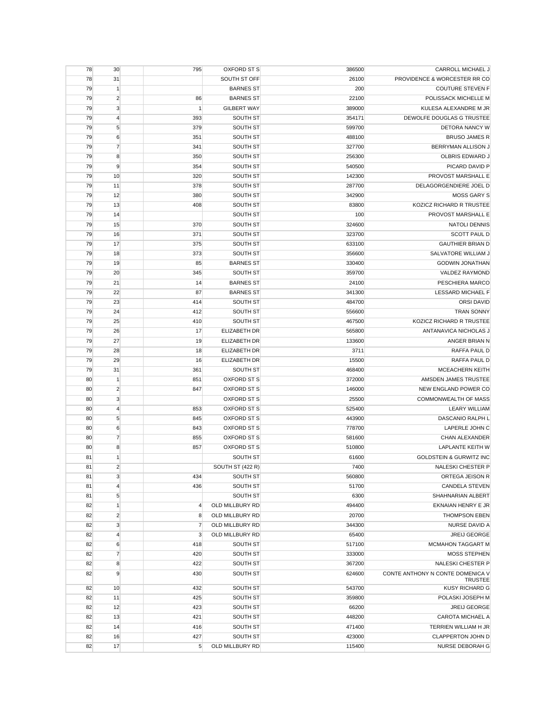| 78 | 30             | 795            | OXFORD ST S         | 386500 | CARROLL MICHAEL J                       |
|----|----------------|----------------|---------------------|--------|-----------------------------------------|
| 78 | 31             |                | SOUTH ST OFF        | 26100  | PROVIDENCE & WORCESTER RR CO            |
| 79 | $\vert$ 1      |                | <b>BARNES ST</b>    | 200    | <b>COUTURE STEVEN F</b>                 |
| 79 | $\overline{2}$ | 86             | <b>BARNES ST</b>    | 22100  | POLISSACK MICHELLE M                    |
| 79 | $\mathbf{3}$   | $\mathbf{1}$   | <b>GILBERT WAY</b>  | 389000 | KULESA ALEXANDRE M JR                   |
| 79 | $\overline{4}$ | 393            | SOUTH ST            | 354171 | DEWOLFE DOUGLAS G TRUSTEE               |
| 79 | 5              | 379            | SOUTH ST            | 599700 | DETORA NANCY W                          |
| 79 | 6              | 351            | SOUTH ST            | 488100 | <b>BRUSO JAMES R</b>                    |
| 79 | $\overline{7}$ | 341            | SOUTH ST            | 327700 | BERRYMAN ALLISON J                      |
| 79 | 8              | 350            | SOUTH ST            | 256300 | OLBRIS EDWARD J                         |
| 79 | 9              | 354            | SOUTH ST            | 540500 | PICARD DAVID P                          |
| 79 | 10             | 320            | SOUTH ST            | 142300 | PROVOST MARSHALL E                      |
| 79 | 11             | 378            | SOUTH ST            | 287700 | DELAGORGENDIERE JOEL D                  |
| 79 | 12             | 380            | SOUTH ST            | 342900 | <b>MOSS GARY S</b>                      |
| 79 | 13             | 408            | SOUTH ST            | 83800  | KOZICZ RICHARD R TRUSTEE                |
| 79 | 14             |                | SOUTH ST            | 100    | PROVOST MARSHALL E                      |
| 79 | 15             | 370            | SOUTH ST            | 324600 | <b>NATOLI DENNIS</b>                    |
| 79 | 16             | 371            | SOUTH ST            | 323700 | <b>SCOTT PAUL D</b>                     |
| 79 | 17             | 375            | SOUTH ST            | 633100 | <b>GAUTHIER BRIAN D</b>                 |
| 79 | 18             | 373            | SOUTH ST            | 356600 | SALVATORE WILLIAM J                     |
| 79 | 19             | 85             | <b>BARNES ST</b>    | 330400 | <b>GODWIN JONATHAN</b>                  |
| 79 | 20             | 345            | SOUTH ST            | 359700 | VALDEZ RAYMOND                          |
| 79 | 21             | 14             | <b>BARNES ST</b>    | 24100  | PESCHIERA MARCO                         |
| 79 | 22             | 87             | <b>BARNES ST</b>    | 341300 | LESSARD MICHAEL F                       |
| 79 | 23             | 414            | SOUTH ST            | 484700 | <b>ORSI DAVID</b>                       |
| 79 | 24             | 412            | SOUTH ST            | 556600 | <b>TRAN SONNY</b>                       |
| 79 | 25             | 410            | SOUTH ST            | 467500 | KOZICZ RICHARD R TRUSTEE                |
| 79 | 26             | 17             | <b>ELIZABETH DR</b> | 565800 | ANTANAVICA NICHOLAS J                   |
| 79 | 27             | 19             | ELIZABETH DR        | 133600 | ANGER BRIAN N                           |
| 79 | 28             | 18             | <b>ELIZABETH DR</b> | 3711   | RAFFA PAUL D                            |
| 79 | 29             | 16             | ELIZABETH DR        | 15500  | RAFFA PAUL D                            |
| 79 | 31             | 361            | SOUTH ST            | 468400 | <b>MCEACHERN KEITH</b>                  |
| 80 | $\overline{1}$ | 851            | <b>OXFORD ST S</b>  | 372000 | AMSDEN JAMES TRUSTEE                    |
| 80 | $\overline{2}$ | 847            | OXFORD ST S         | 146000 | NEW ENGLAND POWER CO                    |
| 80 | $\mathbf{3}$   |                | OXFORD ST S         | 25500  | <b>COMMONWEALTH OF MASS</b>             |
| 80 | $\overline{4}$ | 853            | OXFORD ST S         | 525400 | <b>LEARY WILLIAM</b>                    |
| 80 | $\sqrt{5}$     | 845            | OXFORD ST S         | 443900 | DASCANIO RALPH L                        |
| 80 | 6              | 843            | OXFORD ST S         | 778700 | LAPERLE JOHN C                          |
| 80 | $\overline{7}$ | 855            | OXFORD ST S         | 581600 | CHAN ALEXANDER                          |
| 80 | 8              | 857            | <b>OXFORD ST S</b>  | 510800 | <b>LAPLANTE KEITH W</b>                 |
| 81 | $\mathbf{1}$   |                | SOUTH ST            | 61600  | <b>GOLDSTEIN &amp; GURWITZ INC</b>      |
| 81 | $\overline{2}$ |                | SOUTH ST (422 R)    | 7400   | <b>NALESKI CHESTER P</b>                |
| 81 | 3              | 434            | SOUTH ST            | 560800 | ORTEGA JEISON R                         |
| 81 | $\overline{4}$ | 436            | SOUTH ST            | 51700  | <b>CANDELA STEVEN</b>                   |
| 81 | $\sqrt{5}$     |                | SOUTH ST            | 6300   | SHAHNARIAN ALBERT                       |
| 82 | $\mathbf{1}$   | 4              | OLD MILLBURY RD     | 494400 | EKNAIAN HENRY E JR                      |
| 82 | $\overline{c}$ | 8              | OLD MILLBURY RD     | 20700  | <b>THOMPSON EBEN</b>                    |
| 82 | 3              | $\overline{7}$ | OLD MILLBURY RD     | 344300 | NURSE DAVID A                           |
| 82 | $\overline{4}$ | 3              | OLD MILLBURY RD     | 65400  | JREIJ GEORGE                            |
| 82 | 6              | 418            | SOUTH ST            | 517100 | MCMAHON TAGGART M                       |
| 82 | $\overline{7}$ | 420            | SOUTH ST            | 333000 | <b>MOSS STEPHEN</b>                     |
| 82 | 8              | 422            | SOUTH ST            | 367200 | <b>NALESKI CHESTER P</b>                |
| 82 | 9              | 430            | SOUTH ST            | 624600 | CONTE ANTHONY N CONTE DOMENICA V        |
| 82 | 10             | 432            | SOUTH ST            | 543700 | <b>TRUSTEE</b><br><b>KUSY RICHARD G</b> |
| 82 | 11             | 425            | SOUTH ST            | 359800 | POLASKI JOSEPH M                        |
| 82 | 12             | 423            | SOUTH ST            | 66200  | <b>JREIJ GEORGE</b>                     |
| 82 | 13             | 421            | SOUTH ST            | 448200 | CAROTA MICHAEL A                        |
| 82 | 14             | 416            | SOUTH ST            | 471400 | TERRIEN WILLIAM H JR                    |
| 82 | 16             | 427            | SOUTH ST            | 423000 | <b>CLAPPERTON JOHN D</b>                |
| 82 | 17             | 5              | OLD MILLBURY RD     | 115400 | NURSE DEBORAH G                         |
|    |                |                |                     |        |                                         |